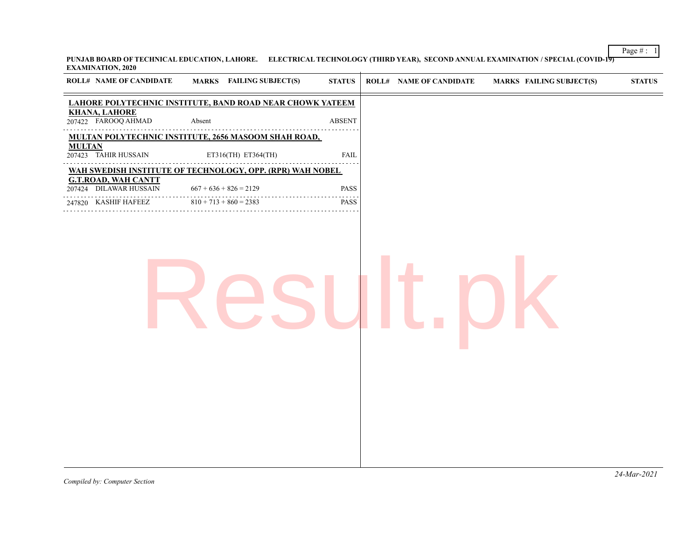**PUNJAB BOARD OF TECHNICAL EDUCATION, LAHORE. ELECTRICAL TECHNOLOGY (THIRD YEAR), SECOND ANNUAL EXAMINATION / SPECIAL (COVID-19) EXAMINATION, 2020**  $\overline{+}$ 

| LAHORE POLYTECHNIC INSTITUTE, BAND ROAD NEAR CHOWK YATEEM<br><b>KHANA, LAHORE</b><br>207422 FAROOQ AHMAD<br>Absent<br><b>ABSENT</b><br>.<br>MULTAN POLYTECHNIC INSTITUTE, 2656 MASOOM SHAH ROAD,<br><b>MULTAN</b><br>207423 TAHIR HUSSAIN<br>ET316(TH) ET364(TH)<br>FAIL<br>WAH SWEDISH INSTITUTE OF TECHNOLOGY, OPP. (RPR) WAH NOBEL<br><b>G.T.ROAD, WAH CANTT</b><br>207424 DILAWAR HUSSAIN<br>PASS<br>$667 + 636 + 826 = 2129$<br>247820 KASHIF HAFEEZ<br>$810 + 713 + 860 = 2383$<br>PASS | <b>ROLL# NAME OF CANDIDATE</b> | <b>MARKS</b> FAILING SUBJECT(S) | <b>STATUS</b> | <b>ROLL# NAME OF CANDIDATE</b> | <b>MARKS FAILING SUBJECT(S)</b> | <b>STATUS</b> |
|-----------------------------------------------------------------------------------------------------------------------------------------------------------------------------------------------------------------------------------------------------------------------------------------------------------------------------------------------------------------------------------------------------------------------------------------------------------------------------------------------|--------------------------------|---------------------------------|---------------|--------------------------------|---------------------------------|---------------|
|                                                                                                                                                                                                                                                                                                                                                                                                                                                                                               |                                |                                 |               |                                |                                 |               |
|                                                                                                                                                                                                                                                                                                                                                                                                                                                                                               |                                |                                 |               |                                |                                 |               |
|                                                                                                                                                                                                                                                                                                                                                                                                                                                                                               |                                |                                 |               |                                |                                 |               |
|                                                                                                                                                                                                                                                                                                                                                                                                                                                                                               |                                |                                 |               |                                |                                 |               |
|                                                                                                                                                                                                                                                                                                                                                                                                                                                                                               |                                |                                 |               |                                |                                 |               |
|                                                                                                                                                                                                                                                                                                                                                                                                                                                                                               |                                |                                 |               |                                |                                 |               |
|                                                                                                                                                                                                                                                                                                                                                                                                                                                                                               |                                |                                 |               |                                |                                 |               |
|                                                                                                                                                                                                                                                                                                                                                                                                                                                                                               |                                |                                 |               |                                |                                 |               |

Page # : 1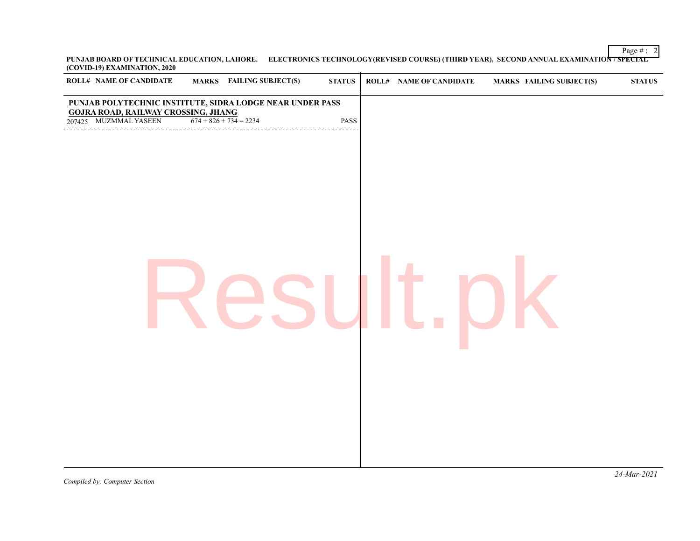Page  $\#$  : 2 **PUNJAB BOARD OF TECHNICAL EDUCATION, LAHORE. ELECTRONICS TECHNOLOGY(REVISED COURSE) (THIRD YEAR), SECOND ANNUAL EXAMINATION / SPECIAL (COVID-19) EXAMINATION, 2020**

| <b>MARKS</b> FAILING SUBJECT(S)<br><b>ROLL# NAME OF CANDIDATE</b>                               | ${\bf STATUS}$ | <b>ROLL# NAME OF CANDIDATE</b> | <b>MARKS FAILING SUBJECT(S)</b> | ${\bf STATUS}$ |
|-------------------------------------------------------------------------------------------------|----------------|--------------------------------|---------------------------------|----------------|
| PUNJAB POLYTECHNIC INSTITUTE, SIDRA LODGE NEAR UNDER PASS                                       |                |                                |                                 |                |
| <b>GOJRA ROAD, RAILWAY CROSSING, JHANG</b><br>207425 MUZMMAL YASEEN<br>$674 + 826 + 734 = 2234$ | PASS           |                                |                                 |                |
|                                                                                                 |                |                                |                                 |                |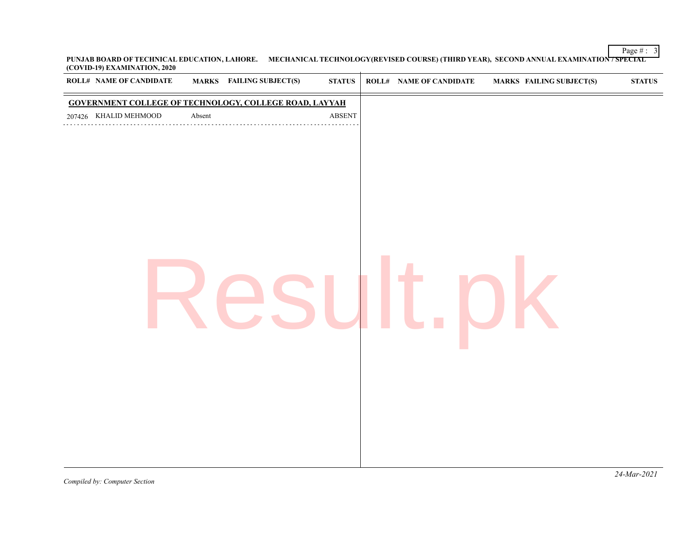Page  $\#$  : 3 **PUNJAB BOARD OF TECHNICAL EDUCATION, LAHORE. MECHANICAL TECHNOLOGY(REVISED COURSE) (THIRD YEAR), SECOND ANNUAL EXAMINATION / SPECIAL (COVID-19) EXAMINATION, 2020**  $\overline{1}$ 

| <b>ROLL# NAME OF CANDIDATE</b> |        | <b>MARKS</b> FAILING SUBJECT(S)                               | ${\bf STATUS}$ | ROLL# NAME OF CANDIDATE | <b>MARKS FAILING SUBJECT(S)</b> | $\bold{STATUS}$ |
|--------------------------------|--------|---------------------------------------------------------------|----------------|-------------------------|---------------------------------|-----------------|
|                                |        | <b>GOVERNMENT COLLEGE OF TECHNOLOGY, COLLEGE ROAD, LAYYAH</b> |                |                         |                                 |                 |
| 207426 KHALID MEHMOOD          | Absent |                                                               | ABSENT         |                         |                                 |                 |
|                                |        |                                                               |                |                         |                                 |                 |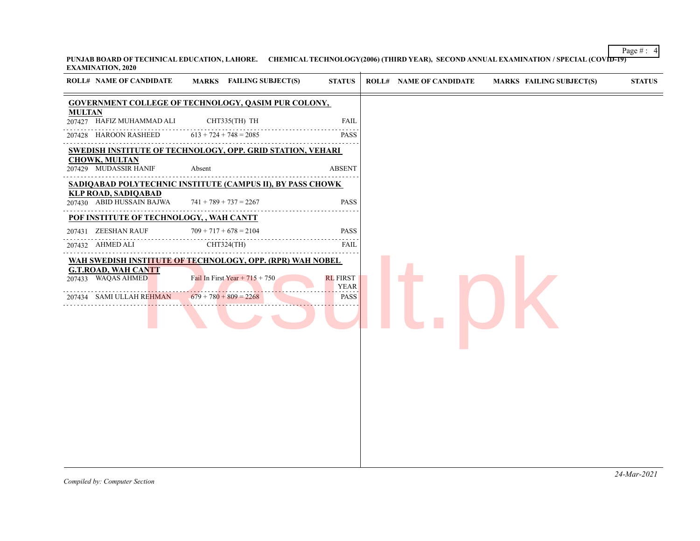Page #:  $4$ PUNJAB BOARD OF TECHNICAL EDUCATION, LAHORE. CHEMICAL TECHNOLOGY(2006) (THIRD YEAR), SECOND ANNUAL EXAMINATION / SPECIAL (COVID-19) **EXAMINATION, 2020**

| <b>ROLL# NAME OF CANDIDATE</b>                                               | MARKS FAILING SUBJECT(S)                                                                                                  | <b>STATUS</b>                                 | <b>ROLL# NAME OF CANDIDATE</b> | <b>MARKS FAILING SUBJECT(S)</b> | <b>STATUS</b> |
|------------------------------------------------------------------------------|---------------------------------------------------------------------------------------------------------------------------|-----------------------------------------------|--------------------------------|---------------------------------|---------------|
|                                                                              | <b>GOVERNMENT COLLEGE OF TECHNOLOGY, QASIM PUR COLONY,</b>                                                                |                                               |                                |                                 |               |
| <b>MULTAN</b><br>207427 HAFIZ MUHAMMAD ALI                                   | CHT335(TH) TH                                                                                                             | <b>FAIL</b>                                   |                                |                                 |               |
| 207428 HAROON RASHEED                                                        | $613 + 724 + 748 = 2085$                                                                                                  | 2 2 2 2 2<br><b>PASS</b>                      |                                |                                 |               |
|                                                                              | <b>SWEDISH INSTITUTE OF TECHNOLOGY, OPP. GRID STATION, VEHARI</b>                                                         |                                               |                                |                                 |               |
| <b>CHOWK, MULTAN</b><br>207429 MUDASSIR HANIF                                | Absent                                                                                                                    | <b>ABSENT</b>                                 |                                |                                 |               |
|                                                                              | SADIQABAD POLYTECHNIC INSTITUTE (CAMPUS II), BY PASS CHOWK                                                                |                                               |                                |                                 |               |
| <b>KLP ROAD, SADIQABAD</b><br>207430 ABID HUSSAIN BAJWA                      | $741 + 789 + 737 = 2267$                                                                                                  | <b>PASS</b>                                   |                                |                                 |               |
| POF INSTITUTE OF TECHNOLOGY, , WAH CANTT                                     |                                                                                                                           |                                               |                                |                                 |               |
| 207431 ZEESHAN RAUF                                                          | $709 + 717 + 678 = 2104$                                                                                                  | PASS                                          |                                |                                 |               |
| 207432 AHMED ALI                                                             | CHT324(TH)                                                                                                                | $- - - - -$<br>FAIL                           |                                |                                 |               |
| <b>G.T.ROAD, WAH CANTT</b><br>207433 WAQAS AHMED<br>207434 SAMI ULLAH REHMAN | WAH SWEDISH INSTITUTE OF TECHNOLOGY, OPP. (RPR) WAH NOBEL<br>Fail In First Year + $715 + 750$<br>$679 + 780 + 809 = 2268$ | <b>RL FIRST</b><br><b>YEAR</b><br><b>PASS</b> |                                |                                 |               |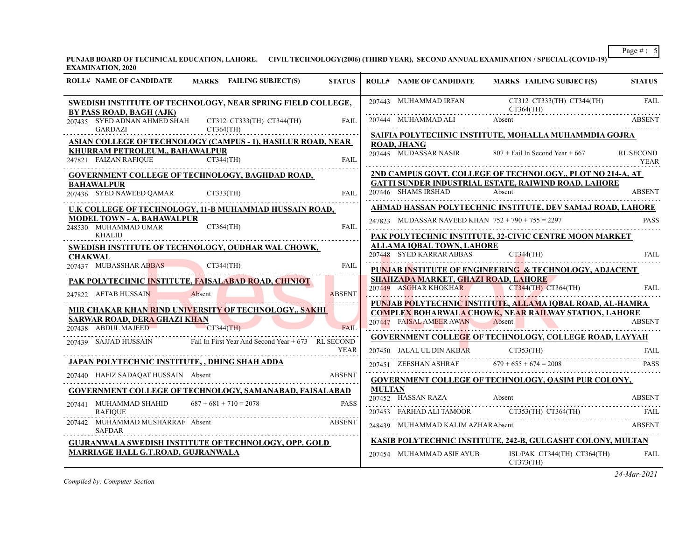**PUNJAB BOARD OF TECHNICAL EDUCATION, LAHORE. CIVIL TECHNOLOGY(2006) (THIRD YEAR), SECOND ANNUAL EXAMINATION / SPECIAL (COVID-19) EXAMINATION, 2020**

| <b>ROLL# NAME OF CANDIDATE</b><br><b>MARKS</b> FAILING SUBJECT(S)                        | <b>STATUS</b> | <b>ROLL# NAME OF CANDIDATE</b>                        | <b>MARKS FAILING SUBJECT(S)</b>                                                                        | <b>STATUS</b>            |
|------------------------------------------------------------------------------------------|---------------|-------------------------------------------------------|--------------------------------------------------------------------------------------------------------|--------------------------|
| SWEDISH INSTITUTE OF TECHNOLOGY, NEAR SPRING FIELD COLLEGE,<br>BY PASS ROAD, BAGH (AJK)  |               |                                                       | 207443 MUHAMMAD IRFAN CT312 CT333(TH) CT344(TH)<br>CT364(TH)                                           | <b>FAIL</b>              |
| 207435 SYED ADNAN AHMED SHAH<br>CT312 CT333(TH) CT344(TH)<br>CT364(TH)<br><b>GARDAZI</b> | <b>FAIL</b>   |                                                       |                                                                                                        | ABSENT                   |
| <b>ASIAN COLLEGE OF TECHNOLOGY (CAMPUS - 1), HASILUR ROAD, NEAR</b>                      |               |                                                       | SAIFIA POLYTECHNIC INSTITUTE, MOHALLA MUHAMMDIA GOJRA                                                  |                          |
| KHURRAM PETROLEUM., BAHAWALPUR<br>247821 FAIZAN RAFIQUE CT344(TH)                        | <b>FAIL</b>   | <b>ROAD, JHANG</b><br>207445 MUDASSAR NASIR           | $807 +$ Fail In Second Year + 667                                                                      | <b>RL SECOND</b><br>YEAR |
| <b>GOVERNMENT COLLEGE OF TECHNOLOGY, BAGHDAD ROAD,</b>                                   |               |                                                       | 2ND CAMPUS GOVT. COLLEGE OF TECHNOLOGY,, PLOT NO 214-A, AT                                             |                          |
| BAHAWALPUR<br>207436 SYED NAWEED QAMAR CT333(TH) FAIL                                    | FAII.         | 207446 SHAMS IRSHAD                                   | <b>GATTI SUNDER INDUSTRIAL ESTATE, RAIWIND ROAD, LAHORE</b><br>Absent                                  | <b>ABSENT</b>            |
| U.K COLLEGE OF TECHNOLOGY, 11-B MUHAMMAD HUSSAIN ROAD,                                   |               |                                                       | AHMAD HASSAN POLYTECHNIC INSTITUTE, DEV SAMAJ ROAD, LAHORE                                             |                          |
| <b>MODEL TOWN - A, BAHAWALPUR</b><br>248530 MUHAMMAD UMAR<br>$CT364$ (TH)                | <b>FAIL</b>   | 247823 MUDASSAR NAVEED KHAN $752 + 790 + 755 = 2297$  |                                                                                                        | <b>PASS</b>              |
| <b>KHALID</b>                                                                            |               |                                                       | PAK POLYTECHNIC INSTITUTE, 32-CIVIC CENTRE MOON MARKET                                                 |                          |
| SWEDISH INSTITUTE OF TECHNOLOGY, OUDHAR WAL CHOWK,                                       |               | ALLAMA IQBAL TOWN, LAHORE<br>207448 SYED KARRAR ABBAS | $CT344$ (TH)                                                                                           | FAIL                     |
| <b>CHAKWAL</b><br>CT344(TH)<br>207437 MUBASSHAR ABBAS                                    | <b>FAIL</b>   |                                                       | PUNJAB INSTITUTE OF ENGINEERING & TECHNOLOGY, ADJACENT                                                 |                          |
| PAK POLYTECHNIC INSTITUTE, FAISALABAD ROAD, CHINIOT                                      |               | SHAHZADA MARKET, GHAZI ROAD, LAHORE                   |                                                                                                        |                          |
| 247822 AFTAB HUSSAIN Absent                                                              | <b>ABSENT</b> |                                                       | 207449 ASGHAR KHOKHAR CT344(TH) CT364(TH) FAIL                                                         |                          |
| <u>MIR CHAKAR KHAN RIND UNIVERSITY OF TECHNOLOGY,, SAKHI</u>                             |               |                                                       | PUNJAB POLYTECHNIC INSTITUTE, ALLAMA IQBAL ROAD, AL-HAMRA                                              |                          |
| <b>SARWAR ROAD, DERA GHAZI KHAN</b>                                                      |               |                                                       | <b>COMPLEX BOHARWALA CHOWK, NEAR RAILWAY STATION, LAHORE</b><br>207447 FAISAL AMEER AWAN Absent ABSENT |                          |
| 207438 ABDUL MAJEED<br>CT344(TH)                                                         | <b>FAIL</b>   |                                                       | <b>GOVERNMENT COLLEGE OF TECHNOLOGY, COLLEGE ROAD, LAYYAH</b>                                          |                          |
| 207439 SAJJAD HUSSAIN Fail In First Year And Second Year + 673 RL SECOND                 | YEAR          |                                                       | 207450 JALAL UL DIN AKBAR CT353(TH) FAIL FAIL                                                          |                          |
| <b>JAPAN POLYTECHNIC INSTITUTE, , DHING SHAH ADDA</b>                                    |               |                                                       | 207451 ZEESHAN ASHRAF 679 + 655 + 674 = 2008                                                           | <b>PASS</b>              |
| 207440 HAFIZ SADAQAT HUSSAIN Absent<br>IZ SADAQAT HUSSAIN Absent ABSENT ABSENT           |               |                                                       | <b>GOVERNMENT COLLEGE OF TECHNOLOGY, QASIM PUR COLONY,</b>                                             |                          |
| <b>GOVERNMENT COLLEGE OF TECHNOLOGY, SAMANABAD, FAISALABAD</b>                           |               | <b>MULTAN</b>                                         |                                                                                                        |                          |
| 207441 MUHAMMAD SHAHID<br>$687 + 681 + 710 = 2078$                                       | <b>PASS</b>   |                                                       | 207452 HASSAN RAZA Absent<br>ABSENT                                                                    |                          |
| <b>RAFIOUE</b>                                                                           |               |                                                       | 207453 FARHAD ALI TAMOOR CT353(TH) CT364(TH) CT364(TH) FAIL                                            |                          |
| 207442 MUHAMMAD MUSHARRAF Absent<br><b>SAFDAR</b>                                        | ABSENT        |                                                       | 248439 MUHAMMAD KALIM AZHARAbsent<br>ABSENT                                                            |                          |
| <b>GUJRANWALA SWEDISH INSTITUTE OF TECHNOLOGY, OPP. GOLD</b>                             |               |                                                       | KASIB POLYTECHNIC INSTITUTE, 242-B, GULGASHT COLONY, MULTAN                                            |                          |
| MARRIAGE HALL G.T.ROAD, GUJRANWALA                                                       |               | 207454 MUHAMMAD ASIF AYUB                             | ISL/PAK CT344(TH) CT364(TH)<br>CT373(TH)                                                               | <b>FAIL</b>              |

*Compiled by: Computer Section*

*24-Mar-2021*

Page  $\#$  : 5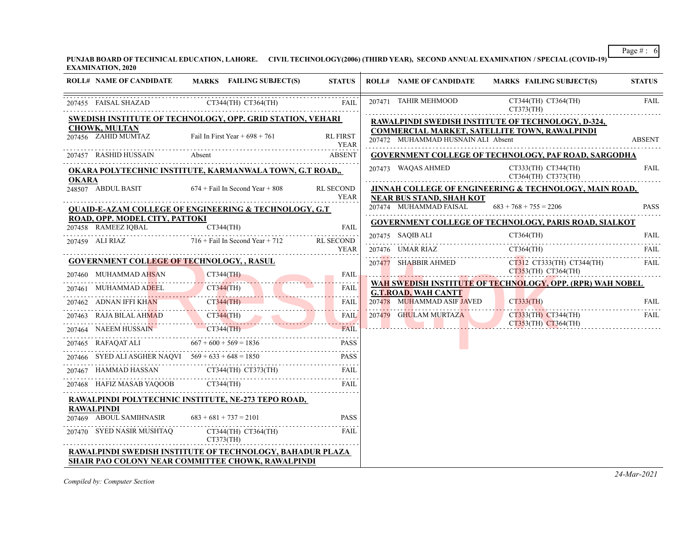**PUNJAB BOARD OF TECHNICAL EDUCATION, LAHORE. CIVIL TECHNOLOGY(2006) (THIRD YEAR), SECOND ANNUAL EXAMINATION / SPECIAL (COVID-19) EXAMINATION, 2020**

| <b>ROLL# NAME OF CANDIDATE</b>                                        | MARKS FAILING SUBJECT(S)                                                                                                                                                                                                                                                                                                                                                                                                     | <b>STATUS</b>           | <b>ROLL# NAME OF CANDIDATE</b>       | MARKS FAILING SUBJECT(S)                                          | <b>STATUS</b> |
|-----------------------------------------------------------------------|------------------------------------------------------------------------------------------------------------------------------------------------------------------------------------------------------------------------------------------------------------------------------------------------------------------------------------------------------------------------------------------------------------------------------|-------------------------|--------------------------------------|-------------------------------------------------------------------|---------------|
|                                                                       | 207455 FAISAL SHAZAD CT344(TH) CT364(TH)                                                                                                                                                                                                                                                                                                                                                                                     | FAIL                    | 207471 TAHIR MEHMOOD                 | CT344(TH) CT364(TH)<br>CT373(TH)                                  | FAIL          |
|                                                                       | <b>SWEDISH INSTITUTE OF TECHNOLOGY, OPP. GRID STATION, VEHARI</b>                                                                                                                                                                                                                                                                                                                                                            |                         |                                      | <b>RAWALPINDI SWEDISH INSTITUTE OF TECHNOLOGY, D-324,</b>         |               |
| <b>CHOWK, MULTAN</b><br>207456 ZAHID MUMTAZ                           | Fail In First Year $+698 + 761$                                                                                                                                                                                                                                                                                                                                                                                              | <b>RL FIRST</b><br>YEAR | 207472 MUHAMMAD HUSNAIN ALI Absent   | <b>COMMERCIAL MARKET, SATELLITE TOWN, RAWALPINDI</b>              | <b>ABSENT</b> |
| 207457 RASHID HUSSAIN                                                 | Absent                                                                                                                                                                                                                                                                                                                                                                                                                       | <b>ABSENT</b>           |                                      | <b>GOVERNMENT COLLEGE OF TECHNOLOGY, PAF ROAD, SARGODHA</b>       |               |
| <b>OKARA</b>                                                          | <b>OKARA POLYTECHNIC INSTITUTE, KARMANWALA TOWN, G.T ROAD,,</b>                                                                                                                                                                                                                                                                                                                                                              |                         | 207473 WAQAS AHMED                   | CT333(TH) CT344(TH)<br>CT364(TH) CT373(TH)                        | <b>FAIL</b>   |
| 248507 ABDUL BASIT 674 + Fail In Second Year + 808                    |                                                                                                                                                                                                                                                                                                                                                                                                                              | RL SECOND<br>YEAR       | NEAR BUS STAND, SHAH KOT             | <b>JINNAH COLLEGE OF ENGINEERING &amp; TECHNOLOGY, MAIN ROAD,</b> |               |
|                                                                       | <b>QUAID-E-AZAM COLLEGE OF ENGINEERING &amp; TECHNOLOGY, G.T.</b>                                                                                                                                                                                                                                                                                                                                                            |                         | 207474 MUHAMMAD FAISAL               | $683 + 768 + 755 = 2206$                                          | <b>PASS</b>   |
| ROAD, OPP. MODEL CITY, PATTOKI                                        |                                                                                                                                                                                                                                                                                                                                                                                                                              | <b>FAIL</b>             |                                      | <b>GOVERNMENT COLLEGE OF TECHNOLOGY, PARIS ROAD, SIALKOT</b>      |               |
| 207458 RAMEEZ IQBAL CT344(TH)                                         |                                                                                                                                                                                                                                                                                                                                                                                                                              |                         | 207475 SAQIB ALI                     |                                                                   |               |
|                                                                       | 207459 ALI RIAZ 716 + Fail In Second Year + 712 RL SECOND                                                                                                                                                                                                                                                                                                                                                                    | YEAR                    | 207476 UMAR RIAZ                     | $CT364$ (TH)                                                      | <b>FAIL</b>   |
| <b>GOVERNMENT COLLEGE OF TECHNOLOGY, , RASUL</b>                      |                                                                                                                                                                                                                                                                                                                                                                                                                              |                         |                                      | CT312 CT333(TH) CT344(TH)                                         | <b>FAIL</b>   |
|                                                                       |                                                                                                                                                                                                                                                                                                                                                                                                                              | FAIL                    |                                      | 207477 SHABBIR AHMED CT312 CT333(TH) CT34<br>CT353(TH) CT364(TH)  |               |
|                                                                       | 207460 MUHAMMAD AHSAN CT344(TH)<br>207461 MUHAMMAD ADEEL CT344(TH)                                                                                                                                                                                                                                                                                                                                                           | FAIL                    | <b>G.T.ROAD, WAH CANTT</b>           | WAH SWEDISH INSTITUTE OF TECHNOLOGY, OPP. (RPR) WAH NOBEL         |               |
|                                                                       | 207462 ADNAN IFFI KHAN CT344(TH) FAIL                                                                                                                                                                                                                                                                                                                                                                                        |                         | 207478 MUHAMMAD ASIF JAVED CT333(TH) |                                                                   | FAIL          |
|                                                                       | 207463 RAJA BILAL AHMAD CT344(TH) FAIL                                                                                                                                                                                                                                                                                                                                                                                       | <b>FAIL</b>             |                                      | 207479 GHULAM MURTAZA CT333(TH) CT344(TH)                         | FAII.         |
|                                                                       | 207464 NAEEM HUSSAIN CT344(TH) FAIL                                                                                                                                                                                                                                                                                                                                                                                          |                         |                                      | CT353(TH) CT364(TH)                                               |               |
|                                                                       | 207465 RAFAQAT ALI $667 + 600 + 569 = 1836$ PASS                                                                                                                                                                                                                                                                                                                                                                             | <b>PASS</b>             |                                      |                                                                   |               |
|                                                                       | 207466 SYED ALI ASGHER NAQVI $569 + 633 + 648 = 1850$                                                                                                                                                                                                                                                                                                                                                                        | <b>PASS</b>             |                                      |                                                                   |               |
|                                                                       |                                                                                                                                                                                                                                                                                                                                                                                                                              |                         |                                      |                                                                   |               |
|                                                                       | $\begin{tabular}{lllllllllll} \multicolumn{2}{l}{{\textbf{207467}}}\quad \textbf{HAMMAD HASAIN} & $\textbf{CT344(TH) CT373(TH)}$ & \textbf{FAIL} \\ \multicolumn{2}{l}{\textbf{207468}} & \textbf{HAFIZ MASAB YAQOOB} & $\textbf{CT344(TH)}$ & \textbf{FAIL} \\ \multicolumn{2}{l}{\textbf{207468}} & \textbf{HAFIZ MASAB YAQOOB} & $\textbf{CT344(TH)}$ & \textbf{FAIL} \\ \multicolumn{2}{l}{\textbf{207468}} & \textbf{H$ |                         |                                      |                                                                   |               |
|                                                                       | RAWALPINDI POLYTECHNIC INSTITUTE, NE-273 TEPO ROAD,                                                                                                                                                                                                                                                                                                                                                                          |                         |                                      |                                                                   |               |
| <b>RAWALPINDI</b><br>207469 ABOUL SAMIHNASIR $683 + 681 + 737 = 2101$ |                                                                                                                                                                                                                                                                                                                                                                                                                              | <b>PASS</b>             |                                      |                                                                   |               |
|                                                                       | 207470 SYED NASIR MUSHTAQ CT344(TH) CT364(TH)<br>$CT373$ (TH)                                                                                                                                                                                                                                                                                                                                                                | FAIL                    |                                      |                                                                   |               |
|                                                                       | <b>RAWALPINDI SWEDISH INSTITUTE OF TECHNOLOGY, BAHADUR PLAZA</b>                                                                                                                                                                                                                                                                                                                                                             |                         |                                      |                                                                   |               |
|                                                                       | <b>SHAIR PAO COLONY NEAR COMMITTEE CHOWK, RAWALPINDI</b>                                                                                                                                                                                                                                                                                                                                                                     |                         |                                      |                                                                   |               |

*Compiled by: Computer Section*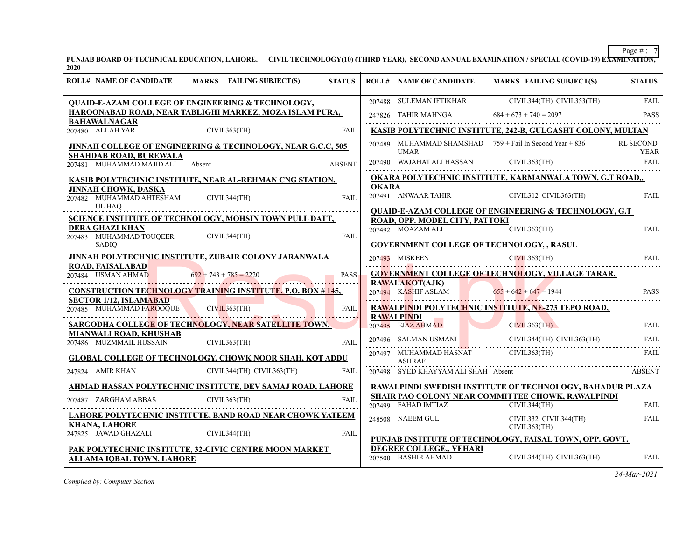**PUNJAB BOARD OF TECHNICAL EDUCATION, LAHORE. CIVIL TECHNOLOGY(10) (THIRD YEAR), SECOND ANNUAL EXAMINATION / SPECIAL (COVID-19) EXAMINATION, 2020**

| <b>ROLL# NAME OF CANDIDATE</b>                                                | <b>MARKS</b> FAILING SUBJECT(S)                                     | <b>STATUS</b> |              | <b>ROLL# NAME OF CANDIDATE</b>                         | <b>MARKS FAILING SUBJECT(S)</b>                                                                                                                                                                                                                                                                                                                                                                                                                                | <b>STATUS</b> |
|-------------------------------------------------------------------------------|---------------------------------------------------------------------|---------------|--------------|--------------------------------------------------------|----------------------------------------------------------------------------------------------------------------------------------------------------------------------------------------------------------------------------------------------------------------------------------------------------------------------------------------------------------------------------------------------------------------------------------------------------------------|---------------|
|                                                                               | <b>QUAID-E-AZAM COLLEGE OF ENGINEERING &amp; TECHNOLOGY,</b>        |               |              |                                                        |                                                                                                                                                                                                                                                                                                                                                                                                                                                                |               |
| <b>BAHAWALNAGAR</b>                                                           | HAROONABAD ROAD, NEAR TABLIGHI MARKEZ, MOZA ISLAM PURA,             |               |              |                                                        |                                                                                                                                                                                                                                                                                                                                                                                                                                                                |               |
| 880 ALLAH YAR CIVIL363(TH)<br>207480 ALLAH YAR                                |                                                                     | <b>FAIL</b>   |              |                                                        | KASIB POLYTECHNIC INSTITUTE, 242-B, GULGASHT COLONY, MULTAN                                                                                                                                                                                                                                                                                                                                                                                                    |               |
| <b>SHAHDAB ROAD, BUREWALA</b>                                                 | JINNAH COLLEGE OF ENGINEERING & TECHNOLOGY, NEAR G.C.C, 505         |               |              |                                                        | 207489 MUHAMMAD SHAMSHAD $759 +$ Fail In Second Year $+ 836$                                                                                                                                                                                                                                                                                                                                                                                                   | RL SECOND     |
| 207481 MUHAMMAD MAJID ALI Absent                                              |                                                                     | <b>ABSENT</b> |              |                                                        | $\begin{tabular}{lllllll} \multicolumn{2}{l}{} & \multicolumn{2}{c }{VHAR} & \multicolumn{2}{c }{YEAR} & \multicolumn{2}{c }{YEAR} \\ \multicolumn{2}{c }{207490} & \multicolumn{2}{c }{WAJAHAT ALI} \end{tabular} \begin{tabular}{llllll} \multicolumn{2}{c }{NFAR} & \multicolumn{2}{c }{YFAR} \\ \multicolumn{2}{c }{FAIL} & \multicolumn{2}{c }{FAIL} \\ \multicolumn{2}{c }{PATA} & \multicolumn{2}{c }{VHA} \\ \multicolumn{2}{c }{PATA} & \multicolumn$ |               |
|                                                                               | KASIB POLYTECHNIC INSTITUTE, NEAR AL-REHMAN CNG STATION,            |               |              |                                                        | OKARA POLYTECHNIC INSTITUTE, KARMANWALA TOWN, G.T ROAD,,                                                                                                                                                                                                                                                                                                                                                                                                       |               |
| <b>JINNAH CHOWK, DASKA</b><br>207482 MUHAMMAD AHTESHAM CIVIL344(TH)<br>UL HAQ |                                                                     | FAIL          | <b>OKARA</b> |                                                        | 207491 ANWAAR TAHIR CIVIL312 CIVIL363(TH) FAIL                                                                                                                                                                                                                                                                                                                                                                                                                 |               |
|                                                                               | SCIENCE INSTITUTE OF TECHNOLOGY, MOHSIN TOWN PULL DATT,             |               |              | ROAD, OPP. MODEL CITY, PATTOKI                         | <b>QUAID-E-AZAM COLLEGE OF ENGINEERING &amp; TECHNOLOGY, G.T</b>                                                                                                                                                                                                                                                                                                                                                                                               |               |
| <b>DERA GHAZI KHAN</b><br>207483 MUHAMMAD TOUQEER                             | CIVIL344(TH)                                                        | <b>FAIL</b>   |              | 207492 MOAZAM ALI CIVIL363(TH)                         |                                                                                                                                                                                                                                                                                                                                                                                                                                                                | FAII.         |
| <b>SADIO</b>                                                                  |                                                                     |               |              | GOVERNMENT COLLEGE OF TECHNOLOGY, , RASUL              |                                                                                                                                                                                                                                                                                                                                                                                                                                                                |               |
| <b>ROAD, FAISALABAD</b>                                                       | JINNAH POLYTECHNIC INSTITUTE, ZUBAIR COLONY JARANWALA               |               |              |                                                        | 207493 MISKEEN CIVIL363(TH) FAIL                                                                                                                                                                                                                                                                                                                                                                                                                               |               |
|                                                                               | 207484 USMAN AHMAD $692 + 743 + 785 = 2220$                         | <b>PASS</b>   |              |                                                        | <b>GOVERNMENT COLLEGE OF TECHNOLOGY, VILLAGE TARAR,</b>                                                                                                                                                                                                                                                                                                                                                                                                        |               |
|                                                                               | <b>CONSTRUCTION TECHNOLOGY TRAINING INSTITUTE, P.O. BOX # 145,</b>  |               |              | <b>RAWALAKOT(AJK)</b><br>207494 KASHIF ASLAM           | $655 + 642 + 647 = 1944$                                                                                                                                                                                                                                                                                                                                                                                                                                       | <b>PASS</b>   |
| <b>SECTOR 1/12, ISLAMABAD</b>                                                 | 207485 MUHAMMAD FAROQUE CIVIL363(TH) FAIL                           |               |              |                                                        | <b>RAWALPINDI POLYTECHNIC INSTITUTE, NE-273 TEPO ROAD,</b>                                                                                                                                                                                                                                                                                                                                                                                                     |               |
|                                                                               | SARGODHA COLLEGE OF TECHNOLOGY, NEAR SATELLITE TOWN,                |               |              | <b>RAWALPINDI</b>                                      | <b>RAWALPINDI</b><br>207496 SALMAN USMANI<br>207496 SALMAN USMANI<br>207496 SALMAN USMANI<br>207496 SALMAN USMANI<br>207496 SALMAN USMANI                                                                                                                                                                                                                                                                                                                      | <b>FAIL</b>   |
| MIANWALI ROAD, KHUSHAB                                                        | MIANWALI ROAD, KHUSHAB<br>207486 MUZMMAIL HUSSAIN CIVIL363(TH) FAIL |               |              |                                                        |                                                                                                                                                                                                                                                                                                                                                                                                                                                                | FAIL.         |
|                                                                               | <b>GLOBAL COLLEGE OF TECHNOLOGY, CHOWK NOOR SHAH, KOT ADDU</b>      |               |              | <b>ASHRAF</b>                                          | $207497$ MUHAMMAD HASNAT CIVIL363(TH)<br>ASHRAF ASHRAF                                                                                                                                                                                                                                                                                                                                                                                                         | FAIL          |
| 247824 AMIR KHAN                                                              | CIVIL344(TH) CIVIL363(TH)                                           | <b>FAIL</b>   |              | 207498 SYED KHAYYAM ALI SHAH Absent                    |                                                                                                                                                                                                                                                                                                                                                                                                                                                                | ABSENT        |
|                                                                               | AHMAD HASSAN POLYTECHNIC INSTITUTE, DEV SAMAJ ROAD, LAHORE          |               |              |                                                        | RAWALPINDI SWEDISH INSTITUTE OF TECHNOLOGY, BAHADUR PLAZA                                                                                                                                                                                                                                                                                                                                                                                                      |               |
| $207487\quad {\rm ZARGHAM ABBAS}\qquad \qquad {\rm CIVIL363(TH)}$             |                                                                     | <b>FAIL</b>   |              |                                                        | SHAIR PAO COLONY NEAR COMMITTEE CHOWK, RAWALPINDI                                                                                                                                                                                                                                                                                                                                                                                                              | <b>FAIL</b>   |
|                                                                               | LAHORE POLYTECHNIC INSTITUTE, BAND ROAD NEAR CHOWK YATEEM           |               |              | $207499$ FAHAD IMTIAZ CIVIL344(TH)<br>248508 NAEEM GUL | CIVIL332 CIVIL344(TH)                                                                                                                                                                                                                                                                                                                                                                                                                                          | FAIL          |
| <b>KHANA, LAHORE</b>                                                          | <u>247825 JAWAD GHAZALI</u> CIVIL344(TH) FAIL <b>FAIL</b>           |               |              | CIVIL363(TH)                                           | PUNJAB INSTITUTE OF TECHNOLOGY, FAISAL TOWN, OPP. GOVT.                                                                                                                                                                                                                                                                                                                                                                                                        |               |
| <b>ALLAMA IQBAL TOWN, LAHORE</b>                                              | PAK POLYTECHNIC INSTITUTE, 32-CIVIC CENTRE MOON MARKET              |               |              | DEGREE COLLEGE,, VEHARI<br>207500 BASHIR AHMAD         | CIVIL344(TH) CIVIL363(TH)                                                                                                                                                                                                                                                                                                                                                                                                                                      | <b>FAIL</b>   |

*Compiled by: Computer Section*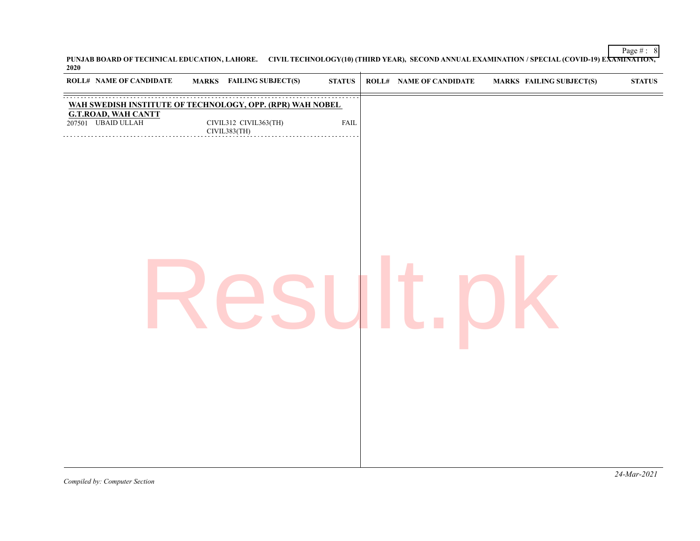**PUNJAB BOARD OF TECHNICAL EDUCATION, LAHORE. CIVIL TECHNOLOGY(10) (THIRD YEAR), SECOND ANNUAL EXAMINATION / SPECIAL (COVID-19) EXAMINATION, 2020**

| <b>ROLL# NAME OF CANDIDATE</b>            | MARKS FAILING SUBJECT(S)                                  | <b>STATUS</b> | <b>ROLL# NAME OF CANDIDATE</b> | <b>MARKS FAILING SUBJECT(S)</b> | $\bold{STATUS}$ |
|-------------------------------------------|-----------------------------------------------------------|---------------|--------------------------------|---------------------------------|-----------------|
|                                           | WAH SWEDISH INSTITUTE OF TECHNOLOGY, OPP. (RPR) WAH NOBEL |               |                                |                                 |                 |
| G.T.ROAD, WAH CANTT<br>207501 UBAID ULLAH | CIVIL312 CIVIL363(TH)<br>CIVIL383(TH)<br>.                | <b>FAIL</b>   |                                |                                 |                 |
|                                           |                                                           |               |                                |                                 |                 |
|                                           |                                                           |               |                                |                                 |                 |
|                                           |                                                           |               |                                |                                 |                 |
|                                           |                                                           |               |                                |                                 |                 |
|                                           |                                                           |               |                                |                                 |                 |
|                                           |                                                           |               |                                |                                 |                 |
|                                           |                                                           |               |                                |                                 |                 |
|                                           |                                                           |               |                                |                                 |                 |
|                                           |                                                           |               |                                |                                 |                 |
|                                           |                                                           |               |                                |                                 |                 |
|                                           |                                                           |               |                                |                                 |                 |
|                                           |                                                           |               |                                |                                 |                 |
|                                           |                                                           |               |                                |                                 |                 |
|                                           |                                                           |               |                                |                                 |                 |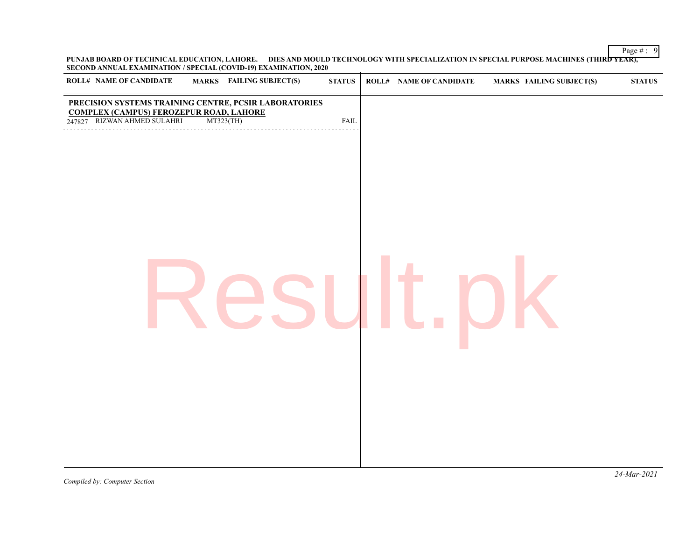Page  $\# : 9$ **PUNJAB BOARD OF TECHNICAL EDUCATION, LAHORE. DIES AND MOULD TECHNOLOGY WITH SPECIALIZATION IN SPECIAL PURPOSE MACHINES (THIRD YEAR), SECOND ANNUAL EXAMINATION / SPECIAL (COVID-19) EXAMINATION, 2020**

| ROLL# NAME OF CANDIDATE<br>MARKS FAILING SUBJECT(S)                                                                                                    | ${\bf STATUS}$ | <b>ROLL# NAME OF CANDIDATE</b> | <b>MARKS FAILING SUBJECT(S)</b> | $\boldsymbol{\text{STATUS}}$ |
|--------------------------------------------------------------------------------------------------------------------------------------------------------|----------------|--------------------------------|---------------------------------|------------------------------|
| PRECISION SYSTEMS TRAINING CENTRE, PCSIR LABORATORIES<br><b>COMPLEX (CAMPUS) FEROZEPUR ROAD, LAHORE</b><br>RIZWAN AHMED SULAHRI<br>MT323(TH)<br>247827 | FAIL           |                                |                                 |                              |
|                                                                                                                                                        |                |                                |                                 |                              |
|                                                                                                                                                        |                |                                |                                 |                              |
|                                                                                                                                                        |                |                                |                                 |                              |
|                                                                                                                                                        |                |                                |                                 |                              |
|                                                                                                                                                        |                |                                |                                 |                              |
|                                                                                                                                                        |                |                                |                                 |                              |
|                                                                                                                                                        |                |                                |                                 |                              |
|                                                                                                                                                        |                |                                |                                 |                              |
|                                                                                                                                                        |                |                                |                                 |                              |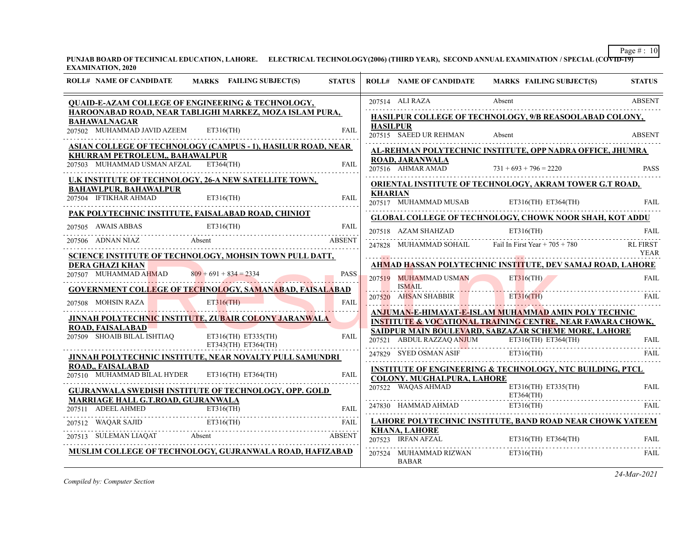**PUNJAB BOARD OF TECHNICAL EDUCATION, LAHORE. ELECTRICAL TECHNOLOGY(2006) (THIRD YEAR), SECOND ANNUAL EXAMINATION / SPECIAL (COVID-19) EXAMINATION, 2020**

| <b>ROLL# NAME OF CANDIDATE</b>                                                 | <b>MARKS</b> FAILING SUBJECT(S)                                                                                                                                                                                                                                                                             | <b>STATUS</b> |                 | <b>ROLL# NAME OF CANDIDATE</b>              | MARKS FAILING SUBJECT(S)                                                                                                      | <b>STATUS</b>   |
|--------------------------------------------------------------------------------|-------------------------------------------------------------------------------------------------------------------------------------------------------------------------------------------------------------------------------------------------------------------------------------------------------------|---------------|-----------------|---------------------------------------------|-------------------------------------------------------------------------------------------------------------------------------|-----------------|
|                                                                                | QUAID-E-AZAM COLLEGE OF ENGINEERING & TECHNOLOGY,                                                                                                                                                                                                                                                           |               |                 | 207514 ALI RAZA                             | Absent                                                                                                                        | <b>ABSENT</b>   |
| <b>BAHAWALNAGAR</b>                                                            | HAROONABAD ROAD, NEAR TABLIGHI MARKEZ, MOZA ISLAM PURA,                                                                                                                                                                                                                                                     |               |                 |                                             | HASILPUR COLLEGE OF TECHNOLOGY, 9/B REASOOLABAD COLONY,                                                                       |                 |
| 207502 MUHAMMAD JAVID AZEEM                                                    | $ET316$ (TH)                                                                                                                                                                                                                                                                                                | <b>FAIL</b>   | <b>HASILPUR</b> | 207515 SAEED UR REHMAN                      | Absent                                                                                                                        | <b>ABSENT</b>   |
|                                                                                | <b>ASIAN COLLEGE OF TECHNOLOGY (CAMPUS - 1), HASILUR ROAD, NEAR</b>                                                                                                                                                                                                                                         |               |                 |                                             | AL-REHMAN POLYTECHNIC INSTITUTE, OPP NADRA OFFICE, JHUMRA                                                                     |                 |
| <b>KHURRAM PETROLEUM,, BAHAWALPUR</b><br>207503 MUHAMMAD USMAN AFZAL ET364(TH) |                                                                                                                                                                                                                                                                                                             | <b>FAIL</b>   |                 | <b>ROAD, JARANWALA</b><br>207516 AHMAR AMAD | $731 + 693 + 796 = 2220$                                                                                                      | <b>PASS</b>     |
|                                                                                | U.K INSTITUTE OF TECHNOLOGY, 26-A NEW SATELLITE TOWN,                                                                                                                                                                                                                                                       |               |                 |                                             | <b>ORIENTAL INSTITUTE OF TECHNOLOGY, AKRAM TOWER G.T ROAD,</b>                                                                |                 |
| <b>BAHAWLPUR, BAHAWALPUR</b><br>207504 IFTIKHAR AHMAD                          | ET316(TH)                                                                                                                                                                                                                                                                                                   | <b>FAIL</b>   | <b>KHARIAN</b>  | 207517 MUHAMMAD MUSAB                       | ET316(TH) ET364(TH)                                                                                                           | <b>FAIL</b>     |
|                                                                                | PAK POLYTECHNIC INSTITUTE, FAISALABAD ROAD, CHINIOT                                                                                                                                                                                                                                                         |               |                 |                                             | <b>GLOBAL COLLEGE OF TECHNOLOGY, CHOWK NOOR SHAH, KOT ADDU</b>                                                                |                 |
|                                                                                | $\begin{tabular}{llllll} \multicolumn{2}{l}{{\textbf{207505}}}\quad \textbf{AWAIS ABBAS} & \multicolumn{2}{l}{\textbf{ET316(TH)}} & \multicolumn{2}{l}{\textbf{FAL}}\\ \multicolumn{2}{l}{\textbf{207506}} & \multicolumn{2}{l}{\textbf{ADNAN NIAZ}} & \multicolumn{2}{l}{\textbf{ABSENT}}\\ \end{tabular}$ |               |                 |                                             |                                                                                                                               |                 |
|                                                                                | VAN NIAZ Absent ABSENT                                                                                                                                                                                                                                                                                      |               |                 |                                             | 207518 AZAM SHAHZAD ET316(TH) FAIL<br>247828 MUHAMMAD SOHAIL Fail In First Year $+705 + 780$                                  | <b>RL FIRST</b> |
|                                                                                | SCIENCE INSTITUTE OF TECHNOLOGY, MOHSIN TOWN PULL DATT,                                                                                                                                                                                                                                                     |               |                 |                                             |                                                                                                                               | YEAR            |
| <b>DERA GHAZI KHAN</b>                                                         |                                                                                                                                                                                                                                                                                                             |               |                 |                                             | <b>AHMAD HASSAN POLYTECHNIC INSTITUTE, DEV SAMAJ ROAD, LAHORE</b>                                                             |                 |
| 207507 MUHAMMAD AHMAD                                                          | $809 + 691 + 834 = 2334$                                                                                                                                                                                                                                                                                    | <b>PASS</b>   |                 | 207519 MUHAMMAD USMAN                       | $ET316$ (TH)                                                                                                                  | <b>FAIL</b>     |
|                                                                                | <b>GOVERNMENT COLLEGE OF TECHNOLOGY, SAMANABAD, FAISALABAD</b>                                                                                                                                                                                                                                              |               |                 | <b>ISMAIL</b>                               | <u> Estados de Santo de Santo de Santo de Santo de Santo de Santo de Santo de Santo de Santo de Santo de Santo de S</u>       |                 |
| 207508 MOHSIN RAZA                                                             | ET <sup>316</sup> (TH)                                                                                                                                                                                                                                                                                      | FAIL          |                 | 207520 AHSAN SHABBIR ET316(TH)              |                                                                                                                               | <b>FAIL</b>     |
|                                                                                | JINNAH POLYTECH <mark>NIC</mark> INSTITU <b>T</b> E, ZU <mark>BA</mark> IR CO <mark>LONY J</mark> ARANWALA                                                                                                                                                                                                  |               |                 |                                             | ANJUMAN-E-HIMAYAT-E-ISLAM MUHAMMAD AMIN POLY TECHNIC<br><b>INSTITUTE &amp; VOCATIONAL TRAINING CENTRE, NEAR FAWARA CHOWK,</b> |                 |
| <b>ROAD, FAISALABAD</b>                                                        |                                                                                                                                                                                                                                                                                                             |               |                 |                                             | SAIDPUR MAIN BOULEVARD, SABZAZAR SCHEME MORE, LAHORE                                                                          |                 |
| 207509 SHOAIB BILAL ISHTIAQ                                                    | $ET316(TH)$ $ET335(TH)$<br>$ET343(TH)$ $ET364(TH)$                                                                                                                                                                                                                                                          | FAIL          |                 | 207521 ABDUL RAZZAQ A <mark>NJ</mark> UM    | $ET316(TH)$ $ET364(TH)$                                                                                                       | <b>FAIL</b>     |
|                                                                                | <b>JINNAH POLYTECHNIC INSTITUTE, NEAR NOVALTY PULL SAMUNDRI</b>                                                                                                                                                                                                                                             |               |                 | 247829 SYED OSMAN ASIF ET316(TH)            |                                                                                                                               | FAIL            |
| <b>ROAD., FAISALABAD</b>                                                       |                                                                                                                                                                                                                                                                                                             |               |                 |                                             | <b>INSTITUTE OF ENGINEERING &amp; TECHNOLOGY, NTC BUILDING, PTCL</b>                                                          |                 |
| 207510 MUHAMMAD BILAL HYDER ET316(TH) ET364(TH)                                |                                                                                                                                                                                                                                                                                                             | FAIL          |                 | COLONY. MUGHALPURA, LAHORE                  |                                                                                                                               |                 |
|                                                                                | <b>GUJRANWALA SWEDISH INSTITUTE OF TECHNOLOGY, OPP. GOLD</b>                                                                                                                                                                                                                                                |               |                 | 207522 WAQAS AHMAD                          | ET316(TH) ET335(TH)<br>$ET364$ (TH)                                                                                           | FAIL            |
| <b>MARRIAGE HALL G.T.ROAD, GUJRANWALA</b>                                      |                                                                                                                                                                                                                                                                                                             |               |                 |                                             | ET316(TH)<br>247830 HAMMAD AHMAD ET316(TH)                                                                                    | FAIL            |
|                                                                                | PRINCE AND CONSISTENT CONTRACT THE CONTRACT CONTRACT CONTRACT CONTRACT CONTRACT CONTRACT CONTRACT THE CONTRACT CONTRACT CONTRACT CONTRACT CONTRACT CONTRACT CONTRACT CONTRACT CONTRACT CONTRACT CONTRACT CONTRACT CONTRACT CON                                                                              |               |                 |                                             | <b>LAHORE POLYTECHNIC INSTITUTE, BAND ROAD NEAR CHOWK YATEEM</b>                                                              |                 |
|                                                                                |                                                                                                                                                                                                                                                                                                             |               |                 | <b>KHANA, LAHORE</b>                        |                                                                                                                               |                 |
| 207513 SULEMAN LIAQAT Absent                                                   | <b>ABSENT</b>                                                                                                                                                                                                                                                                                               |               |                 | 207523 IRFAN AFZAL                          | ET316(TH) ET364(TH)<br>207523 IRFAN AFZAL ET316(TH) ET364(TH) FAIL                                                            |                 |
|                                                                                | MUSLIM COLLEGE OF TECHNOLOGY, GUJRANWALA ROAD, HAFIZABAD                                                                                                                                                                                                                                                    |               |                 | 207524 MUHAMMAD RIZWAN<br><b>BABAR</b>      | $ET316$ (TH)                                                                                                                  | FAIL            |

*Compiled by: Computer Section*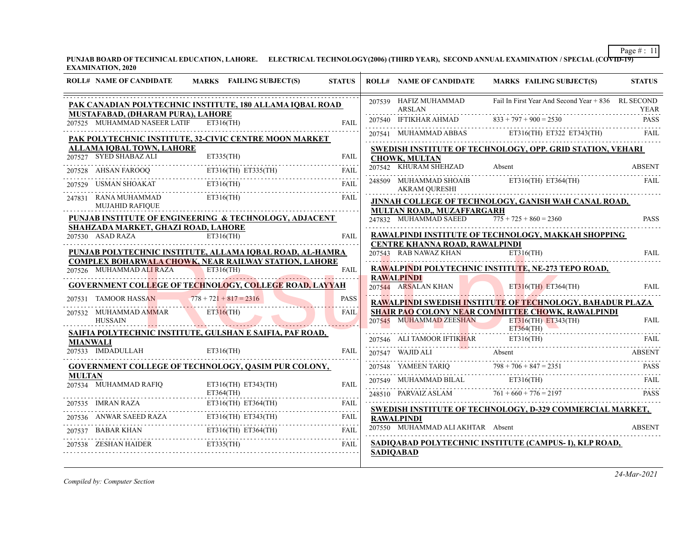**PUNJAB BOARD OF TECHNICAL EDUCATION, LAHORE. ELECTRICAL TECHNOLOGY(2006) (THIRD YEAR), SECOND ANNUAL EXAMINATION / SPECIAL (COVID-19) EXAMINATION, 2020**

|               | <b>ROLL# NAME OF CANDIDATE</b>                          | MARKS FAILING SUBJECT(S)                                                                                                                                                                                                                                                                                                                                                     | <b>STATUS</b> |                  | <b>ROLL# NAME OF CANDIDATE</b>                 | <b>MARKS FAILING SUBJECT(S)</b>                                                                                                                                                                                                                                                                                                                                                              | <b>STATUS</b> |
|---------------|---------------------------------------------------------|------------------------------------------------------------------------------------------------------------------------------------------------------------------------------------------------------------------------------------------------------------------------------------------------------------------------------------------------------------------------------|---------------|------------------|------------------------------------------------|----------------------------------------------------------------------------------------------------------------------------------------------------------------------------------------------------------------------------------------------------------------------------------------------------------------------------------------------------------------------------------------------|---------------|
|               | MUSTAFABAD, (DHARAM PURA), LAHORE                       | PAK CANADIAN POLYTECHNIC INSTITUTE, 180 ALLAMA IOBAL ROAD                                                                                                                                                                                                                                                                                                                    |               |                  | 207539 HAFIZ MUHAMMAD<br><b>ARSLAN</b>         | Fail In First Year And Second Year + 836 RL SECOND                                                                                                                                                                                                                                                                                                                                           | YEAR          |
|               | 207525 MUHAMMAD NASEER LATIF ET316(TH)                  |                                                                                                                                                                                                                                                                                                                                                                              | <b>FAIL</b>   |                  | 207540 IFTIKHAR AHMAD                          | $833 + 797 + 900 = 2530$                                                                                                                                                                                                                                                                                                                                                                     | <b>PASS</b>   |
|               |                                                         | PAK POLYTECHNIC INSTITUTE, 32-CIVIC CENTRE MOON MARKET                                                                                                                                                                                                                                                                                                                       |               |                  |                                                | $207541$ MUHAMMAD ABBAS ET316(TH) ET322 ET343(TH)                                                                                                                                                                                                                                                                                                                                            | FAIL          |
|               | <b>ALLAMA IQBAL TOWN, LAHORE</b>                        |                                                                                                                                                                                                                                                                                                                                                                              |               |                  |                                                | SWEDISH INSTITUTE OF TECHNOLOGY, OPP. GRID STATION, VEHARI                                                                                                                                                                                                                                                                                                                                   |               |
|               | 207527 SYED SHABAZ ALI                                  | ET335(TH)                                                                                                                                                                                                                                                                                                                                                                    | FAIL          |                  | <b>CHOWK, MULTAN</b>                           |                                                                                                                                                                                                                                                                                                                                                                                              |               |
|               |                                                         | 207528 AHSAN FAROOQ ET316(TH) ET335(TH) FAIL                                                                                                                                                                                                                                                                                                                                 |               |                  | 207542 KHURAM SHEHZAD                          | Absent                                                                                                                                                                                                                                                                                                                                                                                       | <b>ABSENT</b> |
|               |                                                         | 207529 USMAN SHOAKAT ET316(TH) FAIL FAIL                                                                                                                                                                                                                                                                                                                                     |               |                  | 248509 MUHAMMAD SHOAIB<br><b>AKRAM QURESHI</b> | ET316(TH) ET364(TH)                                                                                                                                                                                                                                                                                                                                                                          | <b>FAIL</b>   |
|               | 247831 RANA MUHAMMAD<br><b>MUJAHID RAFIQUE</b>          | ET316(TH)                                                                                                                                                                                                                                                                                                                                                                    | FAIL          |                  | <b>MULTAN ROAD,, MUZAFFARGARH</b>              | JINNAH COLLEGE OF TECHNOLOGY, GANISH WAH CANAL ROAD,                                                                                                                                                                                                                                                                                                                                         |               |
|               |                                                         | PUNJAB INSTITUTE OF ENGINEERING & TECHNOLOGY, ADJACENT                                                                                                                                                                                                                                                                                                                       |               |                  | 247832 MUHAMMAD SAEED                          | $775 + 725 + 860 = 2360$                                                                                                                                                                                                                                                                                                                                                                     | <b>PASS</b>   |
|               | SHAHZADA MARKET, GHAZI ROAD, LAHORE<br>207530 ASAD RAZA | $ET316$ (TH)                                                                                                                                                                                                                                                                                                                                                                 | FAIL          |                  | CENTRE KHANNA ROAD, RAWALPINDI                 | RAWALPINDI INSTITUTE OF TECHNOLOGY, MAKKAH SHOPPING                                                                                                                                                                                                                                                                                                                                          |               |
|               |                                                         | PUNJAB POLYTECHNIC INSTITUTE, ALLAMA IOBAL ROAD, AL-HAMRA                                                                                                                                                                                                                                                                                                                    |               |                  | 207543 RAB NAWAZ KHAN                          | ET316(TH)                                                                                                                                                                                                                                                                                                                                                                                    | <b>FAIL</b>   |
|               | 207526 MUHAMMAD ALI RAZA ET316(TH)                      | <b>COMPLEX BOHARWALA CHOWK, NEAR RAILWAY STATION, LAHORE</b>                                                                                                                                                                                                                                                                                                                 | <b>FAIL</b>   |                  |                                                | RAWALPINDI POLYTECHNIC INSTITUTE, NE-273 TEPO ROAD,                                                                                                                                                                                                                                                                                                                                          |               |
|               |                                                         |                                                                                                                                                                                                                                                                                                                                                                              |               |                  | <b>RAWALPINDI</b>                              |                                                                                                                                                                                                                                                                                                                                                                                              |               |
|               |                                                         | <b>GOVERNMENT COLLEGE OF TECHNOLOGY, COLLEGE ROAD, LAYYAH</b>                                                                                                                                                                                                                                                                                                                |               |                  | <b>KAWALPINDI</b><br>207544 ARSALAN KHAN       | $ET316(TH)$ $ET364(TH)$                                                                                                                                                                                                                                                                                                                                                                      | <b>FAIL</b>   |
|               | 207531 TAMOOR HASSAN                                    | $778 + 721 + 817 = 2316$                                                                                                                                                                                                                                                                                                                                                     | <b>PASS</b>   |                  |                                                | RAWALPINDI SWEDISH INSTITUTE OF TECHNOLOGY, BAHADUR PLAZA                                                                                                                                                                                                                                                                                                                                    |               |
|               | 207532 MUHAMMAD AMMAR<br>HUSSAIN                        | ET316(TH)                                                                                                                                                                                                                                                                                                                                                                    | <b>FAIL</b>   |                  | 207545 MUHAMMAD ZEESHAN ET316(TH) ET343(TH)    | SHAIR PAO COLONY NEAR COMMITTEE CHOWK, RAWALPINDI                                                                                                                                                                                                                                                                                                                                            | <b>FAIL</b>   |
|               |                                                         | SAIFIA POLYTECHNIC INSTITUTE, GULSHAN E SAIFIA, PAF ROAD,                                                                                                                                                                                                                                                                                                                    |               |                  |                                                | ET364(TH)                                                                                                                                                                                                                                                                                                                                                                                    |               |
|               | <b>MIANWALI</b><br>207533 IMDADULLAH                    | ET316(TH)                                                                                                                                                                                                                                                                                                                                                                    | <b>FAIL</b>   |                  | 207547 WAJID ALI                               | 207546 ALI TAMOOR IFTIKHAR ET316(TH) FAIL<br>Absent                                                                                                                                                                                                                                                                                                                                          | <b>ABSENT</b> |
|               |                                                         | <b>GOVERNMENT COLLEGE OF TECHNOLOGY, OASIM PUR COLONY,</b>                                                                                                                                                                                                                                                                                                                   |               |                  |                                                |                                                                                                                                                                                                                                                                                                                                                                                              |               |
| <b>MULTAN</b> | 207534 MUHAMMAD RAFIQ                                   | ET316(TH) ET343(TH)                                                                                                                                                                                                                                                                                                                                                          | <b>FAIL</b>   |                  |                                                | $\begin{tabular}{c c c c} \multicolumn{2}{c }{\textbf{207548}}&YAMEEN TARIQ & $\color{blue}{798+706+847=2351}$ & \textbf{PASS} \\ \multicolumn{2}{c }{\textbf{207549}}&MUHAAMMAD BILAL & \textbf{ET316(TH)} & \textbf{FAIL} \\ \multicolumn{2}{c }{\textbf{207549}}&MUHAMMAD BILAL & \textbf{ET316(TH)} \\ \multicolumn{2}{c }{\textbf{207549}}&YAMERANI & \textbf{207549} & \textbf{207549$ |               |
|               | ET364(TH)                                               |                                                                                                                                                                                                                                                                                                                                                                              |               |                  | 248510 PARVAIZ ASLAM $761 + 660 + 776 = 2197$  |                                                                                                                                                                                                                                                                                                                                                                                              | <b>PASS</b>   |
|               |                                                         |                                                                                                                                                                                                                                                                                                                                                                              |               |                  |                                                | <b>SWEDISH INSTITUTE OF TECHNOLOGY, D-329 COMMERCIAL MARKET,</b>                                                                                                                                                                                                                                                                                                                             |               |
|               |                                                         | $\begin{tabular}{lllllllll} \multicolumn{2}{l}{{\small 207535}} & \multicolumn{2}{l}{{\small IMRAN\ RAZA}} & \multicolumn{2}{l}{E7316(TH)} & E7364(TH) & & FAIL \\ & & & & & E7316(TH) & E7364(TH) & & & FAIL \\ & & & & & E7316(TH) & E7343(TH) & & & FAIL \\ & & & & & & & E7316(TH) & & & & E7344(TH) & & & & & \\ & & & & & & & & & & & & & & & \\ \hline \end{tabular}$ |               |                  | <b>RAWALPINDI</b>                              |                                                                                                                                                                                                                                                                                                                                                                                              |               |
| 207537        |                                                         | 7537 BABAR KHAN ET316(TH) ET364(TH) FAIL FAIL                                                                                                                                                                                                                                                                                                                                |               |                  | 207550 MUHAMMAD ALI AKHTAR Absent              |                                                                                                                                                                                                                                                                                                                                                                                              | ABSENT        |
|               |                                                         | 207538 ZESHAN HAIDER ET335(TH)                                                                                                                                                                                                                                                                                                                                               | <b>FAIL</b>   |                  |                                                | SADIQABAD POLYTECHNIC INSTITUTE (CAMPUS- I), KLP ROAD,                                                                                                                                                                                                                                                                                                                                       |               |
|               |                                                         |                                                                                                                                                                                                                                                                                                                                                                              |               | <b>SADIQABAD</b> |                                                |                                                                                                                                                                                                                                                                                                                                                                                              |               |

*Compiled by: Computer Section*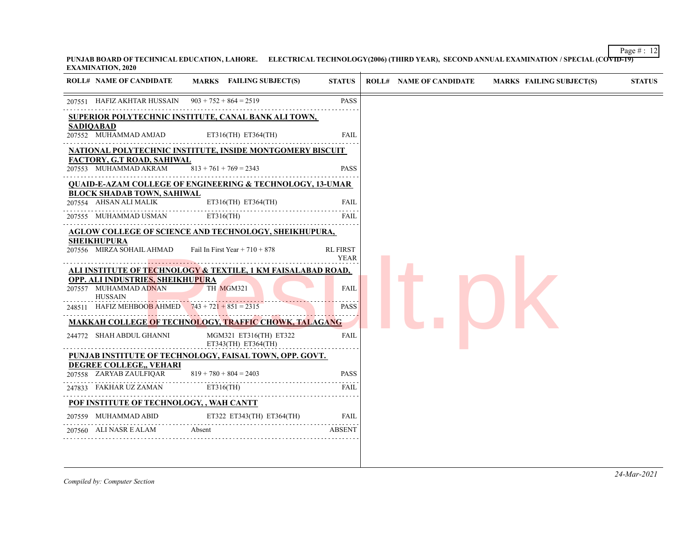Page  $\# : 12$ **PUNJAB BOARD OF TECHNICAL EDUCATION, LAHORE. ELECTRICAL TECHNOLOGY(2006) (THIRD YEAR), SECOND ANNUAL EXAMINATION / SPECIAL (COVID-19) EXAMINATION, 2020**

| MARKS FAILING SUBJECT(S)<br><b>ROLL# NAME OF CANDIDATE</b>                                                                                               | <b>STATUS</b>                  | <b>MARKS FAILING SUBJECT(S)</b><br><b>STATUS</b><br><b>ROLL# NAME OF CANDIDATE</b> |
|----------------------------------------------------------------------------------------------------------------------------------------------------------|--------------------------------|------------------------------------------------------------------------------------|
| 207551 HAFIZ AKHTAR HUSSAIN $903 + 752 + 864 = 2519$                                                                                                     | <b>PASS</b>                    |                                                                                    |
| SUPERIOR POLYTECHNIC INSTITUTE, CANAL BANK ALI TOWN,                                                                                                     |                                |                                                                                    |
| <b>SADIQABAD</b><br>207552 MUHAMMAD AMJAD<br>ET316(TH) ET364(TH)                                                                                         | <b>FAIL</b>                    |                                                                                    |
| NATIONAL POLYTECHNIC INSTITUTE, INSIDE MONTGOMERY BISCUIT                                                                                                |                                |                                                                                    |
| FACTORY, G.T ROAD, SAHIWAL<br>207553 MUHAMMAD AKRAM<br>$813 + 761 + 769 = 2343$                                                                          | <b>PASS</b>                    |                                                                                    |
| <b>QUAID-E-AZAM COLLEGE OF ENGINEERING &amp; TECHNOLOGY, 13-UMAR</b>                                                                                     |                                |                                                                                    |
| <b>BLOCK SHADAB TOWN, SAHIWAL</b><br>207554 AHSAN ALI MALIK<br>ET316(TH) ET364(TH)                                                                       | <b>FAIL</b>                    |                                                                                    |
| $ET316$ (TH)<br>207555 MUHAMMAD USMAN                                                                                                                    | FAIL                           |                                                                                    |
| <b>AGLOW COLLEGE OF SCIENCE AND TECHNOLOGY, SHEIKHUPURA,</b>                                                                                             |                                |                                                                                    |
| <b>SHEIKHUPURA</b><br>Fail In First Year + $710 + 878$<br>207556 MIRZA SOHAIL AHMAD                                                                      | <b>RL FIRST</b><br><b>YEAR</b> |                                                                                    |
| ALI INSTITUTE OF TECHNOLOGY & TEXTILE, 1 KM FAISALABAD ROAD,<br>OPP. ALI INDUSTRIES, SHEIKHUPURA<br>207557 MUHAMMAD ADNAN<br>TH MGM321<br><b>HUSSAIN</b> | <b>FAIL</b>                    |                                                                                    |
| 248511 HAFIZ MEHBOOB AHMED $743 + 721 + 851 = 2315$                                                                                                      | <b>PASS</b>                    |                                                                                    |
| <b>MAKKAH COLLEGE OF TECHNOLOGY, TRAFFIC CHOWK, TALAGANG</b>                                                                                             |                                |                                                                                    |
| 244772 SHAH ABDUL GHANNI<br>MGM321 ET316(TH) ET322<br>ET343(TH) ET364(TH)                                                                                | FAIL                           |                                                                                    |
| PUNJAB INSTITUTE OF TECHNOLOGY, FAISAL TOWN, OPP. GOVT.                                                                                                  |                                |                                                                                    |
| DEGREE COLLEGE,, VEHARI<br>207558 ZARYAB ZAULFIQAR<br>$819 + 780 + 804 = 2403$                                                                           | <b>PASS</b>                    |                                                                                    |
| $ET316$ (TH)<br>247833 FAKHAR UZ ZAMAN                                                                                                                   | FAIL                           |                                                                                    |
| POF INSTITUTE OF TECHNOLOGY, , WAH CANTT                                                                                                                 |                                |                                                                                    |
|                                                                                                                                                          | FAIL                           |                                                                                    |
| 207559 MUHAMMAD ABID ET322 ET343(TH) ET364(TH)                                                                                                           |                                |                                                                                    |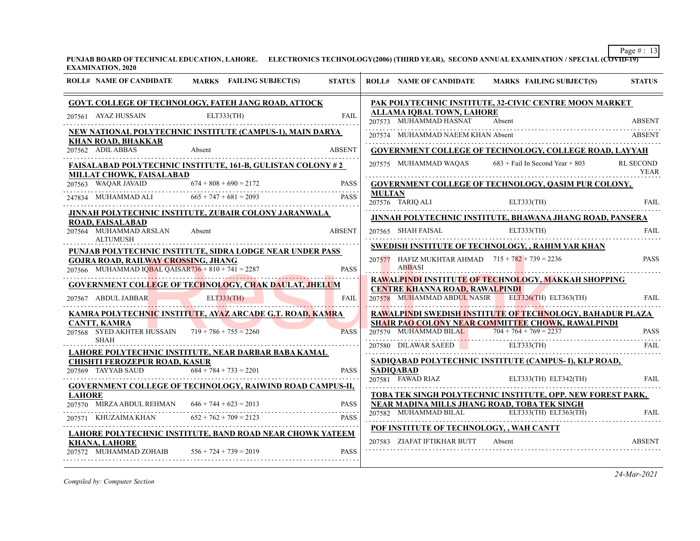**PUNJAB BOARD OF TECHNICAL EDUCATION, LAHORE. ELECTRONICS TECHNOLOGY(2006) (THIRD YEAR), SECOND ANNUAL EXAMINATION / SPECIAL (COVID-19) EXAMINATION, 2020**

| <b>ROLL# NAME OF CANDIDATE</b>                                                                   | MARKS FAILING SUBJECT(S)                                           | <b>STATUS</b> |               |                                                               | ROLL# NAME OF CANDIDATE MARKS FAILING SUBJECT(S)                                                                                                    | <b>STATUS</b>    |
|--------------------------------------------------------------------------------------------------|--------------------------------------------------------------------|---------------|---------------|---------------------------------------------------------------|-----------------------------------------------------------------------------------------------------------------------------------------------------|------------------|
|                                                                                                  | <b>GOVT. COLLEGE OF TECHNOLOGY, FATEH JANG ROAD, ATTOCK</b>        |               |               |                                                               | PAK POLYTECHNIC INSTITUTE, 32-CIVIC CENTRE MOON MARKET                                                                                              |                  |
| 207561 AYAZ HUSSAIN                                                                              | ELT333(TH)                                                         | <b>FAIL</b>   |               | ALLAMA IQBAL TOWN, LAHORE<br>207573 MUHAMMAD HASNAT           | Absent                                                                                                                                              | <b>ABSENT</b>    |
|                                                                                                  | <u>NEW NATIONAL POLYTECHNIC INSTITUTE (CAMPUS-1), MAIN DARYA</u>   |               |               | 207574 MUHAMMAD NAEEM KHAN Absent                             |                                                                                                                                                     | ABSENT           |
| <b>KHAN ROAD, BHAKKAR</b><br>207562 ADIL ABBAS                                                   | Absent                                                             | <b>ABSENT</b> |               |                                                               | <b>GOVERNMENT COLLEGE OF TECHNOLOGY, COLLEGE ROAD, LAYYAH</b>                                                                                       |                  |
|                                                                                                  | <b>FAISALABAD POLYTECHNIC INSTITUTE, 161-B, GULISTAN COLONY #2</b> |               |               | 207575 MUHAMMAD WAQAS                                         | $683 +$ Fail In Second Year + 803                                                                                                                   | <b>RL SECOND</b> |
| MILLAT CHOWK, FAISALABAD                                                                         |                                                                    |               |               |                                                               |                                                                                                                                                     | YEAR             |
| 207563 WAQAR JAVAID                                                                              | $674 + 808 + 690 = 2172$                                           | <b>PASS</b>   | <b>MULTAN</b> |                                                               | <b>GOVERNMENT COLLEGE OF TECHNOLOGY, QASIM PUR COLONY,</b>                                                                                          |                  |
| 247834 MUHAMMAD ALI $665 + 747 + 681 = 2093$                                                     |                                                                    | <b>PASS</b>   |               | 207576 TARIQ ALI                                              | ELT333(TH)                                                                                                                                          | FAIL             |
|                                                                                                  | <b>JINNAH POLYTECHNIC INSTITUTE, ZUBAIR COLONY JARANWALA</b>       |               |               |                                                               | JINNAH POLYTECHNIC INSTITUTE, BHAWANA JHANG ROAD, PANSERA                                                                                           |                  |
| ROAD, FAISALABAD<br>207564 MUHAMMAD ARSLAN<br><b>ALTUMUSH</b>                                    | Absent                                                             | <b>ABSENT</b> |               | 207565 SHAH FAISAL                                            | ELT333(TH)                                                                                                                                          | FAIL             |
|                                                                                                  | PUNJAB POLYTECHNIC INSTITUTE, SIDRA LODGE NEAR UNDER PASS          |               |               | <b>SWEDISH INSTITUTE OF TECHNOLOGY, , RAHIM YAR KHAN</b>      |                                                                                                                                                     |                  |
| <b>GOJRA ROAD, RAILWAY CROSSING, JHANG</b><br>207566 MUHAMMAD IQBAL QAISAR736 + 810 + 741 = 2287 |                                                                    | <b>PASS</b>   |               | 207577 HAFIZ MUKHTAR AHMAD $715 + 782 + 739 = 2236$<br>ABBASI |                                                                                                                                                     | <b>PASS</b>      |
|                                                                                                  | GOVERNMENT COLLEGE OF TECHNOLOGY, CHAK DAULAT, JHELUM              |               |               |                                                               | RAWALPINDI INSTITUTE OF TECHNOLOGY, MAKKAH SHOPPING                                                                                                 |                  |
| 207567 ABDUL JABBAR                                                                              | ELT333(TH)                                                         | FAIL          |               | <b>CENTRE KHANNA ROAD, RAWALPINDI</b>                         | 207578 MUHAMMAD ABDUL NASIR ELT326(TH) ELT363(TH)                                                                                                   | <b>FAIL</b>      |
|                                                                                                  | <u>KAMRA POLYTECHNIC INSTITUTE, AYAZ ARCADE G.T. ROAD, KAMRA</u>   |               |               |                                                               | RAWALPINDI SWEDISH INSTITUTE OF TECHNOLOGY, BAHADUR PLAZA                                                                                           |                  |
| <b>CANTT, KAMRA</b>                                                                              |                                                                    |               |               |                                                               | SHAIR PAO COLONY NEAR COMMITTEE CHOWK, RAWALPINDI                                                                                                   |                  |
| 207568 SYED AKHTER HUSSAIN $719 + 786 + 755 = 2260$                                              |                                                                    | <b>PASS</b>   |               | 207579 MUHAMMAD BILAL $704 + 764 + 769 = 2237$                |                                                                                                                                                     | <b>PASS</b>      |
| SHAH                                                                                             |                                                                    |               |               |                                                               | 207580 DILAWAR SAEED ELT333(TH)                                                                                                                     | FAIL             |
| <b>CHISHTI FEROZEPUR ROAD, KASUR</b>                                                             | LAHORE POLYTECHNIC INSTITUTE, NEAR DARBAR BABA KAMAL               |               |               |                                                               | SADIQABAD POLYTECHNIC INSTITUTE (CAMPUS-I), KLP ROAD,                                                                                               |                  |
| 207569 TAYYAB SAUD $684 + 784 + 733 = 2201$                                                      |                                                                    | <b>PASS</b>   |               | <b>SADIOABAD</b>                                              |                                                                                                                                                     |                  |
|                                                                                                  | <b>GOVERNMENT COLLEGE OF TECHNOLOGY, RAIWIND ROAD CAMPUS-II,</b>   |               |               | 207581 FAWAD RIAZ                                             | ELT333(TH) ELT342(TH)                                                                                                                               | FAIL             |
| <b>LAHORE</b>                                                                                    |                                                                    |               |               |                                                               | TOBA TEK SINGH POLYTECHNIC INSTITUTE, OPP. NEW FOREST PARK,                                                                                         |                  |
| 207570 MIRZA ABDUL REHMAN $646 + 744 + 623 = 2013$                                               |                                                                    | <b>PASS</b>   |               |                                                               | <b>NEAR MADINA MILLS JHANG ROAD, TOBA TEK SINGH</b><br>$207582 \quad \text{MUHAMMAD BILAL} \qquad \qquad \text{ELT333(TH)} \quad \text{ELT363(TH)}$ | <b>FAIL</b>      |
| 207571 KHUZAIMA KHAN $652 + 762 + 709 = 2123$                                                    |                                                                    | <b>PASS</b>   |               |                                                               |                                                                                                                                                     |                  |
|                                                                                                  | LAHORE POLYTECHNIC INSTITUTE, BAND ROAD NEAR CHOWK YATEEM          |               |               | POF INSTITUTE OF TECHNOLOGY, , WAH CANTT                      |                                                                                                                                                     |                  |
| <b>KHANA, LAHORE</b><br>207572 MUHAMMAD ZOHAIB                                                   | $556 + 724 + 739 = 2019$                                           | <b>PASS</b>   |               | 207583 ZIAFAT IFTIKHAR BUTT                                   | Absent                                                                                                                                              | <b>ABSENT</b>    |
|                                                                                                  |                                                                    |               |               |                                                               |                                                                                                                                                     |                  |

*Compiled by: Computer Section*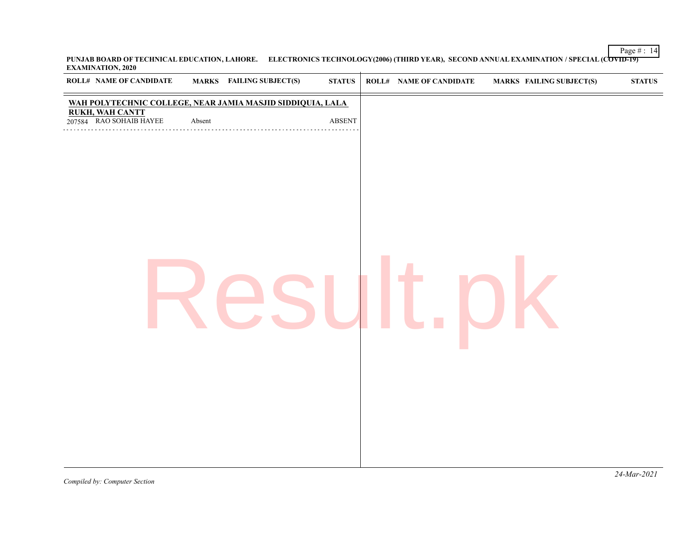Page  $\# : 14$ **PUNJAB BOARD OF TECHNICAL EDUCATION, LAHORE. ELECTRONICS TECHNOLOGY(2006) (THIRD YEAR), SECOND ANNUAL EXAMINATION / SPECIAL (COVID-19) EXAMINATION, 2020**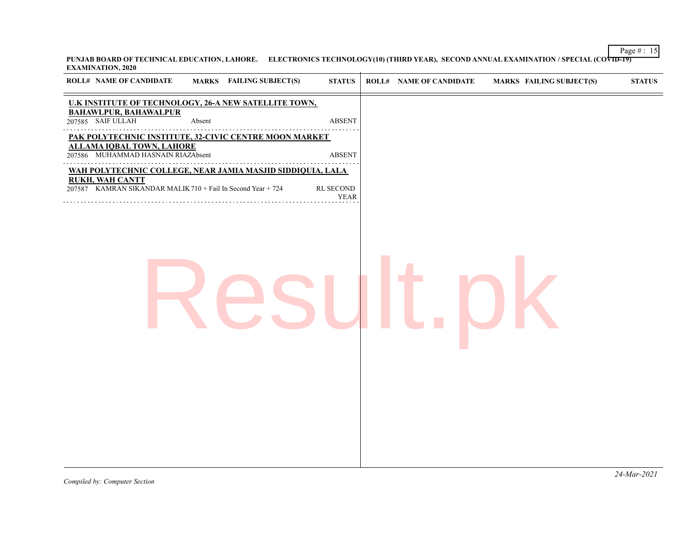Page  $\# : 15$ **PUNJAB BOARD OF TECHNICAL EDUCATION, LAHORE. ELECTRONICS TECHNOLOGY(10) (THIRD YEAR), SECOND ANNUAL EXAMINATION / SPECIAL (COVID-19) EXAMINATION, 2020**  $\overline{+}$ 

| <b>ROLL# NAME OF CANDIDATE</b><br>MARKS FAILING SUBJECT(S)<br><b>STATUS</b>                                                                                               | <b>STATUS</b><br><b>ROLL# NAME OF CANDIDATE</b><br><b>MARKS FAILING SUBJECT(S)</b> |
|---------------------------------------------------------------------------------------------------------------------------------------------------------------------------|------------------------------------------------------------------------------------|
| U.K INSTITUTE OF TECHNOLOGY, 26-A NEW SATELLITE TOWN,<br><b>BAHAWLPUR, BAHAWALPUR</b><br>207585 SAIF ULLAH<br>ABSENT<br>Absent                                            |                                                                                    |
| PAK POLYTECHNIC INSTITUTE, 32-CIVIC CENTRE MOON MARKET<br><b>ALLAMA IQBAL TOWN, LAHORE</b>                                                                                |                                                                                    |
| 207586 MUHAMMAD HASNAIN RIAZAbsent<br><b>ABSENT</b>                                                                                                                       |                                                                                    |
| WAH POLYTECHNIC COLLEGE, NEAR JAMIA MASJID SIDDIQUIA, LALA<br><b>RUKH, WAH CANTT</b><br>207587 KAMRAN SIKANDAR MALIK 710 + Fail In Second Year + 724<br>RL SECOND<br>YEAR |                                                                                    |
|                                                                                                                                                                           |                                                                                    |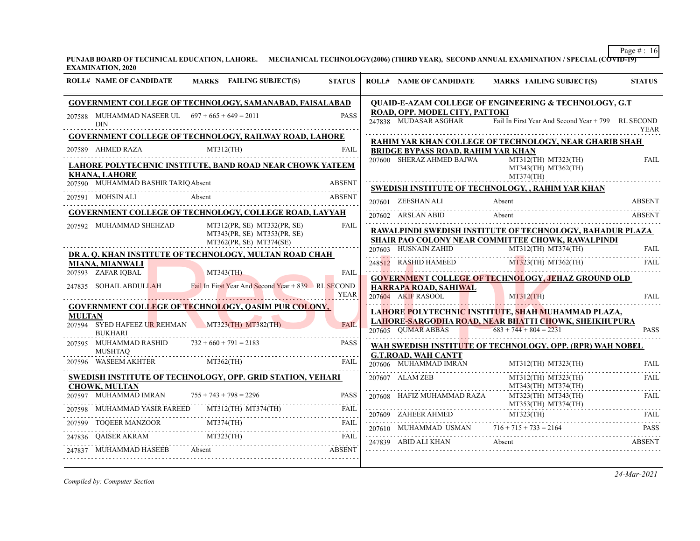**PUNJAB BOARD OF TECHNICAL EDUCATION, LAHORE. MECHANICAL TECHNOLOGY(2006) (THIRD YEAR), SECOND ANNUAL EXAMINATION / SPECIAL (COVID-19) EXAMINATION, 2020**

|               | <b>ROLL# NAME OF CANDIDATE</b>                                    | MARKS FAILING SUBJECT(S)                                                                                                                                                                                                       | <b>STATUS</b> | <b>ROLL# NAME OF CANDIDATE</b>                          | <b>MARKS FAILING SUBJECT(S)</b>                                                                                                                                                                                                                                                                                                                                                   | <b>STATUS</b> |
|---------------|-------------------------------------------------------------------|--------------------------------------------------------------------------------------------------------------------------------------------------------------------------------------------------------------------------------|---------------|---------------------------------------------------------|-----------------------------------------------------------------------------------------------------------------------------------------------------------------------------------------------------------------------------------------------------------------------------------------------------------------------------------------------------------------------------------|---------------|
|               |                                                                   | <b>GOVERNMENT COLLEGE OF TECHNOLOGY, SAMANABAD, FAISALABAD</b>                                                                                                                                                                 |               |                                                         | QUAID-E-AZAM COLLEGE OF ENGINEERING & TECHNOLOGY, G.T                                                                                                                                                                                                                                                                                                                             |               |
|               | 207588 MUHAMMAD NASEER UL $697 + 665 + 649 = 2011$<br><b>DIN</b>  |                                                                                                                                                                                                                                | <b>PASS</b>   | ROAD, OPP. MODEL CITY, PATTOKI<br>247838 MUDASAR ASGHAR | Fail In First Year And Second Year + 799 RL SECOND                                                                                                                                                                                                                                                                                                                                | <b>YEAR</b>   |
|               |                                                                   | <b>GOVERNMENT COLLEGE OF TECHNOLOGY, RAILWAY ROAD, LAHORE</b>                                                                                                                                                                  |               |                                                         |                                                                                                                                                                                                                                                                                                                                                                                   |               |
|               |                                                                   | 207589 AHMED RAZA MT312(TH)                                                                                                                                                                                                    | FAIL          | <b>BRIDGE BYPASS ROAD, RAHIM YAR KHAN</b>               | RAHIM YAR KHAN COLLEGE OF TECHNOLOGY, NEAR GHARIB SHAH                                                                                                                                                                                                                                                                                                                            |               |
|               | <b>KHANA, LAHORE</b>                                              | <u>LAHORE POLYTECHNIC INSTITUTE, BAND ROAD NEAR CHOWK YATEEM</u>                                                                                                                                                               |               |                                                         | $207600 \quad \text{SHERAZ AHMED BAJWA} \qquad \qquad \text{MT312(TH)} \text{ MT323(TH)}$<br>MT343(TH) MT362(TH)<br>MT374(TH)                                                                                                                                                                                                                                                     | <b>FAIL</b>   |
|               | 207590 MUHAMMAD BASHIR TARIQ Absent                               |                                                                                                                                                                                                                                |               |                                                         | SWEDISH INSTITUTE OF TECHNOLOGY, , RAHIM YAR KHAN                                                                                                                                                                                                                                                                                                                                 |               |
|               |                                                                   | ABSENT<br>207591 MOHSIN ALI Absent and Absent archives a series archives and a series archives and a series archives and a                                                                                                     |               | 207601 ZEESHAN ALI                                      | Absent<br>07601 ZEESHAN ALI Absent Absent ABSENT                                                                                                                                                                                                                                                                                                                                  | <b>ABSENT</b> |
|               |                                                                   | GOVERNMENT COLLEGE OF TECHNOLOGY, COLLEGE ROAD, LAYYAH                                                                                                                                                                         |               | 207602 ARSLAN ABID Absent                               |                                                                                                                                                                                                                                                                                                                                                                                   | ABSENT        |
|               | 207592 MUHAMMAD SHEHZAD                                           | MT312(PR, SE) MT332(PR, SE)<br>MT343(PR, SE) MT353(PR, SE)<br>MT362(PR, SE) MT374(SE)                                                                                                                                          | <b>FAIL</b>   |                                                         | RAWALPINDI SWEDISH INSTITUTE OF TECHNOLOGY, BAHADUR PLAZA<br>SHAIR PAO COLONY NEAR COMMITTEE CHOWK, RAWALPINDI                                                                                                                                                                                                                                                                    |               |
|               |                                                                   | DR A. O. KHAN INSTITUTE OF TECHNOLOGY, MULTAN ROAD CHAH                                                                                                                                                                        |               |                                                         | 207603 HUSNAIN ZAHID MT312(TH) MT374(TH) FAIL                                                                                                                                                                                                                                                                                                                                     |               |
|               | <b>MIANA, MIANWALI</b>                                            |                                                                                                                                                                                                                                |               |                                                         | 248512 RASHID HAMEED $M_{1323}^{12}$ (TH) $M_{1362}^{12}$ (TH)                                                                                                                                                                                                                                                                                                                    | FAIL          |
|               | 207593 ZAFAR IQBAL                                                | MT343(TH)                                                                                                                                                                                                                      | <b>FAIL</b>   |                                                         | <b>GOVERNMENT COLLEGE OF TECHNOLOGY, JEHAZ GROUND OLD</b>                                                                                                                                                                                                                                                                                                                         |               |
|               |                                                                   | 247835 SOHAIL ABDULLAH Fail In First Year And Second Year + 839 RL SECOND                                                                                                                                                      | <b>YEAR</b>   | HARRAPA ROAD, SAHIWAL<br>207604 AKIF RASOOL             | 207604 AKIE RASOOL, SAHIWAL MT312(TH)                                                                                                                                                                                                                                                                                                                                             | <b>FAIL</b>   |
|               |                                                                   | <b>GOVERNMENT COLLEGE OF TECHNOLOGY, QASIM PUR COLONY,</b>                                                                                                                                                                     |               |                                                         | LAHORE POLYTECHNIC INSTITUTE, SHAH MUHAMMAD PLAZA,                                                                                                                                                                                                                                                                                                                                |               |
| <b>MULTAN</b> | <b>BUKHARI</b>                                                    | 207594 SYED HAFEEZ UR REHMAN MT323(TH) MT382(TH)                                                                                                                                                                               | <b>FAIL</b>   |                                                         | LAHORE-SARGODHA ROAD, NEAR BHATTI CHOWK, SHEIKHUPURA<br>207605 QUMAR ABBAS 683 + 744 + 804 = 2231                                                                                                                                                                                                                                                                                 | <b>PASS</b>   |
|               | 207595 MUHAMMAD RASHID $732 + 660 + 791 = 2183$<br><b>MUSHTAQ</b> |                                                                                                                                                                                                                                | <b>PASS</b>   | <b>G.T.ROAD, WAH CANTT</b>                              | WAH SWEDISH INSTITUTE OF TECHNOLOGY, OPP. (RPR) WAH NOBEL                                                                                                                                                                                                                                                                                                                         |               |
|               |                                                                   | 207596 WASEEM AKHTER MT362(TH)                                                                                                                                                                                                 | FAIL          | 207606 MUHAMMAD IMRAN                                   |                                                                                                                                                                                                                                                                                                                                                                                   |               |
|               | <b>CHOWK, MULTAN</b>                                              | SWEDISH INSTITUTE OF TECHNOLOGY, OPP. GRID STATION, VEHARI                                                                                                                                                                     |               | 207607 ALAM ZEB                                         | MT312(TH) MT323(TH)                                                                                                                                                                                                                                                                                                                                                               | FAIL          |
|               |                                                                   | MUHAMMAD IMRAN $755 + 743 + 798 = 2296$ PASS                                                                                                                                                                                   | PASS          |                                                         | $\begin{tabular}{c c c c} \hline \text{MT343(TH)} & \text{MT343(TH)} & \text{MT374(TH)} \\ \hline 207608 & HAFIZ MUHAMMAD RAZA & \text{MT323(TH)} & \text{MT343(TH)} & \text{FAIL} \\ \hline \end{tabular} \begin{tabular}{c c c c} \hline \text{MT343(TH)} & \text{MT343(TH)} & \text{FAIL} \\ \hline \text{MT353(TH)} & \text{MT374(TH)} & \text{FAIL} \\ \hline \end{tabular}$ |               |
|               |                                                                   | ${\bf 207598} \quad {\bf MUHAMMAD YASIR FAREED} \qquad {\bf MT312} (TH) \quad {\bf MT374} (TH) \qquad {\bf FAIL} \qquad \qquad {\bf 111} \qquad {\bf 222}$                                                                     | <b>FAIL</b>   |                                                         |                                                                                                                                                                                                                                                                                                                                                                                   |               |
|               |                                                                   | $\begin{tabular}{ll} \hline 7599 & TOQEER MANZOOR & \multicolumn{2}{c}{MT374(TH)} & \multicolumn{2}{c}{FAIL} \\ \hline 7836 & QAISER AKRAM & \multicolumn{2}{c}{MT323(TH)} & \multicolumn{2}{c}{FAIL} \\ \hline \end{tabular}$ |               | 207610 MUHAMMAD USMAN $716 + 715 + 733 = 2164$          |                                                                                                                                                                                                                                                                                                                                                                                   |               |
|               |                                                                   |                                                                                                                                                                                                                                |               | 247839 ABID ALI KHAN Absent                             | 207610 MUHAMMAD USMAN $716 + 715 + 733 = 2164$ PASS                                                                                                                                                                                                                                                                                                                               |               |
| 247837        |                                                                   | 337 MUHAMMAD HASEEB Absent ABSENT                                                                                                                                                                                              |               |                                                         |                                                                                                                                                                                                                                                                                                                                                                                   |               |
|               |                                                                   |                                                                                                                                                                                                                                |               |                                                         |                                                                                                                                                                                                                                                                                                                                                                                   |               |

*Compiled by: Computer Section*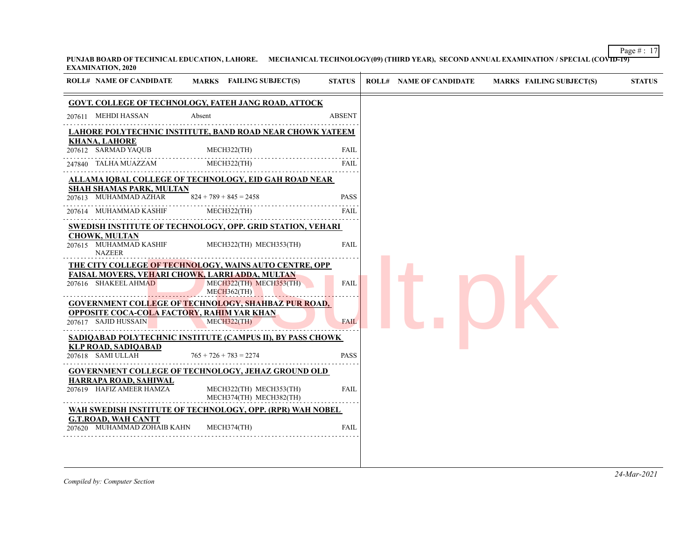Page  $\# : 17$ **PUNJAB BOARD OF TECHNICAL EDUCATION, LAHORE. MECHANICAL TECHNOLOGY(09) (THIRD YEAR), SECOND ANNUAL EXAMINATION / SPECIAL (COVID-19) EXAMINATION, 2020**

| <b>ROLL# NAME OF CANDIDATE</b>                                     |                                                                                                     |               |                                |                                 |               |
|--------------------------------------------------------------------|-----------------------------------------------------------------------------------------------------|---------------|--------------------------------|---------------------------------|---------------|
|                                                                    | MARKS FAILING SUBJECT(S)                                                                            | <b>STATUS</b> | <b>ROLL# NAME OF CANDIDATE</b> | <b>MARKS FAILING SUBJECT(S)</b> | <b>STATUS</b> |
|                                                                    | <b>GOVT. COLLEGE OF TECHNOLOGY, FATEH JANG ROAD, ATTOCK</b>                                         |               |                                |                                 |               |
| 207611 MEHDI HASSAN                                                | Absent                                                                                              | <b>ABSENT</b> |                                |                                 |               |
|                                                                    | <u>LAHORE POLYTECHNIC INSTITUTE, BAND ROAD NEAR CHOWK YATEEM</u>                                    |               |                                |                                 |               |
| <b>KHANA, LAHORE</b><br>207612 SARMAD YAQUB                        | MECH322(TH)                                                                                         | FAIL          |                                |                                 |               |
| 247840 TALHA MUAZZAM                                               | MECH322(TH)                                                                                         | <b>FAIL</b>   |                                |                                 |               |
|                                                                    | ALLAMA IQBAL COLLEGE OF TECHNOLOGY, EID GAH ROAD NEAR                                               |               |                                |                                 |               |
| <b>SHAH SHAMAS PARK, MULTAN</b><br>207613 MUHAMMAD AZHAR           | $824 + 789 + 845 = 2458$                                                                            | <b>PASS</b>   |                                |                                 |               |
| 207614 MUHAMMAD KASHIF                                             | MECH322(TH)                                                                                         | FAIL          |                                |                                 |               |
|                                                                    | SWEDISH INSTITUTE OF TECHNOLOGY, OPP. GRID STATION, VEHARI                                          |               |                                |                                 |               |
| <b>CHOWK, MULTAN</b><br>207615 MUHAMMAD KASHIF<br><b>NAZEER</b>    | MECH322(TH) MECH353(TH)                                                                             | <b>FAIL</b>   |                                |                                 |               |
|                                                                    | THE CITY COLLEGE OF TECHNOLOGY, WAINS AUTO CENTRE, OPP                                              |               |                                |                                 |               |
| 207616 SHAKEEL AHMAD                                               | <b>FAISAL MOVERS, VEHARI CHOWK, LARRI ADDA, MULTAN</b><br>MECH322(TH) MECH353(TH)<br>$MECH362$ (TH) | <b>FAIL</b>   |                                |                                 |               |
|                                                                    | <b>GOVERNMENT COLLEGE OF TECHNOLOGY, SHAHBAZ PUR ROAD,</b>                                          |               |                                |                                 |               |
| OPPOSITE COCA-COLA FACTORY, RAHIM YAR KHAN<br>207617 SAJID HUSSAIN | MECH322(TH)                                                                                         | <b>FAIL</b>   |                                |                                 |               |
|                                                                    | SADIQABAD POLYTECHNIC INSTITUTE (CAMPUS II), BY PASS CHOWK                                          |               |                                |                                 |               |
| <b>KLP ROAD, SADIQABAD</b><br>207618 SAMI ULLAH                    | $765 + 726 + 783 = 2274$                                                                            | <b>PASS</b>   |                                |                                 |               |
|                                                                    | <b>GOVERNMENT COLLEGE OF TECHNOLOGY, JEHAZ GROUND OLD</b>                                           |               |                                |                                 |               |
| <b>HARRAPA ROAD, SAHIWAL</b>                                       |                                                                                                     |               |                                |                                 |               |
| 207619 HAFIZ AMEER HAMZA                                           | MECH322(TH) MECH353(TH)<br>MECH374(TH) MECH382(TH)                                                  | <b>FAIL</b>   |                                |                                 |               |
|                                                                    | WAH SWEDISH INSTITUTE OF TECHNOLOGY, OPP. (RPR) WAH NOBEL                                           |               |                                |                                 |               |
| <b>G.T.ROAD, WAH CANTT</b><br>207620 MUHAMMAD ZOHAIB KAHN          | MECH374(TH)                                                                                         | <b>FAIL</b>   |                                |                                 |               |

*Compiled by: Computer Section*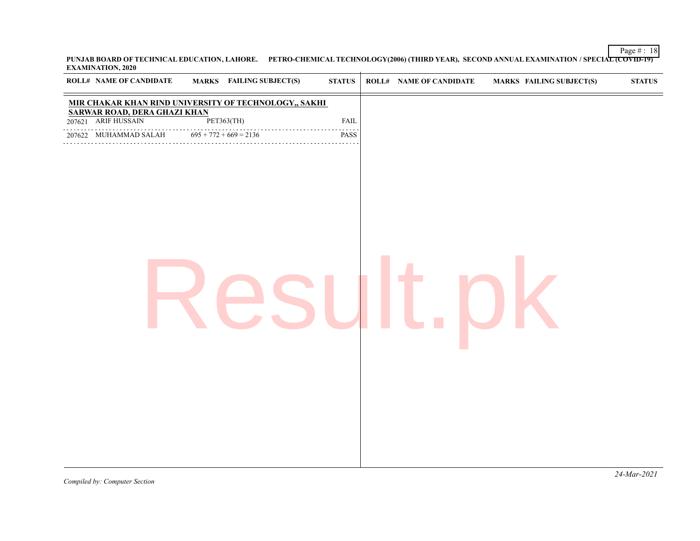Page  $\#$  : 18 **PUNJAB BOARD OF TECHNICAL EDUCATION, LAHORE. PETRO-CHEMICAL TECHNOLOGY(2006) (THIRD YEAR), SECOND ANNUAL EXAMINATION / SPECIAL (COVID-19) EXAMINATION, 2020**

| <b>ROLL# NAME OF CANDIDATE</b> |   | MARKS FAILING SUBJECT(S)                                                           | $\boldsymbol{\text{STATUS}}$ | <b>ROLL# NAME OF CANDIDATE</b> | <b>MARKS FAILING SUBJECT(S)</b> | ${\bf STATUS}$ |
|--------------------------------|---|------------------------------------------------------------------------------------|------------------------------|--------------------------------|---------------------------------|----------------|
|                                |   | MIR CHAKAR KHAN RIND UNIVERSITY OF TECHNOLOGY,, SAKHI SARWAR ROAD, DERA GHAZI KHAN |                              |                                |                                 |                |
| 207621 ARIF HUSSAIN            |   | PET363(TH)                                                                         | ${\rm FAIL}$                 |                                |                                 |                |
| 207622 MUHAMMAD SALAH          | . | $695 + 772 + 669 = 2136$                                                           | PASS                         |                                |                                 |                |
|                                |   |                                                                                    |                              |                                |                                 |                |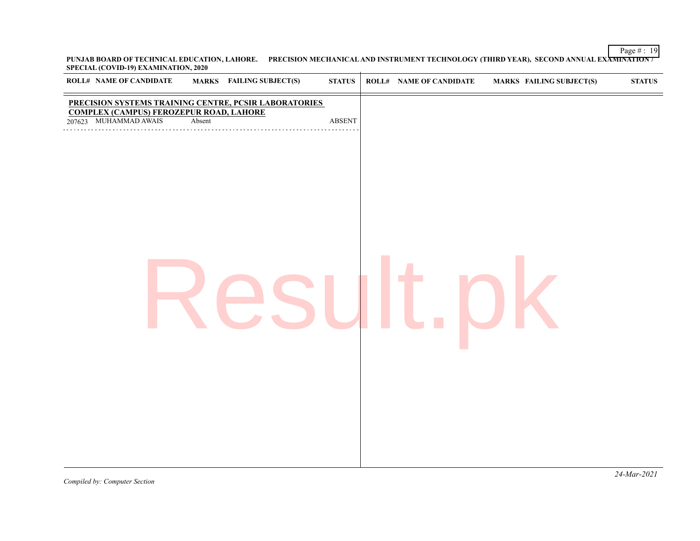Page  $\#$  : 19 **PUNJAB BOARD OF TECHNICAL EDUCATION, LAHORE. PRECISION MECHANICAL AND INSTRUMENT TECHNOLOGY (THIRD YEAR), SECOND ANNUAL EXAMINATION / SPECIAL (COVID-19) EXAMINATION, 2020**

| <b>ROLL# NAME OF CANDIDATE</b>                                                                                                   |        | <b>MARKS</b> FAILING SUBJECT(S) | ${\bf STATUS}$ | <b>ROLL# NAME OF CANDIDATE</b> | <b>MARKS FAILING SUBJECT(S)</b> | ${\bf STATUS}$ |
|----------------------------------------------------------------------------------------------------------------------------------|--------|---------------------------------|----------------|--------------------------------|---------------------------------|----------------|
| PRECISION SYSTEMS TRAINING CENTRE, PCSIR LABORATORIES<br><b>COMPLEX (CAMPUS) FEROZEPUR ROAD, LAHORE</b><br>207623 MUHAMMAD AWAIS | Absent |                                 | <b>ABSENT</b>  |                                |                                 |                |
|                                                                                                                                  |        |                                 |                |                                |                                 |                |
|                                                                                                                                  |        |                                 |                |                                |                                 |                |
|                                                                                                                                  |        |                                 |                |                                |                                 |                |
|                                                                                                                                  |        |                                 |                |                                |                                 |                |
|                                                                                                                                  |        |                                 |                |                                |                                 |                |
|                                                                                                                                  |        |                                 |                |                                |                                 |                |
|                                                                                                                                  |        |                                 |                |                                |                                 |                |
|                                                                                                                                  |        |                                 |                |                                |                                 |                |
|                                                                                                                                  |        |                                 |                |                                |                                 |                |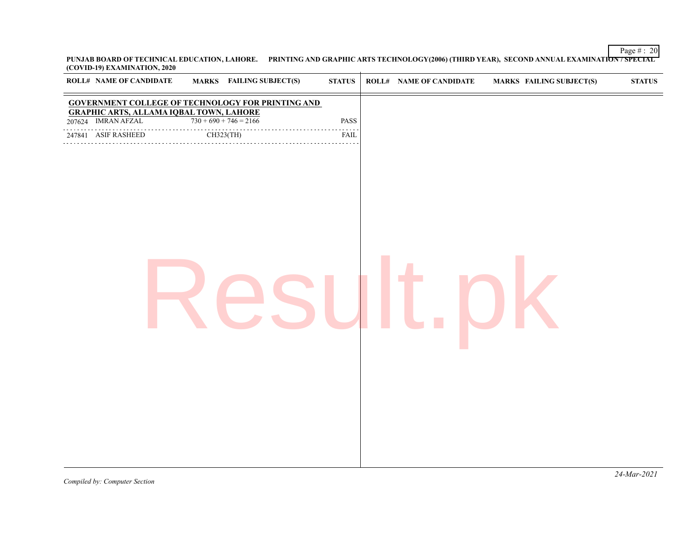Page  $\#$  : 20 **PUNJAB BOARD OF TECHNICAL EDUCATION, LAHORE. PRINTING AND GRAPHIC ARTS TECHNOLOGY(2006) (THIRD YEAR), SECOND ANNUAL EXAMINATION / SPECIAL (COVID-19) EXAMINATION, 2020**

| <b>ROLL# NAME OF CANDIDATE</b>                 | <b>MARKS</b> FAILING SUBJECT(S)                          | $\boldsymbol{\mathrm{STATUS}}$           | <b>ROLL# NAME OF CANDIDATE</b> | <b>MARKS FAILING SUBJECT(S)</b> | ${\bf STATUS}$ |
|------------------------------------------------|----------------------------------------------------------|------------------------------------------|--------------------------------|---------------------------------|----------------|
| <b>GRAPHIC ARTS, ALLAMA IQBAL TOWN, LAHORE</b> | <b>GOVERNMENT COLLEGE OF TECHNOLOGY FOR PRINTING AND</b> |                                          |                                |                                 |                |
| 207624 IMRAN AFZAL                             | $730 + 690 + 746 = 2166$                                 | PASS                                     |                                |                                 |                |
| 247841 ASIF RASHEED                            | CH323(TH)                                                | $\omega$ is a $\omega$ in<br><b>FAIL</b> |                                |                                 |                |
|                                                |                                                          |                                          |                                |                                 |                |
|                                                |                                                          |                                          |                                |                                 |                |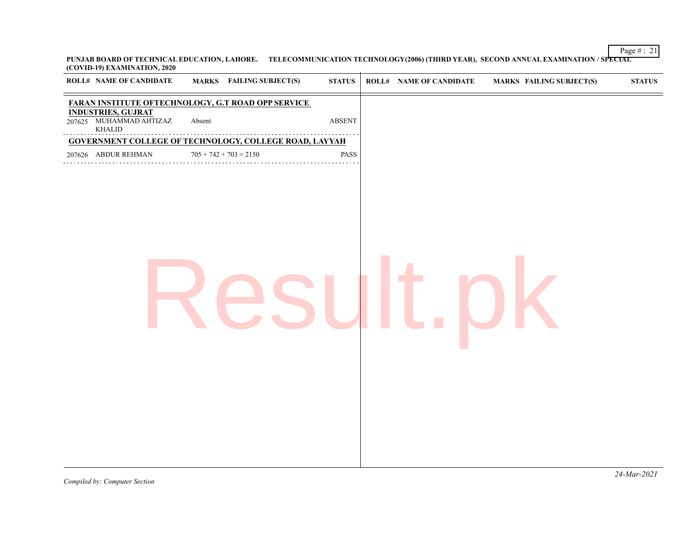Page  $\#$  : 21 **PUNJAB BOARD OF TECHNICAL EDUCATION, LAHORE. TELECOMMUNICATION TECHNOLOGY(2006) (THIRD YEAR), SECOND ANNUAL EXAMINATION / SPECIAL (COVID-19) EXAMINATION, 2020**

| <b>ROLL# NAME OF CANDIDATE</b>                                 | <b>MARKS</b> FAILING SUBJECT(S)                               | <b>STATUS</b> | <b>ROLL# NAME OF CANDIDATE</b> | <b>MARKS FAILING SUBJECT(S)</b> | <b>STATUS</b> |
|----------------------------------------------------------------|---------------------------------------------------------------|---------------|--------------------------------|---------------------------------|---------------|
|                                                                | <b>FARAN INSTITUTE OFTECHNOLOGY, G.T ROAD OPP SERVICE</b>     |               |                                |                                 |               |
| <b>INDUSTRIES, GUJRAT</b><br>207625 MUHAMMAD AHTIZAZ<br>KHALID | Absent                                                        | <b>ABSENT</b> |                                |                                 |               |
|                                                                | <b>GOVERNMENT COLLEGE OF TECHNOLOGY, COLLEGE ROAD, LAYYAH</b> |               |                                |                                 |               |
| 207626 ABDUR REHMAN                                            | $705 + 742 + 703 = 2150$                                      | PASS          |                                |                                 |               |
|                                                                |                                                               |               |                                |                                 |               |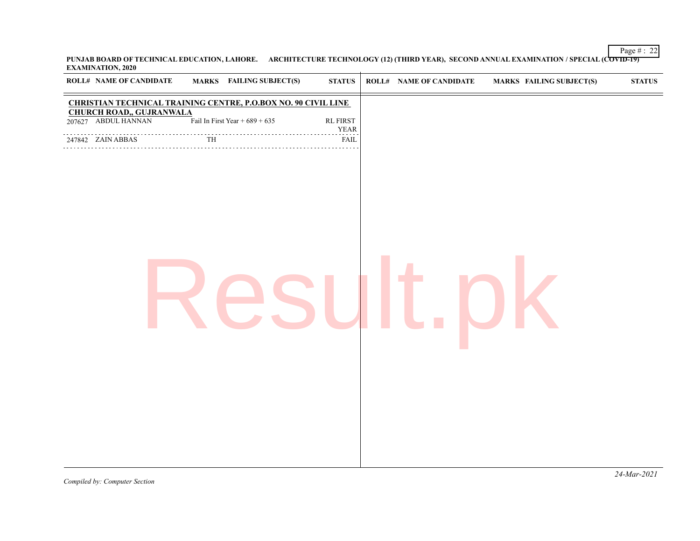Page  $\#$  : 22 **PUNJAB BOARD OF TECHNICAL EDUCATION, LAHORE. ARCHITECTURE TECHNOLOGY (12) (THIRD YEAR), SECOND ANNUAL EXAMINATION / SPECIAL (COVID-19) EXAMINATION, 2020**  $\overline{1}$ 

| <b>ROLL# NAME OF CANDIDATE</b>                         |                        | MARKS FAILING SUBJECT(S)                                              | $\boldsymbol{\text{STATUS}}$   | ROLL# NAME OF CANDIDATE | <b>MARKS FAILING SUBJECT(S)</b> | $\boldsymbol{\text{STATUS}}$ |
|--------------------------------------------------------|------------------------|-----------------------------------------------------------------------|--------------------------------|-------------------------|---------------------------------|------------------------------|
|                                                        |                        | <b>CHRISTIAN TECHNICAL TRAINING CENTRE, P.O.BOX NO. 90 CIVIL LINE</b> |                                |                         |                                 |                              |
| <b>CHURCH ROAD,, GUJRANWALA</b><br>207627 ABDUL HANNAN |                        | Fail In First Year + $689 + 635$                                      | <b>RL FIRST</b><br><b>YEAR</b> |                         |                                 |                              |
| 247842 ZAIN ABBAS                                      | $\overline{\text{TH}}$ |                                                                       | <b>FAIL</b>                    |                         |                                 |                              |
|                                                        |                        |                                                                       |                                |                         |                                 |                              |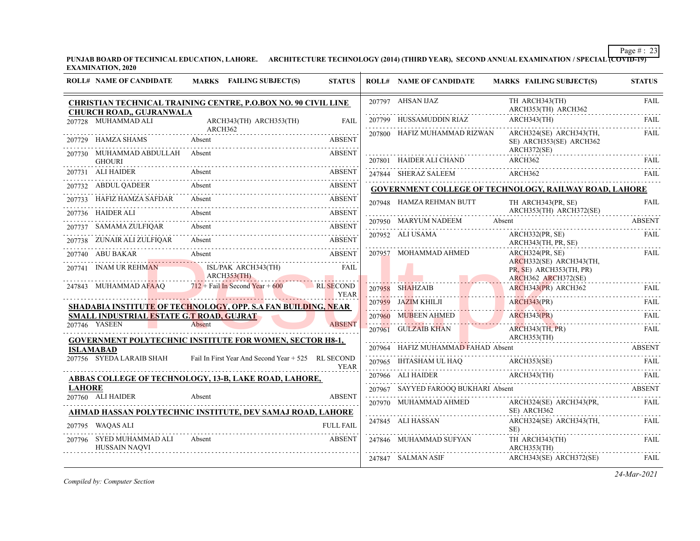**PUNJAB BOARD OF TECHNICAL EDUCATION, LAHORE. ARCHITECTURE TECHNOLOGY (2014) (THIRD YEAR), SECOND ANNUAL EXAMINATION / SPECIAL (COVID-19) EXAMINATION, 2020**

| 207797 AHSAN IJAZ<br>TH ARCH343(TH)<br>CHRISTIAN TECHNICAL TRAINING CENTRE, P.O.BOX NO. 90 CIVIL LINE                                                                                                                                                                                                                                                                                                                                                                    | <b>FAIL</b>   |
|--------------------------------------------------------------------------------------------------------------------------------------------------------------------------------------------------------------------------------------------------------------------------------------------------------------------------------------------------------------------------------------------------------------------------------------------------------------------------|---------------|
| ARCH353(TH) ARCH362<br><b>CHURCH ROAD,, GUJRANWALA</b>                                                                                                                                                                                                                                                                                                                                                                                                                   |               |
| 207799 HUSSAMUDDIN RIAZ<br>ARCH343(TH)<br>207728 MUHAMMAD ALI<br>ARCH343(TH) ARCH353(TH)<br><b>FAIL</b>                                                                                                                                                                                                                                                                                                                                                                  | FAIL          |
| ARCH362<br>ARCH324(SE) ARCH343(TH,<br>207800 HAFIZ MUHAMMAD RIZWAN<br>207729 HAMZA SHAMS<br>Absent<br><b>ABSENT</b><br>SE) ARCH353(SE) ARCH362                                                                                                                                                                                                                                                                                                                           | <b>FAIL</b>   |
| ARCH372(SE)<br>207730 MUHAMMAD ABDULLAH Absent<br><b>ABSENT</b><br>ARCH362<br><b>GHOURI</b>                                                                                                                                                                                                                                                                                                                                                                              |               |
| 207801 HAIDER ALI CHAND ARCH362 FAIL<br>.<br>207731 ALI HAIDER<br>Absent<br><b>ABSENT</b><br>247844 SHERAZ SALEEM ARCH362                                                                                                                                                                                                                                                                                                                                                | <b>FAIL</b>   |
| Absent<br>207732 ABDUL QADEER<br>ABSENT<br>GOVERNMENT COLLEGE OF TECHNOLOGY, RAILWAY ROAD, LAHORE                                                                                                                                                                                                                                                                                                                                                                        |               |
| 207733 HAFIZ HAMZA SAFDAR<br>Absent<br><b>ABSENT</b><br>207948 HAMZA REHMAN BUTT<br>TH ARCH343(PR, SE)                                                                                                                                                                                                                                                                                                                                                                   | <b>FAIL</b>   |
| ARCH353(TH) ARCH372(SE)<br>207736 HAIDER ALI<br>Absent<br><b>ABSENT</b>                                                                                                                                                                                                                                                                                                                                                                                                  |               |
| 207950 MARYUM NADEEM<br>Absent<br>Absent<br>207737 SAMAMA ZULFIQAR<br><b>ABSENT</b><br>Absent ABSENT                                                                                                                                                                                                                                                                                                                                                                     | <b>ABSENT</b> |
| 207952 ALI USAMA<br>ARCH332(PR, SE)<br>Absent<br><b>ABSENT</b><br>207738 ZUNAIR ALI ZULFIQAR<br>ARCH343(TH, PR, SE)                                                                                                                                                                                                                                                                                                                                                      | <b>FAIL</b>   |
| 207957 MOHAMMAD AHMED<br>ARCH324(PR, SE)<br>207740 ABU BAKAR<br>Absent<br><b>ABSENT</b>                                                                                                                                                                                                                                                                                                                                                                                  | <b>FAIL</b>   |
| ARCH332(SE) ARCH343(TH,<br>ISL/PAK ARCH343(TH)<br>207741 INAM UR REHMAN<br><b>FAIL</b><br>PR, SE) ARCH353(TH, PR)<br>ARCH353(TH)<br>ARCH362 ARCH372(SE)                                                                                                                                                                                                                                                                                                                  |               |
| $712 +$ Fail In Second Year + 600<br>247843 MUHAMMAD AFAAQ<br>RL SECOND<br>ARCH343(PR) ARCH362<br>207958 SHAHZAIB<br><b>YEAR</b>                                                                                                                                                                                                                                                                                                                                         | FAIL          |
| ARCH343(PR)<br>207959 JAZIM KHILJI<br>SHADABIA INSTITUTE OF TECHNOLOGY, OPP. S.A FAN BUILDING, NEAR                                                                                                                                                                                                                                                                                                                                                                      | FAIL          |
| <b>ARCH343(PR)</b><br>SMALL INDUSTRIAL ESTATE G.T ROAD, GUJRAT<br>207960 MUBEEN AHMED                                                                                                                                                                                                                                                                                                                                                                                    | <b>FAIL</b>   |
| Absent<br>207746 YASEEN<br><b>ABSENT</b><br><b>ARCH343(TH, PR)</b><br>207961 GULZAIB KHAN                                                                                                                                                                                                                                                                                                                                                                                | FAIL          |
| ARCH353(TH)<br><b>GOVERNMENT POLYTECHNIC INSTITUTE FOR WOMEN, SECTOR H8-1,</b>                                                                                                                                                                                                                                                                                                                                                                                           |               |
| 207964 HAFIZ MUHAMMAD FAHAD Absent ABSENT<br><b>ISLAMABAD</b><br>207756 SYEDA LARAIB SHAH<br>Fail In First Year And Second Year + 525 RL SECOND                                                                                                                                                                                                                                                                                                                          |               |
| $\begin{tabular}{llllllll} \multicolumn{2}{l}{{207965}} & HITASHAM UL HAQ & \multicolumn{2}{l}{{\bf ARCH353} (SE)} & \multicolumn{2}{l}{{\bf FAIL}} \\ \multicolumn{2}{l}{207966}& \multicolumn{2}{l}{{\bf ALL}} \\ \multicolumn{2}{l}{207966}& \multicolumn{2}{l}{{\bf ALL}} \\ \multicolumn{2}{l}{207966}& \multicolumn{2}{l}{{\bf ALL}} \\ \multicolumn{2}{l}{\bf TAL} & \multicolumn{2}{l}{{\bf ARCH343} (TH)} & \multicolumn{2}{l}{{\bf FAIL}} \\ \$<br><b>YEAR</b> |               |
| ABBAS COLLEGE OF TECHNOLOGY, 13-B, LAKE ROAD, LAHORE,<br><b>LAHORE</b><br>207967 SAYYED FAROOO BUKHARI Absent                                                                                                                                                                                                                                                                                                                                                            | <b>ABSENT</b> |
| 207760 ALI HAIDER<br><b>ABSENT</b><br>Absent<br>207970 MUHAMMAD AHMED                                                                                                                                                                                                                                                                                                                                                                                                    |               |
| ARCH324(SE) ARCH343(PR,<br>SE) ARCH362<br>AHMAD HASSAN POLYTECHNIC INSTITUTE, DEV SAMAJ ROAD, LAHORE                                                                                                                                                                                                                                                                                                                                                                     | FAIL          |
| 247845 ALI HASSAN<br>ARCH324(SE) ARCH343(TH.<br><b>FULL FAIL</b><br>207795 WAQAS ALI<br>SE)                                                                                                                                                                                                                                                                                                                                                                              | <b>FAIL</b>   |
| 207796 SYED MUHAMMAD ALI<br>247846 MUHAMMAD SUFYAN<br>ABSENT<br>Absent<br>TH ARCH343(TH)<br>HUSSAIN NAQVI<br>ARCH353(TH)                                                                                                                                                                                                                                                                                                                                                 | FAIL          |
| 247847 SALMAN ASIF<br>ARCH343(SE) ARCH372(SE)                                                                                                                                                                                                                                                                                                                                                                                                                            | FAIL          |

*Compiled by: Computer Section*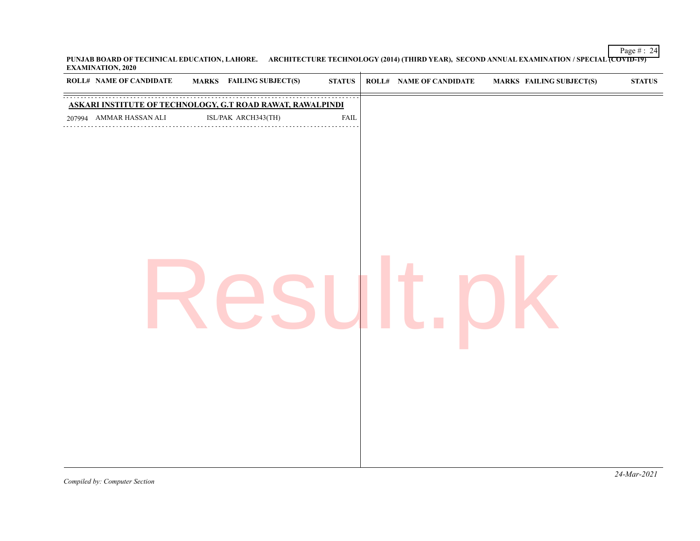Page  $\#$  : 24 **PUNJAB BOARD OF TECHNICAL EDUCATION, LAHORE. ARCHITECTURE TECHNOLOGY (2014) (THIRD YEAR), SECOND ANNUAL EXAMINATION / SPECIAL (COVID-19) EXAMINATION, 2020**

| <b>ROLL# NAME OF CANDIDATE</b>                             | MARKS FAILING SUBJECT(S) | <b>STATUS</b> | ROLL# NAME OF CANDIDATE | <b>MARKS FAILING SUBJECT(S)</b> | ${\bf STATUS}$ |
|------------------------------------------------------------|--------------------------|---------------|-------------------------|---------------------------------|----------------|
| ASKARI INSTITUTE OF TECHNOLOGY, G.T ROAD RAWAT, RAWALPINDI |                          |               |                         |                                 |                |
| 207994 AMMAR HASSAN ALI                                    |                          | ${\rm FAIL}$  |                         |                                 |                |
|                                                            |                          |               |                         |                                 |                |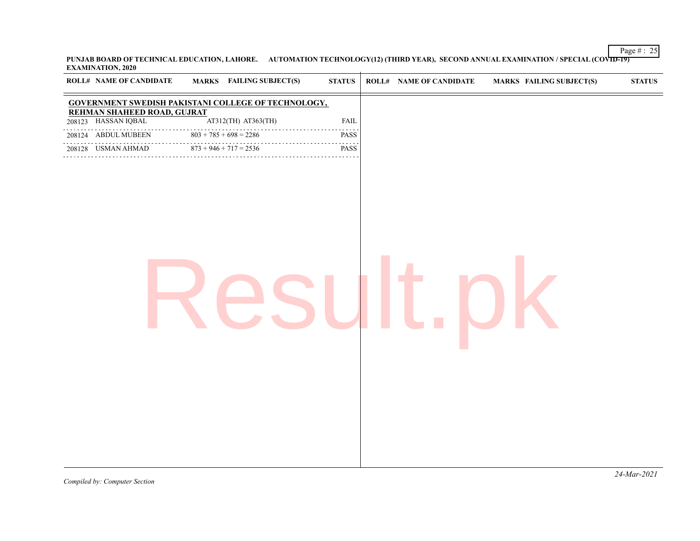Page  $\#$  : 25 **PUNJAB BOARD OF TECHNICAL EDUCATION, LAHORE. AUTOMATION TECHNOLOGY(12) (THIRD YEAR), SECOND ANNUAL EXAMINATION / SPECIAL (COVID-19) EXAMINATION, 2020**

| <b>ROLL# NAME OF CANDIDATE</b>                      |                               | <b>MARKS</b> FAILING SUBJECT(S) | <b>STATUS</b>      | <b>ROLL# NAME OF CANDIDATE</b> | <b>MARKS FAILING SUBJECT(S)</b> | <b>STATUS</b> |
|-----------------------------------------------------|-------------------------------|---------------------------------|--------------------|--------------------------------|---------------------------------|---------------|
| GOVERNMENT SWEDISH PAKISTANI COLLEGE OF TECHNOLOGY, |                               |                                 |                    |                                |                                 |               |
| REHMAN SHAHEED ROAD, GUJRAT<br>208123 HASSAN IQBAL  |                               | AT312(TH) AT363(TH)             | FAIL               |                                |                                 |               |
| 208124 ABDUL MUBEEN                                 | $803 + 785 + 698 = 2286$      |                                 | والمناصبات<br>PASS |                                |                                 |               |
| 208128 USMAN AHMAD                                  | $873 + 946 + 717 = 2536$<br>. |                                 | .<br>PASS          |                                |                                 |               |
|                                                     |                               |                                 |                    |                                |                                 |               |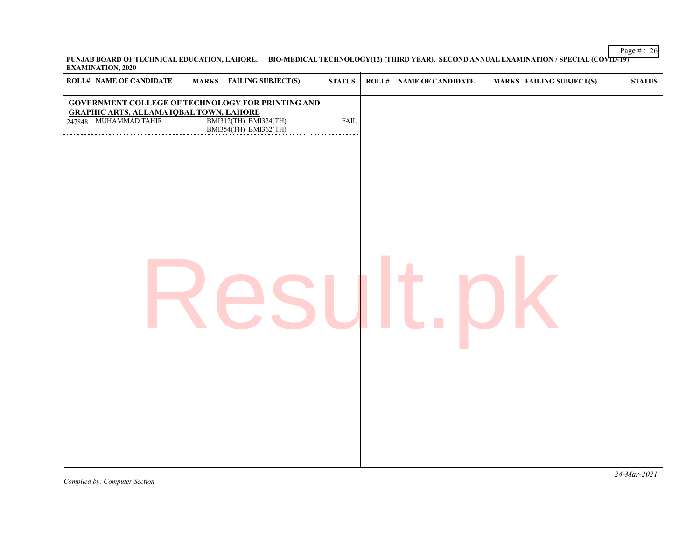**PUNJAB BOARD OF TECHNICAL EDUCATION, LAHORE. BIO-MEDICAL TECHNOLOGY(12) (THIRD YEAR), SECOND ANNUAL EXAMINATION / SPECIAL (COVID-19) EXAMINATION, 2020**  $\overline{1}$ 

| <b>ROLL# NAME OF CANDIDATE</b><br><b>MARKS</b> FAILING SUBJECT(S)                                                                                                                     | ${\bf STATUS}$ | <b>ROLL# NAME OF CANDIDATE</b> | <b>MARKS FAILING SUBJECT(S)</b> | ${\bf STATUS}$ |
|---------------------------------------------------------------------------------------------------------------------------------------------------------------------------------------|----------------|--------------------------------|---------------------------------|----------------|
| <b>GOVERNMENT COLLEGE OF TECHNOLOGY FOR PRINTING AND</b><br><b>GRAPHIC ARTS, ALLAMA IQBAL TOWN, LAHORE</b><br>BMI312(TH) BMI324(TH)<br>BMI354(TH) BMI362(TH)<br>247848 MUHAMMAD TAHIR | <b>FAIL</b>    |                                |                                 |                |
|                                                                                                                                                                                       |                |                                |                                 |                |
|                                                                                                                                                                                       |                |                                |                                 |                |
|                                                                                                                                                                                       |                |                                |                                 |                |
|                                                                                                                                                                                       |                |                                |                                 |                |
|                                                                                                                                                                                       |                |                                |                                 |                |
|                                                                                                                                                                                       |                |                                |                                 |                |

Page  $\#$  : 26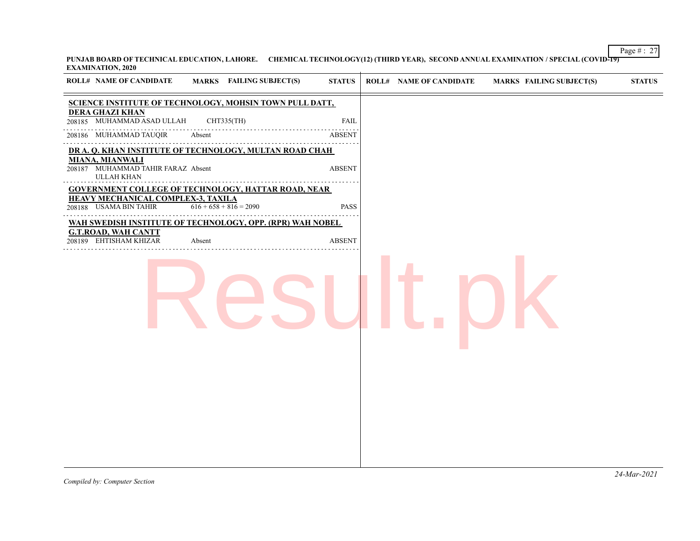Page # : 27 **PUNJAB BOARD OF TECHNICAL EDUCATION, LAHORE. CHEMICAL TECHNOLOGY(12) (THIRD YEAR), SECOND ANNUAL EXAMINATION / SPECIAL (COVID-19) EXAMINATION, 2020**  $\overline{1}$ 

| <b>ROLL# NAME OF CANDIDATE</b>                                                                                                        |        | <b>MARKS</b> FAILING SUBJECT(S) | <b>STATUS</b> | <b>ROLL# NAME OF CANDIDATE</b> | <b>MARKS FAILING SUBJECT(S)</b> | <b>STATUS</b> |
|---------------------------------------------------------------------------------------------------------------------------------------|--------|---------------------------------|---------------|--------------------------------|---------------------------------|---------------|
| SCIENCE INSTITUTE OF TECHNOLOGY, MOHSIN TOWN PULL DATT,<br><b>DERA GHAZI KHAN</b>                                                     |        |                                 |               |                                |                                 |               |
| 208185 MUHAMMAD ASAD ULLAH                                                                                                            |        | CHT335(TH)                      | <b>FAIL</b>   |                                |                                 |               |
| 208186 MUHAMMAD TAUQIR                                                                                                                | Absent |                                 | <b>ABSENT</b> |                                |                                 |               |
| DR A. Q. KHAN INSTITUTE OF TECHNOLOGY, MULTAN ROAD CHAH<br><b>MIANA, MIANWALI</b><br>208187 MUHAMMAD TAHIR FARAZ Absent<br>ULLAH KHAN |        |                                 | <b>ABSENT</b> |                                |                                 |               |
| <b>GOVERNMENT COLLEGE OF TECHNOLOGY, HATTAR ROAD, NEAR</b><br><b>HEAVY MECHANICAL COMPLEX-3, TAXILA</b><br>208188 USAMA BIN TAHIR     |        | $616 + 658 + 816 = 2090$        | <b>PASS</b>   |                                |                                 |               |
| WAH SWEDISH INSTITUTE OF TECHNOLOGY, OPP. (RPR) WAH NOBEL<br><b>G.T.ROAD, WAH CANTT</b><br>208189 EHTISHAM KHIZAR                     | Absent |                                 | <b>ABSENT</b> |                                |                                 |               |
|                                                                                                                                       |        |                                 |               |                                |                                 |               |
|                                                                                                                                       |        |                                 |               |                                |                                 |               |
|                                                                                                                                       |        |                                 |               |                                |                                 |               |
|                                                                                                                                       |        |                                 |               |                                |                                 |               |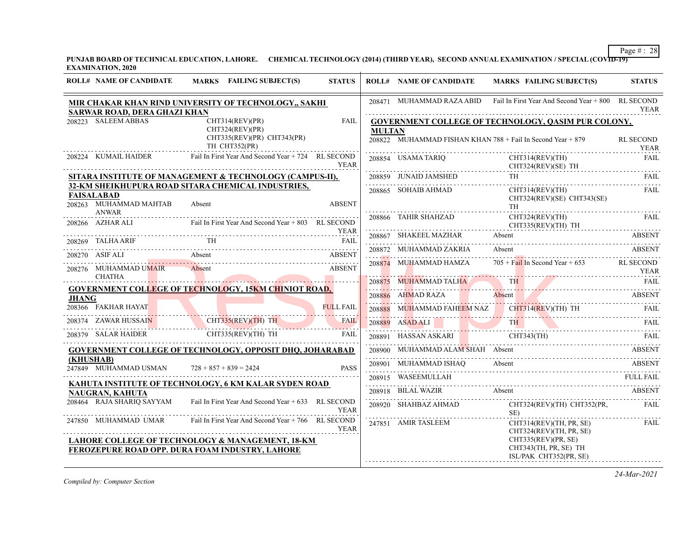**PUNJAB BOARD OF TECHNICAL EDUCATION, LAHORE. CHEMICAL TECHNOLOGY (2014) (THIRD YEAR), SECOND ANNUAL EXAMINATION / SPECIAL (COVID-19) EXAMINATION, 2020**

| <b>ROLL# NAME OF CANDIDATE</b>              | MARKS FAILING SUBJECT(S)                                                                            | <b>STATUS</b>    |               | <b>ROLL# NAME OF CANDIDATE</b> | <b>MARKS FAILING SUBJECT(S)</b>                                                                                      | <b>STATUS</b>    |
|---------------------------------------------|-----------------------------------------------------------------------------------------------------|------------------|---------------|--------------------------------|----------------------------------------------------------------------------------------------------------------------|------------------|
| SARWAR ROAD, DERA GHAZI KHAN                | MIR CHAKAR KHAN RIND UNIVERSITY OF TECHNOLOGY,, SAKHI                                               |                  |               |                                | 208471 MUHAMMAD RAZA ABID Fail In First Year And Second Year + 800 RL SECOND                                         | <b>YEAR</b>      |
| 208223 SALEEM ABBAS                         | CHT314(REV)(PR)<br>CHT324(REV)(PR)<br>CHT335(REV)(PR) CHT343(PR)                                    | <b>FAIL</b>      | <b>MULTAN</b> |                                | GOVERNMENT COLLEGE OF TECHNOLOGY, QASIM PUR COLONY,<br>208822 MUHAMMAD FISHAN KHAN $788 +$ Fail In Second Year + 879 | <b>RL SECOND</b> |
|                                             | TH CHT352(PR)                                                                                       |                  |               |                                |                                                                                                                      | <b>YEAR</b>      |
| 208224 KUMAIL HAIDER                        | Fail In First Year And Second Year + 724 RL SECOND                                                  | <b>YEAR</b>      |               | 208854 USAMA TARIO             | CHT314(REV)(TH)<br>$CHT324(REV)(SE)$ TH                                                                              | <b>FAIL</b>      |
|                                             | SITARA INSTITUTE OF MANAGEMENT & TECHNOLOGY (CAMPUS-II),                                            |                  |               |                                | $\begin{tabular}{lllllllllll} 208859 & JUNAID JAMSHED & TH & FAIL \\ \hline \end{tabular}$                           |                  |
| <b>FAISALABAD</b><br>208263 MUHAMMAD MAHTAB | 32-KM SHEIKHUPURA ROAD SITARA CHEMICAL INDUSTRIES,<br>Absent                                        | <b>ABSENT</b>    |               | 208865 SOHAIB AHMAD            | CHT314(REV)(TH)<br>$CHT324(REV)(SE)$ $CHT343(SE)$<br>TH -                                                            | FAIL             |
| <b>ANWAR</b><br>208266 AZHAR ALI            | Fail In First Year And Second Year + 803 RL SECOND                                                  | YEAR             |               |                                | 208866 TAHIR SHAHZAD CHT324(REV)(TH)<br>$CHT335(REV)(TH)$ TH                                                         | FAIL             |
| 208269 TALHA ARIF                           | <b>TH</b>                                                                                           |                  |               |                                | 208867 SHAKEEL MAZHAR Absent ABSENT ABSENT                                                                           |                  |
| 208270 ASIF ALI                             |                                                                                                     |                  |               | 208872 MUHAMMAD ZAKRIA Absent  |                                                                                                                      | ABSENT           |
| 208276 MUHAMMAD UMAIR<br>CHATHA             | 18270 ASIF ALI Absent ABSENT<br><b>ABSENT</b><br>Absent                                             |                  |               | 208874 MUHAMMAD HAMZA          | $705 + \text{Fall In Second Year} + 653$ RL SECOND                                                                   | <b>YEAR</b>      |
|                                             | <b>GOVERNMENT COLLEGE OF TECHNOLOGY, 15KM CHINIOT ROAD,</b>                                         |                  |               |                                | <b>208875 MUHAMMAD TALHA</b> TH FAIL RAIL                                                                            |                  |
| <b>JHANG</b>                                |                                                                                                     |                  |               |                                | 208886 AHMAD RAZA Absent ABSENT ABSENT                                                                               |                  |
| 208366 FAKHAR HAYAT                         | <b>FULL FAIL</b>                                                                                    | <b>FULL FAIL</b> |               |                                | 208888 MUHAMMAD FAHEEM NAZ CHT314(REV)(TH) TH<br>PAIL                                                                |                  |
|                                             | 208374 ZAWAR HUSSAIN CHT335(REV)(TH) TH                                                             |                  |               |                                | 208889 ASADALI TH FAIL                                                                                               |                  |
|                                             | 208379 SALAR HAIDER CHT335(REV)(TH) TH                                                              | FAIL             |               |                                | 208891 HASSAN ASKARI CHT343(TH) FAIL                                                                                 |                  |
|                                             | <b>GOVERNMENT COLLEGE OF TECHNOLOGY, OPPOSIT DHQ, JOHARABAD</b>                                     |                  |               |                                | 208900 MUHAMMAD ALAM SHAH Absent ABSENT                                                                              |                  |
| (KHUSHAB)<br>247849 MUHAMMAD USMAN          | $728 + 857 + 839 = 2424$                                                                            | <b>PASS</b>      |               | 208901 MUHAMMAD ISHAQ Absent   | 208901 MUHAMMAD ISHAQ Absent Absent ABSENT                                                                           | <b>ABSENT</b>    |
|                                             |                                                                                                     |                  |               |                                | 208915 WASEEMULLAH FULL FAIL FULL FAIL                                                                               |                  |
| NAUGRAN, KAHUTA                             | KAHUTA INSTITUTE OF TECHNOLOGY, 6 KM KALAR SYDEN ROAD                                               |                  |               | 208918 BILAL WAZIR Absent      |                                                                                                                      | ABSENT           |
| 208464 RAJA SHARIQ SAYYAM                   | Fail In First Year And Second Year + 633 RL SECOND                                                  | <b>YEAR</b>      |               | 208920 SHAHBAZ AHMAD           | CHT324(REV)(TH) CHT352(PR,<br>SE)                                                                                    | FAIL             |
|                                             | 247850 MUHAMMAD UMAR Fail In First Year And Second Year + 766 RL SECOND                             | <b>YEAR</b>      |               | 247851 AMIR TASLEEM            | CHT314(REV)(TH, PR, SE)<br>CHT324(REV)(TH, PR, SE)                                                                   | FAIL             |
|                                             | LAHORE COLLEGE OF TECHNOLOGY & MANAGEMENT, 18-KM<br>FEROZEPURE ROAD OPP. DURA FOAM INDUSTRY, LAHORE |                  |               |                                | CHT335(REV)(PR, SE)<br>CHT343(TH, PR, SE) TH<br>ISL/PAK CHT352(PR, SE)                                               |                  |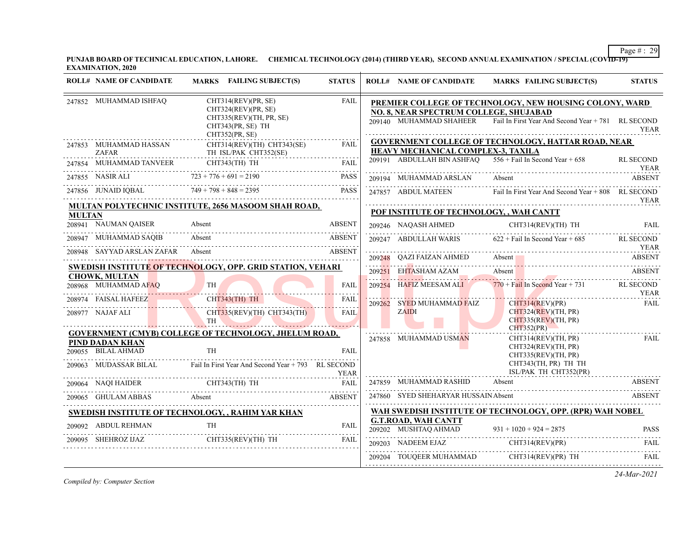**PUNJAB BOARD OF TECHNICAL EDUCATION, LAHORE. CHEMICAL TECHNOLOGY (2014) (THIRD YEAR), SECOND ANNUAL EXAMINATION / SPECIAL (COVID-19) EXAMINATION, 2020**

|               | <b>ROLL# NAME OF CANDIDATE</b>         | MARKS FAILING SUBJECT(S)                                                                                    | <b>STATUS</b> | <b>ROLL# NAME OF CANDIDATE</b>                     | MARKS FAILING SUBJECT(S)                                                                                                              | <b>STATUS</b>                   |
|---------------|----------------------------------------|-------------------------------------------------------------------------------------------------------------|---------------|----------------------------------------------------|---------------------------------------------------------------------------------------------------------------------------------------|---------------------------------|
|               | 247852 MUHAMMAD ISHFAQ                 | CHT314(REV)(PR, SE)<br>CHT324(REV)(PR, SE)<br>CHT335(REV)(TH, PR, SE)                                       | <b>FAIL</b>   | NO. 8, NEAR SPECTRUM COLLEGE, SHUJABAD             | PREMIER COLLEGE OF TECHNOLOGY, NEW HOUSING COLONY, WARD<br>209140 MUHAMMAD SHAHEER Fail In First Year And Second Year + 781 RL SECOND |                                 |
|               |                                        | CHT343(PR, SE) TH<br>CHT352(PR, SE)                                                                         |               |                                                    |                                                                                                                                       | <b>YEAR</b>                     |
|               | 247853 MUHAMMAD HASSAN<br><b>ZAFAR</b> | CHT314(REV)(TH) CHT343(SE)<br>TH ISL/PAK CHT352(SE)                                                         | <b>FAIL</b>   | HEAVY MECHANICAL COMPLEX-3, TAXILA                 | <b>GOVERNMENT COLLEGE OF TECHNOLOGY, HATTAR ROAD, NEAR</b>                                                                            |                                 |
|               |                                        | ${\small \begin{tabular}{ll} \bf 247854 & MUHAMMAD TANVEER & CHT343(TH) TH & FAIL \\ \hline \end{tabular}}$ |               |                                                    | 209191 ABDULLAH BIN ASHFAQ $556 +$ Fail In Second Year + 658                                                                          | <b>RL SECOND</b><br><b>YEAR</b> |
|               |                                        | 247855 NASIR ALI $723 + 776 + 691 = 2190$                                                                   | PASS          | 209194 MUHAMMAD ARSLAN                             | Absent                                                                                                                                | <b>ABSENT</b>                   |
|               |                                        | 247856 JUNAID IQBAL 749 + 798 + 848 = 2395 PASS                                                             | PASS          | 247857 ABDUL MATEEN                                | Fail In First Year And Second Year + 808 RL SECOND                                                                                    | YEAR                            |
| <b>MULTAN</b> |                                        | <b>MULTAN POLYTECHNIC INSTITUTE, 2656 MASOOM SHAH ROAD,</b>                                                 |               | POF INSTITUTE OF TECHNOLOGY, , WAH CANTT           |                                                                                                                                       |                                 |
|               | 208941 NAUMAN QAISER                   | Absent                                                                                                      | <b>ABSENT</b> | 209246 NAQASH AHMED                                | CHT314(REV)(TH) TH                                                                                                                    | <b>FAIL</b>                     |
|               | 208947 MUHAMMAD SAQIB                  | Absent                                                                                                      | <b>ABSENT</b> | 209247 ABDULLAH WARIS                              | $622 +$ Fail In Second Year + 685                                                                                                     | RL SECOND                       |
|               |                                        | 208948 SAYYAD ARSLAN ZAFAR Absent ABSENT                                                                    |               |                                                    |                                                                                                                                       | <b>YEAR</b>                     |
|               |                                        | <b>SWEDISH INSTITUTE OF TECHNOLOGY, OPP. GRID STATION, VEHARI</b>                                           |               |                                                    | 209248 QAZI FAIZAN AHMED Absent Absent ABSENT                                                                                         |                                 |
|               | <b>CHOWK, MULTAN</b>                   |                                                                                                             |               | 209251 EHTASHAM AZAM                               | Absent 1                                                                                                                              | ABSENT                          |
|               | 208968 MUHAMMAD AFAQ                   | TH                                                                                                          | <b>FAIL</b>   | 209254 HAFIZ MEESAM ALI                            | $770 + Fall In Second Year + 731$ RL SECOND                                                                                           | <b>YEAR</b>                     |
|               | 208974 FAISAL HAFEEZ                   | CHT343(TH) TH                                                                                               | FAIL          | 209262 SYED MUHAMMAD FAIZ                          | CHT314(REV)(PR)                                                                                                                       | <b>FAIL</b>                     |
|               | 208977 NAJAF ALI                       | CHT335(REV)(TH) CHT343(TH)<br>TH <sup>1</sup>                                                               | <b>FAIL</b>   | <b>ZAIDI</b>                                       | CHT324(REV)(TH, PR)<br>CHT335(REV)(TH, PR)                                                                                            |                                 |
|               |                                        | <b>GOVERNMENT (CMYB) COLLEGE OF TECHNOLOGY, JHELUM ROAD,</b>                                                |               | 247858 MUHAMMAD USMAN                              | CHT352(PR)<br>CHT314(REV)(TH, PR)                                                                                                     | FAIL                            |
|               | PIND DADAN KHAN<br>209055 BILAL AHMAD  | <b>TH</b>                                                                                                   | <b>FAIL</b>   |                                                    | CHT324(REV)(TH, PR)<br>CHT335(REV)(TH, PR)                                                                                            |                                 |
|               |                                        | 209063 MUDASSAR BILAL Fail In First Year And Second Year + 793 RL SECOND                                    | <b>YEAR</b>   |                                                    | CHT343(TH, PR) TH TH<br>ISL/PAK TH CHT352(PR)                                                                                         |                                 |
|               | 209064 NAQI HAIDER CHT343(TH) TH       |                                                                                                             | <b>FAIL</b>   | 247859 MUHAMMAD RASHID                             | Absent                                                                                                                                | <b>ABSENT</b>                   |
|               |                                        | 209065 GHULAM ABBAS Absent ABSENT                                                                           |               | 247860 SYED SHEHARYAR HUSSAIN Absent               |                                                                                                                                       | <b>ABSENT</b>                   |
|               |                                        | SWEDISH INSTITUTE OF TECHNOLOGY, , RAHIM YAR KHAN                                                           |               |                                                    | WAH SWEDISH INSTITUTE OF TECHNOLOGY, OPP. (RPR) WAH NOBEL                                                                             |                                 |
|               | 209092 ABDUL REHMAN                    | <b>TH</b>                                                                                                   | FAIL          | <b>G.T.ROAD, WAH CANTT</b><br>209202 MUSHTAQ AHMAD |                                                                                                                                       |                                 |
|               |                                        |                                                                                                             | <b>FAIL</b>   | 209203 NADEEM EJAZ                                 | 209202 MUSHTAQ AHMAD $931 + 1020 + 924 = 2875$ PASS                                                                                   |                                 |
|               |                                        |                                                                                                             |               |                                                    | NADEEM EJAZ CHT314(REV)(PR) FAIL<br>209204 TOUQEER MUHAMMAD CHT314(REV)(PR) TH                                                        | FAIL                            |
|               |                                        |                                                                                                             |               |                                                    |                                                                                                                                       |                                 |

*Compiled by: Computer Section*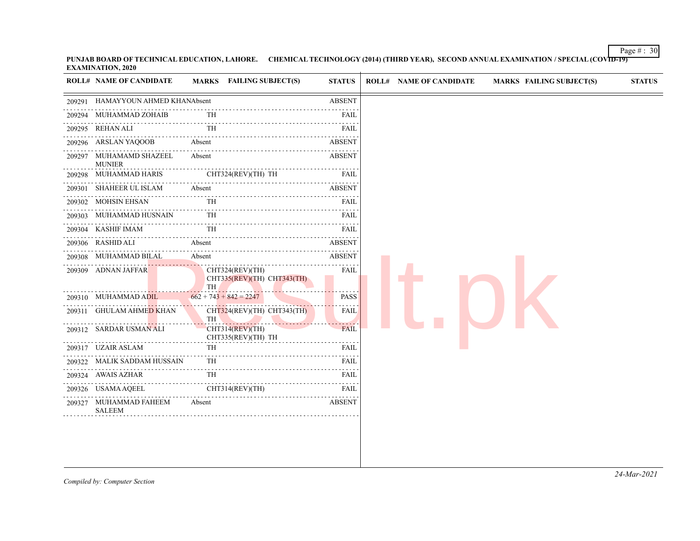Page  $\#$  : 30 **PUNJAB BOARD OF TECHNICAL EDUCATION, LAHORE. CHEMICAL TECHNOLOGY (2014) (THIRD YEAR), SECOND ANNUAL EXAMINATION / SPECIAL (COVID-19) EXAMINATION, 2020**

|        | <b>ROLL# NAME OF CANDIDATE</b>           | <b>MARKS</b> FAILING SUBJECT(S)                     | <b>STATUS</b>      |
|--------|------------------------------------------|-----------------------------------------------------|--------------------|
| 209291 | HAMAYYOUN AHMED KHANAbsent               |                                                     | <b>ABSENT</b>      |
| 209294 | MUHAMMAD ZOHAIB                          | TH                                                  | FAIL               |
| 209295 | REHAN ALI                                | TH                                                  | FAIL               |
|        | 209296 ARSLAN YAQOOB                     | Absent                                              | <b>ABSENT</b>      |
|        | 209297 MUHAMAMD SHAZEEL<br><b>MUNIER</b> | Absent                                              | ABSENT             |
|        | 209298 MUHAMMAD HARIS                    | CHT324(REV)(TH) TH                                  | FAIL               |
|        | 209301 SHAHEER UL ISLAM                  | Absent<br><u>.</u>                                  | .<br><b>ABSENT</b> |
|        | 209302 MOHSIN EHSAN                      | TH                                                  | FAIL               |
|        | 209303 MUHAMMAD HUSNAIN                  | <b>TH</b>                                           | FAIL               |
|        | 209304 KASHIF IMAM                       | TH                                                  | .<br>FAIL          |
|        | 209306 RASHID ALI                        | Absent                                              | .<br><b>ABSENT</b> |
|        | 209308 MUHAMMAD BILAL                    | Absent                                              | .<br><b>ABSENT</b> |
|        | 209309 ADNAN JAFFAR                      | CHT324(REV)(TH)<br>CHT335(REV)(TH) CHT343(TH)<br>TH | <b>FAIL</b>        |
|        | 209310 MUHAMMAD ADIL                     | $662 + 743 + 842 = 2247$                            | <b>PASS</b>        |
|        | 209311 GHULAM AHMED KHAN                 | CHT324(REV)(TH) CHT343(TH)<br>TH                    | FAIL               |
|        | 209312 SARDAR USMAN ALI                  | $CHT314$ (REV)(TH)<br>CHT335(REV)(TH) TH            | FAIL               |
|        | 209317 UZAIR ASLAM                       | TH                                                  | FAIL               |
|        | 209322 MALIK SADDAM HUSSAIN<br>.         | <b>TH</b>                                           | <b>FAIL</b><br>.   |
|        | 209324 AWAIS AZHAR                       | TH                                                  | <b>FAIL</b>        |
|        | 209326 USAMA AQEEL                       | CHT314(REV)(TH)                                     | FAIL               |
|        | 209327 MUHAMMAD FAHEEM<br><b>SALEEM</b>  | Absent                                              | <b>ABSENT</b>      |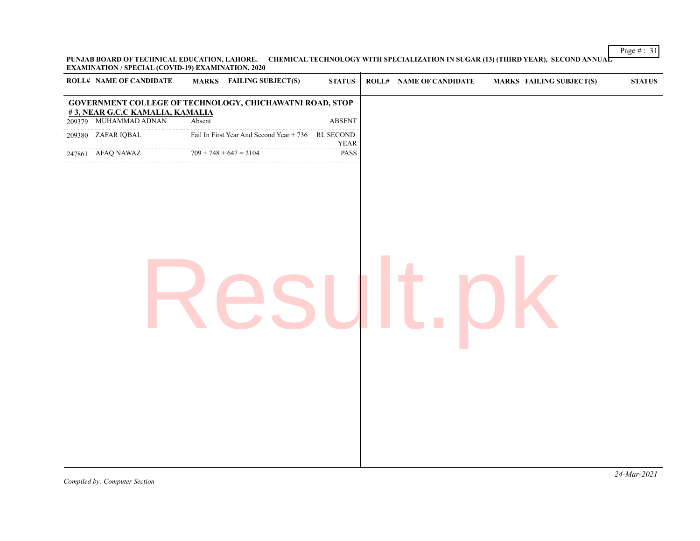Page # : 31 **PUNJAB BOARD OF TECHNICAL EDUCATION, LAHORE. CHEMICAL TECHNOLOGY WITH SPECIALIZATION IN SUGAR (13) (THIRD YEAR), SECOND ANNUAL EXAMINATION / SPECIAL (COVID-19) EXAMINATION, 2020**

| <b>ROLL# NAME OF CANDIDATE</b>                                  |        | <b>MARKS</b> FAILING SUBJECT(S)                    | <b>STATUS</b> | <b>ROLL# NAME OF CANDIDATE</b> | <b>MARKS FAILING SUBJECT(S)</b> | ${\bf STATUS}$ |
|-----------------------------------------------------------------|--------|----------------------------------------------------|---------------|--------------------------------|---------------------------------|----------------|
| <b>GOVERNMENT COLLEGE OF TECHNOLOGY, CHICHAWATNI ROAD, STOP</b> |        |                                                    |               |                                |                                 |                |
| #3, NEAR G.C.C KAMALIA, KAMALIA<br>209379 MUHAMMAD ADNAN        | Absent |                                                    | <b>ABSENT</b> |                                |                                 |                |
| 209380 ZAFAR IQBAL                                              |        | Fail In First Year And Second Year + 736 RL SECOND | <b>YEAR</b>   |                                |                                 |                |
| $709 + 748 + 647 = 2104$<br>247861 AFAQ NAWAZ                   |        |                                                    | PASS          |                                |                                 |                |
|                                                                 |        |                                                    |               |                                |                                 |                |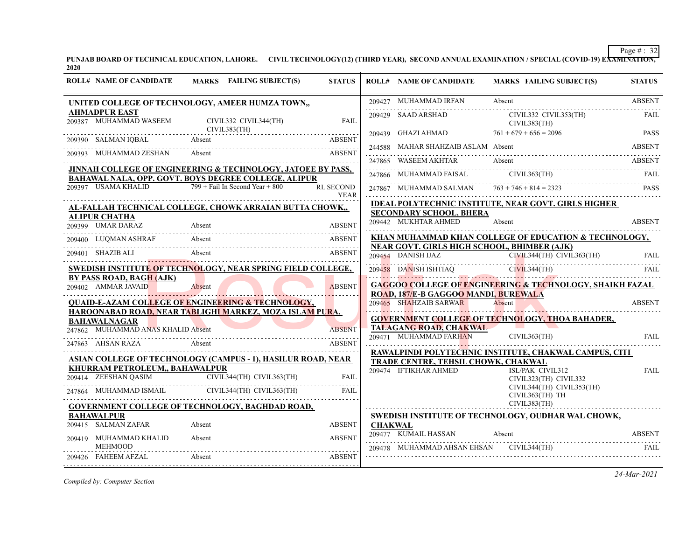**PUNJAB BOARD OF TECHNICAL EDUCATION, LAHORE. CIVIL TECHNOLOGY(12) (THIRD YEAR), SECOND ANNUAL EXAMINATION / SPECIAL (COVID-19) EXAMINATION, 2020**

| <b>ROLL# NAME OF CANDIDATE</b>                  | MARKS FAILING SUBJECT(S)                                                                                                   |                           | <b>STATUS</b>                   |                | <b>ROLL# NAME OF CANDIDATE</b>                         | <b>MARKS FAILING SUBJECT(S)</b>                                                            | <b>STATUS</b> |
|-------------------------------------------------|----------------------------------------------------------------------------------------------------------------------------|---------------------------|---------------------------------|----------------|--------------------------------------------------------|--------------------------------------------------------------------------------------------|---------------|
|                                                 | UNITED COLLEGE OF TECHNOLOGY, AMEER HUMZA TOWN,,                                                                           |                           |                                 |                | 209427 MUHAMMAD IRFAN                                  | Absent                                                                                     | <b>ABSENT</b> |
| <b>AHMADPUR EAST</b><br>209387 MUHAMMAD WASEEM  | CIVIL332 CIVIL344(TH)                                                                                                      |                           | <b>FAIL</b>                     |                | 209429 SAAD ARSHAD<br>CIVIL383(TH)                     | CIVIL332 CIVIL353(TH)                                                                      | FAIL          |
| 209390 SALMAN IQBAL                             | CIVIL383(TH)<br>Absent                                                                                                     |                           | <b>ABSENT</b>                   |                | 209439 GHAZI AHMAD $761 + 679 + 656 = 2096$            | 209439 GHAZI AHMAD 761 + 679 + 656 = 2096 PASS                                             |               |
| 209393 MUHAMMAD ZESHAN                          | Absent                                                                                                                     |                           | <b>ABSENT</b>                   |                | 244588 MAHAR SHAHZAIB ASLAM Absent                     |                                                                                            | <b>ABSENT</b> |
|                                                 |                                                                                                                            |                           |                                 |                |                                                        |                                                                                            |               |
|                                                 | JINNAH COLLEGE OF ENGINEERING & TECHNOLOGY, JATOEE BY PASS,<br><b>BAHAWAL NALA, OPP. GOVT. BOYS DEGREE COLLEGE, ALIPUR</b> |                           |                                 |                |                                                        | 247865 WASEEM AKHTAR Absent ABSENT ABSENT ABSENT ABSENT ABSENT ABSENT ABSENT ABSENT ABSENT |               |
|                                                 | 209397 USAMA KHALID $799 + \text{fail In Second Year} + 800$                                                               |                           | <b>RL SECOND</b><br><b>YEAR</b> |                |                                                        | 247867 MUHAMMAD SALMAN $763 + 746 + 814 = 2323$ PASS                                       |               |
|                                                 | AL-FALLAH TECHNICAL COLLEGE, CHOWK ARRAIAN BUTTA CHOWK,                                                                    |                           |                                 |                |                                                        | <b>IDEAL POLYTECHNIC INSTITUTE, NEAR GOVT. GIRLS HIGHER</b>                                |               |
| <b>ALIPUR CHATHA</b><br>209399 UMAR DARAZ       | Absent                                                                                                                     |                           | <b>ABSENT</b>                   |                | <b>SECONDARY SCHOOL, BHERA</b><br>209442 MUKHTAR AHMED | Absent                                                                                     | <b>ABSENT</b> |
| 209400 LUQMAN ASHRAF                            | Absent                                                                                                                     |                           | ABSENT                          |                |                                                        | <b>KHAN MUHAMMAD KHAN COLLEGE OF EDUCATION &amp; TECHNOLOGY,</b>                           |               |
| 209401 SHAZIB ALI                               | Absent<br>9401 SHAZIB ALI Absent ABSENT ABSENT                                                                             |                           | <b>ABSENT</b>                   |                | NEAR GOVT. GIRLS HIGH SCHOOL, BHIMBER (AJK)            | 209454 DANISH IJAZ CIVIL344(TH) CIVIL363(TH)                                               | FAII.         |
|                                                 | SWEDISH INSTITUTE OF TECHNOLOGY, NEAR SPRING FIELD COLLEGE,                                                                |                           |                                 |                |                                                        | 209458 DANISH ISHTIAQ CIVIL 344(TH) FAIL                                                   |               |
| BY PASS ROAD, BAGH (AJK)<br>209402 AMMAR JAVAID | Absent                                                                                                                     |                           | <b>ABSENT</b>                   |                | ROAD, 187/E-B GAGGOO MANDI, BUREWALA                   | <b>GAGGOO COLLEGE OF ENGINEERING &amp; TECHNOLOGY, SHAIKH FAZAL</b>                        |               |
|                                                 | <b>QUAID-E-AZAM COLLEGE OF ENGINEERING &amp; TECHNOLOGY,</b>                                                               |                           |                                 |                | 209465 SHAHZAIB SARWAR                                 | Absent                                                                                     | <b>ABSENT</b> |
| <b>BAHAWALNAGAR</b>                             | HAROONABAD ROAD, NEAR TABLIGHI MARKEZ, MOZA ISLAM PURA,                                                                    |                           |                                 |                |                                                        | <b>GOVERNMENT COLLEGE OF TECHNOLOGY, THOA BAHADER,</b>                                     |               |
| 247862 MUHAMMAD ANAS KHALID Absent              |                                                                                                                            |                           | <b>ABSENT</b>                   |                | TALAGANG ROAD, CHAKWAL                                 |                                                                                            |               |
| 247863 AHSAN RAZA                               | Absent                                                                                                                     |                           | <b>ABSENT</b>                   |                | 209471 MUHAMMAD FARHAN                                 | CIVIL363(TH)                                                                               | <b>FAIL</b>   |
|                                                 | <b>ASIAN COLLEGE OF TECHNOLOGY (CAMPUS - 1), HASILUR ROAD, NEAR</b>                                                        |                           |                                 |                | TRADE CENTRE, TEHSIL CHOWK, CHAKWAL                    | RAWALPINDI POLYTECHNIC INSTITUTE, CHAKWAL CAMPUS, CITI                                     |               |
| KHURRAM PETROLEUM,, BAHAWALPUR                  |                                                                                                                            |                           |                                 |                | 209474 IFTIKHAR AHMED                                  | ISL/PAK CIVIL312                                                                           | <b>FAIL</b>   |
| 209414 ZEESHAN QASIM CI                         |                                                                                                                            | CIVIL344(TH) CIVIL363(TH) | FAIL                            |                |                                                        | CIVIL323(TH) CIVIL332<br>CIVIL344(TH) CIVIL353(TH)                                         |               |
| 247864 MUHAMMAD ISMAIL                          |                                                                                                                            | CIVIL344(TH) CIVIL363(TH) | <b>FAIL</b>                     |                |                                                        | CIVIL363(TH) TH                                                                            |               |
|                                                 | <b>GOVERNMENT COLLEGE OF TECHNOLOGY, BAGHDAD ROAD,</b>                                                                     |                           |                                 |                |                                                        | CIVIL383(TH)                                                                               |               |
| <b>BAHAWALPUR</b><br>209415 SALMAN ZAFAR        | Absent                                                                                                                     |                           | <b>ABSENT</b>                   | <b>CHAKWAL</b> |                                                        | SWEDISH INSTITUTE OF TECHNOLOGY, OUDHAR WAL CHOWK,                                         |               |
| 209419 MUHAMMAD KHALID                          | Absent                                                                                                                     |                           | <b>ABSENT</b>                   |                | 209477 KUMAIL HASSAN                                   | Absent                                                                                     | <b>ABSENT</b> |
| <b>MEHMOOD</b>                                  |                                                                                                                            |                           |                                 |                | 209478 MUHAMMAD AHSAN EHSAN                            | CIVIL344(TH)                                                                               | <b>FAIL</b>   |
| 209426 FAHEEM AFZAL                             | Absent                                                                                                                     |                           | <b>ABSENT</b>                   |                |                                                        |                                                                                            |               |

*Compiled by: Computer Section*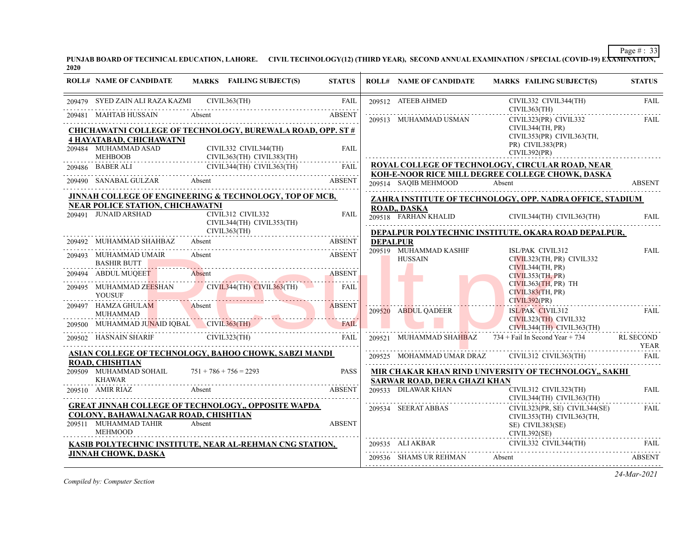**PUNJAB BOARD OF TECHNICAL EDUCATION, LAHORE. CIVIL TECHNOLOGY(12) (THIRD YEAR), SECOND ANNUAL EXAMINATION / SPECIAL (COVID-19) EXAMINATION, 2020**

| <b>ROLL# NAME OF CANDIDATE</b>                                                  | MARKS FAILING SUBJECT(S)                                             | <b>STATUS</b> |                 | <b>ROLL# NAME OF CANDIDATE</b>      | MARKS FAILING SUBJECT(S)                                                                                  | <b>STATUS</b> |
|---------------------------------------------------------------------------------|----------------------------------------------------------------------|---------------|-----------------|-------------------------------------|-----------------------------------------------------------------------------------------------------------|---------------|
| 209479 SYED ZAIN ALI RAZA KAZMI CIVIL363(TH)                                    |                                                                      | <b>FAIL</b>   |                 | 209512 ATEEB AHMED                  | CIVIL332 CIVIL344(TH)<br>CIVIL363(TH)                                                                     | <b>FAIL</b>   |
|                                                                                 | 209481 MAHTAB HUSSAIN Absent ABSENT                                  |               |                 | 209513 MUHAMMAD USMAN               | CIVIL323(PR) CIVIL332<br>CIVIL344(TH, PR)                                                                 | <b>FAIL</b>   |
| <b>4 HAYATABAD, CHICHAWATNI</b>                                                 | <b>CHICHAWATNI COLLEGE OF TECHNOLOGY, BUREWALA ROAD, OPP. ST #</b>   |               |                 |                                     | CIVIL353(PR) CIVIL363(TH,                                                                                 |               |
| 209484 MUHAMMAD ASAD<br>MEHBOOB                                                 | CIVIL332 CIVIL344(TH)<br>CIVIL363(TH) CIVIL383(TH)                   | FAII.         |                 |                                     | PR) CIVIL383(PR)<br>CIVIL392(PR)                                                                          |               |
|                                                                                 | 209486 BABER ALI CIVIL344(TH) CIVIL363(TH) FAIL                      |               |                 |                                     | <b>ROYAL COLLEGE OF TECHNOLOGY, CIRCULAR ROAD, NEAR</b>                                                   |               |
| 209490 SANABAL GULZAR Absent                                                    |                                                                      | <b>ABSENT</b> |                 | 209514 SAQIB MEHMOOD                | KOH-E-NOOR RICE MILL DEGREE COLLEGE CHOWK, DASKA<br>Absent                                                | <b>ABSENT</b> |
|                                                                                 | JINNAH COLLEGE OF ENGINEERING & TECHNOLOGY, TOP OF MCB,              |               |                 |                                     | ZAHRA INSTITUTE OF TECHNOLOGY, OPP. NADRA OFFICE, STADIUM                                                 |               |
| <b>NEAR POLICE STATION, CHICHAWATNI</b><br>209491 JUNAID ARSHAD                 | CIVIL312 CIVIL332<br>CIVIL344(TH) CIVIL353(TH)                       | <b>FAIL</b>   |                 | <b>ROAD., DASKA</b>                 | 209518 FARHAN KHALID CIVIL344(TH) CIVIL363(TH)                                                            | <b>FAIL</b>   |
|                                                                                 | CIVIL363(TH)                                                         |               |                 |                                     | DEPALPUR POLYTECHNIC INSTITUTE, OKARA ROAD DEPALPUR,                                                      |               |
| 209492 MUHAMMAD SHAHBAZ Absent                                                  |                                                                      | ABSENT        | <b>DEPALPUR</b> |                                     |                                                                                                           |               |
| 209493 MUHAMMAD UMAIR<br><b>BASHIR BUTT</b>                                     | Absent                                                               | ABSENT        |                 | 209519 MUHAMMAD KASHIF<br>HUSSAIN   | ISL/PAK CIVIL312<br>CIVIL323(TH, PR) CIVIL332<br>CIVIL344(TH, PR)                                         | FAIL          |
|                                                                                 | 209494 ABDUL MUQEET Absent ABSENT                                    |               |                 |                                     | CIVIL353(TH, PR)                                                                                          |               |
| <b>YOUSUF</b>                                                                   | 209495 MUHAMMAD ZEESHAN CIVIL344(TH) CIVIL363(TH)                    | FAIL.         |                 |                                     | CIVIL363(TH, PR) TH<br>CIVIL383(TH, PR)                                                                   |               |
|                                                                                 | 209497 HAMZA GHULAM Absent ABSENT                                    |               |                 | 209520 ABDUL QADEER                 | CIVIL392(PR)<br>ISL/PAK CIVIL312<br>CIVIL323(TH) CIVIL332                                                 | FAIL          |
| 209500 MUHAMMAD JUNAID IQBAL CIVIL363(TH)                                       | 209500 MUHAMMAD JU <mark>NA</mark> ID IQBAL CIVIL363(TH) FAIL FAIL   | FAIL          |                 |                                     | CIVIL344(TH) CIVIL363(TH)                                                                                 |               |
|                                                                                 | 209502 HASNAIN SHARIF CIVIL323(TH)                                   | FAIL          |                 |                                     | 209521 MUHAMMAD SHAHBAZ 734 + Fail In Second Year + 734 RL SECOND                                         | YEAR          |
|                                                                                 | <u>ASIAN COLLEGE OF TECHNOLOGY, BAHOO CHOWK, SABZI MANDI</u>         |               |                 |                                     | $209525 \quad \text{MOHAMMAD UMAR DRAZ} \quad \quad \text{CIVIL312 CIVIL363(TH)} \quad \quad \text{FAIL}$ |               |
| <b>ROAD, CHISHTIAN</b><br>209509 MUHAMMAD SOHAIL<br><b>KHAWAR</b>               | $751 + 786 + 756 = 2293$                                             | <b>PASS</b>   |                 | SARWAR ROAD, DERA GHAZI KHAN        | MIR CHAKAR KHAN RIND UNIVERSITY OF TECHNOLOGY,, SAKHI                                                     |               |
| 209510 AMIR RIAZ                                                                | Absent<br><b>ABSENT</b>                                              |               |                 |                                     | 209533 DILAWAR KHAN CIVIL312 CIVIL323(TH)<br>CIVIL344(TH) CIVIL363(<br>CIVIL344(TH) CIVIL363(TH)          | <b>FAIL</b>   |
| COLONY, BAHAWALNAGAR ROAD, CHISHTIAN<br>209511 MUHAMMAD TAHIR<br><b>MEHMOOD</b> | <b>GREAT JINNAH COLLEGE OF TECHNOLOGY,, OPPOSITE WAPDA</b><br>Absent | <b>ABSENT</b> |                 | 209534 SEERAT ABBAS<br>CIVIL392(SE) | CIVIL323(PR, SE) CIVIL344(SE)<br>CIVIL353(TH) CIVIL363(TH,<br>SE) CIVIL383(SE)                            | FAIL          |
|                                                                                 | KASIB POLYTECHNIC INSTITUTE, NEAR AL-REHMAN CNG STATION,             |               |                 |                                     | 209535 ALI AKBAR CIVIL332 CIVIL344(TH) FAIL                                                               |               |
| <b>JINNAH CHOWK, DASKA</b>                                                      |                                                                      |               |                 | 209536 SHAMS UR REHMAN Absent       |                                                                                                           | ABSENT        |
|                                                                                 |                                                                      |               |                 |                                     |                                                                                                           |               |

*Compiled by: Computer Section*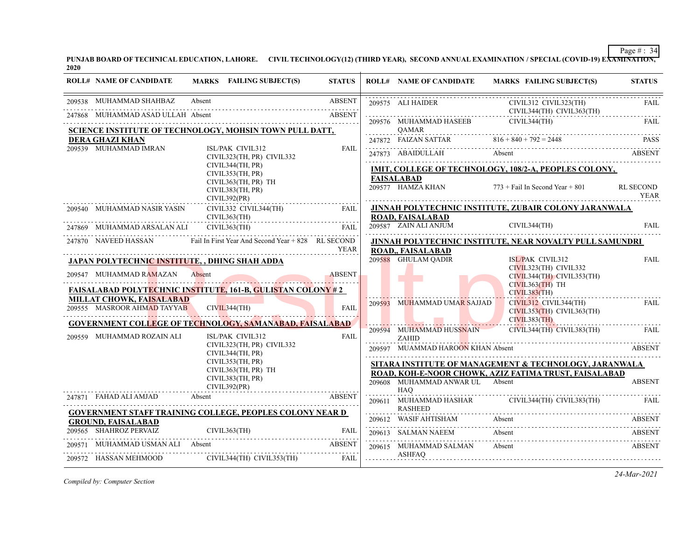**PUNJAB BOARD OF TECHNICAL EDUCATION, LAHORE. CIVIL TECHNOLOGY(12) (THIRD YEAR), SECOND ANNUAL EXAMINATION / SPECIAL (COVID-19) EXAMINATION, 2020**

| <b>ROLL# NAME OF CANDIDATE</b>                 | MARKS FAILING SUBJECT(S)                                                | <b>STATUS</b> |   |                                     | ROLL# NAME OF CANDIDATE MARKS FAILING SUBJECT(S)                   | <b>STATUS</b>                   |
|------------------------------------------------|-------------------------------------------------------------------------|---------------|---|-------------------------------------|--------------------------------------------------------------------|---------------------------------|
| 209538 MUHAMMAD SHAHBAZ                        | Absent                                                                  | <b>ABSENT</b> |   |                                     | 209575 ALI HAIDER CIVIL312 CIVIL323(TH) FAIL CIVIL323(TH) FAIL     |                                 |
| 247868 MUHAMMAD ASAD ULLAH Absent              | AD ASAD ULLAH Absent ABSENT                                             | <b>ABSENT</b> |   | 209576 MUHAMMAD HASEEB CIVIL344(TH) |                                                                    | FAII.                           |
|                                                | SCIENCE INSTITUTE OF TECHNOLOGY, MOHSIN TOWN PULL DATT,                 |               | . | QAMAR                               |                                                                    |                                 |
| <b>DERA GHAZI KHAN</b>                         |                                                                         |               |   |                                     | 247872 FAIZAN SATTAR 816 + 840 + 792 = 2448 PASS                   |                                 |
| 209539 MUHAMMAD IMRAN                          | ISL/PAK CIVIL312<br>CIVIL323(TH, PR) CIVIL332                           | <b>FAIL</b>   |   |                                     |                                                                    |                                 |
|                                                | CIVIL344(TH, PR)<br>CIVIL353(TH, PR)                                    |               |   |                                     | IMIT, COLLEGE OF TECHNOLOGY, 108/2-A, PEOPLES COLONY,              |                                 |
|                                                | CIVIL363(TH, PR) TH<br>CIVIL383(TH, PR)<br>CIVIL392(PR)                 |               |   | <b>FAISALABAD</b>                   | 209577 HAMZA KHAN 773 + Fail In Second Year + 801                  | <b>RL SECOND</b><br><b>YEAR</b> |
|                                                | CIVIL332 CIVIL344(TH) FAIL                                              |               |   |                                     | JINNAH POLYTECHNIC INSTITUTE, ZUBAIR COLONY JARANWALA              |                                 |
|                                                | CIVIL363(TH)                                                            |               |   | ROAD. FAISALABAD                    |                                                                    |                                 |
| 247869 MUHAMMAD ARSALAN ALI CIVIL363(TH)       | $SALAN ALI$ $CIVIL363(TH)$ $FAIL$                                       |               |   |                                     | 209587 ZAIN ALI ANJUM CIVIL344(TH) FAIL                            |                                 |
|                                                | 247870 NAVEED HASSAN Fail In First Year And Second Year + 828 RL SECOND | YEAR          |   | <b>ROAD., FAISALABAD</b>            | JINNAH POLYTECHNIC INSTITUTE, NEAR NOVALTY PULL SAMUNDRI           |                                 |
| JAPAN POLYTECHNIC INSTITUTE, , DHING SHAH ADDA |                                                                         |               |   | 209588 GHULAM QADIR                 | ISL/PAK CIVIL312                                                   | FAIL                            |
| 209547 MUHAMMAD RAMAZAN                        | 547 MUHAMMAD RAMAZAN Absent ABSENT                                      | <b>ABSENT</b> |   |                                     | CIVIL323(TH) CIVIL332<br>CIVIL344(TH) CIVIL353(TH)                 |                                 |
|                                                | <b>FAISALABAD POLYTECHNIC INSTITUTE, 161-B, GULISTAN COLONY#2</b>       |               |   |                                     | $CIVIL363(TH)$ TH                                                  |                                 |
| <b>MILLAT CHOWK, FAISALABAD</b>                |                                                                         |               |   |                                     | CIVIL383(TH)                                                       |                                 |
| 209555 MASROOR AHMAD TAYYAB CIVIL344(TH)       |                                                                         | <b>FAIL</b>   |   | 209593 MUHAMMAD UMAR SAJJAD         | CIVIL312 CIVIL344(TH)<br>CIVIL353(TH) CIVIL363(TH)<br>CIVIL383(TH) | <b>FAIL</b>                     |
|                                                | <b>GOVERNMENT COLLEGE OF TECHNOLOGY, SAMANABAD, FAISALABAD</b>          |               |   |                                     | 209594 MUHAMMAD HUSSNAIN CIVIL344(TH) CIVIL383(TH) FAIL            |                                 |
| 209559 MUHAMMAD ROZAIN ALI                     | ISL/PAK CIVIL312                                                        | <b>FAIL</b>   |   | ZAHID                               |                                                                    |                                 |
|                                                | CIVIL323(TH, PR) CIVIL332<br>CIVIL344(TH, PR)                           |               |   | 209597 MUAMMAD HAROON KHAN Absent   |                                                                    | ABSENT                          |
|                                                | CIVIL353(TH, PR)                                                        |               |   |                                     | SITARA INSTITUTE OF MANAGEMENT & TECHNOLOGY, JARANWALA             |                                 |
|                                                | CIVIL363(TH, PR) TH                                                     |               |   |                                     | ROAD, KOH-E-NOOR CHOWK, AZIZ FATIMA TRUST, FAISALABAD              |                                 |
|                                                | CIVIL383(TH, PR)<br>CIVIL392(PR)                                        |               |   |                                     | 209608 MUHAMMAD ANWAR UL Absent                                    | <b>ABSENT</b>                   |
|                                                | 247871 FAHAD ALI AMJAD Absent ABSENT                                    |               |   | HAO                                 |                                                                    | FAIL                            |
|                                                | <b>GOVERNMENT STAFF TRAINING COLLEGE, PEOPLES COLONY NEAR D</b>         |               |   | <b>RASHEED</b>                      |                                                                    |                                 |
| <b>GROUND, FAISALABAD</b>                      |                                                                         |               |   |                                     | 209612 WASIF AHTISHAM Absent ABSENT                                |                                 |
| 209565 SHAHROZ PERVAIZ                         |                                                                         |               |   | 209613 SALMAN NAEEM                 | Absent                                                             | ABSENT                          |
|                                                | 99571 MUHAMMAD USMAN ALI Absent ABSENT                                  |               |   | 209615 MUHAMMAD SALMAN              | Absent                                                             | <b>ABSENT</b>                   |
|                                                | 209572 HASSAN MEHMOOD CIVIL344(TH) CIVIL353(TH) FAIL                    |               |   | ASHFAO                              |                                                                    |                                 |
|                                                |                                                                         |               |   |                                     |                                                                    |                                 |

*Compiled by: Computer Section*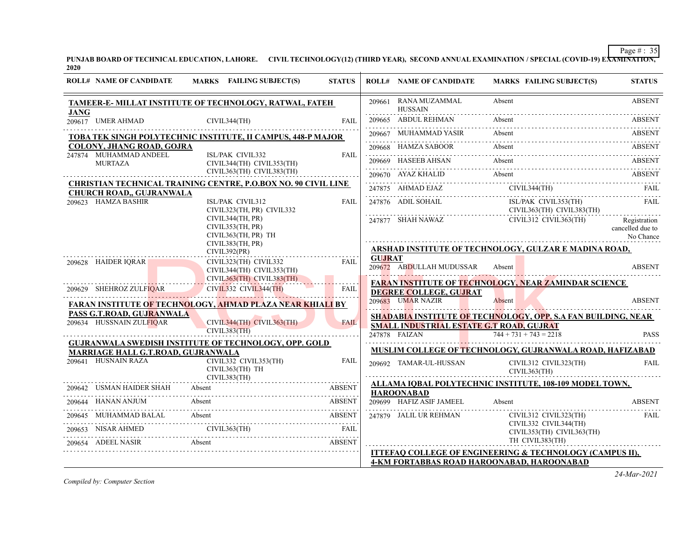**PUNJAB BOARD OF TECHNICAL EDUCATION, LAHORE. CIVIL TECHNOLOGY(12) (THIRD YEAR), SECOND ANNUAL EXAMINATION / SPECIAL (COVID-19) EXAMINATION, 2020**

| <b>ROLL# NAME OF CANDIDATE</b>            | <b>MARKS</b> FAILING SUBJECT(S)                                                                                                                                                                                                 | <b>STATUS</b>                                            |               | <b>ROLL# NAME OF CANDIDATE</b>                                                                                                                                                                                                                                                                                                                                                                                                                                               |                          | <b>MARKS FAILING SUBJECT(S)</b>                | <b>STATUS</b>                                 |
|-------------------------------------------|---------------------------------------------------------------------------------------------------------------------------------------------------------------------------------------------------------------------------------|----------------------------------------------------------|---------------|------------------------------------------------------------------------------------------------------------------------------------------------------------------------------------------------------------------------------------------------------------------------------------------------------------------------------------------------------------------------------------------------------------------------------------------------------------------------------|--------------------------|------------------------------------------------|-----------------------------------------------|
| <b>JANG</b>                               | TAMEER-E- MILLAT INSTITUTE OF TECHNOLOGY, RATWAL, FATEH                                                                                                                                                                         |                                                          |               | 209661 RANA MUZAMMAL<br><b>HUSSAIN</b>                                                                                                                                                                                                                                                                                                                                                                                                                                       | Absent                   |                                                | <b>ABSENT</b>                                 |
| 209617 UMER AHMAD                         | CIVIL344(TH)                                                                                                                                                                                                                    | <b>FAII</b>                                              |               | 209665 ABDUL REHMAN<br>209665 ABDUL REHMAN Absent ABSENT                                                                                                                                                                                                                                                                                                                                                                                                                     | Absent                   |                                                | <b>ABSENT</b>                                 |
|                                           | TOBA TEK SINGH POLYTECHNIC INSTITUTE, II CAMPUS, 448-P MAJOR                                                                                                                                                                    |                                                          |               | 209667 MUHAMMAD YASIR<br>209667 MUHAMMAD YASIR Absent Assemnt ABSENT                                                                                                                                                                                                                                                                                                                                                                                                         | Absent                   |                                                | <b>ABSENT</b>                                 |
| COLONY, JHANG ROAD, GOJRA                 |                                                                                                                                                                                                                                 |                                                          |               | 209668 HAMZA SABOOR Absent ABSENT                                                                                                                                                                                                                                                                                                                                                                                                                                            |                          |                                                |                                               |
| 247874 MUHAMMAD ANDEEL<br><b>MURTAZA</b>  | ISL/PAK CIVIL332<br>CIVIL344(TH) CIVIL353(TH)                                                                                                                                                                                   | <b>FAIL</b>                                              |               | 209669 HASEEB AHSAN<br>209669 HASEEB AHSAN Absent Absent ABSENT                                                                                                                                                                                                                                                                                                                                                                                                              | Absent                   |                                                |                                               |
|                                           | CIVIL363(TH) CIVIL383(TH)                                                                                                                                                                                                       |                                                          |               | 209670 AYAZ KHALID Absent ABSENT                                                                                                                                                                                                                                                                                                                                                                                                                                             |                          |                                                |                                               |
|                                           | <b>CHRISTIAN TECHNICAL TRAINING CENTRE, P.O.BOX NO. 90 CIVIL LINE</b>                                                                                                                                                           |                                                          |               |                                                                                                                                                                                                                                                                                                                                                                                                                                                                              |                          |                                                |                                               |
| <b>CHURCH ROAD,, GUJRANWALA</b>           |                                                                                                                                                                                                                                 |                                                          |               | $\begin{tabular}{ll} 247875 & AHMAD EJAZ & CIVIL344(TH) & FAIL \\ \hline \end{tabular} \begin{tabular}{ll} \multicolumn{3}{l}{} & CHIL-1 & CHIL \\ \multicolumn{3}{l}{} & \multicolumn{3}{l}{} & CHIL-1 \\ \multicolumn{3}{l}{} & \multicolumn{3}{l}{} & CHIL-1 \\ \multicolumn{3}{l}{} & \multicolumn{3}{l}{} & \multicolumn{3}{l}{} \\ \multicolumn{3}{l}{} & \multicolumn{3}{l}{} & \multicolumn{3}{l}{} \\ \multicolumn{3}{l}{} & \multicolumn{3}{l}{} & \multicolumn{3$ |                          |                                                |                                               |
| 209623 HAMZA BASHIR                       | ISL/PAK CIVIL312<br>CIVIL323(TH, PR) CIVIL332                                                                                                                                                                                   | <b>FAIL</b>                                              |               | 247876 ADIL SOHAIL<br>$CIVIL363(TH)$ $CIVIL363(TH)$ $CIVIL383(TH)$                                                                                                                                                                                                                                                                                                                                                                                                           |                          | ISL/PAK CIVIL353(TH)                           | FAII.                                         |
|                                           | CIVIL344(TH, PR)<br>CIVIL353(TH, PR)<br>CIVIL363(TH, PR) TH                                                                                                                                                                     |                                                          |               | 247877 SHAH NAWAZ                                                                                                                                                                                                                                                                                                                                                                                                                                                            |                          | CIVIL312 CIVIL363(TH)                          | Registration<br>cancelled due to<br>No Chance |
|                                           | CIVIL383(TH, PR)<br>CIVIL392(PR)                                                                                                                                                                                                |                                                          |               | ARSHAD INSTITUTE OF TECHNOLOGY, GULZAR E MADINA ROAD,                                                                                                                                                                                                                                                                                                                                                                                                                        |                          |                                                |                                               |
| 209628 HAIDER IQRAR                       | CIVIL323(TH) CIVIL332<br>CIVIL344(TH) CIVIL353(TH)                                                                                                                                                                              | <b>FAIL</b>                                              | <b>GUJRAT</b> | 209672 ABDULLAH MUDUSSAR                                                                                                                                                                                                                                                                                                                                                                                                                                                     | Absent                   |                                                | <b>ABSENT</b>                                 |
|                                           | $CIVIL363(TH)$ $CIVIL383(TH)$                                                                                                                                                                                                   |                                                          |               | <b>FARAN INSTITUTE OF TECHNOLOGY, NEAR ZAMINDAR SCIENCE</b>                                                                                                                                                                                                                                                                                                                                                                                                                  |                          |                                                |                                               |
| 209629 SHEHROZ ZULFIQAR                   | CIVIL332 CIVIL344(TH)                                                                                                                                                                                                           | FAIL                                                     |               | <b>DEGREE COLLEGE, GUJRAT</b>                                                                                                                                                                                                                                                                                                                                                                                                                                                |                          |                                                |                                               |
|                                           | <b>FARAN INSTITUTE OF TECHNOLOGY, AHMAD PLAZA NEAR KHIALI BY</b>                                                                                                                                                                |                                                          |               | 209683 UMAR NAZIR                                                                                                                                                                                                                                                                                                                                                                                                                                                            | Absent                   |                                                | <b>ABSENT</b>                                 |
| PASS G.T.ROAD, GUJRANWALA                 |                                                                                                                                                                                                                                 |                                                          |               | SHADABIA INSTITUTE OF TECHNOLOGY, OPP. S.A FAN BUILDING, NEAR                                                                                                                                                                                                                                                                                                                                                                                                                |                          |                                                |                                               |
| 209634 HUSSNAIN ZULFIOAR                  | CIVIL344(TH) CIVIL363(TH)<br>CIVIL383(TH)                                                                                                                                                                                       | <b>FAIL</b>                                              |               | SMALL INDUSTRIAL ESTATE G.T ROAD, GUJRAT                                                                                                                                                                                                                                                                                                                                                                                                                                     |                          |                                                |                                               |
|                                           |                                                                                                                                                                                                                                 | .                                                        |               | 247878 FAIZAN<br>and the control of                                                                                                                                                                                                                                                                                                                                                                                                                                          | $744 + 731 + 743 = 2218$ |                                                | <b>PASS</b>                                   |
| <b>MARRIAGE HALL G.T.ROAD, GUJRANWALA</b> | <b>GUJRANWALA SWEDISH INSTITUTE OF TECHNOLOGY, OPP. GOLD</b>                                                                                                                                                                    |                                                          |               | <b>MUSLIM COLLEGE OF TECHNOLOGY, GUJRANWALA ROAD, HAFIZABAD</b>                                                                                                                                                                                                                                                                                                                                                                                                              |                          |                                                |                                               |
| 209641 HUSNAIN RAZA                       | CIVIL332 CIVIL353(TH)<br>CIVIL363(TH) TH                                                                                                                                                                                        | <b>FAIL</b>                                              |               | 209692 TAMAR-UL-HUSSAN                                                                                                                                                                                                                                                                                                                                                                                                                                                       |                          | CIVIL312 CIVIL323(TH)<br>CIVIL363(TH)          | <b>FAIL</b>                                   |
|                                           | CIVIL383(TH)                                                                                                                                                                                                                    |                                                          |               | ALLAMA IQBAL POLYTECHNIC INSTITUTE, 108-109 MODEL TOWN,                                                                                                                                                                                                                                                                                                                                                                                                                      |                          |                                                |                                               |
|                                           | 209642 USMAN HAIDER SHAH Absent BREEK ABSENT                                                                                                                                                                                    |                                                          |               | <b>HAROONABAD</b>                                                                                                                                                                                                                                                                                                                                                                                                                                                            |                          |                                                |                                               |
|                                           | 209644 HANAN ANJUM Absent ABSENT                                                                                                                                                                                                |                                                          |               | 209699 HAFIZ ASIF JAMEEL                                                                                                                                                                                                                                                                                                                                                                                                                                                     | Absent                   |                                                | <b>ABSENT</b>                                 |
|                                           | 209645 MUHAMMAD BALAL Absent ABSENT                                                                                                                                                                                             |                                                          |               | 247879 JALIL UR REHMAN                                                                                                                                                                                                                                                                                                                                                                                                                                                       |                          | CIVIL312 CIVIL323(TH)<br>CIVIL332 CIVIL344(TH) | FAIL                                          |
|                                           | 209653 NISAR AHMED CIVIL363(TH) FAIL                                                                                                                                                                                            |                                                          |               |                                                                                                                                                                                                                                                                                                                                                                                                                                                                              |                          | CIVIL353(TH) CIVIL363(TH)                      |                                               |
| 209654 ADEEL NASIR Absent                 | e de la componentación de la componentación de la componentación de la componentación de la componentación de<br>En la componentación de la componentación de la componentación de la componentación de la componentación de la | <b>ABSENT</b>                                            |               |                                                                                                                                                                                                                                                                                                                                                                                                                                                                              |                          | TH CIVIL383(TH)                                |                                               |
|                                           |                                                                                                                                                                                                                                 | ITTEFAQ COLLEGE OF ENGINEERING & TECHNOLOGY (CAMPUS II), |               |                                                                                                                                                                                                                                                                                                                                                                                                                                                                              |                          |                                                |                                               |
|                                           |                                                                                                                                                                                                                                 |                                                          |               | <b>4-KM FORTABBAS ROAD HAROONABAD, HAROONABAD</b>                                                                                                                                                                                                                                                                                                                                                                                                                            |                          |                                                |                                               |

*Compiled by: Computer Section*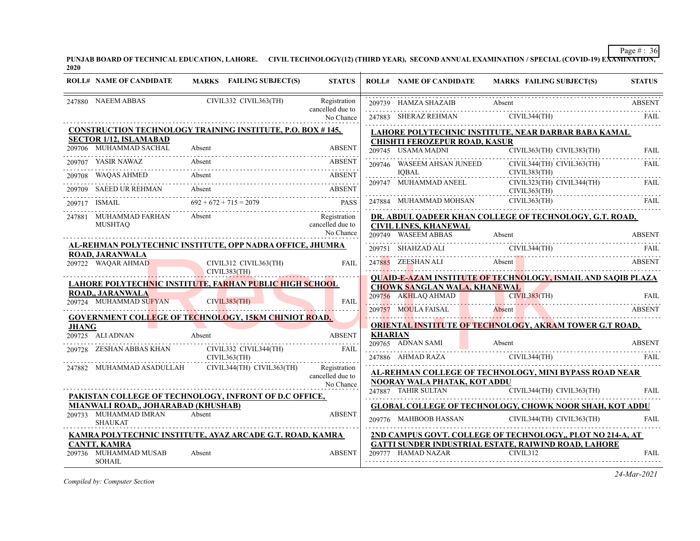**PUNJAB BOARD OF TECHNICAL EDUCATION, LAHORE. CIVIL TECHNOLOGY(12) (THIRD YEAR), SECOND ANNUAL EXAMINATION / SPECIAL (COVID-19) EXAMINATION, 2020**

|              | <b>ROLL# NAME OF CANDIDATE</b>                                                      |        | MARKS FAILING SUBJECT(S)              | <b>STATUS</b>                    |                | <b>ROLL# NAME OF CANDIDATE</b>       | MARKS FAILING SUBJECT(S)                                                                                                          | <b>STATUS</b> |
|--------------|-------------------------------------------------------------------------------------|--------|---------------------------------------|----------------------------------|----------------|--------------------------------------|-----------------------------------------------------------------------------------------------------------------------------------|---------------|
|              | 247880 NAEEM ABBAS                                                                  |        | CIVIL332 CIVIL363(TH)                 | Registration<br>cancelled due to |                |                                      | 199739 HAMZA SHAZAIB Absent ABSENT ABSENT                                                                                         |               |
|              |                                                                                     |        |                                       | No Chance                        |                |                                      | $\begin{tabular}{ll} \bf 247883 & SHERAZ REHMAN & CIVIL344(TH) & FAIL \\ \bf 247883 & SHERAZ REHMAN & CIVIL344(TH) \end{tabular}$ |               |
|              | CONSTRUCTION TECHNOLOGY TRAINING INSTITUTE, P.O. BOX #145,                          |        |                                       |                                  |                |                                      | LAHORE POLYTECHNIC INSTITUTE, NEAR DARBAR BABA KAMAL                                                                              |               |
|              | <b>SECTOR 1/12, ISLAMABAD</b>                                                       |        |                                       |                                  |                | <b>CHISHTI FEROZEPUR ROAD, KASUR</b> |                                                                                                                                   |               |
|              | 209706 MUHAMMAD SACHAL                                                              | Absent |                                       | <b>ABSENT</b>                    |                | 209745 USAMA MADNI                   | CIVIL363(TH) CIVIL383(TH)                                                                                                         | <b>FAIL</b>   |
|              | 209707 YASIR NAWAZ                                                                  | Absent |                                       | <b>ABSENT</b>                    |                | 209746 WASEEM AHSAN JUNEED           | CIVIL344(TH) CIVIL363(TH)                                                                                                         | FAIL          |
| 209708       | <b>WAQAS AHMED</b>                                                                  | Absent |                                       | <b>ABSENT</b>                    |                | <b>IOBAL</b>                         | CIVIL383(TH)                                                                                                                      |               |
|              | <b>SAEED UR REHMAN</b><br>SAEED UR REHMAN Absent ABSENT ABSENT                      | Absent |                                       | <b>ABSENT</b>                    |                | 209747 MUHAMMAD ANEEL                | CIVIL323(TH) CIVIL344(TH)<br>CIVIL363(TH)                                                                                         | FAIL          |
| 209717       | 9717 ISMAIL $692 + 672 + 715 = 2079$ PASS                                           |        |                                       |                                  |                | 247884 MUHAMMAD MOHSAN               | CIVIL363(TH)                                                                                                                      | <b>FAIL</b>   |
|              | 247881 MUHAMMAD FARHAN                                                              | Absent |                                       | Registration                     |                |                                      | DR. ABDUL QADEER KHAN COLLEGE OF TECHNOLOGY, G.T. ROAD,                                                                           |               |
|              | <b>MUSHTAO</b>                                                                      |        |                                       | cancelled due to                 |                | <b>CIVIL LINES, KHANEWAL</b>         |                                                                                                                                   |               |
|              |                                                                                     |        |                                       | No Chance                        |                |                                      | 109749 WASEEM ABBAS Absent ABSENT                                                                                                 |               |
|              | AL-REHMAN POLYTECHNIC INSTITUTE, OPP NADRA OFFICE, JHUMRA<br><b>ROAD, JARANWALA</b> |        |                                       |                                  |                |                                      | 209751 SHAHZAD ALI CIVIL344(TH) FAIL FAIL CIVIL 200751 CIVIL 200751 CIVIL 200751 CIVIL 200751 CIVIL 200751 CIVIL                  |               |
|              | 209722 WAQAR AHMAD                                                                  |        | CIVIL312 CIVIL363(TH)<br>CIVIL383(TH) | <b>FAIL</b>                      |                |                                      | 247885 ZEESHAN ALI Absent Absent Absence and Absence Absence Absence Absence Absence Absence Absence Absence A                    | <b>ABSENT</b> |
|              | <b>LAHORE POLYTECHNIC INSTITUTE, FARHAN PUBLIC HIGH SCHOOL</b>                      |        |                                       |                                  |                |                                      | <b>QUAID-E-AZAM INSTITUTE OF TECHNOLOGY, ISMAIL AND SAQIB PLAZA</b>                                                               |               |
|              | ROAD,, JARANWALA                                                                    |        |                                       |                                  |                | <b>CHOWK SANGLAN WALA, KHANEWAL</b>  |                                                                                                                                   |               |
|              | 209724 MUHAMMAD SUFYAN CIVIL383(TH)                                                 |        |                                       | <b>FAIL</b>                      |                |                                      |                                                                                                                                   |               |
|              | <b>GOVERNMENT COLLEGE OF TECHNOLOGY, 15KM CHINIOT ROAD,</b>                         |        |                                       |                                  |                |                                      | ENERGISTER AND CIVIL383(TH) FAIL CONTENT ABSENT ABSENT                                                                            |               |
| <b>JHANG</b> |                                                                                     |        |                                       |                                  |                |                                      | <b>ORIENTAL INSTITUTE OF TECHNOLOGY, AKRAM TOWER G.T ROAD,</b>                                                                    |               |
|              | 209725 ALI ADNAN                                                                    | Absent |                                       | <b>ABSENT</b>                    | <b>KHARIAN</b> | 209765 ADNAN SAMI                    | Absent                                                                                                                            | <b>ABSENT</b> |
|              |                                                                                     |        |                                       | FAIL                             |                |                                      |                                                                                                                                   |               |
|              |                                                                                     |        | CIVIL363(TH)                          | Registration                     |                |                                      | 247886 AHMAD RAZA CIVIL344(TH)                                                                                                    |               |
|              | 247882 MUHAMMAD ASADULLAH                                                           |        | CIVIL344(TH) CIVIL363(TH)             | cancelled due to                 |                |                                      | AL-REHMAN COLLEGE OF TECHNOLOGY, MINI BYPASS ROAD NEAR                                                                            |               |
|              |                                                                                     |        |                                       | No Chance                        |                | NOORAY WALA PHATAK, KOT ADDU         |                                                                                                                                   |               |
|              | PAKISTAN COLLEGE OF TECHNOLOGY, INFRONT OF D.C OFFICE,                              |        |                                       |                                  |                | 247887 TAHIR SULTAN                  | CIVIL344(TH) CIVIL363(TH)                                                                                                         | <b>FAIL</b>   |
|              | MIANWALI ROAD,, JOHARABAD (KHUSHAB)                                                 |        |                                       |                                  |                |                                      | <b>GLOBAL COLLEGE OF TECHNOLOGY, CHOWK NOOR SHAH, KOT ADDU</b>                                                                    |               |
|              | 209733 MUHAMMAD IMRAN<br><b>SHAUKAT</b>                                             | Absent |                                       | <b>ABSENT</b>                    |                | 209776 MAHBOOB HASSAN                | CIVIL344(TH) CIVIL363(TH)                                                                                                         | <b>FAIL</b>   |
|              | KAMRA POLYTECHNIC INSTITUTE, AYAZ ARCADE G.T. ROAD, KAMRA                           |        |                                       |                                  |                |                                      | 2ND CAMPUS GOVT. COLLEGE OF TECHNOLOGY,, PLOT NO 214-A, AT                                                                        |               |
|              | <b>CANTT, KAMRA</b>                                                                 |        |                                       |                                  |                |                                      | GATTI SUNDER INDUSTRIAL ESTATE, RAIWIND ROAD, LAHORE                                                                              |               |
|              | 209736 MUHAMMAD MUSAB<br>SOHAIL                                                     | Absent |                                       | <b>ABSENT</b>                    |                | 209777 HAMAD NAZAR                   | CIVIL312                                                                                                                          | FAIL          |

*Compiled by: Computer Section*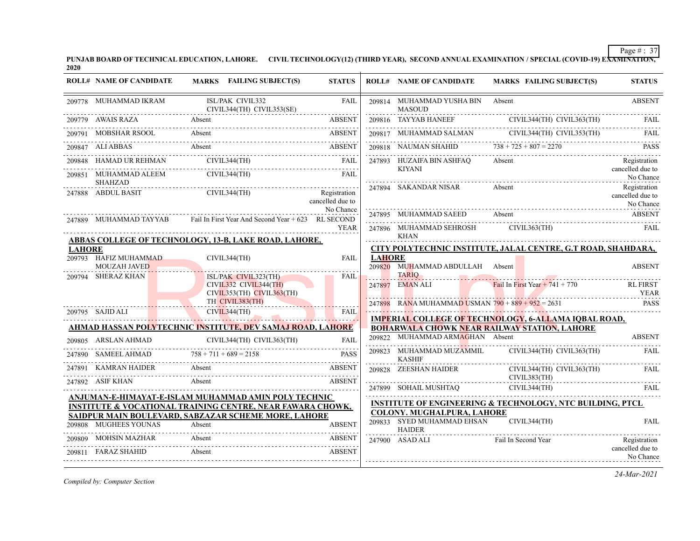**PUNJAB BOARD OF TECHNICAL EDUCATION, LAHORE. CIVIL TECHNOLOGY(12) (THIRD YEAR), SECOND ANNUAL EXAMINATION / SPECIAL (COVID-19) EXAMINATION, 2020**

|               | <b>ROLL# NAME OF CANDIDATE</b>               | MARKS FAILING SUBJECT(S)                                                                                                      | <b>STATUS</b>                    |               | <b>ROLL# NAME OF CANDIDATE</b>                | <b>MARKS FAILING SUBJECT(S)</b>                                      | <b>STATUS</b>                                           |
|---------------|----------------------------------------------|-------------------------------------------------------------------------------------------------------------------------------|----------------------------------|---------------|-----------------------------------------------|----------------------------------------------------------------------|---------------------------------------------------------|
|               | 209778 MUHAMMAD IKRAM                        | ISL/PAK CIVIL332<br>CIVIL344(TH) CIVIL353(SE)                                                                                 | <b>FAIL</b>                      |               | 209814 MUHAMMAD YUSHA BIN<br><b>MASOUD</b>    | Absent                                                               | <b>ABSENT</b>                                           |
|               |                                              | 209779 AWAIS RAZA Absent ABSENT                                                                                               |                                  |               | 209816 TAYYAB HANEEF                          | CIVIL344(TH) CIVIL363(TH)                                            | FAIL                                                    |
|               |                                              | 209791 MOBSHAR RSOOL Absent ABSENT                                                                                            |                                  |               |                                               | 209817 MUHAMMAD SALMAN CIVIL344(TH) CIVIL353(TH)                     | FAIL                                                    |
|               |                                              | 209847 ALIABBAS Absent ABSENT                                                                                                 |                                  |               | 209818 NAUMAN SHAHID $738 + 725 + 807 = 2270$ |                                                                      | <b>PASS</b>                                             |
|               |                                              |                                                                                                                               |                                  |               | 247893 HUZAIFA BIN ASHFAQ                     | Absent                                                               | Registration                                            |
|               | 209851 MUHAMMAD ALEEM<br>SHAHZAD             | CIVIL344(TH)                                                                                                                  | FAII.                            |               | <b>KIYANI</b>                                 |                                                                      | cancelled due to<br>No Chance                           |
|               | 247888 ABDUL BASIT                           | CIVIL344(TH)                                                                                                                  | Registration<br>cancelled due to |               | 247894 SAKANDAR NISAR                         | Absent                                                               | Registration<br>cancelled due to<br>No Chance           |
|               |                                              | 247889 MUHAMMAD TAYYAB Fail In First Year And Second Year + 623 RL SECOND                                                     | No Chance                        |               | 247895 MUHAMMAD SAEED                         |                                                                      |                                                         |
|               |                                              |                                                                                                                               | <b>YEAR</b>                      |               | <b>KHAN</b>                                   | 247896 MUHAMMAD SEHROSH CIVIL363(TH)                                 | FAIL                                                    |
| <b>LAHORE</b> |                                              | ABBAS COLLEGE OF TECHNOLOGY, 13-B, LAKE ROAD, LAHORE,                                                                         |                                  |               |                                               | CITY POLYTECHNIC INSTITUTE, JALAL CENTRE, G.T ROAD, SHAHDARA,        |                                                         |
|               | 209793 HAFIZ MUHAMMAD<br><b>MOUZAH JAVED</b> | CIVIL344(TH)                                                                                                                  | FAIL                             | <b>LAHORE</b> | 209820 MUHAMMAD ABDULLAH Absent               |                                                                      | <b>ABSENT</b>                                           |
|               | 209794 SHERAZ KHAN                           | ISL/PAK CIVIL323(TH)<br>CIVIL332 CIVIL344(TH)<br>$CIVIL353(TH)$ $CIVIL363(TH)$                                                | FAII.                            |               | <b>TARIO</b><br>247897 EMAN ALI               | Fail In First Year $+ 741 + 770$                                     | <b>RL FIRST</b><br><b>YEAR</b>                          |
|               |                                              | TH CIVIL383(TH)                                                                                                               |                                  |               |                                               | 247898 RANA MUHAMMAD USMAN $790 + 889 + 952 = 2631$                  | <b>PASS</b>                                             |
|               | 209795 SAJID ALI                             | CIVIL344(TH)<br><b>TA</b>                                                                                                     | <b>FAIL</b>                      |               |                                               | <b>IMPERIAL COLLEGE OF TECHNOLOGY, 6-ALLAMA IQBAL ROAD,</b>          |                                                         |
|               |                                              | AHMAD HASSAN POLYTECHNIC INSTITUTE, DEV SAMAJ ROAD, LAHORE                                                                    |                                  |               |                                               | <b>BOHARWALA CHOWK NEAR RAILWAY STATION, LAHORE</b>                  |                                                         |
|               | 209805 ARSLAN AHMAD                          | CIVIL344(TH) CIVIL363(TH)                                                                                                     |                                  |               | 209822 MUHAMMAD ARMAGHAN Absent               |                                                                      | <b>ABSENT</b>                                           |
|               | 247890 SAMEEL AHMAD $758 + 711 + 689 = 2158$ |                                                                                                                               | <b>PASS</b>                      |               | 209823 MUHAMMAD MUZAMMIL<br><b>KASHIF</b>     | CIVIL344(TH) CIVIL363(TH)                                            | FAIL                                                    |
|               | 247891 KAMRAN HAIDER                         | Absent                                                                                                                        | <b>ABSENT</b>                    |               | 209828 ZEESHAN HAIDER                         | CIVIL344(TH) CIVIL363(TH)<br>CIVIL383(TH)                            | FAIL                                                    |
|               | 247892 ASIF KHAN                             | Absent                                                                                                                        | ABSENT                           |               | 247899 SOHAIL MUSHTAQ                         | CIVIL344(TH)                                                         | <b>FAIL</b>                                             |
|               |                                              | ANJUMAN-E-HIMAYAT-E-ISLAM MUHAMMAD AMIN POLY TECHNIC<br><b>INSTITUTE &amp; VOCATIONAL TRAINING CENTRE, NEAR FAWARA CHOWK,</b> |                                  |               |                                               | <b>INSTITUTE OF ENGINEERING &amp; TECHNOLOGY, NTC BUILDING, PTCL</b> |                                                         |
|               |                                              | SAIDPUR MAIN BOULEVARD, SABZAZAR SCHEME MORE, LAHORE                                                                          |                                  |               | <b>COLONY. MUGHALPURA, LAHORE</b>             |                                                                      |                                                         |
|               | 209808 MUGHEES YOUNAS                        | Absent<br>09808 MUGHEES YOUNAS Absent ABSENT ABSENT                                                                           | <b>ABSENT</b>                    |               | 209833 SYED MUHAMMAD EHSAN<br><b>HAIDER</b>   | CIVIL344(TH)                                                         | <b>FAIL</b>                                             |
|               | 209809 MOHSIN MAZHAR<br>209811 FARAZ SHAHID  | Absent<br>Absent                                                                                                              | <b>ABSENT</b><br><b>ABSENT</b>   |               | 247900 ASAD ALI                               | Fail In Second Year                                                  | de de de de de dece<br>Registration<br>cancelled due to |
|               |                                              |                                                                                                                               |                                  |               |                                               |                                                                      | No Chance                                               |

*Compiled by: Computer Section*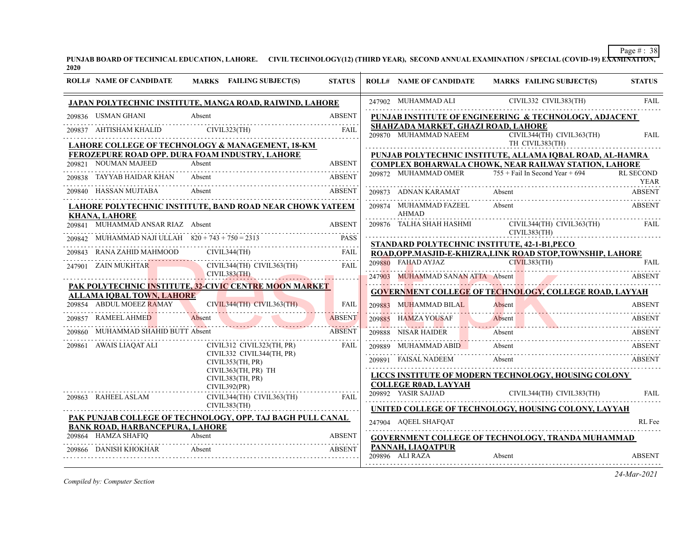**PUNJAB BOARD OF TECHNICAL EDUCATION, LAHORE. CIVIL TECHNOLOGY(12) (THIRD YEAR), SECOND ANNUAL EXAMINATION / SPECIAL (COVID-19) EXAMINATION, 2020**

| <b>ROLL# NAME OF CANDIDATE</b>               | MARKS FAILING SUBJECT(S)                                   | <b>STATUS</b>      |        | <b>ROLL# NAME OF CANDIDATE</b>                               | MARKS FAILING SUBJECT(S)                                                                                                  | <b>STATUS</b>    |
|----------------------------------------------|------------------------------------------------------------|--------------------|--------|--------------------------------------------------------------|---------------------------------------------------------------------------------------------------------------------------|------------------|
|                                              | JAPAN POLYTECHNIC INSTITUTE, MANGA ROAD, RAIWIND, LAHORE   |                    |        | 247902 MUHAMMAD ALI                                          | CIVIL332 CIVIL383(TH)                                                                                                     | <b>FAIL</b>      |
| 209836 USMAN GHANI                           | Absent                                                     | <b>ABSENT</b>      |        |                                                              | PUNJAB INSTITUTE OF ENGINEERING & TECHNOLOGY, ADJACENT                                                                    |                  |
|                                              | 209837 AHTISHAM KHALID CIVIL323(TH) FAIL FAIL              |                    |        | SHAHZADA MARKET, GHAZI ROAD, LAHORE<br>209870 MUHAMMAD NAEEM | CIVIL344(TH) CIVIL363(TH)                                                                                                 | <b>FAIL</b>      |
|                                              | LAHORE COLLEGE OF TECHNOLOGY & MANAGEMENT, 18-KM           |                    |        |                                                              | TH CIVIL383(TH)                                                                                                           |                  |
| 209821 NOUMAN MAJEED                         | FEROZEPURE ROAD OPP. DURA FOAM INDUSTRY, LAHORE<br>Absent  | <b>ABSENT</b>      |        |                                                              | PUNJAB POLYTECHNIC INSTITUTE, ALLAMA IQBAL ROAD, AL-HAMRA<br><b>COMPLEX BOHARWALA CHOWK, NEAR RAILWAY STATION, LAHORE</b> |                  |
| TAYYAB HAIDAR KHAN Absent                    |                                                            | <b>ABSENT</b>      |        | 209872 MUHAMMAD OMER                                         | $755 +$ Fail In Second Year + 694                                                                                         | <b>RL SECOND</b> |
| 209840 HASSAN MUJTABA                        | Absent<br>99840 HASSAN MUJTABA Absent ABSET ABSET          | ABSENT             |        | 209873 ADNAN KARAMAT                                         | Absent                                                                                                                    | ABSENT           |
| <b>KHANA, LAHORE</b>                         | LAHORE POLYTECHNIC INSTITUTE, BAND ROAD NEAR CHOWK YATEEM  |                    |        | 209874 MUHAMMAD FAZEEL<br><b>AHMAD</b>                       | Absent                                                                                                                    | <b>ABSENT</b>    |
| 209841 MUHAMMAD ANSAR RIAZ Absent            |                                                            | <b>ABSENT</b>      |        | 209876 TALHA SHAH HASHMI                                     | CIVIL344(TH) CIVIL363(TH)                                                                                                 | FAII.            |
| MUHAMMAD NAJI ULLAH $820 + 743 + 750 = 2313$ |                                                            | <b>PASS</b>        |        |                                                              | CIVIL383(TH)                                                                                                              |                  |
| RANA ZAHID MAHMOOD                           | CIVIL344(TH)                                               | FAIL               |        |                                                              | STANDARD POLYTECHNIC INSTITUTE, 42-1-B1, PECO<br>ROAD, OPP. MASJID-E-KHIZRA, LINK ROAD STOP, TOWNSHIP, LAHORE             |                  |
| 247901 ZAIN MUKHTAR                          | CIVIL344(TH) CIVIL363(TH)                                  | FAIL               |        |                                                              | 209880 FAHAD AYJAZ CIVIL383(TH) FAIL                                                                                      |                  |
| CIVIL383(TH)                                 |                                                            |                    |        |                                                              | 247903 MUHAMMAD SANAN ATTA Absent ABSENT                                                                                  |                  |
| <b>ALLAMA IQBAL TOWN, LAHORE</b>             | PAK POLYTECHNIC INSTITUTE, 32-CIVIC CENTRE MOON MARKET     |                    |        |                                                              | <b>GOVERNMENT COLLEGE OF TECHNOLOGY, COLLEGE ROAD, LAYYAH</b>                                                             |                  |
| 209854 ABDUL MOEEZ RAMAY                     | $CIVIL344(TH)$ $CIVIL363(TH)$                              | <b>FAIL</b>        | 209883 | <b>MUHAMMAD BILAL</b>                                        | Absent<br>Absent ABSENT                                                                                                   | <b>ABSENT</b>    |
| 209857 RAMEEL AHMED                          | Absent                                                     | .<br><b>ABSENT</b> |        | 209885 HAMZA YOUSAF                                          | Absent<br>Absent ABSEN                                                                                                    | ABSENT           |
| MUHAMMAD SHAHID BUTT Absent                  |                                                            | <b>ABSENT</b>      |        | 209888 NISAR HAIDER                                          | Absent<br>209888 NISAR HAIDER Absent Absent ABSENT                                                                        | ABSENT           |
| 209861 AWAIS LIAQAT ALI                      | CIVIL312 CIVIL323(TH, PR)                                  | FAIL               |        |                                                              | 209889 MUHAMMAD ABID Absent                                                                                               | ABSENT           |
|                                              | CIVIL332 CIVIL344(TH, PR)<br>CIVIL353(TH, PR)              |                    |        | 209891 FAISAL NADEEM                                         | Absent                                                                                                                    | ABSENT           |
|                                              | CIVIL363(TH, PR) TH<br>CIVIL383(TH, PR)                    |                    |        |                                                              | LICCS INSTITUTE OF MODERN TECHNOLOGY, HOUSING COLONY                                                                      |                  |
|                                              | CIVIL392(PR)                                               |                    |        | <b>COLLEGE ROAD, LAYYAH</b>                                  | $CIVIL344(TH)$ $CIVIL383(TH)$                                                                                             |                  |
| 209863 RAHEEL ASLAM                          | CIVIL344(TH) CIVIL363(TH)                                  | FAIL               |        | 209892 YASIR SAJJAD                                          |                                                                                                                           | <b>FAIL</b>      |
|                                              | CIVIL383(TH)                                               |                    |        |                                                              | UNITED COLLEGE OF TECHNOLOGY, HOUSING COLONY, LAYYAH                                                                      |                  |
| <b>BANK ROAD, HARBANCEPURA, LAHORE</b>       | PAK PUNJAB COLLEGE OF TECHNOLOGY, OPP. TAJ BAGH PULL CANAL |                    |        | 247904 AOEEL SHAFOAT                                         |                                                                                                                           | RL Fee           |
| 209864 HAMZA SHAFIQ                          | Absent<br>HAMZA SHAFIQ Absent ABSENT                       | <b>ABSENT</b>      |        |                                                              | <b>GOVERNMENT COLLEGE OF TECHNOLOGY, TRANDA MUHAMMAD</b>                                                                  |                  |
| 209866 DANISH KHOKHAR                        | Absent                                                     | <b>ABSENT</b>      |        | PANNAH, LIAOATPUR<br>209896 ALI RAZA                         | Absent                                                                                                                    | <b>ABSENT</b>    |
|                                              |                                                            |                    |        |                                                              |                                                                                                                           |                  |

*Compiled by: Computer Section*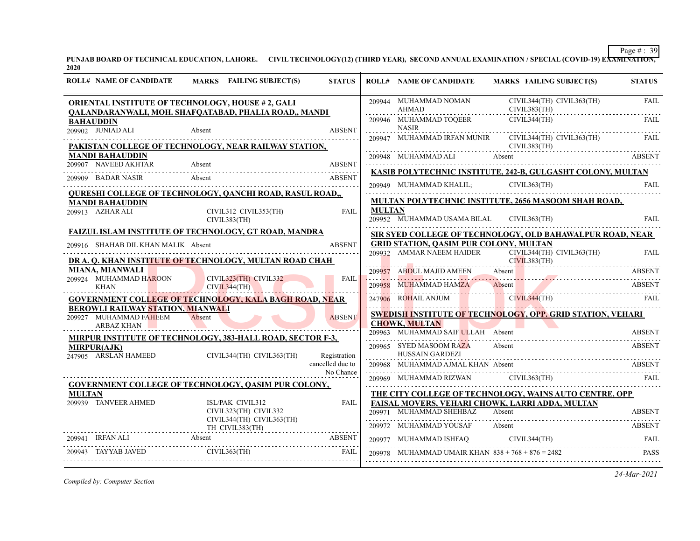**PUNJAB BOARD OF TECHNICAL EDUCATION, LAHORE. CIVIL TECHNOLOGY(12) (THIRD YEAR), SECOND ANNUAL EXAMINATION / SPECIAL (COVID-19) EXAMINATION, 2020**

| CIVIL344(TH) CIVIL363(TH)<br>209944 MUHAMMAD NOMAN<br><b>ORIENTAL INSTITUTE OF TECHNOLOGY, HOUSE #2, GALI</b>                                                                                                                                                                                                                                                                                                                                                                                                         | <b>FAIL</b>   |
|-----------------------------------------------------------------------------------------------------------------------------------------------------------------------------------------------------------------------------------------------------------------------------------------------------------------------------------------------------------------------------------------------------------------------------------------------------------------------------------------------------------------------|---------------|
| CIVIL383(TH)<br>AHMAD<br>QALANDARANWALI, MOH. SHAFQATABAD, PHALIA ROAD,, MANDI                                                                                                                                                                                                                                                                                                                                                                                                                                        |               |
| 209946 MUHAMMAD TOQEER<br>CIVIL344(TH)<br><b>BAHAUDDIN</b><br><b>NASIR</b><br>209902 JUNIAD ALI<br><b>ABSENT</b><br>Absent                                                                                                                                                                                                                                                                                                                                                                                            | <b>FAIL</b>   |
| 209947 MUHAMMAD IRFAN MUNIR CIVIL344(TH) CIVIL363(TH)<br>PAKISTAN COLLEGE OF TECHNOLOGY, NEAR RAILWAY STATION,<br>CIVIL383(TH)                                                                                                                                                                                                                                                                                                                                                                                        | FAIL.         |
| <b>MANDI BAHAUDDIN</b><br>209907 NAVEED AKHTAR Absent ABSENT                                                                                                                                                                                                                                                                                                                                                                                                                                                          | <b>ABSENT</b> |
| KASIB POLYTECHNIC INSTITUTE, 242-B, GULGASHT COLONY, MULTAN<br>209909 BADAR NASIR Absent and the contract of the contract of the second and the contract of the contract of the contract of the contract of the contract of the contract of the contract of the contract of the contract of t<br>CIVIL363(TH)                                                                                                                                                                                                         |               |
| <b>QURESHI COLLEGE OF TECHNOLOGY, QANCHI ROAD, RASUL ROAD,,</b><br>MULTAN POLYTECHNIC INSTITUTE, 2656 MASOOM SHAH ROAD,<br><b>MANDI BAHAUDDIN</b>                                                                                                                                                                                                                                                                                                                                                                     |               |
| CIVIL312 CIVIL353(TH)<br><b>MULTAN</b><br>209913 AZHAR ALI<br>FAII.<br>209952 MUHAMMAD USAMA BILAL CIVIL363(TH)<br>CIVIL383(TH)                                                                                                                                                                                                                                                                                                                                                                                       | <b>FAIL</b>   |
| FAIZUL ISLAM INSTITUTE OF TECHNOLOGY, GT ROAD, MANDRA<br>SIR SYED COLLEGE OF TECHNOLOGY, OLD BAHAWALPUR ROAD, NEAR                                                                                                                                                                                                                                                                                                                                                                                                    |               |
| GRID STATION, QASIM PUR COLONY, MULTAN<br><b>ABSENT</b><br>209916 SHAHAB DIL KHAN MALIK Absent<br>209932 AMMAR NAEEM HAIDER CIVIL344(TH) CIVIL363(TH)                                                                                                                                                                                                                                                                                                                                                                 | <b>FAIL</b>   |
| DR A. Q. KHAN INSTITUTE OF TECHNOLOGY, MULTAN ROAD CHAH<br>CIVIL383(TH)<br>MIANA, MIANWALI<br>209957 ABDUL MAJID AMEEN Absent                                                                                                                                                                                                                                                                                                                                                                                         | <b>ABSENT</b> |
| 209924 MUHAMMAD HAROON<br>CIVIL323(TH) CIVIL332<br>FAII.<br>209958 MUHAMMAD HAMZA<br>209958 MUHAMMAD HAMZA Absent ABSENT<br>CIVIL344(TH)<br><b>KHAN</b>                                                                                                                                                                                                                                                                                                                                                               |               |
| 247906 ROHAIL ANJUM CIVIL 344(TH) FAIL<br><b>GOVERNMENT COLLEGE OF TECHNOLOGY, KALA BAGH ROAD, NEAR</b><br><b>BEROWLI RAILWAY STATION, MIANWALI</b>                                                                                                                                                                                                                                                                                                                                                                   |               |
| <b>SWEDISH INSTITUTE OF TECHNOLOGY, OPP. GRID STATION, VEHARI</b><br>209927 MUHAMMAD FAHEEM<br>Absent<br><b>ABSENT</b><br><b>Contract Contract Contract Contract Contract</b><br><b>CHOWK, MULTAN</b><br>ARBAZ KHAN                                                                                                                                                                                                                                                                                                   |               |
| 209963 MUHAMMAD SAIF ULLAH Absent<br><b>MIRPUR INSTITUTE OF TECHNOLOGY, 383-HALL ROAD, SECTOR F-3,</b>                                                                                                                                                                                                                                                                                                                                                                                                                | <b>ABSENT</b> |
| 209965 SYED MASOOM RAZA<br>Absent<br><b>MIRPUR(AJK)</b><br><b>HUSSAIN GARDEZI</b><br>247905 ARSLAN HAMEED CIVIL344(TH) CIVIL363(TH)<br>Registration                                                                                                                                                                                                                                                                                                                                                                   | <b>ABSENT</b> |
| cancelled due to<br>209968 MUHAMMAD AJMAL KHAN Absent<br>No Chance                                                                                                                                                                                                                                                                                                                                                                                                                                                    | <b>ABSENT</b> |
| 209969 MUHAMMAD RIZWAN CIVIL363(TH) FAIL<br><b>GOVERNMENT COLLEGE OF TECHNOLOGY, QASIM PUR COLONY,</b>                                                                                                                                                                                                                                                                                                                                                                                                                |               |
| THE CITY COLLEGE OF TECHNOLOGY, WAINS AUTO CENTRE, OPP<br><b>MULTAN</b><br>209939 TANVEER AHMED<br>ISL/PAK CIVIL312<br>FAISAL MOVERS, VEHARI CHOWK, LARRI ADDA, MULTAN<br>FAIL.                                                                                                                                                                                                                                                                                                                                       |               |
| CIVIL323(TH) CIVIL332<br>209971 MUHAMMAD SHEHBAZ<br>Absent<br>CIVIL344(TH) CIVIL363(TH)                                                                                                                                                                                                                                                                                                                                                                                                                               | <b>ABSENT</b> |
| 209972 MUHAMMAD YOUSAF Absent<br>$TH$ CIVIL383(TH)<br>MUHAMMAD YOUSAF Absent ABSENT ABSENT                                                                                                                                                                                                                                                                                                                                                                                                                            |               |
| 209941 IRFAN ALI Absent ABSENT ABSENT ABSENT ABSENT AREA<br>$\begin{tabular}{lllllllllll} \multicolumn{2}{l}{{209977}} & {\bf MUHAMMAD ISHFAQ}& {\bf CIVIL344(TH)}& {\bf FAIL} & {\bf FAIL} & \multicolumn{2}{l}{{\bf FAIL}} & \multicolumn{2}{l}{{\bf FAIL}} & \multicolumn{2}{l}{{\bf TAI}} & \multicolumn{2}{l}{{\bf TAI}} & \multicolumn{2}{l}{{\bf TAI}} & \multicolumn{2}{l}{{\bf TAI}} & \multicolumn{2}{l}{{\bf TAI}} & \multicolumn{2}{l}{{\bf TAI}} & \multicolumn{2}{l}{{\bf TAI}} & \multicolumn{2}{l}{{$ |               |
| 209943 TAYYAB JAVED CIVIL363(TH) FAIL<br>FAIL<br>209978 MUHAMMAD UMAIR KHAN $838 + 768 + 876 = 2482$                                                                                                                                                                                                                                                                                                                                                                                                                  | <b>PASS</b>   |

*Compiled by: Computer Section*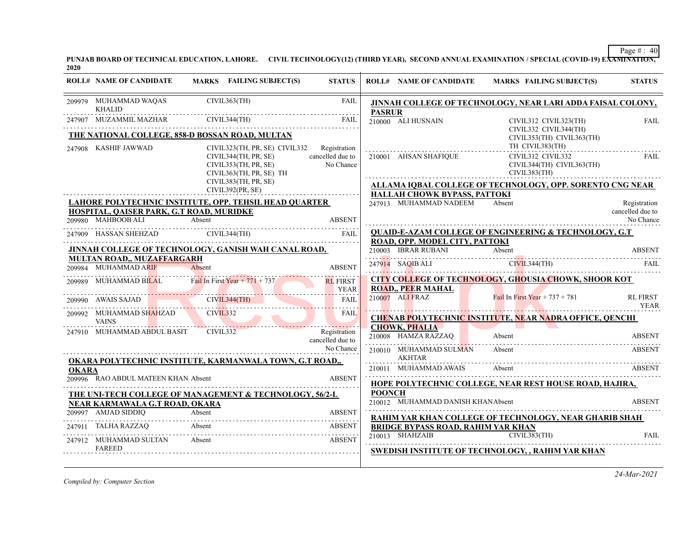**PUNJAB BOARD OF TECHNICAL EDUCATION, LAHORE. CIVIL TECHNOLOGY(12) (THIRD YEAR), SECOND ANNUAL EXAMINATION / SPECIAL (COVID-19) EXAMINATION, 2020**

| <b>ROLL# NAME OF CANDIDATE</b><br>MARKS FAILING SUBJECT(S)<br><b>STATUS</b><br><b>ROLL# NAME OF CANDIDATE</b><br>MARKS FAILING SUBJECT(S)<br>CIVIL363(TH)<br>209979 MUHAMMAD WAQAS<br><b>FAIL</b><br>JINNAH COLLEGE OF TECHNOLOGY, NEAR LARI ADDA FAISAL COLONY,<br><b>KHALID</b><br><b>PASRUR</b><br>CIVIL344(TH)<br>247907 MUZAMMIL MAZHAR<br>FAIL<br>210000 ALI HUSNAIN<br>CIVIL312 CIVIL323(TH)<br>CIVIL332 CIVIL344(TH)<br>THE NATIONAL COLLEGE, 858-D BOSSAN ROAD, MULTAN<br>CIVIL353(TH) CIVIL363(TH)<br>TH CIVIL383(TH)<br>247908 KASHIF JAWWAD<br>CIVIL323(TH, PR, SE) CIVIL332 Registration<br>cancelled due to<br>210001 AHSAN SHAFIQUE<br>CIVIL312 CIVIL332<br>CIVIL344(TH, PR, SE)<br>CIVIL344(TH) CIVIL363(TH)<br>No Chance<br>CIVIL353(TH, PR, SE)<br>CIVIL363(TH, PR, SE) TH<br>CIVIL383(TH)<br>CIVIL383(TH, PR, SE)<br>ALLAMA IQBAL COLLEGE OF TECHNOLOGY, OPP. SORENTO CNG NEAR<br>CIVIL392(PR, SE)<br><b>HALLAH CHOWK BYPASS, PATTOKI</b><br>LAHORE POLYTECHNIC INSTITUTE, OPP. TEHSIL HEAD QUARTER<br>247913 MUHAMMAD NADEEM<br>Absent<br>HOSPITAL, QAISER PARK, G.T ROAD, MURIDKE<br>209980 MAHBOOB ALI<br>Absent<br><b>ABSENT</b><br><b>QUAID-E-AZAM COLLEGE OF ENGINEERING &amp; TECHNOLOGY, G.T.</b><br>247909 HASSAN SHEHZAD CIVIL344(TH)<br>FAIL<br>ROAD, OPP. MODEL CITY, PATTOKI<br>JINNAH COLLEGE OF TECHNOLOGY, GANISH WAH CANAL ROAD,<br>210003 IBRAR RUBANI<br>Absent<br><b>MULTAN ROAD., MUZAFFARGARH</b><br>209984 MUHAMMAD ARIF<br><b>ABSENT</b><br>Absent<br>9984 MUHAMMAD ARIF<br><b>CITY COLLEGE OF TECHNOLOGY, GHOUSIA CHOWK, SHOOR KOT</b><br>Fail In First Year $+ 771 + 737$<br>209989 MUHAMMAD BILAL<br><b>RL FIRST</b><br><b>ROAD,, PEER MAHAL</b><br>YEAR<br>210007 ALI FRAZ<br>Fail In First Year + $737 + 781$<br>CIVIL344(TH)<br>209990 AWAIS SAJAD<br>FAIL<br>CIVIL332<br>209992 MUHAMMAD SHAHZAD<br>FAIL<br><b>CHENAB POLYTECHNIC INSTITUTE, NEAR NADRA OFFICE, QENCHI</b><br><b>VAINS</b><br><b>CHOWK, PHALIA</b><br>CIVIL <sub>332</sub><br>247910 MUHAMMAD ABDUL BASIT<br>Registration<br>210008 HAMZA RAZZAQ<br>Absent<br>cancelled due to<br>No Chance<br>210010 MUHAMMAD SULMAN<br>Absent<br>AKHTAR<br><b>OKARA POLYTECHNIC INSTITUTE, KARMANWALA TOWN, G.T ROAD,,</b><br>210011 MUHAMMAD AWAIS<br>Absent<br><b>OKARA</b><br>209996 RAO ABDUL MATEEN KHAN Absent<br><b>ABSENT</b><br><b>HOPE POLYTECHNIC COLLEGE, NEAR REST HOUSE ROAD, HAJIRA,</b><br><b>POONCH</b><br>THE UNI-TECH COLLEGE OF MANAGEMENT & TECHNOLOGY, 56/2-L<br>210012 MUHAMMAD DANISH KHANAbsent<br><b>NEAR KARMAWALA G.T ROAD, OKARA</b><br>209997 AMJAD SIDDIQ<br>Absent<br><b>ABSENT</b><br><b>RAHIM YAR KHAN COLLEGE OF TECHNOLOGY, NEAR GHARIB SHAH</b><br>247911 TALHA RAZZAQ<br>Absent<br>ABSENT<br><b>BRIDGE BYPASS ROAD, RAHIM YAR KHAN</b><br>CIVIL383(TH)<br>210013 SHAHZAIB<br>247912 MUHAMMAD SULTAN<br><b>ABSENT</b><br>Absent<br><b>FAREED</b><br>SWEDISH INSTITUTE OF TECHNOLOGY, , RAHIM YAR KHAN |  |  |  |  |                                  |
|------------------------------------------------------------------------------------------------------------------------------------------------------------------------------------------------------------------------------------------------------------------------------------------------------------------------------------------------------------------------------------------------------------------------------------------------------------------------------------------------------------------------------------------------------------------------------------------------------------------------------------------------------------------------------------------------------------------------------------------------------------------------------------------------------------------------------------------------------------------------------------------------------------------------------------------------------------------------------------------------------------------------------------------------------------------------------------------------------------------------------------------------------------------------------------------------------------------------------------------------------------------------------------------------------------------------------------------------------------------------------------------------------------------------------------------------------------------------------------------------------------------------------------------------------------------------------------------------------------------------------------------------------------------------------------------------------------------------------------------------------------------------------------------------------------------------------------------------------------------------------------------------------------------------------------------------------------------------------------------------------------------------------------------------------------------------------------------------------------------------------------------------------------------------------------------------------------------------------------------------------------------------------------------------------------------------------------------------------------------------------------------------------------------------------------------------------------------------------------------------------------------------------------------------------------------------------------------------------------------------------------------------------------------------------------------------------------------------------------------------------------------------------------------------------------------------------------------------------------------------------------------------------------------------------------------------|--|--|--|--|----------------------------------|
|                                                                                                                                                                                                                                                                                                                                                                                                                                                                                                                                                                                                                                                                                                                                                                                                                                                                                                                                                                                                                                                                                                                                                                                                                                                                                                                                                                                                                                                                                                                                                                                                                                                                                                                                                                                                                                                                                                                                                                                                                                                                                                                                                                                                                                                                                                                                                                                                                                                                                                                                                                                                                                                                                                                                                                                                                                                                                                                                                |  |  |  |  | <b>STATUS</b>                    |
|                                                                                                                                                                                                                                                                                                                                                                                                                                                                                                                                                                                                                                                                                                                                                                                                                                                                                                                                                                                                                                                                                                                                                                                                                                                                                                                                                                                                                                                                                                                                                                                                                                                                                                                                                                                                                                                                                                                                                                                                                                                                                                                                                                                                                                                                                                                                                                                                                                                                                                                                                                                                                                                                                                                                                                                                                                                                                                                                                |  |  |  |  |                                  |
|                                                                                                                                                                                                                                                                                                                                                                                                                                                                                                                                                                                                                                                                                                                                                                                                                                                                                                                                                                                                                                                                                                                                                                                                                                                                                                                                                                                                                                                                                                                                                                                                                                                                                                                                                                                                                                                                                                                                                                                                                                                                                                                                                                                                                                                                                                                                                                                                                                                                                                                                                                                                                                                                                                                                                                                                                                                                                                                                                |  |  |  |  | FAIL                             |
|                                                                                                                                                                                                                                                                                                                                                                                                                                                                                                                                                                                                                                                                                                                                                                                                                                                                                                                                                                                                                                                                                                                                                                                                                                                                                                                                                                                                                                                                                                                                                                                                                                                                                                                                                                                                                                                                                                                                                                                                                                                                                                                                                                                                                                                                                                                                                                                                                                                                                                                                                                                                                                                                                                                                                                                                                                                                                                                                                |  |  |  |  |                                  |
|                                                                                                                                                                                                                                                                                                                                                                                                                                                                                                                                                                                                                                                                                                                                                                                                                                                                                                                                                                                                                                                                                                                                                                                                                                                                                                                                                                                                                                                                                                                                                                                                                                                                                                                                                                                                                                                                                                                                                                                                                                                                                                                                                                                                                                                                                                                                                                                                                                                                                                                                                                                                                                                                                                                                                                                                                                                                                                                                                |  |  |  |  | FAIL                             |
|                                                                                                                                                                                                                                                                                                                                                                                                                                                                                                                                                                                                                                                                                                                                                                                                                                                                                                                                                                                                                                                                                                                                                                                                                                                                                                                                                                                                                                                                                                                                                                                                                                                                                                                                                                                                                                                                                                                                                                                                                                                                                                                                                                                                                                                                                                                                                                                                                                                                                                                                                                                                                                                                                                                                                                                                                                                                                                                                                |  |  |  |  |                                  |
|                                                                                                                                                                                                                                                                                                                                                                                                                                                                                                                                                                                                                                                                                                                                                                                                                                                                                                                                                                                                                                                                                                                                                                                                                                                                                                                                                                                                                                                                                                                                                                                                                                                                                                                                                                                                                                                                                                                                                                                                                                                                                                                                                                                                                                                                                                                                                                                                                                                                                                                                                                                                                                                                                                                                                                                                                                                                                                                                                |  |  |  |  |                                  |
|                                                                                                                                                                                                                                                                                                                                                                                                                                                                                                                                                                                                                                                                                                                                                                                                                                                                                                                                                                                                                                                                                                                                                                                                                                                                                                                                                                                                                                                                                                                                                                                                                                                                                                                                                                                                                                                                                                                                                                                                                                                                                                                                                                                                                                                                                                                                                                                                                                                                                                                                                                                                                                                                                                                                                                                                                                                                                                                                                |  |  |  |  | Registration<br>cancelled due to |
|                                                                                                                                                                                                                                                                                                                                                                                                                                                                                                                                                                                                                                                                                                                                                                                                                                                                                                                                                                                                                                                                                                                                                                                                                                                                                                                                                                                                                                                                                                                                                                                                                                                                                                                                                                                                                                                                                                                                                                                                                                                                                                                                                                                                                                                                                                                                                                                                                                                                                                                                                                                                                                                                                                                                                                                                                                                                                                                                                |  |  |  |  | No Chance                        |
|                                                                                                                                                                                                                                                                                                                                                                                                                                                                                                                                                                                                                                                                                                                                                                                                                                                                                                                                                                                                                                                                                                                                                                                                                                                                                                                                                                                                                                                                                                                                                                                                                                                                                                                                                                                                                                                                                                                                                                                                                                                                                                                                                                                                                                                                                                                                                                                                                                                                                                                                                                                                                                                                                                                                                                                                                                                                                                                                                |  |  |  |  |                                  |
|                                                                                                                                                                                                                                                                                                                                                                                                                                                                                                                                                                                                                                                                                                                                                                                                                                                                                                                                                                                                                                                                                                                                                                                                                                                                                                                                                                                                                                                                                                                                                                                                                                                                                                                                                                                                                                                                                                                                                                                                                                                                                                                                                                                                                                                                                                                                                                                                                                                                                                                                                                                                                                                                                                                                                                                                                                                                                                                                                |  |  |  |  | <b>ABSENT</b>                    |
|                                                                                                                                                                                                                                                                                                                                                                                                                                                                                                                                                                                                                                                                                                                                                                                                                                                                                                                                                                                                                                                                                                                                                                                                                                                                                                                                                                                                                                                                                                                                                                                                                                                                                                                                                                                                                                                                                                                                                                                                                                                                                                                                                                                                                                                                                                                                                                                                                                                                                                                                                                                                                                                                                                                                                                                                                                                                                                                                                |  |  |  |  |                                  |
|                                                                                                                                                                                                                                                                                                                                                                                                                                                                                                                                                                                                                                                                                                                                                                                                                                                                                                                                                                                                                                                                                                                                                                                                                                                                                                                                                                                                                                                                                                                                                                                                                                                                                                                                                                                                                                                                                                                                                                                                                                                                                                                                                                                                                                                                                                                                                                                                                                                                                                                                                                                                                                                                                                                                                                                                                                                                                                                                                |  |  |  |  |                                  |
|                                                                                                                                                                                                                                                                                                                                                                                                                                                                                                                                                                                                                                                                                                                                                                                                                                                                                                                                                                                                                                                                                                                                                                                                                                                                                                                                                                                                                                                                                                                                                                                                                                                                                                                                                                                                                                                                                                                                                                                                                                                                                                                                                                                                                                                                                                                                                                                                                                                                                                                                                                                                                                                                                                                                                                                                                                                                                                                                                |  |  |  |  |                                  |
|                                                                                                                                                                                                                                                                                                                                                                                                                                                                                                                                                                                                                                                                                                                                                                                                                                                                                                                                                                                                                                                                                                                                                                                                                                                                                                                                                                                                                                                                                                                                                                                                                                                                                                                                                                                                                                                                                                                                                                                                                                                                                                                                                                                                                                                                                                                                                                                                                                                                                                                                                                                                                                                                                                                                                                                                                                                                                                                                                |  |  |  |  | <b>RL FIRST</b><br>YEAR          |
|                                                                                                                                                                                                                                                                                                                                                                                                                                                                                                                                                                                                                                                                                                                                                                                                                                                                                                                                                                                                                                                                                                                                                                                                                                                                                                                                                                                                                                                                                                                                                                                                                                                                                                                                                                                                                                                                                                                                                                                                                                                                                                                                                                                                                                                                                                                                                                                                                                                                                                                                                                                                                                                                                                                                                                                                                                                                                                                                                |  |  |  |  |                                  |
|                                                                                                                                                                                                                                                                                                                                                                                                                                                                                                                                                                                                                                                                                                                                                                                                                                                                                                                                                                                                                                                                                                                                                                                                                                                                                                                                                                                                                                                                                                                                                                                                                                                                                                                                                                                                                                                                                                                                                                                                                                                                                                                                                                                                                                                                                                                                                                                                                                                                                                                                                                                                                                                                                                                                                                                                                                                                                                                                                |  |  |  |  | <b>ABSENT</b>                    |
|                                                                                                                                                                                                                                                                                                                                                                                                                                                                                                                                                                                                                                                                                                                                                                                                                                                                                                                                                                                                                                                                                                                                                                                                                                                                                                                                                                                                                                                                                                                                                                                                                                                                                                                                                                                                                                                                                                                                                                                                                                                                                                                                                                                                                                                                                                                                                                                                                                                                                                                                                                                                                                                                                                                                                                                                                                                                                                                                                |  |  |  |  | .<br>ABSENT                      |
|                                                                                                                                                                                                                                                                                                                                                                                                                                                                                                                                                                                                                                                                                                                                                                                                                                                                                                                                                                                                                                                                                                                                                                                                                                                                                                                                                                                                                                                                                                                                                                                                                                                                                                                                                                                                                                                                                                                                                                                                                                                                                                                                                                                                                                                                                                                                                                                                                                                                                                                                                                                                                                                                                                                                                                                                                                                                                                                                                |  |  |  |  | ABSENT                           |
|                                                                                                                                                                                                                                                                                                                                                                                                                                                                                                                                                                                                                                                                                                                                                                                                                                                                                                                                                                                                                                                                                                                                                                                                                                                                                                                                                                                                                                                                                                                                                                                                                                                                                                                                                                                                                                                                                                                                                                                                                                                                                                                                                                                                                                                                                                                                                                                                                                                                                                                                                                                                                                                                                                                                                                                                                                                                                                                                                |  |  |  |  |                                  |
|                                                                                                                                                                                                                                                                                                                                                                                                                                                                                                                                                                                                                                                                                                                                                                                                                                                                                                                                                                                                                                                                                                                                                                                                                                                                                                                                                                                                                                                                                                                                                                                                                                                                                                                                                                                                                                                                                                                                                                                                                                                                                                                                                                                                                                                                                                                                                                                                                                                                                                                                                                                                                                                                                                                                                                                                                                                                                                                                                |  |  |  |  | <b>ABSENT</b>                    |
|                                                                                                                                                                                                                                                                                                                                                                                                                                                                                                                                                                                                                                                                                                                                                                                                                                                                                                                                                                                                                                                                                                                                                                                                                                                                                                                                                                                                                                                                                                                                                                                                                                                                                                                                                                                                                                                                                                                                                                                                                                                                                                                                                                                                                                                                                                                                                                                                                                                                                                                                                                                                                                                                                                                                                                                                                                                                                                                                                |  |  |  |  |                                  |
|                                                                                                                                                                                                                                                                                                                                                                                                                                                                                                                                                                                                                                                                                                                                                                                                                                                                                                                                                                                                                                                                                                                                                                                                                                                                                                                                                                                                                                                                                                                                                                                                                                                                                                                                                                                                                                                                                                                                                                                                                                                                                                                                                                                                                                                                                                                                                                                                                                                                                                                                                                                                                                                                                                                                                                                                                                                                                                                                                |  |  |  |  |                                  |
|                                                                                                                                                                                                                                                                                                                                                                                                                                                                                                                                                                                                                                                                                                                                                                                                                                                                                                                                                                                                                                                                                                                                                                                                                                                                                                                                                                                                                                                                                                                                                                                                                                                                                                                                                                                                                                                                                                                                                                                                                                                                                                                                                                                                                                                                                                                                                                                                                                                                                                                                                                                                                                                                                                                                                                                                                                                                                                                                                |  |  |  |  | <b>FAIL</b>                      |
|                                                                                                                                                                                                                                                                                                                                                                                                                                                                                                                                                                                                                                                                                                                                                                                                                                                                                                                                                                                                                                                                                                                                                                                                                                                                                                                                                                                                                                                                                                                                                                                                                                                                                                                                                                                                                                                                                                                                                                                                                                                                                                                                                                                                                                                                                                                                                                                                                                                                                                                                                                                                                                                                                                                                                                                                                                                                                                                                                |  |  |  |  |                                  |

*Compiled by: Computer Section*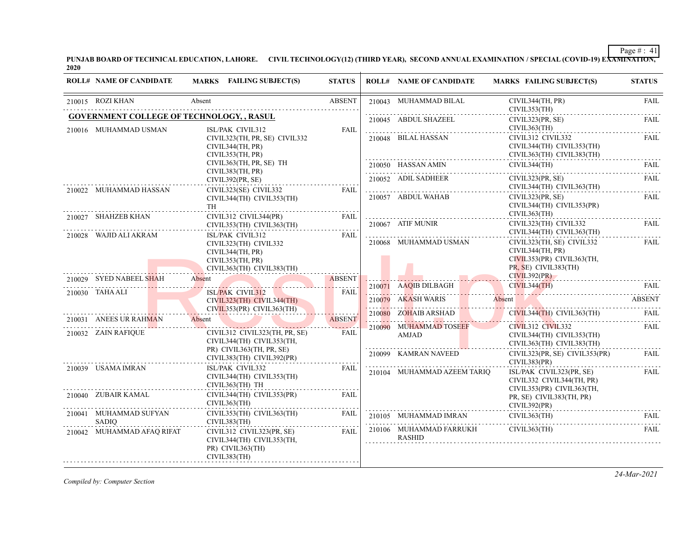**PUNJAB BOARD OF TECHNICAL EDUCATION, LAHORE. CIVIL TECHNOLOGY(12) (THIRD YEAR), SECOND ANNUAL EXAMINATION / SPECIAL (COVID-19) EXAMINATION, 2020**

| <b>ROLL# NAME OF CANDIDATE</b>                                            | MARKS FAILING SUBJECT(S)                                                                                       | <b>STATUS</b> | <b>ROLL# NAME OF CANDIDATE</b>                 | <b>MARKS FAILING SUBJECT(S)</b>                                                                                                                                                                                                                                                                                                                                                                                                                                                                                                                     | <b>STATUS</b>    |
|---------------------------------------------------------------------------|----------------------------------------------------------------------------------------------------------------|---------------|------------------------------------------------|-----------------------------------------------------------------------------------------------------------------------------------------------------------------------------------------------------------------------------------------------------------------------------------------------------------------------------------------------------------------------------------------------------------------------------------------------------------------------------------------------------------------------------------------------------|------------------|
| 210015 ROZI KHAN                                                          | Absent                                                                                                         | <b>ABSENT</b> | 210043 MUHAMMAD BILAL                          | CIVIL344(TH, PR)<br>CIVIL353(TH)                                                                                                                                                                                                                                                                                                                                                                                                                                                                                                                    | FAIL             |
| <b>GOVERNMENT COLLEGE OF TECHNOLOGY, , RASUL</b><br>210016 MUHAMMAD USMAN | ISL/PAK CIVIL312                                                                                               | FAIL          | 210045 ABDUL SHAZEEL                           | CIVIL323(PR, SE)<br>CIVIL363(TH)                                                                                                                                                                                                                                                                                                                                                                                                                                                                                                                    | <b>FAIL</b>      |
|                                                                           | CIVIL323(TH, PR, SE) CIVIL332<br>CIVIL344(TH, PR)<br>CIVIL353(TH, PR)                                          |               | 210048 BILAL HASSAN                            | CIVIL312 CIVIL332<br>CIVIL344(TH) CIVIL353(TH)<br>CIVIL363(TH) CIVIL383(TH)                                                                                                                                                                                                                                                                                                                                                                                                                                                                         | <b>FAIL</b><br>. |
|                                                                           | CIVIL363(TH, PR, SE) TH<br>CIVIL383(TH, PR)                                                                    |               | 210050 HASSAN AMIN                             | CIVIL344(TH)                                                                                                                                                                                                                                                                                                                                                                                                                                                                                                                                        | FAIL             |
| 210022 MUHAMMAD HASSAN                                                    | CIVIL392(PR, SE)<br>CIVIL323(SE) CIVIL332                                                                      | FAIL          | 210052 ADIL SADHEER                            | CIVIL323(PR, SE)<br>CIVIL344(TH) CIVIL363(TH)                                                                                                                                                                                                                                                                                                                                                                                                                                                                                                       | FAIL             |
| 210027 SHAHZEB KHAN                                                       | CIVIL344(TH) CIVIL353(TH)<br>TH<br>CIVIL312 CIVIL344(PR)                                                       | FAIL          | 210057 ABDUL WAHAB                             | CIVIL323(PR, SE)<br>CIVIL344(TH) CIVIL353(PR)<br>CIVIL363(TH)                                                                                                                                                                                                                                                                                                                                                                                                                                                                                       | FAIL             |
|                                                                           | CIVIL353(TH) CIVIL363(TH)                                                                                      |               | 210067 ATIF MUNIR                              | CIVIL323(TH) CIVIL332<br>CIVIL344(TH) CIVIL363(TH)                                                                                                                                                                                                                                                                                                                                                                                                                                                                                                  | FAII.            |
| 210028 WAJID ALI AKRAM                                                    | ISL/PAK CIVIL312<br>CIVIL323(TH) CIVIL332<br>CIVIL344(TH, PR)<br>CIVIL353(TH, PR)<br>CIVIL363(TH) CIVIL383(TH) | FAIL          | 210068 MUHAMMAD USMAN                          | CIVIL323(TH, SE) CIVIL332<br>CIVIL344(TH, PR)<br>CIVIL353(PR) CIVIL363(TH,<br>PR, SE) CIVIL383(TH)                                                                                                                                                                                                                                                                                                                                                                                                                                                  | FAIL             |
| 210029 SYED NABEEL SHAH                                                   | Absent<br>0029 SYED NABEEL SHAH ADSENT ASSENT ASSENT                                                           | <b>ABSENT</b> | 210071 AAQIB DILBAGH                           | CIVIL392(PR)<br>CIVIL344(TH)                                                                                                                                                                                                                                                                                                                                                                                                                                                                                                                        | FAIL             |
| 210030 TAHA ALI                                                           | <b>ISL/PAK CIVIL312</b><br>CIVIL323(TH) CIVIL344(TH)<br>CIVIL353(PR) CIVIL363(TH)                              | <b>FAIL</b>   |                                                | 210079 AKASH WARIS Absent ABSENT                                                                                                                                                                                                                                                                                                                                                                                                                                                                                                                    |                  |
| 210031 ANEES UR RAHMAN                                                    | Absent                                                                                                         | <b>ABSENT</b> | 210080 ZOHAIB ARSHAD                           | $CIVIL344(TH)$ $CIVIL363(TH)$                                                                                                                                                                                                                                                                                                                                                                                                                                                                                                                       | -FAIL            |
| 210032 ZAIN RAFIQUE                                                       | CIVIL312 CIVIL323(TH, PR, SE)<br>CIVIL344(TH) CIVIL353(TH,                                                     | FAIL          | 210090 MUHAMMAD TOSEEF<br>AMJAD                | CIVIL312 CIVIL332<br>CIVIL344(TH) CIVIL353(TH)<br>CIVIL363(TH) CIVIL383(TH)                                                                                                                                                                                                                                                                                                                                                                                                                                                                         | FAII.            |
|                                                                           | PR) CIVIL363(TH, PR, SE)<br>CIVIL383(TH) CIVIL392(PR)                                                          |               | 210099 KAMRAN NAVEED                           | $CIVIL323(PR, SE)$ $CIVIL353(PR)$<br>CIVIL383(PR)                                                                                                                                                                                                                                                                                                                                                                                                                                                                                                   | FAIL             |
| 210039 USAMA IMRAN                                                        | ISL/PAK CIVIL332<br>CIVIL344(TH) CIVIL353(TH)<br>CIVIL363(TH) TH                                               | <b>FAIL</b>   | 210104 MUHAMMAD AZEEM TARIO                    | ISL/PAK CIVIL323(PR, SE)<br>CIVIL332 CIVIL344(TH, PR)<br>CIVIL353(PR) CIVIL363(TH,                                                                                                                                                                                                                                                                                                                                                                                                                                                                  | FAIL             |
| 210040 ZUBAIR KAMAL                                                       | CIVIL344(TH) CIVIL353(PR)<br>CIVIL363(TH)                                                                      | FAIL.         |                                                | PR, SE) CIVIL383(TH, PR)<br>CIVIL392(PR)                                                                                                                                                                                                                                                                                                                                                                                                                                                                                                            |                  |
| 210041 MUHAMMAD SUFYAN<br>SADIO                                           | CIVIL353(TH) CIVIL363(TH)<br>CIVIL383(TH)                                                                      | FAIL          |                                                | $CIVIL363$ (TH)<br>$210105 \quad \text{MUHAMMAD IMRAN} \quad \quad \text{CIVIL363(TH)} \quad \quad \text{FAIL} \quad \quad \text{FAIL} \quad \quad \text{FAIL} \quad \quad \text{FAIL} \quad \quad \text{FAIL} \quad \quad \text{FAIL} \quad \quad \text{FAIL} \quad \quad \text{FAIL} \quad \quad \text{FAIL} \quad \quad \text{FAIL} \quad \quad \text{FAIL} \quad \quad \text{FAIL} \quad \quad \text{FAIL} \quad \quad \text{FAIL} \quad \quad \text{FAIL} \quad \quad \text{FAIL} \quad \quad \text{FAIL} \quad \quad \text{FAIL} \quad \quad$ |                  |
| 210042 MUHAMMAD AFAQ RIFAT                                                | CIVIL312 CIVIL323(PR, SE)<br>CIVIL344(TH) CIVIL353(TH,<br>PR) CIVIL363(TH)<br>CIVIL383(TH)                     | FAIL          | 210106 MUHAMMAD FARRUKH CIVIL363(TH)<br>RASHID |                                                                                                                                                                                                                                                                                                                                                                                                                                                                                                                                                     | FAIL.            |

*Compiled by: Computer Section*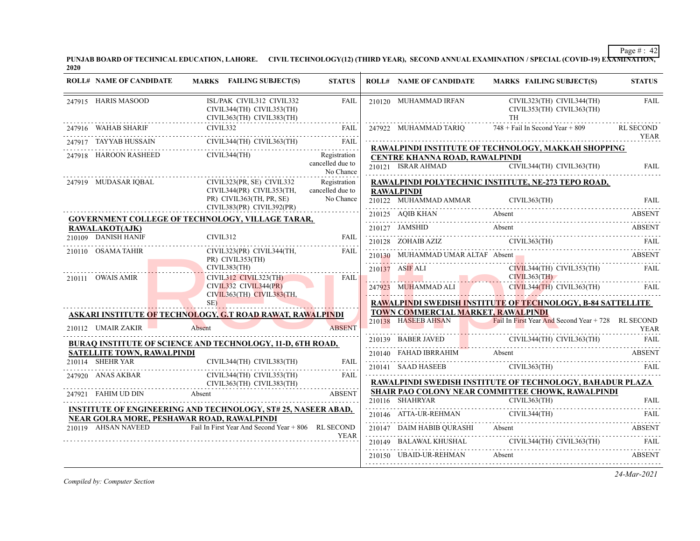**PUNJAB BOARD OF TECHNICAL EDUCATION, LAHORE. CIVIL TECHNOLOGY(12) (THIRD YEAR), SECOND ANNUAL EXAMINATION / SPECIAL (COVID-19) EXAMINATION, 2020**

| <b>ROLL# NAME OF CANDIDATE</b>    | MARKS FAILING SUBJECT(S)                                                                                                                                                                                                       | <b>STATUS</b>                                 | <b>ROLL# NAME OF CANDIDATE</b>     | <b>MARKS FAILING SUBJECT(S)</b>                                                                                                                                                                                                                                                                                                                                                                                                                                                                    | <b>STATUS</b>    |
|-----------------------------------|--------------------------------------------------------------------------------------------------------------------------------------------------------------------------------------------------------------------------------|-----------------------------------------------|------------------------------------|----------------------------------------------------------------------------------------------------------------------------------------------------------------------------------------------------------------------------------------------------------------------------------------------------------------------------------------------------------------------------------------------------------------------------------------------------------------------------------------------------|------------------|
| 247915 HARIS MASOOD               | ISL/PAK CIVIL312 CIVIL332<br>CIVIL344(TH) CIVIL353(TH)<br>CIVIL363(TH) CIVIL383(TH)                                                                                                                                            | FAIL                                          | 210120 MUHAMMAD IRFAN              | CIVIL323(TH) CIVIL344(TH)<br>CIVIL353(TH) CIVIL363(TH)<br><b>TH</b>                                                                                                                                                                                                                                                                                                                                                                                                                                | <b>FAIL</b>      |
| 247916 WAHAB SHARIF               | CIVIL332                                                                                                                                                                                                                       |                                               | 247922 MUHAMMAD TARIO              | $748 +$ Fail In Second Year + 809                                                                                                                                                                                                                                                                                                                                                                                                                                                                  | <b>RL SECOND</b> |
|                                   | 247917 TAYYAB HUSSAIN CIVIL344(TH) CIVIL363(TH) FAIL                                                                                                                                                                           |                                               |                                    |                                                                                                                                                                                                                                                                                                                                                                                                                                                                                                    | <b>YEAR</b>      |
|                                   | 247918 HAROON RASHEED CIVIL344(TH)                                                                                                                                                                                             | Registration<br>cancelled due to<br>No Chance | CENTRE KHANNA ROAD, RAWALPINDI     | RAWALPINDI INSTITUTE OF TECHNOLOGY, MAKKAH SHOPPING                                                                                                                                                                                                                                                                                                                                                                                                                                                |                  |
| 247919 MUDASAR IQBAL              | CIVIL323(PR, SE) CIVIL332                                                                                                                                                                                                      | Registration                                  |                                    | RAWALPINDI POLYTECHNIC INSTITUTE, NE-273 TEPO ROAD,                                                                                                                                                                                                                                                                                                                                                                                                                                                |                  |
|                                   | CIVIL344(PR) CIVIL353(TH,<br>PR) CIVIL363(TH, PR, SE)<br>CIVIL383(PR) CIVIL392(PR)                                                                                                                                             | cancelled due to<br>No Chance                 | <b>RAWALPINDI</b>                  | 210122 MUHAMMAD AMMAR CIVIL363(TH) FAIL                                                                                                                                                                                                                                                                                                                                                                                                                                                            |                  |
|                                   | <b>GOVERNMENT COLLEGE OF TECHNOLOGY, VILLAGE TARAR,</b>                                                                                                                                                                        |                                               |                                    | 210125 AQIB KHAN Absent ABSENT                                                                                                                                                                                                                                                                                                                                                                                                                                                                     |                  |
| RAWALAKOT(AJK)                    |                                                                                                                                                                                                                                |                                               |                                    | 210127 JAMSHID Absent ABSENT                                                                                                                                                                                                                                                                                                                                                                                                                                                                       |                  |
| 210109 DANISH HANIF               | CIVIL312                                                                                                                                                                                                                       | <b>FAIL</b>                                   |                                    | $210128 \quad \text{ZOHAIB AZIZ} \quad \text{CIVIL363(TH)} \quad \text{FAIL} \quad \text{FAIL}$                                                                                                                                                                                                                                                                                                                                                                                                    |                  |
| 210110 OSAMA TAHIR                | CIVIL323(PR) CIVIL344(TH,<br>PR) CIVIL353(TH)                                                                                                                                                                                  | FAIL                                          |                                    | 210130 MUHAMMAD UMAR ALTAF Absent ABSENT                                                                                                                                                                                                                                                                                                                                                                                                                                                           |                  |
|                                   | CIVIL383(TH)                                                                                                                                                                                                                   |                                               | 210137 ASIF ALI                    | CIVIL344(TH) CIVIL353(TH) FAIL                                                                                                                                                                                                                                                                                                                                                                                                                                                                     |                  |
| 210111 OWAIS AMIR                 | CIVIL312 CIVIL323(TH)<br>CIVIL332 CIVIL344(PR)<br>CIVIL363(TH) CIVIL383(TH,                                                                                                                                                    | <b>EAIL</b>                                   | CIVIL363(TH)                       | <b>EXAMPLE SOLUTION CONTRACTED CIVIL344(TH)</b> CIVIL363(TH) FAIL                                                                                                                                                                                                                                                                                                                                                                                                                                  |                  |
|                                   | SE)<br><u> 1988 - Johann Stoff, Amerikaansk ferhandist (</u>                                                                                                                                                                   |                                               |                                    | RAWALPINDI SWEDISH INSTITUTE OF TECHNOLOGY, B-84 SATTELLITE                                                                                                                                                                                                                                                                                                                                                                                                                                        |                  |
|                                   | ASKARI INSTITUTE OF TECHNOLOGY, G.T ROAD RAWAT, RAWALPINDI                                                                                                                                                                     |                                               | TOWN COMMERCIAL MARKET, RAWALPINDI |                                                                                                                                                                                                                                                                                                                                                                                                                                                                                                    |                  |
| 210112 UMAIR ZAKIR                | Absent                                                                                                                                                                                                                         | <b>ABSENT</b>                                 |                                    | 210138 HASEEB AHSAN Fail In First Year And Second Year + 728 RL SECOND<br><u> 1944 - Johann Maria Maria Barat (h. 1958).</u>                                                                                                                                                                                                                                                                                                                                                                       | <b>YEAR</b>      |
|                                   | <b>BURAQ INSTITUTE OF SCIENCE AND TECHNOLOGY, 11-D, 6TH ROAD,</b>                                                                                                                                                              |                                               |                                    | 210139 BABER JAVED CIVIL344(TH) CIVIL363(TH) FAIL                                                                                                                                                                                                                                                                                                                                                                                                                                                  |                  |
| <b>SATELLITE TOWN, RAWALPINDI</b> |                                                                                                                                                                                                                                |                                               |                                    |                                                                                                                                                                                                                                                                                                                                                                                                                                                                                                    |                  |
| 210114 SHEHR YAR                  | CIVIL344(TH) CIVIL383(TH)                                                                                                                                                                                                      | FAII.                                         |                                    | 210140 FAHAD IBRRAHIM Absent ABSENT 210141 SAAD HASEEB CIVIL363(TH) FAIL                                                                                                                                                                                                                                                                                                                                                                                                                           |                  |
| 247920 ANAS AKBAR                 | CIVIL344(TH) CIVIL353(TH)                                                                                                                                                                                                      | FAIL                                          |                                    |                                                                                                                                                                                                                                                                                                                                                                                                                                                                                                    |                  |
|                                   | CIVIL363(TH) CIVIL383(TH)                                                                                                                                                                                                      |                                               |                                    | RAWALPINDI SWEDISH INSTITUTE OF TECHNOLOGY, BAHADUR PLAZA<br>SHAIR PAO COLONY NEAR COMMITTEE CHOWK, RAWALPINDI                                                                                                                                                                                                                                                                                                                                                                                     |                  |
|                                   | 247921 FAHIM UD DIN Absent and the contract of the contract of the contract of the contract of the contract of the contract of the contract of the contract of the contract of the contract of the contract of the contract of |                                               |                                    |                                                                                                                                                                                                                                                                                                                                                                                                                                                                                                    |                  |
|                                   | <b>INSTITUTE OF ENGINEERING AND TECHNOLOGY, ST# 25, NASEER ABAD,</b>                                                                                                                                                           |                                               |                                    | 210116 SHAHRYAR CIVIL363(TH) FAIL<br>210146 ATTA-UR-REHMAN CIVIL344(TH) FAIL                                                                                                                                                                                                                                                                                                                                                                                                                       |                  |
|                                   | NEAR GOLRA MORE, PESHAWAR ROAD, RAWALPINDI<br>210119 AHSAN NAVEED Fail In First Year And Second Year + 806 RL SECOND                                                                                                           |                                               |                                    |                                                                                                                                                                                                                                                                                                                                                                                                                                                                                                    |                  |
|                                   |                                                                                                                                                                                                                                | <b>YEAR</b>                                   |                                    | 210147 DAIM HABIB QURASHI Absent ABSENT ABSENT                                                                                                                                                                                                                                                                                                                                                                                                                                                     |                  |
|                                   |                                                                                                                                                                                                                                |                                               | 210150 UBAID-UR-REHMAN Absent      | $10149 \quad \text{BALAWAL KHUSHAL} \quad \text{CIVIL344(TH) CIVIL363(TH) \quad \text{FAIL} \quad \text{FAIL} \quad \text{FAIL} \quad \text{FAIL} \quad \text{FAIL} \quad \text{FAIL} \quad \text{FAIL} \quad \text{FAIL} \quad \text{FAIL} \quad \text{FAIL} \quad \text{FAIL} \quad \text{FAIL} \quad \text{FAIL} \quad \text{FAIL} \quad \text{FAIL} \quad \text{FAIL} \quad \text{FAIL} \quad \text{FAIL} \quad \text{FAIL} \quad \text{FAIL} \quad \text{FAIL} \quad \text{FAIL} \quad \text$ | ABSENT           |
|                                   |                                                                                                                                                                                                                                |                                               |                                    |                                                                                                                                                                                                                                                                                                                                                                                                                                                                                                    |                  |

*Compiled by: Computer Section*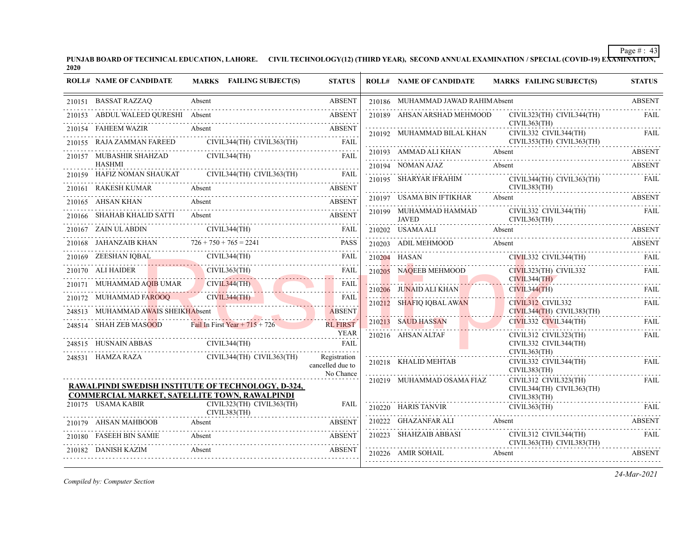**PUNJAB BOARD OF TECHNICAL EDUCATION, LAHORE. CIVIL TECHNOLOGY(12) (THIRD YEAR), SECOND ANNUAL EXAMINATION / SPECIAL (COVID-19) EXAMINATION, 2020**

| 210151 BASSAT RAZZAQ<br><b>ABSENT</b><br>210186 MUHAMMAD JAWAD RAHIMAbsent<br>Absent<br>210153 ABDUL WALEED QURESHI Absent<br>210189 AHSAN ARSHAD MEHMOOD<br><b>ABSENT</b><br>CIVIL323(TH) CIVIL344(TH)<br>CIVIL363(TH)<br>210154 FAHEEM WAZIR<br>Absent<br>ABSENT<br>CIVIL332 CIVIL344(TH)<br>210192 MUHAMMAD BILAL KHAN<br>CIVIL344(TH) CIVIL363(TH)<br>210155 RAJA ZAMMAN FAREED<br>CIVIL353(TH) CIVIL363(TH)<br><b>FAIL</b><br>210193 AMMAD ALI KHAN Absent ABSENT<br>210157 MUBASHIR SHAHZAD CIVIL344(TH)<br><b>FAIL</b><br><b>HASHMI</b><br>210194 NOMAN AJAZ<br>Absent<br>210159 HAFIZ NOMAN SHAUKAT CIVIL344(TH) CIVIL363(TH)<br>FAIL<br>210195 SHARYAR IFRAHIM<br>CIVIL344(TH) CIVIL363(TH)<br>CIVIL383(TH)<br>210161 RAKESH KUMAR<br>Absent<br><b>ABSENT</b><br>210197 USAMA BIN IFTIKHAR Absent<br>210165 AHSAN KHAN<br>Absent<br><b>ABSENT</b><br>210199 MUHAMMAD HAMMAD<br>CIVIL332 CIVIL344(TH)<br>210166     SHAHAB KHALID SATTI<br>Absent<br><b>ABSENT</b><br><b>JAVED</b><br>CIVIL363(TH)<br>210167 ZAIN ULABDIN CIVIL344(TH) FAIL<br>210202 USAMA ALI<br>Absent<br><b>ABSENT</b><br>210168 JAHANZAIB KHAN $726 + 750 + 765 = 2241$<br><b>PASS</b><br>210203 ADIL MEHMOOD<br>Absent<br><b>ABSENT</b><br>210169 ZEESHAN IQBAL CIVIL344(TH) FAIL FAIL<br>CIVIL332 CIVIL344(TH)<br>210204 HASAN<br>CIVIL323(TH) CIVIL332<br>CIVIL363(TH)<br>210170 ALI HAIDER<br>210205 NAQEEB MEHMOOD<br>FAIL<br>CIVIL344(TH)<br>210171 MUHAMMAD AQIB UMAR CIVIL344(TH)<br><b>FAIL</b><br>71 MUHAMMAD AQIB UMAR CIVIL344(TH)<br>210206 JUNAID ALI KHAN<br>CIVIL344(TH)<br>210206 JUNAID ALI KHAN CIVIL344(TH) FAIL<br>210172 MUHAMMAD FAROOQ CIVIL344(TH)<br>172 MUHAMMAD FAROOQ CIVIL344(TH)<br><b>FAIL</b><br>210212 SHAFIQ IQBAL AWAN<br>CIVIL312 CIVIL332<br>de conce<br>248513 MUHAMMAD AWAIS SHEIKHAbsent<br>CIVIL344(TH) CIVIL383(TH)<br><b>ABSENT</b><br>210213 SAUD HASSAN<br>CIVIL332 CIVIL344(TH)<br>248514 SHAH ZEB MASOOD Fail In First Year + $715 + 726$<br><b>RL FIRST</b><br><b>YEAR</b><br>210216 AHSAN ALTAF<br>CIVIL312 CIVIL323(TH)<br>CIVIL344(TH)<br>248515 HUSNAIN ABBAS<br>CIVIL332 CIVIL344(TH)<br>FAIL<br>CIVIL363(TH)<br>248531 HAMZA RAZA<br>CIVIL344(TH) CIVIL363(TH)<br>Registration<br>210218 KHALID MEHTAB<br>CIVIL332 CIVIL344(TH)<br>cancelled due to<br>CIVIL383(TH)<br>No Chance<br>CIVIL312 CIVIL323(TH)<br>210219 MUHAMMAD OSAMA FIAZ<br>RAWALPINDI SWEDISH INSTITUTE OF TECHNOLOGY, D-324,<br>CIVIL344(TH) CIVIL363(TH)<br>COMMERCIAL MARKET, SATELLITE TOWN, RAWALPINDI<br>CIVIL383(TH)<br>210175 USAMA KABIR<br>CIVIL323(TH) CIVIL363(TH)<br><b>FAIL</b><br>210220 HARIS TANVIR CIVIL363(TH) FAIL<br>CIVIL383(TH)<br>210222 GHAZANFAR ALI<br>Absent<br>210179 AHSAN MAHBOOB<br><b>ABSENT</b><br>Absent<br>CIVIL312 CIVIL344(TH)<br>210223 SHAHZAIB ABBASI<br>210180 FASEEH BIN SAMIE<br><b>ABSENT</b><br>Absent<br>CIVIL363(TH) CIVIL383(TH)<br>210182 DANISH KAZIM | <b>ROLL# NAME OF CANDIDATE</b> | MARKS FAILING SUBJECT(S) | <b>STATUS</b> | <b>ROLL# NAME OF CANDIDATE</b> | <b>MARKS FAILING SUBJECT(S)</b> | <b>STATUS</b> |
|--------------------------------------------------------------------------------------------------------------------------------------------------------------------------------------------------------------------------------------------------------------------------------------------------------------------------------------------------------------------------------------------------------------------------------------------------------------------------------------------------------------------------------------------------------------------------------------------------------------------------------------------------------------------------------------------------------------------------------------------------------------------------------------------------------------------------------------------------------------------------------------------------------------------------------------------------------------------------------------------------------------------------------------------------------------------------------------------------------------------------------------------------------------------------------------------------------------------------------------------------------------------------------------------------------------------------------------------------------------------------------------------------------------------------------------------------------------------------------------------------------------------------------------------------------------------------------------------------------------------------------------------------------------------------------------------------------------------------------------------------------------------------------------------------------------------------------------------------------------------------------------------------------------------------------------------------------------------------------------------------------------------------------------------------------------------------------------------------------------------------------------------------------------------------------------------------------------------------------------------------------------------------------------------------------------------------------------------------------------------------------------------------------------------------------------------------------------------------------------------------------------------------------------------------------------------------------------------------------------------------------------------------------------------------------------------------------------------------------------------------------------------------------------------------------------------------------------------------------------------------------------------------------------|--------------------------------|--------------------------|---------------|--------------------------------|---------------------------------|---------------|
|                                                                                                                                                                                                                                                                                                                                                                                                                                                                                                                                                                                                                                                                                                                                                                                                                                                                                                                                                                                                                                                                                                                                                                                                                                                                                                                                                                                                                                                                                                                                                                                                                                                                                                                                                                                                                                                                                                                                                                                                                                                                                                                                                                                                                                                                                                                                                                                                                                                                                                                                                                                                                                                                                                                                                                                                                                                                                                              |                                |                          |               |                                |                                 | <b>ABSENT</b> |
|                                                                                                                                                                                                                                                                                                                                                                                                                                                                                                                                                                                                                                                                                                                                                                                                                                                                                                                                                                                                                                                                                                                                                                                                                                                                                                                                                                                                                                                                                                                                                                                                                                                                                                                                                                                                                                                                                                                                                                                                                                                                                                                                                                                                                                                                                                                                                                                                                                                                                                                                                                                                                                                                                                                                                                                                                                                                                                              |                                |                          |               |                                |                                 | FAIL          |
|                                                                                                                                                                                                                                                                                                                                                                                                                                                                                                                                                                                                                                                                                                                                                                                                                                                                                                                                                                                                                                                                                                                                                                                                                                                                                                                                                                                                                                                                                                                                                                                                                                                                                                                                                                                                                                                                                                                                                                                                                                                                                                                                                                                                                                                                                                                                                                                                                                                                                                                                                                                                                                                                                                                                                                                                                                                                                                              |                                |                          |               |                                |                                 | <b>FAIL</b>   |
|                                                                                                                                                                                                                                                                                                                                                                                                                                                                                                                                                                                                                                                                                                                                                                                                                                                                                                                                                                                                                                                                                                                                                                                                                                                                                                                                                                                                                                                                                                                                                                                                                                                                                                                                                                                                                                                                                                                                                                                                                                                                                                                                                                                                                                                                                                                                                                                                                                                                                                                                                                                                                                                                                                                                                                                                                                                                                                              |                                |                          |               |                                |                                 |               |
|                                                                                                                                                                                                                                                                                                                                                                                                                                                                                                                                                                                                                                                                                                                                                                                                                                                                                                                                                                                                                                                                                                                                                                                                                                                                                                                                                                                                                                                                                                                                                                                                                                                                                                                                                                                                                                                                                                                                                                                                                                                                                                                                                                                                                                                                                                                                                                                                                                                                                                                                                                                                                                                                                                                                                                                                                                                                                                              |                                |                          |               |                                |                                 |               |
|                                                                                                                                                                                                                                                                                                                                                                                                                                                                                                                                                                                                                                                                                                                                                                                                                                                                                                                                                                                                                                                                                                                                                                                                                                                                                                                                                                                                                                                                                                                                                                                                                                                                                                                                                                                                                                                                                                                                                                                                                                                                                                                                                                                                                                                                                                                                                                                                                                                                                                                                                                                                                                                                                                                                                                                                                                                                                                              |                                |                          |               |                                |                                 | <b>ABSENT</b> |
|                                                                                                                                                                                                                                                                                                                                                                                                                                                                                                                                                                                                                                                                                                                                                                                                                                                                                                                                                                                                                                                                                                                                                                                                                                                                                                                                                                                                                                                                                                                                                                                                                                                                                                                                                                                                                                                                                                                                                                                                                                                                                                                                                                                                                                                                                                                                                                                                                                                                                                                                                                                                                                                                                                                                                                                                                                                                                                              |                                |                          |               |                                |                                 | FAIL          |
|                                                                                                                                                                                                                                                                                                                                                                                                                                                                                                                                                                                                                                                                                                                                                                                                                                                                                                                                                                                                                                                                                                                                                                                                                                                                                                                                                                                                                                                                                                                                                                                                                                                                                                                                                                                                                                                                                                                                                                                                                                                                                                                                                                                                                                                                                                                                                                                                                                                                                                                                                                                                                                                                                                                                                                                                                                                                                                              |                                |                          |               |                                |                                 | <b>ABSENT</b> |
|                                                                                                                                                                                                                                                                                                                                                                                                                                                                                                                                                                                                                                                                                                                                                                                                                                                                                                                                                                                                                                                                                                                                                                                                                                                                                                                                                                                                                                                                                                                                                                                                                                                                                                                                                                                                                                                                                                                                                                                                                                                                                                                                                                                                                                                                                                                                                                                                                                                                                                                                                                                                                                                                                                                                                                                                                                                                                                              |                                |                          |               |                                |                                 | FAIL          |
|                                                                                                                                                                                                                                                                                                                                                                                                                                                                                                                                                                                                                                                                                                                                                                                                                                                                                                                                                                                                                                                                                                                                                                                                                                                                                                                                                                                                                                                                                                                                                                                                                                                                                                                                                                                                                                                                                                                                                                                                                                                                                                                                                                                                                                                                                                                                                                                                                                                                                                                                                                                                                                                                                                                                                                                                                                                                                                              |                                |                          |               |                                |                                 |               |
|                                                                                                                                                                                                                                                                                                                                                                                                                                                                                                                                                                                                                                                                                                                                                                                                                                                                                                                                                                                                                                                                                                                                                                                                                                                                                                                                                                                                                                                                                                                                                                                                                                                                                                                                                                                                                                                                                                                                                                                                                                                                                                                                                                                                                                                                                                                                                                                                                                                                                                                                                                                                                                                                                                                                                                                                                                                                                                              |                                |                          |               |                                |                                 |               |
|                                                                                                                                                                                                                                                                                                                                                                                                                                                                                                                                                                                                                                                                                                                                                                                                                                                                                                                                                                                                                                                                                                                                                                                                                                                                                                                                                                                                                                                                                                                                                                                                                                                                                                                                                                                                                                                                                                                                                                                                                                                                                                                                                                                                                                                                                                                                                                                                                                                                                                                                                                                                                                                                                                                                                                                                                                                                                                              |                                |                          |               |                                |                                 |               |
|                                                                                                                                                                                                                                                                                                                                                                                                                                                                                                                                                                                                                                                                                                                                                                                                                                                                                                                                                                                                                                                                                                                                                                                                                                                                                                                                                                                                                                                                                                                                                                                                                                                                                                                                                                                                                                                                                                                                                                                                                                                                                                                                                                                                                                                                                                                                                                                                                                                                                                                                                                                                                                                                                                                                                                                                                                                                                                              |                                |                          |               |                                |                                 | FAIL          |
|                                                                                                                                                                                                                                                                                                                                                                                                                                                                                                                                                                                                                                                                                                                                                                                                                                                                                                                                                                                                                                                                                                                                                                                                                                                                                                                                                                                                                                                                                                                                                                                                                                                                                                                                                                                                                                                                                                                                                                                                                                                                                                                                                                                                                                                                                                                                                                                                                                                                                                                                                                                                                                                                                                                                                                                                                                                                                                              |                                |                          |               |                                |                                 | FAIL          |
|                                                                                                                                                                                                                                                                                                                                                                                                                                                                                                                                                                                                                                                                                                                                                                                                                                                                                                                                                                                                                                                                                                                                                                                                                                                                                                                                                                                                                                                                                                                                                                                                                                                                                                                                                                                                                                                                                                                                                                                                                                                                                                                                                                                                                                                                                                                                                                                                                                                                                                                                                                                                                                                                                                                                                                                                                                                                                                              |                                |                          |               |                                |                                 |               |
|                                                                                                                                                                                                                                                                                                                                                                                                                                                                                                                                                                                                                                                                                                                                                                                                                                                                                                                                                                                                                                                                                                                                                                                                                                                                                                                                                                                                                                                                                                                                                                                                                                                                                                                                                                                                                                                                                                                                                                                                                                                                                                                                                                                                                                                                                                                                                                                                                                                                                                                                                                                                                                                                                                                                                                                                                                                                                                              |                                |                          |               |                                |                                 | FAIL          |
|                                                                                                                                                                                                                                                                                                                                                                                                                                                                                                                                                                                                                                                                                                                                                                                                                                                                                                                                                                                                                                                                                                                                                                                                                                                                                                                                                                                                                                                                                                                                                                                                                                                                                                                                                                                                                                                                                                                                                                                                                                                                                                                                                                                                                                                                                                                                                                                                                                                                                                                                                                                                                                                                                                                                                                                                                                                                                                              |                                |                          |               |                                |                                 | FAII.         |
|                                                                                                                                                                                                                                                                                                                                                                                                                                                                                                                                                                                                                                                                                                                                                                                                                                                                                                                                                                                                                                                                                                                                                                                                                                                                                                                                                                                                                                                                                                                                                                                                                                                                                                                                                                                                                                                                                                                                                                                                                                                                                                                                                                                                                                                                                                                                                                                                                                                                                                                                                                                                                                                                                                                                                                                                                                                                                                              |                                |                          |               |                                |                                 | .             |
|                                                                                                                                                                                                                                                                                                                                                                                                                                                                                                                                                                                                                                                                                                                                                                                                                                                                                                                                                                                                                                                                                                                                                                                                                                                                                                                                                                                                                                                                                                                                                                                                                                                                                                                                                                                                                                                                                                                                                                                                                                                                                                                                                                                                                                                                                                                                                                                                                                                                                                                                                                                                                                                                                                                                                                                                                                                                                                              |                                |                          |               |                                |                                 | FAIL          |
|                                                                                                                                                                                                                                                                                                                                                                                                                                                                                                                                                                                                                                                                                                                                                                                                                                                                                                                                                                                                                                                                                                                                                                                                                                                                                                                                                                                                                                                                                                                                                                                                                                                                                                                                                                                                                                                                                                                                                                                                                                                                                                                                                                                                                                                                                                                                                                                                                                                                                                                                                                                                                                                                                                                                                                                                                                                                                                              |                                |                          |               |                                |                                 | <b>FAIL</b>   |
|                                                                                                                                                                                                                                                                                                                                                                                                                                                                                                                                                                                                                                                                                                                                                                                                                                                                                                                                                                                                                                                                                                                                                                                                                                                                                                                                                                                                                                                                                                                                                                                                                                                                                                                                                                                                                                                                                                                                                                                                                                                                                                                                                                                                                                                                                                                                                                                                                                                                                                                                                                                                                                                                                                                                                                                                                                                                                                              |                                |                          |               |                                |                                 |               |
|                                                                                                                                                                                                                                                                                                                                                                                                                                                                                                                                                                                                                                                                                                                                                                                                                                                                                                                                                                                                                                                                                                                                                                                                                                                                                                                                                                                                                                                                                                                                                                                                                                                                                                                                                                                                                                                                                                                                                                                                                                                                                                                                                                                                                                                                                                                                                                                                                                                                                                                                                                                                                                                                                                                                                                                                                                                                                                              |                                |                          |               |                                |                                 | <b>FAIL</b>   |
|                                                                                                                                                                                                                                                                                                                                                                                                                                                                                                                                                                                                                                                                                                                                                                                                                                                                                                                                                                                                                                                                                                                                                                                                                                                                                                                                                                                                                                                                                                                                                                                                                                                                                                                                                                                                                                                                                                                                                                                                                                                                                                                                                                                                                                                                                                                                                                                                                                                                                                                                                                                                                                                                                                                                                                                                                                                                                                              |                                |                          |               |                                |                                 |               |
|                                                                                                                                                                                                                                                                                                                                                                                                                                                                                                                                                                                                                                                                                                                                                                                                                                                                                                                                                                                                                                                                                                                                                                                                                                                                                                                                                                                                                                                                                                                                                                                                                                                                                                                                                                                                                                                                                                                                                                                                                                                                                                                                                                                                                                                                                                                                                                                                                                                                                                                                                                                                                                                                                                                                                                                                                                                                                                              |                                |                          |               |                                |                                 | <b>ABSENT</b> |
|                                                                                                                                                                                                                                                                                                                                                                                                                                                                                                                                                                                                                                                                                                                                                                                                                                                                                                                                                                                                                                                                                                                                                                                                                                                                                                                                                                                                                                                                                                                                                                                                                                                                                                                                                                                                                                                                                                                                                                                                                                                                                                                                                                                                                                                                                                                                                                                                                                                                                                                                                                                                                                                                                                                                                                                                                                                                                                              |                                |                          |               |                                |                                 | FAII.         |
| 210226 AMIR SOHAIL Absent                                                                                                                                                                                                                                                                                                                                                                                                                                                                                                                                                                                                                                                                                                                                                                                                                                                                                                                                                                                                                                                                                                                                                                                                                                                                                                                                                                                                                                                                                                                                                                                                                                                                                                                                                                                                                                                                                                                                                                                                                                                                                                                                                                                                                                                                                                                                                                                                                                                                                                                                                                                                                                                                                                                                                                                                                                                                                    |                                | Absent                   | <b>ABSENT</b> |                                |                                 | <b>ABSENT</b> |

*Compiled by: Computer Section*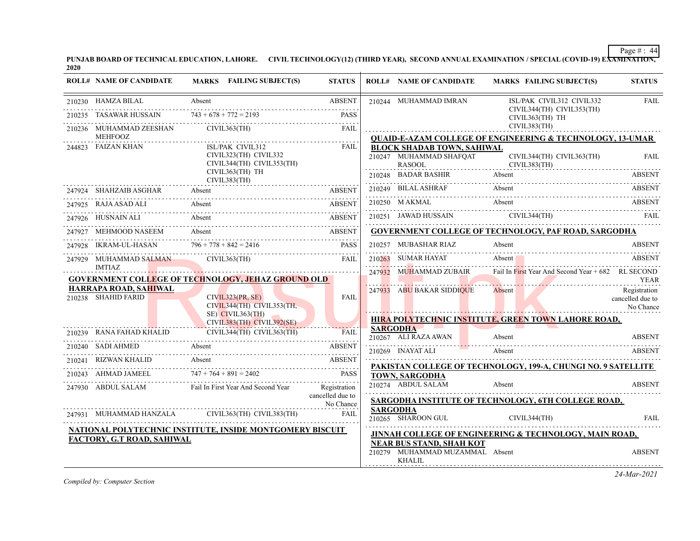**PUNJAB BOARD OF TECHNICAL EDUCATION, LAHORE. CIVIL TECHNOLOGY(12) (THIRD YEAR), SECOND ANNUAL EXAMINATION / SPECIAL (COVID-19) EXAMINATION, 2020**

|        | <b>ROLL# NAME OF CANDIDATE</b>                       | MARKS FAILING SUBJECT(S)                                                                                                                                                                                                                                             | <b>STATUS</b>            | <b>ROLL# NAME OF CANDIDATE</b>                                                | MARKS FAILING SUBJECT(S)                                                                                                                                                                                                                                                                                          | <b>STATUS</b>                                 |
|--------|------------------------------------------------------|----------------------------------------------------------------------------------------------------------------------------------------------------------------------------------------------------------------------------------------------------------------------|--------------------------|-------------------------------------------------------------------------------|-------------------------------------------------------------------------------------------------------------------------------------------------------------------------------------------------------------------------------------------------------------------------------------------------------------------|-----------------------------------------------|
|        | 210230 HAMZA BILAL                                   | Absent                                                                                                                                                                                                                                                               | <b>ABSENT</b>            | 210244 MUHAMMAD IMRAN                                                         | ISL/PAK CIVIL312 CIVIL332                                                                                                                                                                                                                                                                                         | FAIL                                          |
| 210235 | <b>TASAWAR HUSSAIN</b>                               | $743 + 678 + 772 = 2193$                                                                                                                                                                                                                                             | <b>PASS</b>              |                                                                               | CIVIL344(TH) CIVIL353(TH)<br>CIVIL363(TH) TH                                                                                                                                                                                                                                                                      |                                               |
|        |                                                      | $\begin{tabular}{ll} 210236 & \text{MUHAMMAD ZEESHAN} & & \text{CIVIL363(TH)} \\ & \text{MEHFOOZ} & & \\ \end{tabular} \begin{tabular}{ll} \text{RAL} \\ \end{tabular}$                                                                                              |                          |                                                                               | CIVIL383(TH)                                                                                                                                                                                                                                                                                                      |                                               |
|        | 244823 FAIZAN KHAN                                   | ISL/PAK CIVIL312<br>CIVIL323(TH) CIVIL332<br>CIVIL344(TH) CIVIL353(TH)<br>CIVIL363(TH) TH<br>CIVIL383(TH)                                                                                                                                                            | <b>FAIL</b>              | <b>BLOCK SHADAB TOWN, SAHIWAL</b><br>210247 MUHAMMAD SHAFQAT<br><b>RASOOL</b> | <b>QUAID-E-AZAM COLLEGE OF ENGINEERING &amp; TECHNOLOGY, 13-UMAR</b><br>CIVIL344(TH) CIVIL363(TH)<br>CIVIL383(TH)<br>210248 BADAR BASHIR Absent ABSENT ABSENT                                                                                                                                                     | FAIL                                          |
|        | 247924 SHAHZAIB ASGHAR                               |                                                                                                                                                                                                                                                                      |                          |                                                                               | 210249 BILAL ASHRAF Absent ABSENT ABSENT                                                                                                                                                                                                                                                                          | <b>ABSENT</b>                                 |
|        |                                                      | 247925 RAJA ASAD ALI Absent ABSENT                                                                                                                                                                                                                                   |                          |                                                                               | 210250 MAKMAL Absent ABSENT                                                                                                                                                                                                                                                                                       |                                               |
|        |                                                      | 247926 HUSNAIN ALI Absent ABSENT ABSENT                                                                                                                                                                                                                              |                          |                                                                               | 210251 JAWAD HUSSAIN CIVIL344(TH) FAIL FAIL                                                                                                                                                                                                                                                                       |                                               |
|        | 247927 MEHMOOD NASEEM                                | MEHMOOD NASEEM Absent Absent ABSENT                                                                                                                                                                                                                                  |                          |                                                                               | GOVERNMENT COLLEGE OF TECHNOLOGY, PAF ROAD, SARGODHA                                                                                                                                                                                                                                                              |                                               |
|        |                                                      | 247928 IKRAM-UL-HASAN 796+778+842=2416 PASS                                                                                                                                                                                                                          |                          | 210257 MUBASHAR RIAZ                                                          | Absent                                                                                                                                                                                                                                                                                                            | <b>ABSENT</b>                                 |
|        | 247929 MUHAMMAD SALMAN CIVIL363(TH)<br><b>IMTIAZ</b> | and a straight of the state.<br><u> 1999 - Jan Jan Jan Salaman, martin film ar chwarton ar chwarton ar chwarton ar chwarton ar chwarton ar chwarton ar chwarton ar chwarton ar chwarton ar chwarton ar chwarton ar chwarton ar chwarton ar chwarton ar chwarton </u> | <b>FAIL</b>              |                                                                               | 210263 SUMAR HAYAT Absent ABSENT ABSENT                                                                                                                                                                                                                                                                           |                                               |
|        |                                                      | GOVERNMENT COLLEGE OF TECHNOLOGY, JEHAZ GROUND OLD                                                                                                                                                                                                                   |                          |                                                                               | 247932 MUHAMMAD ZUBAIR Fail In First Year And Second Year + 682 RL SECOND<br><u> 1988 - Johann Johann Johann Johann Johann Johann Johann Johann Johann Johann Johann Johann Johann Johann Johann Johann Johann Johann Johann Johann Johann Johann Johann Johann Johann Johann Johann Johann Johann Johann Joh</u> | YEAR                                          |
|        | <b>HARRAPA ROAD, SAHIWAL</b><br>210238 SHAHID FARID  | CIVIL323(PR, SE)<br>CIVIL344(TH) CIVIL353(TH,                                                                                                                                                                                                                        | <b>FAIL</b>              | 247933 ABU BAKAR SIDDIQUE                                                     | Absent                                                                                                                                                                                                                                                                                                            | Registration<br>cancelled due to<br>No Chance |
|        |                                                      | $SE)$ CIVIL363(TH)<br><b>Contract Contract Contract</b><br>CIVIL383(TH) CIVIL392(SE)                                                                                                                                                                                 |                          |                                                                               | HIRA POLYTECHNIC INSTITUTE, GREEN TOWN LAHORE ROAD,                                                                                                                                                                                                                                                               |                                               |
|        | $\overline{A}$ HAD KHAT IN                           | 210239 RANA FAHAD KHALID CIVIL344(TH) CIVIL363(TH) FAIL                                                                                                                                                                                                              |                          | SARGODHA <b>COMPANY</b><br>210267 ALI RAZA AWAN                               | Absent                                                                                                                                                                                                                                                                                                            | <b>ABSENT</b>                                 |
|        |                                                      | 210240 SADI AHMED Absent ABSENT                                                                                                                                                                                                                                      |                          | 210269 INAYAT ALI                                                             | Absent                                                                                                                                                                                                                                                                                                            | ABSENT                                        |
|        | 210241 RIZWAN KHALID                                 | Absent                                                                                                                                                                                                                                                               | ABSENT                   |                                                                               | PAKISTAN COLLEGE OF TECHNOLOGY, 199-A, CHUNGI NO. 9 SATELLITE                                                                                                                                                                                                                                                     |                                               |
|        |                                                      | 210243 AHMAD JAMEEL $747 + 764 + 891 = 2402$ PASS                                                                                                                                                                                                                    |                          | <b>TOWN, SARGODHA</b>                                                         |                                                                                                                                                                                                                                                                                                                   |                                               |
|        |                                                      | 247930 ABDUL SALAM Fail In First Year And Second Year Registration                                                                                                                                                                                                   | cancelled due to         | 210274 ABDUL SALAM                                                            | Absent                                                                                                                                                                                                                                                                                                            | <b>ABSENT</b>                                 |
|        |                                                      | 247931 MUHAMMAD HANZALA CIVIL363(TH) CIVIL383(TH)                                                                                                                                                                                                                    | No Chance<br><b>FAIL</b> | <b>SARGODHA</b><br>210265 SHAROON GUL                                         | SARGODHA INSTITUTE OF TECHNOLOGY, 6TH COLLEGE ROAD,<br>CIVIL344(TH)                                                                                                                                                                                                                                               | <b>FAIL</b>                                   |
|        |                                                      | NATIONAL POLYTECHNIC INSTITUTE, INSIDE MONTGOMERY BISCUIT                                                                                                                                                                                                            |                          |                                                                               | <b>JINNAH COLLEGE OF ENGINEERING &amp; TECHNOLOGY, MAIN ROAD,</b>                                                                                                                                                                                                                                                 |                                               |
|        | FACTORY, G.T ROAD, SAHIWAL                           |                                                                                                                                                                                                                                                                      |                          | <b>NEAR BUS STAND, SHAH KOT</b><br>210279 MUHAMMAD MUZAMMAL Absent<br>KHALIL  |                                                                                                                                                                                                                                                                                                                   | <b>ABSENT</b>                                 |

*Compiled by: Computer Section*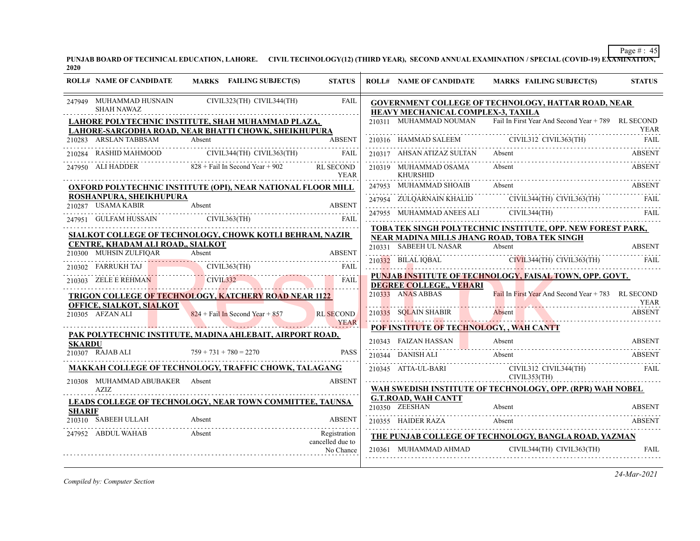**PUNJAB BOARD OF TECHNICAL EDUCATION, LAHORE. CIVIL TECHNOLOGY(12) (THIRD YEAR), SECOND ANNUAL EXAMINATION / SPECIAL (COVID-19) EXAMINATION, 2020**

|               | <b>ROLL# NAME OF CANDIDATE</b>                | MARKS FAILING SUBJECT(S)                                                                                   | <b>STATUS</b>                    | <b>ROLL# NAME OF CANDIDATE</b>               | MARKS FAILING SUBJECT(S)                                                  | <b>STATUS</b> |
|---------------|-----------------------------------------------|------------------------------------------------------------------------------------------------------------|----------------------------------|----------------------------------------------|---------------------------------------------------------------------------|---------------|
|               | 247949 MUHAMMAD HUSNAIN<br><b>SHAH NAWAZ</b>  | CIVIL323(TH) CIVIL344(TH)                                                                                  | <b>FAIL</b>                      | HEAVY MECHANICAL COMPLEX-3, TAXILA           | GOVERNMENT COLLEGE OF TECHNOLOGY, HATTAR ROAD, NEAR                       |               |
|               |                                               | LAHORE POLYTECHNIC INSTITUTE, SHAH MUHAMMAD PLAZA,<br>LAHORE-SARGODHA ROAD, NEAR BHATTI CHOWK, SHEIKHUPURA |                                  |                                              | 210311 MUHAMMAD NOUMAN Fail In First Year And Second Year + 789 RL SECOND | <b>YEAR</b>   |
|               | 210283 ARSLAN TABBSAM Absent                  | 0283 ARSLAN TABBSAM Absent Absent ABSENT                                                                   | <b>ABSENT</b>                    |                                              | 210316 HAMMAD SALEEM CIVIL312 CIVIL363(TH)                                | <b>FAIL</b>   |
|               |                                               | 210284 RASHID MAHMOOD CIVIL344(TH) CIVIL363(TH)                                                            | FAIL                             | 210317 AHSAN ATIZAZ SULTAN Absent            |                                                                           | <b>ABSENT</b> |
|               |                                               | 247950 ALI HADDER 828 + Fail In Second Year + 902 RL SECOND                                                | <b>YEAR</b>                      | 210319 MUHAMMAD OSAMA<br><b>KHURSHID</b>     | Absent                                                                    | <b>ABSENT</b> |
|               |                                               | <b>OXFORD POLYTECHNIC INSTITUTE (OPI), NEAR NATIONAL FLOOR MILL</b>                                        |                                  | 247953 MUHAMMAD SHOAIB Absent                |                                                                           | <b>ABSENT</b> |
|               | ROSHANPURA, SHEIKHUPURA<br>210287 USAMA KABIR | Absent                                                                                                     | <b>ABSENT</b>                    |                                              | 247954 ZULQARNAIN KHALID CIVIL344(TH) CIVIL363(TH) FAIL                   |               |
|               |                                               |                                                                                                            |                                  |                                              | 247955 MUHAMMAD ANEES ALI CIVIL344(TH)                                    | FAIL          |
|               |                                               | 247951 GULFAM HUSSAIN CIVIL363(TH) FAIL                                                                    |                                  |                                              | TOBA TEK SINGH POLYTECHNIC INSTITUTE, OPP. NEW FOREST PARK,               |               |
|               | CENTRE, KHADAM ALI ROAD,, SIALKOT             | SIALKOT COLLEGE OF TECHNOLOGY, CHOWK KOTLI BEHRAM, NAZIR                                                   |                                  |                                              | NEAR MADINA MILLS JHANG ROAD, TOBA TEK SINGH                              |               |
|               | 210300 MUHSIN ZULFIQAR                        | Absent                                                                                                     | <b>ABSENT</b>                    |                                              | 210331 SABEEH UL NASAR Absent ABSENT ABSENT                               |               |
|               |                                               | 210302 FARRUKH TAJ CIVIL363(TH) FAIL                                                                       |                                  |                                              | 210332 BILAL IQBAL CIVIL344(TH) CIVIL363(TH)                              | - FAIL        |
|               | 210303 ZELE E REHMAN CIVIL332                 |                                                                                                            | FAIL                             |                                              | PUNJAB INSTITUTE OF TECHNOLOGY, FAISAL TOWN, OPP. GOVT.                   |               |
|               |                                               | <b>TRIGON COLLEGE OF TECHNOLOGY, KATCHERY ROAD NEAR 1122</b>                                               |                                  | DEGREE COLLEGE,, VEHARI<br>210333 ANAS ABBAS | Fail In First Year And Second Year + 783 RL SECOND                        |               |
|               | <b>OFFICE, SIALKOT, SIALKOT</b>               |                                                                                                            |                                  |                                              |                                                                           | YEAR          |
|               | 210305 AFZAN ALI                              | $824$ + Fail In Second Year + 857                                                                          | <b>RL SECOND</b><br><b>YEAR</b>  | 210335 SQLAIN SHABIR                         | Absent                                                                    | <b>ABSENT</b> |
|               |                                               | PAK POLYTECHNIC INSTITUTE, MADINA AHLEBAIT, AIRPORT ROAD,                                                  |                                  |                                              | POF INSTITUTE OF TECHNOLOGY, , WAH CANTT                                  |               |
| <b>SKARDU</b> |                                               |                                                                                                            |                                  |                                              | 210343 FAIZAN HASSAN Absent ABSENT                                        |               |
|               | 210307 RAJAB ALI                              | $759 + 731 + 780 = 2270$                                                                                   | <b>PASS</b>                      | 210344 DANISH ALI                            | Absent                                                                    | ABSENT        |
|               | 210308 MUHAMMAD ABUBAKER Absent               | <u>MAKKAH COLLEGE OF TECHNOLOGY, TRAFFIC CHOWK, TALAGANG</u>                                               | <b>ABSENT</b>                    | 210345 ATTA-UL-BARI                          | CIVIL312 CIVIL344(TH)<br>CIVIL353(TH)                                     | FAIL          |
|               | AZIZ                                          |                                                                                                            |                                  |                                              | WAH SWEDISH INSTITUTE OF TECHNOLOGY, OPP. (RPR) WAH NOBEL                 |               |
|               |                                               | LEADS COLLEGE OF TECHNOLOGY, NEAR TOWN COMMITTEE, TAUNSA                                                   |                                  | <b>G.T.ROAD, WAH CANTT</b><br>210350 ZEESHAN | Absent                                                                    | <b>ABSENT</b> |
| <b>SHARIF</b> | 210310 SABEEH ULLAH                           | Absent                                                                                                     | <b>ABSENT</b>                    |                                              |                                                                           |               |
|               |                                               |                                                                                                            |                                  | 210355 HAIDER RAZA                           | Absent                                                                    | <b>ABSENT</b> |
|               | 247952 ABDUL WAHAB                            | Absent                                                                                                     | Registration<br>cancelled due to |                                              | THE PUNJAB COLLEGE OF TECHNOLOGY, BANGLA ROAD, YAZMAN                     |               |
|               |                                               |                                                                                                            | No Chance                        | 210361 MUHAMMAD AHMAD                        | CIVIL344(TH) CIVIL363(TH)                                                 | FAIL          |
|               |                                               |                                                                                                            |                                  |                                              |                                                                           |               |

*Compiled by: Computer Section*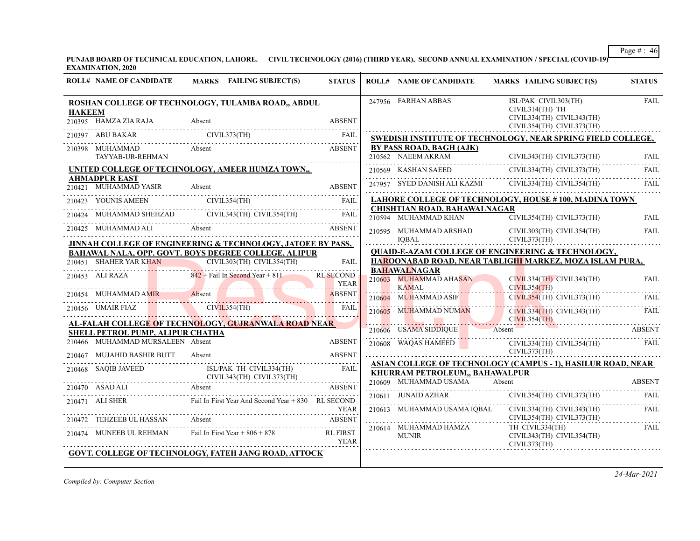**PUNJAB BOARD OF TECHNICAL EDUCATION, LAHORE. CIVIL TECHNOLOGY (2016) (THIRD YEAR), SECOND ANNUAL EXAMINATION / SPECIAL (COVID-19) EXAMINATION, 2020**

|               | <b>ROLL# NAME OF CANDIDATE</b>                                       | MARKS FAILING SUBJECT(S)                                                                                                                                                                                                                        | <b>STATUS</b>                   | <b>ROLL# NAME OF CANDIDATE</b>                                | <b>MARKS FAILING SUBJECT(S)</b>                                      | <b>STATUS</b>             |
|---------------|----------------------------------------------------------------------|-------------------------------------------------------------------------------------------------------------------------------------------------------------------------------------------------------------------------------------------------|---------------------------------|---------------------------------------------------------------|----------------------------------------------------------------------|---------------------------|
| <b>HAKEEM</b> |                                                                      | ROSHAN COLLEGE OF TECHNOLOGY, TULAMBA ROAD,, ABDUL                                                                                                                                                                                              |                                 | 247956 FARHAN ABBAS                                           | ISL/PAK CIVIL303(TH)<br>CIVIL314(TH) TH<br>CIVIL334(TH) CIVIL343(TH) | <b>FAIL</b>               |
|               | 210395 HAMZA ZIA RAJA                                                |                                                                                                                                                                                                                                                 | <b>ABSENT</b>                   |                                                               | CIVIL354(TH) CIVIL373(TH)                                            |                           |
|               | 210397 ABU BAKAR CIVIL373(TH)                                        |                                                                                                                                                                                                                                                 | FAIL                            |                                                               | SWEDISH INSTITUTE OF TECHNOLOGY, NEAR SPRING FIELD COLLEGE,          |                           |
|               | 210398 MUHAMMAD<br>TAYYAB-UR-REHMAN                                  | Absent                                                                                                                                                                                                                                          | <b>ABSENT</b>                   | BY PASS ROAD, BAGH (AJK)<br>210562 NAEEM AKRAM                | CIVIL343(TH) CIVIL373(TH)                                            | FAIL                      |
|               |                                                                      | UNITED COLLEGE OF TECHNOLOGY, AMEER HUMZA TOWN.                                                                                                                                                                                                 |                                 |                                                               | 210569 KASHAN SAEED CIVIL334(TH) CIVIL373(TH)                        | FAIL                      |
|               | <b>AHMADPUR EAST</b><br>210421 MUHAMMAD YASIR                        | Absent                                                                                                                                                                                                                                          | <b>ABSENT</b>                   |                                                               | 247957 SYED DANISH ALI KAZMI CIVIL334(TH) CIVIL354(TH)               | <b>FAIL</b>               |
|               |                                                                      | $\begin{tabular}{ll} 210423 & YOUNIS AMEEN & CIVIL354(TH) & FAIL \\ \hline \end{tabular} \begin{tabular}{ll} \multicolumn{3}{l}{} & \multicolumn{3}{l}{} & CHVIL354(TH) \\ \multicolumn{3}{l}{} & \multicolumn{3}{l}{} & FAIL \\ \end{tabular}$ |                                 |                                                               | <b>LAHORE COLLEGE OF TECHNOLOGY, HOUSE #100, MADINA TOWN</b>         |                           |
|               |                                                                      |                                                                                                                                                                                                                                                 |                                 | <b>CHISHTIAN ROAD, BAHAWALNAGAR</b>                           |                                                                      |                           |
|               |                                                                      | 210424 MUHAMMAD SHEHZAD CIVIL343(TH) CIVIL354(TH) FAIL                                                                                                                                                                                          |                                 | 210594 MUHAMMAD KHAN                                          | CIVIL354(TH) CIVIL373(TH)                                            | <b>FAIL</b><br>. <b>.</b> |
|               |                                                                      | 210425 MUHAMMAD ALI Absent                                                                                                                                                                                                                      | <b>ABSENT</b>                   | 210595 MUHAMMAD ARSHAD                                        | CIVIL303(TH) CIVIL354(TH)                                            | FAIL                      |
|               |                                                                      | JINNAH COLLEGE OF ENGINEERING & TECHNOLOGY, JATOEE BY PASS,                                                                                                                                                                                     |                                 | <b>IOBAL</b>                                                  | CIVIL373(TH)                                                         |                           |
|               |                                                                      | BAHAWAL NALA, OPP. GOVT. BOYS DEGREE COLLEGE, ALIPUR                                                                                                                                                                                            |                                 |                                                               | <b>QUAID-E-AZAM COLLEGE OF ENGINEERING &amp; TECHNOLOGY,</b>         |                           |
|               | <u> 1989 - John Harry Barn, mars a</u>                               | 210451 SHAHER YAR KHAN CIVIL303(TH) CIVIL354(TH)                                                                                                                                                                                                | <b>FAIL</b>                     |                                                               | HAROONABAD ROAD, NEAR TABLIGHI MARKEZ, MOZA ISLAM PURA,              |                           |
|               | 210453 ALI RAZA                                                      | $842 +$ Fail In Second Year + 811                                                                                                                                                                                                               | <b>RL SECOND</b><br><b>YEAR</b> | <b>BAHAWALNAGAR</b><br>210603 MUHAMMAD AHASAN<br><b>KAMAL</b> | CIVIL334(TH) CIVIL343(TH)<br>CIVIL354(TH)                            | <b>FAIL</b>               |
|               |                                                                      | 210454 MUHAMMAD AMIR<br>Absent Absent Absent                                                                                                                                                                                                    | <b>ABSENT</b>                   | 210604 MUHAMMAD ASIF                                          | CIVIL354(TH) CIVIL373(TH)                                            | FAIL                      |
|               |                                                                      | 210456 UMAIR FIAZ CIVIL354(TH)                                                                                                                                                                                                                  | <b>FAIL</b>                     | 210605 MUHAMMAD NUMAN                                         | $CIVIL334(TH)$ $CIVIL343(TH)$<br>CIVIL354(TH)<br><u>\</u>            | FAIL                      |
|               |                                                                      | AL-FALAH COLLEGE OF TECHNOLOGY, GUJRANWALA ROAD NEAR                                                                                                                                                                                            |                                 | 210606 USAMA SIDDIQUE                                         | Absent                                                               | ABSENT                    |
|               | SHELL PETROL PUMP, ALIPUR CHATHA<br>210466 MUHAMMAD MURSALEEN Absent |                                                                                                                                                                                                                                                 | <b>ABSENT</b>                   | 210608 WAQAS HAMEED                                           | CIVIL334(TH) CIVIL354(TH)                                            | FAIL                      |
|               | 210467 MUJAHID BASHIR BUTT                                           |                                                                                                                                                                                                                                                 |                                 | CIVIL373(TH)                                                  |                                                                      |                           |
|               |                                                                      |                                                                                                                                                                                                                                                 |                                 |                                                               | ASIAN COLLEGE OF TECHNOLOGY (CAMPUS - 1), HASILUR ROAD, NEAR         |                           |
|               |                                                                      | 210468 SAQIB JAVEED ISL/PAK TH CIVIL334(TH)<br>CIVIL343(TH) CIVIL373(TH)<br>ISL/PAK TH CIVIL334(TH)                                                                                                                                             | FAIL                            | KHURRAM PETROLEUM,, BAHAWALPUR                                |                                                                      |                           |
|               | 210470 ASAD ALI                                                      | <b>Absent</b>                                                                                                                                                                                                                                   | ABSENT                          | 210609 MUHAMMAD USAMA                                         | Absent                                                               | <b>ABSENT</b>             |
|               |                                                                      |                                                                                                                                                                                                                                                 |                                 | 210611 JUNAID AZHAR                                           | CIVIL354(TH) CIVIL373(TH)                                            | <b>FAIL</b>               |
|               | 210471 ALI SHER                                                      | Fail In First Year And Second Year + 830 RL SECOND                                                                                                                                                                                              | <b>YEAR</b>                     | 210613 MUHAMMAD USAMA IOBAL                                   | CIVIL334(TH) CIVIL343(TH)                                            | FAIL                      |
|               | 210472 TEHZEEB UL HASSAN                                             | Absent                                                                                                                                                                                                                                          | <b>ABSENT</b>                   |                                                               | CIVIL354(TH) CIVIL373(TH)                                            |                           |
|               |                                                                      |                                                                                                                                                                                                                                                 |                                 | 210614 MUHAMMAD HAMZA                                         | TH CIVIL334(TH)                                                      | FAIL                      |
|               | 210474 MUNEEB UL REHMAN                                              | Fail In First Year $+806 + 878$                                                                                                                                                                                                                 | <b>RL FIRST</b><br><b>YEAR</b>  | <b>MUNIR</b>                                                  | CIVIL343(TH) CIVIL354(TH)<br>CIVIL373(TH)                            |                           |
|               |                                                                      | <b>GOVT. COLLEGE OF TECHNOLOGY, FATEH JANG ROAD, ATTOCK</b>                                                                                                                                                                                     |                                 |                                                               |                                                                      |                           |
|               |                                                                      |                                                                                                                                                                                                                                                 |                                 |                                                               |                                                                      |                           |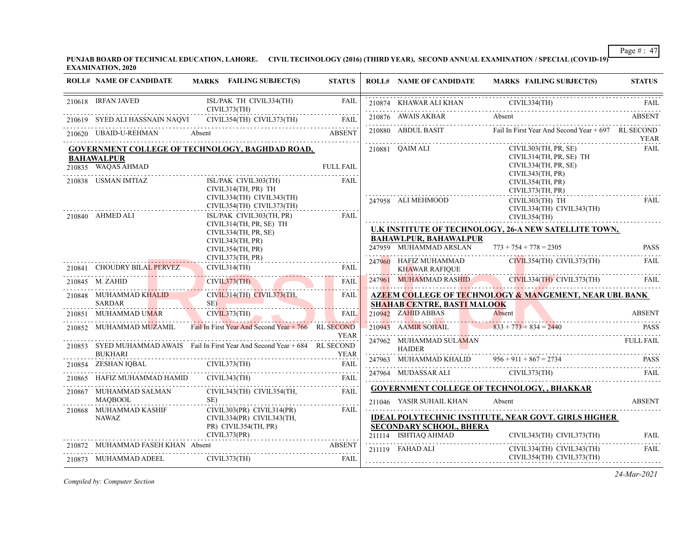**PUNJAB BOARD OF TECHNICAL EDUCATION, LAHORE. CIVIL TECHNOLOGY (2016) (THIRD YEAR), SECOND ANNUAL EXAMINATION / SPECIAL (COVID-19) EXAMINATION, 2020**

|        | <b>ROLL# NAME OF CANDIDATE</b>                                 | MARKS FAILING SUBJECT(S)                                                                                            | <b>STATUS</b>                   | <b>ROLL# NAME OF CANDIDATE</b>                         | <b>MARKS FAILING SUBJECT(S)</b>                                                                   | <b>STATUS</b>    |
|--------|----------------------------------------------------------------|---------------------------------------------------------------------------------------------------------------------|---------------------------------|--------------------------------------------------------|---------------------------------------------------------------------------------------------------|------------------|
|        | 210618 IRFAN JAVED                                             | ISL/PAK TH CIVIL334(TH)<br>CIVIL373(TH)                                                                             | <b>FAIL</b>                     |                                                        | EXAMPLE 210874 KHAWAR ALI KHAN CIVIL334(TH) FAIL                                                  |                  |
|        |                                                                | 210619 SYED ALI HASSNAIN NAQVI CIVIL354(TH) CIVIL373(TH)                                                            | FAIL                            | 210876 AWAIS AKBAR                                     | 210876 AWAIS AKBAR Absent ABSENT                                                                  |                  |
|        |                                                                | 210620 UBAID-U-REHMAN Absent                                                                                        | <b>ABSENT</b>                   | 210880 ABDUL BASIT                                     | Fail In First Year And Second Year + 697 RL SECOND                                                | YEAR             |
|        | <b>BAHAWALPUR</b><br>210835 WAQAS AHMAD<br>210838 USMAN IMTIAZ | <b>GOVERNMENT COLLEGE OF TECHNOLOGY, BAGHDAD ROAD,</b>                                                              | <b>FULL FAIL</b><br><b>FAIL</b> | 210881 QAIM ALI                                        | CIVIL303(TH, PR, SE)<br>CIVIL314(TH, PR, SE) TH<br>CIVIL334(TH, PR, SE)<br>CIVIL343(TH, PR)       | FAIL             |
|        |                                                                | ISL/PAK CIVIL303(TH)<br>CIVIL314(TH, PR) TH<br>CIVIL334(TH) CIVIL343(TH)<br>CIVIL354(TH) CIVIL373(TH)               |                                 | 247958 ALI MEHMOOD                                     | CIVIL354(TH, PR)<br>CIVIL373(TH, PR)<br>CIVIL303(TH) TH<br>CIVIL334(TH) CIVIL343(TH)              | <b>FAIL</b>      |
|        | 210840 AHMED ALI                                               | ISL/PAK CIVIL303(TH, PR)<br>CIVIL314(TH, PR, SE) TH<br>CIVIL334(TH, PR, SE)<br>CIVIL343(TH, PR)<br>CIVIL354(TH, PR) | FAIL                            | <b>BAHAWLPUR, BAHAWALPUR</b><br>247959 MUHAMMAD ARSLAN | CIVIL354(TH)<br>U.K INSTITUTE OF TECHNOLOGY, 26-A NEW SATELLITE TOWN,<br>$773 + 754 + 778 = 2305$ | <b>PASS</b>      |
|        | 210841 CHOUDRY BILAL PERVEZ                                    | CIVIL373(TH, PR)<br>841 CHOUDRY BILAL PERVEZ CIVIL314(TH) FAIL                                                      |                                 | 247960 HAFIZ MUHAMMAD<br><b>KHAWAR RAFIQUE</b>         | CIVIL354(TH) CIVIL373(TH)                                                                         | <b>FAIL</b>      |
|        | 210845 M. ZAHID                                                | CIVIL373(TH) FAIL                                                                                                   |                                 | 247961 MUHAMMAD RASHID                                 | $CIVIL334(TH)$ $CIVIL373(TH)$                                                                     | FAIL             |
|        | 210848 MUHAMMAD KHALID<br><b>SARDAR</b>                        | CIVIL314(TH) CIVIL373(TH,<br>SE)                                                                                    | <b>FAIL</b>                     | <b>SHAHAB CENTRE, BASTI MALOOK</b>                     | <b>AZEEM COLLEGE OF TECHNOLOGY &amp; MANGEMENT, NEAR UBL BANK</b>                                 |                  |
| 210851 |                                                                | MUHAMMAD UMAR CIVIL373(TH)                                                                                          | FAIL                            | $210942$ ZAHID ABBAS                                   | Absent                                                                                            | <b>ABSENT</b>    |
|        |                                                                | 210852 MUHAMMAD MUZAMIL Fail In First Year And Second Year + 766 RL SECOND                                          | <b>YEAR</b>                     | 210943 AAMIR SOHAIL                                    | $833 + 773 + 834 = 2440$                                                                          | PASS             |
|        | <b>BUKHARI</b>                                                 | 210853 SYED MUHAMMAD AWAIS Fail In First Year And Second Year + 684 RL SECOND                                       | <b>YEAR</b>                     | 247962 MUHAMMAD SULAMAN<br><b>HAIDER</b>               |                                                                                                   | <b>FULL FAIL</b> |
|        | 210854 ZESHAN IQBAL                                            |                                                                                                                     |                                 |                                                        | 247963 MUHAMMAD KHALID $956 + 911 + 867 = 2734$                                                   | <b>PASS</b>      |
| 210865 | HAFIZ MUHAMMAD HAMID                                           | CIVIL343(TH)                                                                                                        | <b>FAIL</b>                     |                                                        | 247963 MODASSAR ALI CIVIL373(TH) FAIL                                                             |                  |
|        | 210867 MUHAMMAD SALMAN<br><b>MAOBOOL</b>                       | CIVIL343(TH) CIVIL354(TH,<br>SE)                                                                                    | FAII.                           | 211046 YASIR SUHAIL KHAN                               | <b>GOVERNMENT COLLEGE OF TECHNOLOGY, , BHAKKAR</b><br>Absent                                      | <b>ABSENT</b>    |
|        | 210868 MUHAMMAD KASHIF<br>NAWAZ                                | $CIVIL303(PR)$ $CIVIL314(PR)$<br>CIVIL334(PR) CIVIL343(TH,<br>PR) CIVIL354(TH, PR)<br>CIVIL373(PR)                  | <b>FAIL</b>                     | <b>SECONDARY SCHOOL, BHERA</b><br>211114 ISHTIAQ AHMAD | <b>IDEAL POLYTECHNIC INSTITUTE, NEAR GOVT. GIRLS HIGHER</b><br>CIVIL343(TH) CIVIL373(TH)          | <b>FAIL</b>      |
|        | 210872 MUHAMMAD FASEH KHAN Absent                              |                                                                                                                     | ABSENT                          | 211119 FAHAD ALI                                       | CIVIL334(TH) CIVIL343(TH)<br>CIVIL354(TH) CIVIL373(TH)                                            | <b>FAIL</b>      |
|        | 210873 MUHAMMAD ADEEL                                          | CIVIL373(TH)                                                                                                        | FAIL                            |                                                        |                                                                                                   |                  |

*Compiled by: Computer Section*

*24-Mar-2021*

Page # : 47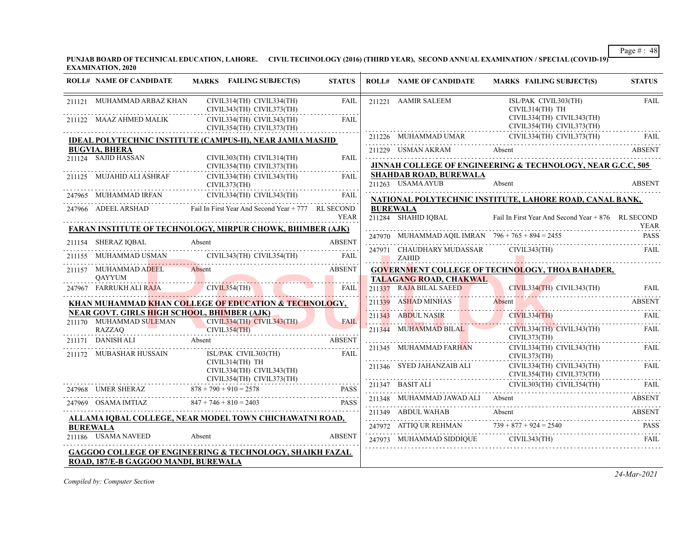**PUNJAB BOARD OF TECHNICAL EDUCATION, LAHORE. CIVIL TECHNOLOGY (2016) (THIRD YEAR), SECOND ANNUAL EXAMINATION / SPECIAL (COVID-19) EXAMINATION, 2020**

|                 | <b>ROLL# NAME OF CANDIDATE</b>                                                | MARKS FAILING SUBJECT(S)                                                                                                                                                                                                                                                         | <b>STATUS</b> |                           | <b>ROLL# NAME OF CANDIDATE</b>                      | MARKS FAILING SUBJECT(S)                                                                                                                                                                                                                                                                                                                                                                                                 | <b>STATUS</b> |
|-----------------|-------------------------------------------------------------------------------|----------------------------------------------------------------------------------------------------------------------------------------------------------------------------------------------------------------------------------------------------------------------------------|---------------|---------------------------|-----------------------------------------------------|--------------------------------------------------------------------------------------------------------------------------------------------------------------------------------------------------------------------------------------------------------------------------------------------------------------------------------------------------------------------------------------------------------------------------|---------------|
|                 | 211121 MUHAMMAD ARBAZ KHAN                                                    | CIVIL314(TH) CIVIL334(TH)<br>CIVIL343(TH) CIVIL373(TH)                                                                                                                                                                                                                           | <b>FAIL</b>   |                           | 211221 AAMIR SALEEM                                 | ISL/PAK CIVIL303(TH)<br>CIVIL314(TH) TH                                                                                                                                                                                                                                                                                                                                                                                  | <b>FAIL</b>   |
|                 | 211122 MAAZ AHMED MALIK                                                       | CIVIL334(TH) CIVIL343(TH)<br>CIVIL354(TH) CIVIL373(TH)                                                                                                                                                                                                                           | <b>FAIL</b>   |                           |                                                     | CIVIL334(TH) CIVIL343(TH)<br>CIVIL354(TH) CIVIL373(TH)                                                                                                                                                                                                                                                                                                                                                                   |               |
|                 |                                                                               | <b>IDEAL POLYTECHNIC INSTITUTE (CAMPUS-II), NEAR JAMIA MASJID</b>                                                                                                                                                                                                                |               |                           |                                                     | 211226 MUHAMMAD UMAR CIVIL334(TH) CIVIL373(TH) FAIL                                                                                                                                                                                                                                                                                                                                                                      |               |
|                 | <b>BUGVIA, BHERA</b>                                                          |                                                                                                                                                                                                                                                                                  |               |                           |                                                     | 211229 USMAN AKRAM Absent ABSENT                                                                                                                                                                                                                                                                                                                                                                                         |               |
|                 | 211124 SAJID HASSAN                                                           | CIVIL303(TH) CIVIL314(TH)<br>CIVIL354(TH) CIVIL373(TH)                                                                                                                                                                                                                           | FAIL          |                           |                                                     | JINNAH COLLEGE OF ENGINEERING & TECHNOLOGY, NEAR G.C.C, 505                                                                                                                                                                                                                                                                                                                                                              |               |
|                 | 211125 MUJAHID ALI ASHRAF                                                     | CIVIL334(TH) CIVIL343(TH)<br>CIVIL373(TH)                                                                                                                                                                                                                                        | FAII.         |                           | <b>SHAHDAB ROAD, BUREWALA</b><br>211263 USAMA AYUB  | Absent                                                                                                                                                                                                                                                                                                                                                                                                                   | <b>ABSENT</b> |
|                 |                                                                               | 247965 MUHAMMAD IRFAN CIVIL334(TH) CIVIL343(TH)                                                                                                                                                                                                                                  | <b>FAIL</b>   |                           |                                                     | NATIONAL POLYTECHNIC INSTITUTE, LAHORE ROAD, CANAL BANK,                                                                                                                                                                                                                                                                                                                                                                 |               |
|                 |                                                                               | 247966 ADEEL ARSHAD Fail In First Year And Second Year + 777 RL SECOND                                                                                                                                                                                                           | <b>YEAR</b>   |                           | <b>BUREWALA</b><br>211284 SHAHID IQBAL              | Fail In First Year And Second Year + 876 RL SECOND                                                                                                                                                                                                                                                                                                                                                                       | <b>YEAR</b>   |
|                 |                                                                               | <b>FARAN INSTITUTE OF TECHNOLOGY, MIRPUR CHOWK, BHIMBER (AJK)</b>                                                                                                                                                                                                                |               |                           |                                                     | 247970 MUHAMMAD AQIL IMRAN 796 + 765 + 894 = 2455                                                                                                                                                                                                                                                                                                                                                                        | <b>PASS</b>   |
|                 | 211154 SHERAZ IQBAL                                                           | Absent                                                                                                                                                                                                                                                                           | <b>ABSENT</b> |                           |                                                     | 247971 CHAUDHARY MUDASSAR CIVIL343(TH)                                                                                                                                                                                                                                                                                                                                                                                   | FAIL          |
|                 |                                                                               | 211155 MUHAMMAD USMAN CIVIL343(TH) CIVIL354(TH) FAIL                                                                                                                                                                                                                             |               | $\ldots$ $\ldots$ $ZAHID$ |                                                     |                                                                                                                                                                                                                                                                                                                                                                                                                          |               |
|                 | 211157 MUHAMMAD ADEEL                                                         | Absent                                                                                                                                                                                                                                                                           | ABSENT        |                           |                                                     | <b>GOVERNMENT COLLEGE OF TECHNOLOGY, THOA BAHADER,</b>                                                                                                                                                                                                                                                                                                                                                                   |               |
|                 | <b>OAYYUM</b>                                                                 | 247967 FARRUKH ALI RAJA CIVIL354(TH)                                                                                                                                                                                                                                             | <b>FAIL</b>   |                           | TALAGANG ROAD, CHAKWAL                              | 211337 RAJA BILAL SAEED CIVIL334(TH) CIVIL343(TH)                                                                                                                                                                                                                                                                                                                                                                        | <b>FAIL</b>   |
|                 |                                                                               | KHAN MUHAMMAD KHAN COLLEGE OF EDUCATION & TECHNOLOGY,                                                                                                                                                                                                                            |               |                           |                                                     | 211339 ASHAD MINHAS Absent ABSENT                                                                                                                                                                                                                                                                                                                                                                                        |               |
|                 | <b>NEAR GOVT. GIRLS HIGH SCHOOL, BHIMBER (AJK)</b><br>211170 MUHAMMAD SULEMAN | CIVIL334(TH) CIVIL343(TH)                                                                                                                                                                                                                                                        | <b>FAIL</b>   |                           |                                                     | 211343 ABDUL NASIR CIVIL334(TH) FAIL                                                                                                                                                                                                                                                                                                                                                                                     |               |
|                 | RAZZAQ                                                                        | CIVIL354(TH)                                                                                                                                                                                                                                                                     |               |                           | 211344 MUHAMMAD BILAL                               | CIVIL334(TH) CIVIL343(TH)                                                                                                                                                                                                                                                                                                                                                                                                | FAIL          |
|                 |                                                                               | 211171 DANISH ALI Absent<br>Absent<br>Absent<br>Absent<br>Absent<br>Absent<br>Absent<br>Absent<br>Absent<br>Absent<br>Absent<br>Absent<br>Absent<br>Absent<br>Absent<br>Absent<br>Absent<br>Absent<br>Absent<br>Absent<br>Absent<br>Absent<br>Absent<br>Absent<br>Absent<br>Abse |               |                           |                                                     | CIVIL373(TH)<br>CIVIL334(TH) CIVIL343(TH)                                                                                                                                                                                                                                                                                                                                                                                | FAIL          |
|                 | 211172 MUBASHAR HUSSAIN                                                       | ISL/PAK CIVIL303(TH)                                                                                                                                                                                                                                                             | FAIL          |                           | 211345 MUHAMMAD FARHAN CIVIL334(TH)<br>CIVIL373(TH) |                                                                                                                                                                                                                                                                                                                                                                                                                          |               |
|                 |                                                                               | CIVIL314(TH) TH<br>CIVIL334(TH) CIVIL343(TH)<br>$CIVIL354(TH)$ $CIVIL373(TH)$                                                                                                                                                                                                    |               |                           |                                                     | $\begin{tabular}{ll} 211346 & \text{SYED JAHANZAIB ALI} & \text{CIVIL334(TH) CIVIL343(TH) } \end{tabular} \begin{tabular}{ll} \multicolumn{2}{l}{{\small\bf{FAL}}} \\ \multicolumn{2}{l}{\small\bf{CIVIL354(TH) CIVIL373(TH)}} \\ \multicolumn{2}{l}{\small\bf{CIVIL354(TH) CIVIL373(TH)}} \\ \multicolumn{2}{l}{\small\bf{CIVIL354(TH) CIVIL373(TH)}} \\ \multicolumn{2}{l}{\small\bf{CIVIL354(TH) CIVIL373(TH)}} \\ \$ |               |
|                 |                                                                               | 247968 UMER SHERAZ 878 + 790 + 910 = 2578 PASS<br>PASS                                                                                                                                                                                                                           |               |                           |                                                     |                                                                                                                                                                                                                                                                                                                                                                                                                          |               |
|                 |                                                                               | 247969 OSAMA IMTIAZ $847 + 746 + 810 = 2403$ PASS PASS                                                                                                                                                                                                                           |               |                           |                                                     | 211348 MUHAMMAD JAWAD ALI Absent ABSENT                                                                                                                                                                                                                                                                                                                                                                                  |               |
|                 |                                                                               | ALLAMA IQBAL COLLEGE, NEAR MODEL TOWN CHICHAWATNI ROAD,                                                                                                                                                                                                                          |               |                           | 211349 ABDUL WAHAB                                  | Absent                                                                                                                                                                                                                                                                                                                                                                                                                   | ABSENT        |
| <b>BUREWALA</b> |                                                                               |                                                                                                                                                                                                                                                                                  |               |                           |                                                     | 247972 ATTIQ UR REHMAN 739 + 877 + 924 = 2540 PASS                                                                                                                                                                                                                                                                                                                                                                       |               |
|                 | 211186 USAMA NAVEED                                                           | Absent                                                                                                                                                                                                                                                                           | <b>ABSENT</b> |                           |                                                     |                                                                                                                                                                                                                                                                                                                                                                                                                          | FAIL          |
|                 |                                                                               | <b>GAGGOO COLLEGE OF ENGINEERING &amp; TECHNOLOGY, SHAIKH FAZAL</b>                                                                                                                                                                                                              |               |                           |                                                     |                                                                                                                                                                                                                                                                                                                                                                                                                          |               |
|                 | ROAD, 187/E-B GAGGOO MANDI, BUREWALA                                          |                                                                                                                                                                                                                                                                                  |               |                           |                                                     |                                                                                                                                                                                                                                                                                                                                                                                                                          |               |

*Compiled by: Computer Section*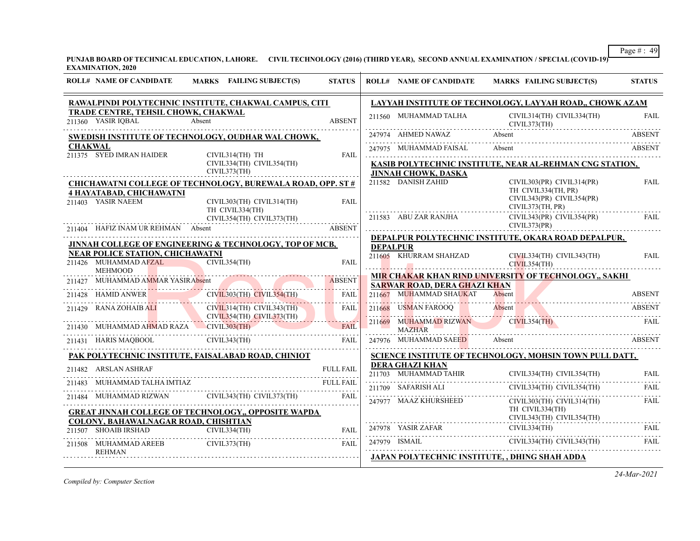**PUNJAB BOARD OF TECHNICAL EDUCATION, LAHORE. CIVIL TECHNOLOGY (2016) (THIRD YEAR), SECOND ANNUAL EXAMINATION / SPECIAL (COVID-19) EXAMINATION, 2020**

| <b>ROLL# NAME OF CANDIDATE</b>                                                     | MARKS FAILING SUBJECT(S)                                                      | <b>STATUS</b>    |                 | <b>ROLL# NAME OF CANDIDATE</b>                                 | <b>MARKS FAILING SUBJECT(S)</b>                                                                                                                                | <b>STATUS</b> |
|------------------------------------------------------------------------------------|-------------------------------------------------------------------------------|------------------|-----------------|----------------------------------------------------------------|----------------------------------------------------------------------------------------------------------------------------------------------------------------|---------------|
|                                                                                    | RAWALPINDI POLYTECHNIC INSTITUTE, CHAKWAL CAMPUS, CITI                        |                  |                 |                                                                | LAYYAH INSTITUTE OF TECHNOLOGY, LAYYAH ROAD,, CHOWK AZAM                                                                                                       |               |
| TRADE CENTRE, TEHSIL CHOWK, CHAKWAL<br>211360 YASIR IOBAL                          | Absent                                                                        | <b>ABSENT</b>    |                 | 211560 MUHAMMAD TALHA                                          | CIVIL314(TH) CIVIL334(TH)<br>CIVIL373(TH)                                                                                                                      | FAIL          |
|                                                                                    | SWEDISH INSTITUTE OF TECHNOLOGY, OUDHAR WAL CHOWK,                            |                  |                 | 247974 AHMED NAWAZ                                             | Absent                                                                                                                                                         | <b>ABSENT</b> |
| <b>CHAKWAL</b><br>211375 SYED IMRAN HAIDER                                         | CIVIL314(TH) TH                                                               | <b>FAIL</b>      |                 | 247975 MUHAMMAD FAISAL                                         | Absent                                                                                                                                                         | ABSENT        |
|                                                                                    | CIVIL334(TH) CIVIL354(TH)<br>CIVIL373(TH)                                     |                  |                 | <b>JINNAH CHOWK, DASKA</b>                                     | KASIB POLYTECHNIC INSTITUTE, NEAR AL-REHMAN CNG STATION,                                                                                                       |               |
|                                                                                    | <b>CHICHAWATNI COLLEGE OF TECHNOLOGY, BUREWALA ROAD, OPP. ST #</b>            |                  |                 | 211582 DANISH ZAHID                                            | CIVIL303(PR) CIVIL314(PR)                                                                                                                                      | <b>FAIL</b>   |
| 4 HAYATABAD, CHICHAWATNI<br>211403 YASIR NAEEM                                     | CIVIL303(TH) CIVIL314(TH)<br>TH CIVIL334(TH)                                  | <b>FAIL</b>      |                 |                                                                | TH CIVIL334(TH, PR)<br>CIVIL343(PR) CIVIL354(PR)<br>CIVIL373(TH, PR)                                                                                           |               |
|                                                                                    | CIVIL354(TH) CIVIL373(TH)                                                     |                  |                 | 211583 ABU ZAR RANJHA                                          | $CIVIL343(PR)$ $CIVIL354(PR)$<br>CIVIL373(PR)                                                                                                                  | <b>FAIL</b>   |
|                                                                                    | 211404 HAFIZ INAM UR REHMAN Absent<br><b>ABSENT</b>                           |                  |                 |                                                                | DEPALPUR POLYTECHNIC INSTITUTE, OKARA ROAD DEPALPUR,                                                                                                           |               |
|                                                                                    | <b>JINNAH COLLEGE OF ENGINEERING &amp; TECHNOLOGY, TOP OF MCB,</b>            |                  | <b>DEPALPUR</b> |                                                                |                                                                                                                                                                |               |
| <b>NEAR POLICE STATION, CHICHAWATNI</b><br>211426 MUHAMMAD AFZAL<br><b>MEHMOOD</b> | CIVIL354(TH)                                                                  | <b>FAIL</b>      |                 | 211605 KHURRAM SHAHZAD                                         | CIVIL334(TH) CIVIL343(TH)<br>CIVIL354(TH)                                                                                                                      | <b>FAIL</b>   |
|                                                                                    |                                                                               |                  |                 |                                                                | MIR CHAKAR KHAN RIND UNIVERSITY OF TECHNOLOGY,, SAKHI                                                                                                          |               |
|                                                                                    | 211427 MUHAMMAD AMMAR YASIRAbsent                                             | <b>FAIL</b>      |                 | <b>SARWAR ROAD, DERA GHAZI KHAN</b><br>211667 MUHAMMAD SHAUKAT | Absent                                                                                                                                                         | <b>ABSENT</b> |
| 211429 RANA ZOHAIB ALI                                                             | 211428 HAMID ANWER CIVIL303(TH) CIVIL354(TH)<br>$CIVIL314(TH)$ $CIVIL343(TH)$ | FAIL             |                 | 211668 USMAN FAROOQ                                            | Absent                                                                                                                                                         | <b>ABSENT</b> |
| RANA ZOHAIB ALI                                                                    | CIVIL354(TH) CIVIL373(TH)                                                     |                  |                 |                                                                | <u> Millian Handing American Millian American Millian </u>                                                                                                     |               |
| 211430 MUHAMMAD AHMAD RAZA CIVIL303(TH)                                            |                                                                               | <b>FAIL</b>      |                 | 211669 MUHAMMAD RIZWAN CIVIL354(TH)<br><b>MAZHAR</b>           |                                                                                                                                                                | <b>FAIL</b>   |
|                                                                                    | 211431 HARIS MAQBOOL CIVIL343(TH) FAIL                                        | FAII             |                 | 247976 MUHAMMAD SAEED                                          | Absent                                                                                                                                                         | <b>ABSENT</b> |
|                                                                                    | PAK POLYTECHNIC INSTITUTE, FAISALABAD ROAD, CHINIOT                           |                  |                 |                                                                | SCIENCE INSTITUTE OF TECHNOLOGY, MOHSIN TOWN PULL DATT,                                                                                                        |               |
| 211482 ARSLAN ASHRAF                                                               |                                                                               | <b>FULL FAIL</b> |                 | <b>DERA GHAZI KHAN</b>                                         |                                                                                                                                                                |               |
| MUHAMMAD TALHA IMTIAZ                                                              |                                                                               | <b>FULL FAIL</b> |                 | 211709 SAFARISH ALI                                            | $\fbox{211703} \quad \text{MUHAMMAD TAHIR} \qquad \qquad \text{CIVIL334(TH)} \quad \text{CIVIL354(TH)} \qquad \qquad \text{FAIL}$<br>CIVIL334(TH) CIVIL354(TH) | FAIL.         |
| 211484                                                                             | MUHAMMAD RIZWAN CIVIL343(TH) CIVIL373(TH)                                     | FAIL             |                 | 247977 MAAZ KHURSHEED                                          | CIVIL303(TH) CIVIL314(TH)                                                                                                                                      |               |
|                                                                                    | <b>GREAT JINNAH COLLEGE OF TECHNOLOGY,, OPPOSITE WAPDA</b>                    |                  |                 |                                                                | TH CIVIL334(TH)<br>CIVIL343(TH) CIVIL354(TH)                                                                                                                   | FAIL          |
| COLONY, BAHAWALNAGAR ROAD, CHISHTIAN<br>211507 SHOAIB IRSHAD CIVIL334(TH)          |                                                                               | <b>FAIL</b>      |                 |                                                                |                                                                                                                                                                | FAIL          |
| 211508 MUHAMMAD AREEB CIVIL373(TH)                                                 |                                                                               | <b>FAIL</b>      |                 |                                                                | 247979 ISMAIL CIVIL334(TH) CIVIL343(TH)                                                                                                                        |               |
| <b>REHMAN</b>                                                                      |                                                                               |                  |                 |                                                                | <b>JAPAN POLYTECHNIC INSTITUTE, , DHING SHAH ADDA</b>                                                                                                          |               |
|                                                                                    |                                                                               |                  |                 |                                                                |                                                                                                                                                                |               |

*Compiled by: Computer Section*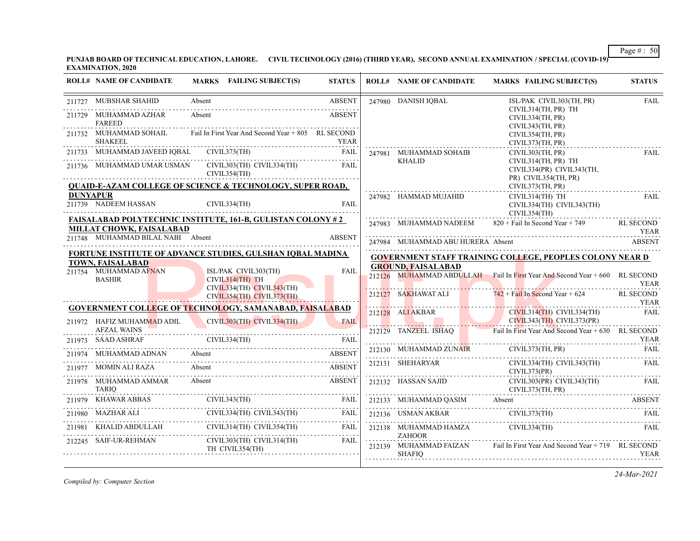**PUNJAB BOARD OF TECHNICAL EDUCATION, LAHORE. CIVIL TECHNOLOGY (2016) (THIRD YEAR), SECOND ANNUAL EXAMINATION / SPECIAL (COVID-19) EXAMINATION, 2020**

| <b>ABSENT</b><br>247980 DANISH IQBAL<br>211727 MUBSHAR SHAHID<br>Absent<br>ISL/PAK CIVIL303(TH, PR)<br>CIVIL314(TH, PR) TH<br>Absent<br><b>ABSENT</b><br>211729 MUHAMMAD AZHAR<br>CIVIL334(TH, PR)<br><b>FAREED</b><br>CIVIL343(TH, PR)<br>Fail In First Year And Second Year + 805 RL SECOND<br>211732 MUHAMMAD SOHAIL<br>CIVIL354(TH, PR)<br><b>SHAKEEL</b><br>YEAR<br>CIVIL373(TH, PR)<br>211733 MUHAMMAD JAVEED IQBAL CIVIL373(TH) FAIL<br>247981 MUHAMMAD SOHAIB<br>CIVIL303(TH, PR)<br><b>KHALID</b><br>CIVIL314(TH, PR) TH<br>211736 MUHAMMAD UMAR USMAN CIVIL303(TH) CIVIL334(TH) FAIL | <b>FAIL</b>                     |
|------------------------------------------------------------------------------------------------------------------------------------------------------------------------------------------------------------------------------------------------------------------------------------------------------------------------------------------------------------------------------------------------------------------------------------------------------------------------------------------------------------------------------------------------------------------------------------------------|---------------------------------|
|                                                                                                                                                                                                                                                                                                                                                                                                                                                                                                                                                                                                |                                 |
|                                                                                                                                                                                                                                                                                                                                                                                                                                                                                                                                                                                                |                                 |
|                                                                                                                                                                                                                                                                                                                                                                                                                                                                                                                                                                                                |                                 |
|                                                                                                                                                                                                                                                                                                                                                                                                                                                                                                                                                                                                | <b>FAIL</b>                     |
| CIVIL334(PR) CIVIL343(TH,<br>CIVIL354(TH)                                                                                                                                                                                                                                                                                                                                                                                                                                                                                                                                                      |                                 |
| PR) CIVIL354(TH, PR)<br><b>QUAID-E-AZAM COLLEGE OF SCIENCE &amp; TECHNOLOGY, SUPER ROAD,</b><br>CIVIL373(TH, PR)                                                                                                                                                                                                                                                                                                                                                                                                                                                                               |                                 |
| <b>DUNYAPUR</b><br>247982 HAMMAD MUJAHID<br>CIVIL314(TH) TH<br>211739 NADEEM HASSAN CIVIL334(TH)<br>FAII.<br>$\overline{3}$ Minamazo $\overline{3}$ Minamazo $\overline{3}$<br>CIVIL334(TH) CIVIL343(TH)<br>CIVIL354(TH)                                                                                                                                                                                                                                                                                                                                                                       | <b>FAIL</b>                     |
| <b>FAISALABAD POLYTECHNIC INSTITUTE, 161-B, GULISTAN COLONY #2</b><br>247983 MUHAMMAD NADEEM 820 + Fail In Second Year + 749 RL SECOND<br>MILLAT CHOWK, FAISALABAD                                                                                                                                                                                                                                                                                                                                                                                                                             |                                 |
| TEAR THE MARKET CONTROL OF THE MARKET CONTROL CONTROL CONTROL OF THE MARKET CONTROL OF THE MARKET CONTROL OF T<br>211748 MUHAMMAD BILAL NABI Absent<br><b>ABSENT</b><br>247984 MUHAMMAD ABU HURERA Absent ABSENT                                                                                                                                                                                                                                                                                                                                                                               |                                 |
| <b>FORTUNE INSTITUTE OF ADVANCE STUDIES, GULSHAN IQBAL MADINA</b><br><b>GOVERNMENT STAFF TRAINING COLLEGE, PEOPLES COLONY NEAR D</b>                                                                                                                                                                                                                                                                                                                                                                                                                                                           |                                 |
| <b>TOWN, FAISALABAD</b><br><b>GROUND, FAISALABAD</b><br>211754 MUHAMMAD AFNAN<br>ISL/PAK CIVIL303(TH)<br><b>FAIL</b>                                                                                                                                                                                                                                                                                                                                                                                                                                                                           |                                 |
| 212126 MUHAMMAD ABDULLAH Fail In First Year And Second Year + 660 RL SECOND<br><b>BASHIR</b><br>$CIVIL314(TH)$ TH<br>$CIVIL334(TH)$ $CIVIL343(TH)$                                                                                                                                                                                                                                                                                                                                                                                                                                             | <b>YEAR</b>                     |
| 212127 SAKHAWAT ALI $\overline{742} + \overline{1}$ Tail In Second Year + 624<br>CIVIL354(TH) CIVIL373(TH)<br>The Manual Manual Manual Manual Manual Manual                                                                                                                                                                                                                                                                                                                                                                                                                                    | <b>RL SECOND</b><br><b>YEAR</b> |
| <b>GOVERNMENT COLLEGE OF TECHNOLOGY, SAMANABAD, FAISALABAD</b><br>212128 ALIAKBAR CIVIL314(TH) CIVIL334(TH)<br>CIVIL343(TH) CIVIL373(PR)                                                                                                                                                                                                                                                                                                                                                                                                                                                       | <b>FAIL</b>                     |
| CIVIL303(TH) CIVIL334(TH)<br>211972 HAFIZ MUHAMMAD ADIL<br>FAIL<br><b>AFZAL WAINS</b><br>212129 TANZEEL ISHAQ Fail In First Year And Second Year + 630 RL SECOND                                                                                                                                                                                                                                                                                                                                                                                                                               |                                 |
| 211973 SAAD ASHRAF                                                                                                                                                                                                                                                                                                                                                                                                                                                                                                                                                                             | <b>YEAR</b>                     |
| 212130 MUHAMMAD ZUNAIR CIVIL373(TH, PR) FAIL<br>211974 MUHAMMAD ADNAN Absent ABSENT ABSENT                                                                                                                                                                                                                                                                                                                                                                                                                                                                                                     |                                 |
| 212131 SHEHARYAR<br>$CIVIL334(TH)$ $CIVIL343(TH)$<br>211977 MOMIN ALI RAZA<br>Absent<br><b>ABSENT</b><br>CIVIL373(PR)                                                                                                                                                                                                                                                                                                                                                                                                                                                                          | <b>FAIL</b>                     |
| Absent<br><b>ABSENT</b><br>211978 MUHAMMAD AMMAR<br>212132 HASSAN SAJID<br>CIVIL303(PR) CIVIL343(TH)<br>CIVIL373(TH, PR)                                                                                                                                                                                                                                                                                                                                                                                                                                                                       | FAIL                            |
| TARIQ<br>211979 KHAWAR ABBAS CIVIL343(TH) FAIL<br>211979 KHAWAR ABBAS CIVIL343(TH) FAIL<br>212133 MUHAMMAD QASIM Absent ABSENT                                                                                                                                                                                                                                                                                                                                                                                                                                                                 |                                 |
| 211980 MAZHAR ALI CIVIL334(TH) CIVIL343(TH) FAIL<br>$\begin{tabular}{c c c} \multicolumn{2}{c }{\textbf{212136}}& \textbf{USMAN AKBAR} & $\textbf{CIVIL373(TH)}$ & \textbf{FAIL} \\ \multicolumn{2}{c }{\textbf{212138}}& \textbf{MUHAMMAD HAMZA} & $\textbf{CIVIL334(TH)}$ & \textbf{FAIL} \\ \end{tabular}$                                                                                                                                                                                                                                                                                  |                                 |
| 211981 KHALID ABDULLAH CIVIL314(TH) CIVIL354(TH) FAIL<br><b>ZAHOOR</b>                                                                                                                                                                                                                                                                                                                                                                                                                                                                                                                         |                                 |
| 212245 SAIF-UR-REHMAN CIVIL303(TH) CIVIL314(TH) FAIL<br>212139 MUHAMMAD FAIZAN Fail In First Year And Second Year + 719 RL SECOND<br>TH CIVIL354(TH)<br>SHAFIO                                                                                                                                                                                                                                                                                                                                                                                                                                 | YEAR                            |

*Compiled by: Computer Section*

*24-Mar-2021*

Page # : 50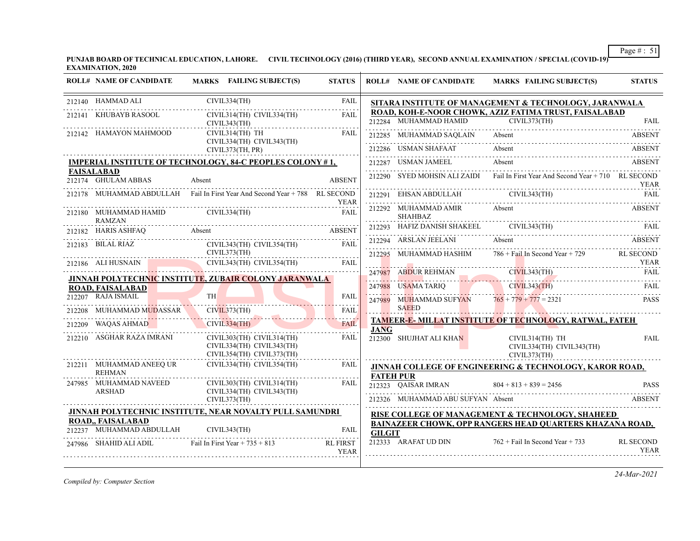**PUNJAB BOARD OF TECHNICAL EDUCATION, LAHORE. CIVIL TECHNOLOGY (2016) (THIRD YEAR), SECOND ANNUAL EXAMINATION / SPECIAL (COVID-19) EXAMINATION, 2020**

|        | <b>ROLL# NAME OF CANDIDATE</b>                      | MARKS FAILING SUBJECT(S)                                                            | <b>STATUS</b>                   |               | <b>ROLL# NAME OF CANDIDATE</b>           | <b>MARKS FAILING SUBJECT(S)</b>                                                                                                                                                                                                                                    | <b>STATUS</b>                   |
|--------|-----------------------------------------------------|-------------------------------------------------------------------------------------|---------------------------------|---------------|------------------------------------------|--------------------------------------------------------------------------------------------------------------------------------------------------------------------------------------------------------------------------------------------------------------------|---------------------------------|
|        | 212140 HAMMAD ALI                                   | CIVIL334(TH)                                                                        | <b>FAIL</b><br>.                |               |                                          | SITARA INSTITUTE OF MANAGEMENT & TECHNOLOGY, JARANWALA                                                                                                                                                                                                             |                                 |
| 212141 | KHUBAYB RASOOL                                      | CIVIL314(TH) CIVIL334(TH)<br>CIVIL343(TH)                                           | FAII.                           |               | 212284 MUHAMMAD HAMID                    | ROAD, KOH-E-NOOR CHOWK, AZIZ FATIMA TRUST, FAISALABAD<br>CIVIL373(TH)                                                                                                                                                                                              | <b>FAIL</b>                     |
|        | 212142 HAMAYON MAHMOOD                              | CIVIL314(TH) TH<br>CIVIL334(TH) CIVIL343(TH)                                        | FAIL                            |               | 212285 MUHAMMAD SAQLAIN                  | Absent                                                                                                                                                                                                                                                             | <b>ABSENT</b>                   |
|        |                                                     | CIVIL373(TH, PR)                                                                    |                                 |               | 212286 USMAN SHAFAAT                     | Absent                                                                                                                                                                                                                                                             | <b>ABSENT</b>                   |
|        |                                                     | <b>IMPERIAL INSTITUTE OF TECHNOLOGY, 84-C PEOPLES COLONY #1,</b>                    |                                 |               | 212287 USMAN JAMEEL                      | Absent                                                                                                                                                                                                                                                             | <b>ABSENT</b>                   |
|        | <b>FAISALABAD</b><br>212174 GHULAM ABBAS            | Absent                                                                              | <b>ABSENT</b>                   |               |                                          | 212290 SYED MOHSIN ALI ZAIDI Fail In First Year And Second Year + 710 RL SECOND                                                                                                                                                                                    | <b>YEAR</b>                     |
|        |                                                     | 212178 MUHAMMAD ABDULLAH Fail In First Year And Second Year + 788 RL SECOND         | <b>YEAR</b>                     |               |                                          | CIVIL343(TH)<br>212291 EHSAN ABDULLAH CIVIL343(TH) FAIL FAIL                                                                                                                                                                                                       |                                 |
|        | 212180 MUHAMMAD HAMID CIVIL334(TH)<br><b>RAMZAN</b> |                                                                                     | <b>FAIL</b>                     |               | 212292 MUHAMMAD AMIR<br><b>SHAHBAZ</b>   | Absent                                                                                                                                                                                                                                                             | <b>ABSENT</b>                   |
|        |                                                     | 212182 HARIS ASHFAQ Absent Absent ABSENT                                            |                                 |               |                                          |                                                                                                                                                                                                                                                                    |                                 |
|        | 212183 BILAL RIAZ                                   | CIVIL343(TH) CIVIL354(TH)                                                           | FAII.                           |               | 212294 ARSLAN JEELANI<br>MUHAMMAD HASHIM | Absent<br>$786 +$ Fail In Second Year + 729 RL SECOND                                                                                                                                                                                                              | <b>ABSENT</b>                   |
|        | CIVIL373(TH)                                        | 212186 ALI HUSNAIN CIVIL343(TH) CIVIL354(TH) FAIL                                   |                                 | 212295        |                                          |                                                                                                                                                                                                                                                                    | <b>YEAR</b>                     |
|        |                                                     | JINNAH POLYTECHNIC INSTITUTE, ZUBAIR COLONY JARANWALA                               |                                 | 247987        | ABDUR REHMAN                             | ABDUR REHMAN CIVIL 343(TH)<br><u>- 2000 ADINANT - 2000 - 2000 - 2000 - 2000 - 2000 - 2000 - 2000 - 2000 - 2000 - 2000 - 2000 - 2000 - 2000 - 2000 - 2000 - 2000 - 2000 - 2000 - 2000 - 2000 - 2000 - 2000 - 2000 - 2000 - 2000 - 2000 - 2000 - 2000 - 2000 - 2</u> | FAIL                            |
|        | <b>ROAD, FAISALABAD</b>                             |                                                                                     |                                 | 247988        | USAMA TARIQ                              | CIVIL343(TH)                                                                                                                                                                                                                                                       | FAIL                            |
|        | 212207 RAJA ISMAIL                                  | <b>TH</b>                                                                           | <b>FAIL</b><br>111111           | 247989        |                                          | MUHAMMAD SUFYAN $765 + 779 + 777 = 2321$                                                                                                                                                                                                                           | <b>PASS</b>                     |
|        | MUHAMMAD MUDASSAR                                   | CIVIL373(TH)                                                                        | <b>FAIL</b><br>. <mark>.</mark> |               | <b>SAEED</b>                             | TAMEER-E- MILLAT INSTITUTE OF TECHNOLOGY, RATWAL, FATEH                                                                                                                                                                                                            |                                 |
|        | WAQAS AHMAD                                         | CIVIL334(TH)                                                                        | <b>FAIL</b>                     | <b>JANG</b>   |                                          |                                                                                                                                                                                                                                                                    |                                 |
|        | 212210 ASGHAR RAZA IMRANI                           | CIVIL303(TH) CIVIL314(TH)<br>CIVIL334(TH) CIVIL343(TH)<br>CIVIL354(TH) CIVIL373(TH) | FAIL                            |               | 212300 SHUJHAT ALI KHAN                  | CIVIL314(TH) TH<br>CIVIL334(TH) CIVIL343(TH)<br>CIVIL373(TH)                                                                                                                                                                                                       | <b>FAIL</b>                     |
|        | 212211 MUHAMMAD ANEEQ UR<br><b>REHMAN</b>           | CIVIL334(TH) CIVIL354(TH)                                                           | FAIL                            |               | <b>FATEH PUR</b>                         | JINNAH COLLEGE OF ENGINEERING & TECHNOLOGY, KAROR ROAD,                                                                                                                                                                                                            |                                 |
|        | 247985 MUHAMMAD NAVEED<br><b>ARSHAD</b>             | CIVIL303(TH) CIVIL314(TH)<br>CIVIL334(TH) CIVIL343(TH)                              | <b>FAIL</b>                     |               |                                          | 212323 QAISAR IMRAN $804 + 813 + 839 = 2456$ PASS                                                                                                                                                                                                                  |                                 |
|        |                                                     | CIVIL373(TH)                                                                        |                                 |               |                                          | 212326 MUHAMMAD ABU SUFYAN Absent                                                                                                                                                                                                                                  | <b>ABSENT</b>                   |
|        | ROAD,, FAISALABAD                                   | JINNAH POLYTECHNIC INSTITUTE, NEAR NOVALTY PULL SAMUNDRI                            |                                 |               |                                          | RISE COLLEGE OF MANAGEMENT & TECHNOLOGY, SHAHEED                                                                                                                                                                                                                   |                                 |
|        | 212237 MUHAMMAD ABDULLAH CIVIL343(TH)               |                                                                                     | <b>FAIL</b>                     | <b>GILGIT</b> |                                          | <b>BAINAZEER CHOWK, OPP RANGERS HEAD QUARTERS KHAZANA ROAD,</b>                                                                                                                                                                                                    |                                 |
|        | 247986 SHAHID ALI ADIL                              | Fail In First Year $+ 735 + 813$                                                    | <b>RL FIRST</b><br><b>YEAR</b>  |               | 212333 ARAFAT UD DIN                     | $762 +$ Fail In Second Year + 733                                                                                                                                                                                                                                  | <b>RL SECOND</b><br><b>YEAR</b> |

*Compiled by: Computer Section*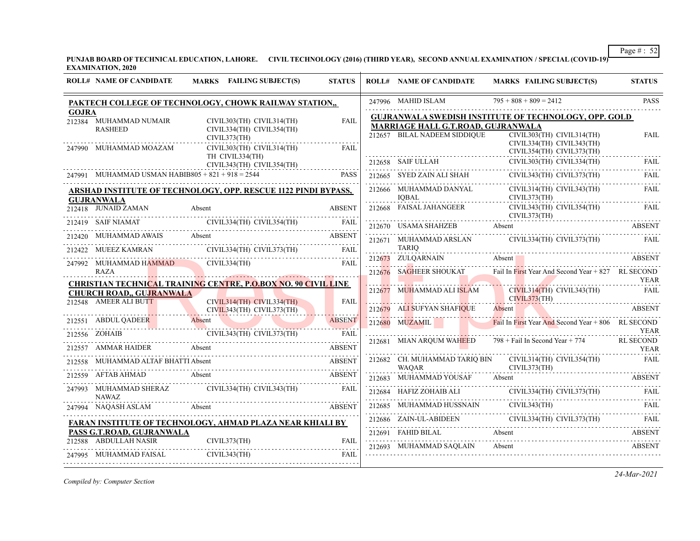**PUNJAB BOARD OF TECHNICAL EDUCATION, LAHORE. CIVIL TECHNOLOGY (2016) (THIRD YEAR), SECOND ANNUAL EXAMINATION / SPECIAL (COVID-19) EXAMINATION, 2020**

|              | <b>ROLL# NAME OF CANDIDATE</b>                     | MARKS FAILING SUBJECT(S)                                                                                        | <b>STATUS</b> | <b>ROLL# NAME OF CANDIDATE</b>                                     | MARKS FAILING SUBJECT(S)                                                                                                                                                                                                                                                                                                                                                                                                            | <b>STATUS</b> |
|--------------|----------------------------------------------------|-----------------------------------------------------------------------------------------------------------------|---------------|--------------------------------------------------------------------|-------------------------------------------------------------------------------------------------------------------------------------------------------------------------------------------------------------------------------------------------------------------------------------------------------------------------------------------------------------------------------------------------------------------------------------|---------------|
|              |                                                    | PAKTECH COLLEGE OF TECHNOLOGY, CHOWK RAILWAY STATION,,                                                          |               | 247996 MAHID ISLAM                                                 | $795 + 808 + 809 = 2412$                                                                                                                                                                                                                                                                                                                                                                                                            | PASS          |
| <b>GOJRA</b> | 212384 MUHAMMAD NUMAIR<br><b>RASHEED</b>           | CIVIL303(TH) CIVIL314(TH)<br>CIVIL334(TH) CIVIL354(TH)<br>CIVIL373(TH)                                          | <b>FAIL</b>   | MARRIAGE HALL G.T.ROAD, GUJRANWALA<br>212657 BILAL NADEEM SIDDIQUE | <b>GUJRANWALA SWEDISH INSTITUTE OF TECHNOLOGY, OPP. GOLD</b><br>CIVIL303(TH) CIVIL314(TH)                                                                                                                                                                                                                                                                                                                                           | <b>FAIL</b>   |
|              | 247990 MUHAMMAD MOAZAM                             | CIVIL303(TH) CIVIL314(TH)<br>TH CIVIL334(TH)                                                                    | <b>FAIL</b>   |                                                                    | CIVIL334(TH) CIVIL343(TH)<br>CIVIL354(TH) CIVIL373(TH)                                                                                                                                                                                                                                                                                                                                                                              |               |
|              | 247991 MUHAMMAD USMAN HABIB805 + 821 + 918 = 2544  | CIVIL343(TH) CIVIL354(TH)                                                                                       | <b>PASS</b>   |                                                                    | $\begin{tabular}{lllllllllll} \multicolumn{2}{l}{{\small 212658}} & \multicolumn{2}{l}{SAIF}} & \multicolumn{2}{l}{ULLAH} & \multicolumn{2}{l}{CIVIL303(TH)} & \multicolumn{2}{l}{CIVIL303(TH)} & \multicolumn{2}{l}{CIVIL334(TH)} & \multicolumn{2}{l}{FAIL} \\ \multicolumn{2}{l}{212665}& \multicolumn{2}{l}{SYED}~ZAIN~ALI~SHAH & \multicolumn{2}{l}{CIVIL343(TH)}~CIVIL373(TH) & \multicolumn{2}{l}{FAIL} \\ \multicolumn{2}{$ |               |
|              | <b>GUJRANWALA</b>                                  | ARSHAD INSTITUTE OF TECHNOLOGY, OPP. RESCUE 1122 PINDI BYPASS,                                                  |               | 212666 MUHAMMAD DANYAL (IQBAL                                      | CIVIL314(TH) CIVIL343(TH)<br>CIVIL373(TH)                                                                                                                                                                                                                                                                                                                                                                                           | <b>FAIL</b>   |
|              |                                                    | Primari ABSENT<br>212418 JUNAID ZAMAN Absent<br>212419 SAIF NIAMAT CIVIL334(TH) CIVIL354(TH) FAIL               |               | 212668 FAISAL JAHANGEER                                            | CIVIL343(TH) CIVIL354(TH)<br>CIVIL373(TH)                                                                                                                                                                                                                                                                                                                                                                                           | <b>FAIL</b>   |
|              |                                                    |                                                                                                                 |               |                                                                    | 212670 USAMA SHAHZEB Absent ABSENT ABSENT                                                                                                                                                                                                                                                                                                                                                                                           |               |
|              |                                                    | 212420 MUHAMMAD AWAIS Absent ABSENT                                                                             |               |                                                                    | 212671 MUHAMMAD ARSLAN CIVIL334(TH) CIVIL373(TH) FAIL                                                                                                                                                                                                                                                                                                                                                                               |               |
|              |                                                    | 212422 MUEEZ KAMRAN CIVIL334(TH) CIVIL373(TH) FAIL                                                              |               | <b>TARIO</b>                                                       |                                                                                                                                                                                                                                                                                                                                                                                                                                     |               |
|              | 247992 MUHAMMAD HAMMAD CIVIL334(TH)<br><b>RAZA</b> |                                                                                                                 | <b>FAIL</b>   |                                                                    | 212673 ZULQARNAIN Absent BEENT ABSENT<br>212676 SAGHEER SHOUKAT Fail In First Year And Second Year + 827 RL SECOND<br>YEAR                                                                                                                                                                                                                                                                                                          |               |
|              | <b>CHURCH ROAD,, GUJRANWALA</b>                    | <b>CHRISTIAN TECHNICAL TRAINING CENTRE, P.O.BOX NO. 90 CIVIL LINE</b>                                           |               |                                                                    | 212677 MUHAMMAD ALI ISLAM CIVIL314(TH) CIVIL343(TH) FAIL                                                                                                                                                                                                                                                                                                                                                                            | <b>YEAR</b>   |
|              | 212548 AMEER ALI BUTT                              | CIVIL314(TH) CIVIL334(TH)<br>EER ALI BUTT CIVIL314(TH) CIVIL334(TH)                                             | <b>FAIL</b>   |                                                                    | CIVIL373(TH)<br>212679 ALI SUFYAN SHAFIQUE Absent ABSENT ABSENT                                                                                                                                                                                                                                                                                                                                                                     |               |
|              |                                                    | EN ABSENT ABOUL QADEER Absent (EVIL343(TH) CIVIL373(TH) FAIL (EVILS) ABSENT (EVILS) ABOUL QADEER (EVILS) ASSENT |               | 212680 MUZAMIL                                                     | Fail In First Year And Second Year + 806 RL SECOND                                                                                                                                                                                                                                                                                                                                                                                  | <b>YEAR</b>   |
|              |                                                    | 212557 AMMAR HAIDER Absent ABSENT                                                                               |               | 212681 MIAN AROUM WAHEED                                           | 798 + Fail In Second Year + 774 RL SECOND                                                                                                                                                                                                                                                                                                                                                                                           | <b>YEAR</b>   |
|              |                                                    | 212558 MUHAMMAD ALTAF BHATTI Absent ABSENT                                                                      |               | <b>WAOAR</b>                                                       | 212682 CH. MUHAMMAD TARIQ BIN CIVIL314(TH) CIVIL354(TH)                                                                                                                                                                                                                                                                                                                                                                             | FAIL          |
|              |                                                    | 212559 AFTAB AHMAD Absent                                                                                       | ABSENT        |                                                                    | CIVIL373(TH)<br>212683 MUHAMMAD YOUSAF Absent ABSENT ABSENT ABSENT                                                                                                                                                                                                                                                                                                                                                                  |               |
|              | <b>NAWAZ</b>                                       | 247993 MUHAMMAD SHERAZ CIVIL334(TH) CIVIL343(TH)                                                                | <b>FAIL</b>   |                                                                    |                                                                                                                                                                                                                                                                                                                                                                                                                                     |               |
|              |                                                    | 247994 NAQASH ASLAM Absent ABSENT                                                                               |               |                                                                    | $\begin{tabular}{c c c c} \hline 212684 & HAFIZ ZOHAIB ALI & CIVIL334(TH) CIVIL373(TH) & FAIL \\ \hline \end{tabular} \begin{tabular}{c c c c} \hline \multicolumn{3}{c}{FAL} \multicolumn{3}{c}{FAL} \multicolumn{3}{c}{CIVIL334(TH)} & FAIL \\ \hline \multicolumn{3}{c}{CIVIL343(TH)} & FAIL \\ \hline \end{tabular}$                                                                                                            |               |
|              |                                                    | FARAN INSTITUTE OF TECHNOLOGY, AHMAD PLAZA NEAR KHIALI BY                                                       |               |                                                                    | $[212686 \quad ZAIN-UL-ABIDEEN \quad \text{CIVIL334(TH) CIVIL373(TH) \quad \text{FAIL}}$                                                                                                                                                                                                                                                                                                                                            |               |
|              | PASS G.T.ROAD, GUJRANWALA                          |                                                                                                                 |               |                                                                    | 212691 FAHID BILAL Absent ABSENT ABSENT                                                                                                                                                                                                                                                                                                                                                                                             |               |
|              | 212588 ABDULLAH NASIR                              | CIVIL373(TH)                                                                                                    | <b>FAIL</b>   | 212693 MUHAMMAD SAQLAIN Absent                                     | 212693 MUHAMMAD SAQLAIN Absent ABSENT                                                                                                                                                                                                                                                                                                                                                                                               |               |
|              | 247995 MUHAMMAD FAISAL                             | CIVIL343(TH)                                                                                                    | FAIL          |                                                                    |                                                                                                                                                                                                                                                                                                                                                                                                                                     |               |

*Compiled by: Computer Section*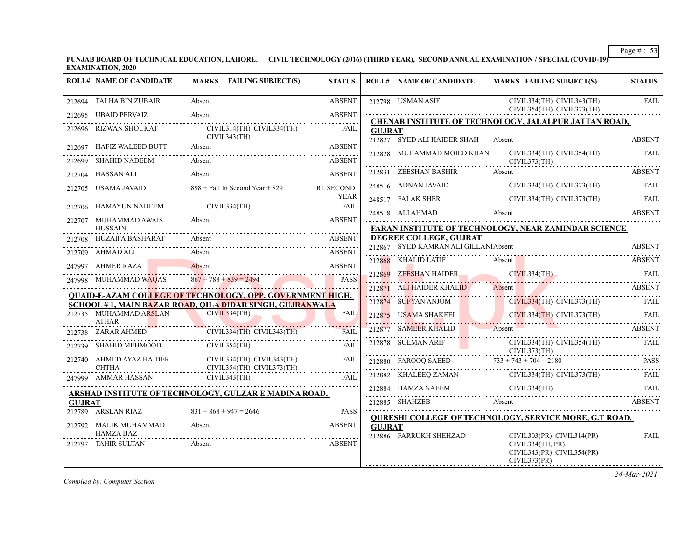**PUNJAB BOARD OF TECHNICAL EDUCATION, LAHORE. CIVIL TECHNOLOGY (2016) (THIRD YEAR), SECOND ANNUAL EXAMINATION / SPECIAL (COVID-19) EXAMINATION, 2020**

|               | <b>ROLL# NAME OF CANDIDATE</b>                                                                                          | MARKS FAILING SUBJECT(S)                                                                              | <b>STATUS</b> |               | <b>ROLL# NAME OF CANDIDATE</b>                                 | <b>MARKS FAILING SUBJECT(S)</b>                                                                                                                                                                                                                                 | <b>STATUS</b> |
|---------------|-------------------------------------------------------------------------------------------------------------------------|-------------------------------------------------------------------------------------------------------|---------------|---------------|----------------------------------------------------------------|-----------------------------------------------------------------------------------------------------------------------------------------------------------------------------------------------------------------------------------------------------------------|---------------|
|               | 212694 TALHA BIN ZUBAIR                                                                                                 | Absent                                                                                                | <b>ABSENT</b> |               | 212798 USMAN ASIF                                              | CIVIL334(TH) CIVIL343(TH)                                                                                                                                                                                                                                       | <b>FAIL</b>   |
|               | 212695 UBAID PERVAIZ                                                                                                    | Absent                                                                                                | <b>ABSENT</b> |               |                                                                | CIVIL354(TH) CIVIL373(TH)                                                                                                                                                                                                                                       |               |
|               | 212696 RIZWAN SHOUKAT                                                                                                   | CIVIL314(TH) CIVIL334(TH)                                                                             | FAIL          | <b>GUJRAT</b> |                                                                | CHENAB INSTITUTE OF TECHNOLOGY, JALALPUR JATTAN ROAD,                                                                                                                                                                                                           |               |
|               | 212697 HAFIZ WALEED BUTT                                                                                                | CIVIL343(TH)<br>Absent                                                                                | <b>ABSENT</b> |               | 212827 SYED ALI HAIDER SHAH                                    | Absent                                                                                                                                                                                                                                                          | <b>ABSENT</b> |
|               | 212699 SHAHID NADEEM                                                                                                    | Absent                                                                                                | ABSENT        |               | 212828 MUHAMMAD MOIED KHAN                                     | CIVIL334(TH) CIVIL354(TH)<br>CIVIL373(TH)                                                                                                                                                                                                                       | FAIL          |
|               | 212704 HASSAN ALI                                                                                                       | Absent                                                                                                | <b>ABSENT</b> |               | 212831 ZEESHAN BASHIR                                          | Absent                                                                                                                                                                                                                                                          | ABSENT        |
|               |                                                                                                                         | 212705 USAMA JAVAID 898 + Fail In Second Year + 829 RL SECOND                                         |               |               |                                                                | $\begin{tabular}{ll} \bf 248516 & ADNAN JAVAID & CIVIL334(TH) CIVIL373(TH) & FAIL \\ \hline \end{tabular}$                                                                                                                                                      |               |
|               |                                                                                                                         |                                                                                                       |               |               |                                                                | 248517 FALAK SHER CIVIL334(TH) CIVIL373(TH) FAIL                                                                                                                                                                                                                |               |
|               | 212707 MUHAMMAD AWAIS                                                                                                   | $\begin{tabular}{ll} 212706 & HAMAYUN NADEEM & CIVIL334(TH) & FAIL \\ \hline \end{tabular}$<br>Absent | <b>ABSENT</b> |               | 248518 ALI AHMAD                                               | Absent ABSENT                                                                                                                                                                                                                                                   |               |
|               | <b>HUSSAIN</b>                                                                                                          |                                                                                                       |               |               |                                                                | FARAN INSTITUTE OF TECHNOLOGY, NEAR ZAMINDAR SCIENCE                                                                                                                                                                                                            |               |
|               | 212708 HUZAIFA BASHARAT Absent                                                                                          |                                                                                                       | <b>ABSENT</b> |               | DEGREE COLLEGE, GUJRAT<br>212867 SYED KAMRAN ALI GILLANIAbsent |                                                                                                                                                                                                                                                                 | <b>ABSENT</b> |
|               | 212709 AHMAD ALI                                                                                                        | Absent                                                                                                | ABSENT        |               |                                                                |                                                                                                                                                                                                                                                                 |               |
|               | 247997 AHMER RAZA                                                                                                       | Absent                                                                                                | <b>ABSENT</b> |               | 212868 KHALID LATIF                                            | Absent                                                                                                                                                                                                                                                          | <b>ABSENT</b> |
|               | 247998 MUHAMMAD WAQAS                                                                                                   | $867 + 788 + 839 = 2494$                                                                              | <b>PASS</b>   |               | 212869 ZEESHAN HAIDER CIVIL334(TH)                             |                                                                                                                                                                                                                                                                 | <b>FAIL</b>   |
|               |                                                                                                                         | <b>QUAID-E-AZAM COLLEGE OF TECHNOLOGY, OPP. GOVERNMENT HIGH.</b>                                      |               |               | 212871 ALI HAIDER KHALID                                       | Absent                                                                                                                                                                                                                                                          | ABSENT        |
|               |                                                                                                                         | <b>SCHOOL # 1, MAIN BAZAR ROAD, QILA DIDAR SINGH, GUJRANWALA</b>                                      |               |               |                                                                | 212874 SUFYAN ANJUM CIVIL334(TH) CIVIL373(TH)                                                                                                                                                                                                                   | FAIL          |
|               | 212735 MUHAMMAD ARSLAN<br><b>ATHAR</b>                                                                                  | CIVIL334(TH)                                                                                          | <b>FAIL</b>   |               |                                                                | 212875 USAMA SHAKEEL CIVIL334(TH) CIVIL373(TH)                                                                                                                                                                                                                  | FAIL          |
|               | 212738 ZARAR AHMED                                                                                                      | CIVIL334(TH) CIVIL343(TH)<br>$ZARAR$ AHMED CIVIL33 $\overline{A}$ (TH) CIVIL343(TH) FAIL              | FAII.         |               | 212877 SAMEER KHALID                                           | Absent                                                                                                                                                                                                                                                          | ABSENT        |
|               | 212739 SHAHID MEHMOOD                                                                                                   | CIVIL354(TH)                                                                                          | FAIL          |               | 212878 SULMAN ARIF                                             | CIVIL334(TH) CIVIL354(TH)<br>CIVIL373(TH)                                                                                                                                                                                                                       | FAIL          |
|               | $$\begin{array}{c} \textbf{212740} \quad \textbf{AHMED} \textbf{AYAZ} \textbf{HAIDER} \\ \textbf{CHTHA} \end{array}$\,$ | CIVIL334(TH) CIVIL343(TH)<br>CIVIL354(TH) CIVIL373(TH)                                                | FAIL          |               |                                                                | 212880 FAROOQ SAEED 733 + 743 + 704 = 2180 PASS                                                                                                                                                                                                                 |               |
|               | 247999 AMMAR HASSAN                                                                                                     | CIVIL343(TH)                                                                                          | FAIL          |               |                                                                | $\begin{tabular}{ll} \bf 212882 & KHALEEQ ZAMAN & \multicolumn{3}{l}{{\bf CIVIL334(TH) CIVIL373(TH)} & \multicolumn{3}{l}{FAIL} \end{tabular} \begin{tabular}{ll} \bf 212882 & KHALEEQ ZAMAN & \multicolumn{3}{l}{\bf CIVIL334(TH) CIVIL373(TH)} \end{tabular}$ |               |
|               |                                                                                                                         | ARSHAD INSTITUTE OF TECHNOLOGY, GULZAR E MADINA ROAD,                                                 |               |               |                                                                | $\begin{tabular}{c} 212884 \end{tabular} \begin{tabular}{l} \bf{HAMZA NAEEM} \\ \bf{CIVIL334(TH)} \end{tabular} \begin{tabular}{l} \bf{FAL} \\ \bf{FAL} \end{tabular}$                                                                                          |               |
| <b>GUJRAT</b> |                                                                                                                         |                                                                                                       |               |               |                                                                | 212885 SHAHZEB Absent                                                                                                                                                                                                                                           | <b>ABSENT</b> |
|               | 212789 ARSLAN RIAZ                                                                                                      | $831 + 868 + 947 = 2646$                                                                              | <b>PASS</b>   |               |                                                                | <b>QURESHI COLLEGE OF TECHNOLOGY, SERVICE MORE, G.T ROAD,</b>                                                                                                                                                                                                   |               |
|               | 212792 MALIK MUHAMMAD<br>HAMZA IJAZ                                                                                     | Absent                                                                                                | ABSENT        | <b>GUJRAT</b> | 212886 FARRUKH SHEHZAD                                         | $CIVIL303(PR)$ $CIVIL314(PR)$                                                                                                                                                                                                                                   | FAIL          |
|               | 212797 TAHIR SULTAN                                                                                                     | Absent                                                                                                | <b>ABSENT</b> |               |                                                                | CIVIL334(TH, PR)<br>CIVIL343(PR) CIVIL354(PR)<br>CIVIL373(PR)                                                                                                                                                                                                   |               |

*Compiled by: Computer Section*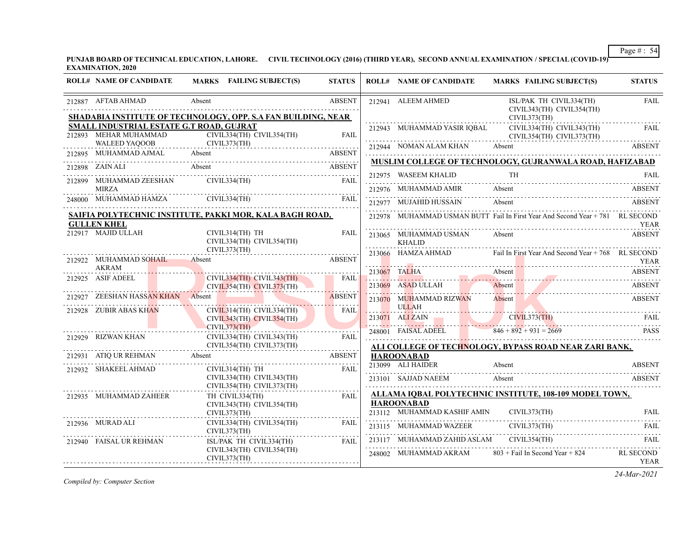**PUNJAB BOARD OF TECHNICAL EDUCATION, LAHORE. CIVIL TECHNOLOGY (2016) (THIRD YEAR), SECOND ANNUAL EXAMINATION / SPECIAL (COVID-19) EXAMINATION, 2020**

| <b>ROLL# NAME OF CANDIDATE</b>                                                                                                                                                                                                                                                                                                                                                                                                                                                               | MARKS FAILING SUBJECT(S)                                                          |                                                                                                                                                                                                                                      | <b>STATUS</b> |                        | <b>ROLL# NAME OF CANDIDATE</b>                | MARKS FAILING SUBJECT(S)                                                                                                                                                                                                      | <b>STATUS</b>            |
|----------------------------------------------------------------------------------------------------------------------------------------------------------------------------------------------------------------------------------------------------------------------------------------------------------------------------------------------------------------------------------------------------------------------------------------------------------------------------------------------|-----------------------------------------------------------------------------------|--------------------------------------------------------------------------------------------------------------------------------------------------------------------------------------------------------------------------------------|---------------|------------------------|-----------------------------------------------|-------------------------------------------------------------------------------------------------------------------------------------------------------------------------------------------------------------------------------|--------------------------|
| 212887 AFTAB AHMAD<br>SHADABIA INSTITUTE OF TECHNOLOGY, OPP. S.A FAN BUILDING, NEAR                                                                                                                                                                                                                                                                                                                                                                                                          | Absent                                                                            |                                                                                                                                                                                                                                      | <b>ABSENT</b> |                        | 212941 ALEEM AHMED                            | ISL/PAK TH CIVIL334(TH)<br>CIVIL343(TH) CIVIL354(TH)                                                                                                                                                                          | <b>FAIL</b>              |
| SMALL INDUSTRIAL ESTATE G.T ROAD, GUJRAT<br>$\begin{tabular}{l c c c} \textbf{L INDUSTRIAL ESTATE G.T ROAD, GUIRAT} \\ \textbf{MEHAR MUHAMMAD} & CIVIL334(TH) CIVIL354(TH) \\ \textbf{WALEED YAQOOB} & CIVIL373(TH) \\ \textbf{WALEED YAQOOB} & CIVIL373(TH) \\ \end{tabular} \hspace{1.5cm} \begin{tabular}{l@{}}\textbf{FAL} \\ \textbf{FAL} \\ \textbf{CIVIL373(TH)} \\ \textbf{GIVIL373(TH)} \\ \textbf{GIVIL373(TH)} \\ \textbf{GIVL373(TH)} \\ \textbf{GIVL3$<br>212893 MEHAR MUHAMMAD |                                                                                   |                                                                                                                                                                                                                                      |               |                        | 212943 MUHAMMAD YASIR IOBAL                   | CIVIL373(TH)<br>CIVIL334(TH) CIVIL343(TH)<br>CIVIL354(TH) CIVIL373(TH)                                                                                                                                                        | FAIL                     |
| 212895 MUHAMMAD AJMAL Absent                                                                                                                                                                                                                                                                                                                                                                                                                                                                 |                                                                                   |                                                                                                                                                                                                                                      | <b>ABSENT</b> |                        |                                               | 212944 NOMAN ALAM KHAN Absent ABSENT ABSENT                                                                                                                                                                                   |                          |
|                                                                                                                                                                                                                                                                                                                                                                                                                                                                                              |                                                                                   |                                                                                                                                                                                                                                      |               |                        |                                               | MUSLIM COLLEGE OF TECHNOLOGY, GUJRANWALA ROAD, HAFIZABAD                                                                                                                                                                      |                          |
| 212898 ZAIN ALI Absent ABSENT<br>212899 MUHAMMAD ZEESHAN CIVIL334(TH)                                                                                                                                                                                                                                                                                                                                                                                                                        |                                                                                   |                                                                                                                                                                                                                                      | FAIL          |                        |                                               | ${\bf 212975} \quad {\bf WASEEM KHALID} \qquad \qquad {\bf TH} \qquad \qquad {\bf FAIL}$                                                                                                                                      |                          |
| MIRZA                                                                                                                                                                                                                                                                                                                                                                                                                                                                                        |                                                                                   |                                                                                                                                                                                                                                      | FAIL          |                        | 212976 MUHAMMAD AMIR Absent                   | $21270$ MOTH MINING AMIRE ANOTHER AND ALL 212710 MOTH MINING AND ALL 212710 MOTH MINING AND ALL 212710 MOTH MINING AND ALL 212710 MOTH MINING AND ALL 212710 MOTH MINING AND ALL 212710 MOTH MINING AND ALL 212710 MOTH MININ | <b>ABSENT</b>            |
| 248000 MUHAMMAD HAMZA CIVIL334(TH) FAIL (2000)                                                                                                                                                                                                                                                                                                                                                                                                                                               |                                                                                   |                                                                                                                                                                                                                                      |               | 212977 MUJAHID HUSSAIN | Absent                                        | ABSENT                                                                                                                                                                                                                        |                          |
| SAIFIA POLYTECHNIC INSTITUTE, PAKKI MOR, KALA BAGH ROAD,<br><b>GULLEN KHEL</b>                                                                                                                                                                                                                                                                                                                                                                                                               |                                                                                   |                                                                                                                                                                                                                                      |               |                        |                                               | 212978 MUHAMMAD USMAN BUTT Fail In First Year And Second Year + 781 RL SECOND                                                                                                                                                 | YEAR                     |
| 212917 MAJID ULLAH                                                                                                                                                                                                                                                                                                                                                                                                                                                                           | CIVIL314(TH) TH<br>CIVIL334(TH) CIVIL354(TH)                                      |                                                                                                                                                                                                                                      | <b>FAIL</b>   |                        | 213065 MUHAMMAD USMAN Absent<br><b>KHALID</b> |                                                                                                                                                                                                                               | <b>ABSENT</b>            |
| 212922 MUHAMMAD SOHAIL Absent                                                                                                                                                                                                                                                                                                                                                                                                                                                                |                                                                                   | CIVIL373(TH)                                                                                                                                                                                                                         | <b>ABSENT</b> |                        |                                               | 213066 HAMZA AHMAD Fail In First Year And Second Year + 768 RL SECOND                                                                                                                                                         | YEAR                     |
| AKRAM                                                                                                                                                                                                                                                                                                                                                                                                                                                                                        |                                                                                   |                                                                                                                                                                                                                                      |               |                        |                                               | 213067 TALHA Absent Absent Absent Absent Absent Absent Absent Absent Absent Absent Absent Absent Absent Absent                                                                                                                |                          |
| 212925 ASIF ADEEL                                                                                                                                                                                                                                                                                                                                                                                                                                                                            |                                                                                   | $CIVIL334(TH)$ $CIVIL343(TH)$ $FAIL$<br>CIVIL354(TH) CIVIL373(TH)                                                                                                                                                                    |               |                        | 213069 ASAD ULLAH                             | Absent Absent ABSENT                                                                                                                                                                                                          |                          |
| 212927 ZEESHAN HASSAN KHAN Absent                                                                                                                                                                                                                                                                                                                                                                                                                                                            |                                                                                   | . <del>.</del>                                                                                                                                                                                                                       | ABSENT        |                        | 213070 MUHAMMAD RIZWAN                        | Absent                                                                                                                                                                                                                        | <b>ABSENT</b>            |
| 212928 ZUBIR ABAS KHAN                                                                                                                                                                                                                                                                                                                                                                                                                                                                       | CIVIL314(TH) CIVIL334(TH)<br>KHAN<br>CIVIL314(TH)<br>CIVIL373(TH)<br>CIVIL373(TH) | CIVIL343(TH) CIVIL354(TH)                                                                                                                                                                                                            | <b>FAIL</b>   | .                      | ULLAH                                         | 213071 ALI ZAIN CIVIL373(TH) FAIL                                                                                                                                                                                             |                          |
|                                                                                                                                                                                                                                                                                                                                                                                                                                                                                              |                                                                                   | <u>and the second second second second second second second second second second second second second second second second second second second second second second second second second second second second second second sec</u> |               |                        |                                               | 248001 FAISAL ADEEL 846 + 892 + 931 = 2669                                                                                                                                                                                    | <b>PASS</b>              |
| $\begin{tabular}{ll} 212929 & RIZWAN KHAN & CIVIL334(TH) CIVIL343(TH) & FAIL \\ & CIVIL354(TH) CIVIL373(TH) & & FAIL \\ \end{tabular}$                                                                                                                                                                                                                                                                                                                                                       |                                                                                   |                                                                                                                                                                                                                                      |               |                        |                                               | ALI COLLEGE OF TECHNOLOGY, BYPASS ROAD NEAR ZARI BANK,                                                                                                                                                                        |                          |
| 212931 ATIQ UR REHMAN Absent<br>.                                                                                                                                                                                                                                                                                                                                                                                                                                                            |                                                                                   | ABSENT                                                                                                                                                                                                                               |               |                        | <b>HAROONABAD</b>                             |                                                                                                                                                                                                                               |                          |
| 212932 SHAKEEL AHMAD                                                                                                                                                                                                                                                                                                                                                                                                                                                                         |                                                                                   | CIVIL314(TH) TH<br>CIVIL334(TH) CIVIL343(TH)<br>CIVIL354(TH) CIVIL373(TH)                                                                                                                                                            | <b>FAIL</b>   |                        |                                               | 213099 ALI HAIDER Absent ABSENT<br>213101 SAJJAD NAEEM Absent                                                                                                                                                                 | ABSENT                   |
| 212935 MUHAMMAD ZAHEER                                                                                                                                                                                                                                                                                                                                                                                                                                                                       | TH CIVIL334(TH)                                                                   | CIVIL343(TH) CIVIL354(TH)                                                                                                                                                                                                            | FAIL          |                        | <b>HAROONABAD</b>                             | ALLAMA IQBAL POLYTECHNIC INSTITUTE, 108-109 MODEL TOWN,                                                                                                                                                                       |                          |
|                                                                                                                                                                                                                                                                                                                                                                                                                                                                                              | CIVIL373(TH)                                                                      |                                                                                                                                                                                                                                      |               |                        | 213112 MUHAMMAD KASHIF AMIN                   | CIVIL373(TH)                                                                                                                                                                                                                  | <b>FAIL</b>              |
| 212936 MURAD ALI                                                                                                                                                                                                                                                                                                                                                                                                                                                                             | CIVIL373(TH)                                                                      | CIVIL334(TH) CIVIL354(TH)                                                                                                                                                                                                            | FAIL          |                        |                                               | 213115 MUHAMMAD WAZEER CIVIL373(TH) FAIL                                                                                                                                                                                      |                          |
| 212940 FAISAL UR REHMAN                                                                                                                                                                                                                                                                                                                                                                                                                                                                      |                                                                                   | ISL/PAK TH CIVIL334(TH)                                                                                                                                                                                                              | <b>FAIL</b>   |                        |                                               | 213117 MUHAMMAD ZAHID ASLAM CIVIL354(TH) FAIL                                                                                                                                                                                 |                          |
|                                                                                                                                                                                                                                                                                                                                                                                                                                                                                              | CIVIL343(TH) CIVIL354(TH)<br>CIVIL373(TH)                                         |                                                                                                                                                                                                                                      |               |                        |                                               | 248002 MUHAMMAD AKRAM $803 +$ Fail In Second Year + 824                                                                                                                                                                       | RL SECOND<br><b>YEAR</b> |

*Compiled by: Computer Section*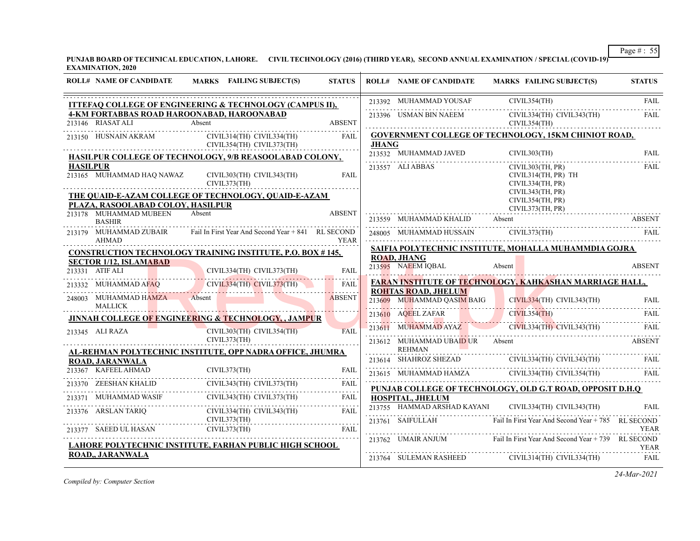**PUNJAB BOARD OF TECHNICAL EDUCATION, LAHORE. CIVIL TECHNOLOGY (2016) (THIRD YEAR), SECOND ANNUAL EXAMINATION / SPECIAL (COVID-19) EXAMINATION, 2020**

| <b>ROLL# NAME OF CANDIDATE</b>                                                            | MARKS FAILING SUBJECT(S)                                                                                                                                                                                                                                                | <b>STATUS</b> |              | <b>ROLL# NAME OF CANDIDATE</b>                   | MARKS FAILING SUBJECT(S)                                                                                                                                                                                                                                                                                                                                                                                                    | <b>STATUS</b> |
|-------------------------------------------------------------------------------------------|-------------------------------------------------------------------------------------------------------------------------------------------------------------------------------------------------------------------------------------------------------------------------|---------------|--------------|--------------------------------------------------|-----------------------------------------------------------------------------------------------------------------------------------------------------------------------------------------------------------------------------------------------------------------------------------------------------------------------------------------------------------------------------------------------------------------------------|---------------|
|                                                                                           | <b>ITTEFAQ COLLEGE OF ENGINEERING &amp; TECHNOLOGY (CAMPUS II),</b>                                                                                                                                                                                                     |               |              |                                                  |                                                                                                                                                                                                                                                                                                                                                                                                                             |               |
| 213146 RIASAT ALI Absent                                                                  | <b>4-KM FORTABBAS ROAD HAROONABAD, HAROONABAD</b>                                                                                                                                                                                                                       | <b>ABSENT</b> |              |                                                  | $\begin{tabular}{c c c} \hline 213392 & \text{MUHAMMAD YOUSAF} & \text{CIVIL354(TH)} & \text{FAIL} \\ \hline 213396 & \text{USMAN BIN NAEEM} & \text{CIVIL334(TH) CIVIL343(TH)} & \text{FAIL} \\ \hline \end{tabular}$                                                                                                                                                                                                      |               |
|                                                                                           | 213150 HUSNAIN AKRAM CIVIL314(TH) CIVIL334(TH)<br>CIVIL354(TH) CIVIL373(TH)                                                                                                                                                                                             | FAIL          | <b>JHANG</b> |                                                  | <b>GOVERNMENT COLLEGE OF TECHNOLOGY, 15KM CHINIOT ROAD,</b>                                                                                                                                                                                                                                                                                                                                                                 |               |
|                                                                                           | HASILPUR COLLEGE OF TECHNOLOGY, 9/B REASOOLABAD COLONY,                                                                                                                                                                                                                 |               |              |                                                  | $\begin{tabular}{lllllllllll} \bf 213532 & \bf MUHAMMAD JAVED & \bf CIVIL303(TH) & \bf FAIL \\ \hline \end{tabular}$                                                                                                                                                                                                                                                                                                        |               |
| <b>HASILPUR</b><br>213165 MUHAMMAD HAQ NAWAZ<br>CIVIL303(TH) CIVIL343(TH)<br>CIVIL373(TH) |                                                                                                                                                                                                                                                                         | <b>FAIL</b>   |              | 213557 ALI ABBAS                                 | CIVIL303(TH, PR)<br>CIVIL314(TH, PR) TH<br>CIVIL334(TH, PR)                                                                                                                                                                                                                                                                                                                                                                 | <b>FAIL</b>   |
|                                                                                           | THE QUAID-E-AZAM COLLEGE OF TECHNOLOGY, QUAID-E-AZAM                                                                                                                                                                                                                    |               |              |                                                  | CIVIL343(TH, PR)<br>CIVIL354(TH, PR)                                                                                                                                                                                                                                                                                                                                                                                        |               |
| PLAZA, RASOOLABAD COLOY, HASILPUR<br>213178 MUHAMMAD MUBEEN                               | Absent                                                                                                                                                                                                                                                                  | <b>ABSENT</b> |              |                                                  | CIVIL373(TH, PR)                                                                                                                                                                                                                                                                                                                                                                                                            |               |
| <b>BASHIR</b>                                                                             |                                                                                                                                                                                                                                                                         |               |              | 213559 MUHAMMAD KHALID Absent                    |                                                                                                                                                                                                                                                                                                                                                                                                                             | ABSENT        |
| AHMAD                                                                                     | 213179 MUHAMMAD ZUBAIR Fail In First Year And Second Year + 841 RL SECOND                                                                                                                                                                                               | <b>YEAR</b>   |              |                                                  | <sup>2</sup> 48005 MUHAMMAD HUSSAIN CIVIL373(TH) FAIL                                                                                                                                                                                                                                                                                                                                                                       |               |
|                                                                                           | <b>CONSTRUCTION TECHNOLOGY TRAINING INSTITUTE, P.O. BOX #145,</b>                                                                                                                                                                                                       |               |              |                                                  | SAIFIA POLYTECHNIC INSTITUTE, MOHALLA MUHAMMDIA GOJRA                                                                                                                                                                                                                                                                                                                                                                       |               |
| <b>SECTOR 1/12, ISLAMABAD</b>                                                             | 213331 ATIF ALI CIVIL334(TH) CIVIL373(TH) FAIL 213332 MUHAMMAD AFAQ CIVIL334(TH) CIVIL373(TH) FAIL                                                                                                                                                                      |               |              | <b>ROAD, JHANG</b><br>213595 NAEEM IQBAL         | Absent                                                                                                                                                                                                                                                                                                                                                                                                                      | <b>ABSENT</b> |
|                                                                                           |                                                                                                                                                                                                                                                                         |               |              |                                                  | FARAN INSTITUTE OF TECHNOLOGY, KAHKASHAN MARRIAGE HALL,                                                                                                                                                                                                                                                                                                                                                                     |               |
| 248003 MUHAMMAD HAMZA Absent                                                              |                                                                                                                                                                                                                                                                         | <b>ABSENT</b> |              | <b>ROHTAS ROAD, JHELUM</b>                       | <b>EXECUTE AND DASIM BAIG</b> CIVIL334(TH) CIVIL343(TH) FAIL                                                                                                                                                                                                                                                                                                                                                                |               |
|                                                                                           | <b>JINNAH COLLEGE OF ENGINEERING &amp; TECHNOLOGY, , JAMPUR</b>                                                                                                                                                                                                         |               |              |                                                  | <b>EXECUTE 213610 AQEEL ZAFAR</b> CIVIL354(TH) FAIL FIRE                                                                                                                                                                                                                                                                                                                                                                    |               |
| 213345 ALI RAZA                                                                           | CIVIL303(TH) CIVIL354(TH)                                                                                                                                                                                                                                               | <b>FAIL</b>   |              |                                                  | 213611 MUHAMMAD AYAZ CIVIL334(TH) CIVIL343(TH)<br><u> 1999 - Johann Harry Harry, mars and deutscher Amerikaanse kommunister (</u>                                                                                                                                                                                                                                                                                           | FAIL          |
| 15 ALI RAZA CIVIL303(TH)<br>CIVIL373(TH)                                                  | AL-REHMAN POLYTECHNIC INSTITUTE, OPP NADRA OFFICE, JHUMRA                                                                                                                                                                                                               |               |              | 213612 MUHAMMAD UBAID UR Absent<br><b>REHMAN</b> |                                                                                                                                                                                                                                                                                                                                                                                                                             | <b>ABSENT</b> |
| <b>ROAD, JARANWALA</b>                                                                    |                                                                                                                                                                                                                                                                         |               |              |                                                  |                                                                                                                                                                                                                                                                                                                                                                                                                             |               |
| 213367 KAFEEL AHMAD                                                                       |                                                                                                                                                                                                                                                                         | <b>FAIL</b>   |              |                                                  | $\begin{tabular}{c c c c} \multicolumn{2}{c }{\textbf{213614}} & \multicolumn{2}{c }{SHAHROZ SHEZAD} & \multicolumn{2}{c }{CIVIL334(TH)} & \multicolumn{2}{c }{CIVIL334(TH)} & \multicolumn{2}{c }{FAIL} \\ \multicolumn{2}{c }{\textbf{213615}} & \multicolumn{2}{c }{MUHAMMAD HAMZA} & \multicolumn{2}{c }{CIVIL334(TH)} & \multicolumn{2}{c }{CIVIL354(TH)} & \multicolumn{2}{c }{FAIL} \\ \multicolumn{2}{c }{\textbf{$ |               |
|                                                                                           |                                                                                                                                                                                                                                                                         |               |              |                                                  | PUNJAB COLLEGE OF TECHNOLOGY, OLD G.T ROAD, OPPOSIT D.H.O                                                                                                                                                                                                                                                                                                                                                                   |               |
|                                                                                           | $\begin{tabular}{lllllllllll} \multicolumn{2}{l}{{\textbf{213370}}}&{\textbf{ZEESHAN KHALID}}&{\textbf{CIVIL343(TH) CIVIL373(TH)}}&{\textbf{FAIL}}\\ &{\textbf{213371}}&{\textbf{MUHAMMAD WASIF}}&{\textbf{CIVIL343(TH) CIVIL373(TH)}}&{\textbf{FAIL}}\\ \end{tabular}$ |               |              | HOSPITAL, JHELUM                                 |                                                                                                                                                                                                                                                                                                                                                                                                                             |               |
|                                                                                           | $\begin{tabular}{ll} 213376 & ARSLAN TARIQ & CIVIL334(TH) CIVIL343(TH) \\ & CIVIL373(TH) & & CIVIL373(TH) \\ \end{tabular}$                                                                                                                                             | FAIL          |              |                                                  | 213755 HAMMAD ARSHAD KAYANI CIVIL334(TH) CIVIL343(TH)<br>213761 SAIFULLAH Fail In First Year And Second Year + 785 RL SECOND                                                                                                                                                                                                                                                                                                | <b>FAIL</b>   |
|                                                                                           | 213377 SAEED UL HASAN CIVIL373(TH)                                                                                                                                                                                                                                      | <b>FAIL</b>   |              |                                                  |                                                                                                                                                                                                                                                                                                                                                                                                                             | <b>YEAR</b>   |
|                                                                                           | LAHORE POLYTECHNIC INSTITUTE, FARHAN PUBLIC HIGH SCHOOL                                                                                                                                                                                                                 |               |              |                                                  | 213762 UMAIR ANJUM Fail In First Year And Second Year + 739 RL SECOND                                                                                                                                                                                                                                                                                                                                                       | <b>YEAR</b>   |
| ROAD,, JARANWALA                                                                          |                                                                                                                                                                                                                                                                         |               |              |                                                  | $\begin{tabular}{ll} \multicolumn{2}{l}{{\textbf{213764}}} & \multicolumn{2}{l}{\textbf{SUBEMAN RASHEED}} & $\textbf{CIVIL314(TH)}$ & $\textbf{CIVIL334(TH)}$ \end{tabular}$                                                                                                                                                                                                                                                | FAIL          |

*Compiled by: Computer Section*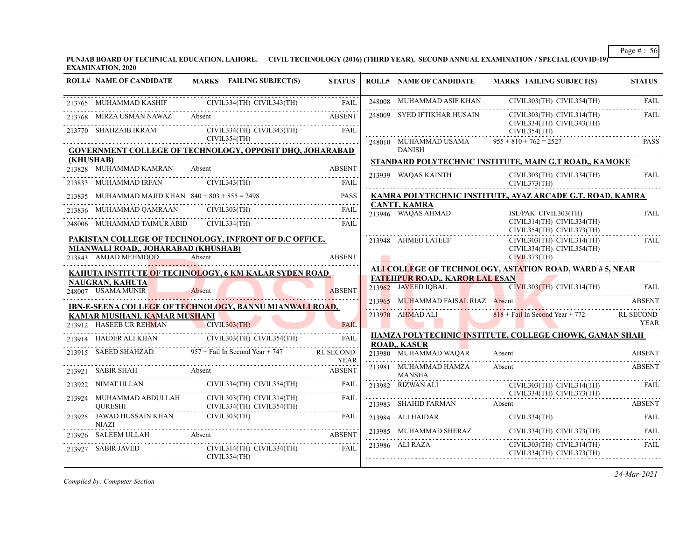**PUNJAB BOARD OF TECHNICAL EDUCATION, LAHORE. CIVIL TECHNOLOGY (2016) (THIRD YEAR), SECOND ANNUAL EXAMINATION / SPECIAL (COVID-19) EXAMINATION, 2020**

| <b>ROLL# NAME OF CANDIDATE</b>                                     | <b>MARKS</b> FAILING SUBJECT(S)                                                                                                                                                                                                                                                                                                                                    | <b>STATUS</b> | <b>ROLL# NAME OF CANDIDATE</b>            | <b>MARKS FAILING SUBJECT(S)</b>                                                                                        | <b>STATUS</b> |
|--------------------------------------------------------------------|--------------------------------------------------------------------------------------------------------------------------------------------------------------------------------------------------------------------------------------------------------------------------------------------------------------------------------------------------------------------|---------------|-------------------------------------------|------------------------------------------------------------------------------------------------------------------------|---------------|
|                                                                    | 213765 MUHAMMAD KASHIF CIVIL334(TH) CIVIL343(TH) FAIL                                                                                                                                                                                                                                                                                                              |               |                                           | ${\bf 248008} \quad {\bf MUHAMMAD ASIF KHAN} \qquad {\bf CIVIL303(TH)} \quad {\bf CIVIL354(TH)} \qquad {\bf FAIL}$     |               |
|                                                                    | 213768 MIRZA USMAN NAWAZ Absent ABSENT                                                                                                                                                                                                                                                                                                                             |               | 248009 SYED IFTIKHAR HUSAIN               | CIVIL303(TH) CIVIL314(TH)                                                                                              | FAIL          |
|                                                                    | $\begin{tabular}{ll} 213770 & SHAHZAIB IKRAM & CIVIL334(TH) CIVIL343(TH) \\ & CIVIL354(TH) \\ \end{tabular}$                                                                                                                                                                                                                                                       | FAIL          |                                           | CIVIL334(TH) CIVIL343(TH)<br>CIVIL354(TH)                                                                              |               |
|                                                                    | <b>GOVERNMENT COLLEGE OF TECHNOLOGY, OPPOSIT DHQ, JOHARABAD</b>                                                                                                                                                                                                                                                                                                    |               | 248010 MUHAMMAD USAMA<br><b>DANISH</b>    | $955 + 810 + 762 = 2527$                                                                                               | <b>PASS</b>   |
| (KHUSHAB)                                                          |                                                                                                                                                                                                                                                                                                                                                                    |               |                                           | STANDARD POLYTECHNIC INSTITUTE, MAIN G.T ROAD,, KAMOKE                                                                 |               |
| 213828 MUHAMMAD KAMRAN Absent                                      |                                                                                                                                                                                                                                                                                                                                                                    | <b>ABSENT</b> | 213939 WAQAS KAINTH                       | CIVIL303(TH) CIVIL334(TH)                                                                                              | FAIL          |
|                                                                    | $\begin{tabular}{ll} \bf 213833 & \bf 100HAMMAD IRFAN & \bf 100H1 & \bf 213837 & \bf 110H1 & \bf 211H1 & \bf 211H1 & \bf 211H1 & \bf 211H1 & \bf 211H1 & \bf 211H1 & \bf 211H1 & \bf 211H1 & \bf 211H1 & \bf 211H1 & \bf 211H1 & \bf 211H1 & \bf 211H1 & \bf 211H1 & \bf 211H1 & \bf 211H1 & \bf 211H1 & \bf 211H$                                                 |               | CIVIL373(TH)                              |                                                                                                                        |               |
|                                                                    | 213835 MUHAMMAD MAJID KHAN $840 + 803 + 855 = 2498$                                                                                                                                                                                                                                                                                                                | <b>PASS</b>   |                                           | KAMRA POLYTECHNIC INSTITUTE, AYAZ ARCADE G.T. ROAD, KAMRA                                                              |               |
|                                                                    | 213836 MUHAMMAD QAMRAAN CIVIL303(TH) FAIL                                                                                                                                                                                                                                                                                                                          |               | <b>CANTT, KAMRA</b><br>213946 WAQAS AHMAD | ISL/PAK CIVIL303(TH)                                                                                                   | <b>FAIL</b>   |
|                                                                    | 248006 MUHAMMAD TAIMUR ABID CIVIL334(TH) FAIL                                                                                                                                                                                                                                                                                                                      | FAIL          |                                           | CIVIL314(TH) CIVIL334(TH)<br>CIVIL354(TH) CIVIL373(TH)                                                                 |               |
|                                                                    | PAKISTAN COLLEGE OF TECHNOLOGY, INFRONT OF D.C OFFICE,                                                                                                                                                                                                                                                                                                             |               | 213948 AHMED LATEEF                       | CIVIL303(TH) CIVIL314(TH)                                                                                              | <b>FAIL</b>   |
| MIANWALI ROAD,, JOHARABAD (KHUSHAB)<br>213843 AMJAD MEHMOOD Absent |                                                                                                                                                                                                                                                                                                                                                                    | <b>ABSENT</b> |                                           | CIVIL334(TH) CIVIL354(TH)                                                                                              |               |
|                                                                    | KAHUTA INSTITUTE OF TECHNOLOGY, 6 KM KALAR SYDEN ROAD                                                                                                                                                                                                                                                                                                              |               |                                           | ALI COLLEGE OF TECHNOLOGY, ASTATION ROAD, WARD #5, NEAR                                                                |               |
| <b>NAUGRAN, KAHUTA</b>                                             |                                                                                                                                                                                                                                                                                                                                                                    |               | <b>FATEHPUR ROAD,, KAROR LAL ESAN</b>     |                                                                                                                        |               |
| 248007 USAMA MUNIR                                                 | R<br>Absent                                                                                                                                                                                                                                                                                                                                                        | <b>ABSENT</b> | 213962 JAVEED IQBAL                       | CIVIL303(TH) CIVIL314(TH) FAIL                                                                                         |               |
|                                                                    | <b>IBN-E-SEENA COLLEGE OF TECHNOLOGY, BANNU MIANWALI ROAD,</b>                                                                                                                                                                                                                                                                                                     |               |                                           | 213965 MUHAMMAD FAISAL RIAZ Absent ABSENT                                                                              |               |
| KAMAR MUSHANI, KAMAR MUSHANI                                       |                                                                                                                                                                                                                                                                                                                                                                    | <b>FAIL</b>   |                                           | 213970 AHMAD ALI 818 + Fail In Second Year + 772 RL SECOND<br>TEAR YEAR                                                |               |
| 213912 HASEEB UR REHMAN CIVIL303(TH)                               | $\begin{picture}(180,10) \put(0,0){\vector(1,0){180}} \put(10,0){\vector(1,0){180}} \put(10,0){\vector(1,0){180}} \put(10,0){\vector(1,0){180}} \put(10,0){\vector(1,0){180}} \put(10,0){\vector(1,0){180}} \put(10,0){\vector(1,0){180}} \put(10,0){\vector(1,0){180}} \put(10,0){\vector(1,0){180}} \put(10,0){\vector(1,0){180}} \put(10,0){\vector(1,0){180}}$ |               |                                           | HAMZA POLYTECHNIC INSTITUTE, COLLEGE CHOWK, GAMAN SHAH                                                                 |               |
|                                                                    | 213914 HAIDER ALI KHAN CIVIL303(TH) CIVIL354(TH) FAIL                                                                                                                                                                                                                                                                                                              |               | <b>ROAD., KASUR</b>                       |                                                                                                                        |               |
|                                                                    | 213915 SAEED SHAHZAD 957 + Fail In Second Year + 747 RL SECOND                                                                                                                                                                                                                                                                                                     | YEAR          | 213980 MUHAMMAD WAQAR Absent              |                                                                                                                        | <b>ABSENT</b> |
|                                                                    | 213921 SABIR SHAH Absent Absent Absent Absent Absent Absent Absent Absent Absent Absent Absent Absent Absent Absent Absent Absent Absent Absent Absent Absent Absent Absent Absent Absent Absent Absent Absent Absent Absent A                                                                                                                                     |               | 213981 MUHAMMAD HAMZA<br>MANSHA           | Absent                                                                                                                 | <b>ABSENT</b> |
|                                                                    | 213922 NIMAT ULLAN CIVIL334(TH) CIVIL354(TH) FAIL                                                                                                                                                                                                                                                                                                                  |               |                                           | 213982 RIZWAN ALI CIVIL303(TH) CIVIL314(TH) FAI                                                                        | FAIL          |
|                                                                    | $\begin{tabular}{c} 213924 \quad MUHAMMAD ABDULLAH \qquad \qquad CIVIL303(TH) \quad CIVIL314(TH) \qquad \qquad FAIL \\ \qquad \qquad QURESH {\qquad \qquad CIVIL334(TH) \quad CIVIL354(TH) \qquad \qquad } \end{tabular}$                                                                                                                                          | FAIL          |                                           | 213983 SHAHID FARMAN Absent ABSENT                                                                                     |               |
|                                                                    |                                                                                                                                                                                                                                                                                                                                                                    |               |                                           | $\begin{tabular}{lllllllllll} \bf 213984 & ALI HAIDAR & CIVIL334(TH) & FAIL \\ \hline \end{tabular}$                   |               |
|                                                                    | 213925 JAWAD HUSSAIN KHAN CIVIL303(TH) FAIL NIAZI NASH PART REPORT OF THE MARKET RESERVE AND RESERVE ASSESSED AND RESERVE ASSESSED AND RESERVE ASSESSED AND RESERVE ASSESSED AND RESERVE ASSESSED AND RESERVE ASSESSED AND RES                                                                                                                                     |               |                                           | 213985 MUHAMMAD SHERAZ CIVIL334(TH) CIVIL373(TH) FAIL                                                                  |               |
| 213927 SABIR JAVED                                                 | CIVIL314(TH) CIVIL334(TH) FAIL<br>CIVIL354(TH)                                                                                                                                                                                                                                                                                                                     |               |                                           | $\begin{tabular}{ccccc} 213986 & ALI RAZA & CIVIL303(TH) CIVIL314(TH) \\ & CIVIL334(TH) CIVIL373(TH) \\ \end{tabular}$ | FAIL          |
|                                                                    |                                                                                                                                                                                                                                                                                                                                                                    |               |                                           |                                                                                                                        |               |

*Compiled by: Computer Section*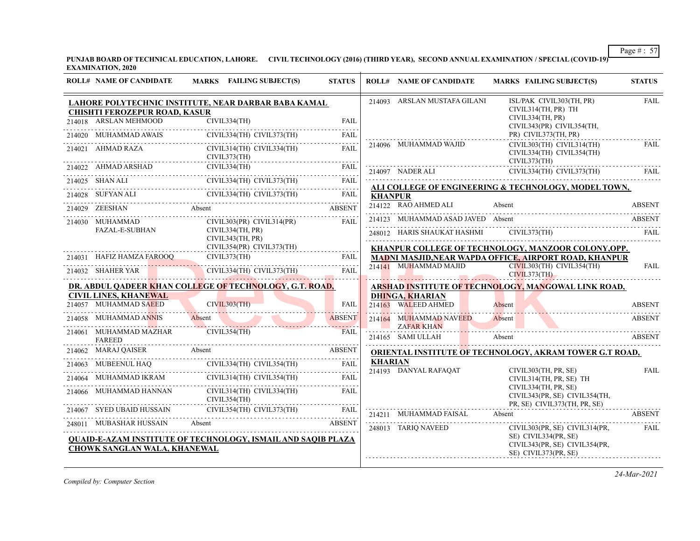**PUNJAB BOARD OF TECHNICAL EDUCATION, LAHORE. CIVIL TECHNOLOGY (2016) (THIRD YEAR), SECOND ANNUAL EXAMINATION / SPECIAL (COVID-19) EXAMINATION, 2020**

|        | <b>ROLL# NAME OF CANDIDATE</b>                                | MARKS FAILING SUBJECT(S)                                                                              | <b>STATUS</b> |                | <b>ROLL# NAME OF CANDIDATE</b>                | <b>MARKS FAILING SUBJECT(S)</b>                                                       | <b>STATUS</b> |
|--------|---------------------------------------------------------------|-------------------------------------------------------------------------------------------------------|---------------|----------------|-----------------------------------------------|---------------------------------------------------------------------------------------|---------------|
|        |                                                               | LAHORE POLYTECHNIC INSTITUTE, NEAR DARBAR BABA KAMAL                                                  |               |                | 214093 ARSLAN MUSTAFA GILANI                  | ISL/PAK CIVIL303(TH, PR)                                                              | <b>FAIL</b>   |
|        | <b>CHISHTI FEROZEPUR ROAD, KASUR</b><br>214018 ARSLAN MEHMOOD | CIVIL334(TH)                                                                                          | <b>FAIL</b>   |                |                                               | CIVIL314(TH, PR) TH<br>CIVIL334(TH, PR)<br>CIVIL343(PR) CIVIL354(TH,                  |               |
|        | 214020 MUHAMMAD AWAIS                                         | CIVIL334(TH) CIVIL373(TH)                                                                             | <b>FAIL</b>   |                |                                               | PR) CIVIL373(TH, PR)                                                                  |               |
| 214021 | AHMAD RAZA                                                    | CIVIL314(TH) CIVIL334(TH)<br>CIVIL373(TH)                                                             | FAIL          |                | 214096 MUHAMMAD WAJID                         | CIVIL303(TH) CIVIL314(TH)<br>CIVIL334(TH) CIVIL354(TH)<br>CIVIL373(TH)                | <b>FAIL</b>   |
|        | 214022 AHMAD ARSHAD                                           | CIVIL334(TH)                                                                                          | <b>FAIL</b>   |                | 214097 NADER ALI                              | CIVIL334(TH) CIVIL373(TH)                                                             | FAIL          |
|        |                                                               | 214025 SHAN ALI CIVIL334(TH) CIVIL373(TH) FAIL                                                        | FAIL          |                |                                               | ALI COLLEGE OF ENGINEERING & TECHNOLOGY, MODEL TOWN,                                  |               |
|        |                                                               | CIVIL334(TH) CIVIL373(TH)<br>214028 SUFYAN ALI CIVIL334(TH) CIVIL373(TH) FAIL                         |               | <b>KHANPUR</b> |                                               |                                                                                       |               |
|        | 214029 ZEESHAN Absent                                         |                                                                                                       | <b>ABSENT</b> |                | 214122 RAO AHMED ALI                          | Absent                                                                                | <b>ABSENT</b> |
|        | 214030 MUHAMMAD                                               | $CIVIL303(PR)$ $CIVIL314(PR)$                                                                         | FAIL          |                | 214123 MUHAMMAD ASAD JAVED Absent             |                                                                                       | <b>ABSENT</b> |
|        | <b>FAZAL-E-SUBHAN</b>                                         | CIVIL334(TH, PR)<br>CIVIL343(TH, PR)                                                                  |               |                | 248012 HARIS SHAUKAT HASHMI                   | CIVIL373(TH)                                                                          | FAII.         |
|        |                                                               | CIVIL354(PR) CIVIL373(TH)                                                                             |               |                |                                               | KHANPUR COLLEGE OF TECHNOLOGY, MANZOOR COLONY, OPP.                                   |               |
|        |                                                               | 214031 HAFIZ HAMZA FAROOQ CIVIL373(TH)                                                                | FAII.<br>.    |                | 214141 MUHAMMAD MAJID                         | <b>MADNI MASJID, NEAR WAPDA OFFICE, AIRPORT ROAD, KHANPUR</b>                         | <b>FAIL</b>   |
|        |                                                               | 214032 SHAHER YAR CIVIL334(TH) CIVIL373(TH)                                                           | <b>FAIL</b>   |                | <u> Martin Alban (d. 1988)</u>                | CIVIL303(TH) CIVIL354(TH)<br>CIVIL373(TH)                                             |               |
|        |                                                               | DR. ABDUL QADEER KHAN COLLEGE OF TECHNOLOGY, G.T. ROAD,                                               |               |                |                                               | ARSHAD INSTITUTE OF TECHNOLOGY, MANGOWAL LINK ROAD,                                   |               |
|        | <b>CIVIL LINES, KHANEWAL</b><br>214057 MUHAMMAD SAEED         | CIVIL303(TH)                                                                                          | <b>FAIL</b>   |                | <b>DHINGA, KHARIAN</b><br>214163 WALEED AHMED | Absent                                                                                | <b>ABSENT</b> |
|        | 214058 MUHAMMAD ANNIS                                         | Absent                                                                                                | <b>ABSENT</b> |                | 214164 MUHAMMAD NAVEED                        | Absent                                                                                | <b>ABSENT</b> |
|        | 214061 MUHAMMAD MAZHAR<br><b>FAREED</b>                       | CIVIL354(TH)                                                                                          | <b>FAIL</b>   |                | <b>ZAFAR KHAN</b><br>214165 SAMI ULLAH        | Absent                                                                                | <b>ABSENT</b> |
|        |                                                               |                                                                                                       | <b>ABSENT</b> |                |                                               | <b>ORIENTAL INSTITUTE OF TECHNOLOGY, AKRAM TOWER G.T ROAD,</b>                        |               |
| 214063 |                                                               | $\begin{tabular}{ll} & CIVIL334(TH) & CIVIL354(TH)\\ & & CIVIL334(TH) & CIVIL354(TH)\\ \end{tabular}$ | FAIL          | <b>KHARIAN</b> | 214193 DANYAL RAFAQAT                         |                                                                                       |               |
| 214064 |                                                               |                                                                                                       |               |                |                                               | CIVIL303(TH, PR, SE)<br>CIVIL314(TH, PR, SE) TH                                       | <b>FAIL</b>   |
|        | 214066 MUHAMMAD HANNAN                                        | CIVIL314(TH) CIVIL334(TH)<br>CIVIL354(TH)                                                             | FAII.         |                |                                               | CIVIL334(TH, PR, SE)<br>CIVIL343(PR, SE) CIVIL354(TH,<br>PR, SE) CIVIL373(TH, PR, SE) |               |
|        | 214067 SYED UBAID HUSSAIN                                     | CIVIL354(TH) CIVIL373(TH)                                                                             | <b>FAIL</b>   |                | 214211 MUHAMMAD FAISAL                        | Absent                                                                                | <b>ABSENT</b> |
|        | 248011 MUBASHAR HUSSAIN                                       | Absent                                                                                                | <b>ABSENT</b> |                | 248013 TARIQ NAVEED                           | CIVIL303(PR, SE) CIVIL314(PR,                                                         | FAIL          |
|        | CHOWK SANGLAN WALA, KHANEWAL                                  | <b>OUAID-E-AZAM INSTITUTE OF TECHNOLOGY, ISMAIL AND SAOIB PLAZA</b>                                   |               |                |                                               | SE) CIVIL334(PR, SE)<br>CIVIL343(PR, SE) CIVIL354(PR,<br>SE) CIVIL373(PR, SE)         |               |

*Compiled by: Computer Section*

*24-Mar-2021*

Page # : 57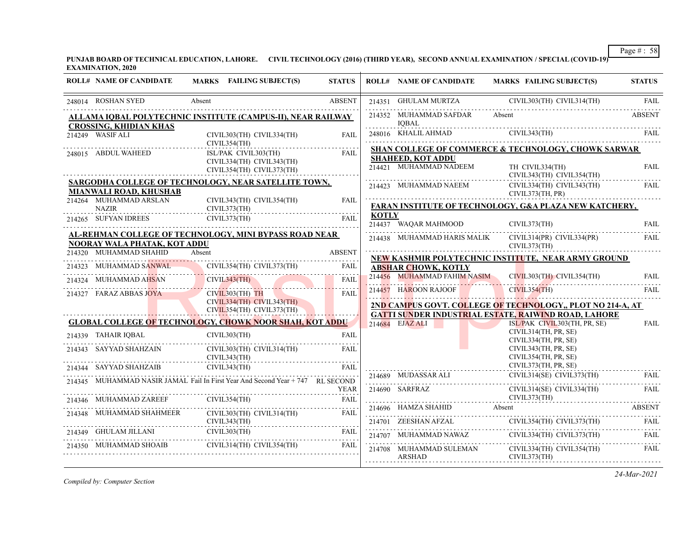**PUNJAB BOARD OF TECHNICAL EDUCATION, LAHORE. CIVIL TECHNOLOGY (2016) (THIRD YEAR), SECOND ANNUAL EXAMINATION / SPECIAL (COVID-19) EXAMINATION, 2020**

| <b>ROLL# NAME OF CANDIDATE</b>                | MARKS FAILING SUBJECT(S)                                                       | <b>STATUS</b> |              | <b>ROLL# NAME OF CANDIDATE</b>         | <b>MARKS FAILING SUBJECT(S)</b>                                                                                                                                                                                                                                                                                                                                                     | <b>STATUS</b> |
|-----------------------------------------------|--------------------------------------------------------------------------------|---------------|--------------|----------------------------------------|-------------------------------------------------------------------------------------------------------------------------------------------------------------------------------------------------------------------------------------------------------------------------------------------------------------------------------------------------------------------------------------|---------------|
| 248014 ROSHAN SYED                            | Absent                                                                         | <b>ABSENT</b> |              | 214351 GHULAM MURTZA                   | CIVIL303(TH) CIVIL314(TH)                                                                                                                                                                                                                                                                                                                                                           | FAII.         |
|                                               | ALLAMA IQBAL POLYTECHNIC INSTITUTE (CAMPUS-II), NEAR RAILWAY                   |               |              | 214352 MUHAMMAD SAFDAR                 | Absent                                                                                                                                                                                                                                                                                                                                                                              | <b>ABSENT</b> |
| <b>CROSSING, KHIDIAN KHAS</b>                 |                                                                                |               |              | <b>IOBAL</b>                           |                                                                                                                                                                                                                                                                                                                                                                                     |               |
| 214249 WASIF ALI                              | CIVIL303(TH) CIVIL334(TH)<br>CIVIL354(TH)                                      | FAIL          |              |                                        | 248016 KHALILAHMAD CIVIL343(TH) FAIL                                                                                                                                                                                                                                                                                                                                                |               |
|                                               |                                                                                |               |              |                                        | SHAN COLLEGE OF COMMERCE & TECHNOLOGY, CHOWK SARWAR                                                                                                                                                                                                                                                                                                                                 |               |
| 248015 ABDUL WAHEED                           | ISL/PAK CIVIL303(TH)                                                           | FAIL          |              | <b>SHAHEED, KOT ADDU</b>               |                                                                                                                                                                                                                                                                                                                                                                                     |               |
|                                               | CIVIL334(TH) CIVIL343(TH)<br>CIVIL354(TH) CIVIL373(TH)                         |               |              | 214421 MUHAMMAD NADEEM TH CIVIL334(TH) | CIVIL343(TH) CIVIL354(TH)                                                                                                                                                                                                                                                                                                                                                           | <b>FAIL</b>   |
|                                               | <b>SARGODHA COLLEGE OF TECHNOLOGY, NEAR SATELLITE TOWN,</b>                    |               |              | 214423 MUHAMMAD NAEEM                  | CIVIL334(TH) CIVIL343(TH)                                                                                                                                                                                                                                                                                                                                                           | FAIL          |
| MIANWALI ROAD, KHUSHAB                        |                                                                                |               |              |                                        | CIVIL373(TH, PR)                                                                                                                                                                                                                                                                                                                                                                    |               |
| 214264 MUHAMMAD ARSLAN                        | CIVIL343(TH) CIVIL354(TH)                                                      | FAII.         |              |                                        |                                                                                                                                                                                                                                                                                                                                                                                     |               |
| <b>NAZIR</b>                                  | CIVIL373(TH)                                                                   |               |              |                                        | FARAN INSTITUTE OF TECHNOLOGY, G&A PLAZA NEW KATCHERY,                                                                                                                                                                                                                                                                                                                              |               |
| 214265 SUFYAN IDREES                          | CIVIL373(TH)                                                                   | FAII.         | <b>KOTLY</b> |                                        | 214437 WAQAR MAHMOOD CIVIL373(TH) FAIL                                                                                                                                                                                                                                                                                                                                              |               |
|                                               | AL-REHMAN COLLEGE OF TECHNOLOGY, MINI BYPASS ROAD NEAR                         |               |              |                                        | 214438 MUHAMMAD HARIS MALIK CIVIL314(PR) CIVIL334(PR)                                                                                                                                                                                                                                                                                                                               | FAIL          |
| NOORAY WALA PHATAK, KOT ADDU                  |                                                                                |               |              |                                        | CIVIL373(TH)                                                                                                                                                                                                                                                                                                                                                                        |               |
| 214320 MUHAMMAD SHAHID                        | Absent                                                                         | <b>ABSENT</b> |              |                                        |                                                                                                                                                                                                                                                                                                                                                                                     |               |
| 214323 MUHAMMAD SANWAL                        | CIVIL354(TH) CIVIL373(TH)                                                      | FAIL          |              |                                        | NEW KASHMIR POLYTECHNIC INSTITUTE, NEAR ARMY GROUND                                                                                                                                                                                                                                                                                                                                 |               |
| AMMAD SANWAL                                  |                                                                                |               |              | <b>ABSHAR CHOWK, KOTLY</b>             |                                                                                                                                                                                                                                                                                                                                                                                     |               |
| 214324 MUHAMMAD AHSAN                         | CIVIL343(TH)                                                                   | FAIL          |              | 214456 MUHAMMAD FAHIM NASIM            | CIVIL303(TH) CIVIL354(TH)                                                                                                                                                                                                                                                                                                                                                           | FAIL          |
| 214327 FARAZ ABBAS JOYA                       | $CIVIL303(TH)$ TH                                                              | <b>FAIL</b>   |              | 214457 HAROON RAJOOF                   | CIVIL354(TH)<br><b>STATISTICS</b>                                                                                                                                                                                                                                                                                                                                                   | FAIL          |
|                                               | CIVIL334(TH) CIVIL343(TH)                                                      |               |              |                                        |                                                                                                                                                                                                                                                                                                                                                                                     | .             |
|                                               | CIVIL354(TH) CIVIL373(TH)                                                      |               |              |                                        | 2ND CAMPUS GOVT. COLLEGE OF TECHNOLOGY., PLOT NO 214-A, AT                                                                                                                                                                                                                                                                                                                          |               |
|                                               | <b>GLOBAL COLLEGE OF TECHNOLOGY, CHOWK NOOR SHAH, KOT ADDU</b>                 |               |              |                                        | <b>GATTI SUNDER INDUSTRIAL ESTATE, RAIWIND ROAD, LAHORE</b>                                                                                                                                                                                                                                                                                                                         |               |
|                                               |                                                                                |               |              | 214684 EJAZ ALI                        | ISL/PAK CIVIL303(TH, PR, SE)<br>CIVIL314(TH, PR, SE)                                                                                                                                                                                                                                                                                                                                | FAIL          |
|                                               | CIVIL303(TH)                                                                   | <b>FAIL</b>   |              |                                        | CIVIL334(TH, PR, SE)                                                                                                                                                                                                                                                                                                                                                                |               |
| 214339 TAHAIR IQBAL<br>214343 SAYYAD SHAHZAIN | CIVIL303(TH) CIVIL314(TH)                                                      | FAII.         |              |                                        | CIVIL343(TH, PR, SE)                                                                                                                                                                                                                                                                                                                                                                |               |
|                                               | CIVIL343(TH)                                                                   |               |              |                                        | CIVIL354(TH, PR, SE)                                                                                                                                                                                                                                                                                                                                                                |               |
| 214344 SAYYAD SHAHZAIB                        | CIVIL343(TH)                                                                   | <b>FAIL</b>   |              |                                        | CIVIL373(TH, PR, SE)                                                                                                                                                                                                                                                                                                                                                                |               |
|                                               |                                                                                |               |              | 214689 MUDASSAR ALI                    | $CIVIL314(SE)$ $CIVIL373(TH)$                                                                                                                                                                                                                                                                                                                                                       | - FAIL        |
|                                               | 214345 MUHAMMAD NASIR JAMAL Fail In First Year And Second Year + 747 RL SECOND |               |              |                                        | CIVIL314(SE) CIVIL334(TH)                                                                                                                                                                                                                                                                                                                                                           | FAIL          |
|                                               |                                                                                | YEAR          |              | 214690 SARFRAZ (2014)                  |                                                                                                                                                                                                                                                                                                                                                                                     |               |
| 214346 MUHAMMAD ZAREEF                        | CIVIL354(TH)                                                                   |               |              |                                        | CIVIL373(TH)                                                                                                                                                                                                                                                                                                                                                                        |               |
| 214348 MUHAMMAD SHAHMEER                      | CIVIL303(TH) CIVIL314(TH)                                                      | FAIL          |              |                                        | 214696 HAMZA SHAHID Absent ABSENT ABSENT                                                                                                                                                                                                                                                                                                                                            |               |
|                                               | CIVIL343(TH)                                                                   |               |              |                                        | $[CIVIL354(TH) \hspace*{1.5mm} CIVIL373(TH) \hspace*{1.5mm} \hspace*{1.5mm} FAIL \\ \hspace*{1.5mm} CIVIL373(TH) \hspace*{1.5mm} \hspace*{1.5mm} FAIL \\ \hspace*{1.5mm} FAIL \\ \hspace*{1.5mm} \hspace*{1.5mm} FAIL \\ \hspace*{1.5mm} \hspace*{1.5mm} FAIL \\ \hspace*{1.5mm} \hspace*{1.5mm} FAIL \\ \hspace*{1.5mm} \hspace*{1.5mm} FAIL \\ \hspace*{1.5mm} \hspace*{1.5mm} F$ |               |
|                                               | 214349 GHULAM JILLANI CIVIL303(TH) FAIL                                        |               |              |                                        |                                                                                                                                                                                                                                                                                                                                                                                     |               |
| 214350 MUHAMMAD SHOAIB                        | CIVIL314(TH) CIVIL354(TH)                                                      | FAIL          |              |                                        | 214707 MUHAMMAD NAWAZ CIVIL334(TH) CIVIL373(TH) FAIL                                                                                                                                                                                                                                                                                                                                |               |
|                                               |                                                                                |               |              | ARSHAD                                 | 214708 MUHAMMAD SULEMAN CIVIL334(TH) CIVIL354(TH)<br>CIVIL373(TH)                                                                                                                                                                                                                                                                                                                   | FAIL          |
|                                               |                                                                                |               |              |                                        |                                                                                                                                                                                                                                                                                                                                                                                     |               |

*Compiled by: Computer Section*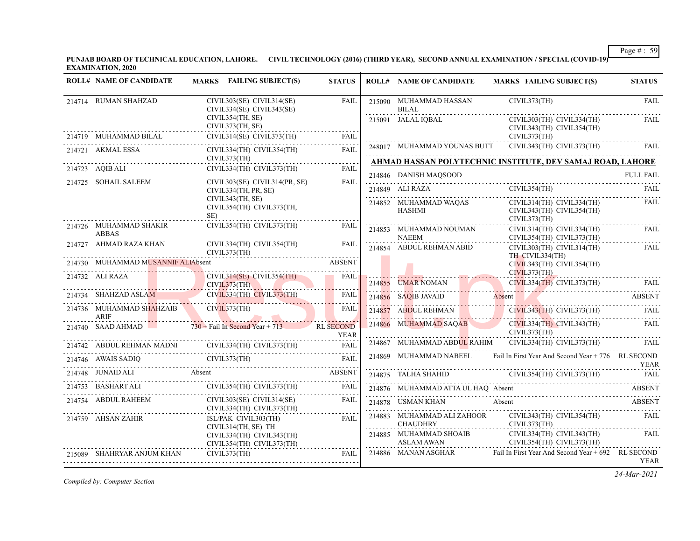**PUNJAB BOARD OF TECHNICAL EDUCATION, LAHORE. CIVIL TECHNOLOGY (2016) (THIRD YEAR), SECOND ANNUAL EXAMINATION / SPECIAL (COVID-19) EXAMINATION, 2020**

| <b>ROLL# NAME OF CANDIDATE</b>         | MARKS FAILING SUBJECT(S)                                                    | <b>STATUS</b>                                                                                                                                                                                                                        |   | <b>ROLL# NAME OF CANDIDATE</b>                                                                                                                                                                                                                                                                                                                                                                                                                      |   | <b>MARKS FAILING SUBJECT(S)</b> |                                                        | <b>STATUS</b>    |
|----------------------------------------|-----------------------------------------------------------------------------|--------------------------------------------------------------------------------------------------------------------------------------------------------------------------------------------------------------------------------------|---|-----------------------------------------------------------------------------------------------------------------------------------------------------------------------------------------------------------------------------------------------------------------------------------------------------------------------------------------------------------------------------------------------------------------------------------------------------|---|---------------------------------|--------------------------------------------------------|------------------|
| 214714 RUMAN SHAHZAD                   | CIVIL303(SE) CIVIL314(SE)<br>CIVIL334(SE) CIVIL343(SE)                      | <b>FAIL</b>                                                                                                                                                                                                                          |   | 215090 MUHAMMAD HASSAN<br><b>BILAL</b>                                                                                                                                                                                                                                                                                                                                                                                                              |   | CIVIL373(TH)                    |                                                        | <b>FAIL</b>      |
| 214719 MUHAMMAD BILAL                  | CIVIL354(TH, SE)<br>CIVIL373(TH, SE)<br>$CIVIL314(SE)$ $CIVIL373(TH)$       | FAIL                                                                                                                                                                                                                                 |   | 215091 JALAL IQBAL                                                                                                                                                                                                                                                                                                                                                                                                                                  |   | CIVIL373(TH)                    | CIVIL303(TH) CIVIL334(TH)<br>CIVIL343(TH) CIVIL354(TH) | FAIL             |
| 214721 AKMAL ESSA                      | CIVIL334(TH) CIVIL354(TH)                                                   | <b>FAIL</b>                                                                                                                                                                                                                          |   | 248017 MUHAMMAD YOUNAS BUTT CIVIL343(TH) CIVIL373(TH)                                                                                                                                                                                                                                                                                                                                                                                               |   |                                 |                                                        | FAII.            |
|                                        | CIVIL373(TH)                                                                |                                                                                                                                                                                                                                      |   | AHMAD HASSAN POLYTECHNIC INSTITUTE, DEV SAMAJ ROAD, LAHORE                                                                                                                                                                                                                                                                                                                                                                                          |   |                                 |                                                        |                  |
|                                        | CIVIL334(TH) CIVIL373(TH)<br>214723 AQIB ALI CIVIL334(TH) CIVIL373(TH) FAIL |                                                                                                                                                                                                                                      |   | 214846 DANISH MAQSOOD                                                                                                                                                                                                                                                                                                                                                                                                                               |   |                                 |                                                        | <b>FULL FAIL</b> |
| 214725 SOHAIL SALEEM                   | CIVIL303(SE) CIVIL314(PR, SE)<br>CIVIL334(TH, PR, SE)                       | FAII.                                                                                                                                                                                                                                |   | 214849 ALI RAZA CIVIL354(TH) FAIL                                                                                                                                                                                                                                                                                                                                                                                                                   |   |                                 |                                                        |                  |
|                                        | CIVIL343(TH, SE)<br>CIVIL354(TH) CIVIL373(TH,<br>SE)                        |                                                                                                                                                                                                                                      |   | 214852 MUHAMMAD WAQAS<br>HASHMI                                                                                                                                                                                                                                                                                                                                                                                                                     |   | CIVIL373(TH)                    | CIVIL314(TH) CIVIL334(TH)<br>CIVIL343(TH) CIVIL354(TH) | <b>FAIL</b>      |
| 214726 MUHAMMAD SHAKIR<br><b>ABBAS</b> | CIVIL354(TH) CIVIL373(TH)                                                   | FAIL                                                                                                                                                                                                                                 |   | 214853 MUHAMMAD NOUMAN<br>NAEEM                                                                                                                                                                                                                                                                                                                                                                                                                     |   |                                 | CIVIL314(TH) CIVIL334(TH)<br>CIVIL354(TH) CIVIL373(TH) | FAIL             |
| 214727 AHMAD RAZA KHAN                 | CIVIL334(TH) CIVIL354(TH)<br>CIVIL373(TH)                                   | <b>FAIL</b>                                                                                                                                                                                                                          |   | 214854 ABDUL REHMAN ABID                                                                                                                                                                                                                                                                                                                                                                                                                            |   | TH CIVIL334(TH)                 | CIVIL303(TH) CIVIL314(TH)                              | <b>FAIL</b>      |
| 214730 MUHAMMAD MUSANNIF ALIAbsent     | <b>ABSENT</b>                                                               |                                                                                                                                                                                                                                      |   |                                                                                                                                                                                                                                                                                                                                                                                                                                                     |   |                                 | CIVIL343(TH) CIVIL354(TH)                              |                  |
| 214732 ALI RAZA                        | CIVIL314(SE) CIVIL354(TH) FAIL<br>CIVIL373(TH)                              | <u> Andrea Andrews and a strong for the strong strong for the strong strong strong strong strong strong strong strong strong strong strong strong strong strong strong strong strong strong strong strong strong strong strong s</u> |   | 214855 UMAR NOMAN                                                                                                                                                                                                                                                                                                                                                                                                                                   |   | CIVIL373(TH)                    | CIVIL334(TH) CIVIL373(TH)                              | FAIL             |
|                                        | 214734 SHAHZAD ASLAM CIVIL334(TH) CIVIL373(TH) FAIL                         | <b>FAIL</b>                                                                                                                                                                                                                          |   | 214856 SAQIB JAVAID Absent ABSENT                                                                                                                                                                                                                                                                                                                                                                                                                   |   |                                 |                                                        |                  |
|                                        | 214736 MUHAMMAD SHAHZAIB CIVIL373(TH)                                       | <b>FAIL</b>                                                                                                                                                                                                                          |   | 214857 ABDUL REHMAN CIVIL343(TH) CIVIL373(TH) FAIL                                                                                                                                                                                                                                                                                                                                                                                                  |   |                                 |                                                        |                  |
|                                        | 214740 SAAD AHMAD $730 + \text{Fail In Second Year} + 713$ RL SECOND        | <b>YEAR</b>                                                                                                                                                                                                                          |   | 214866 MUHAMMAD SAQAB CIVIL334(TH) CIVIL343(TH)                                                                                                                                                                                                                                                                                                                                                                                                     |   | CIVIL373(TH)                    |                                                        | <b>FAIL</b>      |
|                                        | 214742 ABDUL REHMAN MADNI CIVIL334(TH) CIVIL373(TH) FAIL                    |                                                                                                                                                                                                                                      |   | 214867 MUHAMMAD ABDUL RAHIM CIVIL334(TH) CIVIL373(TH)                                                                                                                                                                                                                                                                                                                                                                                               |   |                                 |                                                        | FAIL             |
| 214746 AWAIS SADIQ                     | CIVIL373(TH)                                                                |                                                                                                                                                                                                                                      |   | 214869 MUHAMMAD NABEEL Fail In First Year And Second Year $+ 776$ RL SECOND                                                                                                                                                                                                                                                                                                                                                                         |   |                                 |                                                        | <b>YEAR</b>      |
|                                        | 214748 JUNAID ALI Absent ABSENT                                             |                                                                                                                                                                                                                                      |   | $\begin{tabular}{ll} 214875 & TALHA SHAHID & CIVIL354(TH) CIVIL373(TH) & FAIL \\ \hline \end{tabular} \begin{tabular}{ll} \multicolumn{2}{l}{{\small\bf{CIVIL373(TH)}} & FAIL \\ \multicolumn{2}{l}{\small\bf{CIVIL373(TH)}} & \multicolumn{2}{l}{\small\bf{FAIL}} \\ \multicolumn{2}{l}{\small\bf{CIVIL373(TH)}} & \multicolumn{2}{l}{\small\bf{CIVIL373(TH)}} \\ \multicolumn{2}{l}{\small\bf{CIVIL373(TH)}} & \multicolumn{2}{l}{\small\bf{FAIL$ |   |                                 |                                                        |                  |
| 214753 BASHART ALI                     | CIVIL354(TH) CIVIL373(TH)                                                   | FAIL                                                                                                                                                                                                                                 |   | 214876 MUHAMMAD ATTA UL HAQ Absent                                                                                                                                                                                                                                                                                                                                                                                                                  |   |                                 |                                                        | ABSENT           |
| 214754 ABDUL RAHEEM                    | CIVIL303(SE) CIVIL314(SE)<br>$CIVIL334(TH)$ $CIVIL373(TH)$                  | FAIL                                                                                                                                                                                                                                 | . | 214878 USMAN KHAN                                                                                                                                                                                                                                                                                                                                                                                                                                   |   | Absent                          |                                                        | ABSENT           |
| 214759 AHSAN ZAHIR                     | ISL/PAK CIVIL303(TH)<br>CIVIL314(TH, SE) TH                                 | <b>FAIL</b>                                                                                                                                                                                                                          |   | 214883 MUHAMMAD ALI ZAHOOR<br><b>CHAUDHRY</b>                                                                                                                                                                                                                                                                                                                                                                                                       | . | CIVIL373(TH)                    | CIVIL343(TH) CIVIL354(TH)                              | FAIL             |
|                                        | CIVIL334(TH) CIVIL343(TH)<br>CIVIL354(TH) CIVIL373(TH)                      |                                                                                                                                                                                                                                      |   | 214885 MUHAMMAD SHOAIB<br>ASLAM AWAN                                                                                                                                                                                                                                                                                                                                                                                                                | . |                                 | CIVIL334(TH) CIVIL343(TH)<br>CIVIL354(TH) CIVIL373(TH) | <b>FAIL</b>      |
| 215089 SHAHRYAR ANJUM KHAN             | CIVIL373(TH)                                                                | <b>FAIL</b>                                                                                                                                                                                                                          |   | 214886 MANAN ASGHAR Fail In First Year And Second Year + 692 RL SECOND                                                                                                                                                                                                                                                                                                                                                                              |   |                                 |                                                        | YEAR             |

*Compiled by: Computer Section*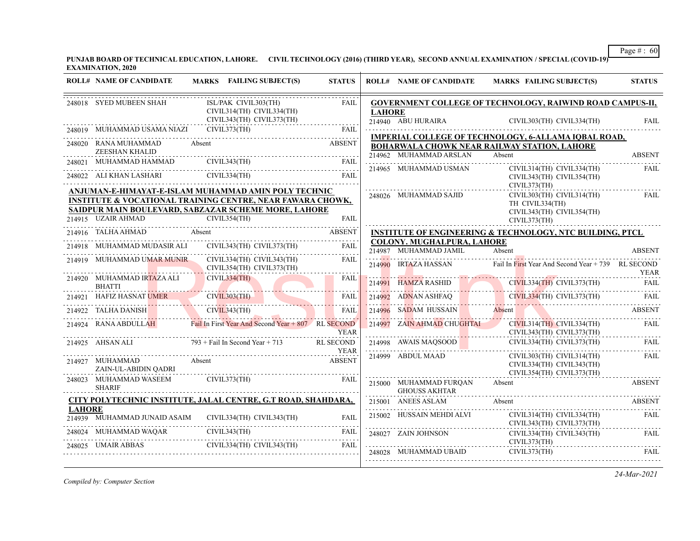**PUNJAB BOARD OF TECHNICAL EDUCATION, LAHORE. CIVIL TECHNOLOGY (2016) (THIRD YEAR), SECOND ANNUAL EXAMINATION / SPECIAL (COVID-19) EXAMINATION, 2020**

|                      | 248018 SYED MUBEEN SHAH     | ISL/PAK CIVIL303(TH)<br>CIVIL314(TH) CIVIL334(TH)                                                                             | <b>FAIL</b>                  | <b>LAHORE</b>                                                      |                                                     | <b>GOVERNMENT COLLEGE OF TECHNOLOGY, RAIWIND ROAD CAMPUS-II,</b>                    |                    |
|----------------------|-----------------------------|-------------------------------------------------------------------------------------------------------------------------------|------------------------------|--------------------------------------------------------------------|-----------------------------------------------------|-------------------------------------------------------------------------------------|--------------------|
|                      | 248019 MUHAMMAD USAMA NIAZI | CIVIL343(TH) CIVIL373(TH)<br>CIVIL373(TH)                                                                                     | .                            |                                                                    |                                                     | 214940 ABU HURAIRA CIVIL303(TH) CIVIL334(TH) FAIL                                   |                    |
| 248020 RANA MUHAMMAD |                             | <b>ABSENT</b><br>Absent                                                                                                       |                              |                                                                    |                                                     | IMPERIAL COLLEGE OF TECHNOLOGY, 6-ALLAMA IQBAL ROAD,                                |                    |
|                      | ZEESHAN KHALID              |                                                                                                                               |                              |                                                                    | 214962 MUHAMMAD ARSLAN                              | BOHARWALA CHOWK NEAR RAILWAY STATION, LAHORE<br>Absent                              | <b>ABSENT</b>      |
| 248021               |                             | MUHAMMAD HAMMAD CIVIL343(TH) FAIL                                                                                             |                              |                                                                    |                                                     | CIVIL314(TH) CIVIL334(TH)                                                           | FAIL               |
|                      |                             | 248022 ALI KHAN LASHARI CIVIL334(TH)                                                                                          | FAIL                         | 214965 MUHAMMAD USMAN<br>CIVIL343(TH) CIVIL354(TH)<br>CIVIL373(TH) |                                                     |                                                                                     |                    |
|                      |                             | ANJUMAN-E-HIMAYAT-E-ISLAM MUHAMMAD AMIN POLY TECHNIC<br><b>INSTITUTE &amp; VOCATIONAL TRAINING CENTRE, NEAR FAWARA CHOWK,</b> |                              |                                                                    | 248026 MUHAMMAD SAJID                               | CIVIL303(TH) CIVIL314(TH)<br>TH CIVIL334(TH)                                        | FAIL               |
|                      |                             | SAIDPUR MAIN BOULEVARD, SABZAZAR SCHEME MORE, LAHORE<br>214915 UZAIR AHMAD CIVIL354(TH) FAIL                                  |                              |                                                                    |                                                     | CIVIL343(TH) CIVIL354(TH)<br>CIVIL373(TH)                                           |                    |
|                      | 214916 TALHA AHMAD          | Absent                                                                                                                        | <b>ABSENT</b>                |                                                                    |                                                     | <b>INSTITUTE OF ENGINEERING &amp; TECHNOLOGY, NTC BUILDING, PTCL</b>                |                    |
|                      | 214918 MUHAMMAD MUDASIR ALI | CIVIL343(TH) CIVIL373(TH)                                                                                                     | <b>FAIL</b>                  |                                                                    | COLONY. MUGHALPURA, LAHORE<br>214987 MUHAMMAD JAMIL | Absent                                                                              | <b>ABSENT</b>      |
|                      |                             | 214919 MUHAMMAD UMAR MUNIR CIVIL334(TH) CIVIL343(TH)<br>CIVIL354(TH) CIVIL373(TH)                                             | FAIL                         |                                                                    | 214990 IRTAZA HASSAN                                | Fail In First Year And Second Year + 739 RL SECOND                                  |                    |
|                      | 214920 MUHAMMAD IRTAZA ALI  | CIVIL334(TH)<br>- 17                                                                                                          | <b>FAIL</b>                  | 214991                                                             |                                                     | YEAR<br>HAMZA RASHID CIVIL334(TH) CIVIL373(TH) FAIL                                 |                    |
| <b>BHATTI</b>        |                             | 214921 HAFIZ HASNAT UMER CIVIL303(TH)                                                                                         | FAIL                         |                                                                    |                                                     | 214992 ADNAN ASHFAQ CIVIL334(TH) CIVIL373(TH) FAIL                                  |                    |
|                      |                             | 214922 TALHA DANISH CIVIL343(TH) FAIL                                                                                         | .                            |                                                                    | 214996 SADAM HUSSAIN Absent                         | 214996 SADAM HUSSAIN Absent ABSENT                                                  |                    |
|                      |                             | 214924 RANA ABDULLAH Fail In First Year And Second Year + 807 RL SECOND                                                       | <b>YEAR</b>                  |                                                                    |                                                     | 214997 ZAIN AHMAD CHUGHTAI CIVIL314(TH) CIVIL334(TH)<br>CIVIL343(TH) CIVIL373(TH)   | FAIL               |
|                      |                             | 214925 AHSAN ALI $793 + \text{Fall In Second Year} + 713$                                                                     | <b>RL SECOND</b>             |                                                                    |                                                     | 214998 AWAIS MAQSOOD CIVIL334(TH) CIVIL373(TH) FAIL                                 |                    |
| 214927 MUHAMMAD      | ZAIN-UL-ABIDIN QADRI        | Absent                                                                                                                        | <b>YEAR</b><br><b>ABSENT</b> |                                                                    | 214999 ABDUL MAAD                                   | CIVIL303(TH) CIVIL314(TH)<br>CIVIL334(TH) CIVIL343(TH)<br>CIVIL354(TH) CIVIL373(TH) | <b>FAIL</b>        |
| <b>SHARIF</b>        | 248023 MUHAMMAD WASEEM      | CIVIL373(TH)                                                                                                                  | FAIL                         |                                                                    | 215000 MUHAMMAD FURQAN<br><b>GHOUSS AKHTAR</b>      | Absent                                                                              | .<br><b>ABSENT</b> |
|                      |                             | CITY POLYTECHNIC INSTITUTE, JALAL CENTRE, G.T ROAD, SHAHDARA,                                                                 |                              |                                                                    | 215001 ANEES ASLAM                                  | Absent                                                                              | ABSENT             |
| <b>LAHORE</b>        |                             | 214939 MUHAMMAD JUNAID ASAIM CIVIL334(TH) CIVIL343(TH)                                                                        | FAII.                        |                                                                    | 215002 HUSSAIN MEHDI ALVI                           | CIVIL314(TH) CIVIL334(TH)<br>CIVIL343(TH) CIVIL373(TH)                              | FAII.              |
|                      |                             | 248024 MUHAMMAD WAQAR CIVIL343(TH) FAIL                                                                                       | FAIL                         |                                                                    | 248027 ZAIN JOHNSON                                 | CIVIL334(TH) CIVIL343(TH)                                                           | FAIL               |
| 248025 UMAIR ABBAS   |                             | UMAIR ABBAS CIVIL334(TH) CIVIL343(TH) FAIL                                                                                    | FAIL                         |                                                                    |                                                     | CIVIL373(TH)<br>248028 MUHAMMAD UBAID CIVIL373(TH) FAIL                             |                    |

*Compiled by: Computer Section*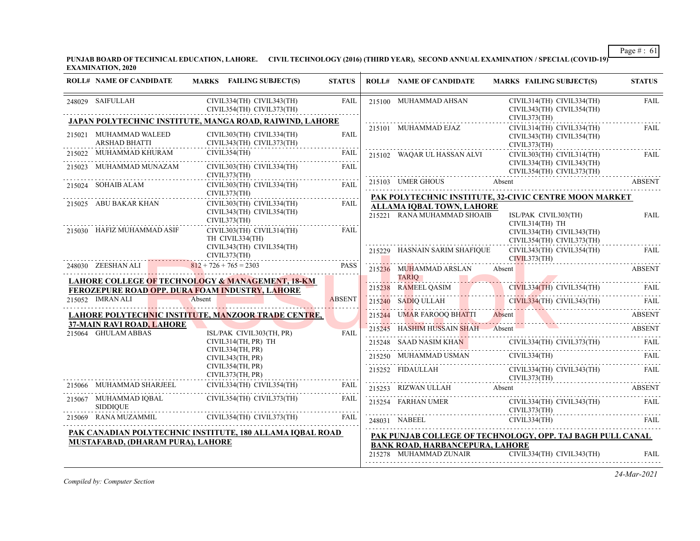**PUNJAB BOARD OF TECHNICAL EDUCATION, LAHORE. CIVIL TECHNOLOGY (2016) (THIRD YEAR), SECOND ANNUAL EXAMINATION / SPECIAL (COVID-19) EXAMINATION, 2020**

| <b>ROLL# NAME OF CANDIDATE</b>                   | MARKS FAILING SUBJECT(S)                                                                                                                                                                                          | <b>STATUS</b> | <b>ROLL# NAME OF CANDIDATE</b>         | MARKS FAILING SUBJECT(S)                                                                                                                                                                                                                                                                                                                                                                                                      | <b>STATUS</b> |
|--------------------------------------------------|-------------------------------------------------------------------------------------------------------------------------------------------------------------------------------------------------------------------|---------------|----------------------------------------|-------------------------------------------------------------------------------------------------------------------------------------------------------------------------------------------------------------------------------------------------------------------------------------------------------------------------------------------------------------------------------------------------------------------------------|---------------|
| 248029 SAIFULLAH                                 | CIVIL334(TH) CIVIL343(TH)<br>CIVIL354(TH) CIVIL373(TH)                                                                                                                                                            | FAIL          | 215100 MUHAMMAD AHSAN                  | CIVIL314(TH) CIVIL334(TH)<br>CIVIL343(TH) CIVIL354(TH)                                                                                                                                                                                                                                                                                                                                                                        | FAIL          |
|                                                  | JAPAN POLYTECHNIC INSTITUTE, MANGA ROAD, RAIWIND, LAHORE                                                                                                                                                          |               | 215101 MUHAMMAD EJAZ                   | CIVIL373(TH)<br>CIVIL314(TH) CIVIL334(TH)                                                                                                                                                                                                                                                                                                                                                                                     | FAIL          |
| 215021 MUHAMMAD WALEED<br><b>ARSHAD BHATTI</b>   | CIVIL303(TH) CIVIL334(TH)<br>CIVIL343(TH) CIVIL373(TH)                                                                                                                                                            | <b>FAIL</b>   |                                        | CIVIL343(TH) CIVIL354(TH)<br>CIVIL373(TH)                                                                                                                                                                                                                                                                                                                                                                                     |               |
| 215022 MUHAMMAD KHURAM                           | CIVIL354(TH)                                                                                                                                                                                                      | FAIL          | 215102 WAQAR UL HASSAN ALVI            | CIVIL303(TH) CIVIL314(TH)                                                                                                                                                                                                                                                                                                                                                                                                     | FAIL          |
| 215023 MUHAMMAD MUNAZAM                          | CIVIL303(TH) CIVIL334(TH)<br>CIVIL373(TH)                                                                                                                                                                         | FAIL          |                                        | CIVIL334(TH) CIVIL343(TH)<br>CIVIL354(TH) CIVIL373(TH)                                                                                                                                                                                                                                                                                                                                                                        | .             |
| 215024 SOHAIB ALAM                               | CIVIL303(TH) CIVIL334(TH)                                                                                                                                                                                         | FAIL          | 215103 UMER GHOUS Absent               | <b>ABSENT</b>                                                                                                                                                                                                                                                                                                                                                                                                                 |               |
|                                                  | CIVIL373(TH)                                                                                                                                                                                                      |               |                                        | PAK POLYTECHNIC INSTITUTE, 32-CIVIC CENTRE MOON MARKET                                                                                                                                                                                                                                                                                                                                                                        |               |
| 215025 ABU BAKAR KHAN                            | CIVIL303(TH) CIVIL334(TH)                                                                                                                                                                                         | FAIL          | ALLAMA IQBAL TOWN, LAHORE              |                                                                                                                                                                                                                                                                                                                                                                                                                               |               |
|                                                  | CIVIL343(TH) CIVIL354(TH)<br>CIVIL373(TH)                                                                                                                                                                         |               | 215221 RANA MUHAMMAD SHOAIB            | ISL/PAK CIVIL303(TH)                                                                                                                                                                                                                                                                                                                                                                                                          | FAIL          |
| 215030 HAFIZ MUHAMMAD ASIF                       | CIVIL303(TH) CIVIL314(TH)                                                                                                                                                                                         | FAIL          |                                        | CIVIL314(TH) TH<br>CIVIL334(TH) CIVIL343(TH)                                                                                                                                                                                                                                                                                                                                                                                  |               |
|                                                  | TH CIVIL334(TH)                                                                                                                                                                                                   |               |                                        | CIVIL354(TH) CIVIL373(TH)                                                                                                                                                                                                                                                                                                                                                                                                     | .             |
|                                                  | CIVIL343(TH) CIVIL354(TH)<br>CIVIL373(TH)                                                                                                                                                                         |               | 215229 HASNAIN SARIM SHAFIQUE          | CIVIL343(TH) CIVIL354(TH)<br>CIVIL373(TH)                                                                                                                                                                                                                                                                                                                                                                                     | <b>FAIL</b>   |
| 248030 ZEESHAN ALI                               | $812 + 726 + 765 = 2303$                                                                                                                                                                                          | <b>PASS</b>   | 215236 MUHAMMAD ARSLAN Absent          |                                                                                                                                                                                                                                                                                                                                                                                                                               | <b>ABSENT</b> |
|                                                  | <b>LAHORE COLLEGE OF TECHNOLOGY &amp; MANAGEMENT, 18-KM</b>                                                                                                                                                       |               |                                        | TARIQ                                                                                                                                                                                                                                                                                                                                                                                                                         |               |
|                                                  | <b>FEROZEPURE ROAD OPP. DURA FOAM INDUSTRY, LAHORE</b>                                                                                                                                                            |               |                                        |                                                                                                                                                                                                                                                                                                                                                                                                                               |               |
| 215052 IMRAN ALI                                 | Absent                                                                                                                                                                                                            | <b>ABSENT</b> |                                        | EN CONTENUES ANNE CONTENUES ANN CONTENUES (THE CONTENUES AND CONTENUES AND CONTENUES AND CONTENUES AND CONTENUES AND CONTENUES AND CONTENUES AND CONTENUES AND CONTENUES AND CONTENUES AND CONTENUES AND CONTENUES AND CONTENU                                                                                                                                                                                                |               |
|                                                  | LAHORE POLYTECHNIC INSTITUTE, MANZOOR TRADE CENTRE,                                                                                                                                                               |               |                                        |                                                                                                                                                                                                                                                                                                                                                                                                                               |               |
| 37-MAIN RAVI ROAD, LAHORE<br>215064 GHULAM ABBAS | ISL/PAK CIVIL303(TH, PR)                                                                                                                                                                                          | <b>FAIL</b>   |                                        | 215244 UMAR FAROOQ BHATTI Absent ABSENT ABSENT ABSENT ABSENT ABSENT ABSENT ABSENT ABSENT                                                                                                                                                                                                                                                                                                                                      |               |
|                                                  | CIVIL314(TH, PR) TH                                                                                                                                                                                               |               |                                        | 215248 SAAD NASIM KHA <mark>N</mark> CIVIL334(TH) CIVIL373(TH) FAIL                                                                                                                                                                                                                                                                                                                                                           |               |
|                                                  | CIVIL334(TH, PR)<br>CIVIL343(TH, PR)                                                                                                                                                                              |               |                                        |                                                                                                                                                                                                                                                                                                                                                                                                                               |               |
|                                                  | CIVIL354(TH, PR)<br>CIVIL373(TH, PR)                                                                                                                                                                              |               |                                        | $\begin{tabular}{lllllll} \multicolumn{2}{l}{{\small 15252}} & FIDAULLAH & CIVIL334(TH) & CIVIL343(TH) & FAIL \\ & & CIVIL373(TH) & & FAIL \\ \multicolumn{2}{l}{\small 15252} & FIDAULLAH & & CIVIL373(TH) & & & FAIL \\ \multicolumn{2}{l}{\small 15252} & & & FIDAULLAH & & & & CIVIL373(TH) & & & & & & \multicolumn{2}{l}{\small 15252} & & & & & \multicolumn{2}{l}{\small 15252} & & & & & \multicolumn{2}{l}{\small $ |               |
|                                                  | CIVIL334(TH) CIVIL354(TH)<br>$\begin{tabular}{c c c c} 215066 & MUHAMMAD SHARIEEL & CIVIL334(TH) CIVIL354(TH) \\ \hline \multicolumn{2}{c}{215067} & MUHAMMAD IQBAL & CIVIL354(TH) CIVIL373(TH) \\ \end{tabular}$ | FAIL<br>.     |                                        | 215253 RIZWAN ULLAH Absent ABSENT                                                                                                                                                                                                                                                                                                                                                                                             |               |
| <b>SIDDIQUE</b>                                  |                                                                                                                                                                                                                   | FAIL          | CIVIL373(TH)                           | 215254 FARHAN UMER CIVIL334(TH) CIVIL343(TH)                                                                                                                                                                                                                                                                                                                                                                                  | FAIL          |
|                                                  | 215069 RANA MUZAMMIL CIVIL354(TH) CIVIL373(TH)                                                                                                                                                                    | <b>FAIL</b>   |                                        | 248031 NABEEL CIVIL334(TH) FAIL FAIL                                                                                                                                                                                                                                                                                                                                                                                          |               |
|                                                  | PAK CANADIAN POLYTECHNIC INSTITUTE, 180 ALLAMA IQBAL ROAD                                                                                                                                                         |               |                                        | PAK PUNJAB COLLEGE OF TECHNOLOGY, OPP. TAJ BAGH PULL CANAL                                                                                                                                                                                                                                                                                                                                                                    |               |
| <b>MUSTAFABAD, (DHARAM PURA), LAHORE</b>         |                                                                                                                                                                                                                   |               | <b>BANK ROAD, HARBANCEPURA, LAHORE</b> |                                                                                                                                                                                                                                                                                                                                                                                                                               |               |
|                                                  |                                                                                                                                                                                                                   |               |                                        | 215278 MUHAMMAD ZUNAIR CIVIL334(TH) CIVIL343(TH)                                                                                                                                                                                                                                                                                                                                                                              | FAIL          |
|                                                  |                                                                                                                                                                                                                   |               |                                        |                                                                                                                                                                                                                                                                                                                                                                                                                               |               |

*Compiled by: Computer Section*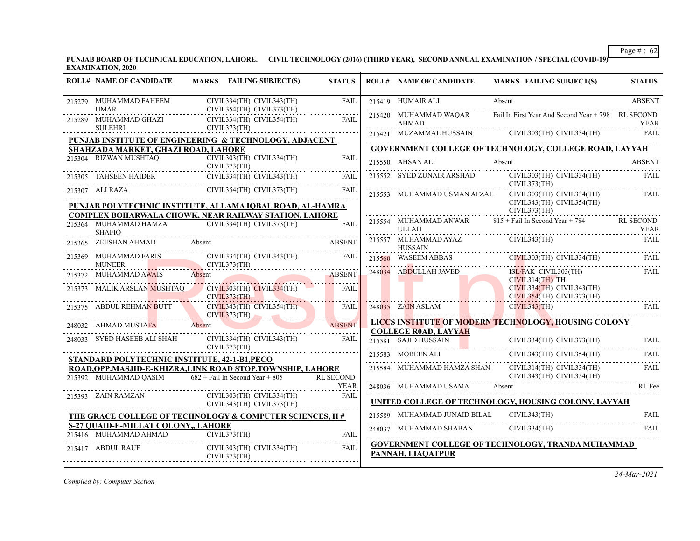**PUNJAB BOARD OF TECHNICAL EDUCATION, LAHORE. CIVIL TECHNOLOGY (2016) (THIRD YEAR), SECOND ANNUAL EXAMINATION / SPECIAL (COVID-19) EXAMINATION, 2020**

| <b>ROLL# NAME OF CANDIDATE</b>                                                                                                                                                                                                                                                                                                                          | <b>MARKS</b> FAILING SUBJECT(S)                                                                                                                                                                                                                                                                                                                                                                                                                                                                                                | <b>STATUS</b>    | <b>ROLL# NAME OF CANDIDATE</b>            | <b>MARKS FAILING SUBJECT(S)</b>                                                                                                                                                                                                                                                                                                                                                                                                                                                                     | <b>STATUS</b> |
|---------------------------------------------------------------------------------------------------------------------------------------------------------------------------------------------------------------------------------------------------------------------------------------------------------------------------------------------------------|--------------------------------------------------------------------------------------------------------------------------------------------------------------------------------------------------------------------------------------------------------------------------------------------------------------------------------------------------------------------------------------------------------------------------------------------------------------------------------------------------------------------------------|------------------|-------------------------------------------|-----------------------------------------------------------------------------------------------------------------------------------------------------------------------------------------------------------------------------------------------------------------------------------------------------------------------------------------------------------------------------------------------------------------------------------------------------------------------------------------------------|---------------|
| 215279 MUHAMMAD FAHEEM                                                                                                                                                                                                                                                                                                                                  | CIVIL334(TH) CIVIL343(TH)                                                                                                                                                                                                                                                                                                                                                                                                                                                                                                      | <b>FAIL</b>      | 215419 HUMAIR ALI                         | Absent                                                                                                                                                                                                                                                                                                                                                                                                                                                                                              | <b>ABSENT</b> |
| <b>UMAR</b><br>215289 MUHAMMAD GHAZI<br>SULEHRI                                                                                                                                                                                                                                                                                                         | CIVIL354(TH) CIVIL373(TH)<br>CIVIL334(TH) CIVIL354(TH)                                                                                                                                                                                                                                                                                                                                                                                                                                                                         | <b>FAIL</b>      | 215420 MUHAMMAD WAQAR<br>AHMAD            | Fail In First Year And Second Year + 798 RL SECOND                                                                                                                                                                                                                                                                                                                                                                                                                                                  | YEAR          |
|                                                                                                                                                                                                                                                                                                                                                         | CIVIL373(TH)                                                                                                                                                                                                                                                                                                                                                                                                                                                                                                                   |                  |                                           | 215421 MUZAMMAL HUSSAIN CIVIL303(TH) CIVIL334(TH) FAIL                                                                                                                                                                                                                                                                                                                                                                                                                                              |               |
| SHAHZADA MARKET, GHAZI ROAD, LAHORE                                                                                                                                                                                                                                                                                                                     | PUNJAB INSTITUTE OF ENGINEERING & TECHNOLOGY, ADJACENT                                                                                                                                                                                                                                                                                                                                                                                                                                                                         |                  |                                           | GOVERNMENT COLLEGE OF TECHNOLOGY, COLLEGE ROAD, LAYYAH                                                                                                                                                                                                                                                                                                                                                                                                                                              |               |
| $\begin{tabular}{ll} \multicolumn{2}{l}{{\textbf{215304}}} & \multicolumn{2}{l}{\textbf{RIZWAN MUSHTAQ}} & \multicolumn{2}{l}{\textbf{CIVIL303(TH)}}\\ & \multicolumn{2}{l}{\textbf{CIVIL373(TH)}} & \multicolumn{2}{l}{\textbf{CIVIL373(TH)}}\\ \multicolumn{2}{l}{\textbf{CIVIL373(TH)}} & \multicolumn{2}{l}{\textbf{CIVIL373(TH)}}\\ \end{tabular}$ | CIVIL303(TH) CIVIL334(TH)                                                                                                                                                                                                                                                                                                                                                                                                                                                                                                      | <b>FAIL</b>      | 215550 AHSAN ALI                          | 215550 AHSAN ALI Absent ABSENT                                                                                                                                                                                                                                                                                                                                                                                                                                                                      |               |
|                                                                                                                                                                                                                                                                                                                                                         |                                                                                                                                                                                                                                                                                                                                                                                                                                                                                                                                |                  |                                           | 215552 SYED ZUNAIR ARSHAD CIVIL303(TH) CIVIL334(TH)                                                                                                                                                                                                                                                                                                                                                                                                                                                 | <b>FAIL</b>   |
|                                                                                                                                                                                                                                                                                                                                                         | 215305 TAHSEEN HAIDER CIVIL334(TH) CIVIL343(TH) FAIL 215307 ALI RAZA CIVIL354(TH) CIVIL373(TH) FAIL                                                                                                                                                                                                                                                                                                                                                                                                                            |                  |                                           | CIVIL373(TH)<br>215553 MUHAMMAD USMAN AFZAL CIVIL303(TH) CIVIL334(TH)                                                                                                                                                                                                                                                                                                                                                                                                                               | FAIL          |
|                                                                                                                                                                                                                                                                                                                                                         | PUNJAB POLYTECHNIC INSTITUTE, ALLAMA IQBAL ROAD, AL-HAMRA                                                                                                                                                                                                                                                                                                                                                                                                                                                                      |                  |                                           | CIVIL343(TH) CIVIL354(TH)<br>CIVIL373(TH)                                                                                                                                                                                                                                                                                                                                                                                                                                                           |               |
|                                                                                                                                                                                                                                                                                                                                                         | COMPLEX BOHARWALA CHOWK, NEAR RAILWAY STATION, LAHORE<br>$\begin{tabular}{c} 215364 \quad MUHAMMAD HAMZA \\ \qquad \qquad \text{CIVIL334(TH)} \quad \text{CIVIL373(TH)} \qquad \qquad \text{FAIL} \\ \qquad \qquad \text{SHAFIQ} \qquad \qquad \text{CIVIL334(TH)} \qquad \qquad \text{CIVIL373(TH)} \qquad \qquad \text{FAIL} \qquad \qquad \text{FAIL} \qquad \qquad \text{FAIL} \qquad \qquad \text{FAIL} \qquad \qquad \text{FAIL} \qquad \qquad \text{FAIL} \qquad \qquad \text{FAIL} \qquad \qquad \text{FAIL} \qquad \$ | <b>FAIL</b>      |                                           | 215554 MUHAMMAD ANWAR 815 + Fail In Second Year + 784 RL SECOND                                                                                                                                                                                                                                                                                                                                                                                                                                     | <b>YEAR</b>   |
| 215365 ZEESHAN AHMAD Absent                                                                                                                                                                                                                                                                                                                             |                                                                                                                                                                                                                                                                                                                                                                                                                                                                                                                                | <b>ABSENT</b>    | HUSSAIN                                   | $\begin{tabular}{ll} & ULLAH \\ 215557 & MUHAMMAD AYAZ \\ \end{tabular} \begin{tabular}{ll} \multicolumn{3}{l}{{\small CIVIL343(TH)}} \\ \multicolumn{3}{l}{CIVIL343(TH)} \\ \end{tabular}$<br><b>EAIL</b>                                                                                                                                                                                                                                                                                          |               |
| 215369 MUHAMMAD FARIS<br>MUNEER                                                                                                                                                                                                                                                                                                                         | CIVIL334(TH) CIVIL343(TH)<br>CIVIL373(TH)                                                                                                                                                                                                                                                                                                                                                                                                                                                                                      | FAIL             |                                           | 215560 WASEEM ABBAS CIVIL303(TH) CIVIL334(TH) FAIL                                                                                                                                                                                                                                                                                                                                                                                                                                                  |               |
| 215372 MUHAMMAD AWAIS                                                                                                                                                                                                                                                                                                                                   | Absent ABSENT                                                                                                                                                                                                                                                                                                                                                                                                                                                                                                                  |                  | 248034 ABDULLAH JAVED                     | ISL/PAK CIVIL303(TH)<br>$CIVIL314(TH)$ TH                                                                                                                                                                                                                                                                                                                                                                                                                                                           | FAII.         |
| 215373 MALIK ARSLAN MUSHTAQ                                                                                                                                                                                                                                                                                                                             | CIVIL303(TH) CIVIL334(TH)<br>CIVIL373(TH)                                                                                                                                                                                                                                                                                                                                                                                                                                                                                      | FAIL             |                                           | CIVIL334(TH) CIVIL343(TH)<br>CIVIL354(TH) CIVIL373(TH)                                                                                                                                                                                                                                                                                                                                                                                                                                              |               |
| 215375 ABDUL REHMAN BUTT<br>CIVIL373                                                                                                                                                                                                                                                                                                                    | $CIVIL343(TH)$ $CIVIL354(TH)$ FAIL<br>CIVIL373(TH)                                                                                                                                                                                                                                                                                                                                                                                                                                                                             |                  | 248035 ZAIN ASLAM                         | CIVIL343(TH)                                                                                                                                                                                                                                                                                                                                                                                                                                                                                        | <b>FAIL</b>   |
| 248032 AHMAD MUSTAFA                                                                                                                                                                                                                                                                                                                                    | Absent ABSENT                                                                                                                                                                                                                                                                                                                                                                                                                                                                                                                  |                  |                                           | LICCS INSTITUTE OF MODERN TECHNOLOGY, HOUSING COLONY                                                                                                                                                                                                                                                                                                                                                                                                                                                |               |
| 248033 SYED HASEEB ALI SHAH                                                                                                                                                                                                                                                                                                                             | CIVIL334(TH) CIVIL343(TH) FAIL<br>CIVIL373(TH)                                                                                                                                                                                                                                                                                                                                                                                                                                                                                 |                  | <b>COLLEGE ROAD, LAYYAH</b>               | 215581 SAID HUSSAIN<br>215581 SAID HUSSAIN CIVIL334(TH) CIVIL373(TH) FAIL                                                                                                                                                                                                                                                                                                                                                                                                                           |               |
| STANDARD POLYTECHNIC INSTITUTE, 42-1-B1, PECO                                                                                                                                                                                                                                                                                                           |                                                                                                                                                                                                                                                                                                                                                                                                                                                                                                                                |                  |                                           | 215583 MOBEEN ALI CIVIL343(TH) CIVIL354(TH)                                                                                                                                                                                                                                                                                                                                                                                                                                                         | <b>FAIL</b>   |
| 215392 MUHAMMAD QASIM                                                                                                                                                                                                                                                                                                                                   | ROAD, OPP.MASJID-E-KHIZRA, LINK ROAD STOP, TOWNSHIP, LAHORE<br>$682 +$ Fail In Second Year + 805                                                                                                                                                                                                                                                                                                                                                                                                                               | <b>RL SECOND</b> |                                           | 215584 MUHAMMAD HAMZA SHAN CIVIL314(TH) CIVIL334(TH)<br>CIVIL343(TH) CIVIL354(TH)                                                                                                                                                                                                                                                                                                                                                                                                                   | <b>FAIL</b>   |
|                                                                                                                                                                                                                                                                                                                                                         |                                                                                                                                                                                                                                                                                                                                                                                                                                                                                                                                | <b>YEAR</b>      |                                           | 248036 MUHAMMAD USAMA Absent RL Fee                                                                                                                                                                                                                                                                                                                                                                                                                                                                 |               |
| 215393 ZAIN RAMZAN                                                                                                                                                                                                                                                                                                                                      | CIVIL303(TH) CIVIL334(TH)<br>CIVIL343(TH) CIVIL373(TH)                                                                                                                                                                                                                                                                                                                                                                                                                                                                         | FAIL             |                                           | UNITED COLLEGE OF TECHNOLOGY, HOUSING COLONY, LAYYAH                                                                                                                                                                                                                                                                                                                                                                                                                                                |               |
|                                                                                                                                                                                                                                                                                                                                                         | THE GRACE COLLEGE OF TECHNOLOGY & COMPUTER SCIENCES, H#                                                                                                                                                                                                                                                                                                                                                                                                                                                                        |                  | 215589 MUHAMMAD JUNAID BILAL CIVIL343(TH) | 215589 MUHAMIMAD JUNAID BILAL UIVIL545(1H) FAIL FAIL                                                                                                                                                                                                                                                                                                                                                                                                                                                | FAII.         |
| S-27 QUAID-E-MILLAT COLONY,, LAHORE<br>215416 MUHAMMAD AHMAD CIVIL373(TH)                                                                                                                                                                                                                                                                               |                                                                                                                                                                                                                                                                                                                                                                                                                                                                                                                                | <b>FAIL</b>      |                                           | $\begin{tabular}{c} 248037 \end{tabular} \begin{tabular}{l} \hline \textbf{M} \end{tabular} \begin{tabular}{l} \hline \textbf{M} \end{tabular} \begin{tabular}{l} \hline \textbf{M} \end{tabular} \begin{tabular}{l} \hline \textbf{M} \end{tabular} \end{tabular} \begin{tabular}{l} \hline \textbf{M} \end{tabular} \begin{tabular}{l} \hline \textbf{M} \end{tabular} \end{tabular} \begin{tabular}{l} \hline \textbf{M} \end{tabular} \begin{tabular}{l} \hline \textbf{M} \end{tabular} \end{$ |               |
| 215417 ABDUL RAUF                                                                                                                                                                                                                                                                                                                                       | CIVIL303(TH) CIVIL334(TH)<br>CIVIL373(TH)                                                                                                                                                                                                                                                                                                                                                                                                                                                                                      | FAIL             | PANNAH, LIAQATPUR                         | <b>GOVERNMENT COLLEGE OF TECHNOLOGY, TRANDA MUHAMMAD</b>                                                                                                                                                                                                                                                                                                                                                                                                                                            |               |

*Compiled by: Computer Section*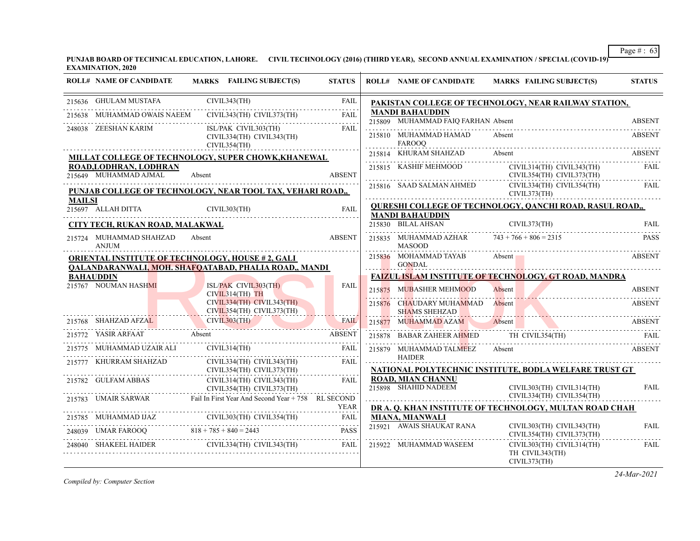**PUNJAB BOARD OF TECHNICAL EDUCATION, LAHORE. CIVIL TECHNOLOGY (2016) (THIRD YEAR), SECOND ANNUAL EXAMINATION / SPECIAL (COVID-19) EXAMINATION, 2020**

|               | <b>ROLL# NAME OF CANDIDATE</b>                                                                                                                       |              | MARKS FAILING SUBJECT(S)                               | <b>STATUS</b> | <b>ROLL# NAME OF CANDIDATE</b>                          | MARKS FAILING SUBJECT(S)                                           | <b>STATUS</b> |
|---------------|------------------------------------------------------------------------------------------------------------------------------------------------------|--------------|--------------------------------------------------------|---------------|---------------------------------------------------------|--------------------------------------------------------------------|---------------|
|               | 215636 GHULAM MUSTAFA                                                                                                                                | CIVIL343(TH) |                                                        | <b>FAIL</b>   |                                                         | PAKISTAN COLLEGE OF TECHNOLOGY, NEAR RAILWAY STATION,              |               |
| 215638        | MUHAMMAD OWAIS NAEEM                                                                                                                                 |              | CIVIL343(TH) CIVIL373(TH)                              | FAII.         | <b>MANDI BAHAUDDIN</b>                                  |                                                                    |               |
|               | 248038 ZEESHAN KARIM                                                                                                                                 |              | ISL/PAK CIVIL303(TH)                                   | <b>FAIL</b>   | 215809 MUHAMMAD FAIQ FARHAN Absent                      | Absent                                                             | <b>ABSENT</b> |
|               |                                                                                                                                                      | CIVIL354(TH) | CIVIL334(TH) CIVIL343(TH)                              |               | 215810 MUHAMMAD HAMAD<br><b>FAROOO</b>                  |                                                                    | <b>ABSENT</b> |
|               | MILLAT COLLEGE OF TECHNOLOGY, SUPER CHOWK, KHANEWAL                                                                                                  |              |                                                        |               | 215814 KHURAM SHAHZAD<br>.                              | Absent                                                             | <b>ABSENT</b> |
|               | ROAD.LODHRAN. LODHRAN<br>215649 MUHAMMAD AJMAL                                                                                                       | Absent       |                                                        | <b>ABSENT</b> | 215815 KASHIF MEHMOOD                                   | CIVIL314(TH) CIVIL343(TH)<br>CIVIL354(TH) CIVIL373(TH)             | FAIL          |
|               | PUNJAB COLLEGE OF TECHNOLOGY, NEAR TOOL TAX, VEHARI ROAD,,                                                                                           |              |                                                        |               |                                                         | 215816 SAAD SALMAN AHMED CIVIL334(TH) CIVIL354(TH)<br>CIVIL373(TH) | FAIL          |
| <b>MAILSI</b> | 215697 ALLAH DITTA                                                                                                                                   | CIVIL303(TH) |                                                        | <b>FAIL</b>   |                                                         | <b>QURESHI COLLEGE OF TECHNOLOGY, QANCHI ROAD, RASUL ROAD,</b>     |               |
|               | <b>CITY TECH, RUKAN ROAD, MALAKWAL</b>                                                                                                               |              |                                                        |               | <b>MANDI BAHAUDDIN</b>                                  | 215830 BILALAHSAN CIVIL373(TH) FAIL                                |               |
|               | 215724 MUHAMMAD SHAHZAD                                                                                                                              | Absent       |                                                        | <b>ABSENT</b> | 215835 MUHAMMAD AZHAR $743 + 766 + 806 = 2315$          |                                                                    | <b>PASS</b>   |
|               | <b>ANJUM</b>                                                                                                                                         |              |                                                        |               | <b>MASOOD</b>                                           |                                                                    |               |
|               | <b>ORIENTAL INSTITUTE OF TECHNOLOGY, HOUSE #2, GALI</b><br><b>QALANDARANWALI, MOH. SHAFQATABAD, PHALIA ROAD,, MANDI</b>                              |              |                                                        |               | 215836 MOHAMMAD TAYAB<br><b>GONDAL</b>                  | Absent —                                                           | <b>ABSENT</b> |
|               | <b>BAHAUDDIN</b>                                                                                                                                     |              |                                                        |               |                                                         | <b>FAIZUL ISLAM INSTITUTE OF TECHNOLOGY, GT ROAD, MANDRA</b>       |               |
|               | 215767 NOUMAN HASHMI                                                                                                                                 |              | ISL/PAK CIVIL303(TH)<br>$CIVIL314(TH)$ TH              | FAIL          | 215875 MUBASHER MEHMOOD                                 | Absent                                                             | <b>ABSENT</b> |
|               |                                                                                                                                                      |              | CIVIL334(TH) CIVIL343(TH)<br>CIVIL354(TH) CIVIL373(TH) |               | 215876 CHAUDARY MUHAMMAD Absent<br><b>SHAMS SHEHZAD</b> |                                                                    | ABSENT        |
|               | 215768 SHAHZAD AFZAL CIVIL303(TH) FAIL                                                                                                               |              | CIVIL303(TH)                                           |               | 215877 MUHAMMAD AZAM                                    | Absent<br>__________________________________                       | <b>ABSENT</b> |
|               | 215772 YASIR ARFAAT Absent                                                                                                                           |              |                                                        | <b>ABSENT</b> |                                                         | 215878 BABAR ZAHEER AHMED TH CIVIL354(TH) FAIL                     |               |
|               | 215775 MUHAMMAD UZAIR ALI                                                                                                                            |              | CIVIL314(TH)                                           | FAIL          | 215879 MUHAMMAD TALMEEZ                                 | Absent                                                             | <b>ABSENT</b> |
|               | 215777 KHURRAM SHAHZAD                                                                                                                               |              | CIVIL334(TH) CIVIL343(TH)<br>CIVIL354(TH) CIVIL373(TH) | FAIL          | <b>HAIDER</b>                                           | NATIONAL POLYTECHNIC INSTITUTE, BODLA WELFARE TRUST GT             |               |
|               | 215782 GULFAM ABBAS                                                                                                                                  |              | CIVIL314(TH) CIVIL343(TH)                              | FAIL          | <b>ROAD, MIAN CHANNU</b><br>215898 SHAHID NADEEM        | CIVIL303(TH) CIVIL314(TH)                                          | <b>FAIL</b>   |
|               | $\frac{1}{2}$ , the space of the state continuous section of $\frac{1}{2}$<br>215783 UMAIR SARWAR Fail In First Year And Second Year + 758 RL SECOND |              | CIVIL354(TH) CIVIL373(TH)                              |               |                                                         | CIVIL334(TH) CIVIL354(TH)                                          |               |
|               |                                                                                                                                                      |              |                                                        | YEAR          |                                                         | DR A. Q. KHAN INSTITUTE OF TECHNOLOGY, MULTAN ROAD CHAH            |               |
|               | 215785 MUHAMMAD IJAZ CIVIL303(TH) CIVIL354(TH) FAIL                                                                                                  |              |                                                        |               | <b>MIANA, MIANWALI</b><br>215921 AWAIS SHAUKAT RANA     | CIVIL303(TH) CIVIL343(TH)                                          | <b>FAIL</b>   |
| 248039        | $UMAR FAROOQ$ 818 + 785 + 840 = 2443 PASS                                                                                                            |              |                                                        |               |                                                         | CIVIL354(TH) CIVIL373(TH)                                          | .             |
|               | 248040 SHAKEEL HAIDER                                                                                                                                |              | CIVIL334(TH) CIVIL343(TH) FAIL                         |               | 215922 MUHAMMAD WASEEM                                  | CIVIL303(TH) CIVIL314(TH)<br>TH CIVIL343(TH)<br>CIVIL373(TH)       | FAIL          |

*Compiled by: Computer Section*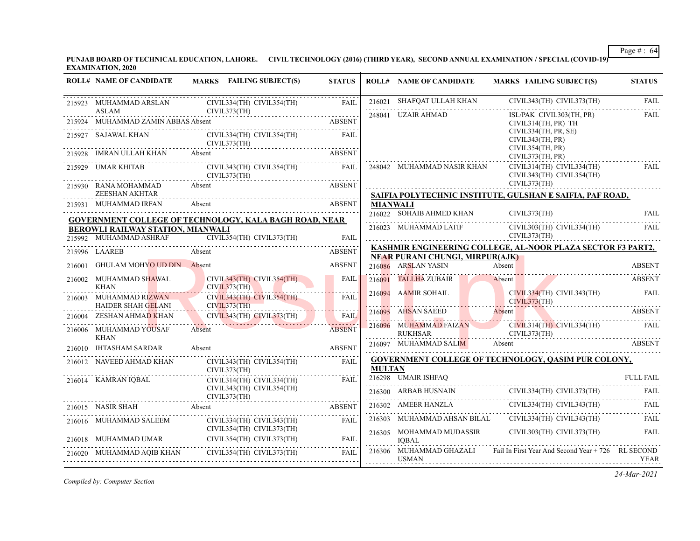**PUNJAB BOARD OF TECHNICAL EDUCATION, LAHORE. CIVIL TECHNOLOGY (2016) (THIRD YEAR), SECOND ANNUAL EXAMINATION / SPECIAL (COVID-19) EXAMINATION, 2020**

| CIVIL343(TH) CIVIL373(TH)<br>216021 SHAFQAT ULLAH KHAN<br>CIVIL334(TH) CIVIL354(TH)<br>215923 MUHAMMAD ARSLAN<br><b>FAIL</b><br>ASLAM CIVI<br>215924 MUHAMMAD ZAMIN ABBAS Absent<br>CIVIL373(TH)<br>248041 UZAIR AHMAD<br>ISL/PAK CIVIL303(TH, PR)<br>924 MUHAMMAD ZAMIN ABBAS Absent ABSENT<br><b>ABSENT</b><br>CIVIL314(TH, PR) TH<br>CIVIL334(TH, PR, SE)<br>215927 SAJAWAL KHAN (<br>CIVIL334(TH) CIVIL354(TH)<br>FAIL<br>CIVIL343(TH, PR)<br>CIVIL373(TH)<br>CIVIL354(TH, PR)<br>215928 IMRAN ULLAH KHAN Absent<br>928 IMRAN ULLAH KHAN Absent ABSENT ABSENT<br>CIVIL373(TH, PR)<br>CIVIL343(TH) CIVIL354(TH) FAIL<br>248042 MUHAMMAD NASIR KHAN<br>CIVIL314(TH) CIVIL334(TH)<br>215929 UMAR KHITAB<br>CIVIL343(TH) CIVIL354(TH)<br>CIVIL373(TH)<br>CIVIL373(TH)<br>215930 RANA MOHAMMAD Absent<br>ABSENT<br>ZEESHAN AKHTAR<br>SAIFIA POLYTECHNIC INSTITUTE, GULSHAN E SAIFIA, PAF ROAD,<br>215931 MUHAMMAD IRFAN<br>Absent<br><b>ABSENT</b><br><b>MIANWALI</b><br>216022 SOHAIB AHMED KHAN<br>CIVIL373(TH)<br><b>GOVERNMENT COLLEGE OF TECHNOLOGY, KALA BAGH ROAD, NEAR</b><br>216023 MUHAMMAD LATIF<br>CIVIL303(TH) CIVIL334(TH)<br>BEROWLI RAILWAY STATION, MIANWALI<br>CIVIL373(TH)<br>215992 MUHAMMAD ASHRAF CIVIL354(TH) CIVIL373(TH) FAIL<br><b>FAIL</b><br>KASHMIR ENGINEERING COLLEGE, AL-NOOR PLAZA SECTOR F3 PART2,<br>Absent<br>ABSENT<br>215996 LAAREB<br><b>NEAR PURANI CHUNGI, MIRPUR(AJK)</b><br>GHULAM MOHYO UD DIN Absent<br><b>ABSENT</b><br>Absent<br>216086 ARSLAN YASIN<br>CIVIL343(TH) CIVIL354(TH) FAIL<br>CIVIL373(TH)<br>216091 TALLHA ZUBAIR Absent ABSENT ABSENT<br>216002 MUHAMMAD SHAWAL<br>and the state of the local<br><b>KHAN</b><br>216094 AAMIR SOHAIL CIVIL373(TH) CIVIL343(TH) FAIL CIVIL373(TH) ABSENT<br>$CIVIL343(TH)$ $CIVIL354(TH)$<br>216003 MUHAMMAD RIZWAN<br>FAIL<br>CIVIL373(TH)<br>HAIDER SHAH GELANI<br>VA.<br>ZESHAN AHMAD KHAN<br>CIVIL343(TH) CIVIL373(TH)<br><b>FAIL</b><br>216004<br>216096 MUHAMMAD FAIZAN CIVIL314(TH) CIVIL334(TH) FAIL<br>216006 MUHAMMAD YOUSAF<br>Absent<br><b>ABSENT</b><br><b>RUKHSAR</b><br>CIVIL373(TH)<br><b>KHAN</b><br>216097 MUHAMMAD SALIM Absent<br><b>IHTASHAM SARDAR</b> Absent<br><b>ABSENT</b><br>216010<br><b>GOVERNMENT COLLEGE OF TECHNOLOGY, QASIM PUR COLONY,</b><br>FAIL<br><b>MULTAN</b><br>CIVIL373(TH)<br>216298 UMAIR ISHFAQ<br>216014 KAMRAN IQBAL<br>CIVIL314(TH) CIVIL334(TH)<br>FAIL<br>CIVIL343(TH) CIVIL354(TH)<br>$\begin{tabular}{c c c c} \hline 216300 & ARBAB HUSNAIN & CIVIL334(TH) CIVIL373(TH) & FAIL \\ \hline \hline \end{tabular} \begin{tabular}{c c c} \hline \multicolumn{1}{c}{\textbf{FAIL}} \\ \hline \multicolumn{1}{c}{\textbf{CIVIL334(TH) CIVIL343(TH)} \\ \hline \multicolumn{1}{c}{\textbf{CIVIL334(TH) CIVIL343(TH)} \\ \hline \multicolumn{1}{c}{\textbf{FAIL}} \\ \hline \end{tabular} \begin{tabular}{c} \hline \multicolumn{1}{c}{\textbf$<br>CIVIL373(TH)<br>216015 NASIR SHAH Absent<br>16015 NASIR SHAH Absent<br>ABSENT ABSENT<br>216016 MUHAMMAD SALEEM<br>CIVIL334(TH) CIVIL343(TH) FAIL<br>$CIVIL354(TH)$ $CIVIL373(TH)$<br>216305 MOHAMMAD MUDASSIR CIVIL303(TH) CIVIL373(TH)<br>216018 MUHAMMAD UMAR CIVIL354(TH) CIVIL373(TH) FAIL<br><b>IOBAL</b><br>216306 MUHAMMAD GHAZALI Fail In First Year And Second Year + 726 RL SECOND<br>216020 MUHAMMAD AQIB KHAN CIVIL354(TH) CIVIL373(TH) FAIL<br>USMAN | <b>ROLL# NAME OF CANDIDATE</b> | MARKS FAILING SUBJECT(S) | <b>STATUS</b> | <b>ROLL# NAME OF CANDIDATE</b> | <b>MARKS FAILING SUBJECT(S)</b> | <b>STATUS</b>    |
|-------------------------------------------------------------------------------------------------------------------------------------------------------------------------------------------------------------------------------------------------------------------------------------------------------------------------------------------------------------------------------------------------------------------------------------------------------------------------------------------------------------------------------------------------------------------------------------------------------------------------------------------------------------------------------------------------------------------------------------------------------------------------------------------------------------------------------------------------------------------------------------------------------------------------------------------------------------------------------------------------------------------------------------------------------------------------------------------------------------------------------------------------------------------------------------------------------------------------------------------------------------------------------------------------------------------------------------------------------------------------------------------------------------------------------------------------------------------------------------------------------------------------------------------------------------------------------------------------------------------------------------------------------------------------------------------------------------------------------------------------------------------------------------------------------------------------------------------------------------------------------------------------------------------------------------------------------------------------------------------------------------------------------------------------------------------------------------------------------------------------------------------------------------------------------------------------------------------------------------------------------------------------------------------------------------------------------------------------------------------------------------------------------------------------------------------------------------------------------------------------------------------------------------------------------------------------------------------------------------------------------------------------------------------------------------------------------------------------------------------------------------------------------------------------------------------------------------------------------------------------------------------------------------------------------------------------------------------------------------------------------------------------------------------------------------------------------------------------------------------------------------------------------------------------------------------------------------------------------------------------------------------------------------------------------------------------------------------------------------|--------------------------------|--------------------------|---------------|--------------------------------|---------------------------------|------------------|
|                                                                                                                                                                                                                                                                                                                                                                                                                                                                                                                                                                                                                                                                                                                                                                                                                                                                                                                                                                                                                                                                                                                                                                                                                                                                                                                                                                                                                                                                                                                                                                                                                                                                                                                                                                                                                                                                                                                                                                                                                                                                                                                                                                                                                                                                                                                                                                                                                                                                                                                                                                                                                                                                                                                                                                                                                                                                                                                                                                                                                                                                                                                                                                                                                                                                                                                                                             |                                |                          |               |                                |                                 | <b>FAIL</b>      |
|                                                                                                                                                                                                                                                                                                                                                                                                                                                                                                                                                                                                                                                                                                                                                                                                                                                                                                                                                                                                                                                                                                                                                                                                                                                                                                                                                                                                                                                                                                                                                                                                                                                                                                                                                                                                                                                                                                                                                                                                                                                                                                                                                                                                                                                                                                                                                                                                                                                                                                                                                                                                                                                                                                                                                                                                                                                                                                                                                                                                                                                                                                                                                                                                                                                                                                                                                             |                                |                          |               |                                |                                 | <b>FAIL</b>      |
|                                                                                                                                                                                                                                                                                                                                                                                                                                                                                                                                                                                                                                                                                                                                                                                                                                                                                                                                                                                                                                                                                                                                                                                                                                                                                                                                                                                                                                                                                                                                                                                                                                                                                                                                                                                                                                                                                                                                                                                                                                                                                                                                                                                                                                                                                                                                                                                                                                                                                                                                                                                                                                                                                                                                                                                                                                                                                                                                                                                                                                                                                                                                                                                                                                                                                                                                                             |                                |                          |               |                                |                                 |                  |
|                                                                                                                                                                                                                                                                                                                                                                                                                                                                                                                                                                                                                                                                                                                                                                                                                                                                                                                                                                                                                                                                                                                                                                                                                                                                                                                                                                                                                                                                                                                                                                                                                                                                                                                                                                                                                                                                                                                                                                                                                                                                                                                                                                                                                                                                                                                                                                                                                                                                                                                                                                                                                                                                                                                                                                                                                                                                                                                                                                                                                                                                                                                                                                                                                                                                                                                                                             |                                |                          |               |                                |                                 |                  |
|                                                                                                                                                                                                                                                                                                                                                                                                                                                                                                                                                                                                                                                                                                                                                                                                                                                                                                                                                                                                                                                                                                                                                                                                                                                                                                                                                                                                                                                                                                                                                                                                                                                                                                                                                                                                                                                                                                                                                                                                                                                                                                                                                                                                                                                                                                                                                                                                                                                                                                                                                                                                                                                                                                                                                                                                                                                                                                                                                                                                                                                                                                                                                                                                                                                                                                                                                             |                                |                          |               |                                |                                 | FAIL             |
|                                                                                                                                                                                                                                                                                                                                                                                                                                                                                                                                                                                                                                                                                                                                                                                                                                                                                                                                                                                                                                                                                                                                                                                                                                                                                                                                                                                                                                                                                                                                                                                                                                                                                                                                                                                                                                                                                                                                                                                                                                                                                                                                                                                                                                                                                                                                                                                                                                                                                                                                                                                                                                                                                                                                                                                                                                                                                                                                                                                                                                                                                                                                                                                                                                                                                                                                                             |                                |                          |               |                                |                                 |                  |
|                                                                                                                                                                                                                                                                                                                                                                                                                                                                                                                                                                                                                                                                                                                                                                                                                                                                                                                                                                                                                                                                                                                                                                                                                                                                                                                                                                                                                                                                                                                                                                                                                                                                                                                                                                                                                                                                                                                                                                                                                                                                                                                                                                                                                                                                                                                                                                                                                                                                                                                                                                                                                                                                                                                                                                                                                                                                                                                                                                                                                                                                                                                                                                                                                                                                                                                                                             |                                |                          |               |                                |                                 |                  |
|                                                                                                                                                                                                                                                                                                                                                                                                                                                                                                                                                                                                                                                                                                                                                                                                                                                                                                                                                                                                                                                                                                                                                                                                                                                                                                                                                                                                                                                                                                                                                                                                                                                                                                                                                                                                                                                                                                                                                                                                                                                                                                                                                                                                                                                                                                                                                                                                                                                                                                                                                                                                                                                                                                                                                                                                                                                                                                                                                                                                                                                                                                                                                                                                                                                                                                                                                             |                                |                          |               |                                |                                 | <b>FAIL</b>      |
|                                                                                                                                                                                                                                                                                                                                                                                                                                                                                                                                                                                                                                                                                                                                                                                                                                                                                                                                                                                                                                                                                                                                                                                                                                                                                                                                                                                                                                                                                                                                                                                                                                                                                                                                                                                                                                                                                                                                                                                                                                                                                                                                                                                                                                                                                                                                                                                                                                                                                                                                                                                                                                                                                                                                                                                                                                                                                                                                                                                                                                                                                                                                                                                                                                                                                                                                                             |                                |                          |               |                                |                                 | <b>FAIL</b>      |
|                                                                                                                                                                                                                                                                                                                                                                                                                                                                                                                                                                                                                                                                                                                                                                                                                                                                                                                                                                                                                                                                                                                                                                                                                                                                                                                                                                                                                                                                                                                                                                                                                                                                                                                                                                                                                                                                                                                                                                                                                                                                                                                                                                                                                                                                                                                                                                                                                                                                                                                                                                                                                                                                                                                                                                                                                                                                                                                                                                                                                                                                                                                                                                                                                                                                                                                                                             |                                |                          |               |                                |                                 |                  |
|                                                                                                                                                                                                                                                                                                                                                                                                                                                                                                                                                                                                                                                                                                                                                                                                                                                                                                                                                                                                                                                                                                                                                                                                                                                                                                                                                                                                                                                                                                                                                                                                                                                                                                                                                                                                                                                                                                                                                                                                                                                                                                                                                                                                                                                                                                                                                                                                                                                                                                                                                                                                                                                                                                                                                                                                                                                                                                                                                                                                                                                                                                                                                                                                                                                                                                                                                             |                                |                          |               |                                |                                 |                  |
|                                                                                                                                                                                                                                                                                                                                                                                                                                                                                                                                                                                                                                                                                                                                                                                                                                                                                                                                                                                                                                                                                                                                                                                                                                                                                                                                                                                                                                                                                                                                                                                                                                                                                                                                                                                                                                                                                                                                                                                                                                                                                                                                                                                                                                                                                                                                                                                                                                                                                                                                                                                                                                                                                                                                                                                                                                                                                                                                                                                                                                                                                                                                                                                                                                                                                                                                                             |                                |                          |               |                                |                                 | <b>ABSENT</b>    |
|                                                                                                                                                                                                                                                                                                                                                                                                                                                                                                                                                                                                                                                                                                                                                                                                                                                                                                                                                                                                                                                                                                                                                                                                                                                                                                                                                                                                                                                                                                                                                                                                                                                                                                                                                                                                                                                                                                                                                                                                                                                                                                                                                                                                                                                                                                                                                                                                                                                                                                                                                                                                                                                                                                                                                                                                                                                                                                                                                                                                                                                                                                                                                                                                                                                                                                                                                             |                                |                          |               |                                |                                 |                  |
|                                                                                                                                                                                                                                                                                                                                                                                                                                                                                                                                                                                                                                                                                                                                                                                                                                                                                                                                                                                                                                                                                                                                                                                                                                                                                                                                                                                                                                                                                                                                                                                                                                                                                                                                                                                                                                                                                                                                                                                                                                                                                                                                                                                                                                                                                                                                                                                                                                                                                                                                                                                                                                                                                                                                                                                                                                                                                                                                                                                                                                                                                                                                                                                                                                                                                                                                                             |                                |                          |               |                                |                                 |                  |
|                                                                                                                                                                                                                                                                                                                                                                                                                                                                                                                                                                                                                                                                                                                                                                                                                                                                                                                                                                                                                                                                                                                                                                                                                                                                                                                                                                                                                                                                                                                                                                                                                                                                                                                                                                                                                                                                                                                                                                                                                                                                                                                                                                                                                                                                                                                                                                                                                                                                                                                                                                                                                                                                                                                                                                                                                                                                                                                                                                                                                                                                                                                                                                                                                                                                                                                                                             |                                |                          |               |                                |                                 |                  |
|                                                                                                                                                                                                                                                                                                                                                                                                                                                                                                                                                                                                                                                                                                                                                                                                                                                                                                                                                                                                                                                                                                                                                                                                                                                                                                                                                                                                                                                                                                                                                                                                                                                                                                                                                                                                                                                                                                                                                                                                                                                                                                                                                                                                                                                                                                                                                                                                                                                                                                                                                                                                                                                                                                                                                                                                                                                                                                                                                                                                                                                                                                                                                                                                                                                                                                                                                             |                                |                          |               |                                |                                 |                  |
|                                                                                                                                                                                                                                                                                                                                                                                                                                                                                                                                                                                                                                                                                                                                                                                                                                                                                                                                                                                                                                                                                                                                                                                                                                                                                                                                                                                                                                                                                                                                                                                                                                                                                                                                                                                                                                                                                                                                                                                                                                                                                                                                                                                                                                                                                                                                                                                                                                                                                                                                                                                                                                                                                                                                                                                                                                                                                                                                                                                                                                                                                                                                                                                                                                                                                                                                                             |                                |                          |               |                                |                                 | ABSENT           |
|                                                                                                                                                                                                                                                                                                                                                                                                                                                                                                                                                                                                                                                                                                                                                                                                                                                                                                                                                                                                                                                                                                                                                                                                                                                                                                                                                                                                                                                                                                                                                                                                                                                                                                                                                                                                                                                                                                                                                                                                                                                                                                                                                                                                                                                                                                                                                                                                                                                                                                                                                                                                                                                                                                                                                                                                                                                                                                                                                                                                                                                                                                                                                                                                                                                                                                                                                             |                                |                          |               |                                |                                 |                  |
|                                                                                                                                                                                                                                                                                                                                                                                                                                                                                                                                                                                                                                                                                                                                                                                                                                                                                                                                                                                                                                                                                                                                                                                                                                                                                                                                                                                                                                                                                                                                                                                                                                                                                                                                                                                                                                                                                                                                                                                                                                                                                                                                                                                                                                                                                                                                                                                                                                                                                                                                                                                                                                                                                                                                                                                                                                                                                                                                                                                                                                                                                                                                                                                                                                                                                                                                                             |                                |                          |               |                                |                                 | <b>FULL FAIL</b> |
|                                                                                                                                                                                                                                                                                                                                                                                                                                                                                                                                                                                                                                                                                                                                                                                                                                                                                                                                                                                                                                                                                                                                                                                                                                                                                                                                                                                                                                                                                                                                                                                                                                                                                                                                                                                                                                                                                                                                                                                                                                                                                                                                                                                                                                                                                                                                                                                                                                                                                                                                                                                                                                                                                                                                                                                                                                                                                                                                                                                                                                                                                                                                                                                                                                                                                                                                                             |                                |                          |               |                                |                                 |                  |
|                                                                                                                                                                                                                                                                                                                                                                                                                                                                                                                                                                                                                                                                                                                                                                                                                                                                                                                                                                                                                                                                                                                                                                                                                                                                                                                                                                                                                                                                                                                                                                                                                                                                                                                                                                                                                                                                                                                                                                                                                                                                                                                                                                                                                                                                                                                                                                                                                                                                                                                                                                                                                                                                                                                                                                                                                                                                                                                                                                                                                                                                                                                                                                                                                                                                                                                                                             |                                |                          |               |                                |                                 |                  |
|                                                                                                                                                                                                                                                                                                                                                                                                                                                                                                                                                                                                                                                                                                                                                                                                                                                                                                                                                                                                                                                                                                                                                                                                                                                                                                                                                                                                                                                                                                                                                                                                                                                                                                                                                                                                                                                                                                                                                                                                                                                                                                                                                                                                                                                                                                                                                                                                                                                                                                                                                                                                                                                                                                                                                                                                                                                                                                                                                                                                                                                                                                                                                                                                                                                                                                                                                             |                                |                          |               |                                |                                 |                  |
|                                                                                                                                                                                                                                                                                                                                                                                                                                                                                                                                                                                                                                                                                                                                                                                                                                                                                                                                                                                                                                                                                                                                                                                                                                                                                                                                                                                                                                                                                                                                                                                                                                                                                                                                                                                                                                                                                                                                                                                                                                                                                                                                                                                                                                                                                                                                                                                                                                                                                                                                                                                                                                                                                                                                                                                                                                                                                                                                                                                                                                                                                                                                                                                                                                                                                                                                                             |                                |                          |               |                                |                                 | FAIL             |
|                                                                                                                                                                                                                                                                                                                                                                                                                                                                                                                                                                                                                                                                                                                                                                                                                                                                                                                                                                                                                                                                                                                                                                                                                                                                                                                                                                                                                                                                                                                                                                                                                                                                                                                                                                                                                                                                                                                                                                                                                                                                                                                                                                                                                                                                                                                                                                                                                                                                                                                                                                                                                                                                                                                                                                                                                                                                                                                                                                                                                                                                                                                                                                                                                                                                                                                                                             |                                |                          |               |                                |                                 | YEAR             |

*Compiled by: Computer Section*

*24-Mar-2021*

Page # : 64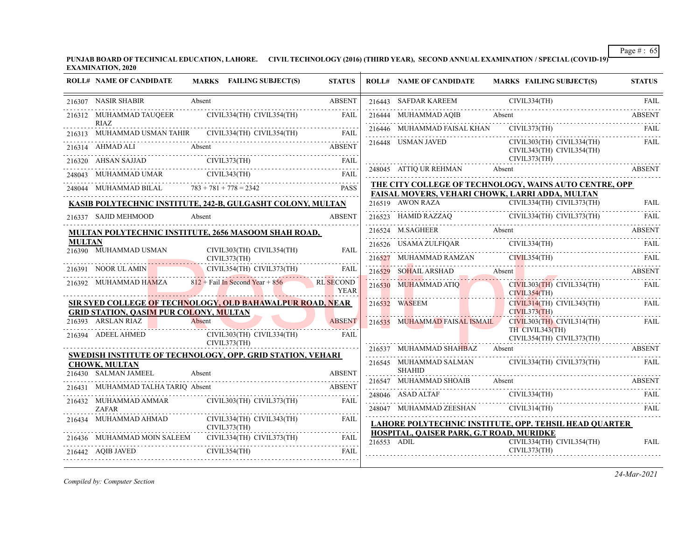**PUNJAB BOARD OF TECHNICAL EDUCATION, LAHORE. CIVIL TECHNOLOGY (2016) (THIRD YEAR), SECOND ANNUAL EXAMINATION / SPECIAL (COVID-19) EXAMINATION, 2020**

|               | <b>ROLL# NAME OF CANDIDATE</b>                | MARKS FAILING SUBJECT(S)                                                                                                                                                                                                                                                                                                                                                                                                                        | <b>STATUS</b>                   | <b>ROLL# NAME OF CANDIDATE</b>           | MARKS FAILING SUBJECT(S)                                                                                                                                                                                                                                                                                                                                                                   | <b>STATUS</b> |
|---------------|-----------------------------------------------|-------------------------------------------------------------------------------------------------------------------------------------------------------------------------------------------------------------------------------------------------------------------------------------------------------------------------------------------------------------------------------------------------------------------------------------------------|---------------------------------|------------------------------------------|--------------------------------------------------------------------------------------------------------------------------------------------------------------------------------------------------------------------------------------------------------------------------------------------------------------------------------------------------------------------------------------------|---------------|
|               | 216307 NASIR SHABIR                           | Absent                                                                                                                                                                                                                                                                                                                                                                                                                                          | <b>ABSENT</b>                   |                                          |                                                                                                                                                                                                                                                                                                                                                                                            |               |
|               |                                               | 216312 MUHAMMAD TAUQEER CIVIL334(TH) CIVIL354(TH) FAIL                                                                                                                                                                                                                                                                                                                                                                                          |                                 |                                          | 216443 SAFDAR KAREEM CIVIL334(TH) FAIL 216444 MUHAMMAD AQIB Absent ABSENT                                                                                                                                                                                                                                                                                                                  |               |
|               | <b>RIAZ</b>                                   | 216313 MUHAMMAD USMAN TAHIR CIVIL334(TH) CIVIL354(TH) FAIL                                                                                                                                                                                                                                                                                                                                                                                      |                                 |                                          | 216446 MUHAMMAD FAISAL KHAN CIVIL373(TH)                                                                                                                                                                                                                                                                                                                                                   | - FAIL        |
|               |                                               | 216314 AHMAD ALI Absent ABSENT                                                                                                                                                                                                                                                                                                                                                                                                                  |                                 | 216448 USMAN JAVED                       | CIVIL303(TH) CIVIL334(TH)<br>CIVIL343(TH) CIVIL354(TH)                                                                                                                                                                                                                                                                                                                                     | FAIL          |
|               |                                               |                                                                                                                                                                                                                                                                                                                                                                                                                                                 |                                 |                                          | CIVIL373(TH)                                                                                                                                                                                                                                                                                                                                                                               |               |
|               |                                               | $\begin{tabular}{lllllllllll} \multicolumn{2}{l}{{\textbf{216320}}}\quad\textbf{AHSAN SAJJAD} & $\textbf{CIVIL373(TH)}$ & \multicolumn{2}{l}{\textbf{FAIL}}$ \\ \multicolumn{2}{l}{\textbf{248043}} & $\textbf{MUHAMMAD UMAR}$ & $\textbf{CIVIL343(TH)}$ & \multicolumn{2}{l}{\textbf{FAIL}}$ \\ \multicolumn{2}{l}{\textbf{248043}} & $\textbf{MUHAMMAD UMAR}$ & $\textbf{CIVIL343(TH)}$ & \multicolumn{2}{l}{\textbf{FAIL}}$ \\ \multicolumn$ |                                 | 248045 ATTIQ UR REHMAN Absent            | 248045 ATTIQ UR REHMAN Absent Absent ABSENT                                                                                                                                                                                                                                                                                                                                                |               |
|               |                                               | 248044 MUHAMMAD BILAL $783 + 781 + 778 = 2342$ PASS                                                                                                                                                                                                                                                                                                                                                                                             |                                 |                                          | THE CITY COLLEGE OF TECHNOLOGY, WAINS AUTO CENTRE, OPP<br>FAISAL MOVERS, VEHARI CHOWK, LARRI ADDA, MULTAN                                                                                                                                                                                                                                                                                  |               |
|               |                                               | KASIB POLYTECHNIC INSTITUTE, 242-B, GULGASHT COLONY, MULTAN                                                                                                                                                                                                                                                                                                                                                                                     |                                 |                                          |                                                                                                                                                                                                                                                                                                                                                                                            |               |
|               | 216337 SAJID MEHMOOD                          | Absent                                                                                                                                                                                                                                                                                                                                                                                                                                          | <b>ABSENT</b>                   |                                          | 216519 AWON RAZA CIVIL334(TH) CIVIL373(TH) FAIL<br>216523 HAMID RAZZAQ CIVIL334(TH) CIVIL373(TH) FAIL                                                                                                                                                                                                                                                                                      |               |
|               |                                               | MULTAN POLYTECHNIC INSTITUTE, 2656 MASOOM SHAH ROAD,                                                                                                                                                                                                                                                                                                                                                                                            |                                 |                                          | 216524 M.SAGHEER Absent ABSENT ABSENT                                                                                                                                                                                                                                                                                                                                                      |               |
| <b>MULTAN</b> |                                               |                                                                                                                                                                                                                                                                                                                                                                                                                                                 | FAIL                            |                                          | $\begin{tabular}{lllllllll} 216526 & \text{USAMA ZULFIQAR} & & \text{CIVIL334(TH)} & & \text{FAIL} \\ \hline \rule{0pt}{2.5mm} & \text{CIVIL334(TH)} & & \text{FAIL} \end{tabular}$                                                                                                                                                                                                        |               |
|               |                                               | 216390 MUHAMMAD USMAN CIVIL303(TH) CIVIL354(TH)                                                                                                                                                                                                                                                                                                                                                                                                 |                                 |                                          | 216527 MUHAMMAD RAMZAN CIVIL354(TH) FAIL                                                                                                                                                                                                                                                                                                                                                   |               |
|               |                                               | 216391 NOOR ULAMIN CIVIL354(TH) CIVIL373(TH)                                                                                                                                                                                                                                                                                                                                                                                                    | <b>FAIL</b>                     |                                          | 216529 SOHAIL ARSHAD Absent ABSENT                                                                                                                                                                                                                                                                                                                                                         |               |
|               |                                               | 216392 MUHAMMAD HAMZA 812 + Fail In Second Year + 856<br><u> Elizabeth Communication de la communication de la communication de la communication de la communication de la communication de la communication de la communication de la communication de la communication de la communicat</u>                                                                                                                                                   | <b>RL</b> SECOND<br><b>YEAR</b> |                                          | 216530 MUHAMMAD ATIQ<br>CIVIL334(TH)<br>CIVIL354(TH)                                                                                                                                                                                                                                                                                                                                       | <b>FAIL</b>   |
|               | <b>GRID STATION, QASIM PUR COLONY, MULTAN</b> | SIR SYED COLLEGE OF TECHNOLOGY, OLD BAHAWALPUR ROAD, NEAR                                                                                                                                                                                                                                                                                                                                                                                       |                                 | 216532 WASEEM                            | CIVIL314(TH) CIVIL343(TH) FAIL<br>CIVIL373(TH)                                                                                                                                                                                                                                                                                                                                             |               |
|               | 216393 ARSLAN RIAZ Absent                     |                                                                                                                                                                                                                                                                                                                                                                                                                                                 | <b>ABSENT</b>                   |                                          | 216535 MUHAMMAD FAISAL ISMAIL CIVIL303(TH) CIVIL314(TH)                                                                                                                                                                                                                                                                                                                                    | FAIL          |
|               |                                               | 216394 ADEEL AHMED CIVIL303(TH) CIVIL334(TH) FAIL                                                                                                                                                                                                                                                                                                                                                                                               |                                 |                                          | TH CIVIL343(TH)<br>CIVIL354(TH) CIVIL373(TH)                                                                                                                                                                                                                                                                                                                                               |               |
|               |                                               | CIVIL373(TH)<br>SWEDISH INSTITUTE OF TECHNOLOGY, OPP. GRID STATION, VEHARI                                                                                                                                                                                                                                                                                                                                                                      |                                 | 216537 MUHAMMAD SHAHBAZ Absent           | <b>ABSENT</b>                                                                                                                                                                                                                                                                                                                                                                              |               |
|               | <b>CHOWK, MULTAN</b>                          |                                                                                                                                                                                                                                                                                                                                                                                                                                                 |                                 | <b>SHAHID</b>                            | 216545 MUHAMMAD SALMAN CIVIL334(TH) CIVIL373(TH) FAIL                                                                                                                                                                                                                                                                                                                                      |               |
|               | 216430 SALMAN JAMEEL                          | Absent                                                                                                                                                                                                                                                                                                                                                                                                                                          | <b>ABSENT</b>                   | 216547 MUHAMMAD SHOAIB Absent            |                                                                                                                                                                                                                                                                                                                                                                                            | ABSENT        |
|               |                                               | 216431 MUHAMMAD TALHA TARIQ Absent ABSENT                                                                                                                                                                                                                                                                                                                                                                                                       |                                 |                                          | $\begin{tabular}{ll} \bf 248046 & A SAD ALTAF & CIVIL334(TH) & FAIL \\ \hline \end{tabular} \begin{tabular}{ll} \bf 248046 & A SAD ALTAF & CIVIL334(TH) \end{tabular} \begin{tabular}{ll} \bf 248047 & FAIL \\ \bf 248046 & A SAD ALTAF & CIVIL334(TH) \end{tabular}$                                                                                                                      |               |
|               | <b>ZAFAR</b>                                  | 216432 MUHAMMAD AMMAR CIVIL303(TH) CIVIL373(TH)                                                                                                                                                                                                                                                                                                                                                                                                 | FAIL                            |                                          | $\begin{tabular}{c} 248047 \end{tabular} \begin{tabular}{l} {\bf M}UHAMMAD ZEESHAN \\ \hline \end{tabular} \begin{tabular}{l} \hline \multicolumn{2}{c}{\textbf{CIVL314(TH)}} \\ \hline \end{tabular} \begin{tabular}{l} \hline \multicolumn{2}{c}{\textbf{FAL}} \\ \hline \end{tabular} \end{tabular} \begin{tabular}{l} \hline \multicolumn{2}{c}{\textbf{FAL}} \\ \hline \end{tabular}$ |               |
|               |                                               | $\begin{tabular}{ll} 216434 & MUHAMMAD AHMAD & CIVIL334(TH) CIVIL343(TH) & FAIL \\ & CIVIL373(TH) & CIVIL373(TH) \end{tabular}$                                                                                                                                                                                                                                                                                                                 |                                 |                                          | LAHORE POLYTECHNIC INSTITUTE, OPP. TEHSIL HEAD QUARTER                                                                                                                                                                                                                                                                                                                                     |               |
|               |                                               | 216436 MUHAMMAD MOIN SALEEM CIVIL334(TH) CIVIL373(TH) FAIL                                                                                                                                                                                                                                                                                                                                                                                      |                                 | HOSPITAL, QAISER PARK, G.T ROAD, MURIDKE | CIVIL334(TH) CIVIL354(TH)                                                                                                                                                                                                                                                                                                                                                                  | <b>FAIL</b>   |
|               |                                               | 216442 AQIB JAVED CIVIL354(TH) FAIL                                                                                                                                                                                                                                                                                                                                                                                                             |                                 | 216553 ADIL                              | CIVIL373(TH)                                                                                                                                                                                                                                                                                                                                                                               |               |

*Compiled by: Computer Section*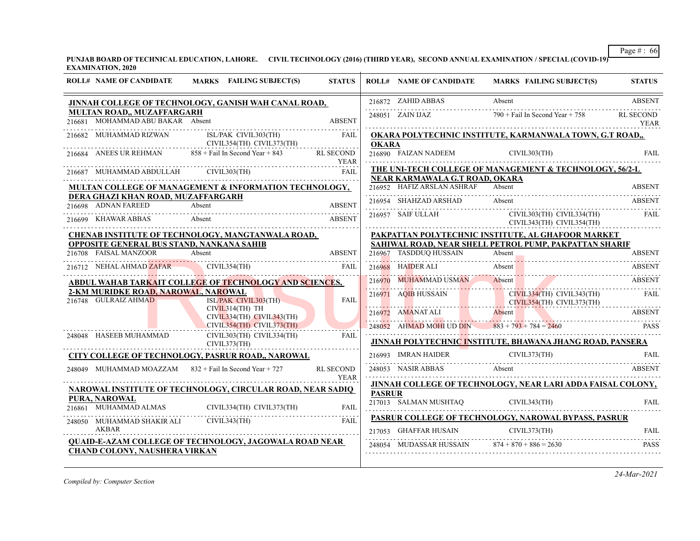**PUNJAB BOARD OF TECHNICAL EDUCATION, LAHORE. CIVIL TECHNOLOGY (2016) (THIRD YEAR), SECOND ANNUAL EXAMINATION / SPECIAL (COVID-19) EXAMINATION, 2020**

| <b>ROLL# NAME OF CANDIDATE</b>                                     | <b>MARKS</b> FAILING SUBJECT(S)                                   | <b>STATUS</b>                   |               | <b>ROLL# NAME OF CANDIDATE</b>                   | <b>MARKS FAILING SUBJECT(S)</b>                                            | <b>STATUS</b>            |
|--------------------------------------------------------------------|-------------------------------------------------------------------|---------------------------------|---------------|--------------------------------------------------|----------------------------------------------------------------------------|--------------------------|
|                                                                    | JINNAH COLLEGE OF TECHNOLOGY, GANISH WAH CANAL ROAD,              |                                 |               | 216872 ZAHID ABBAS                               | Absent                                                                     | <b>ABSENT</b>            |
| MULTAN ROAD,, MUZAFFARGARH<br>216681 MOHAMMAD ABU BAKAR Absent     |                                                                   | <b>ABSENT</b>                   |               | 248051 ZAIN IJAZ                                 | $790 +$ Fail In Second Year + 758                                          | <b>RL SECOND</b><br>YEAR |
| 216682 MUHAMMAD RIZWAN                                             | ISL/PAK CIVIL303(TH)<br>CIVIL354(TH) CIVIL373(TH)                 | FAIL                            | <b>OKARA</b>  |                                                  | OKARA POLYTECHNIC INSTITUTE, KARMANWALA TOWN, G.T ROAD,,                   |                          |
|                                                                    | 216684 ANEES UR REHMAN 858 + Fail In Second Year + 843 RL SECOND  | YEAR                            |               | 216890 FAIZAN NADEEM CIVIL303(TH)                |                                                                            | <b>FAIL</b>              |
|                                                                    |                                                                   |                                 |               | NEAR KARMAWALA G.T ROAD, OKARA                   | THE UNI-TECH COLLEGE OF MANAGEMENT & TECHNOLOGY, 56/2-L                    |                          |
|                                                                    | <b>MULTAN COLLEGE OF MANAGEMENT &amp; INFORMATION TECHNOLOGY.</b> |                                 |               | 216952 HAFIZ ARSLAN ASHRAF                       | Absent                                                                     | <b>ABSENT</b>            |
| DERA GHAZI KHAN ROAD, MUZAFFARGARH<br>216698 ADNAN FAREED          | Absent                                                            | <b>ABSENT</b>                   |               |                                                  | 216954 SHAHZAD ARSHAD Absent ABSEN ABSEN                                   | ABSENT                   |
| 216699 KHAWAR ABBAS                                                |                                                                   |                                 |               | 216957 SAIF ULLAH                                | CIVIL303(TH) CIVIL334(TH)<br>CIVIL343(TH) CIVIL354(TH)                     | FAII.                    |
|                                                                    | <b>CHENAB INSTITUTE OF TECHNOLOGY, MANGTANWALA ROAD,</b>          |                                 |               |                                                  | PAKPATTAN POLYTECHNIC INSTITUTE, AL GHAFOOR MARKET                         |                          |
| OPPOSITE GENERAL BUS STAND, NANKANA SAHIB<br>216708 FAISAL MANZOOR | Absent                                                            | <b>ABSENT</b>                   |               | 216967 TASDDUQ HUSSAIN Absent                    | SAHIWAL ROAD, NEAR SHELL PETROL PUMP, PAKPATTAN SHARIF<br>$210701$ ADOLINE | <b>ABSENT</b>            |
| 216712 NEHAL AHMAD ZAFAR                                           | CIVIL354(TH)                                                      | <b>FAIL</b>                     |               | 216968 HAIDER ALI                                | Absent                                                                     | <b>ABSENT</b>            |
|                                                                    | <b>ABDUL WAHAB TARKAIT COLLEGE OF TECHNOLOGY AND SCIENCES,</b>    |                                 |               |                                                  | 216970 MUHAMMAD USMAN Absent ABSENT                                        |                          |
| 2-KM MURIDKE ROAD, NAROWAL, NAROWAL<br>216748 GULRAIZ AHMAD        | ISL/PAK CIVIL303(TH)                                              | FAII.                           |               |                                                  | 216971 AQIB HUSSAIN CIVIL334(TH) CIVIL343(TH)                              | FAIL                     |
|                                                                    | $CIVIL314(TH)$ TH<br>$CIVIL334(TH)$ $CIVIL343(TH)$                |                                 |               | 216972 AMANAT ALI                                | CIVIL354(TH) CIVIL373(TH)<br>Absent ABSENT                                 |                          |
| 248048 HASEEB MUHAMMAD                                             | CIVIL354(TH) CIVIL373(TH)                                         |                                 |               |                                                  | 248052 AHMAD MOHI UD DIN $883 + 793 + 784 = 2460$                          | <b>PASS</b>              |
|                                                                    | CIVIL303(TH) CIVIL334(TH)<br>CIVIL373(TH)                         | FAIL                            |               |                                                  | JINNAH POLYTECHNIC INSTITUTE, BHAWANA JHANG ROAD, PANSERA                  |                          |
|                                                                    | CITY COLLEGE OF TECHNOLOGY, PASRUR ROAD., NAROWAL                 |                                 |               |                                                  | 216993 IMRAN HAIDER CIVIL373(TH) FAIL                                      |                          |
| 248049 MUHAMMAD MOAZZAM $832 +$ Fail In Second Year + 727          |                                                                   | <b>RL SECOND</b><br><b>YEAR</b> |               | 248053 NASIR ABBAS Absent                        |                                                                            | ABSENT                   |
|                                                                    | <b>NAROWAL INSTITUTE OF TECHNOLOGY, CIRCULAR ROAD, NEAR SADIO</b> |                                 | <b>PASRUR</b> |                                                  | <b>JINNAH COLLEGE OF TECHNOLOGY, NEAR LARI ADDA FAISAL COLONY,</b>         |                          |
| PURA, NAROWAL<br>216861 MUHAMMAD ALMAS                             | CIVIL334(TH) CIVIL373(TH)                                         | <b>FAIL</b>                     |               | 217013 SALMAN MUSHTAQ                            | CIVIL343(TH)                                                               | <b>FAIL</b>              |
| 248050 MUHAMMAD SHAKIR ALI CIVIL343(TH)                            |                                                                   | FAII.                           |               |                                                  | PASRUR COLLEGE OF TECHNOLOGY, NAROWAL BYPASS, PASRUR                       |                          |
| AKBAR                                                              |                                                                   |                                 |               |                                                  | 217053 GHAFFAR HUSAIN CIVIL373(TH) FAIL                                    |                          |
| <b>CHAND COLONY, NAUSHERA VIRKAN</b>                               | <b>OUAID-E-AZAM COLLEGE OF TECHNOLOGY, JAGOWALA ROAD NEAR</b>     |                                 |               | 248054 MUDASSAR HUSSAIN $874 + 870 + 886 = 2630$ |                                                                            | <b>PASS</b>              |
|                                                                    |                                                                   |                                 |               |                                                  |                                                                            |                          |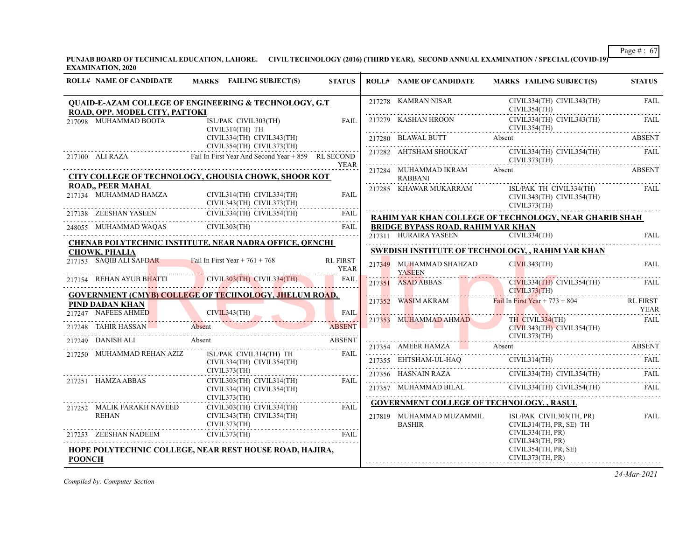Page # : 67 **PUNJAB BOARD OF TECHNICAL EDUCATION, LAHORE. CIVIL TECHNOLOGY (2016) (THIRD YEAR), SECOND ANNUAL EXAMINATION / SPECIAL (COVID-19)** 

|               | <b>EXAMINATION, 2020</b>                                 |                                                                                                                                                                      |                                |                                           |                                                                                                                                                                                                                 |                     |
|---------------|----------------------------------------------------------|----------------------------------------------------------------------------------------------------------------------------------------------------------------------|--------------------------------|-------------------------------------------|-----------------------------------------------------------------------------------------------------------------------------------------------------------------------------------------------------------------|---------------------|
|               | <b>ROLL# NAME OF CANDIDATE</b>                           | MARKS FAILING SUBJECT(S)                                                                                                                                             | <b>STATUS</b>                  | <b>ROLL# NAME OF CANDIDATE</b>            | <b>MARKS FAILING SUBJECT(S)</b>                                                                                                                                                                                 | <b>STATUS</b>       |
|               | ROAD, OPP. MODEL CITY, PATTOKI                           | <b>QUAID-E-AZAM COLLEGE OF ENGINEERING &amp; TECHNOLOGY, G.T</b>                                                                                                     |                                | 217278 KAMRAN NISAR                       | CIVIL334(TH) CIVIL343(TH)<br>CIVIL354(TH)                                                                                                                                                                       | <b>FAIL</b>         |
|               | 217098 MUHAMMAD BOOTA                                    | ISL/PAK CIVIL303(TH)<br>CIVIL314(TH) TH                                                                                                                              | FAIL                           |                                           | 217279 KASHAN HROON CIVIL334(TH) CIVIL334(TH) FAIL CIVIL354(TH)                                                                                                                                                 |                     |
|               |                                                          | CIVIL334(TH) CIVIL343(TH)                                                                                                                                            |                                |                                           | 217280 BLAWAL BUTT Absent ABSENT ABSENT                                                                                                                                                                         |                     |
|               |                                                          | CIVIL354(TH) CIVIL373(TH)<br>217100 ALI RAZA Fail In First Year And Second Year + 859 RL SECOND                                                                      | <b>YEAR</b>                    |                                           | 217282 AHTSHAM SHOUKAT CIVIL334(TH) CIVIL354(TH) FAIL CIVIL373(TH)                                                                                                                                              |                     |
|               |                                                          | CITY COLLEGE OF TECHNOLOGY, GHOUSIA CHOWK, SHOOR KOT                                                                                                                 |                                | 217284 MUHAMMAD IKRAM Absent<br>RABBANI   |                                                                                                                                                                                                                 | ABSENT              |
|               | <b>ROAD,, PEER MAHAL</b>                                 | 217134 MUHAMMAD HAMZA CIVIL314(TH) CIVIL334(TH) FAIL<br>217138 ZEESHAN YASEEN CIVIL334(TH) CIVIL334(TH) FAIL<br>217138 ZEESHAN YASEEN CIVIL334(TH) CIVIL354(TH) FAIL |                                | 217285 KHAWAR MUKARRAM                    | ISL/PAK TH CIVIL334(TH)<br>CIVIL343(TH) CIVIL354(TH)<br>CIVIL373(TH)                                                                                                                                            | FAIL                |
|               |                                                          |                                                                                                                                                                      |                                |                                           | RAHIM YAR KHAN COLLEGE OF TECHNOLOGY, NEAR GHARIB SHAH                                                                                                                                                          |                     |
|               |                                                          | 248055 MUHAMMAD WAQAS CIVIL303(TH) FAIL                                                                                                                              | FAIL                           | <b>BRIDGE BYPASS ROAD, RAHIM YAR KHAN</b> | 217311 HURAIRA YASEEN CIVIL334(TH)                                                                                                                                                                              | FAII.               |
|               | <b>CHOWK, PHALIA</b>                                     | CHENAB POLYTECHNIC INSTITUTE, NEAR NADRA OFFICE, QENCHI                                                                                                              |                                |                                           | SWEDISH INSTITUTE OF TECHNOLOGY, , RAHIM YAR KHAN                                                                                                                                                               |                     |
|               | 217153 SAQIB ALI SAFDAR Fail In First Year + $761 + 768$ |                                                                                                                                                                      | <b>RL FIRST</b><br><b>YEAR</b> | 217349 MUHAMMAD SHAHZAD<br><b>YASEEN</b>  | CIVIL343(TH)                                                                                                                                                                                                    | <b>FAIL</b>         |
|               |                                                          | 217154 REHAN AYUB BHATTI CIVIL303(TH) CIVIL334(TH)                                                                                                                   |                                |                                           | 21/351 ASAD ABBAS CIVIL334(TH) CIVIL354(TH)                                                                                                                                                                     | FAIL.               |
|               | PIND DADAN KHAN                                          | <b>GOVERNMENT (CMYB) COLLEGE OF TECHNOLOGY, JHELUM ROAD,</b>                                                                                                         |                                |                                           | 217352 WASIM AKRAM Fail In First Year + 773 + 804                                                                                                                                                               | RL FIRST            |
|               |                                                          | 217247 NAFELS AHMED CIVIL343(TH)                                                                                                                                     | <b>FAIL</b>                    |                                           | The Thomas Manual Andrew Manual Communication<br>217353 MUHAMMAD AHMAD TH CIVIL334(TH)                                                                                                                          | YEAR<br><b>FAIL</b> |
|               | 217248 TAHIR HASSAN                                      | Absent                                                                                                                                                               | <b>ABSENT</b>                  |                                           | CIVIL343(TH) CIVIL354(TH)                                                                                                                                                                                       |                     |
|               | 217249 DANISH ALI                                        | Absent                                                                                                                                                               | <b>ABSENT</b>                  |                                           | CIVIL373(TH)                                                                                                                                                                                                    |                     |
|               | 217250 MUHAMMAD REHAN AZIZ                               | $\begin{tabular}{ll} \bf ISL/PAK & CIVIL314(TH) & TH & FAIL \\ \bf CIVIL334(TH) & CIVIL354(TH) & & & FAIL \\ \bf CIVIL373(TH) & & & & & \\ \end{tabular}$            |                                |                                           | 217354 AMEER HAMZA Absent ABSENT<br>${\color{red} 217355} \quad {\color{red} \text{EHTSHAM-UL-HAQ}} \qquad {\color{red} \text{CIVIL314(TH)}} \qquad {\color{red} \text{FAIL}} \qquad {\color{red} \text{FAIL}}$ |                     |
|               |                                                          |                                                                                                                                                                      |                                |                                           | 217356 HASNAIN RAZA CIVIL334(TH) CIVIL354(TH) FAIL                                                                                                                                                              |                     |
|               | 217251 HAMZA ABBAS                                       | CIVIL303(TH) CIVIL314(TH) FAIL<br>CIVIL334(TH) CIVIL354(TH)<br>CIVIL373(TH)                                                                                          |                                |                                           | 217357 MUHAMMAD BILAL CIVIL334(TH) CIVIL354(TH) FAIL                                                                                                                                                            |                     |
|               | 217252 MALIK FARAKH NAVEED<br><b>REHAN</b>               | CIVIL303(TH) CIVIL334(TH) FAIL<br>CIVIL343(TH) CIVIL354(TH)<br>CIVIL373(TH)                                                                                          |                                | 217819 MUHAMMAD MUZAMMIL<br><b>BASHIR</b> | <b>GOVERNMENT COLLEGE OF TECHNOLOGY, , RASUL</b><br>ISL/PAK CIVIL303(TH, PR)<br>CIVIL314(TH, PR, SE) TH                                                                                                         | <b>FAIL</b>         |
|               |                                                          | 217253 ZEESHAN NADEEM CIVIL373(TH) FAIL<br><b>EXAMPLE 2018</b>                                                                                                       |                                |                                           | CIVIL334(TH, PR)<br>CIVIL343(TH, PR)                                                                                                                                                                            |                     |
| <b>POONCH</b> |                                                          | HOPE POLYTECHNIC COLLEGE, NEAR REST HOUSE ROAD, HAJIRA,                                                                                                              |                                |                                           | CIVIL354(TH, PR, SE)<br>CIVIL373(TH, PR)                                                                                                                                                                        |                     |

*Compiled by: Computer Section*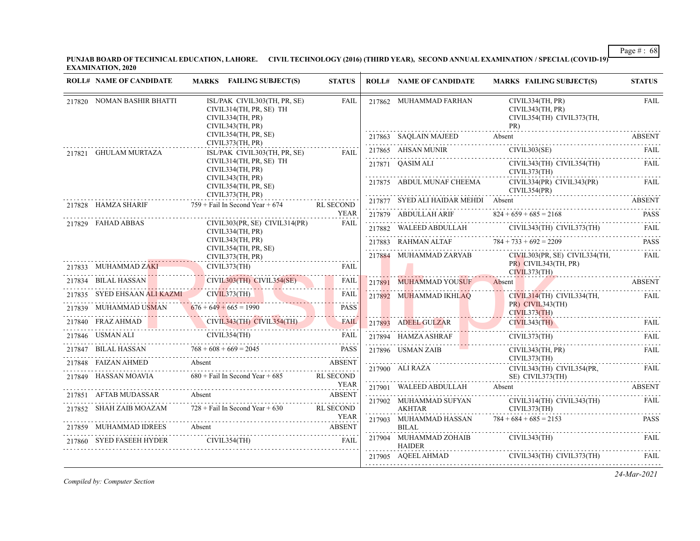**PUNJAB BOARD OF TECHNICAL EDUCATION, LAHORE. CIVIL TECHNOLOGY (2016) (THIRD YEAR), SECOND ANNUAL EXAMINATION / SPECIAL (COVID-19) EXAMINATION, 2020**

| <b>ROLL# NAME OF CANDIDATE</b>                                                                          | MARKS FAILING SUBJECT(S)                                                                                                                                                           | <b>STATUS</b>         | <b>ROLL# NAME OF CANDIDATE</b>          | <b>MARKS FAILING SUBJECT(S)</b>                                          | <b>STATUS</b> |
|---------------------------------------------------------------------------------------------------------|------------------------------------------------------------------------------------------------------------------------------------------------------------------------------------|-----------------------|-----------------------------------------|--------------------------------------------------------------------------|---------------|
| 217820 NOMAN BASHIR BHATTI                                                                              | ISL/PAK CIVIL303(TH, PR, SE)<br>CIVIL314(TH, PR, SE) TH<br>CIVIL334(TH, PR)<br>CIVIL343(TH, PR)                                                                                    | <b>FAIL</b>           | 217862 MUHAMMAD FARHAN                  | CIVIL334(TH, PR)<br>CIVIL343(TH, PR)<br>CIVIL354(TH) CIVIL373(TH,<br>PR) | <b>FAIL</b>   |
|                                                                                                         | CIVIL354(TH, PR, SE)<br>CIVIL373(TH, PR)                                                                                                                                           |                       |                                         | PR)<br>217863 SAQLAIN MAJEED Absent ABSENT                               |               |
| 217821 GHULAM MURTAZA                                                                                   | ISL/PAK CIVIL303(TH, PR, SE)                                                                                                                                                       | FAII.                 | 217865 AHSAN MUNIR                      | CIVIL303(SE)                                                             | - FAIL        |
|                                                                                                         | CIVIL314(TH, PR, SE) TH<br>CIVIL334(TH, PR)                                                                                                                                        |                       | 217871 OASIM ALI                        | CIVIL343(TH) CIVIL354(TH)<br>CIVIL373(TH)                                | FAII.         |
|                                                                                                         | CIVIL343(TH, PR)<br>CIVIL354(TH, PR, SE)<br>CIVIL373(TH, PR)                                                                                                                       |                       | 217875 ABDUL MUNAF CHEEMA               | CIVIL334(PR) CIVIL343(PR)<br>CIVIL354(PR)                                | <b>FAIL</b>   |
| 217828 HAMZA SHARIF                                                                                     | $759 +$ Fail In Second Year + 674                                                                                                                                                  | RL SECOND             | 217877 SYED ALI HAIDAR MEHDI Absent     |                                                                          | <b>ABSENT</b> |
|                                                                                                         |                                                                                                                                                                                    | <b>YEAR</b>           |                                         | 217879 ABDULLAH ARIF $824 + 659 + 685 = 2168$ PASS                       |               |
| 217829 FAHAD ABBAS                                                                                      | $CIVIL303(PR, SE)$ $CIVIL314(PR)$<br>CIVIL334(TH, PR)                                                                                                                              | <b>FAIL</b>           |                                         | 217882 WALEED ABDULLAH CIVIL343(TH) CIVIL373(TH)                         | FAIL          |
|                                                                                                         | CIVIL343(TH, PR)<br>CIVIL354(TH, PR, SE)                                                                                                                                           |                       |                                         | 217883 RAHMAN ALTAF 784 + 733 + 692 = 2209                               | <b>PASS</b>   |
|                                                                                                         | CIVIL373(TH, PR)                                                                                                                                                                   |                       |                                         | 217884 MUHAMMAD ZARYAB CIVIL303(PR, SE) CIVIL334(TH,                     | FAIL          |
| 217833 MUHAMMAD ZAKI                                                                                    |                                                                                                                                                                                    | FAIL                  |                                         | PR) CIVIL343(TH, PR)<br>CIVIL373(TH)                                     |               |
| 217834 BILAL HASSAN                                                                                     | 3 MUHAMMAD ZAKI<br>CIVIL303(TH) CIVIL303(TH) CIVIL354(SE)<br><u> 1988 - An Dùbhlachd an Dùbhlachd an Dùbhlachd an Dùbhlachd an Dùbhlachd an Dùbhlachd an Dùbhlachd an Dùbhlach</u> | FAIL                  | 217891 MUHAMMAD YOUSUF Absent           |                                                                          | <b>ABSENT</b> |
| 217835 SYED EHSAAN ALI KAZMI CIVIL373(TH)                                                               |                                                                                                                                                                                    | <b>FAIL</b>           | 217892 MUHAMMAD IKHLAO                  | CIVIL314(TH) CIVIL334(TH,                                                | <b>FAIL</b>   |
| 217839 MUHAMMAD USMAN 676 + 649 + 665 = 1990                                                            |                                                                                                                                                                                    | <b>PASS</b>           |                                         | PR) CIVIL343(TH)<br>CIVIL373(TH)                                         |               |
|                                                                                                         | 217840 FRAZ AHMAD CIVIL343(TH) CIVIL354(TH)                                                                                                                                        | <b>FAIL</b>           |                                         | 217893 ADEEL GULZAR CIVIL343(TH) FAIL                                    |               |
| $\begin{tabular}{cc} 217846 & USMAN ALI & CIVIL354(TH)\\ & \dots & \dots & \dots & \dots \end{tabular}$ |                                                                                                                                                                                    | FAIL                  | 217894 HAMZA ASHRAF                     | CIVIL373(TH)                                                             | FAII.         |
|                                                                                                         | 217847 BILAL HASSAN $768 + 608 + 669 = 2045$ PASS                                                                                                                                  | <b>PASS</b>           | 217896 USMAN ZAIB                       | CIVIL343(TH, PR)                                                         | <b>FAIL</b>   |
|                                                                                                         | 217848 FAIZAN AHMED Absent ABSENT                                                                                                                                                  |                       | 217900 ALI RAZA                         | CIVIL373(TH)<br>CIVIL343(TH) CIVIL354(PR,                                | FAIL          |
| 217849 HASSAN MOAVIA                                                                                    | $680 +$ Fail In Second Year + 685                                                                                                                                                  | RL SECOND             |                                         | SE) CIVIL373(TH)                                                         |               |
| 217851 AFTAB MUDASSAR                                                                                   | Absent                                                                                                                                                                             | YEAR<br><b>ABSENT</b> | 217901 WALEED ABDULLAH Absent           |                                                                          | ABSENT        |
| 217852 SHAH ZAIB MOAZAM                                                                                 | $728 +$ Fail In Second Year + 630                                                                                                                                                  | RL SECOND             | 217902 MUHAMMAD SUFYAN                  | CIVIL314(TH) CIVIL343(TH)                                                | FAIL          |
|                                                                                                         |                                                                                                                                                                                    | YEAR                  | <b>AKHTAR</b><br>217903 MUHAMMAD HASSAN | CIVIL373(TH)<br>$784 + 684 + 685 = 2153$                                 | <b>PASS</b>   |
|                                                                                                         | 217859 MUHAMMAD IDREES Absent ABSENT ABSENT                                                                                                                                        |                       | BILAL                                   |                                                                          |               |
| 217860 SYED FASEEH HYDER                                                                                | CIVIL354(TH)                                                                                                                                                                       | FAIL                  | 217904 MUHAMMAD ZOHAIB<br><b>HAIDER</b> | CIVIL343(TH)                                                             | <b>FAIL</b>   |
|                                                                                                         |                                                                                                                                                                                    |                       | 217905 AQEEL AHMAD                      | CIVIL343(TH) CIVIL373(TH)                                                | FAIL          |

*Compiled by: Computer Section*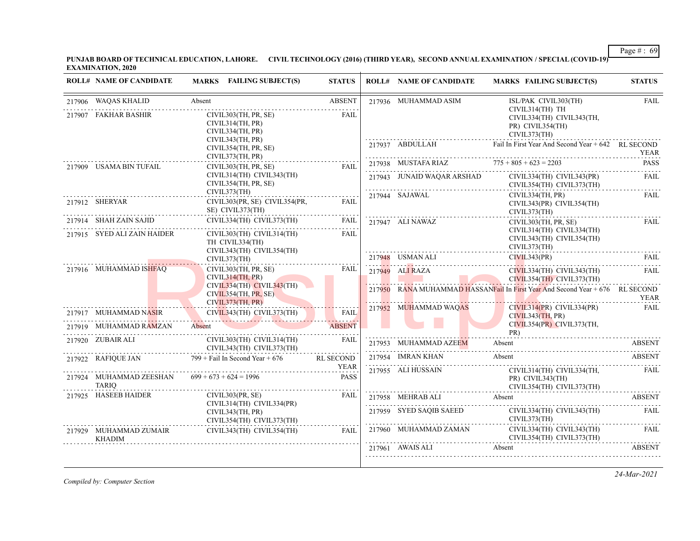**PUNJAB BOARD OF TECHNICAL EDUCATION, LAHORE. CIVIL TECHNOLOGY (2016) (THIRD YEAR), SECOND ANNUAL EXAMINATION / SPECIAL (COVID-19) EXAMINATION, 2020**

|        | <b>ROLL# NAME OF CANDIDATE</b>          | MARKS FAILING SUBJECT(S)                                                  | <b>STATUS</b>              | <b>ROLL# NAME OF CANDIDATE</b> | <b>MARKS FAILING SUBJECT(S)</b>                                                  | <b>STATUS</b> |
|--------|-----------------------------------------|---------------------------------------------------------------------------|----------------------------|--------------------------------|----------------------------------------------------------------------------------|---------------|
|        | 217906 WAQAS KHALID                     | Absent                                                                    | <b>ABSENT</b>              | 217936 MUHAMMAD ASIM           | ISL/PAK CIVIL303(TH)                                                             | <b>FAIL</b>   |
| 217907 | FAKHAR BASHIR                           | CIVIL303(TH, PR, SE)<br>CIVIL314(TH, PR)<br>CIVIL334(TH, PR)              | FAIL                       |                                | CIVIL314(TH) TH<br>CIVIL334(TH) CIVIL343(TH,<br>PR) CIVIL354(TH)<br>CIVIL373(TH) |               |
|        |                                         | CIVIL343(TH, PR)<br>CIVIL354(TH, PR, SE)<br>CIVIL373(TH, PR)              |                            | 217937 ABDULLAH                | Fail In First Year And Second Year + 642 RL SECOND                               | <b>YEAR</b>   |
|        | 217909 USAMA BIN TUFAIL                 | CIVIL303(TH, PR, SE)                                                      | <b>FAIL</b>                | 217938 MUSTAFA RIAZ            | $775 + 805 + 623 = 2203$                                                         | <b>PASS</b>   |
|        |                                         | CIVIL314(TH) CIVIL343(TH)<br>CIVIL354(TH, PR, SE)                         |                            | 217943 JUNAID WAQAR ARSHAD     | CIVIL334(TH) CIVIL343(PR)<br>CIVIL354(TH) CIVIL373(TH)                           | <b>FAIL</b>   |
|        | 217912 SHERYAR                          | CIVIL373(TH)<br>CIVIL303(PR, SE) CIVIL354(PR,<br>SE) CIVIL373(TH)         | FAIL                       | 217944 SAJAWAL                 | CIVIL334(TH, PR)<br>CIVIL343(PR) CIVIL354(TH)<br>CIVIL373(TH)                    | <b>FAIL</b>   |
|        | 217914 SHAH ZAIN SAJID                  | CIVIL334(TH) CIVIL373(TH)                                                 | FAIL                       | 217947 ALI NAWAZ               | CIVIL303(TH, PR, SE)                                                             | FAIL          |
|        | 217915 SYED ALI ZAIN HAIDER             | CIVIL303(TH) CIVIL314(TH)<br>TH CIVIL334(TH)<br>CIVIL343(TH) CIVIL354(TH) | <b>FAIL</b>                |                                | CIVIL314(TH) CIVIL334(TH)<br>CIVIL343(TH) CIVIL354(TH)<br>CIVIL373(TH)           |               |
|        |                                         | CIVIL373(TH)                                                              |                            |                                | 217948 USMAN ALI CIVIL343(PR) FAIL FAIL                                          |               |
|        | 217916 MUHAMMAD ISHFAQ                  | CIVIL303(TH, PR, SE)<br>CIVIL314(TH, PR)                                  | <b>FAIL</b>                | 217949 ALI RAZA                | CIVIL334(TH) CIVIL343(TH)<br>CIVIL354(TH) CIVIL373(TH)                           | <b>FAIL</b>   |
|        |                                         | CIVIL334(TH) CIVIL343(TH)<br>CIVIL354(TH, PR, SE)<br>CIVIL373(TH, PR)     |                            |                                | 217950 RANA MUHAMMAD HASSANFail In First Year And Second Year + 676 RL SECOND    | <b>YEAR</b>   |
|        | 217917 MUHAMMAD NASIR                   | $CIVIL343(TH)$ $CIVIL373(TH)$                                             | <b>FAIL</b>                | 217952 MUHAMMAD WAQAS          | $CIVIL314(PR)$ $CIVIL334(PR)$<br>CIVIL343(TH, PR)                                | <b>FAIL</b>   |
|        | 217919 MUHAMMAD RAMZAN                  | Absent                                                                    | <b>ABSENT</b>              |                                | CIVIL354(PR) CIVIL373(TH,<br>PR)                                                 |               |
|        | 217920 ZUBAIR ALI                       | CIVIL303(TH) CIVIL314(TH)<br>CIVIL343(TH) CIVIL373(TH)                    | FAIL                       | 217953 MUHAMMAD AZEEM          | Absent                                                                           | <b>ABSENT</b> |
|        | 217922 RAFIQUE JAN                      | $799 +$ Fail In Second Year + 676                                         | RL SECOND                  | 217954 IMRAN KHAN              | Absent                                                                           | ABSENT        |
|        | 217924 MUHAMMAD ZEESHAN<br><b>TARIO</b> | $699 + 673 + 624 = 1996$                                                  | <b>YEAR</b><br><b>PASS</b> | 217955 ALI HUSSAIN             | CIVIL314(TH) CIVIL334(TH,<br>PR) CIVIL343(TH)<br>CIVIL354(TH) CIVIL373(TH)       | <b>FAIL</b>   |
|        | 217925 HASEEB HAIDER                    | CIVIL303(PR, SE)<br>CIVIL314(TH) CIVIL334(PR)                             | FAIL                       | 217958 MEHRAB ALI Absent       |                                                                                  | <b>ABSENT</b> |
|        |                                         | CIVIL343(TH, PR)<br>CIVIL354(TH) CIVIL373(TH)                             |                            | 217959 SYED SAOIB SAEED        | CIVIL334(TH) CIVIL343(TH)<br>CIVIL373(TH)                                        | FAIL          |
|        | 217929 MUHAMMAD ZUMAIR<br><b>KHADIM</b> | CIVIL343(TH) CIVIL354(TH)                                                 | FAIL.                      | 217960 MUHAMMAD ZAMAN          | CIVIL334(TH) CIVIL343(TH)<br>CIVIL354(TH) CIVIL373(TH)                           | FAIL          |
|        |                                         |                                                                           |                            | 217961 AWAIS ALI               | Absent                                                                           | <b>ABSENT</b> |

*Compiled by: Computer Section*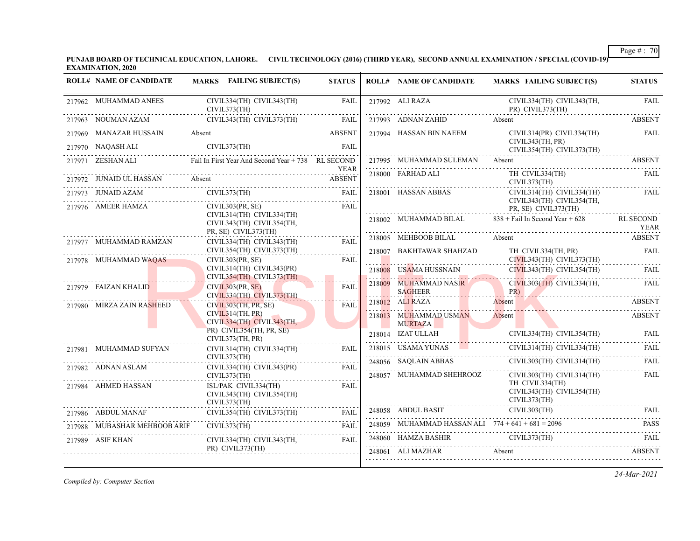**PUNJAB BOARD OF TECHNICAL EDUCATION, LAHORE. CIVIL TECHNOLOGY (2016) (THIRD YEAR), SECOND ANNUAL EXAMINATION / SPECIAL (COVID-19) EXAMINATION, 2020**

| <b>ROLL# NAME OF CANDIDATE</b>                         | MARKS FAILING SUBJECT(S)                                                                                                                                                                                                                                                                                                                                                                                                                                                                | <b>STATUS</b> | <b>ROLL# NAME OF CANDIDATE</b>                        | <b>MARKS FAILING SUBJECT(S)</b>                                                                                                                                                                                                                                                                                                                                                                                                                                                          | <b>STATUS</b>            |
|--------------------------------------------------------|-----------------------------------------------------------------------------------------------------------------------------------------------------------------------------------------------------------------------------------------------------------------------------------------------------------------------------------------------------------------------------------------------------------------------------------------------------------------------------------------|---------------|-------------------------------------------------------|------------------------------------------------------------------------------------------------------------------------------------------------------------------------------------------------------------------------------------------------------------------------------------------------------------------------------------------------------------------------------------------------------------------------------------------------------------------------------------------|--------------------------|
| 217962 MUHAMMAD ANEES<br>$CIVIL373(TH)$<br>NOIMAN AZAM | CIVIL334(TH) CIVIL343(TH)                                                                                                                                                                                                                                                                                                                                                                                                                                                               | <b>FAIL</b>   | 217992 ALI RAZA                                       | CIVIL334(TH) CIVIL343(TH,<br>PR) CIVIL373(TH)                                                                                                                                                                                                                                                                                                                                                                                                                                            | <b>FAIL</b>              |
|                                                        | 217963 NOUMAN AZAM CIVIL343(TH) CIVIL373(TH) FAIL                                                                                                                                                                                                                                                                                                                                                                                                                                       |               |                                                       | 217993 ADNAN ZAHID Absent ABSENT                                                                                                                                                                                                                                                                                                                                                                                                                                                         |                          |
|                                                        | 217969 MANAZAR HUSSAIN Absent ABSENT                                                                                                                                                                                                                                                                                                                                                                                                                                                    |               | 217994 HASSAN BIN NAEEM                               | CIVIL314(PR) CIVIL334(TH)<br>CIVIL343(TH, PR)                                                                                                                                                                                                                                                                                                                                                                                                                                            | FAIL                     |
| 217970 NAOASH ALI                                      | T <sub>970</sub> NAQASH ALI CIVIL373(TH) FAIL                                                                                                                                                                                                                                                                                                                                                                                                                                           |               |                                                       | CIVIL354(TH) CIVIL373(TH)                                                                                                                                                                                                                                                                                                                                                                                                                                                                |                          |
|                                                        | 217971 ZESHAN ALI Fail In First Year And Second Year + 738 RL SECOND                                                                                                                                                                                                                                                                                                                                                                                                                    |               | 217995 MUHAMMAD SULEMAN Absent                        |                                                                                                                                                                                                                                                                                                                                                                                                                                                                                          | ABSENT                   |
| 217972 JUNAID UL HASSAN Absent                         |                                                                                                                                                                                                                                                                                                                                                                                                                                                                                         | <b>ABSENT</b> | 218000 FARHAD ALI                                     | TH CIVIL334(TH)<br>CIVIL373(TH)                                                                                                                                                                                                                                                                                                                                                                                                                                                          | <b>FAIL</b>              |
| 217973 JUNAID AZAM<br>217976 AMEER HAMZA               | CIVIL373(TH)<br>JUNAID AZAM CIVIL373(TH) FAIL<br>CIVIL303(PR, SE)                                                                                                                                                                                                                                                                                                                                                                                                                       | FAII.         | 218001 HASSAN ABBAS                                   | CIVIL314(TH) CIVIL334(TH)<br>CIVIL343(TH) CIVIL354(TH.                                                                                                                                                                                                                                                                                                                                                                                                                                   | FAIL                     |
|                                                        | CIVIL314(TH) CIVIL334(TH)<br>CIVIL343(TH) CIVIL354(TH,<br>PR, SE) CIVIL373(TH)                                                                                                                                                                                                                                                                                                                                                                                                          |               |                                                       | PR, SE) CIVIL373(TH)<br>218002 MUHAMMAD BILAL $838 +$ Fail In Second Year + 628                                                                                                                                                                                                                                                                                                                                                                                                          | <b>RL SECOND</b><br>YEAR |
| 217977 MUHAMMAD RAMZAN                                 | CIVIL334(TH) CIVIL343(TH)                                                                                                                                                                                                                                                                                                                                                                                                                                                               | <b>FAIL</b>   | 218005 MEHBOOB BILAL Absent                           |                                                                                                                                                                                                                                                                                                                                                                                                                                                                                          | ABSENT                   |
| 217978 MUHAMMAD WAQAS                                  | CIVIL354(TH) CIVIL373(TH)<br>CIVIL303(PR, SE)                                                                                                                                                                                                                                                                                                                                                                                                                                           | .<br>FAIL     |                                                       | 218007 BAKHTAWAR SHAHZAD TH_CIVIL334(TH, PR)                                                                                                                                                                                                                                                                                                                                                                                                                                             | FAIL                     |
|                                                        | $CIVIL314(TH)$ $CIVIL343(PR)$                                                                                                                                                                                                                                                                                                                                                                                                                                                           |               | 218008 USAMA HUSSNAIN                                 | CIVIL343(TH) CIVIL354(TH)                                                                                                                                                                                                                                                                                                                                                                                                                                                                | FAIL                     |
| 217979 FAIZAN KHALID                                   | CIVIL354(TH) CIVIL373(TH)<br>CIVIL303(PR, SE)<br>CIVIL334(TH) CIVIL373(TH)                                                                                                                                                                                                                                                                                                                                                                                                              | FAIL          | . <i>.</i><br>218009 MUHAMMAD NASIR<br><b>SAGHEER</b> | CIVIL303(TH) CIVIL334(TH,<br>PR)                                                                                                                                                                                                                                                                                                                                                                                                                                                         | <b>FAIL</b>              |
| 217980 MIRZA ZAIN RASHEED                              | CIVIL303(TH, PR, SE)                                                                                                                                                                                                                                                                                                                                                                                                                                                                    | <b>FAIL</b>   | 218012 ALI RAZA                                       | Absent                                                                                                                                                                                                                                                                                                                                                                                                                                                                                   | <b>ABSENT</b>            |
|                                                        | CIVIL314(TH, PR)<br>CIVIL334(TH) CIVIL343(TH,                                                                                                                                                                                                                                                                                                                                                                                                                                           |               | 218013 MUHAMMAD USMAN<br><b>MURTAZA</b>               | Absent<br><u> 1950 - Jan James Stein, Amerikaansk politiker († 1950)</u>                                                                                                                                                                                                                                                                                                                                                                                                                 | <b>ABSENT</b>            |
|                                                        | PR) CIVIL354(TH, PR, SE)<br>CIVIL373(TH, PR)                                                                                                                                                                                                                                                                                                                                                                                                                                            |               | 218014 IZAT ULLAH                                     | CIVIL334(TH) CIVIL354(TH) FAIL                                                                                                                                                                                                                                                                                                                                                                                                                                                           |                          |
| 217981 MUHAMMAD SUFYAN                                 | CIVIL314(TH) CIVIL334(TH)<br>CIVIL373(TH)                                                                                                                                                                                                                                                                                                                                                                                                                                               | FAII.         |                                                       | 218015 USAMA YUNAS CIVIL314(TH) CIVIL334(TH)                                                                                                                                                                                                                                                                                                                                                                                                                                             | FAIL                     |
| 217982 ADNAN ASLAM                                     | CIVIL334(TH) CIVIL343(PR)                                                                                                                                                                                                                                                                                                                                                                                                                                                               | .<br>FAII.    | 248056 SAQLAIN ABBAS                                  | CIVIL303(TH) CIVIL314(TH)                                                                                                                                                                                                                                                                                                                                                                                                                                                                | FAIL                     |
|                                                        | CIVIL373(TH)                                                                                                                                                                                                                                                                                                                                                                                                                                                                            |               | 248057 MUHAMMAD SHEHROOZ                              | CIVIL303(TH) CIVIL314(TH)                                                                                                                                                                                                                                                                                                                                                                                                                                                                | <b>FAIL</b>              |
| 217984 AHMED HASSAN                                    | ISL/PAK CIVIL334(TH)<br>CIVIL343(TH) CIVIL354(TH)<br>CIVIL373(TH)                                                                                                                                                                                                                                                                                                                                                                                                                       | <b>FAIL</b>   |                                                       | TH CIVIL334(TH)<br>CIVIL343(TH) CIVIL354(TH)<br>CIVIL373(TH)                                                                                                                                                                                                                                                                                                                                                                                                                             |                          |
|                                                        | $\begin{tabular}{ll} 217986 & ABDUL MANAF & CIVIL354(TH) CIVIL373(TH) & FAIL \\ \hline \end{tabular} \begin{tabular}{ll} \multicolumn{2}{l}{{\small\bf{FAIL}}} \\ \multicolumn{2}{l}{\textbf{FAIL}} \\ \multicolumn{2}{l}{\textbf{FAIL}} \\ \multicolumn{2}{l}{\textbf{FAIL}} \\ \multicolumn{2}{l}{\textbf{FAIL}} \\ \multicolumn{2}{l}{\textbf{FAIL}} \\ \multicolumn{2}{l}{\textbf{FAIL}} \\ \multicolumn{2}{l}{\textbf{FAIL}} \\ \multicolumn{2}{l}{\textbf{FAIL}} \\ \multicolumn$ |               | 248058 ABDUL BASIT                                    | CIVIL303(TH)                                                                                                                                                                                                                                                                                                                                                                                                                                                                             | FAIL                     |
| 217988 MUBASHAR MEHBOOB ARIF                           | CIVIL373(TH)                                                                                                                                                                                                                                                                                                                                                                                                                                                                            |               |                                                       | 248059 MUHAMMAD HASSAN ALI $774 + 641 + 681 = 2096$                                                                                                                                                                                                                                                                                                                                                                                                                                      | <b>PASS</b>              |
| 217989 ASIF KHAN                                       | CIVIL334(TH) CIVIL343(TH,                                                                                                                                                                                                                                                                                                                                                                                                                                                               | FAII.         |                                                       | 248060 HAMZA BASHIR CIVIL373(TH) FAIL FAIL                                                                                                                                                                                                                                                                                                                                                                                                                                               | FAIL                     |
|                                                        | PR) CIVIL373(TH)                                                                                                                                                                                                                                                                                                                                                                                                                                                                        |               |                                                       | $\begin{tabular}{c} 248061 \end{tabular} \begin{tabular}{c} ALI MAZHAR \end{tabular} \begin{tabular}{c} ADSENT \end{tabular} \begin{tabular}{c} \multicolumn{2}{c}{} \multicolumn{2}{c}{} \multicolumn{2}{c}{} \multicolumn{2}{c}{} \multicolumn{2}{c}{} \multicolumn{2}{c}{} \multicolumn{2}{c}{} \multicolumn{2}{c}{} \multicolumn{2}{c}{} \multicolumn{2}{c}{} \multicolumn{2}{c}{} \multicolumn{2}{c}{} \multicolumn{2}{c}{} \multicolumn{2}{c}{} \multicolumn{2}{c}{} \multicolumn$ |                          |

*Compiled by: Computer Section*

*24-Mar-2021*

Page # : 70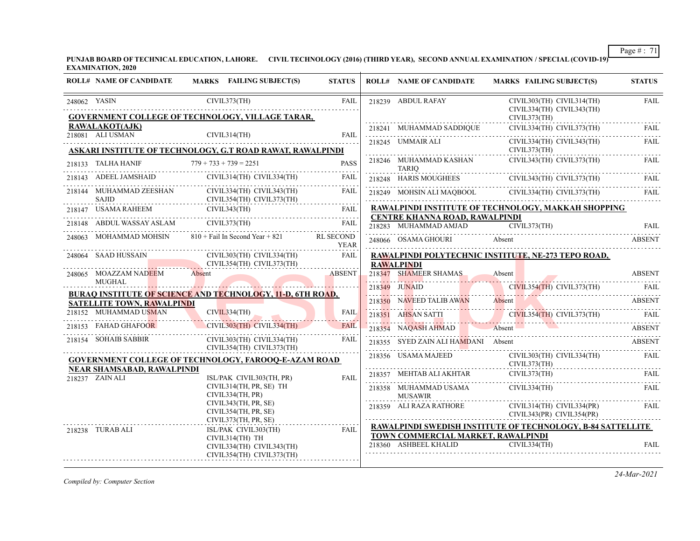**PUNJAB BOARD OF TECHNICAL EDUCATION, LAHORE. CIVIL TECHNOLOGY (2016) (THIRD YEAR), SECOND ANNUAL EXAMINATION / SPECIAL (COVID-19) EXAMINATION, 2020**

| <b>ROLL# NAME OF CANDIDATE</b>                       | MARKS FAILING SUBJECT(S)                                                | <b>STATUS</b>                   | <b>ROLL# NAME OF CANDIDATE</b>                              | MARKS FAILING SUBJECT(S)                                               | <b>STATUS</b> |
|------------------------------------------------------|-------------------------------------------------------------------------|---------------------------------|-------------------------------------------------------------|------------------------------------------------------------------------|---------------|
| 248062 YASIN                                         | CIVIL373(TH)<br><b>GOVERNMENT COLLEGE OF TECHNOLOGY, VILLAGE TARAR,</b> | <b>FAIL</b>                     | 218239 ABDUL RAFAY                                          | CIVIL303(TH) CIVIL314(TH)<br>CIVIL334(TH) CIVIL343(TH)<br>CIVIL373(TH) | <b>FAIL</b>   |
| <b>RAWALAKOT(AJK)</b>                                |                                                                         |                                 | 218241 MUHAMMAD SADDIQUE                                    | CIVIL334(TH) CIVIL373(TH)                                              | FAIL.         |
| 218081 ALI USMAN                                     | CIVIL314(TH)                                                            | <b>FAIL</b>                     | 218245 UMMAIR ALI                                           | CIVIL334(TH) CIVIL343(TH)                                              | <b>FAIL</b>   |
|                                                      | <b>ASKARI INSTITUTE OF TECHNOLOGY, G.T ROAD RAWAT, RAWALPINDI</b>       |                                 |                                                             | CIVIL373(TH)                                                           |               |
| 218133 TALHA HANIF                                   | $779 + 733 + 739 = 2251$                                                | <b>PASS</b><br>i i i i i i      | 218246 MUHAMMAD KASHAN<br>TARIO                             | $CIVIL343(TH)$ $CIVIL373(TH)$                                          | FAIL.         |
|                                                      | 218143 ADEEL JAMSHAID CIVIL314(TH) CIVIL334(TH)                         | <b>FAIL</b>                     | 218248 HARIS MOUGHEES                                       | CIVIL343(TH) CIVIL373(TH)                                              | FAIL          |
| 218144 MUHAMMAD ZEESHAN<br><b>SAJID</b>              | CIVIL334(TH) CIVIL343(TH)<br>CIVIL354(TH) CIVIL373(TH)                  | <b>FAIL</b>                     |                                                             | 218249 MOHSIN ALI MAQBOOL CIVIL334(TH) CIVIL373(TH) FAIL               |               |
|                                                      | 218147 USAMA RAHEEM CIVIL343(TH) FAIL CIVIL CONTEXTS AND RAIL           |                                 |                                                             | RAWALPINDI INSTITUTE OF TECHNOLOGY, MAKKAH SHOPPING                    |               |
|                                                      | 218148 ABDUL WASSAY ASLAM CIVIL373(TH) FAIL                             |                                 | CENTRE KHANNA ROAD, RAWALPINDI<br>218283 MUHAMMAD AMJAD     | $\overline{CIVIL}$ 373(TH)                                             | FAII.         |
| 248063 MOHAMMAD MOHSIN                               | $810 +$ Fail In Second Year + 821                                       | <b>RL SECOND</b><br><b>YEAR</b> |                                                             | 248066 OSAMA GHOURI Absent                                             | <b>ABSENT</b> |
| 248064 SAAD HUSSAIN                                  | CIVIL303(TH) CIVIL334(TH)                                               | <b>FAIL</b>                     |                                                             | RAWALPINDI POLYTECHNIC INSTITUTE, NE-273 TEPO ROAD,                    |               |
|                                                      | CIVIL354(TH) CIVIL373(TH)                                               |                                 | <b>RAWALPINDI</b>                                           |                                                                        |               |
| 248065 MOAZZAM NADEEM<br>MUGHAL                      | Absent                                                                  | <b>ABSENT</b>                   | 218347 SHAMEER SHAMAS                                       | Absent                                                                 | <b>ABSENT</b> |
|                                                      | <b>BURAO INSTITUTE OF SCIENCE AND TECHNOLOGY, 11-D, 6TH ROAD,</b>       |                                 | 218349 JUNAID                                               | CIVIL354(TH) CIVIL373(TH) FAIL                                         |               |
| <b>SATELLITE TOWN, RAWALPINDI</b>                    |                                                                         |                                 |                                                             | 218350 NAVEED TALIB AWAN Absent ABSENT ABSENT                          |               |
| 218152 MUHAMMAD USMAN                                | CIVIL334(TH)                                                            | <b>FAIL</b>                     |                                                             | 218351 AHSAN SATTI CIVIL354(TH) CIVIL373(TH) FAIL                      |               |
| 218153 FAHAD GHAFOOR                                 | CIVIL303(TH) CIVIL334(TH)                                               | <b>FAIL</b>                     | 218354 NAQASH AHMAD Absent                                  | ABSENT                                                                 |               |
| 218154 SOHAIB SABBIR                                 | CIVIL303(TH) CIVIL334(TH)<br>CIVIL354(TH) CIVIL373(TH)                  | <b>FAIL</b>                     | 218355 SYED ZAIN ALI HAMDANI Absent                         |                                                                        | <b>ABSENT</b> |
|                                                      | <b>GOVERNMENT COLLEGE OF TECHNOLOGY, FAROOQ-E-AZAM ROAD</b>             |                                 | 218356 USAMA MAJEED                                         | CIVIL303(TH) CIVIL334(TH) FAIL<br>CIVIL373(TH)                         |               |
| <b>NEAR SHAMSABAD, RAWALPINDI</b><br>218237 ZAIN ALI | ISL/PAK CIVIL303(TH, PR)                                                | <b>FAIL</b>                     | 218357 MEHTAB ALI AKHTAR                                    | CIVIL373(TH)                                                           | FAIL          |
|                                                      | CIVIL314(TH, PR, SE) TH<br>CIVIL334(TH, PR)                             |                                 | 218358 MUHAMMAD USAMA<br><b>MUSAWIR</b>                     | CIVIL334(TH)                                                           | <b>FAIL</b>   |
|                                                      | CIVIL343(TH, PR, SE)<br>CIVIL354(TH, PR, SE)<br>CIVIL373(TH, PR, SE)    |                                 | 218359 ALI RAZA RATHORE                                     | $CIVIL314(TH)$ $CIVIL334(PR)$<br>CIVIL343(PR) CIVIL354(PR)             | FAIL          |
| 218238 TURAB ALI                                     | ISL/PAK CIVIL303(TH)                                                    | <b>FAIL</b>                     |                                                             | RAWALPINDI SWEDISH INSTITUTE OF TECHNOLOGY, B-84 SATTELLITE            |               |
|                                                      | CIVIL314(TH) TH<br>CIVIL334(TH) CIVIL343(TH)                            |                                 | TOWN COMMERCIAL MARKET, RAWALPINDI<br>218360 ASHBEEL KHALID | CIVIL334(TH)                                                           | FAIL          |
|                                                      | CIVIL354(TH) CIVIL373(TH)                                               |                                 |                                                             |                                                                        |               |

*Compiled by: Computer Section*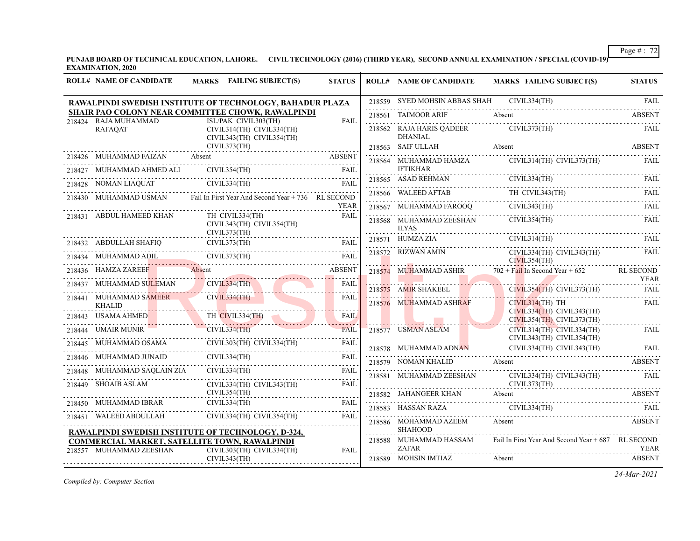**PUNJAB BOARD OF TECHNICAL EDUCATION, LAHORE. CIVIL TECHNOLOGY (2016) (THIRD YEAR), SECOND ANNUAL EXAMINATION / SPECIAL (COVID-19) EXAMINATION, 2020**

| 218559 SYED MOHSIN ABBAS SHAH CIVIL334(TH)<br>RAWALPINDI SWEDISH INSTITUTE OF TECHNOLOGY, BAHADUR PLAZA<br>SHAIR PAO COLONY NEAR COMMITTEE CHOWK, RAWALPINDI<br>218561 TAIMOOR ARIF<br>Absent<br>218424 RAJA MUHAMMAD<br>ISL/PAK CIVIL303(TH)<br><b>FAIL</b><br>218562 RAJA HARIS QADEER CIVIL373(TH)<br>CIVIL314(TH) CIVIL334(TH)<br><b>RAFAQAT</b><br><b>DHANIAL</b><br>Absent ABSENT<br>CIVIL343(TH) CIVIL354(TH)<br>CIVIL373(TH)<br>218563 SAIF ULLAH<br>218563 SAIF ULLAH Absent Absent ABSENT<br>218426 MUHAMMAD FAIZAN<br>218564 MUHAMMAD HAMZA CIVIL314(TH) CIVIL373(TH)<br>110501<br>IFTIKHAR<br>218565 ASAD REHMAN CIVIL334(TH) FAIL<br>218565 ASAD REHMAN CIVIL334(TH) FAIL<br>$\begin{tabular}{lllllllllll} \multicolumn{2}{l}{{\textbf{218427}}}\quad {\textbf{MULTMMAD AHMED ALI}} & {\textbf{CIVIL354(TH)}} & {\textbf{FAIL}} \\ \multicolumn{2}{l}{\textbf{218428}} & {\textbf{NOMAN LIAQUAT}} & {\textbf{CIVIL334(TH)}} & {\textbf{FAIL}} \\ \multicolumn{2}{l}{\textbf{218428}} & {\textbf{NOMAN LIAQUAT}} & {\textbf{CIVIL334(TH)}} & {\textbf{FAIL}} \\ \multicolumn{2}{l}{\textbf{218429}} & {\textbf{NOMAN LIAQUAT}} & {\text$<br>$\begin{tabular}{lllllllll} \multicolumn{2}{l}{{\small 218566}}&\multicolumn{2}{l}{\textbf{WALEED AFTAB}}&\multicolumn{2}{l}{\textbf{TH CIVIL343(TH)}}&\multicolumn{2}{l}{\textbf{FAL}}\\ & \multicolumn{2}{l}{\textbf{218567}}&\multicolumn{2}{l}{\textbf{MUHAMMAD FAROOQ}}&\multicolumn{2}{l}{\textbf{CIVIL343(TH)}}&\multicolumn{2}{l}{\textbf{FALL}}\\ & \multicolumn{2}{l}{\textbf{218567}}&\multicolumn{2}{l}{\textbf{MUIAM$<br>218430 MUHAMMAD USMAN Fail In First Year And Second Year + 736 RL SECOND<br><b>YEAR</b><br>TH CIVIL334(TH)<br>218431 ABDUL HAMEED KHAN<br><b>FAIL</b><br>CIVIL354(TH)<br>218568 MUHAMMAD ZEESHAN<br>CIVIL343(TH) CIVIL354(TH)<br><b>ILYAS</b><br>CIVIL373(TH)<br>CIVIL314(TH)<br>218571 HUMZA ZIA<br>218432 ABDULLAH SHAFIQ CIVIL373(TH) FAIL<br>CIVIL334(TH) CIVIL343(TH)<br>218572 RIZWAN AMIN | <b>FAIL</b><br><b>ABSENT</b><br>FAIL<br>FAIL |
|------------------------------------------------------------------------------------------------------------------------------------------------------------------------------------------------------------------------------------------------------------------------------------------------------------------------------------------------------------------------------------------------------------------------------------------------------------------------------------------------------------------------------------------------------------------------------------------------------------------------------------------------------------------------------------------------------------------------------------------------------------------------------------------------------------------------------------------------------------------------------------------------------------------------------------------------------------------------------------------------------------------------------------------------------------------------------------------------------------------------------------------------------------------------------------------------------------------------------------------------------------------------------------------------------------------------------------------------------------------------------------------------------------------------------------------------------------------------------------------------------------------------------------------------------------------------------------------------------------------------------------------------------------------------------------------------------------------------------------------------------------------------------------------------------------------------------------------------------------------------------------------------------------------------------------------------------------------------------------------------|----------------------------------------------|
|                                                                                                                                                                                                                                                                                                                                                                                                                                                                                                                                                                                                                                                                                                                                                                                                                                                                                                                                                                                                                                                                                                                                                                                                                                                                                                                                                                                                                                                                                                                                                                                                                                                                                                                                                                                                                                                                                                                                                                                                |                                              |
|                                                                                                                                                                                                                                                                                                                                                                                                                                                                                                                                                                                                                                                                                                                                                                                                                                                                                                                                                                                                                                                                                                                                                                                                                                                                                                                                                                                                                                                                                                                                                                                                                                                                                                                                                                                                                                                                                                                                                                                                |                                              |
|                                                                                                                                                                                                                                                                                                                                                                                                                                                                                                                                                                                                                                                                                                                                                                                                                                                                                                                                                                                                                                                                                                                                                                                                                                                                                                                                                                                                                                                                                                                                                                                                                                                                                                                                                                                                                                                                                                                                                                                                |                                              |
|                                                                                                                                                                                                                                                                                                                                                                                                                                                                                                                                                                                                                                                                                                                                                                                                                                                                                                                                                                                                                                                                                                                                                                                                                                                                                                                                                                                                                                                                                                                                                                                                                                                                                                                                                                                                                                                                                                                                                                                                |                                              |
|                                                                                                                                                                                                                                                                                                                                                                                                                                                                                                                                                                                                                                                                                                                                                                                                                                                                                                                                                                                                                                                                                                                                                                                                                                                                                                                                                                                                                                                                                                                                                                                                                                                                                                                                                                                                                                                                                                                                                                                                |                                              |
|                                                                                                                                                                                                                                                                                                                                                                                                                                                                                                                                                                                                                                                                                                                                                                                                                                                                                                                                                                                                                                                                                                                                                                                                                                                                                                                                                                                                                                                                                                                                                                                                                                                                                                                                                                                                                                                                                                                                                                                                |                                              |
|                                                                                                                                                                                                                                                                                                                                                                                                                                                                                                                                                                                                                                                                                                                                                                                                                                                                                                                                                                                                                                                                                                                                                                                                                                                                                                                                                                                                                                                                                                                                                                                                                                                                                                                                                                                                                                                                                                                                                                                                |                                              |
|                                                                                                                                                                                                                                                                                                                                                                                                                                                                                                                                                                                                                                                                                                                                                                                                                                                                                                                                                                                                                                                                                                                                                                                                                                                                                                                                                                                                                                                                                                                                                                                                                                                                                                                                                                                                                                                                                                                                                                                                |                                              |
|                                                                                                                                                                                                                                                                                                                                                                                                                                                                                                                                                                                                                                                                                                                                                                                                                                                                                                                                                                                                                                                                                                                                                                                                                                                                                                                                                                                                                                                                                                                                                                                                                                                                                                                                                                                                                                                                                                                                                                                                |                                              |
|                                                                                                                                                                                                                                                                                                                                                                                                                                                                                                                                                                                                                                                                                                                                                                                                                                                                                                                                                                                                                                                                                                                                                                                                                                                                                                                                                                                                                                                                                                                                                                                                                                                                                                                                                                                                                                                                                                                                                                                                | FAII.                                        |
|                                                                                                                                                                                                                                                                                                                                                                                                                                                                                                                                                                                                                                                                                                                                                                                                                                                                                                                                                                                                                                                                                                                                                                                                                                                                                                                                                                                                                                                                                                                                                                                                                                                                                                                                                                                                                                                                                                                                                                                                | <b>FAIL</b>                                  |
| RIZWAN AMIN<br>CIVIL373(TH)<br>218434 MUHAMMAD ADIL<br>FAII.<br>AMMAD ADIL CIVIL373(TH) FAIL<br>CIVIL354(TH)                                                                                                                                                                                                                                                                                                                                                                                                                                                                                                                                                                                                                                                                                                                                                                                                                                                                                                                                                                                                                                                                                                                                                                                                                                                                                                                                                                                                                                                                                                                                                                                                                                                                                                                                                                                                                                                                                   | FAIL                                         |
| 218436 HAMZA ZAREEF<br><b>ABSENT</b><br>218574 MUHAMMAD ASHIR $702 + \text{Fall In Second Year} + 652$ RL SECOND<br>Absent                                                                                                                                                                                                                                                                                                                                                                                                                                                                                                                                                                                                                                                                                                                                                                                                                                                                                                                                                                                                                                                                                                                                                                                                                                                                                                                                                                                                                                                                                                                                                                                                                                                                                                                                                                                                                                                                     | <b>YEAR</b>                                  |
| MUHAMMAD SULEMAN<br>CIVIL334(TH)<br><b>FAIL</b><br>HAMMAD SULEMAN CIVIL 334(TH)<br>218437<br>218575 AMIR SHAKEEL CIVIL354(TH) CIVIL373(TH)<br><u>.</u>                                                                                                                                                                                                                                                                                                                                                                                                                                                                                                                                                                                                                                                                                                                                                                                                                                                                                                                                                                                                                                                                                                                                                                                                                                                                                                                                                                                                                                                                                                                                                                                                                                                                                                                                                                                                                                         | <b>FAIL</b>                                  |
| CIVIL334(TH)<br>218441 MUHAMMAD SAMEER<br><b>FAIL</b><br>218576 MUHAMMAD ASHRAF<br>$CIVIL314(TH)$ TH<br><b>KHALID</b><br>CIVIL334(TH) CIVIL343(TH)                                                                                                                                                                                                                                                                                                                                                                                                                                                                                                                                                                                                                                                                                                                                                                                                                                                                                                                                                                                                                                                                                                                                                                                                                                                                                                                                                                                                                                                                                                                                                                                                                                                                                                                                                                                                                                             | <b>FAIL</b>                                  |
| TH CIVIL334(TH)<br>CIVIL334(TH)<br>218443 USAMA AHMED<br><b>FAIL</b><br>$CIVIL354(TH)$ $CIVIL373(TH)$<br>.                                                                                                                                                                                                                                                                                                                                                                                                                                                                                                                                                                                                                                                                                                                                                                                                                                                                                                                                                                                                                                                                                                                                                                                                                                                                                                                                                                                                                                                                                                                                                                                                                                                                                                                                                                                                                                                                                     |                                              |
| 218444 UMAIR MUNIR CIVIL 334(TH)<br>218577 USMAN ASLAM<br><b>FAIL</b><br>CIVIL314(TH) CIVIL334(TH)                                                                                                                                                                                                                                                                                                                                                                                                                                                                                                                                                                                                                                                                                                                                                                                                                                                                                                                                                                                                                                                                                                                                                                                                                                                                                                                                                                                                                                                                                                                                                                                                                                                                                                                                                                                                                                                                                             | FAIL                                         |
| CIVIL343(TH) CIVIL354(TH)<br>CIVIL303(TH) CIVIL334(TH) FAIL<br>218445 MUHAMMAD OSAMA<br>FAIL                                                                                                                                                                                                                                                                                                                                                                                                                                                                                                                                                                                                                                                                                                                                                                                                                                                                                                                                                                                                                                                                                                                                                                                                                                                                                                                                                                                                                                                                                                                                                                                                                                                                                                                                                                                                                                                                                                   |                                              |
| 218578 MUHAMMAD ADNAN CIVIL334(TH) CIVIL343(TH) FAIL<br>218446 MUHAMMAD JUNAID CIVIL334(TH) FAIL FAIL<br>218579 NOMAN KHALID Absent                                                                                                                                                                                                                                                                                                                                                                                                                                                                                                                                                                                                                                                                                                                                                                                                                                                                                                                                                                                                                                                                                                                                                                                                                                                                                                                                                                                                                                                                                                                                                                                                                                                                                                                                                                                                                                                            | <b>ABSENT</b>                                |
| CIVIL334(TH)<br>218448 MUHAMMAD SAQLAIN ZIA<br><b>FAIL</b>                                                                                                                                                                                                                                                                                                                                                                                                                                                                                                                                                                                                                                                                                                                                                                                                                                                                                                                                                                                                                                                                                                                                                                                                                                                                                                                                                                                                                                                                                                                                                                                                                                                                                                                                                                                                                                                                                                                                     |                                              |
| 218581 MUHAMMAD ZEESHAN CIVIL334(TH) CIVIL343(TH)<br>CIVIL373(TH)<br>218449 SHOAIB ASLAM<br>CIVIL334(TH) CIVIL343(TH)<br>FAIL                                                                                                                                                                                                                                                                                                                                                                                                                                                                                                                                                                                                                                                                                                                                                                                                                                                                                                                                                                                                                                                                                                                                                                                                                                                                                                                                                                                                                                                                                                                                                                                                                                                                                                                                                                                                                                                                  | FAIL                                         |
| CIVIL354(TH)<br>218582 JAHANGEER KHAN Absent                                                                                                                                                                                                                                                                                                                                                                                                                                                                                                                                                                                                                                                                                                                                                                                                                                                                                                                                                                                                                                                                                                                                                                                                                                                                                                                                                                                                                                                                                                                                                                                                                                                                                                                                                                                                                                                                                                                                                   | <b>ABSENT</b>                                |
| 218450 MUHAMMAD IBRAR CIVIL334(TH) FAIL<br>218583 HASSAN RAZA CIVIL334(TH) FAIL FAIL                                                                                                                                                                                                                                                                                                                                                                                                                                                                                                                                                                                                                                                                                                                                                                                                                                                                                                                                                                                                                                                                                                                                                                                                                                                                                                                                                                                                                                                                                                                                                                                                                                                                                                                                                                                                                                                                                                           |                                              |
| 218451 WALEED ABDULLAH CIVIL334(TH) CIVIL354(TH)<br><b>FAIL</b><br>218586 MOHAMMAD AZEEM<br>Absent<br><b>SHAHOOD</b>                                                                                                                                                                                                                                                                                                                                                                                                                                                                                                                                                                                                                                                                                                                                                                                                                                                                                                                                                                                                                                                                                                                                                                                                                                                                                                                                                                                                                                                                                                                                                                                                                                                                                                                                                                                                                                                                           | <b>ABSENT</b>                                |
| RAWALPINDI SWEDISH INSTITUTE OF TECHNOLOGY, D-324,<br>Fail In First Year And Second Year + 687 RL SECOND<br>218588 MUHAMMAD HASSAM<br><b>COMMERCIAL MARKET, SATELLITE TOWN, RAWALPINDI</b>                                                                                                                                                                                                                                                                                                                                                                                                                                                                                                                                                                                                                                                                                                                                                                                                                                                                                                                                                                                                                                                                                                                                                                                                                                                                                                                                                                                                                                                                                                                                                                                                                                                                                                                                                                                                     |                                              |
| <b>ZAFAR</b><br>218557 MUHAMMAD ZEESHAN<br>CIVIL303(TH) CIVIL334(TH)<br><b>FAIL</b><br>CIVIL343(TH)<br>218589 MOHSIN IMTIAZ<br>Absent                                                                                                                                                                                                                                                                                                                                                                                                                                                                                                                                                                                                                                                                                                                                                                                                                                                                                                                                                                                                                                                                                                                                                                                                                                                                                                                                                                                                                                                                                                                                                                                                                                                                                                                                                                                                                                                          |                                              |

*Compiled by: Computer Section*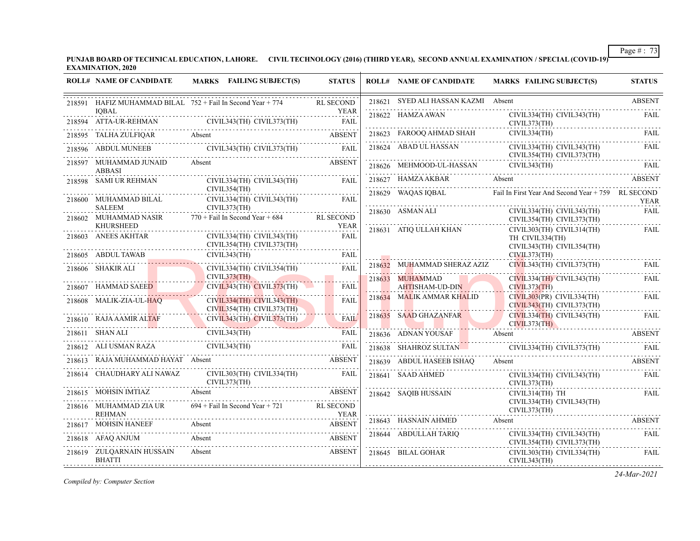**PUNJAB BOARD OF TECHNICAL EDUCATION, LAHORE. CIVIL TECHNOLOGY (2016) (THIRD YEAR), SECOND ANNUAL EXAMINATION / SPECIAL (COVID-19) EXAMINATION, 2020**

| <b>ROLL# NAME OF CANDIDATE</b>                                                       | MARKS FAILING SUBJECT(S)                                                            | <b>STATUS</b>       | <b>ROLL# NAME OF CANDIDATE</b>      | MARKS FAILING SUBJECT(S)                                                  | <b>STATUS</b> |
|--------------------------------------------------------------------------------------|-------------------------------------------------------------------------------------|---------------------|-------------------------------------|---------------------------------------------------------------------------|---------------|
|                                                                                      | 218591 HAFIZ MUHAMMAD BILAL 752 + Fail In Second Year + 774                         | <b>RL SECOND</b>    | 218621 SYED ALI HASSAN KAZMI Absent |                                                                           | <b>ABSENT</b> |
| <b>IOBAL</b>                                                                         | 218594 ATTA-UR-REHMAN CIVIL343(TH) CIVIL373(TH) FAIL                                | YEAR                | 218622 HAMZA AWAN                   | CIVIL334(TH) CIVIL343(TH)<br>CIVIL373(TH)                                 | FAIL          |
|                                                                                      | 218595 TALHA ZULFIQAR Absent ABSENT ABSENT                                          |                     |                                     | 218623 FAROOQ AHMAD SHAH CIVIL334(TH) FAIL FAIL                           |               |
|                                                                                      | 218596 ABDUL MUNEEB CIVIL343(TH) CIVIL373(TH)                                       | FAIL                |                                     | CIVIL334(TH) CIVIL343(TH)<br>CIVIL354(TH) CIVIL373(TH)                    | FAIL          |
| 218597 MUHAMMAD JUNAID<br><b>ABBASI</b>                                              | Absent                                                                              | <b>ABSENT</b>       |                                     | 218626 MEHMOOD-UL-HASSAN CIVIL343(TH) FAIL                                |               |
| 218598 SAMI UR REHMAN                                                                | CIVIL334(TH) CIVIL343(TH)<br>CIVIL354(TH)                                           | <b>FAIL</b>         | 218627 HAMZA AKBAR                  |                                                                           | ABSENT        |
| ${\small \begin{tabular}{ll} \bf 218600 & MUHAMMAD BILAL \\ SALEEM & \end{tabular}}$ | CIVIL334(TH) CIVIL343(TH)                                                           | FAIL                | 218629 WAQAS IQBAL                  | Fail In First Year And Second Year + 759 RL SECOND                        | YEAR          |
|                                                                                      | CIVIL373(TH)<br>218602 MUHAMMAD NASIR 770 + Fail In Second Year + 684               | <b>RL SECOND</b>    | 218630 ASMAN ALI                    | CIVIL334(TH) CIVIL343(TH)<br>CIVIL354(TH) CIVIL373(TH)                    | <b>FAIL</b>   |
| <b>KHURSHEED</b><br>218603 ANEES AKHTAR                                              | CIVIL334(TH) CIVIL343(TH)<br>CIVIL354(TH) CIVIL373(TH)                              | <b>YEAR</b><br>FAIL | 218631 ATIQ ULLAH KHAN              | CIVIL303(TH) CIVIL314(TH)<br>TH CIVIL334(TH)<br>CIVIL343(TH) CIVIL354(TH) | FAIL          |
| 218605 ABDUL TAWAB<br>8605 ABDUL TAWAB CI                                            | CIVIL343(TH)                                                                        | FAIL                |                                     | CIVIL373(TH)                                                              |               |
| 218606 SHAKIR ALI                                                                    | CIVIL334(TH) CIVIL354(TH)<br>CIVIL373(TH)                                           | FAIL                | 218632 MUHAMMAD SHERAZ AZIZ         | CIVIL343(TH) CIVIL373(TH)                                                 | FAIL          |
| 218607 HAMMAD SAEED                                                                  | $CIVIL343(TH)$ $CIVIL373(TH)$                                                       | FAIL                | 218633 MUHAMMAD<br>AHTISHAM-UD-DIN  | CIVIL334(TH) CIVIL343(TH)<br>CIVIL373(TH)                                 | FAIL          |
| 218608 MALIK-ZIA-UL-HAO                                                              | $CIVIL334(TH)$ $CIVIL343(TH)$<br>CIVIL354(TH) CIVIL373(TH)                          | <b>FAIL</b>         | 218634 MALIK AMMAR KHALID           | CIVIL303(PR) CIVIL334(TH)<br>CIVIL343(TH) CIVIL373(TH)                    | FAIL          |
|                                                                                      | 218610 RAJA AAMIR ALTAF CIVIL343(TH) CIVIL375(1n)<br>CIVIL343(TH) CIVIL343(TH) FAIL |                     | 218635 SAAD GHAZANFAR               | CIVIL334(TH) CIVIL343(TH)<br>CIVIL373(TH)                                 | FAIL          |
|                                                                                      |                                                                                     |                     |                                     | 218636 ADNAN YOUSAF Absent ABSENT                                         |               |
| 218612 ALI USMAN RAZA CIVIL343(TH)                                                   |                                                                                     |                     |                                     | 218638 SHAHROZ SULTAN CIVIL334(TH) CIVIL373(TH) FAIL                      |               |
| 218613 RAJA MUHAMMAD HAYAT Absent                                                    | UHAMMAD HAYAT Absent ABSENT                                                         |                     | 218639 ABDUL HASEEB ISHAO           | Absent                                                                    | ABSENT        |
| 218614 CHAUDHARY ALI NAWAZ                                                           | CIVIL303(TH) CIVIL334(TH)<br>CIVIL373(TH)                                           | <b>FAIL</b>         | 218641 SAAD AHMED                   | CIVIL334(TH) CIVIL343(TH)<br>CIVIL373(TH)                                 | FAIL          |
| 218615 MOHSIN IMTIAZ Absent                                                          |                                                                                     | <b>ABSENT</b>       | 218642 SAOIB HUSSAIN                | CIVIL314(TH) TH                                                           | FAIL          |
| 218616 MUHAMMAD ZIA UR<br><b>REHMAN</b>                                              | 694 + Fail In Second Year + 721 RL SECOND<br><b>YEAR</b>                            |                     |                                     | CIVIL334(TH) CIVIL343(TH)<br>CIVIL373(TH)                                 |               |
|                                                                                      | 218617 MOHSIN HANEEF Absent ABSENT ABSENT                                           | <b>ABSENT</b>       | 218643 HASNAIN AHMED                | Absent                                                                    | ABSENT        |
| 218618 AFAQ ANJUM                                                                    | Absent                                                                              | <b>ABSENT</b>       | 218644 ABDULLAH TARIQ               | CIVIL334(TH) CIVIL343(TH)<br>CIVIL354(TH) CIVIL373(TH)                    | <b>FAIL</b>   |
| 218619 ZULQARNAIN HUSSAIN<br><b>BHATTI</b>                                           | Absent                                                                              | <b>ABSENT</b>       | 218645 BILAL GOHAR                  | CIVIL303(TH) CIVIL334(TH)<br>CIVIL343(TH)                                 | <b>FAIL</b>   |

*Compiled by: Computer Section*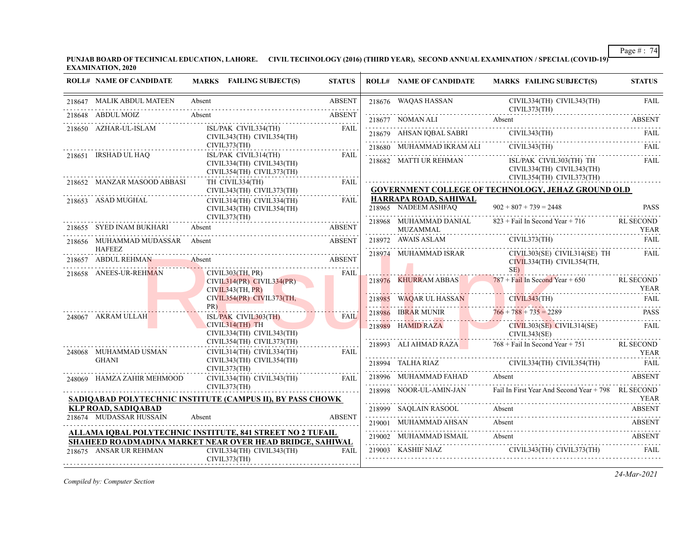**PUNJAB BOARD OF TECHNICAL EDUCATION, LAHORE. CIVIL TECHNOLOGY (2016) (THIRD YEAR), SECOND ANNUAL EXAMINATION / SPECIAL (COVID-19) EXAMINATION, 2020**

| <b>ROLL# NAME OF CANDIDATE</b>                   | MARKS FAILING SUBJECT(S)                                                                                                                                                                                                                                   | <b>STATUS</b> | <b>ROLL# NAME OF CANDIDATE</b>                | <b>MARKS FAILING SUBJECT(S)</b>                                                                                                                                                                                                                                                                                                                                                                                                                                                                        | <b>STATUS</b>                   |
|--------------------------------------------------|------------------------------------------------------------------------------------------------------------------------------------------------------------------------------------------------------------------------------------------------------------|---------------|-----------------------------------------------|--------------------------------------------------------------------------------------------------------------------------------------------------------------------------------------------------------------------------------------------------------------------------------------------------------------------------------------------------------------------------------------------------------------------------------------------------------------------------------------------------------|---------------------------------|
| 218647 MALIK ABDUL MATEEN                        | Absent                                                                                                                                                                                                                                                     | <b>ABSENT</b> | 218676 WAQAS HASSAN                           | CIVIL334(TH) CIVIL343(TH)<br>CIVIL373(TH)                                                                                                                                                                                                                                                                                                                                                                                                                                                              | <b>FAIL</b>                     |
| 218648 ABDUL MOIZ                                | Absent                                                                                                                                                                                                                                                     | <b>ABSENT</b> |                                               | 218677 NOMAN ALI Absent ABSENT                                                                                                                                                                                                                                                                                                                                                                                                                                                                         |                                 |
| 218650 AZHAR-UL-ISLAM                            | ISL/PAK CIVIL334(TH)<br>CIVIL343(TH) CIVIL354(TH)                                                                                                                                                                                                          | FAIL          |                                               | 218679 AHSAN IQBAL SABRI CIVIL343(TH) FAIL FAIL                                                                                                                                                                                                                                                                                                                                                                                                                                                        |                                 |
| 218651 IRSHAD UL HAQ                             | CIVIL373(TH)<br>ISL/PAK CIVIL314(TH)                                                                                                                                                                                                                       | FAIL          |                                               | $18680 \quad \text{MUHAMMAD IRRAM ALL} \quad \text{CIVII.343(TH)} \quad \text{FAII} \quad \text{FAII} \quad \text{FAII} \quad \text{FAII} \quad \text{FAII} \quad \text{FAII} \quad \text{FAII} \quad \text{FAII} \quad \text{FAII} \quad \text{FAII} \quad \text{FAII} \quad \text{FAII} \quad \text{FAII} \quad \text{FAII} \quad \text{FAII} \quad \text{FAII} \quad \text{FAII} \quad \text{FAII} \quad \text{FAII} \quad \text{FAII} \quad \text{FAII} \quad \text{FAII} \quad \text{FAII} \quad$ |                                 |
|                                                  | CIVIL334(TH) CIVIL343(TH)<br>CIVIL354(TH) CIVIL373(TH)                                                                                                                                                                                                     |               | 218682 MATTI UR REHMAN                        | ISL/PAK CIVIL303(TH) TH<br>CIVIL334(TH) CIVIL343(TH)<br>CIVIL354(TH) CIVIL373(TH)                                                                                                                                                                                                                                                                                                                                                                                                                      | FAIL                            |
| 218652 MANZAR MASOOD ABBASI                      | TH CIVIL334(TH)<br>CIVIL343(TH) CIVIL373(TH)                                                                                                                                                                                                               | FAIL          |                                               | <b>GOVERNMENT COLLEGE OF TECHNOLOGY, JEHAZ GROUND OLD</b>                                                                                                                                                                                                                                                                                                                                                                                                                                              |                                 |
| 218653 ASAD MUGHAL                               | CIVIL314(TH) CIVIL334(TH)<br>CIVIL343(TH) CIVIL354(TH)                                                                                                                                                                                                     | FAIL          | HARRAPA ROAD, SAHIWAL<br>218965 NADEEM ASHFAQ | $902 + 807 + 739 = 2448$                                                                                                                                                                                                                                                                                                                                                                                                                                                                               | <b>PASS</b>                     |
| 218655 SYED INAM BUKHARI                         | CIVIL373(TH)<br>Absent                                                                                                                                                                                                                                     | <b>ABSENT</b> | 218968 MUHAMMAD DANIAL<br><b>MUZAMMAL</b>     | $823 +$ Fail In Second Year + 716                                                                                                                                                                                                                                                                                                                                                                                                                                                                      | <b>RL SECOND</b><br><b>YEAR</b> |
| 218656 MUHAMMAD MUDASSAR Absent<br><b>HAFEEZ</b> |                                                                                                                                                                                                                                                            | <b>ABSENT</b> | 218972 AWAIS ASLAM                            | CIVIL373(TH)                                                                                                                                                                                                                                                                                                                                                                                                                                                                                           | FAIL<br>.                       |
| 218657 ABDUL REHMAN                              | Absent<br>JL REHMAN Absent ABSENT                                                                                                                                                                                                                          | <b>ABSENT</b> | 218974 MUHAMMAD ISRAR                         | CIVIL303(SE) CIVIL314(SE) TH<br>CIVIL334(TH) CIVIL354(TH,                                                                                                                                                                                                                                                                                                                                                                                                                                              | FAIL                            |
| 218658 ANEES-UR-REHMAN                           | CIVIL303(TH, PR)<br>$CIVIL314(PR)$ $CIVIL334(PR)$<br>CIVIL343(TH, PR)                                                                                                                                                                                      | FAIL          |                                               | SE)<br>218976 KHURRAM ABBAS 787 + Fail In Second Year + 650 RL SECOND                                                                                                                                                                                                                                                                                                                                                                                                                                  | <b>YEAR</b>                     |
|                                                  | CIVIL354(PR) CIVIL373(TH,<br>PR) FOR THE CONTROL OF THE CONTROL OF THE CONTROL OF THE CONTROL OF THE CONTROL OF THE CONTROL OF THE CONTROL OF THE CONTROL OF THE CONTROL OF THE CONTROL OF THE CONTROL OF THE CONTROL OF THE CONTROL OF THE CONTROL OF THE |               |                                               | TEAR YEAR VAQAR UL HASSAN CIVIL343(TH)                                                                                                                                                                                                                                                                                                                                                                                                                                                                 |                                 |
| 248067 AKRAM ULLAH                               | ISL/PAK CIVIL303(TH)                                                                                                                                                                                                                                       | <b>FAIL</b>   |                                               | 218986 IBRAR MUNIR 766 + 788 + 735 = 2289 PASS                                                                                                                                                                                                                                                                                                                                                                                                                                                         |                                 |
|                                                  | $CIVIL314(TH)$ TH<br>CIVIL334(TH) CIVIL343(TH)                                                                                                                                                                                                             |               | 218989 HAMID RAZA                             | CIVIL303(SE) CIVIL314(SE)<br>CIVIL343(SE)                                                                                                                                                                                                                                                                                                                                                                                                                                                              | <b>FAIL</b>                     |
| 248068 MUHAMMAD USMAN                            | CIVIL354(TH) CIVIL373(TH)<br>CIVIL314(TH) CIVIL334(TH)                                                                                                                                                                                                     | <b>FAIL</b>   |                                               | 218993 ALI AHMAD RAZA 768 + Fail In Second Year + 751 RL SECOND                                                                                                                                                                                                                                                                                                                                                                                                                                        | <b>YEAR</b>                     |
| <b>GHANI</b>                                     | CIVIL343(TH) CIVIL354(TH)<br>CIVIL373(TH)                                                                                                                                                                                                                  |               |                                               | $\begin{tabular}{c} 218994 \end{tabular} \begin{tabular}{l} \bf 18994 \end{tabular} \begin{tabular}{l} \bf 181894 \end{tabular} \begin{tabular}{l} \bf 181894 \end{tabular} \begin{tabular}{l} \bf 181894 \end{tabular} \begin{tabular}{l} \bf 181894 \end{tabular} \end{tabular} \begin{tabular}{l} \bf 181894 \end{tabular} \begin{tabular}{l} \bf 181894 \end{tabular} \end{tabular} \begin{tabular}{l} \bf 181894 \end{tabular} \begin{tab$                                                        |                                 |
| 248069 HAMZA ZAHIR MEHMOOD                       | CIVIL334(TH) CIVIL343(TH)                                                                                                                                                                                                                                  | FAII.         |                                               | 218996 MUHAMMAD FAHAD Absent                                                                                                                                                                                                                                                                                                                                                                                                                                                                           | <b>ABSENT</b>                   |
|                                                  | CIVIL373(TH)<br>SADIQABAD POLYTECHNIC INSTITUTE (CAMPUS II), BY PASS CHOWK                                                                                                                                                                                 |               | 218998 NOOR-UL-AMIN-JAN                       | Fail In First Year And Second Year + 798 RL SECOND                                                                                                                                                                                                                                                                                                                                                                                                                                                     | YEAR                            |
| <b>KLP ROAD, SADIOABAD</b>                       |                                                                                                                                                                                                                                                            |               | 218999 SAOLAIN RASOOL                         | Absent                                                                                                                                                                                                                                                                                                                                                                                                                                                                                                 | <b>ABSENT</b>                   |
| 218674 MUDASSAR HUSSAIN                          | Absent                                                                                                                                                                                                                                                     | <b>ABSENT</b> | 219001 MUHAMMAD AHSAN                         | Absent<br>219001 MUHAMMAD AHSAN Absent Assemblance ABSENT                                                                                                                                                                                                                                                                                                                                                                                                                                              | ABSENT                          |
|                                                  | <b>ALLAMA IOBAL POLYTECHNIC INSTITUTE, 841 STREET NO 2 TUFAIL</b><br>SHAHEED ROADMADINA MARKET NEAR OVER HEAD BRIDGE, SAHIWAL                                                                                                                              |               | 219002 MUHAMMAD ISMAIL                        | Absent                                                                                                                                                                                                                                                                                                                                                                                                                                                                                                 | ABSENT                          |
| 218675 ANSAR UR REHMAN                           | CIVIL334(TH) CIVIL343(TH)<br>CIVIL373(TH)                                                                                                                                                                                                                  | FAII.         |                                               | 219003 KASHIF NIAZ CIVIL343(TH) CIVIL373(TH)                                                                                                                                                                                                                                                                                                                                                                                                                                                           | FAIL                            |

*Compiled by: Computer Section*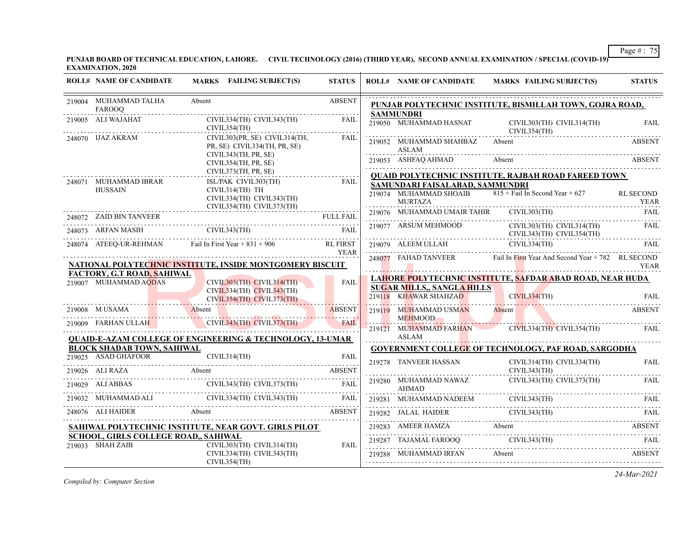**PUNJAB BOARD OF TECHNICAL EDUCATION, LAHORE. CIVIL TECHNOLOGY (2016) (THIRD YEAR), SECOND ANNUAL EXAMINATION / SPECIAL (COVID-19) EXAMINATION, 2020**

| <b>ROLL# NAME OF CANDIDATE</b>                           | <b>MARKS</b> FAILING SUBJECT(S)                                                                                                                                                                                                                                                                                                                                                                                                 | <b>STATUS</b>                  |   | <b>ROLL# NAME OF CANDIDATE</b>                             | MARKS FAILING SUBJECT(S)                                                                                                                                                                                                                                                                                                                                                                     | <b>STATUS</b>                   |
|----------------------------------------------------------|---------------------------------------------------------------------------------------------------------------------------------------------------------------------------------------------------------------------------------------------------------------------------------------------------------------------------------------------------------------------------------------------------------------------------------|--------------------------------|---|------------------------------------------------------------|----------------------------------------------------------------------------------------------------------------------------------------------------------------------------------------------------------------------------------------------------------------------------------------------------------------------------------------------------------------------------------------------|---------------------------------|
| 219004 MUHAMMAD TALHA<br>FAROOQ                          | Absent                                                                                                                                                                                                                                                                                                                                                                                                                          | <b>ABSENT</b>                  |   |                                                            | PUNJAB POLYTECHNIC INSTITUTE, BISMILLAH TOWN, GOJRA ROAD,                                                                                                                                                                                                                                                                                                                                    |                                 |
| 219005 ALI WAJAHAT                                       | CIVIL334(TH) CIVIL343(TH)<br>CIVIL354(TH)                                                                                                                                                                                                                                                                                                                                                                                       | FAIL                           |   | <b>SAMMUNDRI</b><br>219050 MUHAMMAD HASNAT                 | CIVIL303(TH) CIVIL314(TH)<br>CIVIL354(TH)                                                                                                                                                                                                                                                                                                                                                    | FAIL                            |
| 248070 IJAZ AKRAM                                        | CIVIL303(PR, SE) CIVIL314(TH,<br>PR, SE) CIVIL334(TH, PR, SE)<br>CIVIL343(TH, PR, SE)                                                                                                                                                                                                                                                                                                                                           | FAIL                           |   | 219052 MUHAMMAD SHAHBAZ<br>ASLAM                           | Absent                                                                                                                                                                                                                                                                                                                                                                                       | <b>ABSENT</b>                   |
|                                                          | CIVIL354(TH, PR, SE)<br>CIVIL373(TH, PR, SE)                                                                                                                                                                                                                                                                                                                                                                                    |                                |   | 219053 ASHFAQ AHMAD                                        | Absent<br><b>ABSENT</b><br><b>QUAID POLYTECHNIC INSTITUTE, RAJBAH ROAD FAREED TOWN</b>                                                                                                                                                                                                                                                                                                       |                                 |
| 248071 MUHAMMAD IBRAR<br><b>HUSSAIN</b>                  | ISL/PAK CIVIL303(TH)<br>CIVIL314(TH) TH<br>CIVIL334(TH) CIVIL343(TH)<br>CIVIL354(TH) CIVIL373(TH)                                                                                                                                                                                                                                                                                                                               | FAIL                           |   | SAMUNDARI FAISALABAD, SAMMUNDRI<br><b>MURTAZA</b>          | 219074 MUHAMMAD SHOAIB $815 + \text{Fall In Second Year} + 627$                                                                                                                                                                                                                                                                                                                              | <b>RL SECOND</b><br><b>YEAR</b> |
| 248072 ZAID BIN TANVEER                                  |                                                                                                                                                                                                                                                                                                                                                                                                                                 |                                |   | 219076 MUHAMMAD UMAIR TAHIR                                | CIVIL303(TH)                                                                                                                                                                                                                                                                                                                                                                                 | FAIL                            |
|                                                          | 248073 ARFAN MASHI CIVIL343(TH) FAIL                                                                                                                                                                                                                                                                                                                                                                                            |                                |   | 219077 ARSUM MEHMOOD                                       | CIVIL303(TH) CIVIL314(TH)<br>CIVIL343(TH) CIVIL354(TH)                                                                                                                                                                                                                                                                                                                                       | FAIL                            |
|                                                          | 248074 ATEEQ-UR-REHMAN Fail In First Year + 831 + 906                                                                                                                                                                                                                                                                                                                                                                           | <b>RL FIRST</b><br><b>YEAR</b> |   | 219079 ALEEM ULLAH CIVIL334(TH)                            |                                                                                                                                                                                                                                                                                                                                                                                              | FAIL                            |
|                                                          | NATIONAL POLYTECHNIC INSTITUTE, INSIDE MONTGOMERY BISCUIT                                                                                                                                                                                                                                                                                                                                                                       |                                |   |                                                            | 248077 FAHAD TANVEER Fail In First Year And Second Year + 782 RL SECOND                                                                                                                                                                                                                                                                                                                      | YEAR                            |
| FACTORY, G.T ROAD, SAHIWAL<br>219007 MUHAMMAD AQDAS      | CIVIL303(TH) CIVIL314(TH)<br>$CIVIL334(TH)$ $CIVIL343(TH)$<br>CIVIL354(TH) CIVIL373(TH)                                                                                                                                                                                                                                                                                                                                         | <b>FAIL</b>                    |   | <b>SUGAR MILLS,, SANGLA HILLS</b><br>219118 KHAWAR SHAHZAD | <b>LAHORE POLYTECHNIC INSTITUTE, SAFDAR ABAD ROAD, NEAR HUDA</b><br>CIVIL334(TH)                                                                                                                                                                                                                                                                                                             | FAIL                            |
|                                                          | 219008 M USAMA Absent                                                                                                                                                                                                                                                                                                                                                                                                           | ABSENT                         |   | 219119 MUHAMMAD USMAN                                      | Absent                                                                                                                                                                                                                                                                                                                                                                                       | <b>ABSENT</b>                   |
|                                                          | 219009 FARHAN ULLAH CIVIL343(TH) CIVIL373(TH)                                                                                                                                                                                                                                                                                                                                                                                   | . <i>.</i> .<br><b>FAIL</b>    |   | <b>MEHMOOD</b><br>219121 MUHAMMAD FARHAN                   | $CIVIL334(TH)$ $CIVIL354(TH)$                                                                                                                                                                                                                                                                                                                                                                | FAIL                            |
|                                                          | <b>QUAID-E-AZAM COLLEGE OF ENGINEERING &amp; TECHNOLOGY, 13-UMAR</b>                                                                                                                                                                                                                                                                                                                                                            |                                | . | ASLAM                                                      |                                                                                                                                                                                                                                                                                                                                                                                              |                                 |
| <b>BLOCK SHADAB TOWN, SAHIWAL</b>                        | CIVIL314(TH)                                                                                                                                                                                                                                                                                                                                                                                                                    |                                |   |                                                            | <b>GOVERNMENT COLLEGE OF TECHNOLOGY, PAF ROAD, SARGODHA</b>                                                                                                                                                                                                                                                                                                                                  |                                 |
|                                                          | 219025 ASAD GHAFOOR CIVIL314(TH) FAIL<br>219026 ALI RAZA Absent                                                                                                                                                                                                                                                                                                                                                                 | ABSENT                         |   | 219278 TANVEER HASSAN                                      | CIVIL314(TH) CIVIL334(TH)<br>CIVIL343(TH)                                                                                                                                                                                                                                                                                                                                                    | <b>FAIL</b>                     |
|                                                          |                                                                                                                                                                                                                                                                                                                                                                                                                                 |                                |   | 219280 MUHAMMAD NAWAZ                                      | CIVIL343(TH) CIVIL373(TH)                                                                                                                                                                                                                                                                                                                                                                    | FAIL                            |
|                                                          |                                                                                                                                                                                                                                                                                                                                                                                                                                 |                                |   |                                                            | AHMAD<br>219281 MUHAMMAD NADEEM CIVIL343(TH) FAIL FAIL                                                                                                                                                                                                                                                                                                                                       |                                 |
|                                                          | $\begin{tabular}{c c c c} \multicolumn{2}{c }{\textbf{219029}} & \multicolumn{2}{c }{\textbf{ALI ABBAS}} & \multicolumn{2}{c }{\textbf{CIVIL343(TH)} & $\textbf{CIVIL373(TH)}$ & \multicolumn{2}{c }{\textbf{FAIL}}$ \\ \multicolumn{2}{c }{\textbf{219032}} & \multicolumn{2}{c }{\textbf{MUHAMMAD ALI}} & \multicolumn{2}{c }{\textbf{CIVIL343(TH)} & $\textbf{CIVIL343(TH)}$ & \multicolumn{2}{c }{\textbf{FAIL}}$ \\ \mult$ |                                |   |                                                            | 219282 JALAL HAIDER CIVIL343(TH) FAIL (219282 JALAL HAIDER CIVIL343(TH) FAIL                                                                                                                                                                                                                                                                                                                 |                                 |
|                                                          | SAHIWAL POLYTECHNIC INSTITUTE, NEAR GOVT. GIRLS PILOT                                                                                                                                                                                                                                                                                                                                                                           |                                |   |                                                            |                                                                                                                                                                                                                                                                                                                                                                                              |                                 |
| SCHOOL, GIRLS COLLEGE ROAD,, SAHIWAL<br>219033 SHAH ZAIB | CIVIL303(TH) CIVIL314(TH)                                                                                                                                                                                                                                                                                                                                                                                                       | FAIL                           |   |                                                            | $\begin{tabular}{lllllllll} \multicolumn{2}{c l}{{\bf 219283}} & \multicolumn{2}{c l}{{\bf A}B\text{SENT}} & & & & & & & & & & & \\ \hline \multicolumn{2}{c l}{{\bf 219287}} & \multicolumn{2}{c l}{{\bf 219287}} & \multicolumn{2}{c l}{{\bf 219287}} & \multicolumn{2}{c l}{{\bf 219287}} & \multicolumn{2}{c l}{{\bf 219287}} & \multicolumn{2}{c l}{{\bf 219287}} & \multicolumn{2}{c $ |                                 |
|                                                          | CIVIL334(TH) CIVIL343(TH)<br>CIVIL354(TH)                                                                                                                                                                                                                                                                                                                                                                                       |                                |   | 219288 MUHAMMAD IRFAN                                      | Absent                                                                                                                                                                                                                                                                                                                                                                                       | ABSENT                          |

*Compiled by: Computer Section*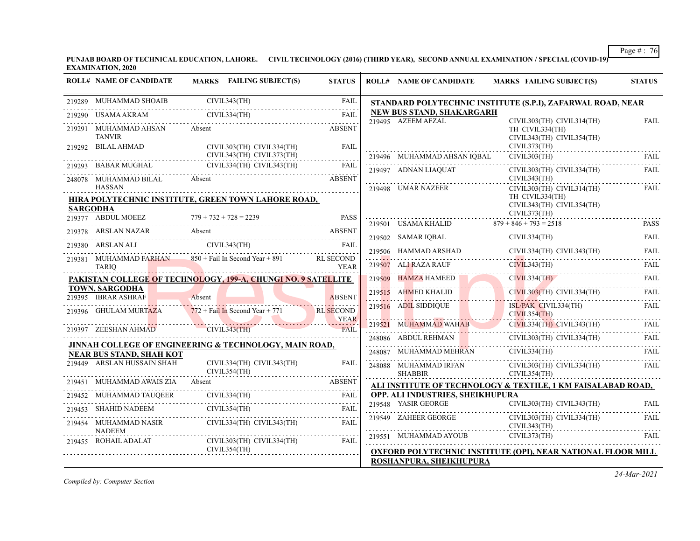**PUNJAB BOARD OF TECHNICAL EDUCATION, LAHORE. CIVIL TECHNOLOGY (2016) (THIRD YEAR), SECOND ANNUAL EXAMINATION / SPECIAL (COVID-19) EXAMINATION, 2020**

|                 | <b>ROLL# NAME OF CANDIDATE</b>                                                            |        | MARKS FAILING SUBJECT(S)                                     | <b>STATUS</b>              | <b>ROLL# NAME OF CANDIDATE</b>          | <b>MARKS FAILING SUBJECT(S)</b>                                                                                                                                                                                                                                                                                                                                                                                                          | <b>STATUS</b> |
|-----------------|-------------------------------------------------------------------------------------------|--------|--------------------------------------------------------------|----------------------------|-----------------------------------------|------------------------------------------------------------------------------------------------------------------------------------------------------------------------------------------------------------------------------------------------------------------------------------------------------------------------------------------------------------------------------------------------------------------------------------------|---------------|
|                 | 219289 MUHAMMAD SHOAIB                                                                    |        | CIVIL343(TH)                                                 | FAIL                       |                                         | STANDARD POLYTECHNIC INSTITUTE (S.P.I), ZAFARWAL ROAD, NEAR                                                                                                                                                                                                                                                                                                                                                                              |               |
|                 | USAMA AKRAM CIVIL334(TH)<br>219290 USAMA AKRAM                                            |        |                                                              | FAIL                       | NEW BUS STAND, SHAKARGARH               |                                                                                                                                                                                                                                                                                                                                                                                                                                          |               |
| 219291          | MUHAMMAD AHSAN<br><b>TANVIR</b>                                                           | Absent |                                                              | <b>ABSENT</b>              | 219495 AZEEM AFZAL                      | CIVIL303(TH) CIVIL314(TH)<br>TH CIVIL334(TH)<br>CIVIL343(TH) CIVIL354(TH)                                                                                                                                                                                                                                                                                                                                                                | FAIL          |
|                 | 219292 BILAL AHMAD                                                                        |        | CIVIL303(TH) CIVIL334(TH)<br>CIVIL343(TH) CIVIL373(TH)       | <b>FAIL</b>                | 219496 MUHAMMAD AHSAN IQBAL             | CIVIL373(TH)<br>CIVIL303(TH)                                                                                                                                                                                                                                                                                                                                                                                                             | FAIL.         |
|                 | 219293 BABAR MUGHAL                                                                       |        | CIVIL334(TH) CIVIL343(TH)                                    | <b>FAIL</b>                |                                         |                                                                                                                                                                                                                                                                                                                                                                                                                                          |               |
|                 | 248078 MUHAMMAD BILAL Absent                                                              |        |                                                              | <b>ABSENT</b>              | 219497 ADNAN LIAQUAT                    | CIVIL303(TH) CIVIL334(TH)<br>CIVIL343(TH)                                                                                                                                                                                                                                                                                                                                                                                                | FAIL          |
| <b>SARGODHA</b> | HASSAN<br><b>HIRA POLYTECHNIC INSTITUTE, GREEN TOWN LAHORE ROAD,</b>                      |        |                                                              |                            | 219498 UMAR NAZEER                      | CIVIL303(TH) CIVIL314(TH)<br>TH CIVIL334(TH)<br>CIVIL343(TH) CIVIL354(TH)<br>CIVIL373(TH)                                                                                                                                                                                                                                                                                                                                                | FAIL          |
|                 | 219377 ABDUL MOEEZ                                                                        |        | $779 + 732 + 728 = 2239$<br>EZ $779 + 732 + 728 = 2239$ PASS | <b>PASS</b>                |                                         | 219501 USAMA KHALID $879 + 846 + 793 = 2518$ PASS                                                                                                                                                                                                                                                                                                                                                                                        |               |
|                 | 219378 ARSLAN NAZAR<br>ARSLAN NAZAR Absent ABSENT                                         | Absent |                                                              | <b>ABSENT</b>              |                                         | $\begin{tabular}{c} 219502 \end{tabular} \begin{tabular}{c} 219502 \end{tabular} \begin{tabular}{c} 219502 \end{tabular} \begin{tabular}{c} 219502 \end{tabular} \begin{tabular}{c} 219502 \end{tabular} \begin{tabular}{c} 219502 \end{tabular} \end{tabular} \begin{tabular}{c} 219502 \end{tabular} \begin{tabular}{c} 219502 \end{tabular} \end{tabular} \begin{tabular}{c} 219502 \end{tabular} \begin{tabular}{c} 219502 \end{tab$ |               |
|                 | 219380 ARSLAN ALI                                                                         |        |                                                              |                            |                                         |                                                                                                                                                                                                                                                                                                                                                                                                                                          |               |
|                 | 219381 MUHAMMAD FARHAN 850 + Fail In Second Year + 891 RL SECOND<br><b>TARIO</b>          |        |                                                              | YEAR                       |                                         | 19506 HAMMAD ARSHAD CIVIL334(TH) CIVIL343(TH) FAIL 219506 HAMMAD ARSHAD CIVIL334(TH) CIVIL343(TH) FAIL 219507                                                                                                                                                                                                                                                                                                                            |               |
|                 | PAKISTAN COLLEGE OF TECHNOLOGY, 199-A, CHUNGI NO. 9 SATELLITE                             |        |                                                              |                            | 219509 HAMZA HAMEED                     | CIVIL334(TH)                                                                                                                                                                                                                                                                                                                                                                                                                             | FAIL          |
|                 | TOWN, SARGODHA<br>219395 IBRAR ASHRAF                                                     | Absent |                                                              | <b>ABSENT</b>              |                                         | 219515 AHMED KHALID CIVIL303(TH) CIVIL334(TH)                                                                                                                                                                                                                                                                                                                                                                                            | FAIL          |
|                 | 219396 GHULAM MURTAZA                                                                     |        | $772 + \text{Fall In Second Year} + 771$                     | .<br><b>RL SECOND</b>      | 219516 ADIL SIDDIQUE                    | ISL/PAK CIVIL334(TH)<br>CIVIL354(TH)                                                                                                                                                                                                                                                                                                                                                                                                     | FAIL          |
|                 | 219397 ZEESHAN AHMAD CIVIL343(TH)                                                         |        |                                                              | <b>YEAR</b><br><b>FAIL</b> | 219521 MUHAMMAD WAHAB                   | CIVIL334(TH) CIVIL343(TH) FAIL                                                                                                                                                                                                                                                                                                                                                                                                           |               |
|                 |                                                                                           |        |                                                              |                            | 248086 ABDUL REHMAN                     | CIVIL303(TH) CIVIL334(TH)                                                                                                                                                                                                                                                                                                                                                                                                                | <b>FAIL</b>   |
|                 | JINNAH COLLEGE OF ENGINEERING & TECHNOLOGY, MAIN ROAD,<br><b>NEAR BUS STAND, SHAH KOT</b> |        |                                                              |                            |                                         | $N$ CIVIL334(TH) FAIL<br>$248087 \quad \text{MUHAMMAD MEHRAN} \quad \quad \text{CIVIL334(TH)} \quad \quad \text{FAIL}$                                                                                                                                                                                                                                                                                                                   |               |
|                 | 219449 ARSLAN HUSSAIN SHAH                                                                |        | CIVIL334(TH) CIVIL343(TH)<br>CIVIL354(TH)                    | <b>FAIL</b>                | 248088 MUHAMMAD IRFAN<br><b>SHABBIR</b> | CIVIL303(TH) CIVIL334(TH)<br>CIVIL354(TH)                                                                                                                                                                                                                                                                                                                                                                                                | FAIL          |
|                 | 219451 MUHAMMAD AWAIS ZIA                                                                 | Absent |                                                              | <b>ABSENT</b>              |                                         | ALI INSTITUTE OF TECHNOLOGY & TEXTILE, 1 KM FAISALABAD ROAD,                                                                                                                                                                                                                                                                                                                                                                             |               |
|                 | 219452 MUHAMMAD TAUQEER<br>9452 MUHAMMAD TAUQEER CIVIL334(TH) FAIL                        |        |                                                              |                            | OPP. ALI INDUSTRIES, SHEIKHUPURA        |                                                                                                                                                                                                                                                                                                                                                                                                                                          |               |
|                 | 219453 SHAHID NADEEM CIVIL354(TH)                                                         |        |                                                              | FAIL                       | 219548 YASIR GEORGE                     | CIVIL303(TH) CIVIL343(TH)                                                                                                                                                                                                                                                                                                                                                                                                                | FAII.<br>.    |
|                 | 219454 MUHAMMAD NASIR<br><b>NADEEM</b>                                                    |        | CIVIL334(TH) CIVIL343(TH)                                    | FAIL                       | 219549 ZAHEER GEORGE                    | CIVIL303(TH) CIVIL334(TH)<br>CIVIL343(TH)                                                                                                                                                                                                                                                                                                                                                                                                | <b>FAIL</b>   |
|                 | 219455 ROHAIL ADALAT                                                                      |        | CIVIL303(TH) CIVIL334(TH)                                    | FAIL                       | 219551 MUHAMMAD AYOUB                   | CIVIL373(TH)                                                                                                                                                                                                                                                                                                                                                                                                                             | <b>FAIL</b>   |
|                 |                                                                                           |        | CIVIL354(TH)                                                 |                            | ROSHANPURA, SHEIKHUPURA                 | <b>OXFORD POLYTECHNIC INSTITUTE (OPI), NEAR NATIONAL FLOOR MILL</b>                                                                                                                                                                                                                                                                                                                                                                      |               |

*Compiled by: Computer Section*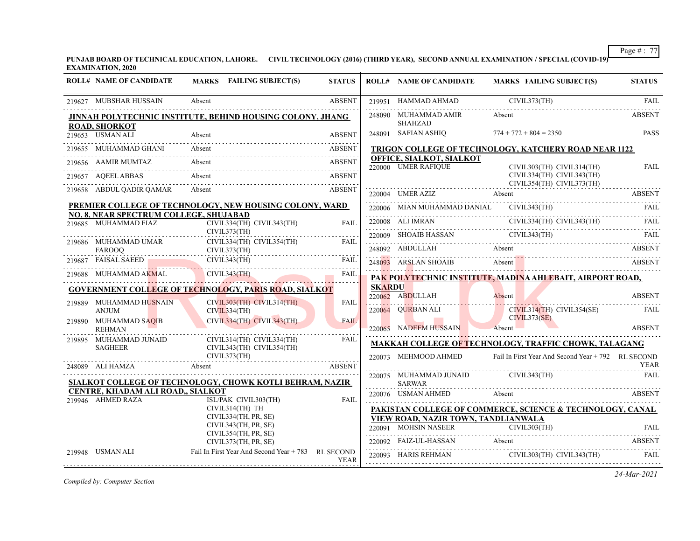**PUNJAB BOARD OF TECHNICAL EDUCATION, LAHORE. CIVIL TECHNOLOGY (2016) (THIRD YEAR), SECOND ANNUAL EXAMINATION / SPECIAL (COVID-19) EXAMINATION, 2020**

| <b>ROLL# NAME OF CANDIDATE</b>                                       | MARKS FAILING SUBJECT(S)                                                                                                                                                                                                                                                                                                                                                                                             | <b>STATUS</b> |               | <b>ROLL# NAME OF CANDIDATE</b>                  | MARKS FAILING SUBJECT(S)                                                                                                                                                                                                                                                                                                                                                                                                                                      | <b>STATUS</b> |
|----------------------------------------------------------------------|----------------------------------------------------------------------------------------------------------------------------------------------------------------------------------------------------------------------------------------------------------------------------------------------------------------------------------------------------------------------------------------------------------------------|---------------|---------------|-------------------------------------------------|---------------------------------------------------------------------------------------------------------------------------------------------------------------------------------------------------------------------------------------------------------------------------------------------------------------------------------------------------------------------------------------------------------------------------------------------------------------|---------------|
| 219627 MUBSHAR HUSSAIN                                               | Absent                                                                                                                                                                                                                                                                                                                                                                                                               | <b>ABSENT</b> |               |                                                 | 219951 HAMMAD AHMAD CIVIL373(TH)                                                                                                                                                                                                                                                                                                                                                                                                                              | FAIL          |
| <b>ROAD, SHORKOT</b>                                                 | JINNAH POLYTECHNIC INSTITUTE, BEHIND HOUSING COLONY, JHANG                                                                                                                                                                                                                                                                                                                                                           |               |               | 248090 MUHAMMAD AMIR<br>SHAHZAD                 | Absent                                                                                                                                                                                                                                                                                                                                                                                                                                                        | <b>ABSENT</b> |
| 219653 USMAN ALI                                                     | 219653 USMAN ALI Absent ABSENT                                                                                                                                                                                                                                                                                                                                                                                       | <b>ABSENT</b> |               |                                                 | $\begin{tabular}{ll} \multicolumn{2}{c}{SHAHZAD} & \multicolumn{2}{c}{SAFIAN ASHIQ} & \multicolumn{2}{c}{774+772+804=2350} & \multicolumn{2}{c}{PASS} & \multicolumn{2}{c}{PASS} \\ \multicolumn{2}{c}{248091} & SAFIAN ASHIQ & 774+772+804=2350 & & \multicolumn{2}{c}{PASS} \\ \multicolumn{2}{c}{\textbf{774+772+804=2350}} & \multicolumn{2}{c}{\textbf{774+772+804=2350}} & \multicolumn{2}{c}{$                                                         |               |
| 219655 MUHAMMAD GHANI Absent                                         |                                                                                                                                                                                                                                                                                                                                                                                                                      | ABSENT        |               |                                                 | TRIGON COLLEGE OF TECHNOLOGY, KATCHERY ROAD NEAR 1122                                                                                                                                                                                                                                                                                                                                                                                                         |               |
|                                                                      | Absent<br>219656 AAMIR MUMTAZ Absent ABSENT                                                                                                                                                                                                                                                                                                                                                                          |               |               | OFFICE, SIALKOT, SIALKOT<br>220000 UMER RAFIQUE | CIVIL303(TH) CIVIL314(TH)                                                                                                                                                                                                                                                                                                                                                                                                                                     | <b>FAIL</b>   |
|                                                                      | 219657 AQEELABBAS Absent ABSENT ARSENT                                                                                                                                                                                                                                                                                                                                                                               |               |               |                                                 | CIVIL334(TH) CIVIL343(TH)                                                                                                                                                                                                                                                                                                                                                                                                                                     |               |
| 219658 ABDUL QADIR QAMAR Absent                                      | 219658 ABDUL QADIR QAMAR Absent ABSENT ABSENT                                                                                                                                                                                                                                                                                                                                                                        |               |               |                                                 | CIVIL354(TH) CIVIL373(TH)                                                                                                                                                                                                                                                                                                                                                                                                                                     | .             |
|                                                                      | PREMIER COLLEGE OF TECHNOLOGY, NEW HOUSING COLONY, WARD                                                                                                                                                                                                                                                                                                                                                              |               |               |                                                 |                                                                                                                                                                                                                                                                                                                                                                                                                                                               |               |
| <b>NO. 8, NEAR SPECTRUM COLLEGE, SHUJABAD</b>                        |                                                                                                                                                                                                                                                                                                                                                                                                                      |               |               |                                                 | 220006 MIAN MUHAMMAD DANIAL CIVIL343(TH) FAIL FAIL                                                                                                                                                                                                                                                                                                                                                                                                            |               |
|                                                                      | 219685 MUHAMMAD FIAZ CIVIL334(TH) CIVIL343(TH)                                                                                                                                                                                                                                                                                                                                                                       | FAIL          |               |                                                 | 220008 ALI IMRAN CIVIL334(TH) CIVIL343(TH) FAIL                                                                                                                                                                                                                                                                                                                                                                                                               |               |
|                                                                      | CIVIL373(TH)                                                                                                                                                                                                                                                                                                                                                                                                         | FAIL          |               |                                                 | $\begin{tabular}{c} \bf 220009 {\color{red} 5} HOAIB HASSAN \\ \hline \end{tabular} \begin{tabular}{c} \bf 220009 {\color{red} 5} HOAIB HASSAN \\ \bf 220009 {\color{red} 5} HOAIB HASSAN \\ \bf 220009 {\color{red} 5} HOAIB HASSAN \\ \bf 220009 {\color{red} 5} HOAIB HASSAN \\ \bf 220009 {\color{red} 5} HOAIB HASSAN \\ \bf 220009 {\color{red} 5} HOAIB HASSAN \\ \bf 220009 {\color{red} 5} HAOAB HASSAN \\ \bf $                                     |               |
|                                                                      |                                                                                                                                                                                                                                                                                                                                                                                                                      |               |               |                                                 | 248092 ABDULLAH Absent Absent ABSENT                                                                                                                                                                                                                                                                                                                                                                                                                          |               |
|                                                                      | CIVIL373(TH)<br>219686 MUHAMMAD UMAR<br>FAROOQ CIVIL373(TH)<br>219687 FAISAL SAEED CIVIL373(TH)<br>219687 FAISAL SAEED CIVIL343(TH)                                                                                                                                                                                                                                                                                  | FAIL          |               |                                                 | 248093 ARSLAN SHOAIB Absent Absent ABSENT                                                                                                                                                                                                                                                                                                                                                                                                                     |               |
|                                                                      | 219688 MUHAMMAD AKMAL CIVIL343(TH) FAIL FAIL                                                                                                                                                                                                                                                                                                                                                                         |               |               |                                                 | PAK POLYTECHNIC INSTITUTE, MADINA AHLEBAIT, AIRPORT ROAD,                                                                                                                                                                                                                                                                                                                                                                                                     |               |
|                                                                      | <b>GOVERNMENT COLLEGE OF TECHNOLOGY, PARIS ROAD, SIALKOT</b>                                                                                                                                                                                                                                                                                                                                                         |               | <b>SKARDU</b> |                                                 |                                                                                                                                                                                                                                                                                                                                                                                                                                                               |               |
|                                                                      | CIVIL303(TH) CIVIL314(TH)                                                                                                                                                                                                                                                                                                                                                                                            | <b>FAIL</b>   |               |                                                 | 220062 ABDULLAH Absent ABSENT ABSENT                                                                                                                                                                                                                                                                                                                                                                                                                          |               |
|                                                                      | CIVIL334(TH)                                                                                                                                                                                                                                                                                                                                                                                                         |               |               |                                                 | 220064 QURBAN ALI CIVIL314(TH) CIVIL354(SE) FAIL CIVIL373(SE)                                                                                                                                                                                                                                                                                                                                                                                                 |               |
| 219889 MUHAMMAD HUSNAIN<br>ANJUM<br>219890 MUHAMMAD SAQIB<br>REHIMAN | CIVIL334(TH) CIVIL343(TH)                                                                                                                                                                                                                                                                                                                                                                                            | <b>FAIL</b>   |               |                                                 | 220065 NADEEM HUSSAIN Absent ABSENT                                                                                                                                                                                                                                                                                                                                                                                                                           |               |
|                                                                      |                                                                                                                                                                                                                                                                                                                                                                                                                      |               |               |                                                 |                                                                                                                                                                                                                                                                                                                                                                                                                                                               |               |
|                                                                      | $\begin{tabular}{ll} \multicolumn{2}{l}{{\small 219895}} & {\small 1014AMMAD JUNAID} & {\small 1144TH} & {\small 121434TH} & {\small 1314TH} & {\small 1414TH} & {\small 1514TH} & {\small 1514TH} & {\small 1614TH} & {\small 1714TH} & {\small 1714TH} & {\small 1714TH} & {\small 1714TH} & {\small 1714TH} & {\small 1714TH} & {\small 1714TH} & {\small 1714TH} & {\small 1714TH} & {\small 1714TH} & {\small $ |               |               |                                                 | MAKKAH COLLEGE OF TECHNOLOGY, TRAFFIC CHOWK, TALAGANG                                                                                                                                                                                                                                                                                                                                                                                                         |               |
|                                                                      |                                                                                                                                                                                                                                                                                                                                                                                                                      |               |               |                                                 | 220073 MEHMOOD AHMED Fail In First Year And Second Year + 792 RL SECOND                                                                                                                                                                                                                                                                                                                                                                                       | YEAR          |
|                                                                      | 248089 ALI HAMZA Absent ABSENT                                                                                                                                                                                                                                                                                                                                                                                       |               |               |                                                 | 220075 MUHAMMAD JUNAID CIVIL343(TH)                                                                                                                                                                                                                                                                                                                                                                                                                           | <b>FAIL</b>   |
|                                                                      | SIALKOT COLLEGE OF TECHNOLOGY, CHOWK KOTLI BEHRAM, NAZIR                                                                                                                                                                                                                                                                                                                                                             |               |               | SARWAR                                          |                                                                                                                                                                                                                                                                                                                                                                                                                                                               |               |
| CENTRE, KHADAM ALI ROAD,, SIALKOT<br>219946 AHMED RAZA               | ISL/PAK CIVIL303(TH)                                                                                                                                                                                                                                                                                                                                                                                                 | FAIL          |               |                                                 | 220076 USMAN AHMED Absent ABSENT                                                                                                                                                                                                                                                                                                                                                                                                                              |               |
|                                                                      | CIVIL314(TH) TH                                                                                                                                                                                                                                                                                                                                                                                                      |               |               |                                                 | PAKISTAN COLLEGE OF COMMERCE, SCIENCE & TECHNOLOGY, CANAL                                                                                                                                                                                                                                                                                                                                                                                                     |               |
|                                                                      | CIVIL334(TH, PR, SE)                                                                                                                                                                                                                                                                                                                                                                                                 |               |               | VIEW ROAD, NAZIR TOWN, TANDLIANWALA             |                                                                                                                                                                                                                                                                                                                                                                                                                                                               |               |
|                                                                      | CIVIL343(TH, PR, SE)<br>CIVIL354(TH, PR, SE)                                                                                                                                                                                                                                                                                                                                                                         |               |               |                                                 |                                                                                                                                                                                                                                                                                                                                                                                                                                                               |               |
|                                                                      | CIVIL373(TH, PR, SE)                                                                                                                                                                                                                                                                                                                                                                                                 |               |               |                                                 | 220092 FAIZ-UL-HASSAN Absent ABSENT ABSENT                                                                                                                                                                                                                                                                                                                                                                                                                    |               |
| 219948 USMAN ALI                                                     | Fail In First Year And Second Year + 783 RL SECOND                                                                                                                                                                                                                                                                                                                                                                   | YEAR          |               |                                                 | $\begin{tabular}{c} 220093 & HARIS REHMAN & CIVIL303(TH) CIVIL343(TH)\\ \hline \end{tabular} \begin{tabular}{lcccccc} \multicolumn{2}{c}{\textbf{FALL}} & FAIL \\ \multicolumn{2}{c}{\textbf{FALL}} & \multicolumn{2}{c}{\textbf{FALL}} \\ \multicolumn{2}{c}{\textbf{FALL}} & \multicolumn{2}{c}{\textbf{FALL}} \\ \multicolumn{2}{c}{\textbf{FALL}} & \multicolumn{2}{c}{\textbf{FALL}} \\ \multicolumn{2}{c}{\textbf{FALL}} & \multicolumn{2}{c}{\textbf{$ |               |

*Compiled by: Computer Section*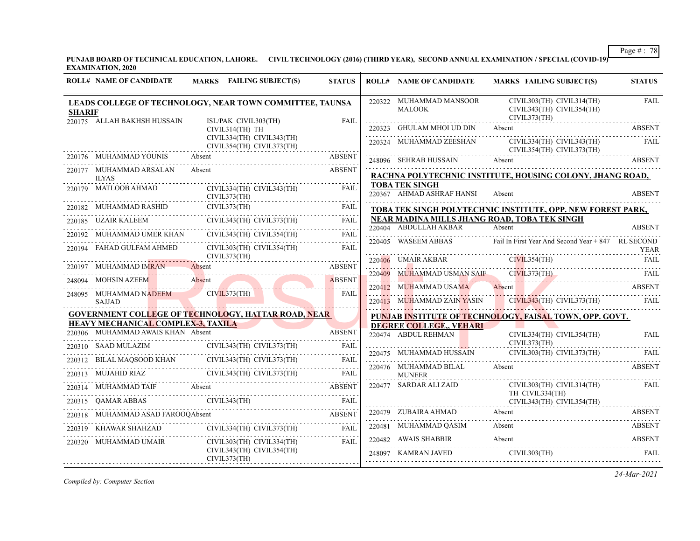**PUNJAB BOARD OF TECHNICAL EDUCATION, LAHORE. CIVIL TECHNOLOGY (2016) (THIRD YEAR), SECOND ANNUAL EXAMINATION / SPECIAL (COVID-19) EXAMINATION, 2020**

|               | <b>ROLL# NAME OF CANDIDATE</b>            | MARKS FAILING SUBJECT(S)                                                         | <b>STATUS</b> |        | <b>ROLL# NAME OF CANDIDATE</b>                     | <b>MARKS FAILING SUBJECT(S)</b>                                        | <b>STATUS</b> |
|---------------|-------------------------------------------|----------------------------------------------------------------------------------|---------------|--------|----------------------------------------------------|------------------------------------------------------------------------|---------------|
| <b>SHARIF</b> | 220175 ALLAH BAKHSH HUSSAIN               | LEADS COLLEGE OF TECHNOLOGY, NEAR TOWN COMMITTEE, TAUNSA<br>ISL/PAK CIVIL303(TH) | FAII.         |        | 220322 MUHAMMAD MANSOOR<br><b>MALOOK</b>           | CIVIL303(TH) CIVIL314(TH)<br>CIVIL343(TH) CIVIL354(TH)<br>CIVIL373(TH) | <b>FAIL</b>   |
|               |                                           | CIVIL314(TH) TH                                                                  |               |        | 220323 GHULAM MHOI UD DIN                          | Absent                                                                 | <b>ABSENT</b> |
|               |                                           | CIVIL334(TH) CIVIL343(TH)<br>CIVIL354(TH) CIVIL373(TH)                           |               |        | 220324 MUHAMMAD ZEESHAN                            | CIVIL334(TH) CIVIL343(TH)<br>CIVIL354(TH) CIVIL373(TH)                 | FAIL          |
|               | 220176 MUHAMMAD YOUNIS                    | Absent                                                                           | <b>ABSENT</b> |        | 248096 SEHRAB HUSSAIN                              | Absent                                                                 | ABSENT        |
|               | 220177 MUHAMMAD ARSALAN<br><b>ILYAS</b>   | Absent                                                                           | <b>ABSENT</b> |        |                                                    | RACHNA POLYTECHNIC INSTITUTE, HOUSING COLONY, JHANG ROAD,              |               |
|               | 220179 MATLOOB AHMAD                      | CIVIL334(TH) CIVIL343(TH)<br>CIVIL373(TH)                                        | FAIL          |        | <b>TOBA TEK SINGH</b><br>220367 AHMAD ASHRAF HANSI | Absent                                                                 | <b>ABSENT</b> |
|               | 220182 MUHAMMAD RASHID                    | CIVIL373(TH)                                                                     | <b>FAIL</b>   |        |                                                    | TOBA TEK SINGH POLYTECHNIC INSTITUTE, OPP. NEW FOREST PARK,            |               |
|               | 220185 UZAIR KALEEM CI                    | CIVIL343(TH) CIVIL373(TH)                                                        | FAIL          |        | 220404 ABDULLAH AKBAR                              | NEAR MADINA MILLS JHANG ROAD, TOBA TEK SINGH                           |               |
|               | 220192 MUHAMMAD UMER KHAN                 | CIVIL343(TH) CIVIL354(TH)                                                        | FAIL          |        |                                                    | Absent                                                                 | <b>ABSENT</b> |
|               | 220194 FAHAD GULFAM AHMED                 | CIVIL303(TH) CIVIL354(TH)<br>CIVIL373(TH)                                        | FAII.         |        | 220405 WASEEM ABBAS                                | Fail In First Year And Second Year + 847 RL SECOND                     | <b>YEAR</b>   |
|               | MUHAMMAD IMRAN                            | MUHAMMAD IMRAN Absent ABSENT                                                     |               |        | 220406 UMAIR AKBAR                                 |                                                                        | FAIL          |
|               | 248094 MOHSIN AZEEM                       | Absent                                                                           | <b>ABSENT</b> | 220409 | MUHAMMAD USMAN SAIF                                | CIVIL373(TH)                                                           | FAIL          |
|               | 248095 MUHAMMAD NADEEM                    | CIVIL373(TH)                                                                     | FAIL          |        | 220412 MUHAMMAD USAMA                              | Absent                                                                 | ABSENT        |
|               | SAJJAD                                    |                                                                                  |               |        | 220413 MUHAMMAD ZAIN YASIN                         | CIVIL343(TH) CIVIL373(TH)                                              | FAIL          |
|               |                                           | GOVERNMENT COLLEGE OF TECHNOLOGY, HATTAR ROAD, NEAR                              |               |        |                                                    | PUNJAB INSTITUTE OF TECHNOLOGY, FAISAL TOWN, OPP. GOVT.                |               |
|               | <b>HEAVY MECHANICAL COMPLEX-3, TAXILA</b> |                                                                                  |               |        | DEGREE COLLEGE,, VEHARI                            |                                                                        |               |
|               | 220306 MUHAMMAD AWAIS KHAN Absent         |                                                                                  | <b>ABSENT</b> |        | 220474 ABDUL REHMAN                                | CIVIL334(TH) CIVIL354(TH)<br>CIVIL373(TH)                              | <b>FAIL</b>   |
|               |                                           | 220310 SAAD MULAZIM CIVIL343(TH) CIVIL373(TH) FAIL                               |               |        |                                                    | 220475 MUHAMMAD HUSSAIN CIVIL303(TH) CIVIL373(TH) FAIL                 |               |
|               |                                           | 220312 BILAL MAQSOOD KHAN CIVIL343(TH) CIVIL373(TH) FAIL                         | FAIL          |        | 220476 MUHAMMAD BILAL                              | Absent                                                                 | <b>ABSENT</b> |
|               |                                           | 220313 MUJAHID RIAZ CIVIL343(TH) CIVIL373(TH) FAIL                               |               |        | <b>MUNEER</b>                                      |                                                                        |               |
|               |                                           | 220314 MUHAMMAD TAIF Absent ABSENT                                               |               |        | 220477 SARDAR ALI ZAID                             | CIVIL303(TH) CIVIL314(TH)<br>TH CIVIL334(TH)                           | <b>FAIL</b>   |
|               |                                           | 220315 QAMAR ABBAS CIVIL343(TH) FAIL                                             | FAIL          |        |                                                    | CIVIL343(TH) CIVIL354(TH)                                              |               |
|               | 220318 MUHAMMAD ASAD FAROOQAbsent         |                                                                                  |               |        | 220479 ZUBAIRA AHMAD                               | Absent                                                                 | <b>ABSENT</b> |
|               |                                           | 220319 KHAWAR SHAHZAD CIVIL334(TH) CIVIL373(TH)                                  | FAII.         |        | 220481 MUHAMMAD OASIM                              | Absent<br>220481 MUHAMMAD QASIM Absent Absent ABSENT                   | <b>ABSENT</b> |
|               | 220320 MUHAMMAD UMAIR                     | CIVIL303(TH) CIVIL334(TH)                                                        | FAIL          |        | 220482 AWAIS SHABBIR                               | Absent                                                                 | ABSENT        |
|               |                                           | CIVIL343(TH) CIVIL354(TH)<br>CIVIL373(TH)                                        |               |        |                                                    | 248097 KAMRAN JAVED CIVIL303(TH) FAIL                                  |               |

*Compiled by: Computer Section*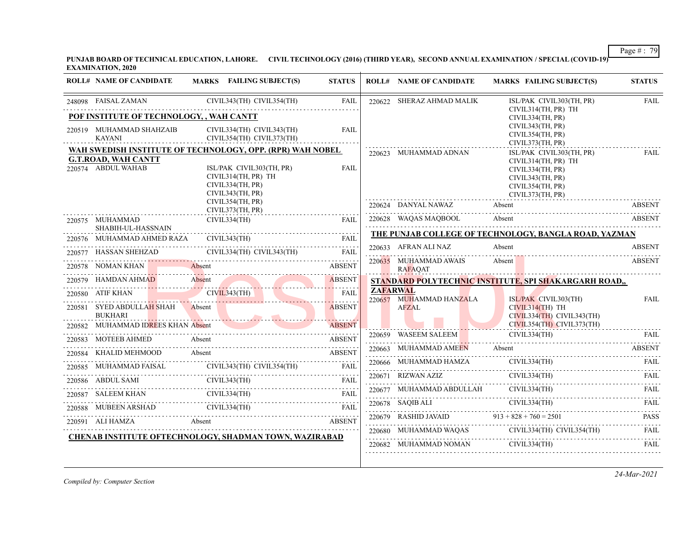**PUNJAB BOARD OF TECHNICAL EDUCATION, LAHORE. CIVIL TECHNOLOGY (2016) (THIRD YEAR), SECOND ANNUAL EXAMINATION / SPECIAL (COVID-19) EXAMINATION, 2020**

|        | <b>ROLL# NAME OF CANDIDATE</b>                   | <b>MARKS</b> FAILING SUBJECT(S)                                                                                                                      | <b>STATUS</b> | <b>ROLL# NAME OF CANDIDATE</b>             | <b>MARKS FAILING SUBJECT(S)</b>                                                                                                 | <b>STATUS</b> |
|--------|--------------------------------------------------|------------------------------------------------------------------------------------------------------------------------------------------------------|---------------|--------------------------------------------|---------------------------------------------------------------------------------------------------------------------------------|---------------|
|        | 248098 FAISAL ZAMAN                              | CIVIL343(TH) CIVIL354(TH)                                                                                                                            | <b>FAIL</b>   | 220622 SHERAZ AHMAD MALIK                  | ISL/PAK CIVIL303(TH, PR)                                                                                                        | <b>FAIL</b>   |
|        | POF INSTITUTE OF TECHNOLOGY, , WAH CANTT         |                                                                                                                                                      |               |                                            | CIVIL314(TH, PR) TH<br>CIVIL334(TH, PR)                                                                                         |               |
|        | 220519 MUHAMMAD SHAHZAIB                         | CIVIL334(TH) CIVIL343(TH)                                                                                                                            | <b>FAIL</b>   |                                            | CIVIL343(TH, PR)<br>CIVIL354(TH, PR)                                                                                            |               |
|        | <b>KAYANI</b>                                    | CIVIL354(TH) CIVIL373(TH)                                                                                                                            |               |                                            | CIVIL373(TH, PR)                                                                                                                |               |
|        | <b>G.T.ROAD, WAH CANTT</b><br>220574 ABDUL WAHAB | WAH SWEDISH INSTITUTE OF TECHNOLOGY, OPP. (RPR) WAH NOBEL<br>ISL/PAK CIVIL303(TH, PR)<br>CIVIL314(TH, PR) TH<br>CIVIL334(TH, PR)<br>CIVIL343(TH, PR) | <b>FAIL</b>   | 220623 MUHAMMAD ADNAN                      | ISL/PAK CIVIL303(TH, PR)<br>CIVIL314(TH, PR) TH<br>CIVIL334(TH, PR)<br>CIVIL343(TH, PR)<br>CIVIL354(TH, PR)<br>CIVIL373(TH, PR) | <b>FAIL</b>   |
|        |                                                  | CIVIL354(TH, PR)<br>CIVIL373(TH, PR)                                                                                                                 |               | 220624 DANYAL NAWAZ                        | Absent                                                                                                                          | <b>ABSENT</b> |
|        | 220575 MUHAMMAD<br>SHABIH-UL-HASSNAIN            | CIVIL334(TH)                                                                                                                                         | FAIL          | 220628 WAQAS MAQBOOL                       | Absent                                                                                                                          | <b>ABSENT</b> |
|        | 220576 MUHAMMAD AHMED RAZA                       | CIVIL343(TH)                                                                                                                                         | <b>FAIL</b>   |                                            | THE PUNJAB COLLEGE OF TECHNOLOGY, BANGLA ROAD, YAZMAN                                                                           |               |
|        | 220577 HASSAN SHEHZAD                            | CIVIL334(TH) CIVIL343(TH)                                                                                                                            | <b>FAIL</b>   | 220633 AFRAN ALI NAZ                       | Absent                                                                                                                          | <b>ABSENT</b> |
|        | 220578 NOMAN KHAN                                | Absent                                                                                                                                               | <b>ABSENT</b> | 220635 MUHAMMAD AWAIS<br><b>RAFAQAT</b>    | Absent<br>the contract of the contract of the contract of the contract of the contract of the contract of the contract of       | <b>ABSENT</b> |
|        | 220579 HAMDAN AHMAD                              | <b>Absent</b>                                                                                                                                        | <b>ABSENT</b> |                                            | STANDARD POLYTECHNIC INSTITUTE, SPI SHAKARGARH ROAD,,                                                                           |               |
|        | 220580 ATIF KHAN                                 | CIVIL343(TH)                                                                                                                                         | FAIL          | <b>ZAFARWAL</b><br>220657 MUHAMMAD HANZALA | ISL/PAK CIVIL303(TH)                                                                                                            | <b>FAIL</b>   |
| 220581 | SYED ABDULLAH SHAH<br><b>BUKHARI</b>             | Absent                                                                                                                                               | <b>ABSENT</b> | <b>AFZAL</b>                               | $CIVIL314(TH)$ TH<br>CIVIL334(TH) CIVIL343(TH)                                                                                  |               |
|        | 220582 MUHAMMAD IDREES KHAN Absent               |                                                                                                                                                      | <b>ABSENT</b> |                                            | CIVIL354(TH) CIVIL373(TH)                                                                                                       |               |
|        | 220583 MOTEEB AHMED                              | Absent                                                                                                                                               | <b>ABSENT</b> | 220659 WASEEM SALEEM                       | CIVIL334(TH)                                                                                                                    | FAIL          |
| 220584 | KHALID MEHMOOD                                   | Absent                                                                                                                                               | <b>ABSENT</b> | 220663 MUHAMMAD AMEEN                      | Absent                                                                                                                          | <b>ABSENT</b> |
|        |                                                  | 220585 MUHAMMAD FAISAL CIVIL343(TH) CIVIL354(TH) FAIL                                                                                                |               | 220666 MUHAMMAD HAMZA                      | CIVIL334(TH)                                                                                                                    | FAIL          |
|        | 220586 ABDUL SAMI                                | CIVIL343(TH)                                                                                                                                         | FAIL          | 220671 RIZWAN AZIZ                         | CIVIL334(TH)                                                                                                                    | FAIL          |
|        | 220587 SALEEM KHAN                               | CIVIL334(TH)                                                                                                                                         | FAIL          | 220677 MUHAMMAD ABDULLAH                   | CIVIL334(TH)                                                                                                                    | FAIL          |
|        | 220588 MUBEEN ARSHAD                             | CIVIL334(TH)                                                                                                                                         |               | 220678 SAQIB ALI                           | CIVIL334(TH)                                                                                                                    | FAIL          |
|        | 220591 ALI HAMZA<br><b>Absent</b>                |                                                                                                                                                      | <b>ABSENT</b> | 220679 RASHID JAVAID                       | $913 + 828 + 760 = 2501$                                                                                                        | <b>PASS</b>   |
|        |                                                  | CHENAB INSTITUTE OFTECHNOLOGY, SHADMAN TOWN, WAZIRABAD                                                                                               |               |                                            | CIVIL334(TH) CIVIL354(TH)<br>220680 MUHAMMAD WAQAS CIVIL334(TH) CIVIL354(TH) FAIL                                               |               |
|        |                                                  |                                                                                                                                                      |               | 220682 MUHAMMAD NOMAN                      | CIVIL334(TH)                                                                                                                    | FAIL          |

*24-Mar-2021*

Page # : 79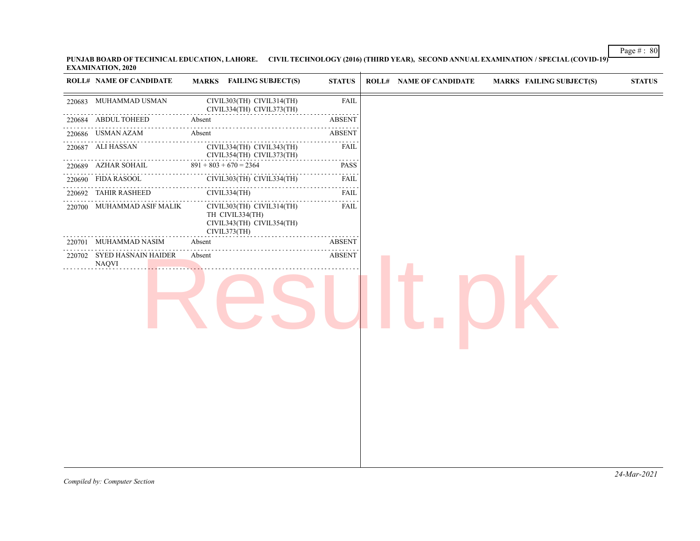**PUNJAB BOARD OF TECHNICAL EDUCATION, LAHORE. CIVIL TECHNOLOGY (2016) (THIRD YEAR), SECOND ANNUAL EXAMINATION / SPECIAL (COVID-19) EXAMINATION, 2020**  $\overline{1}$ 

|        | <b>ROLL# NAME OF CANDIDATE</b>             | <b>MARKS</b> FAILING SUBJECT(S)                                                           | <b>STATUS</b>      | <b>ROLL# NAME OF CANDIDATE</b> | <b>MARKS FAILING SUBJECT(S)</b> | $\bold{STATUS}$ |
|--------|--------------------------------------------|-------------------------------------------------------------------------------------------|--------------------|--------------------------------|---------------------------------|-----------------|
|        | 220683 MUHAMMAD USMAN                      | CIVIL303(TH) CIVIL314(TH)<br>CIVIL334(TH) CIVIL373(TH)                                    | <b>FAIL</b>        |                                |                                 |                 |
|        | 220684 ABDUL TOHEED                        | Absent                                                                                    | <b>ABSENT</b>      |                                |                                 |                 |
|        | 220686 USMAN AZAM                          | Absent                                                                                    | <b>ABSENT</b>      |                                |                                 |                 |
|        | 220687 ALI HASSAN                          | CIVIL334(TH) CIVIL343(TH)<br>CIVIL354(TH) CIVIL373(TH)                                    | .<br><b>FAIL</b>   |                                |                                 |                 |
|        | 220689 AZHAR SOHAIL                        | $891 + 803 + 670 = 2364$                                                                  | <b>PASS</b>        |                                |                                 |                 |
|        | 220690 FIDA RASOOL                         | CIVIL303(TH) CIVIL334(TH)<br>.                                                            | <b>FAIL</b>        |                                |                                 |                 |
|        | 220692 TAHIR RASHEED                       | CIVIL334(TH)                                                                              | المتمامين<br>FAIL  |                                |                                 |                 |
|        | 220700 MUHAMMAD ASIF MALIK                 | CIVIL303(TH) CIVIL314(TH)<br>TH CIVIL334(TH)<br>CIVIL343(TH) CIVIL354(TH)<br>CIVIL373(TH) | <b>FAIL</b>        |                                |                                 |                 |
| 220701 | MUHAMMAD NASIM                             | Absent                                                                                    | <b>ABSENT</b><br>. |                                |                                 |                 |
|        | 220702 SYED HASNAIN HAIDER<br><b>NAQVI</b> | Absent                                                                                    | <b>ABSENT</b>      |                                |                                 |                 |

Page # : 80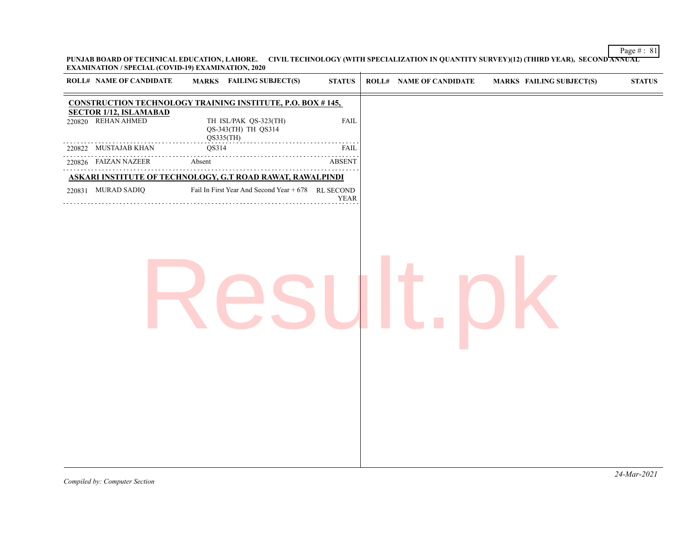Page  $\# : 81$ **PUNJAB BOARD OF TECHNICAL EDUCATION, LAHORE. CIVIL TECHNOLOGY (WITH SPECIALIZATION IN QUANTITY SURVEY)(12) (THIRD YEAR), SECOND ANNUAL EXAMINATION / SPECIAL (COVID-19) EXAMINATION, 2020**

| <b>ROLL# NAME OF CANDIDATE</b>                      | <b>MARKS</b> FAILING SUBJECT(S)                                   | <b>STATUS</b> | <b>ROLL# NAME OF CANDIDATE</b> | <b>MARKS FAILING SUBJECT(S)</b> | <b>STATUS</b> |
|-----------------------------------------------------|-------------------------------------------------------------------|---------------|--------------------------------|---------------------------------|---------------|
|                                                     | <b>CONSTRUCTION TECHNOLOGY TRAINING INSTITUTE, P.O. BOX #145,</b> |               |                                |                                 |               |
| <b>SECTOR 1/12, ISLAMABAD</b><br>220820 REHAN AHMED | TH ISL/PAK QS-323(TH)<br>QS-343(TH) TH QS314<br>QS335(TH)         | <b>FAIL</b>   |                                |                                 |               |
| 220822 MUSTAJAB KHAN                                | QS314                                                             | <b>FAIL</b>   |                                |                                 |               |
| 220826 FAIZAN NAZEER                                | Absent                                                            | <b>ABSENT</b> |                                |                                 |               |
|                                                     | ASKARI INSTITUTE OF TECHNOLOGY, G.T ROAD RAWAT, RAWALPINDI        |               |                                |                                 |               |
| 220831 MURAD SADIQ                                  | Fail In First Year And Second Year + 678 RL SECOND                | <b>YEAR</b>   |                                |                                 |               |
|                                                     |                                                                   |               |                                |                                 |               |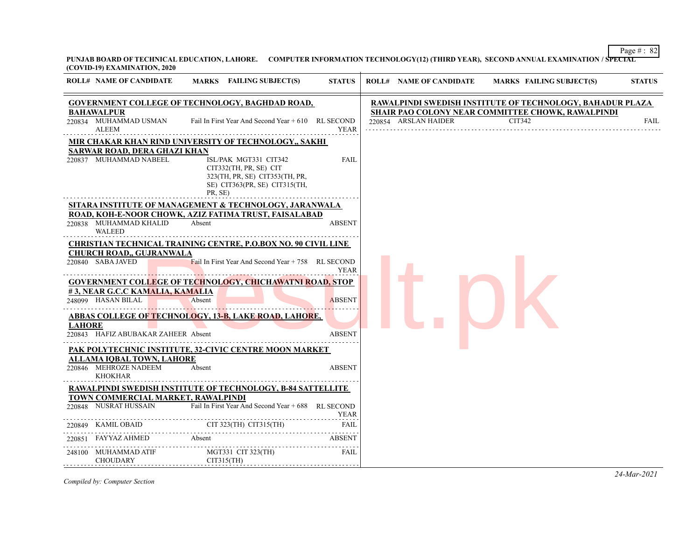Page  $\# : 82$ **PUNJAB BOARD OF TECHNICAL EDUCATION, LAHORE. COMPUTER INFORMATION TECHNOLOGY(12) (THIRD YEAR), SECOND ANNUAL EXAMINATION / SPECIAL (COVID-19) EXAMINATION, 2020**

| <b>ROLL# NAME OF CANDIDATE</b>                                              | <b>MARKS</b> FAILING SUBJECT(S)                                                                                                                                                        | <b>STATUS</b> | <b>ROLL# NAME OF CANDIDATE</b> | MARKS FAILING SUBJECT(S)                                         | <b>STATUS</b> |
|-----------------------------------------------------------------------------|----------------------------------------------------------------------------------------------------------------------------------------------------------------------------------------|---------------|--------------------------------|------------------------------------------------------------------|---------------|
|                                                                             | <b>GOVERNMENT COLLEGE OF TECHNOLOGY, BAGHDAD ROAD,</b>                                                                                                                                 |               |                                | <b>RAWALPINDI SWEDISH INSTITUTE OF TECHNOLOGY, BAHADUR PLAZA</b> |               |
| <b>BAHAWALPUR</b><br>220834 MUHAMMAD USMAN<br>ALEEM                         | Fail In First Year And Second Year $+610$ RL SECOND                                                                                                                                    | <b>YEAR</b>   | 220854 ARSLAN HAIDER           | SHAIR PAO COLONY NEAR COMMITTEE CHOWK, RAWALPINDI<br>CIT342      | <b>FAIL</b>   |
| SARWAR ROAD, DERA GHAZI KHAN<br>220837 MUHAMMAD NABEEL                      | MIR CHAKAR KHAN RIND UNIVERSITY OF TECHNOLOGY,, SAKHI<br>ISL/PAK MGT331 CIT342<br>CIT332(TH, PR, SE) CIT<br>323(TH, PR, SE) CIT353(TH, PR,<br>SE) CIT363(PR, SE) CIT315(TH,<br>PR, SE) | <b>FAIL</b>   |                                |                                                                  |               |
| 220838 MUHAMMAD KHALID<br>WALEED                                            | <u>SITARA INSTITUTE OF MANAGEMENT &amp; TECHNOLOGY, JARANWALA</u><br>ROAD, KOH-E-NOOR CHOWK, AZIZ FATIMA TRUST, FAISALABAD<br>Absent                                                   | <b>ABSENT</b> |                                |                                                                  |               |
| <b>CHURCH ROAD,, GUJRANWALA</b><br>220840 SABA JAVED                        | <b>CHRISTIAN TECHNICAL TRAINING CENTRE, P.O.BOX NO. 90 CIVIL LINE</b><br>Fail In First Year And Second Year $+ 758$ RL SECOND                                                          | <b>YEAR</b>   |                                |                                                                  |               |
| #3, NEAR G.C.C KAMALIA, KAMALIA<br>248099 HASAN BILAL                       | <b>GOVERNMENT COLLEGE OF TECHNOLOGY, CHICHAWATNI ROAD, STOP</b><br>Absent                                                                                                              | <b>ABSENT</b> |                                |                                                                  |               |
| <b>LAHORE</b><br>220843 HAFIZ ABUBAKAR ZAHEER Absent                        | <b>ABBAS COLLEGE OF TECHNOLOGY, 13-B, LAKE ROAD, LAHORE,</b>                                                                                                                           | <b>ABSENT</b> |                                |                                                                  |               |
| <b>ALLAMA IOBAL TOWN, LAHORE</b><br>220846 MEHROZE NADEEM<br><b>KHOKHAR</b> | PAK POLYTECHNIC INSTITUTE, 32-CIVIC CENTRE MOON MARKET<br>Absent                                                                                                                       | <b>ABSENT</b> |                                |                                                                  |               |
| TOWN COMMERCIAL MARKET, RAWALPINDI<br>220848 NUSRAT HUSSAIN                 | RAWALPINDI SWEDISH INSTITUTE OF TECHNOLOGY, B-84 SATTELLITE<br>Fail In First Year And Second Year + 688 RL SECOND                                                                      |               |                                |                                                                  |               |
|                                                                             | EAR<br>220849 KAMIL OBAID CIT 323(TH) CIT315(TH) FAIL<br>220851 FAYYAZ AHMED Absent ABSENT<br>220851 FAYYAZ AHMED Absent                                                               | YEAR<br>FAIL  |                                |                                                                  |               |
|                                                                             |                                                                                                                                                                                        | <b>ABSENT</b> |                                |                                                                  |               |
| CHOUDARY<br>. <del>. .</del> .                                              | 248100 MUHAMMAD ATIF MGT331 CIT 323(TH)<br>CIT315(TH)                                                                                                                                  | FAIL          |                                |                                                                  |               |

*Compiled by: Computer Section*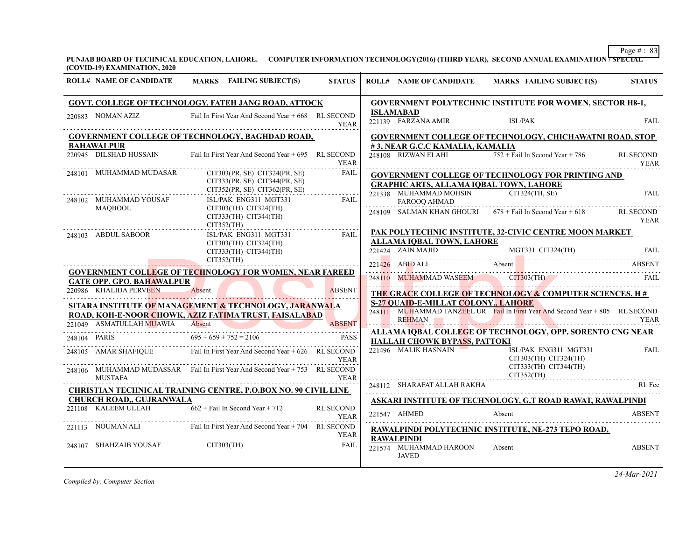**PUNJAB BOARD OF TECHNICAL EDUCATION, LAHORE. COMPUTER INFORMATION TECHNOLOGY(2016) (THIRD YEAR), SECOND ANNUAL EXAMINATION / SPECIAL (COVID-19) EXAMINATION, 2020**

| <b>ROLL# NAME OF CANDIDATE</b>   | MARKS FAILING SUBJECT(S)                                                              | <b>STATUS</b>    |               |                                                       | ROLL# NAME OF CANDIDATE MARKS FAILING SUBJECT(S)                                                                                                                                                                               | <b>STATUS</b>            |
|----------------------------------|---------------------------------------------------------------------------------------|------------------|---------------|-------------------------------------------------------|--------------------------------------------------------------------------------------------------------------------------------------------------------------------------------------------------------------------------------|--------------------------|
|                                  | <b>GOVT. COLLEGE OF TECHNOLOGY, FATEH JANG ROAD, ATTOCK</b>                           |                  |               |                                                       | GOVERNMENT POLYTECHNIC INSTITUTE FOR WOMEN, SECTOR H8-1,                                                                                                                                                                       |                          |
| 220883 NOMAN AZIZ                | Fail In First Year And Second Year + 668 RL SECOND                                    | <b>YEAR</b>      |               | <b>ISLAMABAD</b><br>221139 FARZANA AMIR               | ISL/PAK                                                                                                                                                                                                                        | <b>FAIL</b>              |
|                                  | GOVERNMENT COLLEGE OF TECHNOLOGY, BAGHDAD ROAD,                                       |                  |               |                                                       | <b>GOVERNMENT COLLEGE OF TECHNOLOGY, CHICHAWATNI ROAD, STOP</b>                                                                                                                                                                |                          |
| <b>BAHAWALPUR</b>                |                                                                                       |                  |               | #3, NEAR G.C.C KAMALIA, KAMALIA                       |                                                                                                                                                                                                                                |                          |
| 220945 DILSHAD HUSSAIN           | Fail In First Year And Second Year + 695 RL SECOND                                    | YEAR             |               |                                                       | 248108 RIZWAN ELAHI 752 + Fail In Second Year + 786                                                                                                                                                                            | <b>RL SECOND</b><br>YEAR |
| 248101 MUHAMMAD MUDASAR          | CIT303(PR, SE) CIT324(PR, SE)                                                         | FAIL             |               |                                                       | <b>GOVERNMENT COLLEGE OF TECHNOLOGY FOR PRINTING AND</b>                                                                                                                                                                       |                          |
|                                  | CIT333(PR, SE) CIT344(PR, SE)<br>$CIT352(PR, SE)$ $CIT362(PR, SE)$                    |                  |               | <b>GRAPHIC ARTS, ALLAMA IOBAL TOWN, LAHORE</b>        |                                                                                                                                                                                                                                |                          |
| 248102 MUHAMMAD YOUSAF           | ISL/PAK ENG311 MGT331                                                                 | .<br><b>FAIL</b> |               | 221338 MUHAMMAD MOHSIN CIT324(TH, SE)<br>FAROOQ AHMAD |                                                                                                                                                                                                                                | <b>FAIL</b>              |
| MAQBOOL                          | CIT303(TH) CIT324(TH)<br>CIT305(TH) CIT324(TH)<br>CIT333(TH) CIT344(TH)<br>CIT352(TH) |                  |               |                                                       | 248109 SALMAN KHAN GHOURI $678 +$ Fail In Second Year + 618                                                                                                                                                                    | <b>RL SECOND</b><br>YEAR |
| 248103 ABDUL SABOOR              | ISL/PAK ENG311 MGT331                                                                 | FAIL             |               |                                                       | PAK POLYTECHNIC INSTITUTE, 32-CIVIC CENTRE MOON MARKET                                                                                                                                                                         |                          |
|                                  | $CIT303(TH)$ $CIT324(TH)$                                                             |                  |               | <b>ALLAMA IQBAL TOWN, LAHORE</b>                      |                                                                                                                                                                                                                                |                          |
|                                  | $CIT333(TH)$ $CIT344(TH)$                                                             |                  |               |                                                       | 221424 ZAIN MAJID MGT331 CIT324(TH) FAIL                                                                                                                                                                                       |                          |
|                                  | CIT352(TH)                                                                            |                  |               | 221426 ABID ALI Absent                                |                                                                                                                                                                                                                                | ABSENT                   |
| <b>GATE OPP. GPO. BAHAWALPUR</b> | <b>GOVERNMENT COLLEGE OF TECHNOLOGY FOR WOMEN, NEAR FAREED</b>                        |                  |               |                                                       | 248110 MUHAMMAD WASEEM CIT303(TH) FAIL                                                                                                                                                                                         |                          |
| 220986 KHALIDA PERVEEN           | Absent                                                                                | <b>ABSENT</b>    |               |                                                       | THE GRACE COLLEGE OF TECHNOLOGY & COMPUTER SCIENCES, H#                                                                                                                                                                        |                          |
|                                  | SITARA INSTITUTE OF MANAGEMENT & TECHNOLOGY, JARANWALA                                |                  |               | <b>S-27 QUAID-E-MILLAT COLONY,, LAHORE</b>            |                                                                                                                                                                                                                                |                          |
|                                  | ROAD, KOH-E-NOOR CHOWK, AZIZ FATIMA TRUST, FAISALABAD                                 |                  |               |                                                       | 248111 MUHAMMAD TANZEEL UR Fail In First Year And Second Year + 805 RL SECOND                                                                                                                                                  |                          |
|                                  | 221049 ASMATULLAH MUAWIA Absent ABSENT                                                |                  | <mark></mark> | <b>REHMAN</b>                                         | <u> Experimental American American Strategic</u>                                                                                                                                                                               | <b>YEAR</b>              |
| 248104 PARIS                     | $695 + 659 + 752 = 2106$                                                              | <b>PASS</b>      |               |                                                       | ALLAMA IQBAL COLLEGE OF TECHNOLOGY, OPP. SORENTO CNG NEAR                                                                                                                                                                      |                          |
|                                  |                                                                                       |                  |               | <b>HALLAH CHOWK BYPASS, PATTOKI</b>                   |                                                                                                                                                                                                                                |                          |
| 248105 AMAR SHAFIQUE             | Fail In First Year And Second Year + 626 RL SECOND                                    | <b>YEAR</b>      |               | 221496 MALIK HASNAIN                                  | ISL/PAK ENG311 MGT331<br>$CIT303(TH)$ $CIT324(TH)$                                                                                                                                                                             | <b>FAIL</b>              |
| <b>MUSTAFA</b>                   | 248106 MUHAMMAD MUDASSAR Fail In First Year And Second Year + 753 RL SECOND           | <b>YEAR</b>      |               |                                                       | $CIT333(TH)$ $CIT344(TH)$<br>CIT352(TH)                                                                                                                                                                                        |                          |
|                                  |                                                                                       |                  |               | 248112 SHARAFAT ALLAH RAKHA                           | 248112 SHARAFAT ALLAH RAKHA RL Fee RL Fee RL Fee RL Fee RL Fee RL Fee RL Fee RL Fee RL Fee RL Fee RL Fee RL Fee RL Fee RL Fee RL Fee RL Fee RL Fee RL Fee RL Fee RL Fee RL Fee RL Fee RL Fee RL Fee RL Fee RL Fee RL Fee RL Fe |                          |
| <b>CHURCH ROAD., GUJRANWALA</b>  | <b>CHRISTIAN TECHNICAL TRAINING CENTRE, P.O.BOX NO. 90 CIVIL LINE</b>                 |                  |               |                                                       |                                                                                                                                                                                                                                |                          |
|                                  | 221108 KALEEM ULLAH $662 + \text{Fall In Second Year} + 712$                          | RL SECOND        |               |                                                       | ASKARI INSTITUTE OF TECHNOLOGY, G.T ROAD RAWAT, RAWALPINDI                                                                                                                                                                     |                          |
|                                  |                                                                                       | YEAR             |               | 221547 AHMED                                          | Absent                                                                                                                                                                                                                         | <b>ABSENT</b>            |
|                                  | 221113 NOUMAN ALI Fail In First Year And Second Year + 704 RL SECOND                  | YEAR             |               | <b>RAWALPINDI</b>                                     | RAWALPINDI POLYTECHNIC INSTITUTE, NE-273 TEPO ROAD,                                                                                                                                                                            |                          |
|                                  | 248107 SHAHZAIB YOUSAF CIT303(TH) FAIL                                                | FAIL             |               | 221574 MUHAMMAD HAROON                                | Absent                                                                                                                                                                                                                         | <b>ABSENT</b>            |
|                                  |                                                                                       |                  |               | <b>JAVED</b>                                          |                                                                                                                                                                                                                                |                          |
|                                  |                                                                                       |                  |               |                                                       |                                                                                                                                                                                                                                |                          |

*Compiled by: Computer Section*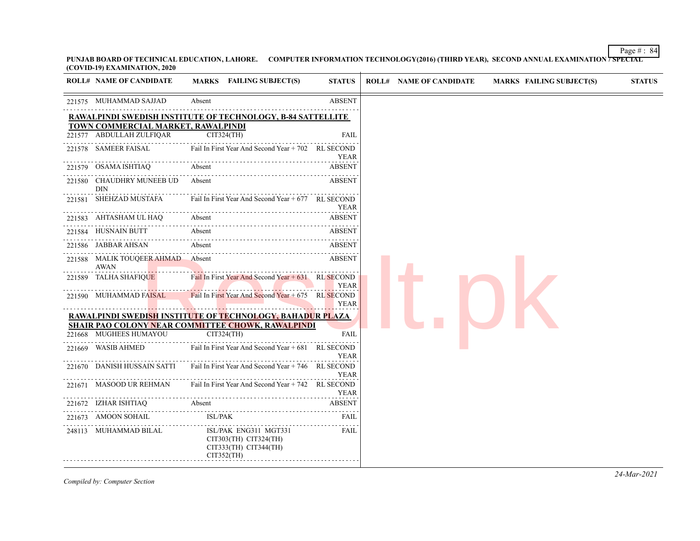**PUNJAB BOARD OF TECHNICAL EDUCATION, LAHORE. COMPUTER INFORMATION TECHNOLOGY(2016) (THIRD YEAR), SECOND ANNUAL EXAMINATION / SPECIAL (COVID-19) EXAMINATION, 2020**

| <b>ROLL# NAME OF CANDIDATE</b>            | MARKS FAILING SUBJECT(S)                                                              | <b>STATUS</b> |
|-------------------------------------------|---------------------------------------------------------------------------------------|---------------|
| 221575 MUHAMMAD SAJJAD                    | Absent                                                                                | <b>ABSENT</b> |
| TOWN COMMERCIAL MARKET, RAWALPINDI        | <b>RAWALPINDI SWEDISH INSTITUTE OF TECHNOLOGY, B-84 SATTELLITE</b>                    |               |
| 221577 ABDULLAH ZULFIQAR                  | CIT324(TH)                                                                            | <b>FAIL</b>   |
| 221578 SAMEER FAISAL                      | Fail In First Year And Second Year + 702 RL SECOND                                    | YEAR          |
| 221579 OSAMA ISHTIAQ                      | Absent                                                                                | <b>ABSENT</b> |
| 221580 CHAUDHRY MUNEEB UD<br><b>DIN</b>   | Absent                                                                                | ABSENT        |
| 221581 SHEHZAD MUSTAFA                    | Fail In First Year And Second Year + 677 RL SECOND                                    | YEAR          |
| 221583 AHTASHAM UL HAQ                    | Absent                                                                                | <b>ABSENT</b> |
| 221584 HUSNAIN BUTT                       | Absent                                                                                | ABSENT        |
| 221586 JABBAR AHSAN                       | Absent                                                                                | ABSENT        |
| 221588 MALIK TOUQEER AHMAD Absent<br>AWAN |                                                                                       | <b>ABSENT</b> |
| 221589 TALHA SHAFIQUE                     | Fail In First Year And Second Year $+631$ RL SECOND                                   | YEAR          |
| 221590 MUHAMMAD FAISAL                    | Fail In First Year And Second Year $+675$ RL SECOND                                   | <b>YEAR</b>   |
|                                           | <b>RAWALPINDI SWEDISH INSTITUTE OF TECHNOLOGY, BAHADUR PLAZA</b>                      |               |
| 221668 MUGHEES HUMAYOU                    | <u>SHAIR PAO COLONY NEAR COMMITTEE CHOWK, RAWALPINDI</u><br>CIT324(TH)                | <b>FAIL</b>   |
| 221669 WASIB AHMED                        | Fail In First Year And Second Year + 681 RL SECOND                                    | YEAR          |
| 221670 DANISH HUSSAIN SATTI               | Fail In First Year And Second Year + 746 RL SECOND                                    | <b>YEAR</b>   |
| 221671 MASOOD UR REHMAN                   | Fail In First Year And Second Year + 742 RL SECOND                                    | YEAR          |
|                                           | 221672 IZHAR ISHTIAQ Absent ABSENT                                                    | <b>ABSENT</b> |
| 221673 AMOON SOHAIL                       | ISL/PAK                                                                               | FAIL          |
| 248113 MUHAMMAD BILAL                     | ISL/PAK ENG311 MGT331<br>CIT303(TH) CIT324(TH)<br>CIT333(TH) CIT344(TH)<br>CIT352(TH) | FAIL          |

Page  $\# : 84$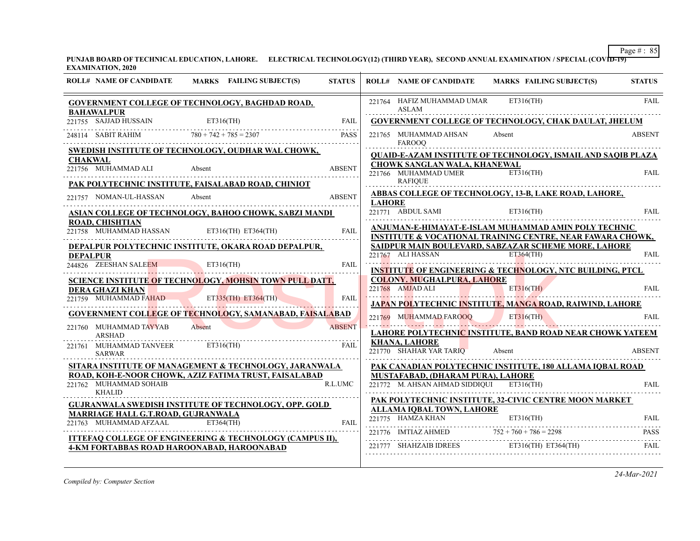PUNJAB BOARD OF TECHNICAL EDUCATION, LAHORE. ELECTRICAL TECHNOLOGY(12) (THIRD YEAR), SECOND ANNUAL EXAMINATION / SPECIAL (COVID-19) **EXAMINATION, 2020**

| $ET316$ (TH)<br>221764    HAFIZ MUHAMMAD UMAR<br>GOVERNMENT COLLEGE OF TECHNOLOGY, BAGHDAD ROAD,<br><b>ASLAM</b><br><b>BAHAWALPUR</b><br>$\overbrace{221755} \quad \overbrace{SAJJAD} \quad \overbrace{H} \quad \overbrace{ET316(TH)} \qquad \qquad \overbrace{FAIL} \qquad \qquad \overbrace{FAIL}$<br><b>GOVERNMENT COLLEGE OF TECHNOLOGY, CHAK DAULAT, JHELUM</b><br>248114 SABIT RAHIM $780 + 742 + 785 = 2307$<br><b>PASS</b><br>221765 MUHAMMAD AHSAN<br>Absent<br><b>FAROOO</b><br>SWEDISH INSTITUTE OF TECHNOLOGY, OUDHAR WAL CHOWK,<br><b>QUAID-E-AZAM INSTITUTE OF TECHNOLOGY, ISMAIL AND SAQIB PLAZA</b><br><b>CHAKWAL</b><br>CHOWK SANGLAN WALA, KHANEWAL<br><b>ABSENT</b><br>Absent<br>$ET316$ (TH)<br>221766 MUHAMMAD UMER<br><b>RAFIQUE</b><br>PAK POLYTECHNIC INSTITUTE, FAISALABAD ROAD, CHINIOT<br>ABBAS COLLEGE OF TECHNOLOGY, 13-B, LAKE ROAD, LAHORE,<br><b>ABSENT</b><br>Absent<br><b>LAHORE</b><br>ET316(TH)<br>221771 ABDUL SAMI<br><u>ASIAN COLLEGE OF TECHNOLOGY, BAHOO CHOWK, SABZI MANDI</u><br><b>ROAD, CHISHTIAN</b><br>ANJUMAN-E-HIMAYAT-E-ISLAM MUHAMMAD AMIN POLY TECHNIC<br>221758 MUHAMMAD HASSAN ET316(TH) ET364(TH)<br><b>FAIL</b><br>INSTITUTE & VOCATIONAL TRAINING CENTRE, NEAR FAWARA CHOWK,<br>SAIDPUR MAIN BOULEVARD, SABZAZAR SCHEME MORE, LAHORE<br>DEPALPUR POLYTECHNIC INSTITUTE, OKARA ROAD DEPALPUR,<br>$ET364$ (TH)<br>221767 ALI HASSAN ET364(TH) FAIL<br><b>DEPALPUR</b><br>244826 ZEESHAN SALEEM<br>FAIL<br><b>INSTITUTE OF ENGINEERING &amp; TECHNOLOGY, NTC BUILDING, PTCL</b><br><b>COLONY. MUGHALPURA, LAHORE</b><br><b>SCIENCE INSTITUTE OF TECHNOLOGY, MOHSIN TOWN PULL DATT,</b><br>$221768$ AMJAD ALI<br>ET316(TH)<br>DERA GHAZI KHAN<br>221759 MUHAMMAD FAHAD ET335(TH) ET364(TH)<br><b>FAIL</b><br>JAPAN POLYTECHNIC INSTITUTE, MANGA ROAD, RAIWIND, LAHORE<br><b>GOVERNMENT COLLEGE OF TECHNOLOGY, SAMANABAD, FAISALABAD</b><br>221769 MUHAMMAD FAROOQ<br>$ET316$ (TH)<br>Absent<br><b>ABSENT</b><br><b>LAHORE POLYTECHNIC INSTITUTE, BAND ROAD NEAR CHOWK YATEEM</b><br><b>ARSHAD</b><br><b>KHANA, LAHORE</b><br>221761 MUHAMMAD TANVEER<br>ET316(TH)<br>FAIL<br>221770 SHAHAR YAR TARIQ<br>Absent<br><b>SARWAR</b><br>SITARA INSTITUTE OF MANAGEMENT & TECHNOLOGY, JARANWALA<br>PAK CANADIAN POLYTECHNIC INSTITUTE, 180 ALLAMA IQBAL ROAD<br>ROAD, KOH-E-NOOR CHOWK, AZIZ FATIMA TRUST, FAISALABAD<br>MUSTAFABAD, (DHARAM PURA), LAHORE<br>221772 M. AHSAN AHMAD SIDDIQUI ET316(TH)<br>R.L.UMC<br>KHALID<br>PAK POLYTECHNIC INSTITUTE, 32-CIVIC CENTRE MOON MARKET<br><b>GUJRANWALA SWEDISH INSTITUTE OF TECHNOLOGY, OPP. GOLD</b><br>ALLAMA IOBAL TOWN, LAHORE<br>MARRIAGE HALL G.T.ROAD, GUJRANWALA<br>$\begin{tabular}{ccccc} 221775 & HAMZA KHAN & & ET316 (TH) & FAIL \\ \hline 221776 & IMTIAZ AHMED & & & & & & PASS \\ \end{tabular}$<br>221763 MUHAMMAD AFZAAL<br>ET364(TH)<br><b>FAIL</b><br><b>ITTEFAQ COLLEGE OF ENGINEERING &amp; TECHNOLOGY (CAMPUS II),</b><br>221777 SHAHZAIB IDREES ET316(TH) ET364(TH)<br>FAIL<br>4-KM FORTABBAS ROAD HAROONABAD, HAROONABAD | <b>ROLL# NAME OF CANDIDATE</b> | MARKS FAILING SUBJECT(S) | <b>STATUS</b> | <b>ROLL# NAME OF CANDIDATE</b> | <b>MARKS FAILING SUBJECT(S)</b> | <b>STATUS</b> |
|--------------------------------------------------------------------------------------------------------------------------------------------------------------------------------------------------------------------------------------------------------------------------------------------------------------------------------------------------------------------------------------------------------------------------------------------------------------------------------------------------------------------------------------------------------------------------------------------------------------------------------------------------------------------------------------------------------------------------------------------------------------------------------------------------------------------------------------------------------------------------------------------------------------------------------------------------------------------------------------------------------------------------------------------------------------------------------------------------------------------------------------------------------------------------------------------------------------------------------------------------------------------------------------------------------------------------------------------------------------------------------------------------------------------------------------------------------------------------------------------------------------------------------------------------------------------------------------------------------------------------------------------------------------------------------------------------------------------------------------------------------------------------------------------------------------------------------------------------------------------------------------------------------------------------------------------------------------------------------------------------------------------------------------------------------------------------------------------------------------------------------------------------------------------------------------------------------------------------------------------------------------------------------------------------------------------------------------------------------------------------------------------------------------------------------------------------------------------------------------------------------------------------------------------------------------------------------------------------------------------------------------------------------------------------------------------------------------------------------------------------------------------------------------------------------------------------------------------------------------------------------------------------------------------------------------------------------------------------------------------------------------------------------------------------|--------------------------------|--------------------------|---------------|--------------------------------|---------------------------------|---------------|
|                                                                                                                                                                                                                                                                                                                                                                                                                                                                                                                                                                                                                                                                                                                                                                                                                                                                                                                                                                                                                                                                                                                                                                                                                                                                                                                                                                                                                                                                                                                                                                                                                                                                                                                                                                                                                                                                                                                                                                                                                                                                                                                                                                                                                                                                                                                                                                                                                                                                                                                                                                                                                                                                                                                                                                                                                                                                                                                                                                                                                                                  |                                |                          |               |                                |                                 | <b>FAIL</b>   |
|                                                                                                                                                                                                                                                                                                                                                                                                                                                                                                                                                                                                                                                                                                                                                                                                                                                                                                                                                                                                                                                                                                                                                                                                                                                                                                                                                                                                                                                                                                                                                                                                                                                                                                                                                                                                                                                                                                                                                                                                                                                                                                                                                                                                                                                                                                                                                                                                                                                                                                                                                                                                                                                                                                                                                                                                                                                                                                                                                                                                                                                  |                                |                          |               |                                |                                 |               |
|                                                                                                                                                                                                                                                                                                                                                                                                                                                                                                                                                                                                                                                                                                                                                                                                                                                                                                                                                                                                                                                                                                                                                                                                                                                                                                                                                                                                                                                                                                                                                                                                                                                                                                                                                                                                                                                                                                                                                                                                                                                                                                                                                                                                                                                                                                                                                                                                                                                                                                                                                                                                                                                                                                                                                                                                                                                                                                                                                                                                                                                  |                                |                          |               |                                |                                 | <b>ABSENT</b> |
|                                                                                                                                                                                                                                                                                                                                                                                                                                                                                                                                                                                                                                                                                                                                                                                                                                                                                                                                                                                                                                                                                                                                                                                                                                                                                                                                                                                                                                                                                                                                                                                                                                                                                                                                                                                                                                                                                                                                                                                                                                                                                                                                                                                                                                                                                                                                                                                                                                                                                                                                                                                                                                                                                                                                                                                                                                                                                                                                                                                                                                                  |                                |                          |               |                                |                                 |               |
|                                                                                                                                                                                                                                                                                                                                                                                                                                                                                                                                                                                                                                                                                                                                                                                                                                                                                                                                                                                                                                                                                                                                                                                                                                                                                                                                                                                                                                                                                                                                                                                                                                                                                                                                                                                                                                                                                                                                                                                                                                                                                                                                                                                                                                                                                                                                                                                                                                                                                                                                                                                                                                                                                                                                                                                                                                                                                                                                                                                                                                                  | 221756 MUHAMMAD ALI            |                          |               |                                |                                 | <b>FAIL</b>   |
|                                                                                                                                                                                                                                                                                                                                                                                                                                                                                                                                                                                                                                                                                                                                                                                                                                                                                                                                                                                                                                                                                                                                                                                                                                                                                                                                                                                                                                                                                                                                                                                                                                                                                                                                                                                                                                                                                                                                                                                                                                                                                                                                                                                                                                                                                                                                                                                                                                                                                                                                                                                                                                                                                                                                                                                                                                                                                                                                                                                                                                                  |                                |                          |               |                                |                                 |               |
|                                                                                                                                                                                                                                                                                                                                                                                                                                                                                                                                                                                                                                                                                                                                                                                                                                                                                                                                                                                                                                                                                                                                                                                                                                                                                                                                                                                                                                                                                                                                                                                                                                                                                                                                                                                                                                                                                                                                                                                                                                                                                                                                                                                                                                                                                                                                                                                                                                                                                                                                                                                                                                                                                                                                                                                                                                                                                                                                                                                                                                                  | 221757 NOMAN-UL-HASSAN         |                          |               |                                |                                 |               |
|                                                                                                                                                                                                                                                                                                                                                                                                                                                                                                                                                                                                                                                                                                                                                                                                                                                                                                                                                                                                                                                                                                                                                                                                                                                                                                                                                                                                                                                                                                                                                                                                                                                                                                                                                                                                                                                                                                                                                                                                                                                                                                                                                                                                                                                                                                                                                                                                                                                                                                                                                                                                                                                                                                                                                                                                                                                                                                                                                                                                                                                  |                                |                          |               |                                |                                 | <b>FAIL</b>   |
|                                                                                                                                                                                                                                                                                                                                                                                                                                                                                                                                                                                                                                                                                                                                                                                                                                                                                                                                                                                                                                                                                                                                                                                                                                                                                                                                                                                                                                                                                                                                                                                                                                                                                                                                                                                                                                                                                                                                                                                                                                                                                                                                                                                                                                                                                                                                                                                                                                                                                                                                                                                                                                                                                                                                                                                                                                                                                                                                                                                                                                                  |                                |                          |               |                                |                                 |               |
|                                                                                                                                                                                                                                                                                                                                                                                                                                                                                                                                                                                                                                                                                                                                                                                                                                                                                                                                                                                                                                                                                                                                                                                                                                                                                                                                                                                                                                                                                                                                                                                                                                                                                                                                                                                                                                                                                                                                                                                                                                                                                                                                                                                                                                                                                                                                                                                                                                                                                                                                                                                                                                                                                                                                                                                                                                                                                                                                                                                                                                                  |                                |                          |               |                                |                                 |               |
|                                                                                                                                                                                                                                                                                                                                                                                                                                                                                                                                                                                                                                                                                                                                                                                                                                                                                                                                                                                                                                                                                                                                                                                                                                                                                                                                                                                                                                                                                                                                                                                                                                                                                                                                                                                                                                                                                                                                                                                                                                                                                                                                                                                                                                                                                                                                                                                                                                                                                                                                                                                                                                                                                                                                                                                                                                                                                                                                                                                                                                                  |                                |                          |               |                                |                                 |               |
|                                                                                                                                                                                                                                                                                                                                                                                                                                                                                                                                                                                                                                                                                                                                                                                                                                                                                                                                                                                                                                                                                                                                                                                                                                                                                                                                                                                                                                                                                                                                                                                                                                                                                                                                                                                                                                                                                                                                                                                                                                                                                                                                                                                                                                                                                                                                                                                                                                                                                                                                                                                                                                                                                                                                                                                                                                                                                                                                                                                                                                                  |                                |                          |               |                                |                                 |               |
|                                                                                                                                                                                                                                                                                                                                                                                                                                                                                                                                                                                                                                                                                                                                                                                                                                                                                                                                                                                                                                                                                                                                                                                                                                                                                                                                                                                                                                                                                                                                                                                                                                                                                                                                                                                                                                                                                                                                                                                                                                                                                                                                                                                                                                                                                                                                                                                                                                                                                                                                                                                                                                                                                                                                                                                                                                                                                                                                                                                                                                                  |                                |                          |               |                                |                                 | <b>FAIL</b>   |
|                                                                                                                                                                                                                                                                                                                                                                                                                                                                                                                                                                                                                                                                                                                                                                                                                                                                                                                                                                                                                                                                                                                                                                                                                                                                                                                                                                                                                                                                                                                                                                                                                                                                                                                                                                                                                                                                                                                                                                                                                                                                                                                                                                                                                                                                                                                                                                                                                                                                                                                                                                                                                                                                                                                                                                                                                                                                                                                                                                                                                                                  |                                |                          |               |                                |                                 |               |
|                                                                                                                                                                                                                                                                                                                                                                                                                                                                                                                                                                                                                                                                                                                                                                                                                                                                                                                                                                                                                                                                                                                                                                                                                                                                                                                                                                                                                                                                                                                                                                                                                                                                                                                                                                                                                                                                                                                                                                                                                                                                                                                                                                                                                                                                                                                                                                                                                                                                                                                                                                                                                                                                                                                                                                                                                                                                                                                                                                                                                                                  |                                |                          |               |                                |                                 | FAII.         |
|                                                                                                                                                                                                                                                                                                                                                                                                                                                                                                                                                                                                                                                                                                                                                                                                                                                                                                                                                                                                                                                                                                                                                                                                                                                                                                                                                                                                                                                                                                                                                                                                                                                                                                                                                                                                                                                                                                                                                                                                                                                                                                                                                                                                                                                                                                                                                                                                                                                                                                                                                                                                                                                                                                                                                                                                                                                                                                                                                                                                                                                  | 221760 MUHAMMAD TAYYAB         |                          |               |                                |                                 |               |
|                                                                                                                                                                                                                                                                                                                                                                                                                                                                                                                                                                                                                                                                                                                                                                                                                                                                                                                                                                                                                                                                                                                                                                                                                                                                                                                                                                                                                                                                                                                                                                                                                                                                                                                                                                                                                                                                                                                                                                                                                                                                                                                                                                                                                                                                                                                                                                                                                                                                                                                                                                                                                                                                                                                                                                                                                                                                                                                                                                                                                                                  |                                |                          |               |                                |                                 | <b>ABSENT</b> |
|                                                                                                                                                                                                                                                                                                                                                                                                                                                                                                                                                                                                                                                                                                                                                                                                                                                                                                                                                                                                                                                                                                                                                                                                                                                                                                                                                                                                                                                                                                                                                                                                                                                                                                                                                                                                                                                                                                                                                                                                                                                                                                                                                                                                                                                                                                                                                                                                                                                                                                                                                                                                                                                                                                                                                                                                                                                                                                                                                                                                                                                  |                                |                          |               |                                |                                 |               |
|                                                                                                                                                                                                                                                                                                                                                                                                                                                                                                                                                                                                                                                                                                                                                                                                                                                                                                                                                                                                                                                                                                                                                                                                                                                                                                                                                                                                                                                                                                                                                                                                                                                                                                                                                                                                                                                                                                                                                                                                                                                                                                                                                                                                                                                                                                                                                                                                                                                                                                                                                                                                                                                                                                                                                                                                                                                                                                                                                                                                                                                  | 221762 MUHAMMAD SOHAIB         |                          |               |                                |                                 | FAII.         |
|                                                                                                                                                                                                                                                                                                                                                                                                                                                                                                                                                                                                                                                                                                                                                                                                                                                                                                                                                                                                                                                                                                                                                                                                                                                                                                                                                                                                                                                                                                                                                                                                                                                                                                                                                                                                                                                                                                                                                                                                                                                                                                                                                                                                                                                                                                                                                                                                                                                                                                                                                                                                                                                                                                                                                                                                                                                                                                                                                                                                                                                  |                                |                          |               |                                |                                 |               |
|                                                                                                                                                                                                                                                                                                                                                                                                                                                                                                                                                                                                                                                                                                                                                                                                                                                                                                                                                                                                                                                                                                                                                                                                                                                                                                                                                                                                                                                                                                                                                                                                                                                                                                                                                                                                                                                                                                                                                                                                                                                                                                                                                                                                                                                                                                                                                                                                                                                                                                                                                                                                                                                                                                                                                                                                                                                                                                                                                                                                                                                  |                                |                          |               |                                |                                 |               |
|                                                                                                                                                                                                                                                                                                                                                                                                                                                                                                                                                                                                                                                                                                                                                                                                                                                                                                                                                                                                                                                                                                                                                                                                                                                                                                                                                                                                                                                                                                                                                                                                                                                                                                                                                                                                                                                                                                                                                                                                                                                                                                                                                                                                                                                                                                                                                                                                                                                                                                                                                                                                                                                                                                                                                                                                                                                                                                                                                                                                                                                  |                                |                          |               |                                |                                 |               |
|                                                                                                                                                                                                                                                                                                                                                                                                                                                                                                                                                                                                                                                                                                                                                                                                                                                                                                                                                                                                                                                                                                                                                                                                                                                                                                                                                                                                                                                                                                                                                                                                                                                                                                                                                                                                                                                                                                                                                                                                                                                                                                                                                                                                                                                                                                                                                                                                                                                                                                                                                                                                                                                                                                                                                                                                                                                                                                                                                                                                                                                  |                                |                          |               |                                |                                 |               |
|                                                                                                                                                                                                                                                                                                                                                                                                                                                                                                                                                                                                                                                                                                                                                                                                                                                                                                                                                                                                                                                                                                                                                                                                                                                                                                                                                                                                                                                                                                                                                                                                                                                                                                                                                                                                                                                                                                                                                                                                                                                                                                                                                                                                                                                                                                                                                                                                                                                                                                                                                                                                                                                                                                                                                                                                                                                                                                                                                                                                                                                  |                                |                          |               |                                |                                 |               |

*Compiled by: Computer Section*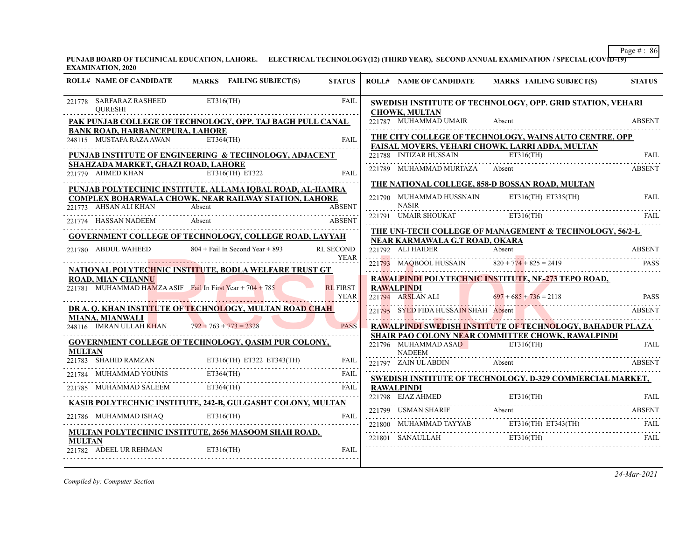PUNJAB BOARD OF TECHNICAL EDUCATION, LAHORE. ELECTRICAL TECHNOLOGY(12) (THIRD YEAR), SECOND ANNUAL EXAMINATION / SPECIAL (COVID-19) **EXAMINATION, 2020**

| 221778 SARFARAZ RASHEED<br>$ET316$ (TH)<br><b>FAIL</b><br>SWEDISH INSTITUTE OF TECHNOLOGY, OPP. GRID STATION, VEHARI<br><b>OURESHI</b><br><b>CHOWK, MULTAN</b><br>221787 MUHAMMAD UMAIR<br>PAK PUNJAB COLLEGE OF TECHNOLOGY, OPP. TAJ BAGH PULL CANAL<br>Absent<br><b>BANK ROAD, HARBANCEPURA, LAHORE</b><br>THE CITY COLLEGE OF TECHNOLOGY, WAINS AUTO CENTRE, OPP<br>248115 MUSTAFA RAZA AWAN ET364(TH)<br><b>FAIL</b><br>FAISAL MOVERS, VEHARI CHOWK, LARRI ADDA, MULTAN<br>221788 INTIZAR HUSSAIN<br>PUNJAB INSTITUTE OF ENGINEERING & TECHNOLOGY, ADJACENT<br>$ET316$ (TH) | <b>ABSENT</b><br>FAIL<br><b>ABSENT</b> |
|---------------------------------------------------------------------------------------------------------------------------------------------------------------------------------------------------------------------------------------------------------------------------------------------------------------------------------------------------------------------------------------------------------------------------------------------------------------------------------------------------------------------------------------------------------------------------------|----------------------------------------|
|                                                                                                                                                                                                                                                                                                                                                                                                                                                                                                                                                                                 |                                        |
|                                                                                                                                                                                                                                                                                                                                                                                                                                                                                                                                                                                 |                                        |
|                                                                                                                                                                                                                                                                                                                                                                                                                                                                                                                                                                                 |                                        |
|                                                                                                                                                                                                                                                                                                                                                                                                                                                                                                                                                                                 |                                        |
| SHAHZADA MARKET, GHAZI ROAD, LAHORE<br>221789 MUHAMMAD MURTAZA<br>Absent<br>221779 AHMED KHAN<br>$\overline{ET316(TH)}$ ET322<br><b>FAIL</b>                                                                                                                                                                                                                                                                                                                                                                                                                                    |                                        |
| THE NATIONAL COLLEGE, 858-D BOSSAN ROAD, MULTAN<br>PUNJAB POLYTECHNIC INSTITUTE, ALLAMA IOBAL ROAD, AL-HAMRA                                                                                                                                                                                                                                                                                                                                                                                                                                                                    |                                        |
| $ET316(TH)$ $ET335(TH)$<br>221790 MUHAMMAD HUSSNAIN<br><b>COMPLEX BOHARWALA CHOWK, NEAR RAILWAY STATION, LAHORE</b><br><b>NASIR</b><br>221773 AHSAN ALI KHAN<br><b>ABSENT</b><br>Absent                                                                                                                                                                                                                                                                                                                                                                                         | FAIL                                   |
| 221791 UMAIR SHOUKAT ET316(TH)<br>221774 HASSAN NADEEM<br>Absent<br><b>ABSENT</b>                                                                                                                                                                                                                                                                                                                                                                                                                                                                                               |                                        |
| THE UNI-TECH COLLEGE OF MANAGEMENT & TECHNOLOGY, 56/2-L<br>GOVERNMENT COLLEGE OF TECHNOLOGY, COLLEGE ROAD, LAYYAH                                                                                                                                                                                                                                                                                                                                                                                                                                                               |                                        |
| NEAR KARMAWALA G.T ROAD, OKARA<br>$804 +$ Fail In Second Year + 893<br>221780 ABDUL WAHEED<br><b>RL SECOND</b><br>221792 ALI HAIDER<br>Absent                                                                                                                                                                                                                                                                                                                                                                                                                                   | <b>ABSENT</b>                          |
| <b>YEAR</b><br>221793 MAQBOOL HUSSAIN 820 + 774 + 825 = 2419                                                                                                                                                                                                                                                                                                                                                                                                                                                                                                                    | <b>PASS</b>                            |
| NATIONAL POLYTECHNIC INSTITUTE, BODLA WELFARE TRUST GT<br>RAWALPINDI POLYTECHNIC INSTITUTE, NE-273 TEPO ROAD,<br><b>ROAD, MIAN CHANNU</b>                                                                                                                                                                                                                                                                                                                                                                                                                                       |                                        |
| 221781 MUHAMMAD HAMZA ASIF Fail In First Year + $704 + 785$<br><b>RL FIRST</b><br>RAWALPINDI<br>221794 ARSLAN ALI<br><b>YEAR</b><br>$697 + 685 + 736 = 2118$                                                                                                                                                                                                                                                                                                                                                                                                                    | <b>PASS</b>                            |
| DR A. Q. KHAN INSTITUTE OF TECHNOLOGY, MULTAN ROAD CHAH<br>221795 SYED FIDA HUSSAIN SHAH Absent                                                                                                                                                                                                                                                                                                                                                                                                                                                                                 | <b>ABSENT</b>                          |
| <b>MIANA, MIANWALI</b><br>248116 IMRAN ULLAH KHAN $792 + 763 + 773 = 2328$<br><b>RAWALPINDI SWEDISH INSTITUTE OF TECHNOLOGY, BAHADUR PLAZA</b><br><b>PASS</b>                                                                                                                                                                                                                                                                                                                                                                                                                   |                                        |
| SHAIR PAO COLONY NEAR COMMITTEE CHOWK, RAWALPINDI<br><b>GOVERNMENT COLLEGE OF TECHNOLOGY, QASIM PUR COLONY,</b><br>$ET316$ (TH)<br>221796 MUHAMMAD ASAD<br><b>MULTAN</b><br><b>NADEEM</b>                                                                                                                                                                                                                                                                                                                                                                                       | FAIL                                   |
| <u>221783 SHAHID RAMZAN</u> ET316(TH) ET322 ET343(TH)<br>221783 SHAHID RAMZAN ET316(TH) ET322 ET343(TH)<br><b>FAIL</b><br>221797 ZAIN UL ABDIN<br>Absent                                                                                                                                                                                                                                                                                                                                                                                                                        | <b>ABSENT</b>                          |
| $ET364$ (TH)<br>221784 MUHAMMAD YOUNIS<br>FAIL<br><b>SWEDISH INSTITUTE OF TECHNOLOGY, D-329 COMMERCIAL MARKET,</b>                                                                                                                                                                                                                                                                                                                                                                                                                                                              |                                        |
| $ET364$ (TH)<br>221785 MUHAMMAD SALEEM<br><b>RAWALPINDI</b><br><b>FAIL</b>                                                                                                                                                                                                                                                                                                                                                                                                                                                                                                      |                                        |
| ET316(TH) FAIL FAIL FAIL<br>KASIB POLYTECHNIC INSTITUTE, 242-B, GULGASHT COLONY, MULTAN                                                                                                                                                                                                                                                                                                                                                                                                                                                                                         |                                        |
| $ET316$ (TH)<br>221786 MUHAMMAD ISHAQ<br>FAIL                                                                                                                                                                                                                                                                                                                                                                                                                                                                                                                                   | <b>ABSENT</b>                          |
| 221800 MUHAMMAD TAYYAB ET316(TH) ET343(TH) FAIL<br>MULTAN POLYTECHNIC INSTITUTE, 2656 MASOOM SHAH ROAD,                                                                                                                                                                                                                                                                                                                                                                                                                                                                         |                                        |
| 221801 SANAULLAH ET316(TH)<br><b>MULTAN</b><br>221782 ADEEL UR REHMAN<br>ET316(TH)<br>FAIL                                                                                                                                                                                                                                                                                                                                                                                                                                                                                      | FAIL                                   |

*Compiled by: Computer Section*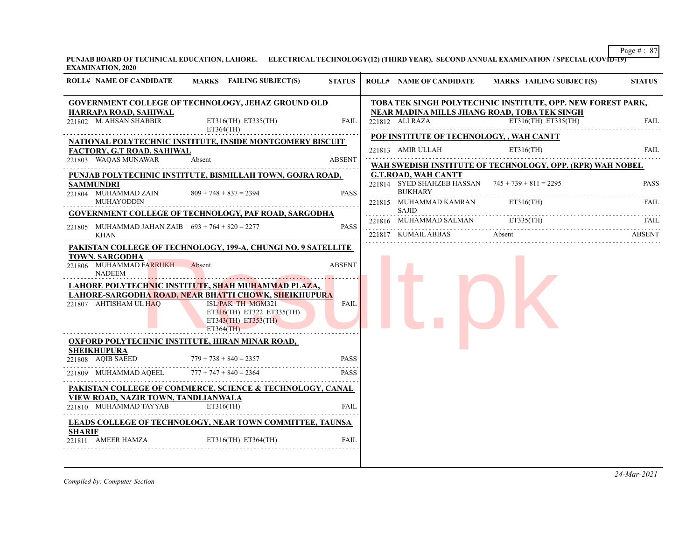PUNJAB BOARD OF TECHNICAL EDUCATION, LAHORE. ELECTRICAL TECHNOLOGY(12) (THIRD YEAR), SECOND ANNUAL EXAMINATION / SPECIAL (COVID-19) **EXAMINATION, 2020**

| <b>ROLL# NAME OF CANDIDATE</b><br><b>MARKS</b> FAILING SUBJECT(S)<br><b>STATUS</b><br>MARKS FAILING SUBJECT(S)<br><b>ROLL# NAME OF CANDIDATE</b><br><b>GOVERNMENT COLLEGE OF TECHNOLOGY, JEHAZ GROUND OLD</b><br>TOBA TEK SINGH POLYTECHNIC INSTITUTE, OPP. NEW FOREST PARK,<br>HARRAPA ROAD, SAHIWAL<br>NEAR MADINA MILLS JHANG ROAD, TOBA TEK SINGH<br>ET316(TH) ET335(TH)<br>221802 M. AHSAN SHABBIR<br>221812 ALI RAZA<br>ET316(TH) ET335(TH)<br>FAIL<br>ET364(TH)<br>POF INSTITUTE OF TECHNOLOGY, , WAH CANTT<br>NATIONAL POLYTECHNIC INSTITUTE, INSIDE MONTGOMERY BISCUIT<br>221813 AMIR ULLAH<br>$ET316$ (TH)<br><b>FACTORY, G.T ROAD, SAHIWAL</b><br>221803 WAQAS MUNAWAR<br>Absent<br><b>ABSENT</b><br>WAH SWEDISH INSTITUTE OF TECHNOLOGY, OPP. (RPR) WAH NOBEL<br><b>G.T.ROAD, WAH CANTT</b><br>PUNJAB POLYTECHNIC INSTITUTE, BISMILLAH TOWN, GOJRA ROAD,<br>221814 SYED SHAHZEB HASSAN $745 + 739 + 811 = 2295$<br><b>SAMMUNDRI</b><br><b>BUKHARY</b><br>221804 MUHAMMAD ZAIN<br>$809 + 748 + 837 = 2394$<br><b>PASS</b><br><b>MUHAYODDIN</b><br>221815 MUHAMMAD KAMRAN<br>ET316(TH)<br><b>SAJID</b><br><b>GOVERNMENT COLLEGE OF TECHNOLOGY, PAF ROAD, SARGODHA</b><br>221816 MUHAMMAD SALMAN ET335(TH)<br>221805 MUHAMMAD JAHAN ZAIB $693 + 764 + 820 = 2277$<br><b>PASS</b><br>Absent<br>221817 KUMAIL ABBAS<br><b>KHAN</b><br>PAKISTAN COLLEGE OF TECHNOLOGY, 199-A, CHUNGI NO. 9 SATELLITE<br><b>TOWN, SARGODHA</b><br>221806 MUHAMMAD FARRUKH<br><b>ABSENT</b><br>Absent<br><b>NADEEM</b><br>LAHORE POLYTECHNIC INSTITUTE, SHAH MUHAMMAD PLAZA,<br>LAHORE-SARGODHA ROAD, NEAR BHATTI CHOWK, SHEIKHUPURA<br>221807 AHTISHAM UL HAQ<br>ISL/PAK TH MGM321<br>FAIL<br>ET316(TH) ET322 ET335(TH)<br>$ET343(TH)$ $ET353(TH)$<br>$ET364$ (TH)<br>OXFORD POLYTECHNIC INSTITUTE, HIRAN MINAR ROAD,<br><b>SHEIKHUPURA</b><br>221808 AQIB SAEED<br><b>PASS</b><br>$779 + 738 + 840 = 2357$<br>$777 + 747 + 840 = 2364$<br>221809 MUHAMMAD AQEEL<br><b>PASS</b><br>PAKISTAN COLLEGE OF COMMERCE, SCIENCE & TECHNOLOGY, CANAL<br>VIEW ROAD, NAZIR TOWN, TANDLIANWALA<br>221810 MUHAMMAD TAYYAB<br>$ET316$ (TH)<br>FAIL<br><b>LEADS COLLEGE OF TECHNOLOGY, NEAR TOWN COMMITTEE, TAUNSA</b><br><b>SHARIF</b><br>221811 AMEER HAMZA<br>$ET316(TH)$ $ET364(TH)$<br>FAIL |  |  |  |               |
|-------------------------------------------------------------------------------------------------------------------------------------------------------------------------------------------------------------------------------------------------------------------------------------------------------------------------------------------------------------------------------------------------------------------------------------------------------------------------------------------------------------------------------------------------------------------------------------------------------------------------------------------------------------------------------------------------------------------------------------------------------------------------------------------------------------------------------------------------------------------------------------------------------------------------------------------------------------------------------------------------------------------------------------------------------------------------------------------------------------------------------------------------------------------------------------------------------------------------------------------------------------------------------------------------------------------------------------------------------------------------------------------------------------------------------------------------------------------------------------------------------------------------------------------------------------------------------------------------------------------------------------------------------------------------------------------------------------------------------------------------------------------------------------------------------------------------------------------------------------------------------------------------------------------------------------------------------------------------------------------------------------------------------------------------------------------------------------------------------------------------------------------------------------------------------------------------------------------------------------------------------------------------|--|--|--|---------------|
|                                                                                                                                                                                                                                                                                                                                                                                                                                                                                                                                                                                                                                                                                                                                                                                                                                                                                                                                                                                                                                                                                                                                                                                                                                                                                                                                                                                                                                                                                                                                                                                                                                                                                                                                                                                                                                                                                                                                                                                                                                                                                                                                                                                                                                                                         |  |  |  | <b>STATUS</b> |
|                                                                                                                                                                                                                                                                                                                                                                                                                                                                                                                                                                                                                                                                                                                                                                                                                                                                                                                                                                                                                                                                                                                                                                                                                                                                                                                                                                                                                                                                                                                                                                                                                                                                                                                                                                                                                                                                                                                                                                                                                                                                                                                                                                                                                                                                         |  |  |  |               |
|                                                                                                                                                                                                                                                                                                                                                                                                                                                                                                                                                                                                                                                                                                                                                                                                                                                                                                                                                                                                                                                                                                                                                                                                                                                                                                                                                                                                                                                                                                                                                                                                                                                                                                                                                                                                                                                                                                                                                                                                                                                                                                                                                                                                                                                                         |  |  |  | <b>FAIL</b>   |
|                                                                                                                                                                                                                                                                                                                                                                                                                                                                                                                                                                                                                                                                                                                                                                                                                                                                                                                                                                                                                                                                                                                                                                                                                                                                                                                                                                                                                                                                                                                                                                                                                                                                                                                                                                                                                                                                                                                                                                                                                                                                                                                                                                                                                                                                         |  |  |  |               |
|                                                                                                                                                                                                                                                                                                                                                                                                                                                                                                                                                                                                                                                                                                                                                                                                                                                                                                                                                                                                                                                                                                                                                                                                                                                                                                                                                                                                                                                                                                                                                                                                                                                                                                                                                                                                                                                                                                                                                                                                                                                                                                                                                                                                                                                                         |  |  |  | <b>FAIL</b>   |
|                                                                                                                                                                                                                                                                                                                                                                                                                                                                                                                                                                                                                                                                                                                                                                                                                                                                                                                                                                                                                                                                                                                                                                                                                                                                                                                                                                                                                                                                                                                                                                                                                                                                                                                                                                                                                                                                                                                                                                                                                                                                                                                                                                                                                                                                         |  |  |  |               |
|                                                                                                                                                                                                                                                                                                                                                                                                                                                                                                                                                                                                                                                                                                                                                                                                                                                                                                                                                                                                                                                                                                                                                                                                                                                                                                                                                                                                                                                                                                                                                                                                                                                                                                                                                                                                                                                                                                                                                                                                                                                                                                                                                                                                                                                                         |  |  |  |               |
|                                                                                                                                                                                                                                                                                                                                                                                                                                                                                                                                                                                                                                                                                                                                                                                                                                                                                                                                                                                                                                                                                                                                                                                                                                                                                                                                                                                                                                                                                                                                                                                                                                                                                                                                                                                                                                                                                                                                                                                                                                                                                                                                                                                                                                                                         |  |  |  | <b>PASS</b>   |
|                                                                                                                                                                                                                                                                                                                                                                                                                                                                                                                                                                                                                                                                                                                                                                                                                                                                                                                                                                                                                                                                                                                                                                                                                                                                                                                                                                                                                                                                                                                                                                                                                                                                                                                                                                                                                                                                                                                                                                                                                                                                                                                                                                                                                                                                         |  |  |  |               |
|                                                                                                                                                                                                                                                                                                                                                                                                                                                                                                                                                                                                                                                                                                                                                                                                                                                                                                                                                                                                                                                                                                                                                                                                                                                                                                                                                                                                                                                                                                                                                                                                                                                                                                                                                                                                                                                                                                                                                                                                                                                                                                                                                                                                                                                                         |  |  |  | FAIL          |
|                                                                                                                                                                                                                                                                                                                                                                                                                                                                                                                                                                                                                                                                                                                                                                                                                                                                                                                                                                                                                                                                                                                                                                                                                                                                                                                                                                                                                                                                                                                                                                                                                                                                                                                                                                                                                                                                                                                                                                                                                                                                                                                                                                                                                                                                         |  |  |  | <b>FAIL</b>   |
|                                                                                                                                                                                                                                                                                                                                                                                                                                                                                                                                                                                                                                                                                                                                                                                                                                                                                                                                                                                                                                                                                                                                                                                                                                                                                                                                                                                                                                                                                                                                                                                                                                                                                                                                                                                                                                                                                                                                                                                                                                                                                                                                                                                                                                                                         |  |  |  | <b>ABSENT</b> |
|                                                                                                                                                                                                                                                                                                                                                                                                                                                                                                                                                                                                                                                                                                                                                                                                                                                                                                                                                                                                                                                                                                                                                                                                                                                                                                                                                                                                                                                                                                                                                                                                                                                                                                                                                                                                                                                                                                                                                                                                                                                                                                                                                                                                                                                                         |  |  |  |               |
|                                                                                                                                                                                                                                                                                                                                                                                                                                                                                                                                                                                                                                                                                                                                                                                                                                                                                                                                                                                                                                                                                                                                                                                                                                                                                                                                                                                                                                                                                                                                                                                                                                                                                                                                                                                                                                                                                                                                                                                                                                                                                                                                                                                                                                                                         |  |  |  |               |
|                                                                                                                                                                                                                                                                                                                                                                                                                                                                                                                                                                                                                                                                                                                                                                                                                                                                                                                                                                                                                                                                                                                                                                                                                                                                                                                                                                                                                                                                                                                                                                                                                                                                                                                                                                                                                                                                                                                                                                                                                                                                                                                                                                                                                                                                         |  |  |  |               |
|                                                                                                                                                                                                                                                                                                                                                                                                                                                                                                                                                                                                                                                                                                                                                                                                                                                                                                                                                                                                                                                                                                                                                                                                                                                                                                                                                                                                                                                                                                                                                                                                                                                                                                                                                                                                                                                                                                                                                                                                                                                                                                                                                                                                                                                                         |  |  |  |               |
|                                                                                                                                                                                                                                                                                                                                                                                                                                                                                                                                                                                                                                                                                                                                                                                                                                                                                                                                                                                                                                                                                                                                                                                                                                                                                                                                                                                                                                                                                                                                                                                                                                                                                                                                                                                                                                                                                                                                                                                                                                                                                                                                                                                                                                                                         |  |  |  |               |
|                                                                                                                                                                                                                                                                                                                                                                                                                                                                                                                                                                                                                                                                                                                                                                                                                                                                                                                                                                                                                                                                                                                                                                                                                                                                                                                                                                                                                                                                                                                                                                                                                                                                                                                                                                                                                                                                                                                                                                                                                                                                                                                                                                                                                                                                         |  |  |  |               |
|                                                                                                                                                                                                                                                                                                                                                                                                                                                                                                                                                                                                                                                                                                                                                                                                                                                                                                                                                                                                                                                                                                                                                                                                                                                                                                                                                                                                                                                                                                                                                                                                                                                                                                                                                                                                                                                                                                                                                                                                                                                                                                                                                                                                                                                                         |  |  |  |               |
|                                                                                                                                                                                                                                                                                                                                                                                                                                                                                                                                                                                                                                                                                                                                                                                                                                                                                                                                                                                                                                                                                                                                                                                                                                                                                                                                                                                                                                                                                                                                                                                                                                                                                                                                                                                                                                                                                                                                                                                                                                                                                                                                                                                                                                                                         |  |  |  |               |
|                                                                                                                                                                                                                                                                                                                                                                                                                                                                                                                                                                                                                                                                                                                                                                                                                                                                                                                                                                                                                                                                                                                                                                                                                                                                                                                                                                                                                                                                                                                                                                                                                                                                                                                                                                                                                                                                                                                                                                                                                                                                                                                                                                                                                                                                         |  |  |  |               |
|                                                                                                                                                                                                                                                                                                                                                                                                                                                                                                                                                                                                                                                                                                                                                                                                                                                                                                                                                                                                                                                                                                                                                                                                                                                                                                                                                                                                                                                                                                                                                                                                                                                                                                                                                                                                                                                                                                                                                                                                                                                                                                                                                                                                                                                                         |  |  |  |               |
|                                                                                                                                                                                                                                                                                                                                                                                                                                                                                                                                                                                                                                                                                                                                                                                                                                                                                                                                                                                                                                                                                                                                                                                                                                                                                                                                                                                                                                                                                                                                                                                                                                                                                                                                                                                                                                                                                                                                                                                                                                                                                                                                                                                                                                                                         |  |  |  |               |
|                                                                                                                                                                                                                                                                                                                                                                                                                                                                                                                                                                                                                                                                                                                                                                                                                                                                                                                                                                                                                                                                                                                                                                                                                                                                                                                                                                                                                                                                                                                                                                                                                                                                                                                                                                                                                                                                                                                                                                                                                                                                                                                                                                                                                                                                         |  |  |  |               |
|                                                                                                                                                                                                                                                                                                                                                                                                                                                                                                                                                                                                                                                                                                                                                                                                                                                                                                                                                                                                                                                                                                                                                                                                                                                                                                                                                                                                                                                                                                                                                                                                                                                                                                                                                                                                                                                                                                                                                                                                                                                                                                                                                                                                                                                                         |  |  |  |               |
|                                                                                                                                                                                                                                                                                                                                                                                                                                                                                                                                                                                                                                                                                                                                                                                                                                                                                                                                                                                                                                                                                                                                                                                                                                                                                                                                                                                                                                                                                                                                                                                                                                                                                                                                                                                                                                                                                                                                                                                                                                                                                                                                                                                                                                                                         |  |  |  |               |
|                                                                                                                                                                                                                                                                                                                                                                                                                                                                                                                                                                                                                                                                                                                                                                                                                                                                                                                                                                                                                                                                                                                                                                                                                                                                                                                                                                                                                                                                                                                                                                                                                                                                                                                                                                                                                                                                                                                                                                                                                                                                                                                                                                                                                                                                         |  |  |  |               |
|                                                                                                                                                                                                                                                                                                                                                                                                                                                                                                                                                                                                                                                                                                                                                                                                                                                                                                                                                                                                                                                                                                                                                                                                                                                                                                                                                                                                                                                                                                                                                                                                                                                                                                                                                                                                                                                                                                                                                                                                                                                                                                                                                                                                                                                                         |  |  |  |               |
|                                                                                                                                                                                                                                                                                                                                                                                                                                                                                                                                                                                                                                                                                                                                                                                                                                                                                                                                                                                                                                                                                                                                                                                                                                                                                                                                                                                                                                                                                                                                                                                                                                                                                                                                                                                                                                                                                                                                                                                                                                                                                                                                                                                                                                                                         |  |  |  |               |
|                                                                                                                                                                                                                                                                                                                                                                                                                                                                                                                                                                                                                                                                                                                                                                                                                                                                                                                                                                                                                                                                                                                                                                                                                                                                                                                                                                                                                                                                                                                                                                                                                                                                                                                                                                                                                                                                                                                                                                                                                                                                                                                                                                                                                                                                         |  |  |  |               |
|                                                                                                                                                                                                                                                                                                                                                                                                                                                                                                                                                                                                                                                                                                                                                                                                                                                                                                                                                                                                                                                                                                                                                                                                                                                                                                                                                                                                                                                                                                                                                                                                                                                                                                                                                                                                                                                                                                                                                                                                                                                                                                                                                                                                                                                                         |  |  |  |               |

*Compiled by: Computer Section*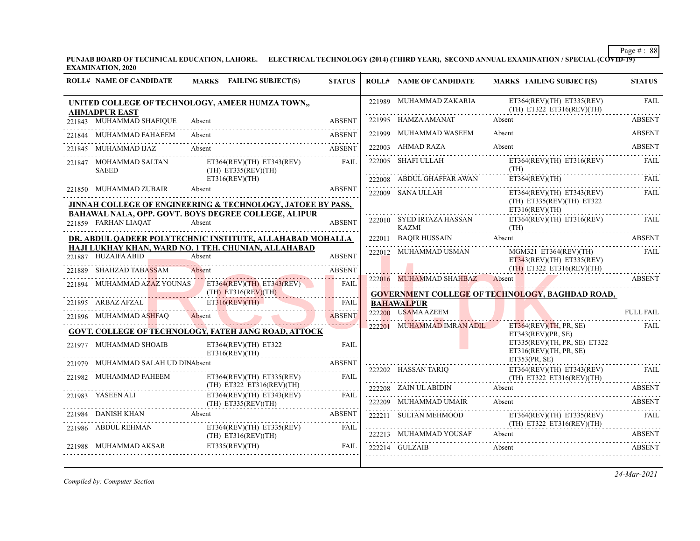**PUNJAB BOARD OF TECHNICAL EDUCATION, LAHORE. ELECTRICAL TECHNOLOGY (2014) (THIRD YEAR), SECOND ANNUAL EXAMINATION / SPECIAL (COVID-19) EXAMINATION, 2020**

| <b>ROLL# NAME OF CANDIDATE</b>         | MARKS FAILING SUBJECT(S)                                              | <b>STATUS</b>              | <b>ROLL# NAME OF CANDIDATE</b>                                                                                                                                                                                                                                         | <b>MARKS FAILING SUBJECT(S)</b>                            | <b>STATUS</b>      |
|----------------------------------------|-----------------------------------------------------------------------|----------------------------|------------------------------------------------------------------------------------------------------------------------------------------------------------------------------------------------------------------------------------------------------------------------|------------------------------------------------------------|--------------------|
| <b>AHMADPUR EAST</b>                   | UNITED COLLEGE OF TECHNOLOGY, AMEER HUMZA TOWN,,                      |                            | 221989 MUHAMMAD ZAKARIA                                                                                                                                                                                                                                                | ET364(REV)(TH) ET335(REV)<br>(TH) ET322 ET316(REV)(TH)     | <b>FAIL</b>        |
| 221843 MUHAMMAD SHAFIQUE               | Absent                                                                | <b>ABSENT</b>              | 221995 HAMZA AMANAT                                                                                                                                                                                                                                                    | Absent                                                     | <b>ABSENT</b>      |
| 221844 MUHAMMAD FAHAEEM                | Absent                                                                | <b>ABSENT</b>              | 221999 MUHAMMAD WASEEM                                                                                                                                                                                                                                                 | Absent                                                     | <b>ABSENT</b>      |
| 221845 MUHAMMAD IJAZ                   | Absent                                                                | ABSENT                     | 222003 AHMAD RAZA                                                                                                                                                                                                                                                      | Absent                                                     | <b>ABSENT</b>      |
| 221847 MOHAMMAD SALTAN<br><b>SAEED</b> | $ET364(REV)(TH)$ $ET343(REV)$<br>$(TH)$ ET335(REV)(TH)                | <b>FAIL</b>                | 222005 SHAFI ULLAH                                                                                                                                                                                                                                                     | $ET364(REV)(TH)$ $ET316(REV)$<br>(TH)                      | <b>FAIL</b>        |
|                                        | ET316(REV)(TH)                                                        |                            | 222008 ABDUL GHAFFAR AWAN                                                                                                                                                                                                                                              | ET364(REV)(TH)                                             | FAII.              |
| 221850 MUHAMMAD ZUBAIR                 | Absent<br>JINNAH COLLEGE OF ENGINEERING & TECHNOLOGY, JATOEE BY PASS, | <b>ABSENT</b>              | 222009 SANA ULLAH                                                                                                                                                                                                                                                      | $ET364(REV)(TH)$ $ET343(REV)$<br>(TH) ET335(REV)(TH) ET322 | FAIL               |
|                                        | <b>BAHAWAL NALA, OPP. GOVT. BOYS DEGREE COLLEGE, ALIPUR</b>           |                            |                                                                                                                                                                                                                                                                        | ET316(REV)(TH)                                             |                    |
| 221859 FARHAN LIAQAT                   | Absent                                                                | <b>ABSENT</b>              | 222010 SYED IRTAZA HASSAN<br>KAZMI                                                                                                                                                                                                                                     | $ET364(REV)(TH)$ $ET316(REV)$<br>(TH)                      | <b>FAIL</b>        |
|                                        | DR. ABDUL QADEER POLYTECHNIC INSTITUTE, ALLAHABAD MOHALLA             |                            | 222011 BAOIR HUSSAIN                                                                                                                                                                                                                                                   | Absent                                                     | <b>ABSENT</b>      |
| 221887 HUZAIFA ABID                    | HAJI LUKHAY KHAN, WARD NO. 1 TEH. CHUNIAN, ALLAHABAD<br>Absent        | <b>ABSENT</b>              | 222012 MUHAMMAD USMAN                                                                                                                                                                                                                                                  | $MGM321$ ET364(REV)(TH)<br>$ET343(REV)(TH)$ $ET335(REV)$   | <b>FAIL</b>        |
| 221889 SHAHZAD TABASSAM                | Absent                                                                | <b>ABSENT</b>              |                                                                                                                                                                                                                                                                        | $(TH)$ ET322 ET316(REV)(TH)                                | .                  |
|                                        | 221894 MUHAMMAD AZAZ YOUNAS ET364(REV)(TH) ET343(REV)                 | a dia dalam<br><b>FAIL</b> | 222016 MUHAMMAD SHAHBAZ Absent<br><u>in the second contract of the second contract of the second contract of the second contract of the second contract of the second contract of the second contract of the second contract of the second contract of the second </u> | ABSENT                                                     |                    |
|                                        | $(TH)$ ET316(REV)(TH)                                                 |                            |                                                                                                                                                                                                                                                                        | <b>GOVERNMENT COLLEGE OF TECHNOLOGY, BAGHDAD ROAD,</b>     |                    |
| 221895 ARBAZ AFZAL                     | ET316(REV)(TH)                                                        | FAIL                       | <b>BAHAWALPUR</b><br>222200 USAMA AZEEM                                                                                                                                                                                                                                |                                                            | <b>FULL FAIL</b>   |
| 221896 MUHAMMAD ASHFAO                 | Absent                                                                | <b>ABSENT</b>              |                                                                                                                                                                                                                                                                        |                                                            |                    |
|                                        | <b>GOVT. COLLEGE OF TECHNOLOGY, FATEH JANG ROAD, ATTOCK</b>           |                            | 222201 MUHAMMAD IMRAN ADIL                                                                                                                                                                                                                                             | ET364(REV)(TH, PR, SE)<br>ET343(REV)(PR, SE)               | FAIL               |
| 221977 MUHAMMAD SHOAIB                 | ET364(REV)(TH) ET322<br>ET316(REV)(TH)                                | <b>FAIL</b>                |                                                                                                                                                                                                                                                                        | ET335(REV)(TH, PR, SE) ET322<br>ET316(REV)(TH, PR, SE)     |                    |
| 221979 MUHAMMAD SALAH UD DINAbsent     |                                                                       | <b>ABSENT</b>              |                                                                                                                                                                                                                                                                        | ET353(PR, SE)                                              |                    |
| 221982 MUHAMMAD FAHEEM                 | $ET364(REV)(TH)$ $ET335(REV)$                                         | <b>FAIL</b>                | 222202 HASSAN TARIQ                                                                                                                                                                                                                                                    | ET364(REV)(TH) ET343(REV)<br>(TH) ET322 ET316(REV)(TH)     | FAIL               |
| 221983 YASEEN ALI                      | $(TH)$ ET322 ET316(REV)(TH)                                           |                            | 222208 ZAIN UL ABIDIN                                                                                                                                                                                                                                                  | Absent                                                     | <b>ABSENT</b>      |
|                                        | ET364(REV)(TH) ET343(REV)<br>$(TH)$ ET335(REV)(TH)                    | <b>FAIL</b>                | 222209 MUHAMMAD UMAIR                                                                                                                                                                                                                                                  | Absent                                                     | .<br><b>ABSENT</b> |
| 221984 DANISH KHAN Absent              |                                                                       | <b>ABSENT</b>              | 222211 SULTAN MEHMOOD                                                                                                                                                                                                                                                  | ET364(REV)(TH) ET335(REV)<br>(TH) ET322 ET316(REV)(TH)     | FAIL               |
| 221986 ABDUL REHMAN                    | $ET364(REV)(TH)$ $ET335(REV)$<br>$(TH)$ ET316(REV)(TH)                | FAIL                       | 222213 MUHAMMAD YOUSAF                                                                                                                                                                                                                                                 | Absent                                                     | <b>ABSENT</b>      |
| 221988 MUHAMMAD AKSAR                  | ET335(REV)(TH)                                                        | <b>FAIL</b>                | 222214 GULZAIB                                                                                                                                                                                                                                                         | Absent                                                     | <b>ABSENT</b>      |

*Compiled by: Computer Section*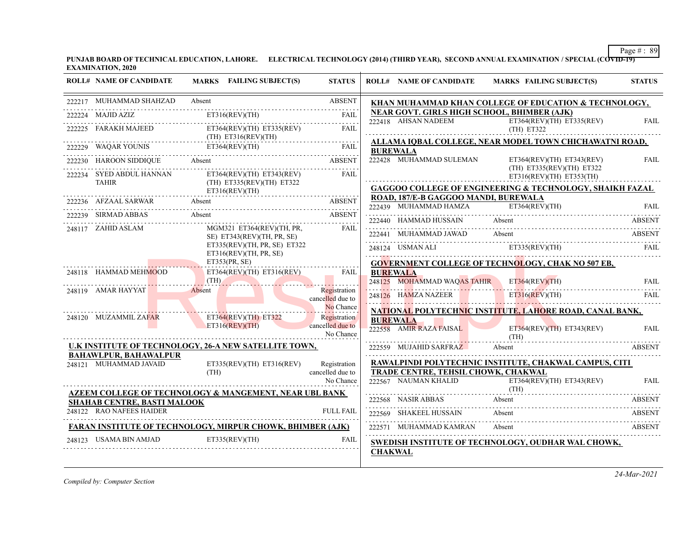**PUNJAB BOARD OF TECHNICAL EDUCATION, LAHORE. ELECTRICAL TECHNOLOGY (2014) (THIRD YEAR), SECOND ANNUAL EXAMINATION / SPECIAL (COVID-19) EXAMINATION, 2020**

| <b>ROLL# NAME OF CANDIDATE</b>                                 | <b>MARKS</b> FAILING SUBJECT(S)                                   | <b>STATUS</b>                    |                | <b>ROLL# NAME OF CANDIDATE</b>              | <b>MARKS FAILING SUBJECT(S)</b>                                     | <b>STATUS</b> |
|----------------------------------------------------------------|-------------------------------------------------------------------|----------------------------------|----------------|---------------------------------------------|---------------------------------------------------------------------|---------------|
| 222217 MUHAMMAD SHAHZAD                                        | Absent                                                            | <b>ABSENT</b>                    |                |                                             | KHAN MUHAMMAD KHAN COLLEGE OF EDUCATION & TECHNOLOGY,               |               |
| 222224 MAJID AZIZ                                              | ET316(REV)(TH)                                                    |                                  |                | NEAR GOVT. GIRLS HIGH SCHOOL, BHIMBER (AJK) |                                                                     |               |
| FARAKH MAJEED                                                  | ET364(REV)(TH) ET335(REV)<br>$(TH)$ ET316(REV)(TH)                | FAII.                            |                | 222418 AHSAN NADEEM                         | $ET364(REV)(TH)$ $ET335(REV)$<br>(TH) ET322                         | <b>FAIL</b>   |
|                                                                | 222229 WAQAR YOUNIS ET364(REV)(TH) FAIL                           | FAIL                             |                | <b>BUREWALA</b>                             | ALLAMA IQBAL COLLEGE, NEAR MODEL TOWN CHICHAWATNI ROAD,             |               |
|                                                                | 222230 HAROON SIDDIQUE Absent ABSENT                              | <b>ABSENT</b>                    |                | 222428 MUHAMMAD SULEMAN                     | ET364(REV)(TH) ET343(REV)                                           | FAIL          |
| 222234 SYED ABDUL HANNAN                                       | ET364(REV)(TH) ET343(REV) FAIL                                    |                                  |                |                                             | (TH) ET335(REV)(TH) ET322<br>$ET316(REV)(TH)$ $ET353(TH)$           |               |
| <b>TAHIR</b>                                                   | (TH) ET335(REV)(TH) ET322                                         |                                  |                |                                             | <b>GAGGOO COLLEGE OF ENGINEERING &amp; TECHNOLOGY, SHAIKH FAZAL</b> |               |
| 222236 AFZAAL SARWAR Absent                                    | ET316(REV)(TH)                                                    | <b>Example 2</b> ABSENT          |                | ROAD, 187/E-B GAGGOO MANDI, BUREWALA        |                                                                     |               |
|                                                                |                                                                   |                                  |                |                                             | 222439 MUHAMMAD HAMZA ET364(REV)(TH) FAIL                           |               |
| 222239 SIRMAD ABBAS Absent                                     |                                                                   | <b>ABSENT</b>                    |                | 222440 HAMMAD HUSSAIN                       | Absent                                                              | <b>ABSENT</b> |
| 248117 ZAHID ASLAM                                             | MGM321 ET364(REV)(TH, PR,<br>SE) ET343(REV)(TH, PR, SE)           | <b>FAIL</b>                      |                | 222441 MUHAMMAD JAWAD                       | Absent                                                              | ABSENT        |
|                                                                | ET335(REV)(TH, PR, SE) E T322<br>ET316(REV)(TH, PR, SE)           |                                  |                |                                             | $248124$ USMAN ALI ET335(REV)(TH) FAIL                              |               |
|                                                                | ET353(PR, SE)                                                     |                                  |                |                                             | <b>GOVERNMENT COLLEGE OF TECHNOLOGY, CHAK NO 507 EB,</b>            |               |
| 248118 HAMMAD MEHMOOD                                          | $ET364(REV)(TH)$ $ET316(REV)$                                     | FAIL                             |                | <b>BUREWALA</b>                             |                                                                     |               |
| 248119 AMAR HAYYAT Absent                                      | (TH)                                                              | .<br>Registration                |                | 248125 MOHAMMAD WAQAS TAHIR ET364(REV)(TH)  |                                                                     | FAIL          |
|                                                                |                                                                   | cancelled due to                 |                |                                             | 248126 HAMZA NAZEER ET316(REV)(TH) FAIL                             |               |
|                                                                |                                                                   | No Chance                        |                |                                             | NATIONAL POLYTECHNIC INSTITUTE, LAHORE ROAD, CANAL BANK,            |               |
| 248120 MUZAMMIL ZAFAR                                          | ET364(REV)(TH) ET322<br>ET316(REV)(TH)                            | Registration<br>cancelled due to |                | <b>BUREWALA</b><br>222558 AMIR RAZA FAISAL  | $ET364(REV)(TH)$ $ET343(REV)$                                       | <b>FAIL</b>   |
|                                                                |                                                                   | No Chance                        |                |                                             | $(TH)$                                                              |               |
|                                                                | U.K INSTITUTE OF TECHNOLOGY, 26-A NEW SATELLITE TOWN,             |                                  |                | 222559 MUJAHID SARFRAZ                      | Absent                                                              | ABSENT        |
| <b>BAHAWLPUR, BAHAWALPUR</b><br>248121 MUHAMMAD JAVAID         | ET335(REV)(TH) ET316(REV)                                         | Registration                     |                |                                             | RAWALPINDI POLYTECHNIC INSTITUTE, CHAKWAL CAMPUS, CITI              |               |
|                                                                | (TH)                                                              | cancelled due to                 |                | TRADE CENTRE, TEHSIL CHOWK, CHAKWAL         |                                                                     |               |
|                                                                |                                                                   | No Chance                        |                | 222567 NAUMAN KHALID                        | $ET364(REV)(TH)$ $ET343(REV)$                                       | <b>FAIL</b>   |
|                                                                | <b>AZEEM COLLEGE OF TECHNOLOGY &amp; MANGEMENT, NEAR UBL BANK</b> |                                  |                | 222568 NASIR ABBAS Absent                   | (TH)                                                                | ABSENT        |
| <b>SHAHAB CENTRE, BASTI MALOOK</b><br>248122 RAO NAFEES HAIDER |                                                                   | <b>FULL FAIL</b>                 |                | 222569 SHAKEEL HUSSAIN                      | Absent                                                              | <b>ABSENT</b> |
|                                                                | <b>FARAN INSTITUTE OF TECHNOLOGY, MIRPUR CHOWK, BHIMBER (AJK)</b> |                                  |                | 222571 MUHAMMAD KAMRAN                      | Absent<br><b>ABSENT</b>                                             |               |
|                                                                |                                                                   |                                  |                |                                             |                                                                     |               |
| 248123 USAMA BIN AMJAD                                         | ET335(REV)(TH)                                                    | <b>FAIL</b>                      |                |                                             | SWEDISH INSTITUTE OF TECHNOLOGY, OUDHAR WAL CHOWK,                  |               |
|                                                                |                                                                   |                                  | <b>CHAKWAL</b> |                                             |                                                                     |               |
|                                                                |                                                                   |                                  |                |                                             |                                                                     |               |

*Compiled by: Computer Section*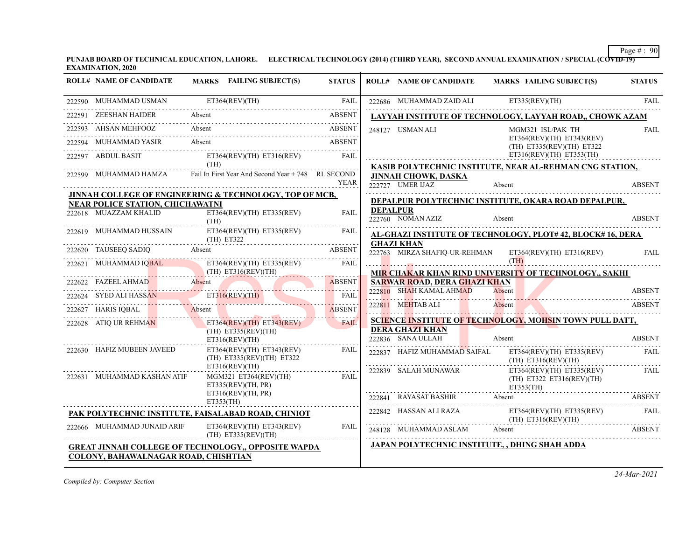**PUNJAB BOARD OF TECHNICAL EDUCATION, LAHORE. ELECTRICAL TECHNOLOGY (2014) (THIRD YEAR), SECOND ANNUAL EXAMINATION / SPECIAL (COVID-19) EXAMINATION, 2020**

|        | <b>ROLL# NAME OF CANDIDATE</b>          | MARKS FAILING SUBJECT(S)                                                 | <b>STATUS</b> |                 | <b>ROLL# NAME OF CANDIDATE</b>          | MARKS FAILING SUBJECT(S)                                                                                                                                                                                                                                            | <b>STATUS</b> |
|--------|-----------------------------------------|--------------------------------------------------------------------------|---------------|-----------------|-----------------------------------------|---------------------------------------------------------------------------------------------------------------------------------------------------------------------------------------------------------------------------------------------------------------------|---------------|
|        | 222590 MUHAMMAD USMAN                   | ET364(REV)(TH)                                                           | <b>FAIL</b>   |                 | 222686 MUHAMMAD ZAID ALI                | ET335(REV)(TH)                                                                                                                                                                                                                                                      | <b>FAIL</b>   |
| 222591 | <b>ZEESHAN HAIDER</b>                   | Absent                                                                   | <b>ABSENT</b> |                 |                                         | LAYYAH INSTITUTE OF TECHNOLOGY, LAYYAH ROAD,, CHOWK AZAM                                                                                                                                                                                                            |               |
|        | 222593 AHSAN MEHFOOZ                    | Absent                                                                   | ABSENT        |                 | 248127 USMAN ALI                        | MGM321 ISL/PAK TH                                                                                                                                                                                                                                                   | <b>FAIL</b>   |
|        | 222594 MUHAMMAD YASIR Absent            |                                                                          | ABSENT        |                 |                                         | ET364(REV)(TH) ET343(REV)<br>$(TH)$ ET335(REV)(TH) ET322                                                                                                                                                                                                            |               |
|        |                                         | 222597 ABDUL BASIT ET364(REV)(TH) ET316(REV)                             | FAIL          |                 |                                         | $ET316(REV)(TH)$ $ET353(TH)$<br>KASIB POLYTECHNIC INSTITUTE, NEAR AL-REHMAN CNG STATION,                                                                                                                                                                            |               |
|        |                                         | 222599 MUHAMMAD HAMZA Fail In First Year And Second Year + 748 RL SECOND | <b>YEAR</b>   |                 | JINNAH CHOWK, DASKA<br>222727 UMER IJAZ | Absent                                                                                                                                                                                                                                                              | ABSENT        |
|        | <b>NEAR POLICE STATION, CHICHAWATNI</b> | JINNAH COLLEGE OF ENGINEERING & TECHNOLOGY, TOP OF MCB,                  |               |                 |                                         | DEPALPUR POLYTECHNIC INSTITUTE, OKARA ROAD DEPALPUR,                                                                                                                                                                                                                |               |
|        | 222618 MUAZZAM KHALID                   | ET364(REV)(TH) ET335(REV)<br>(TH)                                        | <b>FAIL</b>   | <b>DEPALPUR</b> | $222760$ NOMAN AZIZ                     | Absent                                                                                                                                                                                                                                                              | <b>ABSENT</b> |
|        |                                         | 222619 MUHAMMAD HUSSAIN ET364(REV)(TH) ET335(REV)<br>$(TH)$ ET322        | FAIL          |                 | <b>GHAZI KHAN</b>                       | <b>AL-GHAZI INSTITUTE OF TECHNOLOGY, PLOT#42, BLOCK#16, DERA</b>                                                                                                                                                                                                    |               |
|        |                                         | 222620 TAUSEEQ SADIQ Absent ABSENT                                       |               |                 |                                         | 222763 MIRZA SHAFIQ-UR-REHMAN ET364(REV)(TH) ET316(REV)                                                                                                                                                                                                             | <b>FAIL</b>   |
|        |                                         | 222621 MUHAMMAD IQBAL ET364(REV)(TH) ET335(REV) FAIL (TH) ET316(REV)(TH) |               |                 |                                         | (TH)<br>MIR CHAKAR KHAN RIND UNIVERSITY OF TECHNOLOGY,, SAKHI                                                                                                                                                                                                       |               |
|        |                                         | 222622 FAZEEL AHMAD Absent ABSENT ABSENT                                 | ABSENT        |                 | SARWAR ROAD, DERA GHAZI KHAN            |                                                                                                                                                                                                                                                                     |               |
|        |                                         | 222624 SYED ALI HASSAN ET316(REV)(TH) FAIL                               |               |                 | 222810 SHAH KAMAL AHMAD                 | Absent<br>$\frac{222810}{1000}$ SHAH NAWIAL ATIMAD AUSCIII                                                                                                                                                                                                          | <b>ABSENT</b> |
|        |                                         | 222627 HARIS IQBAL Absent                                                | ABSENT        |                 | 222811 MEHTAB ALI                       | Absent                                                                                                                                                                                                                                                              | ABSENT        |
|        | 222628 ATIQ UR REHMAN                   | $ET364(REV)(TH)$ $ET343(REV)$<br>$(TH)$ ET335(REV)(TH)<br>ET316(REV)(TH) | FAIL          |                 | DERA GHAZI KHAN                         | <b>SCIENCE INSTITUTE OF TECHNOLOGY, MOHSIN TOWN PULL DATT,</b>                                                                                                                                                                                                      |               |
|        | 222630 HAFIZ MUBEEN JAVEED              | ET364(REV)(TH) ET343(REV)<br>(TH) ET335(REV)(TH) ET322                   | FAIL          |                 |                                         | 222836 SANA ULLAH Absent ABSENT<br>222837 HAFIZ MUHAMMAD SAIFAL ET364(REV)(TH) ET335(REV)<br>$(TH)$ ET316(REV)(TH)                                                                                                                                                  | FAIL          |
|        | 222631 MUHAMMAD KASHAN ATIF             | ET316(REV)(TH)<br>MGM321 ET364(REV)(TH) FAIL<br>ET335(REV)(TH, PR)       |               |                 | 222839 SALAH MUNAWAR                    | ET364(REV)(TH) ET335(REV)<br>$(TH)$ ET322 ET316(REV)(TH)                                                                                                                                                                                                            | FAIL          |
|        |                                         | ET316(REV)(TH, PR)<br>ET353(TH)                                          |               |                 |                                         | ET353(TH)<br>222841 RAYASAT BASHIR Absent ABSENT                                                                                                                                                                                                                    |               |
|        |                                         | PAK POLYTECHNIC INSTITUTE, FAISALABAD ROAD, CHINIOT                      |               |                 |                                         | $\begin{tabular}{ll} 222842 & HASSAN ALI RAZA & \text{ET364(REV)(TH) ET335(REV) } \end{tabular} \begin{tabular}{ll} \multicolumn{2}{l} \textbf{FAIL} \\ (TH) ET316(REV)(TH) \\ \end{tabular} \begin{tabular}{ll} \multicolumn{2}{l} \textbf{FAIL} \\ \end{tabular}$ |               |
|        | 222666 MUHAMMAD JUNAID ARIF             | ET364(REV)(TH) ET343(REV)<br>$(TH)$ ET335(REV)(TH)                       | FAIL          |                 |                                         | 248128 MUHAMMAD ASLAM Absent ABSENT                                                                                                                                                                                                                                 |               |
|        | COLONY, BAHAWALNAGAR ROAD, CHISHTIAN    | <b>GREAT JINNAH COLLEGE OF TECHNOLOGY,, OPPOSITE WAPDA</b>               |               |                 |                                         | JAPAN POLYTECHNIC INSTITUTE, , DHING SHAH ADDA                                                                                                                                                                                                                      |               |

*Compiled by: Computer Section*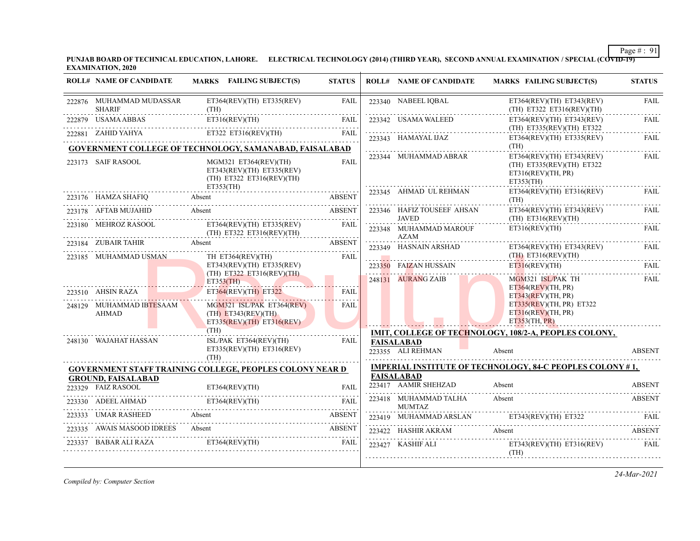**PUNJAB BOARD OF TECHNICAL EDUCATION, LAHORE. ELECTRICAL TECHNOLOGY (2014) (THIRD YEAR), SECOND ANNUAL EXAMINATION / SPECIAL (COVID-19) EXAMINATION, 2020**

| <b>ROLL# NAME OF CANDIDATE</b>                                                   | MARKS FAILING SUBJECT(S)                                                                     | <b>STATUS</b> | <b>ROLL# NAME OF CANDIDATE</b>            | <b>MARKS FAILING SUBJECT(S)</b>                                                                 | <b>STATUS</b> |
|----------------------------------------------------------------------------------|----------------------------------------------------------------------------------------------|---------------|-------------------------------------------|-------------------------------------------------------------------------------------------------|---------------|
| 222876 MUHAMMAD MUDASSAR<br><b>SHARIF</b><br><u> 1990 - Johann Barbara, mart</u> | $ET364(REV)(TH)$ $ET335(REV)$<br>(TH)                                                        | <b>FAIL</b>   | 223340 NABEEL IQBAL                       | ET364(REV)(TH) ET343(REV)<br>(TH) ET322 ET316(REV)(TH)                                          | <b>FAIL</b>   |
| 222879 USAMA ABBAS                                                               | ET316(REV)(TH)<br>2879 USAMA ABBAS ET316(REV)(TH) FAIL                                       | <b>FAIL</b>   | 223342 USAMA WALEED                       | ET364(REV)(TH) ET343(REV)<br>(TH) ET335(REV)(TH) ET322                                          | <b>FAIL</b>   |
|                                                                                  | 222881 ZAHID YAHYA ET322 ET316(REV)(TH) FAIL                                                 | FAIL          | 223343 HAMAYAL IJAZ                       | ET364(REV)(TH) ET335(REV)                                                                       | FAIL          |
|                                                                                  | GOVERNMENT COLLEGE OF TECHNOLOGY, SAMANABAD, FAISALABAD                                      |               |                                           | (TH)                                                                                            |               |
| 223173 SAIF RASOOL                                                               | MGM321 ET364(REV)(TH)<br>ET343(REV)(TH) ET335(REV)<br>(TH) ET322 ET316(REV)(TH)<br>ET353(TH) | FAIL          | 223344 MUHAMMAD ABRAR                     | $ET364(REV)(TH)$ $ET343(REV)$<br>(TH) ET335(REV)(TH) ET322<br>ET316(REV)(TH, PR)<br>ET353(TH)   | FAIL          |
|                                                                                  | 223176 HAMZA SHAFIQ Absent AB                                                                | ABSENT        | 223345 AHMAD UL REHMAN                    | ET364(REV)(TH) ET316(REV)<br>(TH)                                                               | FAIL          |
| 223178 AFTAB MUJAHID                                                             | Absent<br><b>ABSENT</b>                                                                      |               | 223346 HAFIZ TOUSEEF AHSAN<br>JAVED       | ET364(REV)(TH) ET343(REV)<br>$(TH)$ ET316(REV)(TH)                                              | FAIL          |
| 223180 MEHROZ RASOOL                                                             | $ET364(REV)(TH)$ $ET335(REV)$<br>(TH) ET322 ET316(REV)(TH)                                   | FAIL          | 223348 MUHAMMAD MAROUF                    | ET316(REV)(TH)                                                                                  | FAIL          |
|                                                                                  | 223184 ZUBAIR TAHIR Absent ABSENT ABSENT                                                     | ABSENT        | AZAM<br>.<br>223349 HASNAIN ARSHAD        | ET364(REV)(TH) ET343(REV)                                                                       | FAIL          |
| 223185 MUHAMMAD USMAN                                                            | TH ET364(REV)(TH)<br>$ET343(REV)(TH)$ $ET335(REV)$                                           | FAIL          | 223350 FAIZAN HUSSAIN                     | (TH) ET316(REV)(TH)<br>ET316(REV)(TH)                                                           | FAIL          |
|                                                                                  | $(TH)$ ET322 ET316(REV)(TH)<br>ET353(TH)                                                     |               | 248131 AURANG ZAIB                        | MGM321 ISL/PAK TH                                                                               | <b>FAIL</b>   |
| 223510 AHSIN RAZA                                                                | ET364(REV)(TH) ET322                                                                         | FAIL          |                                           | ET364(REV)(TH, PR)<br>ET343(REV)(TH, PR)                                                        |               |
| 248129 MUHAMMAD IBTESAAM<br><b>AHMAD</b>                                         | MGM321 ISL/PAK ET364(REV)<br>$(TH)$ ET343(REV)(TH)<br>$ET335(REV)(TH)$ $ET316(REV)$          | FAIL          |                                           | ET335(REV)(TH, PR) ET322<br>ET316(REV)(TH, PR)<br>ET353(TH, PR)                                 |               |
|                                                                                  | (TH)                                                                                         |               |                                           | IMIT, COLLEGE OF TECHNOLOGY, 108/2-A, PEOPLES COLONY,                                           |               |
| 248130 WAJAHAT HASSAN                                                            | ISL/PAK ET364(REV)(TH)<br>$ET335(REV)(TH)$ $ET316(REV)$<br>(TH)                              | FAIL          | <b>FAISALABAD</b><br>223355 ALI REHMAN    | Absent                                                                                          | <b>ABSENT</b> |
|                                                                                  | <b>GOVERNMENT STAFF TRAINING COLLEGE, PEOPLES COLONY NEAR D</b>                              |               |                                           | <b>IMPERIAL INSTITUTE OF TECHNOLOGY, 84-C PEOPLES COLONY #1,</b>                                |               |
| <b>GROUND, FAISALABAD</b>                                                        |                                                                                              |               | <b>FAISALABAD</b><br>223417 AAMIR SHEHZAD | Absent                                                                                          | <b>ABSENT</b> |
|                                                                                  | ET364(REV)(TH) FAIL PASSIVE ET364(REV)(TH) FAIL                                              | FAIL          | 223418 MUHAMMAD TALHA                     | Absent                                                                                          | <b>ABSENT</b> |
| 223330 ADEEL AHMAD ET364(REV)(TH)                                                | ADEEL AHMAD ET364(REV)(TH) FAIL                                                              | <b>FAIL</b>   | <b>MUMTAZ</b>                             |                                                                                                 |               |
| 223333 UMAR RASHEED                                                              | Absent                                                                                       | <b>ABSENT</b> |                                           | 223419 MUHAMMAD ARSLAN ET343(REV)(TH) ET322<br>223419 MUHAMMAD ARSLAN ET343(REV)(TH) ET322 FAIL |               |
|                                                                                  | 223335 AWAIS MASOOD IDREES Absent                                                            | ABSENT        | 223422 HASHIR AKRAM                       | Absent                                                                                          | ABSENT        |
|                                                                                  | 223337 BABAR ALI RAZA ET364(REV)(TH)                                                         | FAIL          | 223427 KASHIF ALI                         | $ET343(REV)(TH)$ $ET316(REV)$<br>(TH)                                                           | FAIL          |

*Compiled by: Computer Section*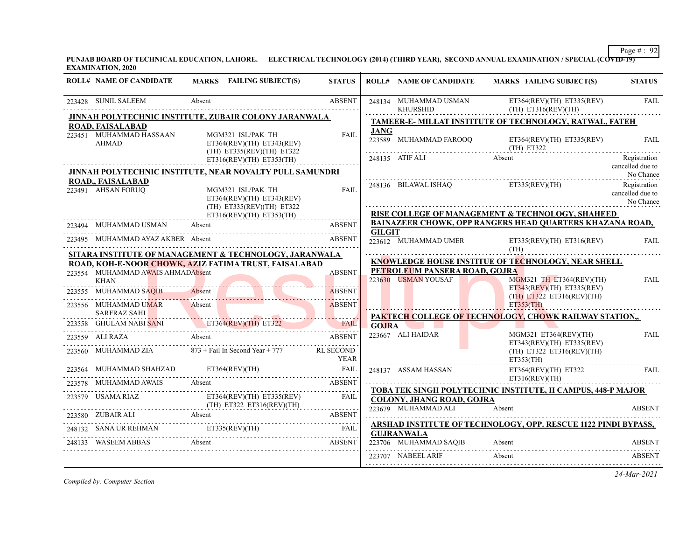**PUNJAB BOARD OF TECHNICAL EDUCATION, LAHORE. ELECTRICAL TECHNOLOGY (2014) (THIRD YEAR), SECOND ANNUAL EXAMINATION / SPECIAL (COVID-19) EXAMINATION, 2020**

| <b>ROLL# NAME OF CANDIDATE</b>                       | MARKS FAILING SUBJECT(S)                                                                                        | <b>STATUS</b> |               | <b>ROLL# NAME OF CANDIDATE</b>                          | <b>MARKS FAILING SUBJECT(S)</b>                                               | <b>STATUS</b>                                 |
|------------------------------------------------------|-----------------------------------------------------------------------------------------------------------------|---------------|---------------|---------------------------------------------------------|-------------------------------------------------------------------------------|-----------------------------------------------|
| 223428 SUNIL SALEEM                                  | Absent                                                                                                          | <b>ABSENT</b> |               | 248134 MUHAMMAD USMAN<br><b>KHURSHID</b>                | $ET364(REV)(TH)$ $ET335(REV)$<br>(TH) E T316 (REV) (TH)                       | <b>FAIL</b><br>.                              |
|                                                      | JINNAH POLYTECHNIC INSTITUTE, ZUBAIR COLONY JARANWALA                                                           |               |               |                                                         | TAMEER-E- MILLAT INSTITUTE OF TECHNOLOGY, RATWAL, FATEH                       |                                               |
| ROAD, FAISALABAD<br>223451 MUHAMMAD HASSAAN<br>AHMAD | MGM321 ISL/PAK TH<br>ET364(REV)(TH) ET343(REV)<br>(TH) ET335(REV)(TH) ET322                                     | <b>FAIL</b>   | JANG          | 223589 MUHAMMAD FAROOQ                                  | $ET364(REV)(TH)$ $ET335(REV)$<br>(TH) E T322                                  | <b>FAIL</b>                                   |
|                                                      | $ET316(REV)(TH)$ $ET353(TH)$                                                                                    |               |               | 248135 ATIF ALI                                         | Absent                                                                        | Registration<br>cancelled due to              |
|                                                      | JINNAH POLYTECHNIC INSTITUTE, NEAR NOVALTY PULL SAMUNDRI                                                        |               |               |                                                         |                                                                               | No Chance                                     |
| ROAD,, FAISALABAD<br>223491 AHSAN FORUQ              | MGM321 ISL/PAK TH<br>ET364(REV)(TH) ET343(REV)<br>(TH) ET335(REV)(TH) ET322                                     | <b>FAIL</b>   |               |                                                         | 248136 BILAWAL ISHAQ ET335(REV)(TH)                                           | Registration<br>cancelled due to<br>No Chance |
|                                                      | ET316(REV)(TH) ET353(TH)                                                                                        |               |               |                                                         | RISE COLLEGE OF MANAGEMENT & TECHNOLOGY, SHAHEED                              |                                               |
| 223494 MUHAMMAD USMAN                                | Absent                                                                                                          | <b>ABSENT</b> | <b>GILGIT</b> |                                                         | <b>BAINAZEER CHOWK, OPP RANGERS HEAD QUARTERS KHAZANA ROAD,</b>               |                                               |
| 223495 MUHAMMAD AYAZ AKBER Absent                    |                                                                                                                 | <b>ABSENT</b> |               | 223612 MUHAMMAD UMER                                    | $ET335(REV)(TH)$ $ET316(REV)$<br>(TH)                                         | <b>FAIL</b>                                   |
|                                                      | SITARA INSTITUTE OF MANAGEMENT & TECHNOLOGY, JARANWALA<br>ROAD, KOH-E-NOOR CHOWK, AZIZ FATIMA TRUST, FAISALABAD |               |               |                                                         | KNOWLEDGE HOUSE INSTITUE OF TECHNOLOGY, NEAR SHELL                            |                                               |
| 223554 MUHAMMAD AWAIS AHMADAbsent                    |                                                                                                                 | <b>ABSENT</b> |               | PETROLEUM PANSERA ROAD, GOJRA                           |                                                                               |                                               |
| <b>KHAN</b>                                          | MMAD AWAIS AHMADADSent                                                                                          |               |               | 223630 USMAN YOUSAF                                     | MGM321 TH ET364(REV)(TH)<br>$ET343(REV)(TH)$ $ET335(REV)$                     | FAIL                                          |
|                                                      | 223555 MUHAMMAD SAQIB Absent ABSENT ABSENT                                                                      | <b>ABSENT</b> |               |                                                         | $(TH)$ ET322 ET316(REV)(TH)                                                   |                                               |
| 223556 MUHAMMAD UMAR<br><b>SARFRAZ SAHI</b>          | Absent                                                                                                          | <b>ABSENT</b> |               |                                                         | ET353(TH)                                                                     |                                               |
|                                                      | <u> Emma Martin Martin Martin Martin </u><br>223558 GHULAM NABI SANI ET364(REV)(TH) ET322 FAIL                  | FAIL          |               |                                                         | PAKTECH COLLEGE OF TECHNOLOGY, CHOWK RAILWAY STATION,,                        |                                               |
| 223559 ALI RAZA                                      | Absent                                                                                                          | <b>ABSENT</b> |               | 223667 ALI HAIDAR                                       | $MGM321$ ET364(REV)(TH)<br>$ET343(REV)(TH)$ $ET335(REV)$                      | <b>FAIL</b>                                   |
|                                                      | 223560 MUHAMMAD ZIA 873 + Fail In Second Year + 777 RL SECOND                                                   | <b>YEAR</b>   |               |                                                         | $(TH)$ ET322 ET316(REV)(TH)<br>ET353(TH)                                      |                                               |
|                                                      | 223564 MUHAMMAD SHAHZAD ET364(REV)(TH) FAIL                                                                     |               |               | 248137 ASSAM HASSAN                                     | ET364(REV)(TH) ET322                                                          | FAIL                                          |
|                                                      | 223578 MUHAMMAD AWAIS Absent ABSENT ABSENT                                                                      |               |               |                                                         | ET316(REV)(TH)                                                                |                                               |
| 223579 USAMA RIAZ                                    | ET364(REV)(TH) ET335(REV)                                                                                       | FAIL          |               | <b>COLONY, JHANG ROAD, GOJRA</b><br>223679 MUHAMMAD ALI | <b>TOBA TEK SINGH POLYTECHNIC INSTITUTE, II CAMPUS, 448-P MAJOR</b><br>Absent | ABSENT                                        |
|                                                      | 223580 ZUBAIR ALI Absent BERTY ABSENT                                                                           | <b>ABSENT</b> |               |                                                         |                                                                               |                                               |
|                                                      | 248132 SANA UR REHMAN ETTS35(REV)(TH) FAIL                                                                      |               |               | <b>GUJRANWALA</b>                                       | ARSHAD INSTITUTE OF TECHNOLOGY, OPP. RESCUE 1122 PINDI BYPASS,                |                                               |
| 248133 WASEEM ABBAS Absent                           | <b>EXAMPLE 2018 ABSENT</b>                                                                                      |               |               | 223706 MUHAMMAD SAQIB                                   | Absent                                                                        | <b>ABSENT</b>                                 |
|                                                      |                                                                                                                 |               |               | 223707 NABEEL ARIF                                      | Absent                                                                        | <b>ABSENT</b>                                 |

*Compiled by: Computer Section*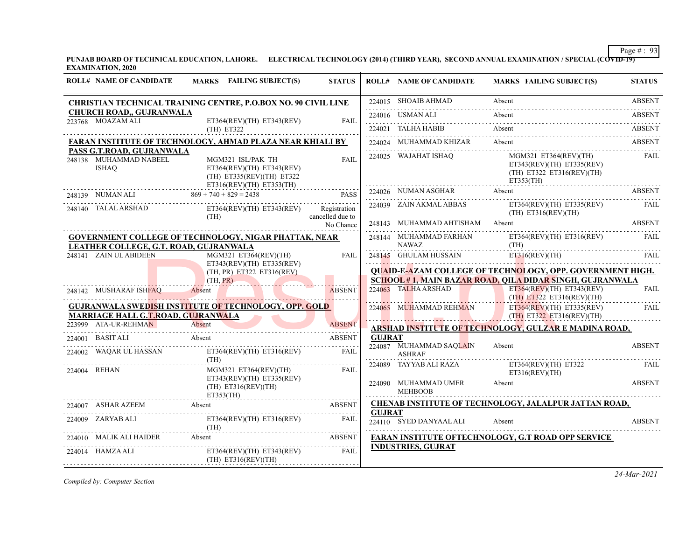**PUNJAB BOARD OF TECHNICAL EDUCATION, LAHORE. ELECTRICAL TECHNOLOGY (2014) (THIRD YEAR), SECOND ANNUAL EXAMINATION / SPECIAL (COVID-19) EXAMINATION, 2020**

| <b>ROLL# NAME OF CANDIDATE</b>                               | MARKS FAILING SUBJECT(S)                                                                                                                                                                                                                                                                                                              | <b>STATUS</b> |               | <b>ROLL# NAME OF CANDIDATE</b>                | <b>MARKS FAILING SUBJECT(S)</b>                                                                                                                                                                                                                                                                                                                                                                                                                                          | <b>STATUS</b> |
|--------------------------------------------------------------|---------------------------------------------------------------------------------------------------------------------------------------------------------------------------------------------------------------------------------------------------------------------------------------------------------------------------------------|---------------|---------------|-----------------------------------------------|--------------------------------------------------------------------------------------------------------------------------------------------------------------------------------------------------------------------------------------------------------------------------------------------------------------------------------------------------------------------------------------------------------------------------------------------------------------------------|---------------|
|                                                              | CHRISTIAN TECHNICAL TRAINING CENTRE, P.O.BOX NO. 90 CIVIL LINE                                                                                                                                                                                                                                                                        |               |               | 224015 SHOAIB AHMAD                           | Absent                                                                                                                                                                                                                                                                                                                                                                                                                                                                   | <b>ABSENT</b> |
| CHURCH ROAD,, GUJRANWALA<br>223768 MOAZAM ALI                | ET364(REV)(TH) ET343(REV)                                                                                                                                                                                                                                                                                                             | FAIL          |               |                                               | 224016 USMAN ALI Absent ABSENT                                                                                                                                                                                                                                                                                                                                                                                                                                           |               |
|                                                              | (TH) ET322                                                                                                                                                                                                                                                                                                                            |               |               | 224021 TALHA HABIB                            | Absent<br>224021 TALHA HABIB Absent ABSENT                                                                                                                                                                                                                                                                                                                                                                                                                               |               |
|                                                              | <b>FARAN INSTITUTE OF TECHNOLOGY, AHMAD PLAZA NEAR KHIALI BY</b>                                                                                                                                                                                                                                                                      |               |               | 224024 MUHAMMAD KHIZAR                        | 224024 MUHAMMAD KHIZAR Absent Absent ABSENT                                                                                                                                                                                                                                                                                                                                                                                                                              |               |
| PASS G.T.ROAD, GUJRANWALA<br>248138 MUHAMMAD NABEEL<br>ISHAO | MGM321 ISL/PAK TH<br>ET364(REV)(TH) ET343(REV)<br>(TH) ET335(REV)(TH) ET322                                                                                                                                                                                                                                                           | <b>FAIL</b>   |               | 224025 WAJAHAT ISHAQ                          | MGM321 ET364(REV)(TH)<br>$ET343(REV)(TH)$ $ET335(REV)$<br>(TH) ET322 ET316(REV)(TH)<br>ET353(TH)                                                                                                                                                                                                                                                                                                                                                                         | FAIL          |
|                                                              | $51316(REV)(TH)$ $51322$<br>248139 NUMAN ALI<br>248139 NUMAN ALI $869 + 740 + 829 = 2438$ PASS<br>NUMAN ALI $869 + 740 + 829 = 2438$ PASS<br>TALAL ARSILARY CONTRACT CONTRACT PART OF THE CONTRACT CONTRACT CONTRACT CONTRACT CONTRACT CONTRACT CONTRACT CONTRACT CONTRACT CONTRACT CONTRACT CONTRACT CONTRACT CONTRACT CONTRACT CONT |               |               |                                               | 224026 NUMAN ASGHAR Absent ABSENT ABSENT                                                                                                                                                                                                                                                                                                                                                                                                                                 |               |
|                                                              | 248140 TALAL ARSHAD ET364(REV)(TH) ET343(REV) Registration<br>(TH) cancelled due to                                                                                                                                                                                                                                                   |               |               |                                               | $\begin{tabular}{ll} 224039 & ZAIN AKMAL ABBAS \\ \hline \multicolumn{3}{l}{\textbf{C11}} & \multicolumn{3}{l}{\textbf{ET36}} \textbf{(REV)} & \multicolumn{3}{l}{\textbf{F1}} \\ \multicolumn{3}{l}{\textbf{C24039}} & \multicolumn{3}{l}{\textbf{Z4IN AKMAL ABBAS}} & \multicolumn{3}{l}{\textbf{(TH)} ET316 \textbf{(REV)} \textbf{(TH)}} \\ \multicolumn{3}{l}{\textbf{CT316}} & \multicolumn{3}{l}{\textbf{(REV)} \textbf{(TH)}} & \multicolumn{3}{l}{\textbf{ET31$ |               |
|                                                              |                                                                                                                                                                                                                                                                                                                                       | No Chance     |               |                                               | 248143 MUHAMMAD AHTISHAM Absent ABSENT                                                                                                                                                                                                                                                                                                                                                                                                                                   |               |
| LEATHER COLLEGE, G.T. ROAD, GUJRANWALA                       | <b>GOVERNMENT COLLEGE OF TECHNOLOGY, NIGAR PHATTAK, NEAR</b>                                                                                                                                                                                                                                                                          |               |               | 248144 MUHAMMAD FARHAN<br><b>NAWAZ</b>        | ET364(REV)(TH) ET316(REV)<br>(TH)                                                                                                                                                                                                                                                                                                                                                                                                                                        | FAIL          |
| 248141 ZAIN UL ABIDEEN                                       | MGM321 ET364(REV)(TH)<br>$ET343(REV)(TH)$ $ET335(REV)$<br>(TH, PR) ET322 ET316(REV)                                                                                                                                                                                                                                                   | FAIL          |               |                                               | 248145 GHULAM HUSSAIN ET316(REV)(TH) FAIL<br><b>QUAID-E-AZAM COLLEGE OF TECHNOLOGY, OPP. GOVERNMENT HIGH.</b>                                                                                                                                                                                                                                                                                                                                                            |               |
|                                                              | (TH, PR)                                                                                                                                                                                                                                                                                                                              |               |               |                                               | <b>SCHOOL #1, MAIN BAZAR ROAD, QILA DIDAR SINGH, GUJRANWALA</b>                                                                                                                                                                                                                                                                                                                                                                                                          |               |
| 248142 MUSHARAF ISHFAQ Absent                                |                                                                                                                                                                                                                                                                                                                                       | <b>ABSENT</b> |               |                                               | 224063 TALHA ARSHAD ET364(REV)(TH) ET343(REV)<br>(TH) ET322 ET316(REV)(TH)                                                                                                                                                                                                                                                                                                                                                                                               | <b>FAIL</b>   |
| MARRIAGE HALL G.T.ROAD, GUJRANWALA                           | <b>GUJRANWALA SWEDISH INSTITUTE OF TECHNOLOGY, OPP. GOLD</b>                                                                                                                                                                                                                                                                          |               |               |                                               | 224065 MUHAMMAD REHMAN ET364(REV)(TH) ET335(REV)                                                                                                                                                                                                                                                                                                                                                                                                                         | .<br>FAIL     |
| 223999 ATA-UR-REHMAN                                         | NET A LIBRE HIMAN Absent                                                                                                                                                                                                                                                                                                              | <b>ABSENT</b> |               |                                               | ARSHAD INSTITUTE OF TECHNOLOGY, GULZAR E MADINA ROAD,                                                                                                                                                                                                                                                                                                                                                                                                                    |               |
| 224001 BASIT ALI Absent                                      |                                                                                                                                                                                                                                                                                                                                       | <b>ABSENT</b> | <b>GUJRAT</b> |                                               |                                                                                                                                                                                                                                                                                                                                                                                                                                                                          |               |
| 224002 WAQAR UL HASSAN                                       | ET364(REV)(TH) ET316(REV)<br>(TH)                                                                                                                                                                                                                                                                                                     | FAIL          |               | 224087 MUHAMMAD SAOLAIN<br><b>ASHRAF</b>      | Absent                                                                                                                                                                                                                                                                                                                                                                                                                                                                   | <b>ABSENT</b> |
| 224004 REHAN                                                 | MGM321 ET364(REV)(TH) FAIL                                                                                                                                                                                                                                                                                                            |               |               |                                               | 224089 TAYYAB ALI RAZA ET364(REV)(TH) ET322 FAIL<br>E T316(REV)(TH)                                                                                                                                                                                                                                                                                                                                                                                                      |               |
|                                                              | $ET343(REV)(TH)$ $ET335(REV)$<br>(TH) ET316(REV)(TH)<br>ET353(TH)                                                                                                                                                                                                                                                                     |               |               | 224090 MUHAMMAD UMER Absent<br><b>MEHBOOB</b> |                                                                                                                                                                                                                                                                                                                                                                                                                                                                          | ABSENT        |
|                                                              | 224007 ASHAR AZEEM Absent ABSENT ABSENT                                                                                                                                                                                                                                                                                               |               |               |                                               | <b>CHENAB INSTITUTE OF TECHNOLOGY, JALALPUR JATTAN ROAD,</b>                                                                                                                                                                                                                                                                                                                                                                                                             |               |
|                                                              | 224009 ZARYAB ALI ET364(REV)(TH) ET316(REV) FAIL (TH)                                                                                                                                                                                                                                                                                 |               | <b>GUJRAT</b> | 224110 SYED DANYAAL ALI Absent                |                                                                                                                                                                                                                                                                                                                                                                                                                                                                          | <b>ABSENT</b> |
|                                                              | 224010 MALIK ALI HAIDER Absent ABSENT ABSENT                                                                                                                                                                                                                                                                                          |               |               |                                               | <b>FARAN INSTITUTE OFTECHNOLOGY, G.T ROAD OPP SERVICE</b>                                                                                                                                                                                                                                                                                                                                                                                                                |               |
| 224014 HAMZA ALI                                             | ET364(REV)(TH) ET343(REV)<br>$(TH)$ ET316(REV)(TH)                                                                                                                                                                                                                                                                                    | FAIL          |               | <b>INDUSTRIES, GUJRAT</b>                     |                                                                                                                                                                                                                                                                                                                                                                                                                                                                          |               |

*Compiled by: Computer Section*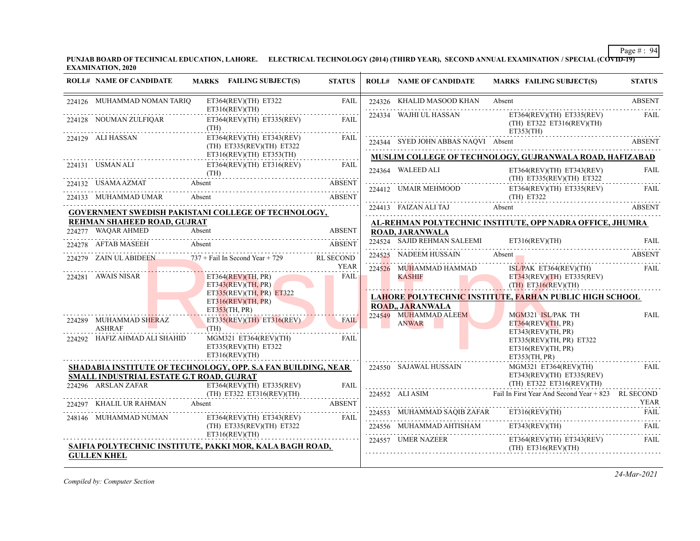**PUNJAB BOARD OF TECHNICAL EDUCATION, LAHORE. ELECTRICAL TECHNOLOGY (2014) (THIRD YEAR), SECOND ANNUAL EXAMINATION / SPECIAL (COVID-19) EXAMINATION, 2020**

| <b>ROLL# NAME OF CANDIDATE</b>                    | MARKS FAILING SUBJECT(S)                                                                                                                                                                                                                                                                                                                                                    | <b>STATUS</b> | <b>ROLL# NAME OF CANDIDATE</b>                        | <b>MARKS FAILING SUBJECT(S)</b>                                                        | <b>STATUS</b> |
|---------------------------------------------------|-----------------------------------------------------------------------------------------------------------------------------------------------------------------------------------------------------------------------------------------------------------------------------------------------------------------------------------------------------------------------------|---------------|-------------------------------------------------------|----------------------------------------------------------------------------------------|---------------|
| 224126 MUHAMMAD NOMAN TARIQ                       | ET364(REV)(TH) ET322<br>ET316(REV)(TH)                                                                                                                                                                                                                                                                                                                                      | <b>FAIL</b>   | 224326 KHALID MASOOD KHAN Absent                      |                                                                                        | <b>ABSENT</b> |
| 224128 NOUMAN ZULFIQAR                            | $ET364(REV)(TH)$ $ET335(REV)$<br>(TH)                                                                                                                                                                                                                                                                                                                                       | FAIL          | 224334 WAJHI UL HASSAN                                | $ET364(REV)(TH)$ $ET335(REV)$<br>$(TH)$ ET322 ET316(REV)(TH)                           | FAIL          |
| 224129 ALI HASSAN                                 | $ET364(REV)(TH)$ $ET343(REV)$<br>$(TH)$ ET335(REV)(TH) ET322                                                                                                                                                                                                                                                                                                                | <b>FAIL</b>   | 224344 SYED JOHN ABBAS NAQVI Absent                   | ET353(TH)<br>224344 SYED JOHN ABBAS NAQVI Absent ABSENT                                |               |
|                                                   | ET316(REV)(TH) ET353(TH)                                                                                                                                                                                                                                                                                                                                                    | .             |                                                       | MUSLIM COLLEGE OF TECHNOLOGY, GUJRANWALA ROAD, HAFIZABAD                               |               |
| 224131 USMAN ALI 1                                | ET364(REV)(TH) ET316(REV)<br>(TH)                                                                                                                                                                                                                                                                                                                                           | FAIL          | 224364 WALEED ALI                                     | ET364(REV)(TH) ET343(REV)<br>(TH) ET335(REV)(TH) ET322                                 | <b>FAIL</b>   |
|                                                   | 224132 USAMA AZMAT Absent ABSENT ABSENT                                                                                                                                                                                                                                                                                                                                     | <b>ABSENT</b> |                                                       |                                                                                        |               |
| 224133 MUHAMMAD UMAR                              | Absent                                                                                                                                                                                                                                                                                                                                                                      | <b>ABSENT</b> | 224413 FAIZAN ALI TAJ Absent                          | 224412 UMAIR MEHMOOD ET364(REV)(TH) ET335(REV) FAIL (TH) ET322                         |               |
|                                                   | GOVERNMENT SWEDISH PAKISTANI COLLEGE OF TECHNOLOGY,                                                                                                                                                                                                                                                                                                                         |               |                                                       | <b>ABSENT</b>                                                                          |               |
| REHMAN SHAHEED ROAD, GUJRAT<br>224277 WAQAR AHMED | Absent                                                                                                                                                                                                                                                                                                                                                                      | <b>ABSENT</b> |                                                       | AL-REHMAN POLYTECHNIC INSTITUTE, OPP NADRA OFFICE, JHUMRA                              |               |
|                                                   |                                                                                                                                                                                                                                                                                                                                                                             |               | <b>ROAD, JARANWALA</b><br>224524 SAJID REHMAN SALEEMI | ET316(REV)(TH)                                                                         | FAII.         |
|                                                   | 224278 AFTAB MASEEH Absent ABSENT ABSENT                                                                                                                                                                                                                                                                                                                                    |               | 224525 NADEEM HUSSAIN                                 | Absent                                                                                 | ABSENT        |
|                                                   | 224279 ZAIN UL ABIDEEN 737 + Fail In Second Year + 729 RL SECOND                                                                                                                                                                                                                                                                                                            | YEAR          |                                                       | 224525 NADEEM HUSSAIN Absent Assex ABSENT                                              |               |
| 224281 AWAIS NISAR                                | ET364(REV)(TH, PR)<br>ET343(REV)(TH, PR)                                                                                                                                                                                                                                                                                                                                    | FAIL          | 224526 MUHAMMAD HAMMAD<br><b>KASHIF</b>               | ISL/PAK ET364(REV)(TH) FAIL<br>ET343(REV)(TH) ET335(REV)<br>$(TH)$ ET316(REV)(TH)      |               |
|                                                   | ET335(REV)(TH, PR) ET322                                                                                                                                                                                                                                                                                                                                                    |               |                                                       | LAHORE POLYTECHNIC INSTITUTE, FARHAN PUBLIC HIGH SCHOOL                                |               |
|                                                   | ET316(REV)(TH, PR)<br>ET353(TH, PR)                                                                                                                                                                                                                                                                                                                                         |               | <b>ROAD., JARANWALA</b>                               |                                                                                        |               |
| 224289 MUHAMMAD SHERAZ<br><b>ASHRAF</b>           | $ET335(REV)(TH)$ $ET316(REV)$<br>(TH)                                                                                                                                                                                                                                                                                                                                       | <b>FAIL</b>   | 224549 MUHAMMAD ALEEM<br><b>ANWAR</b>                 | MGM321 ISL/PAK TH<br>ET364(REV)(TH, PR)                                                | <b>FAIL</b>   |
| 224292 HAFIZ AHMAD ALI SHAHID                     | $MGM321$ $ET364(REV)(TH)$<br>$ET335(REV)(TH)$ $ET322$<br>ET316(REV)(TH)                                                                                                                                                                                                                                                                                                     | FAIL          |                                                       | ET343(REV)(TH, PR)<br>ET335(REV)(TH, PR) E T322<br>ET316(REV)(TH, PR)<br>ET353(TH, PR) |               |
|                                                   | <b>SHADABIA INSTITUTE OF TECHNOLOGY, OPP. S.A FAN BUILDING, NEAR</b>                                                                                                                                                                                                                                                                                                        |               | 224550 SAJAWAL HUSSAIN                                | $MGM321$ $ET364(REV)(TH)$                                                              | <b>FAIL</b>   |
| SMALL INDUSTRIAL ESTATE G.T ROAD, GUJRAT          |                                                                                                                                                                                                                                                                                                                                                                             |               |                                                       | $ET343(REV)(TH)$ $ET335(REV)$<br>$(TH)$ ET322 ET316(REV)(TH)                           |               |
|                                                   | $\begin{tabular}{ll} \multicolumn{2}{l}{{\small 224296}} \multicolumn{2}{c}{ARSLAN ZAFAR} & \multicolumn{2}{c}{ET364(REV)(TH)} & \multicolumn{2}{c}{ET3535(REV)}\\ & \multicolumn{2}{c}{(TH)} & \multicolumn{2}{c}{ET322} & \multicolumn{2}{c}{ET316(REV)(TH)}\\ \multicolumn{2}{c}{(TH)} & \multicolumn{2}{c}{ET322} & \multicolumn{2}{c}{ET316(REV)(TH)}\\ \end{tabular}$ | FAIL          |                                                       | 224552 ALI ASIM Fail In First Year And Second Year + 823 RL SECOND                     |               |
| 224297 KHALIL UR RAHMAN Absent                    |                                                                                                                                                                                                                                                                                                                                                                             | <b>ABSENT</b> |                                                       |                                                                                        | YEAR          |
| 248146 MUHAMMAD NUMAN                             | ET364(REV)(TH) ET343(REV) FAIL                                                                                                                                                                                                                                                                                                                                              |               |                                                       | 224553 MUHAMMAD SAQIB ZAFAR ET316(REV)(TH) FAIL                                        |               |
|                                                   | (TH) ET335(REV)(TH) ET322                                                                                                                                                                                                                                                                                                                                                   |               |                                                       | 224556 MUHAMMAD AHTISHAM ET343(REV)(TH)                                                | FAIL.         |
| <b>GULLEN KHEL</b>                                | ET316(REV)(TH)<br>SAIFIA POLYTECHNIC INSTITUTE, PAKKI MOR, KALA BAGH ROAD,                                                                                                                                                                                                                                                                                                  |               |                                                       | 224557 UMER NAZEER ET364(REV)(TH) ET343(REV)<br>$(TH)$ ET316(REV)(TH)                  | <b>FAIL</b>   |

*Compiled by: Computer Section*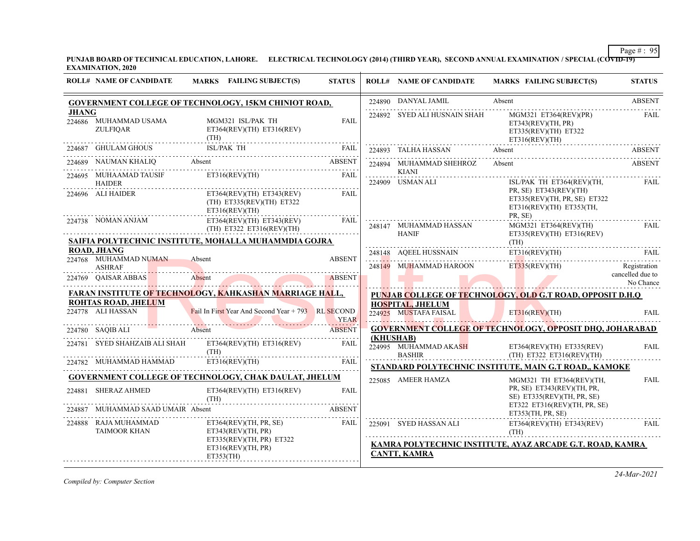**PUNJAB BOARD OF TECHNICAL EDUCATION, LAHORE. ELECTRICAL TECHNOLOGY (2014) (THIRD YEAR), SECOND ANNUAL EXAMINATION / SPECIAL (COVID-19) EXAMINATION, 2020**

|              | <b>ROLL# NAME OF CANDIDATE</b>                  | <b>MARKS</b> FAILING SUBJECT(S)                                              | <b>STATUS</b>    |           | <b>ROLL# NAME OF CANDIDATE</b>                                  | <b>MARKS FAILING SUBJECT(S)</b>                                                                | <b>STATUS</b>                                 |
|--------------|-------------------------------------------------|------------------------------------------------------------------------------|------------------|-----------|-----------------------------------------------------------------|------------------------------------------------------------------------------------------------|-----------------------------------------------|
|              |                                                 | <b>GOVERNMENT COLLEGE OF TECHNOLOGY, 15KM CHINIOT ROAD,</b>                  |                  |           | 224890 DANYAL JAMIL                                             | Absent                                                                                         | <b>ABSENT</b>                                 |
| <b>JHANG</b> | 224686 MUHAMMAD USAMA<br>ZULFIOAR               | MGM321 ISL/PAK TH<br>ET364(REV)(TH) ET316(REV)<br>(TH)                       | <b>FAIL</b>      |           | 224892 SYED ALI HUSNAIN SHAH                                    | MGM321 ET364(REV)(PR)<br>ET343(REV)(TH, PR)<br>ET335(REV)(TH) ET322<br>ET316(REV)(TH)          | FAIL                                          |
|              | 224687 GHULAM GHOUS                             | <b>ISL/PAK TH</b>                                                            | FAIL             |           | 224893 TALHA HASSAN                                             | Absent                                                                                         | <b>ABSENT</b>                                 |
|              |                                                 | 224689 NAUMAN KHALIQ Absent ABSENT                                           | <b>ABSENT</b>    |           | 224894 MUHAMMAD SHEHROZ                                         | Absent                                                                                         | <b>ABSENT</b>                                 |
|              | 224695 MUHAAMAD TAUSIF<br><b>HAIDER</b><br>.    | ET316(REV)(TH)                                                               | FAIL             |           | KIANI<br>.<br>224909 USMAN ALI                                  | ISL/PAK TH ET364(REV)(TH,                                                                      | <b>FAIL</b>                                   |
|              | 224696 ALI HAIDER                               | $ET364(REV)(TH)$ $ET343(REV)$<br>(TH) ET335(REV)(TH) ET322<br>ET316(REV)(TH) | <b>FAIL</b><br>. |           |                                                                 | PR, SE) ET343(REV)(TH)<br>ET335(REV)(TH, PR, SE) E T322<br>ET316(REV)(TH) ET353(TH,<br>PR, SE) |                                               |
|              | 224738 NOMAN ANJAM                              | ET364(REV)(TH) ET343(REV)<br>$(TH)$ ET322 ET316(REV)(TH)                     | FAIL             |           | 248147 MUHAMMAD HASSAN<br><b>HANIF</b>                          | MGM321 ET364(REV)(TH)<br>$ET335(REV)(TH)$ $ET316(REV)$                                         | <b>FAIL</b>                                   |
|              | <b>ROAD, JHANG</b>                              | SAIFIA POLYTECHNIC INSTITUTE, MOHALLA MUHAMMDIA GOJRA                        |                  |           |                                                                 | (TH)                                                                                           |                                               |
|              | 224768 MUHAMMAD NUMAN                           | Absent                                                                       | <b>ABSENT</b>    |           | 248148 AQEEL HUSSNAIN                                           | ET316(REV)(TH) FAIL                                                                            |                                               |
|              | <b>ASHRAF</b><br>224769 QAISAR ABBAS            | Absent                                                                       | ABSENT           |           | 248149 MUHAMMAD HAROON                                          | ET335(REV)(TH)                                                                                 | Registration<br>cancelled due to<br>No Chance |
|              |                                                 | <b>FARAN INSTITUTE OF TECHNOLOGY, KAHKASHAN MARRIAGE HALL,</b>               |                  |           |                                                                 | <b>PUNJAB COLLEGE OF TECHNOLOGY, OLD G.T ROAD, OPPOSIT D.H.O</b>                               |                                               |
|              | <b>ROHTAS ROAD, JHELUM</b><br>224778 ALI HASSAN | Fail In First Year And Second Year + 793 RL SECOND                           | <b>YEAR</b>      |           | <b>HOSPITAL, JHELUM</b><br>224925 MUSTAFA FAISAL ET316(REV)(TH) |                                                                                                | <b>FAIL</b>                                   |
|              |                                                 | 224780 SAQIBALI Absent Absent Absent ABSENT                                  | <b>ABSENT</b>    |           |                                                                 | <b>GOVERNMENT COLLEGE OF TECHNOLOGY, OPPOSIT DHQ, JOHARABAD</b>                                |                                               |
|              |                                                 | 224781 SYED SHAHZAIB ALI SHAH ET364(REV)(TH) ET316(REV)<br>(TH)              | FAIL             | (KHUSHAB) | 224995 MUHAMMAD AKASH                                           | ET364(REV)(TH) ET335(REV)<br>BASHIR (TH) ET322 ET316(REV)(TH)                                  | <b>FAIL</b>                                   |
|              | 224782 MUHAMMAD HAMMAD                          | ET316(REV)(TH)                                                               | <b>FAIL</b>      |           |                                                                 | STANDARD POLYTECHNIC INSTITUTE, MAIN G.T ROAD,, KAMOKE                                         |                                               |
|              |                                                 | <b>GOVERNMENT COLLEGE OF TECHNOLOGY, CHAK DAULAT, JHELUM</b>                 |                  |           | 225085 AMEER HAMZA                                              | MGM321 TH ET364(REV)(TH.                                                                       | <b>FAIL</b>                                   |
|              | 224881 SHERAZ AHMED                             | $ET364(REV)(TH)$ $ET316(REV)$<br>(TH)                                        | <b>FAIL</b>      |           |                                                                 | PR, SE) ET343(REV)(TH, PR,<br>SE) ET335(REV)(TH, PR, SE)                                       |                                               |
| 224887       | MUHAMMAD SAAD UMAIR Absent                      | <b>ABSENT</b>                                                                |                  |           | ET353(TH, PR, SE)                                               | ET322 ET316(REV)(TH, PR, SE)                                                                   |                                               |
|              | 224888 RAJA MUHAMMAD<br><b>TAIMOOR KHAN</b>     | ET364(REV)(TH, PR, SE)<br>ET343(REV)(TH, PR)                                 | FAIL             |           | 225091 SYED HASSAN ALI                                          | $ET364(REV)(TH)$ $ET343(REV)$<br>(TH)                                                          | FAIL                                          |
|              |                                                 | ET335(REV)(TH, PR) ET322<br>ET316(REV)(TH, PR)<br>ET353(TH)                  |                  |           | <b>CANTT, KAMRA</b>                                             | KAMRA POLYTECHNIC INSTITUTE, AYAZ ARCADE G.T. ROAD, KAMRA                                      |                                               |

*Compiled by: Computer Section*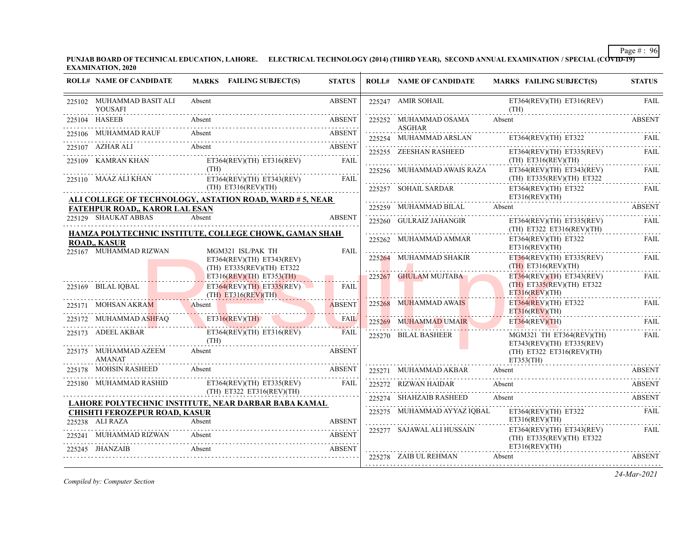**PUNJAB BOARD OF TECHNICAL EDUCATION, LAHORE. ELECTRICAL TECHNOLOGY (2014) (THIRD YEAR), SECOND ANNUAL EXAMINATION / SPECIAL (COVID-19) EXAMINATION, 2020**

| <b>ROLL# NAME OF CANDIDATE</b>                          | MARKS FAILING SUBJECT(S)                                                    | <b>STATUS</b> | <b>ROLL# NAME OF CANDIDATE</b>          | <b>MARKS FAILING SUBJECT(S)</b>                                           | <b>STATUS</b> |
|---------------------------------------------------------|-----------------------------------------------------------------------------|---------------|-----------------------------------------|---------------------------------------------------------------------------|---------------|
| 225102 MUHAMMAD BASIT ALI<br><b>YOUSAFI</b>             | Absent                                                                      | <b>ABSENT</b> | 225247 AMIR SOHAIL                      | ET364(REV)(TH) ET316(REV)<br>(TH)                                         | <b>FAIL</b>   |
| 225104 HASEEB                                           | Absent                                                                      | <b>ABSENT</b> | 225252 MUHAMMAD OSAMA                   | Absent                                                                    | <b>ABSENT</b> |
| 225106 MUHAMMAD RAUF                                    | Absent                                                                      | <b>ABSENT</b> | <b>ASGHAR</b><br>225254 MUHAMMAD ARSLAN | ET364(REV)(TH) ET322                                                      | FAII.         |
| 225107 AZHAR ALI                                        | Absent                                                                      | ABSENT        | 225255 ZEESHAN RASHEED                  | ET364(REV)(TH) ET335(REV)                                                 | <b>FAIL</b>   |
| 225109 KAMRAN KHAN                                      | $ET364(REV)(TH)$ $ET316(REV)$<br>(TH)                                       | FAIL          |                                         | $(TH)$ ET316(REV)(TH)                                                     |               |
| 225110 MAAZ ALI KHAN                                    | ET364(REV)(TH) ET343(REV)                                                   | FAIL          | 225256 MUHAMMAD AWAIS RAZA              | ET364(REV)(TH) ET343(REV)<br>$(TH)$ ET335(REV)(TH) ET322                  | <b>FAIL</b>   |
|                                                         | (TH) ET316(REV)(TH)                                                         |               | 225257 SOHAIL SARDAR                    | ET364(REV)(TH) ET322<br>ET316(REV)(TH)                                    | FAIL          |
| <b>FATEHPUR ROAD,, KAROR LAL ESAN</b>                   | ALI COLLEGE OF TECHNOLOGY, ASTATION ROAD, WARD # 5, NEAR                    |               | 225259 MUHAMMAD BILAL Absent            |                                                                           | <b>ABSENT</b> |
| 225129 SHAUKAT ABBAS                                    | Absent                                                                      | <b>ABSENT</b> | 225260 GULRAIZ JAHANGIR                 | $ET364(REV)(TH)$ $ET335(REV)$<br>$(TH)$ ET322 ET316(REV)(TH)              | FAIL          |
| <b>ROAD,, KASUR</b>                                     | HAMZA POLYTECHNIC INSTITUTE, COLLEGE CHOWK, GAMAN SHAH                      |               | 225262 MUHAMMAD AMMAR                   | $ET364(REV)(TH)$ $ET322$<br>ET316(REV)(TH)                                | <b>FAIL</b>   |
| 225167 MUHAMMAD RIZWAN                                  | MGM321 ISL/PAK TH<br>ET364(REV)(TH) ET343(REV)<br>(TH) ET335(REV)(TH) ET322 | FAII.         | 225264 MUHAMMAD SHAKIR                  | $ET364(REV)(TH)$ $ET335(REV)$<br>$(TH)$ ET316(REV)(TH)                    | <b>FAIL</b>   |
|                                                         | $ET316(REV)(TH)$ $ET353(TH)$                                                |               | 225267 GHULAM MUJTABA                   | $ET364(REV)(TH)$ $ET343(REV)$<br>$(TH)$ ET335(REV)(TH) ET322              | FAIL          |
| 225169 BILAL IQBAL                                      | $ET364(REV)(TH)$ $ET335(REV)$<br>$(TH)$ ET316(REV)(TH)                      | FAIL          |                                         | $ET316$ (REV)(TH)                                                         |               |
| 225171 MOHSAN AKRAM                                     | Absent                                                                      | <b>ABSENT</b> | 225268 MUHAMMAD AWAIS                   | $ET364(REV)(TH)$ $ET322$<br>$ET316$ (REV)(TH)                             | FAIL          |
| 225172 MUHAMMAD ASHFAO                                  | ET316(REV)(TH)                                                              | <b>FAIL</b>   | 225269 MUHAMMAD UMAIR                   | ET364(REV)(TH)                                                            | <b>FAIL</b>   |
| 225173 ADEEL AKBAR                                      | $ET364(REV)(TH)$ $ET316(REV)$<br>(TH)                                       | <b>FAIL</b>   | 225270 BILAL BASHEER                    | MGM321 TH ET364(REV)(TH)                                                  | FAIL          |
| 225175 MUHAMMAD AZEEM<br><b>AMANAT</b>                  | Absent                                                                      | <b>ABSENT</b> |                                         | $ET343(REV)(TH)$ $ET335(REV)$<br>$(TH)$ ET322 ET316(REV)(TH)<br>ET353(TH) |               |
| 225178 MOHSIN RASHEED                                   | Absent                                                                      | <b>ABSENT</b> | 225271 MUHAMMAD AKBAR                   | Absent                                                                    | <b>ABSENT</b> |
| 225180 MUHAMMAD RASHID                                  | ET364(REV)(TH) ET335(REV)<br>(TH) ET322 ET316(REV)(TH)                      | FAIL          | 225272 RIZWAN HAIDAR                    | Absent                                                                    | ABSENT        |
|                                                         | LAHORE POLYTECHNIC INSTITUTE, NEAR DARBAR BABA KAMAL                        |               | 225274 SHAHZAIB RASHEED                 | Absent                                                                    | <b>ABSENT</b> |
| <b>CHISHTI FEROZEPUR ROAD, KASUR</b><br>225238 ALI RAZA | Absent                                                                      | <b>ABSENT</b> |                                         | 225275 MUHAMMAD AYYAZ IQBAL ET364(REV)(TH) ET322 FAIL<br>ET316(REV)(TH)   |               |
| 225241 MUHAMMAD RIZWAN                                  | Absent                                                                      | <b>ABSENT</b> | 225277 SAJAWAL ALI HUSSAIN              | ET364(REV)(TH) ET343(REV)<br>(TH) ET335(REV)(TH) ET322                    | FAIL          |
| 225245 JHANZAIB                                         | Absent                                                                      | <b>ABSENT</b> | 225278 ZAIB UL REHMAN Absent            | ET316(REV)(TH)                                                            | <b>ABSENT</b> |

*Compiled by: Computer Section*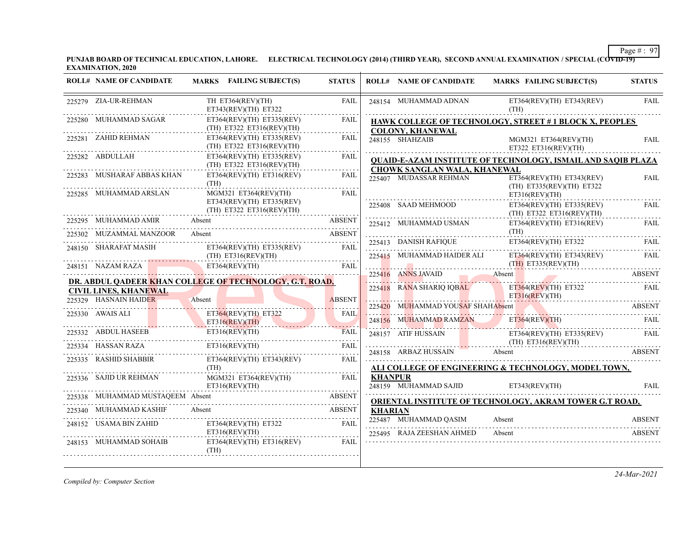**PUNJAB BOARD OF TECHNICAL EDUCATION, LAHORE. ELECTRICAL TECHNOLOGY (2014) (THIRD YEAR), SECOND ANNUAL EXAMINATION / SPECIAL (COVID-19) EXAMINATION, 2020**

| <b>ROLL# NAME OF CANDIDATE</b>                        | MARKS FAILING SUBJECT(S)                                                                                                                                                       | <b>STATUS</b>       |                | <b>ROLL# NAME OF CANDIDATE</b>                     | <b>MARKS FAILING SUBJECT(S)</b>                                                                                                            | <b>STATUS</b>           |
|-------------------------------------------------------|--------------------------------------------------------------------------------------------------------------------------------------------------------------------------------|---------------------|----------------|----------------------------------------------------|--------------------------------------------------------------------------------------------------------------------------------------------|-------------------------|
| 225279 ZIA-UR-REHMAN                                  | TH ET364(REV)(TH)<br>$ET343(REV)(TH)$ $ET322$                                                                                                                                  | FAIL                |                | 248154 MUHAMMAD ADNAN                              | $ET364(REV)(TH)$ $ET343(REV)$<br>(TH)                                                                                                      | <b>FAIL</b>             |
| 225280 MUHAMMAD SAGAR                                 | ET364(REV)(TH) ET335(REV)<br>(TH) ET322 ET316(REV)(TH)                                                                                                                         | FAIL<br>.           |                | <b>COLONY, KHANEWAL</b>                            | <b>HAWK COLLEGE OF TECHNOLOGY, STREET #1 BLOCK X, PEOPLES</b>                                                                              |                         |
| 225281 ZAHID REHMAN                                   | $ET364(REV)(TH)$ $ET335(REV)$<br>(TH) ET322 ET316(REV)(TH)                                                                                                                     | FAIL                |                | 248155 SHAHZAIB                                    | MGM321 ET364(REV)(TH)<br>ET322 ET316(REV)(TH)                                                                                              | <b>FAIL</b>             |
| 225282 ABDULLAH                                       | ET364(REV)(TH) ET335(REV)<br>$(TH)$ ET322 ET316(REV)(TH)                                                                                                                       | FAIL                |                | CHOWK SANGLAN WALA, KHANEWAL                       | <b>QUAID-E-AZAM INSTITUTE OF TECHNOLOGY, ISMAIL AND SAQIB PLAZA</b>                                                                        |                         |
| 225283 MUSHARAF ABBAS KHAN                            | $ET364(REV)(TH)$ $ET316(REV)$<br>(TH)                                                                                                                                          | FAIL                |                | 225407 MUDASSAR REHMAN                             | ET364(REV)(TH) ET343(REV)<br>(TH) ET335(REV)(TH) ET322                                                                                     | <b>FAIL</b>             |
| 225285 MUHAMMAD ARSLAN                                | MGM321 ET364(REV)(TH)<br>ET343(REV)(TH) ET335(REV)                                                                                                                             | <b>FAIL</b>         |                | 225408 SAAD MEHMOOD                                | ET316(REV)(TH)<br>$ET364(REV)(TH)$ $ET335(REV)$                                                                                            | FAIL                    |
| 225295 MUHAMMAD AMIR                                  | (TH) ET322 ET316(REV)(TH)<br>Absent                                                                                                                                            | ABSENT              |                | 225412 MUHAMMAD USMAN                              | $(TH)$ ET322 ET316(REV)(TH)<br>$ET364(REV)(TH)$ $ET316(REV)$                                                                               | FAIL                    |
| 225302 MUZAMMAL MANZOOR                               | 5302 MUZAMMAL MANZOOR Absent ABSENT ABSENT                                                                                                                                     |                     |                |                                                    | (TH)<br>$\begin{tabular}{ll} \bf 225413 & {\small \bf DANISH RAFIQUE} & \tt ET364(REV)(TH) & \tt ET322 & \tt FAIL \\ \hline \end{tabular}$ |                         |
| 248150 SHARAFAT MASIH                                 | $\begin{tabular}{ll} \multicolumn{2}{l}{{\bf ET364(REV)(TH) \ ET335(REV)}} & \multicolumn{2}{l}{\bf FAIL} \\ (TH) \  \, ET316(REV)(TH) & \multicolumn{2}{l}{\bf \end{tabular}$ | FAIL                |                |                                                    | 225415 MUHAMMAD HAIDER ALI ET364(REV)(TH) ET343(REV)<br>$(TH)$ ET335(REV)(TH)                                                              | FAIL                    |
|                                                       | 248151 NAZAM RAZA<br>The ET364(REV)(TH)<br>DR. ABDUL QADEER KHAN COLLEGE OF TECHNOLOGY, G.T. ROAD,                                                                             |                     |                |                                                    | 225416 ANNS JAVAID Absent ABSENT                                                                                                           |                         |
| <b>CIVIL LINES, KHANEWAL</b><br>225329 HASNAIN HAIDER | Absent                                                                                                                                                                         | <b>ABSENT</b>       |                | 225418 RANA SHARIQ IQBAL                           | ET364(REV)(TH) E T322<br>ET316(REV)(TH)                                                                                                    | <b>EAIL</b>             |
| 225330 AWAIS ALI                                      | ET364(REV)(TH) ET322                                                                                                                                                           | <b>FAIL</b>         |                | 225420 MUHAMMAD YOUSAF SHAHAbsent                  |                                                                                                                                            | ABSENT                  |
|                                                       | ET316(REV)(TH)                                                                                                                                                                 |                     |                |                                                    | 248156 MUHAMMAD RAMZAN ET364(REV)(TH) FAIL                                                                                                 |                         |
| 225334 HASSAN RAZA                                    | 225332 ABDUL HASEEB ET316(REV)(TH) FAII<br>ET316(REV)(TH)                                                                                                                      | <b>FAIL</b><br>FAIL |                |                                                    | 248157 ATIF HUSSAIN ET364(REV)(TH) ET315(REV)<br>(TH) ET316(REV)(TH)                                                                       | FAIL                    |
| 225335 RASHID SHABBIR                                 | ET364(REV)(TH) ET343(REV)                                                                                                                                                      | FAIL                |                |                                                    | 248158 ARBAZ HUSSAIN Absent ABSENT                                                                                                         |                         |
|                                                       | (TH)                                                                                                                                                                           |                     |                |                                                    | ALI COLLEGE OF ENGINEERING & TECHNOLOGY, MODEL TOWN,                                                                                       |                         |
| 225336 SAJID UR REHMAN                                | $MGM321$ $ET364$ (REV)(TH)<br>ET316(REV)(TH)                                                                                                                                   | FAIL.               | <b>KHANPUR</b> | 248159 MUHAMMAD SAJID ET343(REV)(TH)               |                                                                                                                                            | <b>FAIL</b>             |
| 225338 MUHAMMAD MUSTAQEEM Absent                      |                                                                                                                                                                                |                     |                |                                                    | <b>ORIENTAL INSTITUTE OF TECHNOLOGY, AKRAM TOWER G.T ROAD,</b>                                                                             |                         |
| 225340 MUHAMMAD KASHIF                                |                                                                                                                                                                                |                     | <b>KHARIAN</b> |                                                    |                                                                                                                                            |                         |
| 248152 USAMA BIN ZAHID                                | ET364(REV)(TH) ET322<br>ET316(REV)(TH)                                                                                                                                         | FAIL                |                | 225487 MUHAMMAD OASIM<br>225495 RAJA ZEESHAN AHMED | Absent<br>Absent                                                                                                                           | ABSENT<br><b>ABSENT</b> |
| 248153 MUHAMMAD SOHAIB                                | $ET364(REV)(TH)$ $ET316(REV)$<br>(TH)                                                                                                                                          | - FAIL              |                |                                                    |                                                                                                                                            |                         |

*Compiled by: Computer Section*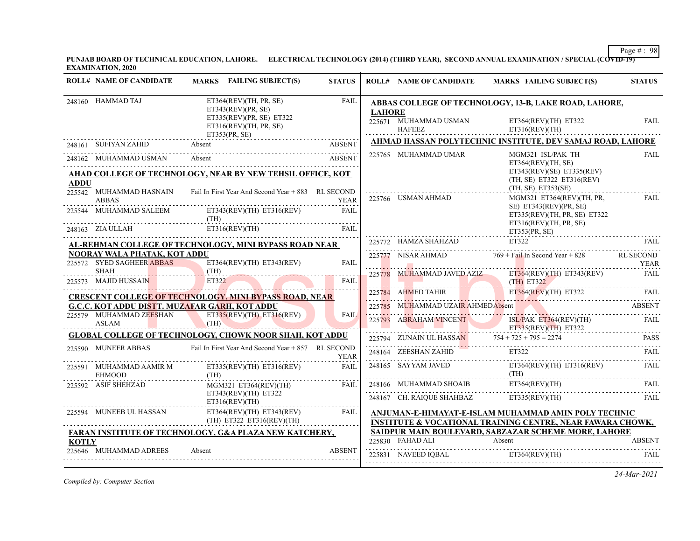**PUNJAB BOARD OF TECHNICAL EDUCATION, LAHORE. ELECTRICAL TECHNOLOGY (2014) (THIRD YEAR), SECOND ANNUAL EXAMINATION / SPECIAL (COVID-19) EXAMINATION, 2020**

|              | <b>ROLL# NAME OF CANDIDATE</b>           | MARKS FAILING SUBJECT(S)                                                 | <b>STATUS</b> |               | <b>ROLL# NAME OF CANDIDATE</b>    | <b>MARKS FAILING SUBJECT(S)</b>                                                                                               | <b>STATUS</b>    |
|--------------|------------------------------------------|--------------------------------------------------------------------------|---------------|---------------|-----------------------------------|-------------------------------------------------------------------------------------------------------------------------------|------------------|
|              | 248160 HAMMAD TAJ                        | ET364(REV)(TH, PR, SE)<br>ET343(REV)(PR, SE)<br>ET335(REV)(PR, SE) ET322 | <b>FAIL</b>   | <b>LAHORE</b> | 225671 MUHAMMAD USMAN             | ABBAS COLLEGE OF TECHNOLOGY, 13-B, LAKE ROAD, LAHORE,<br>$ET364(REV)(TH)$ $ET322$                                             | <b>FAIL</b>      |
|              |                                          | ET316(REV)(TH, PR, SE)<br>ET353(PR, SE)                                  |               |               | <b>HAFEEZ</b><br>.                | ET316(REV)(TH)                                                                                                                |                  |
|              |                                          | 248161 SUFIYAN ZAHID Absent ABSENT                                       |               |               |                                   | AHMAD HASSAN POLYTECHNIC INSTITUTE, DEV SAMAJ ROAD, LAHORE                                                                    |                  |
|              | 248162 MUHAMMAD USMAN                    | Absent                                                                   | <b>ABSENT</b> |               | 225765 MUHAMMAD UMAR              | MGM321 ISL/PAK TH<br>ET364(REV)(TH, SE)                                                                                       | <b>FAIL</b>      |
|              |                                          | AHAD COLLEGE OF TECHNOLOGY, NEAR BY NEW TEHSIL OFFICE, KOT               |               |               |                                   | ET343(REV)(SE) ET335(REV)                                                                                                     |                  |
| <b>ADDU</b>  |                                          |                                                                          |               |               |                                   | (TH, SE) ET322 ET316(REV)<br>(TH, SE) ET353(SE)                                                                               |                  |
|              | 225542 MUHAMMAD HASNAIN<br><b>ABBAS</b>  | Fail In First Year And Second Year + 883 RL SECOND                       | YEAR          |               | 225766 USMAN AHMAD                | MGM321 ET364(REV)(TH, PR,                                                                                                     | FAIL             |
|              | 225544 MUHAMMAD SALEEM                   | ET343(REV)(TH) ET316(REV)                                                | FAII.         |               |                                   | SE) ET343(REV)(PR, SE)<br>ET335(REV)(TH, PR, SE) ET322                                                                        |                  |
|              | 248163 ZIA ULLAH                         | (TH)<br>ET316(REV)(TH)                                                   | FAII.         |               |                                   | ET316(REV)(TH, PR, SE)<br>ET353(PR, SE)                                                                                       |                  |
|              |                                          | AL-REHMAN COLLEGE OF TECHNOLOGY, MINI BYPASS ROAD NEAR                   |               |               | 225772 HAMZA SHAHZAD              | ET322                                                                                                                         | FAII.            |
|              | NOORAY WALA PHATAK, KOT ADDU             |                                                                          |               |               |                                   | 225777 NISAR AHMAD $769 + \text{Fall In Second Year} + 828$                                                                   | <b>RL SECOND</b> |
|              | 225572 SYED SAGHEER ABBAS                | ET364(REV)(TH) ET343(REV)                                                | <b>FAIL</b>   |               |                                   |                                                                                                                               | <b>YEAR</b>      |
|              | SHAH<br>225573 MAJID HUSSAIN             | (TH)<br>ET322                                                            | <b>FAIL</b>   |               |                                   | 225778 MUHAMMAD JAVED AZIZ ET364(REV)(TH) ET343(REV)<br>$(TH)$ ET322                                                          | FAIL             |
|              |                                          | <b>CRESCENT COLLEGE OF TECHNOLOGY, MINI BYPASS ROAD, NEAR</b>            |               |               |                                   | 225784 AHMED TAHIR ET364(REV)(TH) ET322 FAIL                                                                                  |                  |
|              |                                          | G.C.C. KOT ADDU DISTT. MUZAFAR GARH, KOT ADDU                            |               |               | 225785 MUHAMMAD UZAIR AHMEDAbsent |                                                                                                                               | <b>ABSENT</b>    |
|              | 225579 MUHAMMAD ZEESHAN<br>ASLAM         | $ET335(REV)(TH)$ $ET316(REV)$<br>(TH)                                    | <b>FAIL</b>   |               | 225793 ABRAHAM VINCENT            | $ISL/PAK$ $ET364(REV)(TH)$<br>ET335(REV)(TH) ET322                                                                            | FAIL             |
|              |                                          | <b>GLOBAL COLLEGE OF TECHNOLOGY, CHOWK NOOR SHAH, KOT ADDU</b>           |               |               |                                   | 225794 ZUNAIN UL HASSAN 754 + 725 + 795 = 2274 PASS                                                                           |                  |
|              | 225590 MUNEER ABBAS                      | Fail In First Year And Second Year + 857 RL SECOND                       | <b>YEAR</b>   |               |                                   |                                                                                                                               | FAIL.            |
|              | 225591 MUHAMMAD AAMIR M<br><b>EHMOOD</b> | $ET335(REV)(TH)$ $ET316(REV)$<br>(TH)                                    | FAII.         |               | 248165 SAYYAM JAVED               | ET364(REV)(TH) ET316(REV)<br>(TH)                                                                                             | FAIL             |
|              | 225592 ASIF SHEHZAD                      | MGM321 ET364(REV)(TH)                                                    | <b>FAIL</b>   |               |                                   | 248166 MUHAMMAD SHOAIB ET364(REV)(TH) FAIL                                                                                    |                  |
|              |                                          | ET343(REV)(TH) ET322<br>ET316(REV)(TH)                                   |               |               |                                   | 248167 CH. RAIQUE SHAHBAZ ET335(REV)(TH)                                                                                      | <b>FAIL</b>      |
|              | 225594 MUNEEB UL HASSAN                  | ET364(REV)(TH) ET343(REV)<br>$(TH)$ ET322 ET316(REV)(TH)                 | FAIL          |               |                                   | ANJUMAN-E-HIMAYAT-E-ISLAM MUHAMMAD AMIN POLY TECHNIC<br><b>INSTITUTE &amp; VOCATIONAL TRAINING CENTRE, NEAR FAWARA CHOWK,</b> |                  |
|              |                                          | <b>FARAN INSTITUTE OF TECHNOLOGY, G&amp;A PLAZA NEW KATCHERY,</b>        |               |               |                                   | SAIDPUR MAIN BOULEVARD, SABZAZAR SCHEME MORE, LAHORE                                                                          |                  |
| <b>KOTLY</b> |                                          |                                                                          |               |               | 225830 FAHAD ALI Absent           |                                                                                                                               | <b>ABSENT</b>    |
|              | 225646 MUHAMMAD ADREES                   | Absent                                                                   | <b>ABSENT</b> |               |                                   |                                                                                                                               |                  |
|              |                                          |                                                                          |               |               |                                   | $225831 \quad \text{NAVEED IQBAL} \quad \text{ET364(REV)(TH)} \quad \text{FAIL}$                                              |                  |

*Compiled by: Computer Section*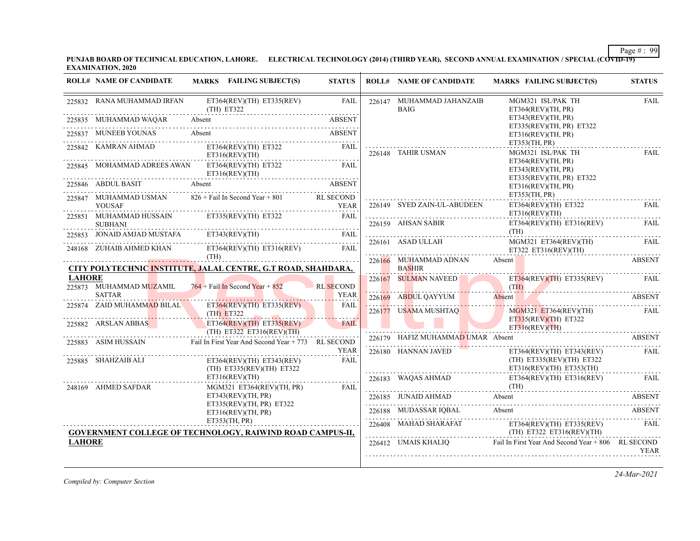**PUNJAB BOARD OF TECHNICAL EDUCATION, LAHORE. ELECTRICAL TECHNOLOGY (2014) (THIRD YEAR), SECOND ANNUAL EXAMINATION / SPECIAL (COVID-19) EXAMINATION, 2020**

|               | <b>ROLL# NAME OF CANDIDATE</b>           | MARKS FAILING SUBJECT(S)                                                                                                                                                                                                                                                                                                                                                                                                                                     | <b>STATUS</b>     | <b>ROLL# NAME OF CANDIDATE</b>                                                                                  | MARKS FAILING SUBJECT(S)                                                                                                                                                                                                                                                                                                                                                                                                                       | <b>STATUS</b> |
|---------------|------------------------------------------|--------------------------------------------------------------------------------------------------------------------------------------------------------------------------------------------------------------------------------------------------------------------------------------------------------------------------------------------------------------------------------------------------------------------------------------------------------------|-------------------|-----------------------------------------------------------------------------------------------------------------|------------------------------------------------------------------------------------------------------------------------------------------------------------------------------------------------------------------------------------------------------------------------------------------------------------------------------------------------------------------------------------------------------------------------------------------------|---------------|
|               | 225832 RANA MUHAMMAD IRFAN               | $ET364(REV)(TH)$ $ET335(REV)$<br>$(TH)$ ET322                                                                                                                                                                                                                                                                                                                                                                                                                | <b>FAIL</b>       | 226147 MUHAMMAD JAHANZAIB<br><b>BAIG</b>                                                                        | MGM321 ISL/PAK TH<br>ET364(REV)(TH, PR)                                                                                                                                                                                                                                                                                                                                                                                                        | <b>FAIL</b>   |
|               | 225835 MUHAMMAD WAQAR                    | 835 MUHAMMAD WAQAR Absent ABSENT ABSENT                                                                                                                                                                                                                                                                                                                                                                                                                      |                   |                                                                                                                 | ET343(REV)(TH, PR)<br>ET335(REV)(TH, PR) ET322                                                                                                                                                                                                                                                                                                                                                                                                 |               |
|               | 225837 MUNEEB YOUNAS Absent              | MUNEEB YOUNAS Absent ABSENT                                                                                                                                                                                                                                                                                                                                                                                                                                  | <b>ABSENT</b>     |                                                                                                                 | ET316(REV)(TH, PR)<br>ET353(TH, PR)                                                                                                                                                                                                                                                                                                                                                                                                            |               |
|               | 225842 KAMRAN AHMAD                      | ET364(REV)(TH) ET322<br>ET316(REV)(TH)                                                                                                                                                                                                                                                                                                                                                                                                                       | FAIL              | 226148 TAHIR USMAN                                                                                              | MGM321 ISL/PAK TH                                                                                                                                                                                                                                                                                                                                                                                                                              | <b>FAIL</b>   |
|               |                                          | 225845 MOHAMMAD ADREES AWAN ET364(REV)(TH) ET322<br>ET316(REV)(TH)                                                                                                                                                                                                                                                                                                                                                                                           | FAIL              |                                                                                                                 | ET364(REV)(TH, PR)<br>ET343(REV)(TH, PR)<br>ET335(REV)(TH, PR) ET322                                                                                                                                                                                                                                                                                                                                                                           |               |
|               | 225846 ABDUL BASIT Absent                |                                                                                                                                                                                                                                                                                                                                                                                                                                                              | <b>ABSENT</b>     |                                                                                                                 | ET316(REV)(TH, PR)<br>ET353(TH, PR)                                                                                                                                                                                                                                                                                                                                                                                                            |               |
|               | <b>YOUSAF</b>                            | 225847 MUHAMMAD USMAN 826 + Fail In Second Year + 801 RL SECOND                                                                                                                                                                                                                                                                                                                                                                                              | YEAR              | 226149 SYED ZAIN-UL-ABUDEEN                                                                                     | $ET364(REV)(TH)$ $ET322$<br>ET316(REV)(TH)                                                                                                                                                                                                                                                                                                                                                                                                     | <b>FAIL</b>   |
|               | <b>SUBHANI</b>                           | 225851 MUHAMMAD HUSSAIN ET335(REV)(TH) ET322 FAIL                                                                                                                                                                                                                                                                                                                                                                                                            |                   | 226159 AHSAN SABIR                                                                                              | $ET364(REV)(TH)$ $ET316(REV)$                                                                                                                                                                                                                                                                                                                                                                                                                  | FAIL          |
|               |                                          | $\fbox{\parbox{0.85\textwidth}{\begin{tabular}{lcccccc} \multicolumn{2}{c}{\textbf{SUBHANI}} & & & & & & & & & & \\ \multicolumn{2}{c}{\textbf{225853}} & \multicolumn{2}{c}{\textbf{IONAID AMJAD MUSTAFA}} & & & & & & & & & & & \\ \multicolumn{2}{c}{\textbf{225853}} & \multicolumn{2}{c}{\textbf{IONAID AMJAD MUSTAFA}} & & & & & & & & & & \\ \multicolumn{2}{c}{\textbf{225853}} & \multicolumn{2}{c}{\textbf{225853}} & \multicolumn{2}{c}{\textbf{$ |                   | 226161 ASAD ULLAH                                                                                               | (TH)<br>MGM321 ET364(REV)(TH)<br>ET322 ET316(REV)(TH)                                                                                                                                                                                                                                                                                                                                                                                          | FAIL          |
|               |                                          | 248168 ZUHAIB AHMED KHAN ET364(REV)(TH) ET316(REV) FAIL<br>CITY POLYTECHNIC INSTITUTE, JALAL CENTRE, G.T ROAD, SHAHDARA,                                                                                                                                                                                                                                                                                                                                     |                   | 226166 MUHAMMAD ADNAN Absent<br><b>BASHIR</b>                                                                   |                                                                                                                                                                                                                                                                                                                                                                                                                                                | <b>ABSENT</b> |
| <b>LAHORE</b> |                                          |                                                                                                                                                                                                                                                                                                                                                                                                                                                              |                   |                                                                                                                 | 226167 SULMAN NAVEED ET364(REV)(TH) ET335(REV) FAIL                                                                                                                                                                                                                                                                                                                                                                                            |               |
|               | 225873 MUHAMMAD MUZAMIL<br><b>SATTAR</b> | $764 +$ Fail In Second Year + 852                                                                                                                                                                                                                                                                                                                                                                                                                            | RL SECOND<br>YEAR | $\frac{1}{\sqrt{1-\frac{1}{2}}}\left(\frac{1}{\sqrt{1-\frac{1}{2}}}\right)$                                     | <u> 1999 - Januar Strandorf, francuski filozof (</u>                                                                                                                                                                                                                                                                                                                                                                                           |               |
|               | 225874 ZAID MUHAMM <mark>AD</mark> BILAL | $ET364(REV)(TH)$ $ET335(REV)$<br>(TH) ET322                                                                                                                                                                                                                                                                                                                                                                                                                  | FAIL              | 226177 USAMA MUSHTAQ                                                                                            | 226169 ABDUL QAYYUM Absent ABSENT<br>MGM321 ET364(REV)(TH)                                                                                                                                                                                                                                                                                                                                                                                     | FAIL          |
|               | 225882 ARSLAN ABBAS                      | ET364(REV)(TH) ET335(REV)<br>$(TH)$ ET322 ET316(REV)(TH)                                                                                                                                                                                                                                                                                                                                                                                                     | <b>FAIL</b>       | the contract of the contract of the contract of the contract of the contract of the contract of the contract of | $ET335(REV)(TH)$ $ET322$<br>ET316(REV)(TH)                                                                                                                                                                                                                                                                                                                                                                                                     |               |
|               |                                          | 225883 ASIM HUSSAIN Fail In First Year And Second Year + 773 RL SECOND                                                                                                                                                                                                                                                                                                                                                                                       | YEAR              | 226180 HANNAN JAVED                                                                                             | 226179 HAFIZ MUHAMMAD UMAR Absent ABSENT<br>$ET364(REV)(TH)$ $ET343(REV)$                                                                                                                                                                                                                                                                                                                                                                      | FAIL          |
|               | 225885 SHAHZAIB ALI                      | $ET364(REV)(TH)$ $ET343(REV)$<br>(TH) ET335(REV)(TH) ET322                                                                                                                                                                                                                                                                                                                                                                                                   | <b>FAIL</b>       |                                                                                                                 | (TH) ET335(REV)(TH) ET322<br>ET316(REV)(TH) ET353(TH)                                                                                                                                                                                                                                                                                                                                                                                          |               |
|               | 248169 AHMED SAFDAR                      | ET316(REV)(TH)<br>MGM321 ET364(REV)(TH, PR)                                                                                                                                                                                                                                                                                                                                                                                                                  | -----<br><br>FAIL |                                                                                                                 | 226183 WAQAS AHMAD ET364(REV)(TH) ET316(REV) FAIL (TH)                                                                                                                                                                                                                                                                                                                                                                                         |               |
|               |                                          | ET343(REV)(TH, PR)                                                                                                                                                                                                                                                                                                                                                                                                                                           |                   |                                                                                                                 | 226185 JUNAID AHMAD Absent ABSENT ABSENT                                                                                                                                                                                                                                                                                                                                                                                                       |               |
|               |                                          | ET335(REV)(TH, PR) ET322<br>ET316(REV)(TH, PR)                                                                                                                                                                                                                                                                                                                                                                                                               |                   |                                                                                                                 | 226188 MUDASSAR IQBAL Absent Absent ABSENT                                                                                                                                                                                                                                                                                                                                                                                                     |               |
|               |                                          | ET353(TH, PR)<br><b>GOVERNMENT COLLEGE OF TECHNOLOGY, RAIWIND ROAD CAMPUS-II,</b>                                                                                                                                                                                                                                                                                                                                                                            |                   |                                                                                                                 | $226408 \quad \text{MAHAD SHARAFAT} \qquad \qquad \text{ET364(REV)(TH) ET335(REV)} \\qquad \qquad \text{(TH) ET322 ET316(REV)(TH)} \\qquad \qquad \text{(TH) ET322 ET316(REV)(TH)} \\qquad \qquad \text{(TH) ET3232 ET316(REV)(TH)} \\qquad \qquad \text{(TH) ET33522 ET316(REV)(TH)} \\qquad \qquad \text{(TH) ET32322 ET316(REV)(TH)} \\qquad \qquad \text{(TH) ET3352222} \\qquad \qquad \text{(TH) ET33522} \\qquad \qquad \text{(TH) ET3$ | <b>FAIL</b>   |
| <b>LAHORE</b> |                                          |                                                                                                                                                                                                                                                                                                                                                                                                                                                              |                   |                                                                                                                 | 226412 UMAIS KHALIQ Fail In First Year And Second Year + 806 RL SECOND                                                                                                                                                                                                                                                                                                                                                                         | <b>YEAR</b>   |

*Compiled by: Computer Section*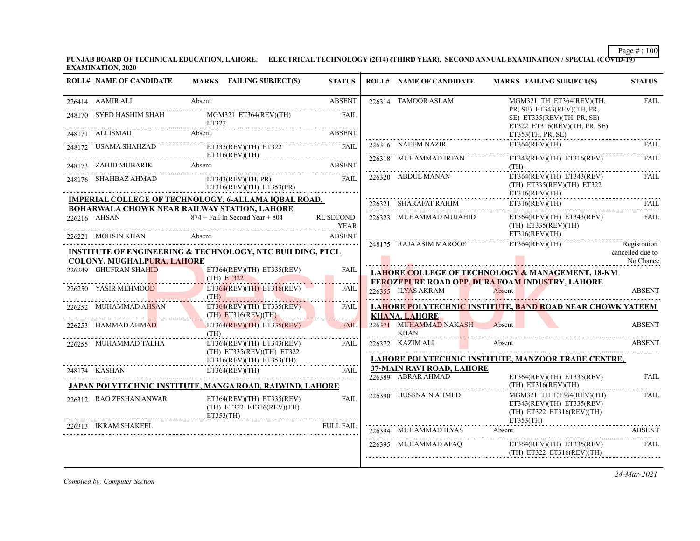**PUNJAB BOARD OF TECHNICAL EDUCATION, LAHORE. ELECTRICAL TECHNOLOGY (2014) (THIRD YEAR), SECOND ANNUAL EXAMINATION / SPECIAL (COVID-19) EXAMINATION, 2020**

| <b>ROLL# NAME OF CANDIDATE</b>                                                                                                                                                                                                                    | <b>MARKS</b> FAILING SUBJECT(S)                                                                                                     | <b>STATUS</b>    | <b>ROLL# NAME OF CANDIDATE</b>        | <b>MARKS FAILING SUBJECT(S)</b>                                                                                                 | <b>STATUS</b>                    |
|---------------------------------------------------------------------------------------------------------------------------------------------------------------------------------------------------------------------------------------------------|-------------------------------------------------------------------------------------------------------------------------------------|------------------|---------------------------------------|---------------------------------------------------------------------------------------------------------------------------------|----------------------------------|
| 226414 AAMIR ALI                                                                                                                                                                                                                                  | Absent                                                                                                                              | <b>ABSENT</b>    | 226314 TAMOOR ASLAM                   | MGM321 TH ET364(REV)(TH,                                                                                                        | <b>FAIL</b>                      |
|                                                                                                                                                                                                                                                   | 248170 SYED HASHIM SHAH MGM321 ET364(REV)(TH)                                                                                       | <b>FAIL</b>      |                                       | PR, SE) ET343(REV)(TH, PR,<br>SE) ET335(REV)(TH, PR, SE)<br>ET322 ET316(REV)(TH, PR, SE)                                        |                                  |
|                                                                                                                                                                                                                                                   | 248171 ALI ISMAIL Absent ABSENT ADMONITRATION ASSETT                                                                                |                  |                                       | ET353(TH, PR, SE)                                                                                                               |                                  |
|                                                                                                                                                                                                                                                   | 248172 USAMA SHAHZAD ET335(REV)(TH) ET322 FAIL<br>ET316(REV)(TH)                                                                    |                  | 226316 NAEEM NAZIR                    | ET364(REV)(TH)                                                                                                                  | FAIL.                            |
|                                                                                                                                                                                                                                                   | 248173 ZAHID MUBARIK Absent ABSENT ABSENT                                                                                           |                  | 226318 MUHAMMAD IRFAN                 | ET343(REV)(TH) ET316(REV)<br>(TH)                                                                                               | <b>FAIL</b>                      |
|                                                                                                                                                                                                                                                   | 248176 SHAHBAZ AHMAD ET343(REV)(TH, PR) FAIL<br>ET316(REV)(TH) ET353(PR)                                                            |                  | 226320 ABDUL MANAN                    | $ET364(REV)(TH)$ $ET343(REV)$<br>(TH) ET335(REV)(TH) ET322<br>ET316(REV)(TH)                                                    | FAIL                             |
|                                                                                                                                                                                                                                                   | <b>IMPERIAL COLLEGE OF TECHNOLOGY, 6-ALLAMA IOBAL ROAD,</b>                                                                         |                  |                                       | $\texttt{226321} \quad \texttt{SHARAFAT RAHIM} \quad \texttt{ET316(REV)(TH)} \quad \texttt{FAIL} \quad \texttt{1316(REV) (TH)}$ |                                  |
| 226216 AHSAN                                                                                                                                                                                                                                      | BOHARWALA CHOWK NEAR RAILWAY STATION, LAHORE<br>$874 +$ Fail In Second Year + 804                                                   | RL SECOND        |                                       | 226323 MUHAMMAD MUJAHID ET364(REV)(TH) ET343(REV)                                                                               | FAIL                             |
|                                                                                                                                                                                                                                                   | YEAR<br>HAN                                                                                                                         | <b>ABSENT</b>    |                                       | $(TH)$ ET335(REV)(TH)<br>ET316(REV)(TH)                                                                                         |                                  |
|                                                                                                                                                                                                                                                   | 226221 MOHSIN KHAN Absent Absent ABSENT<br><b>INSTITUTE OF ENGINEERING &amp; TECHNOLOGY, NTC BUILDING, PTCL</b>                     |                  | 248175 RAJA ASIM MAROOF               | ET364(REV)(TH)                                                                                                                  | Registration<br>cancelled due to |
| <b>COLONY. MUGHALPURA, LAHORE</b>                                                                                                                                                                                                                 |                                                                                                                                     |                  |                                       |                                                                                                                                 | No Chance                        |
| 226249 GHUFRAN SHAHID                                                                                                                                                                                                                             | ET364(REV)(TH) ET335(REV)<br>$(TH)$ ET322                                                                                           | <b>FAIL</b>      |                                       | LAHORE COLLEGE OF TECHNOLOGY & MANAGEMENT, 18-KM<br>FEROZEPURE ROAD OPP. DURA FOAM INDUSTRY, LAHORE                             |                                  |
| 226250 YASIR MEHMOOD                                                                                                                                                                                                                              | ET364(REV)(TH) ET316(REV)<br>(TH)                                                                                                   | FAIL             | 226355 ILYAS AKRAM                    | Absent                                                                                                                          | <b>ABSENT</b>                    |
| 226252 MUHAMMAD AHSAN                                                                                                                                                                                                                             | $ET364(REV)(TH)$ $ET335(REV)$<br>$(TH)$ ET316(REV)(TH)                                                                              | FAIL             | <b>KHANA, LAHORE</b>                  | <b>LAHORE POLYTECHNIC INSTITUTE, BAND ROAD NEAR CHOWK YATEEM</b>                                                                |                                  |
| 226253 HAMMAD AHMAD                                                                                                                                                                                                                               | $ET364(REV)(TH)$ $ET335(REV)$<br>(TH)                                                                                               | <b>FAIL</b>      | 226371 MUHAMMAD NAKASH<br><b>KHAN</b> | Absent                                                                                                                          | ABSENT                           |
| 226255 MUHAMMAD TALHA                                                                                                                                                                                                                             | $ET364(REV)(TH)$ $ET343(REV)$<br>$(TH)$ ET335(REV)(TH) ET322                                                                        | FAIL             | 226372 KAZIM ALI                      | Absent                                                                                                                          | <b>ABSENT</b>                    |
|                                                                                                                                                                                                                                                   | ET316(REV)(TH) ET353(TH)                                                                                                            |                  | <b>37-MAIN RAVI ROAD, LAHORE</b>      | LAHORE POLYTECHNIC INSTITUTE, MANZOOR TRADE CENTRE,                                                                             |                                  |
|                                                                                                                                                                                                                                                   |                                                                                                                                     |                  |                                       |                                                                                                                                 |                                  |
| and a straightful and a straightful and a straightful and a straightful and a straightful and a straightful an<br>Simple and a straightful and a straightful and a straightful and a straightful and a straightful and a straigh<br>248174 KASHAN | ET364(REV)(TH)                                                                                                                      | FAIL             | 226389 ABRAR AHMAD                    | $ET364(REV)(TH)$ $ET335(REV)$<br>$(TH)$ ET316(REV)(TH)                                                                          | <b>FAIL</b>                      |
| 226312 RAO ZESHAN ANWAR                                                                                                                                                                                                                           | JAPAN POLYTECHNIC INSTITUTE, MANGA ROAD, RAIWIND, LAHORE<br>$ET364(REV)(TH)$ $ET335(REV)$<br>(TH) ET322 ET316(REV)(TH)<br>ETS53(TH) | <b>FAIL</b>      | 226390 HUSSNAIN AHMED                 | MGM321 TH ET364(REV)(TH)<br>ET343(REV)(TH) ET335(REV)<br>(TH) ET322 ET316(REV)(TH)<br>ET353(TH)                                 | FAIL                             |
| 226313 IKRAM SHAKEEL                                                                                                                                                                                                                              |                                                                                                                                     | <b>FULL FAIL</b> | 226394 MUHAMMAD ILYAS                 | Absent                                                                                                                          | ABSENT                           |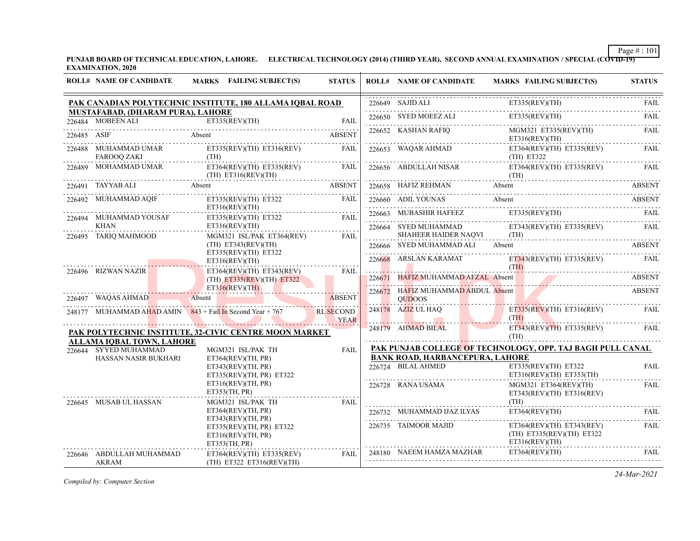**PUNJAB BOARD OF TECHNICAL EDUCATION, LAHORE. ELECTRICAL TECHNOLOGY (2014) (THIRD YEAR), SECOND ANNUAL EXAMINATION / SPECIAL (COVID-19) EXAMINATION, 2020**

|             | <b>ROLL# NAME OF CANDIDATE</b>                         | MARKS FAILING SUBJECT(S)                                                       | <b>STATUS</b>                   |   | <b>ROLL# NAME OF CANDIDATE</b>                                                                                                            | MARKS FAILING SUBJECT(S)                                                                                                                                                                                                                                                               | <b>STATUS</b> |
|-------------|--------------------------------------------------------|--------------------------------------------------------------------------------|---------------------------------|---|-------------------------------------------------------------------------------------------------------------------------------------------|----------------------------------------------------------------------------------------------------------------------------------------------------------------------------------------------------------------------------------------------------------------------------------------|---------------|
|             |                                                        | PAK CANADIAN POLYTECHNIC INSTITUTE, 180 ALLAMA IQBAL ROAD                      |                                 |   | $226649$ SAJID ALI                                                                                                                        | ET335(REV)(TH)<br>$226649$ SAJID ALI ET335(REV)(TH) FAIL                                                                                                                                                                                                                               |               |
|             | MUSTAFABAD, (DHARAM PURA), LAHORE<br>226484 MOBEEN ALI |                                                                                |                                 |   | 226650 SYED MOEEZ ALI                                                                                                                     | ET335(REV)(TH)                                                                                                                                                                                                                                                                         | FAII.         |
| 226485 ASIF |                                                        | 226484 MOBEEN ALI ET335(REV)(TH) FAIL FAIL<br>Absent ABSENT                    |                                 |   | 226652 KASHAN RAFIQ                                                                                                                       | MGM321 ET335(REV)(TH)<br>ET316(REV)(TH)                                                                                                                                                                                                                                                | <b>FAIL</b>   |
|             | <b>FAROOQ ZAKI</b>                                     | 226488 MUHAMMAD UMAR ET335(REV)(TH) ET316(REV) FAIL<br>(TH)                    |                                 |   | 226653 WAQAR AHMAD<br>(TH) E T322                                                                                                         | $ET364(REV)(TH)$ $ET335(REV)$                                                                                                                                                                                                                                                          | FAIL          |
|             |                                                        | 226489 MOHAMMAD UMAR ET364(REV)(TH) ET335(REV) FAIL<br>(TH) ET316(REV)(TH)     |                                 |   |                                                                                                                                           | 226656 ABDULLAH NISAR ET364(REV)(TH) ET335(REV) FAIL<br>$(TH)$ . The continuum of the continuum of the continuum of the continuum of the continuum of the continuum of the continuum of the continuum of the continuum of the continuum of the continuum of the continuum of the conti |               |
|             | 226491 TAYYAB ALI Absent                               | TABLE Absent<br>THE ABSENT                                                     |                                 |   |                                                                                                                                           | 226658 HAFIZ REHMAN Absent Absent ABSENT ABSENT                                                                                                                                                                                                                                        |               |
|             | 226492 MUHAMMAD AQIF                                   | ET335(REV)(TH) ET322<br>ET316(REV)(TH)                                         | FAIL                            |   |                                                                                                                                           | 226660 ADILYOUNAS Absent ABSENT                                                                                                                                                                                                                                                        |               |
|             | 226494 MUHAMMAD YOUSAF                                 | ET335(REV)(TH) ET322 FAIL                                                      |                                 |   |                                                                                                                                           | $226663 \quad \text{MUBASHIR HAFEEZ} \qquad \qquad \text{E} \text{T} 335 (\text{REV}) (\text{TH}) \qquad \qquad \text{FAIL}$                                                                                                                                                           |               |
|             | KHAN                                                   | ET316(REV)(TH)                                                                 |                                 |   |                                                                                                                                           | 226664 SYED MUHAMMAD ET343(REV)(TH) ET335(REV) FAIL                                                                                                                                                                                                                                    |               |
|             | 226495 TARIQ MAHMOOD                                   | MGM321 ISL/PAK ET364(REV)<br>$(TH)$ ET343(REV)(TH)                             | <b>FAIL</b>                     | . | 226666 SYED MUHAMMAD ALI Absent                                                                                                           | SHAHEER HAIDER NAQVI (TH) (TH)                                                                                                                                                                                                                                                         | ABSENT        |
|             |                                                        | ET335(REV)(TH) ET322<br>ET316(REV)(TH)                                         |                                 |   | 226668 ARSLAN KARAMAT                                                                                                                     | ET343(REV)(TH) ET335(REV) FAIL                                                                                                                                                                                                                                                         |               |
|             | 226496 RIZWAN NAZIR                                    | $ET364(REV)(TH)$ $ET343(REV)$<br>$(TH)$ ET335(REV)(TH) ET322                   | FAIL                            |   | the contract of the contract of the contract of the contract of the contract of the contract of the<br>226671 HAFIZ MUHAMMAD AFZAL Absent | (TH)                                                                                                                                                                                                                                                                                   | ABSENT        |
|             |                                                        | <u> 1960 - Johann Johann Stoff, fransk politik (d. 1970)</u><br>ET316(REV)(TH) |                                 |   | 226672 HAFIZ MUHAMMAD ABDUL Absent                                                                                                        |                                                                                                                                                                                                                                                                                        | <b>ABSENT</b> |
|             | 226497 WAQAS AHMAD                                     | Absent                                                                         | ABSENT                          |   | <b>OUDOOS</b>                                                                                                                             |                                                                                                                                                                                                                                                                                        |               |
|             |                                                        | 248177 MUHAMMAD AHAD AMIN $843 +$ Fail In Second Year + 767                    | <b>RL SECOND</b><br><b>YEAR</b> |   | $248178$ AZIZ UL HAQ                                                                                                                      | $ET335(REV)(TH)$ ET316(REV)<br>(TH)                                                                                                                                                                                                                                                    | FAIL          |
|             |                                                        | PAK POLYTECHNIC INSTITUTE, 32-CIVIC CENTRE MOON MARKET                         |                                 |   | 248179 AHMAD BILAL                                                                                                                        | $ET343(REV)(TH)$ $ET335(REV)$<br>(TH)                                                                                                                                                                                                                                                  | FAIL          |
|             | ALLAMA IOBAL TOWN, LAHORE                              |                                                                                |                                 |   |                                                                                                                                           | PAK PUNJAB COLLEGE OF TECHNOLOGY, OPP. TAJ BAGH PULL CANAL                                                                                                                                                                                                                             |               |
|             | 226644 SYYED MUHAMMAD<br>HASSAN NASIR BUKHARI          | MGM321 ISL/PAK TH<br>ET364(REV)(TH, PR)                                        | FAII.                           |   | <b>BANK ROAD, HARBANCEPURA, LAHORE</b>                                                                                                    |                                                                                                                                                                                                                                                                                        |               |
|             |                                                        | ET343(REV)(TH, PR)<br>ET335(REV)(TH, PR) ET322                                 |                                 |   | 226724 BILAL AHMED                                                                                                                        | ET335(REV)(TH) ET322<br>ET316(REV)(TH) ET353(TH)                                                                                                                                                                                                                                       | <b>FAIL</b>   |
|             |                                                        | ET316(REV)(TH, PR)<br>ET353(TH, PR)                                            |                                 |   | 226728 RANA USAMA                                                                                                                         | $MGM321$ $ET364(REV)(TH)$<br>ET343(REV)(TH) ET316(REV)                                                                                                                                                                                                                                 | FAIL          |
|             | 226645 MUSAB UL HASSAN                                 | MGM321 ISL/PAK TH                                                              | <b>FAIL</b>                     |   |                                                                                                                                           | (TH)                                                                                                                                                                                                                                                                                   |               |
|             |                                                        | ET364(REV)(TH, PR)<br>ET343(REV)(TH, PR)                                       |                                 |   | 226732 MUHAMMAD IJAZ ILYAS                                                                                                                | ET364(REV)(TH)                                                                                                                                                                                                                                                                         | FAII.         |
|             |                                                        | ET335(REV)(TH, PR) ET322<br>ET316(REV)(TH, PR)<br>ET353(TH, PR)                |                                 |   | 226735 TAIMOOR MAJID                                                                                                                      | $ET364(REV)(TH)$ $ET343(REV)$<br>(TH) ET335(REV)(TH) ET322<br>ET316(REV)(TH)                                                                                                                                                                                                           | FAIL          |
|             | 226646 ABDULLAH MUHAMMAD<br>AKRAM                      | ET364(REV)(TH) ET335(REV)<br>(TH) ET322 ET316(REV)(TH)                         | FAIL                            |   |                                                                                                                                           | 248180 NAEEM HAMZA MAZHAR ET364(REV)(TH)                                                                                                                                                                                                                                               | <b>FAIL</b>   |

*Compiled by: Computer Section*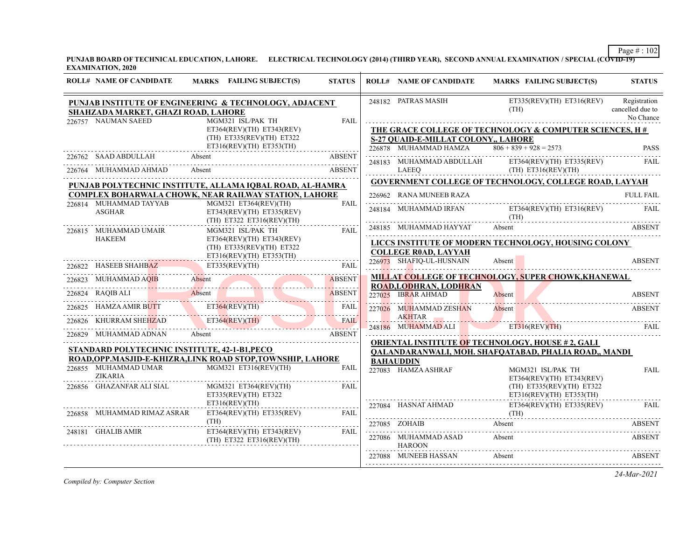**PUNJAB BOARD OF TECHNICAL EDUCATION, LAHORE. ELECTRICAL TECHNOLOGY (2014) (THIRD YEAR), SECOND ANNUAL EXAMINATION / SPECIAL (COVID-19) EXAMINATION, 2020**

| <b>ROLL# NAME OF CANDIDATE</b>                             | <b>MARKS</b> FAILING SUBJECT(S)                                                        | <b>STATUS</b> | <b>ROLL# NAME OF CANDIDATE</b>                                                               | MARKS FAILING SUBJECT(S)                                                                                                                                                                                                                                                                    | <b>STATUS</b>                                 |
|------------------------------------------------------------|----------------------------------------------------------------------------------------|---------------|----------------------------------------------------------------------------------------------|---------------------------------------------------------------------------------------------------------------------------------------------------------------------------------------------------------------------------------------------------------------------------------------------|-----------------------------------------------|
| SHAHZADA MARKET, GHAZI ROAD, LAHORE<br>226757 NAUMAN SAEED | PUNJAB INSTITUTE OF ENGINEERING & TECHNOLOGY, ADJACENT<br>MGM321 ISL/PAK TH            | <b>FAIL</b>   | 248182 PATRAS MASIH                                                                          | $ET335(REV)(TH)$ $ET316(REV)$<br>(TH)                                                                                                                                                                                                                                                       | Registration<br>cancelled due to<br>No Chance |
|                                                            | ET364(REV)(TH) ET343(REV)<br>$(TH)$ ET335(REV)(TH) ET322<br>ET316(REV)(TH) ET353(TH)   |               | <b>S-27 QUAID-E-MILLAT COLONY,, LAHORE</b><br>226878 MUHAMMAD HAMZA $806 + 839 + 928 = 2573$ | THE GRACE COLLEGE OF TECHNOLOGY & COMPUTER SCIENCES, H#                                                                                                                                                                                                                                     | PASS                                          |
| 226762 SAAD ABDULLAH Absent                                |                                                                                        | ABSENT        |                                                                                              |                                                                                                                                                                                                                                                                                             | FAIL                                          |
| 226764 MUHAMMAD AHMAD                                      | Absent                                                                                 | ABSENT        |                                                                                              | ${\small \begin{tabular}{ll} \bf 248183 & MUHAMMAD ABDULLAH & \tt ET364(REV)(TH) & \tt ET335(REV) \\ \tt LAEEQ & (TH) & \tt ET316(REV)(TH) \\ \end{tabular}}$                                                                                                                               |                                               |
|                                                            | PUNJAB POLYTECHNIC INSTITUTE, ALLAMA IQBAL ROAD, AL-HAMRA                              |               |                                                                                              | <b>GOVERNMENT COLLEGE OF TECHNOLOGY, COLLEGE ROAD, LAYYAH</b>                                                                                                                                                                                                                               |                                               |
|                                                            | <b>COMPLEX BOHARWALA CHOWK, NEAR RAILWAY STATION, LAHORE</b>                           |               | 226962 RANA MUNEEB RAZA                                                                      |                                                                                                                                                                                                                                                                                             | FULL FAIL                                     |
| 226814 MUHAMMAD TAYYAB<br>ASGHAR                           | MGM321 ET364(REV)(TH)<br>$ET343(REV)(TH)$ $ET335(REV)$<br>$(TH)$ ET322 ET316(REV)(TH)  | FAIL          |                                                                                              | 248184 MUHAMMAD IRFAN ET364(REV)(TH) ET316(REV) FAIL<br>$\text{(TH)}$ . The continuum of the continuum of the continuum of the continuum of the continuum of the continuum of the continuum of the continuum of the continuum of the continuum of the continuum of the continuum of the con |                                               |
| 226815 MUHAMMAD UMAIR                                      | MGM321 ISL/PAK TH                                                                      | FAIL          |                                                                                              | 248185 MUHAMMAD HAYYAT Absent ABSENT                                                                                                                                                                                                                                                        |                                               |
| HAKEEM                                                     | ET364(REV)(TH) ET343(REV)<br>(TH) ET335(REV)(TH) ET322<br>$ET316(REV)(TH)$ $ET353(TH)$ | .             | <b>COLLEGE ROAD, LAYYAH</b>                                                                  | LICCS INSTITUTE OF MODERN TECHNOLOGY, HOUSING COLONY                                                                                                                                                                                                                                        |                                               |
|                                                            |                                                                                        |               | 226973 SHAFIQ-UL-HUSNAIN                                                                     | Absent                                                                                                                                                                                                                                                                                      | <b>ABSENT</b>                                 |
|                                                            | 226822 HASEEB SHAHBAZ ET335(REV)(TH) FAIL 226823 MUHAMMAD AQIB Absent                  |               |                                                                                              | MILLAT COLLEGE OF TECHNOLOGY, SUPER CHOWK, KHANEWAL                                                                                                                                                                                                                                         |                                               |
|                                                            | 226824 RAQIB ALI Absent ABSENT                                                         |               | <b>ROAD, LODHRAN, LODHRAN</b><br>227025 IBRAR AHMAD                                          | Absent                                                                                                                                                                                                                                                                                      | <b>ABSENT</b>                                 |
| 226825 HAMZA AMIR BUTT ET364(REV)(TH)                      | 825 HAMZA AMIR BUTT ET364(REV)(TH) FAIL                                                |               | 227026 MUHAMMAD ZESHAN                                                                       | Absent                                                                                                                                                                                                                                                                                      | ABSENT                                        |
|                                                            | 226826 KHURRAM SHEHZAD ET364(REV)(TH) FAIL                                             |               |                                                                                              | AKHTAR RAH<br>248186 MUHAMMAD ALI ET316(REV)(TH)                                                                                                                                                                                                                                            | FAIL                                          |
| 226829 MUHAMMAD ADNAN                                      | Absent<br><b>ABSENT</b>                                                                |               |                                                                                              |                                                                                                                                                                                                                                                                                             |                                               |
| STANDARD POLYTECHNIC INSTITUTE, 42-1-B1,PECO               |                                                                                        |               |                                                                                              | <b>ORIENTAL INSTITUTE OF TECHNOLOGY, HOUSE #2, GALI</b><br>QALANDARANWALI, MOH. SHAFQATABAD, PHALIA ROAD,, MANDI                                                                                                                                                                            |                                               |
|                                                            | ROAD, OPP. MASJID-E-KHIZRA, LINK ROAD STOP, TOWNSHIP, LAHORE                           |               | <b>BAHAUDDIN</b>                                                                             |                                                                                                                                                                                                                                                                                             |                                               |
| ZIKARIA                                                    | 226855 MUHAMMAD UMAR MGM321 ET316(REV)(TH)                                             | <b>FAIL</b>   | 227083 HAMZA ASHRAF                                                                          | MGM321 ISL/PAK TH<br>$ET364(REV)(TH)$ $ET343(REV)$                                                                                                                                                                                                                                          | <b>FAIL</b>                                   |
| 226856 GHAZANFAR ALI SIAL                                  | MGM321 ET364(REV)(TH)<br>$ET335(REV)(TH)$ $ET322$                                      | FAIL          |                                                                                              | $(TH)$ ET335(REV)(TH) ET322<br>ET316(REV)(TH) ET353(TH)                                                                                                                                                                                                                                     | .                                             |
|                                                            | ET316(REV)(TH)<br>226858 MUHAMMAD RIMAZ ASRAR ET364(REV)(TH) ET335(REV) FAIL           | --<br>        |                                                                                              | $\begin{tabular}{ll} \bf 227084 & HASNAT AHMAD & \tt ET364(REV)(TH) & \tt ET335(REV) & \tt FAIL \\ \hline \end{tabular}$                                                                                                                                                                    |                                               |
|                                                            | (TH)                                                                                   |               |                                                                                              | 227085 ZOHAIB Absent ABSENT                                                                                                                                                                                                                                                                 |                                               |
| 248181 GHALIB AMIR                                         | ET364(REV)(TH) ET343(REV) FAIL<br>$(TH)$ ET322 ET316(REV)(TH)                          |               | 227086 MUHAMMAD ASAD<br>HAROON<br><b>HAROON</b>                                              | Absent                                                                                                                                                                                                                                                                                      | ABSENT                                        |
|                                                            |                                                                                        |               | 227088 MUNEEB HASSAN                                                                         | Absent                                                                                                                                                                                                                                                                                      | ABSENT                                        |

*Compiled by: Computer Section*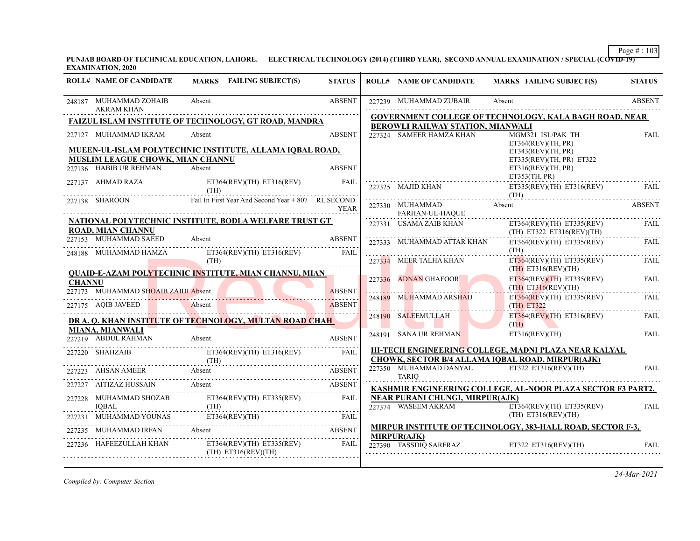**PUNJAB BOARD OF TECHNICAL EDUCATION, LAHORE. ELECTRICAL TECHNOLOGY (2014) (THIRD YEAR), SECOND ANNUAL EXAMINATION / SPECIAL (COVID-19) EXAMINATION, 2020**

|               | <b>ROLL# NAME OF CANDIDATE</b>                | MARKS FAILING SUBJECT(S)                                     | <b>STATUS</b> | <b>ROLL# NAME OF CANDIDATE</b>    | <b>MARKS FAILING SUBJECT(S)</b>                                                                          | <b>STATUS</b> |
|---------------|-----------------------------------------------|--------------------------------------------------------------|---------------|-----------------------------------|----------------------------------------------------------------------------------------------------------|---------------|
|               | 248187 MUHAMMAD ZOHAIB<br><b>AKRAM KHAN</b>   | Absent                                                       | <b>ABSENT</b> | 227239 MUHAMMAD ZUBAIR            | Absent                                                                                                   | <b>ABSENT</b> |
|               |                                               | FAIZUL ISLAM INSTITUTE OF TECHNOLOGY, GT ROAD, MANDRA        |               |                                   | <b>GOVERNMENT COLLEGE OF TECHNOLOGY, KALA BAGH ROAD, NEAR</b>                                            |               |
|               |                                               | Absent                                                       | <b>ABSENT</b> | BEROWLI RAILWAY STATION, MIANWALI |                                                                                                          |               |
|               | 227127 MUHAMMAD IKRAM                         |                                                              |               | 227324 SAMEER HAMZA KHAN          | MGM321 ISL/PAK TH<br>ET364(REV)(TH, PR)                                                                  | <b>FAIL</b>   |
|               |                                               | MUEEN-UL-ISLAM POLYTECHNIC INSTITUTE, ALLAMA IQBAL ROAD,     |               |                                   | ET343(REV)(TH, PR)                                                                                       |               |
|               | MUSLIM LEAGUE CHOWK, MIAN CHANNU              |                                                              |               |                                   | ET335(REV)(TH, PR) ET322                                                                                 |               |
|               | 227136 HABIB UR REHMAN                        | Absent                                                       | <b>ABSENT</b> |                                   | ET316(REV)(TH, PR)                                                                                       |               |
|               | 227137 AHMAD RAZA                             | ET364(REV)(TH) ET316(REV)<br>(TH)                            | <b>FAIL</b>   | 227325 MAJID KHAN                 | ET353(TH, PR)<br>$ET335(REV)(TH)$ $ET316(REV)$                                                           | <b>FAIL</b>   |
|               | 227138 SHAROON                                | Fail In First Year And Second Year + 807 RL SECOND           |               | 227330 MUHAMMAD                   | (TH)<br>Absent                                                                                           | <b>ABSENT</b> |
|               |                                               |                                                              | <b>YEAR</b>   | FARHAN-UL-HAQUE                   |                                                                                                          |               |
|               | <b>ROAD, MIAN CHANNU</b>                      | NATIONAL POLYTECHNIC INSTITUTE, BODLA WELFARE TRUST GT       |               | 227331 USAMA ZAIB KHAN            | $ET364(REV)(TH)$ $ET335(REV)$                                                                            | FAIL          |
|               | 227153 MUHAMMAD SAEED                         | Absent                                                       | <b>ABSENT</b> | 227333 MUHAMMAD ATTAR KHAN        | $(TH)$ ET322 ET316(REV)(TH)<br>$ET364(REV)(TH)$ $ET335(REV)$                                             | <b>FAIL</b>   |
|               | 248188 MUHAMMAD HAMZA                         | $ET364(REV)(TH)$ $ET316(REV)$                                | <b>FAIL</b>   |                                   | (TH)                                                                                                     |               |
|               |                                               | (TH)                                                         |               | 227334 MEER TALHA KHAN            | ET364(REV)(TH) ET335(REV)                                                                                | FAIL          |
|               |                                               | <b>QUAID-E-AZAM POLYTECHNIC INSTITUTE, MIAN CHANNU, MIAN</b> |               |                                   | $(TH)$ ET316(REV)(TH)                                                                                    |               |
| <b>CHANNU</b> |                                               |                                                              |               | 227336 ADNAN GHAFOOR              | $ET364(REV)(TH)$ $ET335(REV)$                                                                            | FAIL          |
|               | 227173 MUHAMMAD SHOAIB ZAIDI Absent           |                                                              | <b>ABSENT</b> |                                   | $(TH)$ ET316(REV)(TH)                                                                                    |               |
|               | 227175 AQIB JAVEED                            | Absent                                                       | <b>ABSENT</b> | 248189 MUHAMMAD ARSHAD            | $ET364(REV)(TH)$ $ET335(REV)$<br>$(TH)$ ET322                                                            | FAIL          |
|               |                                               |                                                              |               | 248190 SALEEMULLAH                | $ET364(REV)(TH)$ $ET316(REV)$                                                                            | <b>FAIL</b>   |
|               |                                               | DR A. Q. KHAN INSTITUTE OF TECHNOLOGY, MULTAN ROAD CHAH      |               |                                   | (TH)                                                                                                     |               |
|               | <b>MIANA, MIANWALI</b><br>227219 ABDUL RAHMAN | Absent                                                       | <b>ABSENT</b> | 248191 SANA UR REHMAN             | ET316(REV)(TH)                                                                                           | FAIL          |
|               | 227220 SHAHZAIB                               | $ET364(REV)(TH)$ $ET316(REV)$                                | <b>FAIL</b>   |                                   | HI-TECH ENGINEERING COLLEGE, MADNI PLAZA NEAR KALYAL<br>CHOWK, SECTOR B/4 ALLAMA IQBAL ROAD, MIRPUR(AJK) |               |
|               |                                               | 227223 AHSAN AMEER Absent ABSENT ABSENT                      |               | 227350 MUHAMMAD DANYAL            | ET322 ET316(REV)(TH)                                                                                     | <b>FAIL</b>   |
|               | 227227 AITIZAZ HUSSAIN                        | Absent                                                       | <b>ABSENT</b> | <b>TARIO</b>                      |                                                                                                          |               |
|               |                                               |                                                              |               |                                   | KASHMIR ENGINEERING COLLEGE, AL-NOOR PLAZA SECTOR F3 PART2,                                              |               |
|               | 227228 MUHAMMAD SHOZAB<br><b>IOBAL</b>        | $ET364(REV)(TH)$ $ET335(REV)$<br>(TH)                        | <b>FAIL</b>   | NEAR PURANI CHUNGI, MIRPUR(AJK)   | 227374 WASEEM AKRAM ET364(REV)(TH) ET335(REV)                                                            |               |
|               |                                               | 227231 MUHAMMAD YOUNAS ET364(REV)(TH) FAIL                   |               |                                   | $(TH)$ ET316(REV)(TH)                                                                                    | <b>FAIL</b>   |
|               | 227235 MUHAMMAD IRFAN                         | Absent                                                       | ABSENT        |                                   | MIRPUR INSTITUTE OF TECHNOLOGY, 383-HALL ROAD, SECTOR F-3,                                               |               |
|               | 227236 HAFEEZULLAH KHAN                       | $ET364(REV)(TH)$ $ET335(REV)$<br>$(TH)$ ET316(REV)(TH)       | FAIL          | <b>MIRPUR(AJK)</b>                | 227390 TASSDIQ SARFRAZ ET322 ET316(REV)(TH) FAIL                                                         |               |

*Compiled by: Computer Section*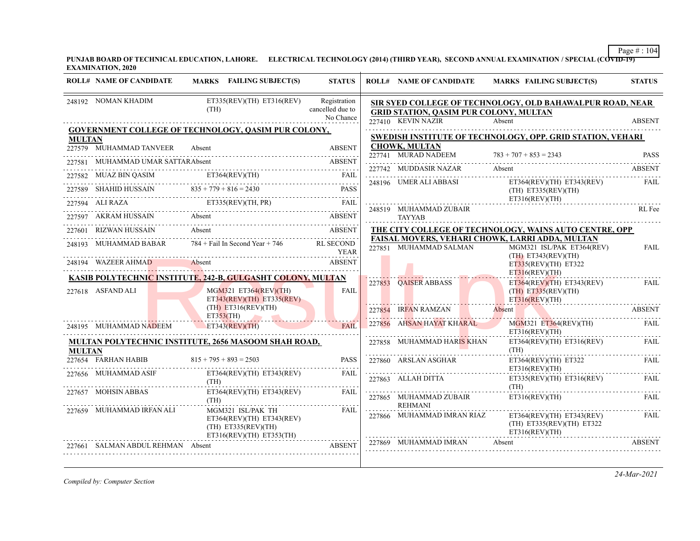**PUNJAB BOARD OF TECHNICAL EDUCATION, LAHORE. ELECTRICAL TECHNOLOGY (2014) (THIRD YEAR), SECOND ANNUAL EXAMINATION / SPECIAL (COVID-19) EXAMINATION, 2020**

|               | <b>ROLL# NAME OF CANDIDATE</b>                 | MARKS FAILING SUBJECT(S)                                                                                | <b>STATUS</b>                                 | <b>ROLL# NAME OF CANDIDATE</b>                | <b>MARKS FAILING SUBJECT(S)</b>                                              | <b>STATUS</b> |
|---------------|------------------------------------------------|---------------------------------------------------------------------------------------------------------|-----------------------------------------------|-----------------------------------------------|------------------------------------------------------------------------------|---------------|
|               | 248192 NOMAN KHADIM                            | $ET335(REV)(TH)$ $ET316(REV)$<br>(TH)                                                                   | Registration<br>cancelled due to<br>No Chance | <b>GRID STATION, QASIM PUR COLONY, MULTAN</b> | SIR SYED COLLEGE OF TECHNOLOGY, OLD BAHAWALPUR ROAD, NEAR                    |               |
|               |                                                | GOVERNMENT COLLEGE OF TECHNOLOGY, QASIM PUR COLONY,                                                     |                                               | 227410 KEVIN NAZIR                            | Absent                                                                       | <b>ABSENT</b> |
| <b>MULTAN</b> |                                                |                                                                                                         |                                               |                                               | SWEDISH INSTITUTE OF TECHNOLOGY, OPP. GRID STATION, VEHARI                   |               |
|               | 227579 MUHAMMAD TANVEER                        | Absent                                                                                                  | <b>ABSENT</b>                                 | <b>CHOWK, MULTAN</b><br>227741 MURAD NADEEM   |                                                                              |               |
|               | 227581 MUHAMMAD UMAR SATTARAbsent              |                                                                                                         | <b>ABSENT</b>                                 |                                               | $783 + 707 + 853 = 2343$                                                     | <b>PASS</b>   |
|               |                                                | 227582 MUAZ BIN QASIM ET364(REV)(TH) FAIL                                                               |                                               | 227742 MUDDASIR NAZAR                         | Absent                                                                       | <b>ABSENT</b> |
|               | 227589 SHAHID HUSSAIN $835 + 779 + 816 = 2430$ |                                                                                                         | PASS                                          | 248196 UMER ALI ABBASI                        | $ET364(REV)(TH)$ $ET343(REV)$<br>$(TH)$ ET335(REV) $(TH)$<br>ET316(REV)(TH)  | FAIL          |
|               |                                                | 227594 ALI RAZA ET335(REV)(TH, PR) FAIL                                                                 |                                               | 248519 MUHAMMAD ZUBAIR                        |                                                                              | RL Fee        |
|               | 227597 AKRAM HUSSAIN Absent                    |                                                                                                         | <b>Example 2018 ABSENT</b>                    | <b>TAYYAB</b>                                 |                                                                              |               |
|               | 227601 RIZWAN HUSSAIN                          | Absent                                                                                                  | <b>ABSENT</b>                                 |                                               | THE CITY COLLEGE OF TECHNOLOGY, WAINS AUTO CENTRE, OPP                       |               |
|               |                                                | 248193 MUHAMMAD BABAR $784 +$ Fail In Second Year + 746                                                 | <b>RL SECOND</b><br>YEAR                      | 227851 MUHAMMAD SALMAN                        | FAISAL MOVERS, VEHARI CHOWK, LARRI ADDA, MULTAN<br>MGM321 ISL/PAK ET364(REV) | FAIL          |
|               | 248194 WAZEER AHMAD Absent                     | <b>ABSENT</b>                                                                                           |                                               |                                               | $(TH)$ ET343(REV)(TH)<br>$ET335(REV)(TH)$ $ET322$                            |               |
|               |                                                | KASIB POLYTECHNIC INSTITUTE, 242-B, GULGASHT COLONY, MULTAN                                             |                                               |                                               | ET316(REV)(TH)                                                               |               |
|               | 227618 ASFAND ALI                              | $MGM321$ ET364(REV)(TH)<br>$ET343(REV)(TH)$ $ET335(REV)$                                                | <b>FAIL</b>                                   | 227853 OAISER ABBASS                          | ET364(REV)(TH) ET343(REV)<br>$(TH)$ ET335(REV)(TH)<br>ET316(REV)(TH)         | <b>FAIL</b>   |
|               |                                                | $(TH)$ ET316(REV)(TH)<br>ET353(TH)                                                                      |                                               | 227854 IRFAN RAMZAN                           | Absent<br>227854 IRFAN RAMZAN Absent ABSENT                                  | <b>ABSENT</b> |
|               | 248195 MUHAMMAD NADEEM                         | $ET343$ (REV)(TH)                                                                                       | FAIL                                          | 227856 AHSAN HAYAT KHARAL                     | MGM321 ET364(REV)(TH) FAIL<br>ET316(REV)(TH)                                 |               |
| <b>MULTAN</b> |                                                | <b>MULTAN POLYTECHNIC INSTITUTE, 2656 MASOOM SHAH ROAD,</b>                                             |                                               | 227858 MUHAMMAD HARIS KHAN                    | $ET364(REV)(TH)$ $ET316(REV)$<br>(TH)                                        | FAIL          |
|               | 227654 FARHAN HABIB                            | $815 + 795 + 893 = 2503$                                                                                | <b>PASS</b>                                   | 227860 ARSLAN ASGHAR                          | ET364(REV)(TH) ET322<br>ET316(REV)(TH)                                       | FAIL          |
|               | 227656 MUHAMMAD ASIF                           | ET364(REV)(TH) ET343(REV)<br>(TH)                                                                       | FAIL                                          | 227863 ALLAH DITTA                            | $ET335(REV)(TH)$ $ET316(REV)$<br>(TH)                                        | .<br>FAIL     |
|               | 227657 MOHSIN ABBAS                            | $ET364(REV)(TH)$ $ET343(REV)$<br>(TH)                                                                   | FAII.                                         | 227865 MUHAMMAD ZUBAIR<br><b>REHMANI</b>      | ET316(REV)(TH)                                                               | FAIL          |
|               | 227659 MUHAMMAD IRFAN ALI                      | MGM321 ISL/PAK TH<br>$ET364(REV)(TH)$ $ET343(REV)$<br>$(TH)$ ET335(REV)(TH)<br>ET316(REV)(TH) ET353(TH) | FAIL                                          | 227866 MUHAMMAD IMRAN RIAZ                    | ET364(REV)(TH) ET343(REV)<br>(TH) ET335(REV)(TH) ET322<br>ET316(REV)(TH)     | FAIL          |
|               | 227661 SALMAN ABDUL REHMAN Absent              |                                                                                                         | <b>ABSENT</b>                                 | 227869 MUHAMMAD IMRAN                         | Absent                                                                       | <b>ABSENT</b> |

*Compiled by: Computer Section*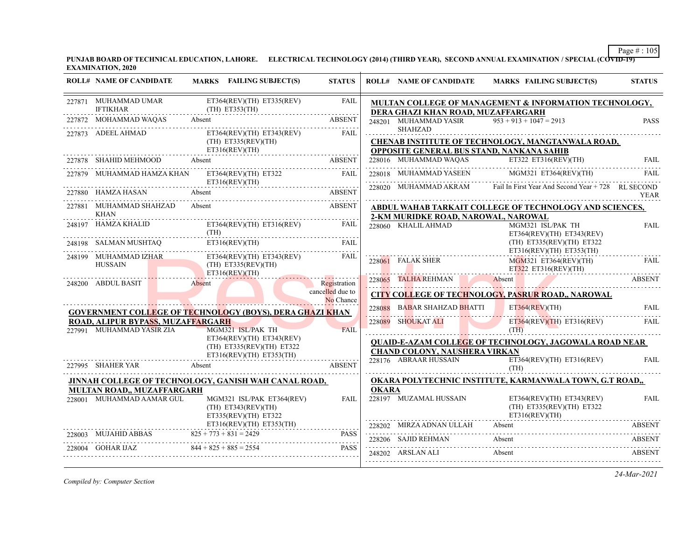**PUNJAB BOARD OF TECHNICAL EDUCATION, LAHORE. ELECTRICAL TECHNOLOGY (2014) (THIRD YEAR), SECOND ANNUAL EXAMINATION / SPECIAL (COVID-19) EXAMINATION, 2020**

| <b>ROLL# NAME OF CANDIDATE</b>                                     | MARKS FAILING SUBJECT(S)                                                       | <b>STATUS</b>    |              | <b>ROLL# NAME OF CANDIDATE</b>                                |        | <b>MARKS FAILING SUBJECT(S)</b>                                            | <b>STATUS</b> |
|--------------------------------------------------------------------|--------------------------------------------------------------------------------|------------------|--------------|---------------------------------------------------------------|--------|----------------------------------------------------------------------------|---------------|
| 227871 MUHAMMAD UMAR<br><b>IFTIKHAR</b>                            | ET364(REV)(TH) ET335(REV)<br>(TH) ET353(TH)                                    | <b>FAIL</b>      |              | DERA GHAZI KHAN ROAD, MUZAFFARGARH                            |        | MULTAN COLLEGE OF MANAGEMENT & INFORMATION TECHNOLOGY,                     |               |
| 227872 MOHAMMAD WAQAS Absent                                       | 2 MOHAMMAD WAQAS Absent ABSENT                                                 | <b>ABSENT</b>    |              | 248201 MUHAMMAD YASIR $953 + 913 + 1047 = 2913$               |        |                                                                            | <b>PASS</b>   |
| 227873 ADEEL AHMAD                                                 | ET364(REV)(TH) ET343(REV) FAIL<br>$(TH)$ ET335(REV)(TH)<br>ET316(REV)(TH)      | ^* /<br>         |              | SHAHZAD<br>OPPOSITE GENERAL BUS STAND, NANKANA SAHIB          |        | CHENAB INSTITUTE OF TECHNOLOGY, MANGTANWALA ROAD,                          |               |
| 227878 SHAHID MEHMOOD Absent                                       | AHID MEHMOOD Absent ABSENT                                                     |                  |              |                                                               |        | 228016 MUHAMMAD WAQAS ET322 ET316(REV)(TH) FAIL                            |               |
| 227879 MUHAMMAD HAMZA KHAN                                         | $ET364(REV)(TH)$ $ET322$<br>ET316(REV)(TH)                                     | FAIL             |              |                                                               |        | 228018 MUHAMMAD YASEEN MGM321 ET364(REV)(TH)                               | FAIL.         |
| 227880 HAMZA HASAN                                                 | Absent                                                                         | ABSENT           |              |                                                               |        | 228020 MUHAMMAD AKRAM Fail In First Year And Second Year + 728 RL SECOND   | <b>YEAR</b>   |
| 227881 MUHAMMAD SHAHZAD<br><b>KHAN</b>                             | Absent                                                                         | ABSENT           |              | 2-KM MURIDKE ROAD, NAROWAL, NAROWAL                           |        | ABDUL WAHAB TARKAIT COLLEGE OF TECHNOLOGY AND SCIENCES,                    |               |
| 248197 HAMZA KHALID<br>$\frac{1}{\text{MAX} \times \text{Matrix}}$ | $ET364(REV)(TH)$ $ET316(REV)$                                                  | FAIL             |              | 228060 KHALIL AHMAD                                           |        | MGM321 ISL/PAK TH<br>ET364(REV)(TH) ET343(REV)                             | <b>FAIL</b>   |
| 248198 SALMAN MUSHTAQ                                              | ET316(REV)(TH)                                                                 | FAIL             |              |                                                               |        | $(TH)$ ET335(REV)(TH) ET322<br>ET316(REV)(TH) ET353(TH)                    |               |
| 248199 MUHAMMAD IZHAR<br>HUSSAIN                                   | $ET364(REV)(TH)$ $ET343(REV)$<br>$(TH)$ ET335(REV)(TH)<br>ET316(REV)(TH)       | <b>FAIL</b>      |              |                                                               |        | 228061 FALAK SHER MGM321 ET364(REV)(TH) FALAK SHER MGM321 ET364(REV)(TH)   | .             |
| 248200 ABDUL BASIT                                                 | <b>Absent</b>                                                                  | Registration     |              |                                                               |        | 228065 TALHA REHMAN Absent ABSENT                                          |               |
|                                                                    |                                                                                | cancelled due to |              |                                                               |        | CITY COLLEGE OF TECHNOLOGY, PASRUR ROAD,, NAROWAL                          |               |
|                                                                    | <b>GOVERNMENT COLLEGE OF TECHNOLOGY (BOYS), DERA GHAZI KHAN</b>                | No Chance        |              | 228088 BABAR SHAHZAD BHATTI ET364(REV)(TH)                    |        |                                                                            | <b>FAIL</b>   |
| ROAD, ALIPUR BYPASS, MUZAFFARGARH                                  |                                                                                |                  |              | 228089 SHOUKAT ALI                                            |        | ET364(REV)(TH) ET316(REV) FAIL                                             |               |
| 227991 MUHAMMAD YASIR ZIA                                          | MGM321 ISL/PAK TH                                                              | FAIL             |              |                                                               | (TH)   |                                                                            |               |
|                                                                    | ET364(REV)(TH) ET343(REV)<br>(TH) ET335(REV)(TH) ET322                         |                  |              |                                                               |        | <b>QUAID-E-AZAM COLLEGE OF TECHNOLOGY, JAGOWALA ROAD NEAR</b>              |               |
| 227995 SHAHER YAR Absent                                           | $ET316(REV)(TH)$ $ET353(TH)$                                                   | <b>ABSENT</b>    |              | <b>CHAND COLONY, NAUSHERA VIRKAN</b><br>228176 ABRAAR HUSSAIN |        | $ET364(REV)(TH)$ $ET316(REV)$                                              | FAIL          |
|                                                                    | JINNAH COLLEGE OF TECHNOLOGY, GANISH WAH CANAL ROAD,                           |                  |              |                                                               | (TH)   | OKARA POLYTECHNIC INSTITUTE, KARMANWALA TOWN, G.T ROAD,,                   |               |
| MULTAN ROAD,, MUZAFFARGARH                                         |                                                                                |                  | <b>OKARA</b> |                                                               |        |                                                                            |               |
| 228001 MUHAMMAD AAMAR GUL                                          | MGM321 ISL/PAK ET364(REV)<br>$(TH)$ ET343(REV)(TH)<br>$ET335(REV)(TH)$ $ET322$ | <b>FAIL</b>      |              | 228197 MUZAMAL HUSSAIN                                        |        | ET364(REV)(TH) ET343(REV)<br>$(TH)$ ET335(REV)(TH) ET322<br>ET316(REV)(TH) | FAIL          |
|                                                                    | ET316(REV)(TH) ET353(TH)                                                       |                  |              | 228202 MIRZA ADNAN ULLAH                                      | Absent |                                                                            | ABSENT        |
| 228003 MUJAHID ABBAS $825 + 773 + 831 = 2429$                      | $D$ ABBAS $825 + 773 + 831 = 2429$ PASS                                        | PASS             |              | 228206 SAJID REHMAN                                           | Absent |                                                                            | ABSENT        |
| 228004 GOHAR IJAZ                                                  | $844 + 825 + 885 = 2554$                                                       | <b>PASS</b>      |              | 248202 ARSLAN ALI                                             | Absent |                                                                            | ABSENT        |
|                                                                    |                                                                                |                  |              |                                                               |        |                                                                            |               |

*Compiled by: Computer Section*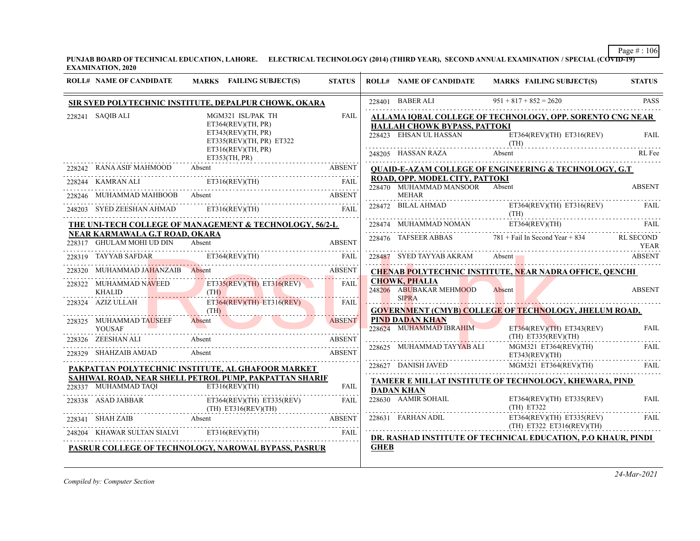**PUNJAB BOARD OF TECHNICAL EDUCATION, LAHORE. ELECTRICAL TECHNOLOGY (2014) (THIRD YEAR), SECOND ANNUAL EXAMINATION / SPECIAL (COVID-19) EXAMINATION, 2020**

| $951 + 817 + 852 = 2620$<br>228401 BABER ALI<br><b>PASS</b><br>SIR SYED POLYTECHNIC INSTITUTE, DEPALPUR CHOWK, OKARA<br>228241 SAQIB ALI<br>MGM321 ISL/PAK TH<br>FAIL<br>ALLAMA IQBAL COLLEGE OF TECHNOLOGY, OPP. SORENTO CNG NEAR<br>ET364(REV)(TH, PR)<br>HALLAH CHOWK BYPASS, PATTOKI<br>ET343(REV)(TH, PR)<br>228423 EHSAN UL HASSAN ET364(REV)(TH) ET316(REV)<br><b>FAIL</b><br>ET335(REV)(TH, PR) ET322<br>(TH)<br>ET316(REV)(TH, PR)<br>RL Fee<br>ET353(TH, PR)<br>228242 RANA ASIF MAHMOOD<br><b>QUAID-E-AZAM COLLEGE OF ENGINEERING &amp; TECHNOLOGY, G.T</b><br>Absent<br>ABSENT<br>ROAD, OPP. MODEL CITY, PATTOKI<br>228244 KAMRAN ALI ET316(REV)(TH) FAIL<br>228470 MUHAMMAD MANSOOR<br>Absent<br><b>ABSENT</b><br>228246 MUHAMMAD MAHBOOB Absent ABSENT ABSENT<br><b>MEHAR</b><br>228472 BILAL AHMAD<br>$ET364(REV)(TH)$ $ET316(REV)$<br>FAIL<br>248203 SYED ZEESHAN AHMAD ET316(REV)(TH) FAIL<br>(TH)<br>228474 MUHAMMAD NOMAN ET364(REV)(TH) FAIL<br>THE UNI-TECH COLLEGE OF MANAGEMENT & TECHNOLOGY, 56/2-L<br>NEAR KARMAWALA G.T ROAD, OKARA<br>$228476$ TAFSEER ABBAS $781 +$ Fail In Second Year + 834 RL SECOND<br>228317 GHULAM MOHI UD DIN Absent<br><b>ABSENT</b><br>TEAR<br>228487 SVED TAVVAD AVDAM<br>228319 TAYYAB SAFDAR ET364(REV)(TH)<br>228487 SYED TAYYAB AKRAM Absent Absent ABSENT<br>FAIL<br>MUHAMMAD JAHANZAIB Absent ABSENT<br><b>CHENAB POLYTECHNIC INSTITUTE, NEAR NADRA OFFICE, QENCHI</b><br><b>CHOWK, PHALIA</b><br>228322 MUHAMMAD NAVEED ET335(REV)(TH) ET316(REV) FAIL<br>248206 ABUBAKAR MEHMOOD<br>Absent<br><b>ABSENT</b><br>(TH)<br><b>KHALID</b><br><b>SIPRA</b><br>$\lfloor \ldots \rfloor$<br>$ET364(REV)(TH)$ $ET316(REV)$<br>228324 AZIZ ULLAH<br>FAIL<br>(TH)<br><b>GOVERNMENT (CMYB) COLLEGE OF TECHNOLOGY, JHELUM ROAD,</b><br><b>PIND DADAN KHAN</b><br>Absent<br>228325 MUHAMMAD TAUSEEF<br><b>ABSENT</b><br>228624 MUHAMMAD IBRAHIM<br>$ET364(REV)(TH)$ $ET343(REV)$<br>FAII.<br><b>YOUSAF</b><br>$(TH)$ ET335(REV)(TH)<br>228326 ZEESHANALI Absent ABSENT ABSENT<br><b>ABSENT</b><br>228625 MUHAMMAD TAYYAB ALI<br>MGM321 ET364(REV)(TH)<br><b>FAIL</b><br>228329 SHAHZAIB AMJAD<br>Absent<br><b>ABSENT</b><br>ET343(REV)(TH)<br>228627 DANISH JAVED MGM321 ET364(REV)(TH) FAIL<br>PAKPATTAN POLYTECHNIC INSTITUTE, AL GHAFOOR MARKET<br>SAHIWAL ROAD, NEAR SHELL PETROL PUMP, PAKPATTAN SHARIF<br>TAMEER E MILLAT INSTITUTE OF TECHNOLOGY, KHEWARA, PIND<br>228337 MUHAMMAD TAQI ET316(REV)(TH)<br>FAIL<br><b>DADAN KHAN</b><br>228630 AAMIR SOHAIL<br>ET364(REV)(TH) ET335(REV)<br><b>FAIL</b><br>228338 ASAD JABBAR ET364(REV)(TH) ET335(REV) FAIL<br>(TH) ET316(REV)(TH) (TH) ET316(REV)(TH)<br>(TH) ET322<br>$\begin{tabular}{ll} 228631 & FARRAAN ADIL & \multicolumn{2}{c}{ETS4(REV)(TH)} & ETS35(REV)\\ \multicolumn{2}{c}{\textbf{0.1}} & \multicolumn{2}{c}{\textbf{(H)}} & ETS32 & ETS16(REV)(TH)\\ \multicolumn{2}{c}{\textbf{(REV)}(TH)} & \multicolumn{2}{c}{\textbf{(H)}} & ETS22 & ETS16(REV)(TH)\\ \end{tabular}$<br>FAIL<br>$\begin{tabular}{llllll} \multicolumn{2}{c}{228341} & SHAH ZAIB & Absent & ABSENT \\ \hline 248204 & KHAWAR SULTAN SALVI & ET316(REV)(TH) & FAIL \\ \hline \end{tabular}$<br>DR. RASHAD INSTITUTE OF TECHNICAL EDUCATION, P.O KHAUR, PINDI<br><b>GHEB</b><br>PASRUR COLLEGE OF TECHNOLOGY, NAROWAL BYPASS, PASRUR | <b>ROLL# NAME OF CANDIDATE</b> | MARKS FAILING SUBJECT(S) | <b>STATUS</b> | <b>ROLL# NAME OF CANDIDATE</b> | MARKS FAILING SUBJECT(S) | <b>STATUS</b> |
|------------------------------------------------------------------------------------------------------------------------------------------------------------------------------------------------------------------------------------------------------------------------------------------------------------------------------------------------------------------------------------------------------------------------------------------------------------------------------------------------------------------------------------------------------------------------------------------------------------------------------------------------------------------------------------------------------------------------------------------------------------------------------------------------------------------------------------------------------------------------------------------------------------------------------------------------------------------------------------------------------------------------------------------------------------------------------------------------------------------------------------------------------------------------------------------------------------------------------------------------------------------------------------------------------------------------------------------------------------------------------------------------------------------------------------------------------------------------------------------------------------------------------------------------------------------------------------------------------------------------------------------------------------------------------------------------------------------------------------------------------------------------------------------------------------------------------------------------------------------------------------------------------------------------------------------------------------------------------------------------------------------------------------------------------------------------------------------------------------------------------------------------------------------------------------------------------------------------------------------------------------------------------------------------------------------------------------------------------------------------------------------------------------------------------------------------------------------------------------------------------------------------------------------------------------------------------------------------------------------------------------------------------------------------------------------------------------------------------------------------------------------------------------------------------------------------------------------------------------------------------------------------------------------------------------------------------------------------------------------------------------------------------------------------------------------------------------------------------------------------------------------------------------------------------------------------------------------------------------------------------------------------------------------------------------------------------|--------------------------------|--------------------------|---------------|--------------------------------|--------------------------|---------------|
|                                                                                                                                                                                                                                                                                                                                                                                                                                                                                                                                                                                                                                                                                                                                                                                                                                                                                                                                                                                                                                                                                                                                                                                                                                                                                                                                                                                                                                                                                                                                                                                                                                                                                                                                                                                                                                                                                                                                                                                                                                                                                                                                                                                                                                                                                                                                                                                                                                                                                                                                                                                                                                                                                                                                                                                                                                                                                                                                                                                                                                                                                                                                                                                                                                                                                                                              |                                |                          |               |                                |                          |               |
|                                                                                                                                                                                                                                                                                                                                                                                                                                                                                                                                                                                                                                                                                                                                                                                                                                                                                                                                                                                                                                                                                                                                                                                                                                                                                                                                                                                                                                                                                                                                                                                                                                                                                                                                                                                                                                                                                                                                                                                                                                                                                                                                                                                                                                                                                                                                                                                                                                                                                                                                                                                                                                                                                                                                                                                                                                                                                                                                                                                                                                                                                                                                                                                                                                                                                                                              |                                |                          |               |                                |                          |               |
|                                                                                                                                                                                                                                                                                                                                                                                                                                                                                                                                                                                                                                                                                                                                                                                                                                                                                                                                                                                                                                                                                                                                                                                                                                                                                                                                                                                                                                                                                                                                                                                                                                                                                                                                                                                                                                                                                                                                                                                                                                                                                                                                                                                                                                                                                                                                                                                                                                                                                                                                                                                                                                                                                                                                                                                                                                                                                                                                                                                                                                                                                                                                                                                                                                                                                                                              |                                |                          |               |                                |                          |               |
|                                                                                                                                                                                                                                                                                                                                                                                                                                                                                                                                                                                                                                                                                                                                                                                                                                                                                                                                                                                                                                                                                                                                                                                                                                                                                                                                                                                                                                                                                                                                                                                                                                                                                                                                                                                                                                                                                                                                                                                                                                                                                                                                                                                                                                                                                                                                                                                                                                                                                                                                                                                                                                                                                                                                                                                                                                                                                                                                                                                                                                                                                                                                                                                                                                                                                                                              |                                |                          |               |                                |                          |               |
|                                                                                                                                                                                                                                                                                                                                                                                                                                                                                                                                                                                                                                                                                                                                                                                                                                                                                                                                                                                                                                                                                                                                                                                                                                                                                                                                                                                                                                                                                                                                                                                                                                                                                                                                                                                                                                                                                                                                                                                                                                                                                                                                                                                                                                                                                                                                                                                                                                                                                                                                                                                                                                                                                                                                                                                                                                                                                                                                                                                                                                                                                                                                                                                                                                                                                                                              |                                |                          |               |                                |                          |               |
|                                                                                                                                                                                                                                                                                                                                                                                                                                                                                                                                                                                                                                                                                                                                                                                                                                                                                                                                                                                                                                                                                                                                                                                                                                                                                                                                                                                                                                                                                                                                                                                                                                                                                                                                                                                                                                                                                                                                                                                                                                                                                                                                                                                                                                                                                                                                                                                                                                                                                                                                                                                                                                                                                                                                                                                                                                                                                                                                                                                                                                                                                                                                                                                                                                                                                                                              |                                |                          |               |                                |                          |               |
|                                                                                                                                                                                                                                                                                                                                                                                                                                                                                                                                                                                                                                                                                                                                                                                                                                                                                                                                                                                                                                                                                                                                                                                                                                                                                                                                                                                                                                                                                                                                                                                                                                                                                                                                                                                                                                                                                                                                                                                                                                                                                                                                                                                                                                                                                                                                                                                                                                                                                                                                                                                                                                                                                                                                                                                                                                                                                                                                                                                                                                                                                                                                                                                                                                                                                                                              |                                |                          |               |                                |                          |               |
|                                                                                                                                                                                                                                                                                                                                                                                                                                                                                                                                                                                                                                                                                                                                                                                                                                                                                                                                                                                                                                                                                                                                                                                                                                                                                                                                                                                                                                                                                                                                                                                                                                                                                                                                                                                                                                                                                                                                                                                                                                                                                                                                                                                                                                                                                                                                                                                                                                                                                                                                                                                                                                                                                                                                                                                                                                                                                                                                                                                                                                                                                                                                                                                                                                                                                                                              |                                |                          |               |                                |                          |               |
|                                                                                                                                                                                                                                                                                                                                                                                                                                                                                                                                                                                                                                                                                                                                                                                                                                                                                                                                                                                                                                                                                                                                                                                                                                                                                                                                                                                                                                                                                                                                                                                                                                                                                                                                                                                                                                                                                                                                                                                                                                                                                                                                                                                                                                                                                                                                                                                                                                                                                                                                                                                                                                                                                                                                                                                                                                                                                                                                                                                                                                                                                                                                                                                                                                                                                                                              |                                |                          |               |                                |                          |               |
|                                                                                                                                                                                                                                                                                                                                                                                                                                                                                                                                                                                                                                                                                                                                                                                                                                                                                                                                                                                                                                                                                                                                                                                                                                                                                                                                                                                                                                                                                                                                                                                                                                                                                                                                                                                                                                                                                                                                                                                                                                                                                                                                                                                                                                                                                                                                                                                                                                                                                                                                                                                                                                                                                                                                                                                                                                                                                                                                                                                                                                                                                                                                                                                                                                                                                                                              |                                |                          |               |                                |                          |               |
|                                                                                                                                                                                                                                                                                                                                                                                                                                                                                                                                                                                                                                                                                                                                                                                                                                                                                                                                                                                                                                                                                                                                                                                                                                                                                                                                                                                                                                                                                                                                                                                                                                                                                                                                                                                                                                                                                                                                                                                                                                                                                                                                                                                                                                                                                                                                                                                                                                                                                                                                                                                                                                                                                                                                                                                                                                                                                                                                                                                                                                                                                                                                                                                                                                                                                                                              |                                |                          |               |                                |                          |               |
|                                                                                                                                                                                                                                                                                                                                                                                                                                                                                                                                                                                                                                                                                                                                                                                                                                                                                                                                                                                                                                                                                                                                                                                                                                                                                                                                                                                                                                                                                                                                                                                                                                                                                                                                                                                                                                                                                                                                                                                                                                                                                                                                                                                                                                                                                                                                                                                                                                                                                                                                                                                                                                                                                                                                                                                                                                                                                                                                                                                                                                                                                                                                                                                                                                                                                                                              |                                |                          |               |                                |                          |               |
|                                                                                                                                                                                                                                                                                                                                                                                                                                                                                                                                                                                                                                                                                                                                                                                                                                                                                                                                                                                                                                                                                                                                                                                                                                                                                                                                                                                                                                                                                                                                                                                                                                                                                                                                                                                                                                                                                                                                                                                                                                                                                                                                                                                                                                                                                                                                                                                                                                                                                                                                                                                                                                                                                                                                                                                                                                                                                                                                                                                                                                                                                                                                                                                                                                                                                                                              |                                |                          |               |                                |                          |               |
|                                                                                                                                                                                                                                                                                                                                                                                                                                                                                                                                                                                                                                                                                                                                                                                                                                                                                                                                                                                                                                                                                                                                                                                                                                                                                                                                                                                                                                                                                                                                                                                                                                                                                                                                                                                                                                                                                                                                                                                                                                                                                                                                                                                                                                                                                                                                                                                                                                                                                                                                                                                                                                                                                                                                                                                                                                                                                                                                                                                                                                                                                                                                                                                                                                                                                                                              |                                |                          |               |                                |                          |               |
|                                                                                                                                                                                                                                                                                                                                                                                                                                                                                                                                                                                                                                                                                                                                                                                                                                                                                                                                                                                                                                                                                                                                                                                                                                                                                                                                                                                                                                                                                                                                                                                                                                                                                                                                                                                                                                                                                                                                                                                                                                                                                                                                                                                                                                                                                                                                                                                                                                                                                                                                                                                                                                                                                                                                                                                                                                                                                                                                                                                                                                                                                                                                                                                                                                                                                                                              |                                |                          |               |                                |                          |               |
|                                                                                                                                                                                                                                                                                                                                                                                                                                                                                                                                                                                                                                                                                                                                                                                                                                                                                                                                                                                                                                                                                                                                                                                                                                                                                                                                                                                                                                                                                                                                                                                                                                                                                                                                                                                                                                                                                                                                                                                                                                                                                                                                                                                                                                                                                                                                                                                                                                                                                                                                                                                                                                                                                                                                                                                                                                                                                                                                                                                                                                                                                                                                                                                                                                                                                                                              |                                |                          |               |                                |                          |               |
|                                                                                                                                                                                                                                                                                                                                                                                                                                                                                                                                                                                                                                                                                                                                                                                                                                                                                                                                                                                                                                                                                                                                                                                                                                                                                                                                                                                                                                                                                                                                                                                                                                                                                                                                                                                                                                                                                                                                                                                                                                                                                                                                                                                                                                                                                                                                                                                                                                                                                                                                                                                                                                                                                                                                                                                                                                                                                                                                                                                                                                                                                                                                                                                                                                                                                                                              |                                |                          |               |                                |                          |               |
|                                                                                                                                                                                                                                                                                                                                                                                                                                                                                                                                                                                                                                                                                                                                                                                                                                                                                                                                                                                                                                                                                                                                                                                                                                                                                                                                                                                                                                                                                                                                                                                                                                                                                                                                                                                                                                                                                                                                                                                                                                                                                                                                                                                                                                                                                                                                                                                                                                                                                                                                                                                                                                                                                                                                                                                                                                                                                                                                                                                                                                                                                                                                                                                                                                                                                                                              |                                |                          |               |                                |                          |               |
|                                                                                                                                                                                                                                                                                                                                                                                                                                                                                                                                                                                                                                                                                                                                                                                                                                                                                                                                                                                                                                                                                                                                                                                                                                                                                                                                                                                                                                                                                                                                                                                                                                                                                                                                                                                                                                                                                                                                                                                                                                                                                                                                                                                                                                                                                                                                                                                                                                                                                                                                                                                                                                                                                                                                                                                                                                                                                                                                                                                                                                                                                                                                                                                                                                                                                                                              |                                |                          |               |                                |                          |               |
|                                                                                                                                                                                                                                                                                                                                                                                                                                                                                                                                                                                                                                                                                                                                                                                                                                                                                                                                                                                                                                                                                                                                                                                                                                                                                                                                                                                                                                                                                                                                                                                                                                                                                                                                                                                                                                                                                                                                                                                                                                                                                                                                                                                                                                                                                                                                                                                                                                                                                                                                                                                                                                                                                                                                                                                                                                                                                                                                                                                                                                                                                                                                                                                                                                                                                                                              |                                |                          |               |                                |                          |               |
|                                                                                                                                                                                                                                                                                                                                                                                                                                                                                                                                                                                                                                                                                                                                                                                                                                                                                                                                                                                                                                                                                                                                                                                                                                                                                                                                                                                                                                                                                                                                                                                                                                                                                                                                                                                                                                                                                                                                                                                                                                                                                                                                                                                                                                                                                                                                                                                                                                                                                                                                                                                                                                                                                                                                                                                                                                                                                                                                                                                                                                                                                                                                                                                                                                                                                                                              |                                |                          |               |                                |                          |               |
|                                                                                                                                                                                                                                                                                                                                                                                                                                                                                                                                                                                                                                                                                                                                                                                                                                                                                                                                                                                                                                                                                                                                                                                                                                                                                                                                                                                                                                                                                                                                                                                                                                                                                                                                                                                                                                                                                                                                                                                                                                                                                                                                                                                                                                                                                                                                                                                                                                                                                                                                                                                                                                                                                                                                                                                                                                                                                                                                                                                                                                                                                                                                                                                                                                                                                                                              |                                |                          |               |                                |                          |               |

*Compiled by: Computer Section*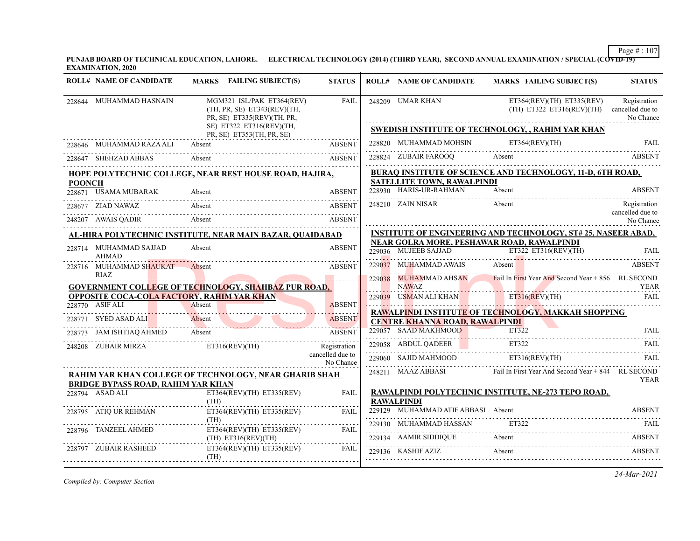**PUNJAB BOARD OF TECHNICAL EDUCATION, LAHORE. ELECTRICAL TECHNOLOGY (2014) (THIRD YEAR), SECOND ANNUAL EXAMINATION / SPECIAL (COVID-19) EXAMINATION, 2020**

|               | <b>ROLL# NAME OF CANDIDATE</b>                                                        | MARKS FAILING SUBJECT(S)  |                                                                                        | <b>STATUS</b>                    | <b>ROLL# NAME OF CANDIDATE</b>                                                                            |                | <b>MARKS FAILING SUBJECT(S)</b>                          | <b>STATUS</b>                                 |
|---------------|---------------------------------------------------------------------------------------|---------------------------|----------------------------------------------------------------------------------------|----------------------------------|-----------------------------------------------------------------------------------------------------------|----------------|----------------------------------------------------------|-----------------------------------------------|
|               | 228644 MUHAMMAD HASNAIN                                                               |                           | MGM321 ISL/PAK ET364(REV)<br>(TH, PR, SE) ET343(REV)(TH,<br>PR, SE) ET335(REV)(TH, PR, | <b>FAIL</b>                      | 248209 UMAR KHAN                                                                                          |                | ET364(REV)(TH) ET335(REV)<br>$(TH)$ ET322 ET316(REV)(TH) | Registration<br>cancelled due to<br>No Chance |
|               |                                                                                       | PR, SE) ET353(TH, PR, SE) | SE) ET322 ET316(REV)(TH,                                                               |                                  | SWEDISH INSTITUTE OF TECHNOLOGY, , RAHIM YAR KHAN                                                         |                |                                                          |                                               |
|               | 228646 MUHAMMAD RAZA ALI Absent                                                       |                           |                                                                                        | <b>ABSENT</b>                    | 228820 MUHAMMAD MOHSIN                                                                                    | ET364(REV)(TH) |                                                          | <b>FAIL</b>                                   |
|               | 28647 SHEHZAD ABBAS Absent ABSENT ABSENT<br>228647 SHEHZAD ABBAS                      |                           |                                                                                        |                                  | 228824 ZUBAIR FAROOQ Absent ABSENT                                                                        |                |                                                          |                                               |
|               | HOPE POLYTECHNIC COLLEGE, NEAR REST HOUSE ROAD, HAJIRA,                               |                           |                                                                                        |                                  | BURAQ INSTITUTE OF SCIENCE AND TECHNOLOGY, 11-D, 6TH ROAD,                                                |                |                                                          |                                               |
| <b>POONCH</b> |                                                                                       |                           |                                                                                        |                                  | SATELLITE TOWN, RAWALPINDI<br>228930 HARIS-UR-RAHMAN                                                      | Absent         |                                                          | <b>ABSENT</b>                                 |
|               | 228671 USAMA MUBARAK                                                                  | Absent                    |                                                                                        | <b>ABSENT</b>                    |                                                                                                           |                |                                                          |                                               |
|               | 228677 ZIAD NAWAZ                                                                     | Absent                    |                                                                                        | <b>ABSENT</b>                    | 248210 ZAIN NISAR                                                                                         | Absent         |                                                          | Registration<br>cancelled due to              |
|               | 248207 AWAIS QADIR Absent                                                             |                           | Absent                                                                                 | <b>ABSENT</b>                    |                                                                                                           |                |                                                          | No Chance                                     |
|               | <u>AL-HIRA POLYTECHNIC INSTITUTE, NEAR MAIN BAZAR, QUAIDABAD</u>                      |                           |                                                                                        |                                  | <b>INSTITUTE OF ENGINEERING AND TECHNOLOGY, ST# 25, NASEER ABAD,</b>                                      |                |                                                          |                                               |
|               | 228714 MUHAMMAD SAJJAD<br>AHMAD                                                       | Absent                    |                                                                                        | <b>ABSENT</b>                    | NEAR GOLRA MORE, PESHAWAR ROAD, RAWALPINDI<br>229036 MUJEEB SAJJAD ET322 ET316(REV)(TH) FAIL              |                |                                                          |                                               |
|               | 228716 MUHAMMAD SHAUKAT                                                               | Absent                    |                                                                                        | <b>ABSENT</b>                    | 229037 MUHAMMAD AWAIS Absent                                                                              |                |                                                          | ABSENT                                        |
|               | RIAZ.                                                                                 |                           |                                                                                        |                                  | 229038 MUHAMMAD AHSAN Fail In First Year And Second Year + 856 RL SECOND                                  |                |                                                          |                                               |
|               | <b>GOVERNMENT COLLEGE OF TECHNOLOGY, SHAHBAZ PUR ROAD,</b>                            |                           |                                                                                        |                                  | <b>NAWAZ</b>                                                                                              |                |                                                          | YEAR                                          |
|               | OPPOSITE COCA-COLA FACTORY, RAHIM YAR KHAN<br>228770 ASIF ALI<br>8770 ASIF ALI Absent |                           |                                                                                        | <b>ABSENT</b>                    | 229039 USMAN ALI KHAN ET316(REV)(TH)                                                                      |                |                                                          | FAII.                                         |
|               |                                                                                       |                           |                                                                                        | 1111.1111                        | RAWALPINDI INSTITUTE OF TECHNOLOGY, MAKKAH SHOPPING                                                       |                |                                                          |                                               |
|               | 228771 SYED ASAD ALI Absent ABSENT 228773 JAM ISHTIAQ AHMED Absent ABSENT             |                           |                                                                                        |                                  | <b>CENTRE KHANNA ROAD, RAWALPINDI</b>                                                                     |                |                                                          |                                               |
|               |                                                                                       |                           |                                                                                        |                                  | 229057 SAAD MAKHMOOD ET322 FAIL                                                                           |                |                                                          |                                               |
|               | 248208 ZUBAIR MIRZA ET316(REV)(TH)                                                    |                           |                                                                                        | Registration<br>cancelled due to | 229060 SAJID MAHMOOD ET316(REV)(TH)                                                                       |                |                                                          |                                               |
|               |                                                                                       |                           |                                                                                        | No Chance                        |                                                                                                           |                |                                                          |                                               |
|               | RAHIM YAR KHAN COLLEGE OF TECHNOLOGY, NEAR GHARIB SHAH                                |                           |                                                                                        |                                  | 248211 MAAZ ABBASI Fail In First Year And Second Year + 844 RL SECOND                                     |                |                                                          | <b>YEAR</b>                                   |
|               | <b>BRIDGE BYPASS ROAD, RAHIM YAR KHAN</b><br>228794 ASAD ALI                          |                           | $ET364(REV)(TH)$ $ET335(REV)$                                                          | <b>FAIL</b>                      | RAWALPINDI POLYTECHNIC INSTITUTE, NE-273 TEPO ROAD,                                                       |                |                                                          |                                               |
|               |                                                                                       | (TH)                      |                                                                                        |                                  | <b>RAWALPINDI</b>                                                                                         |                |                                                          |                                               |
|               | 228795 ATIO UR REHMAN                                                                 |                           | $ET364(REV)(TH)$ $ET335(REV)$                                                          | FAII.                            | 229129 MUHAMMAD ATIF ABBASI Absent                                                                        |                |                                                          | <b>ABSENT</b>                                 |
|               | 228796 TANZEEL AHMED                                                                  | (TH)                      | $ET364(REV)(TH)$ $ET335(REV)$                                                          | FAIL                             | $\begin{tabular}{lllllllll} \bf 229130 & \bf MUHAMMAD HASSAN & \tt ET322 & \tt FAIL \\ \bf \end{tabular}$ |                |                                                          |                                               |
|               |                                                                                       | $(TH)$ ET316(REV)(TH)     |                                                                                        |                                  | 229134 AAMIR SIDDIQUE Absent<br>229134 AAMIR SIDDIQUE Absent Absent ABSENT                                |                |                                                          |                                               |
|               | 228797 ZUBAIR RASHEED                                                                 | (TH)                      | $ET364(REV)(TH)$ $ET335(REV)$                                                          | FAIL                             | 229136 KASHIF AZIZ                                                                                        | Absent         |                                                          | ABSENT                                        |
|               |                                                                                       |                           |                                                                                        |                                  |                                                                                                           |                |                                                          |                                               |

*Compiled by: Computer Section*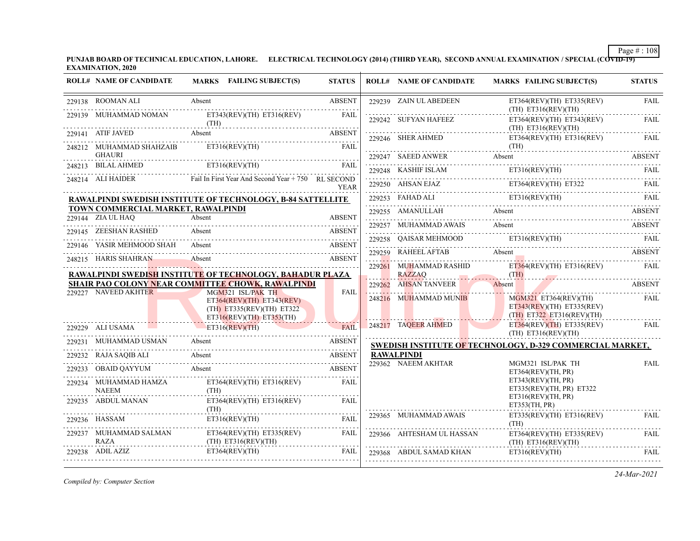**PUNJAB BOARD OF TECHNICAL EDUCATION, LAHORE. ELECTRICAL TECHNOLOGY (2014) (THIRD YEAR), SECOND ANNUAL EXAMINATION / SPECIAL (COVID-19) EXAMINATION, 2020**

| <b>ROLL# NAME OF CANDIDATE</b>                          | MARKS FAILING SUBJECT(S)                                                                     | <b>STATUS</b> | <b>ROLL# NAME OF CANDIDATE</b> | <b>MARKS FAILING SUBJECT(S)</b>                                                                                                                                                        | <b>STATUS</b> |
|---------------------------------------------------------|----------------------------------------------------------------------------------------------|---------------|--------------------------------|----------------------------------------------------------------------------------------------------------------------------------------------------------------------------------------|---------------|
|                                                         |                                                                                              |               |                                |                                                                                                                                                                                        |               |
| 229138 ROOMAN ALI                                       | Absent                                                                                       | <b>ABSENT</b> | 229239 ZAIN UL ABEDEEN         | $ET364(REV)(TH)$ $ET335(REV)$<br>(TH) E T316 (REV)(TH)                                                                                                                                 | <b>FAIL</b>   |
|                                                         | 229139 MUHAMMAD NOMAN ET343(REV)(TH) ET316(REV)                                              | FAIL          | 229242 SUFYAN HAFEEZ           | ET364(REV)(TH) ET343(REV)<br>$(TH)$ ET316(REV)(TH)                                                                                                                                     | FAIL          |
|                                                         | 229141 ATIF JAVED Absent ABSENT                                                              |               |                                |                                                                                                                                                                                        |               |
|                                                         | 248212 MUHAMMAD SHAHZAIB ET316(REV)(TH)                                                      | FAIL          |                                | $\begin{tabular}{ll} \bf 229246 & SHER AHMED & \tt ET364(REV)(TH) & ET316(REV) & \tt FAIL \\ \hline \end{tabular} \begin{tabular}{ll} \bf 229246 & SHER AHMED & \tt TH) \end{tabular}$ |               |
| <b>GHAURI</b>                                           | CHAUKI<br>248213 BILAL AHMED ET316(REV)(TH) FAIL                                             |               |                                | $\begin{tabular}{c} {\bf 229247} \hspace*{2.0cm} \bf 8AEED ANWER \hspace*{2.0cm} \hspace*{2.0cm} \bf 8BSET \hspace*{2.0cm} \end{tabular}$                                              |               |
|                                                         | 248214 ALI HAIDER Fail In First Year And Second Year + 750 RL SECOND                         |               |                                | $\texttt{229248} \quad \text{KASHIF ISLAM} \qquad \qquad \text{ET316(REV)(TH)} \qquad \qquad \text{FAIL} \qquad \qquad \text{FAIL}$                                                    |               |
|                                                         |                                                                                              | <b>YEAR</b>   |                                | $229250$ AHSAN EJAZ ET364(REV)(TH) ET322 FAIL                                                                                                                                          |               |
|                                                         | <b>RAWALPINDI SWEDISH INSTITUTE OF TECHNOLOGY, B-84 SATTELLITE</b>                           |               |                                | 229253 FAHAD ALI ET316(REV)(TH) FAIL ET316(REV)(TH) FAIL                                                                                                                               |               |
| TOWN COMMERCIAL MARKET, RAWALPINDI<br>229144 ZIA UL HAQ | Absent                                                                                       | <b>ABSENT</b> |                                | 229255 AMANULLAH Absent ABSENT ABSENT                                                                                                                                                  |               |
| 229145 ZEESHAN RASHED                                   | Absent                                                                                       |               |                                | 229257 MUHAMMAD AWAIS Absent ABSENT ABSENT                                                                                                                                             |               |
|                                                         | 145 ZEESHAN RASHED Absent ABSENT ABSENT                                                      |               |                                | 229258 QAISAR MEHMOOD ET316(REV)(TH) FAIL                                                                                                                                              |               |
|                                                         | 229146 YASIR MEHMOOD SHAH Absent<br><u>ADDENT A0308</u>                                      | <b>ABSENT</b> |                                | 229259 RAHEELAFTAB Absent ABSENT ABSENT                                                                                                                                                |               |
|                                                         | 248215 HARIS SHAHRAN Absent ABSENT                                                           |               |                                |                                                                                                                                                                                        |               |
|                                                         | RAWALPINDI SWEDISH INSTITUTE OF TECHNOLOGY, BAHADUR PLAZA                                    |               |                                | 229261 MUHAMMAD RASHID ET364(REV)(TH) ET316(REV) FAIL                                                                                                                                  |               |
| 229227 NAVEED AKHTER                                    | SHAIR PAO COLONY NEAR COMMITTEE CHOWK, RAWALPINDI<br>MGM321 ISL/PAK TH                       | <b>FAIL</b>   | 229262 AHSAN TANVEER           | Absent<br><b>ABSENT</b>                                                                                                                                                                |               |
|                                                         | $ET364(REV)(TH)$ $ET343(REV)$<br>$(TH)$ ET335(REV)(TH) ET322<br>$ET316(REV)(TH)$ $ET353(TH)$ |               | 248216 MUHAMMAD MUNIB          | MGM321 ET364(REV)(TH)<br>$ET343(REV)(TH)$ $ET335(REV)$<br>$(TH)$ ET322 ET316(REV)(TH)                                                                                                  | FAIL          |
| 229229 ALI USAMA ET316(REV)(TH)                         |                                                                                              | FAIL          | 248217 TAQEER AHMED            | $ET364(REV)(TH)$ $ET335(REV)$ FAIL<br>(TH) ET316(REV)(TH)                                                                                                                              |               |
| 229231 MUHAMMAD USMAN Absent                            |                                                                                              | <b>ABSENT</b> |                                | SWEDISH INSTITUTE OF TECHNOLOGY, D-329 COMMERCIAL MARKET,                                                                                                                              |               |
|                                                         | 229232 RAJA SAQIB ALI Absent ABSENT                                                          |               | <b>RAWALPINDI</b>              |                                                                                                                                                                                        |               |
|                                                         | 229233 OBAID QAYYUM Absent Absent ABSENT                                                     |               | 229362 NAEEM AKHTAR            | MGM321 ISL/PAK TH<br>ET364(REV)(TH, PR)                                                                                                                                                | FAIL          |
| 229234 MUHAMMAD HAMZA<br><b>NAEEM</b>                   | ET364(REV)(TH) ET316(REV)<br>(TH)                                                            | FAIL          |                                | ET343(REV)(TH, PR)<br>ET335(REV)(TH, PR) ET322                                                                                                                                         |               |
| 229235 ABDUL MANAN                                      | $ET364(REV)(TH)$ $ET316(REV)$<br>(TH)                                                        | FAIL          |                                | ET316(REV)(TH, PR)<br>ET353(TH, PR)                                                                                                                                                    |               |
| 229236 HASSAM ET316(REV)(T                              | ET316(REV)(TH) FAIL                                                                          |               | 229365 MUHAMMAD AWAIS          | $ET335(REV)(TH)$ $ET316(REV)$                                                                                                                                                          | FAII.         |
| 229237 MUHAMMAD SALMAN<br><b>RAZA</b>                   | $ET364(REV)(TH)$ $ET335(REV)$<br>$(TH)$ ET316(REV)(TH)                                       | FAIL          | 229366 AHTESHAM UL HASSAN      | ET364(REV)(TH) ET335(REV)<br>$(TH)$ ET316(REV)(TH)                                                                                                                                     | FAIL          |
| $229238$ ADIL AZIZ                                      | ET364(REV)(TH)<br>ADIL AZIZ ET364(REV)(TH) FAIL                                              | FAIL          |                                | $\begin{tabular}{ll} \bf 229368 & ABDUL SAMAD KHAM & \tt FT316 (REV)(TH) & \tt FAIL \\ \hline \end{tabular}$                                                                           |               |

*Compiled by: Computer Section*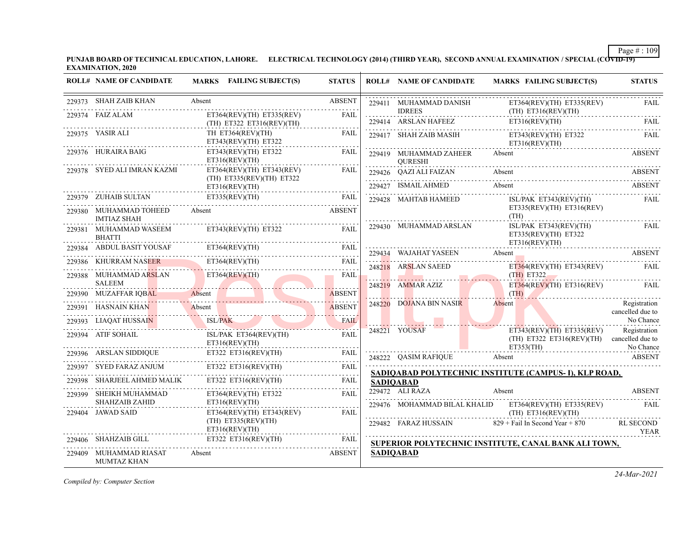**PUNJAB BOARD OF TECHNICAL EDUCATION, LAHORE. ELECTRICAL TECHNOLOGY (2014) (THIRD YEAR), SECOND ANNUAL EXAMINATION / SPECIAL (COVID-19) EXAMINATION, 2020**

| <b>ROLL# NAME OF CANDIDATE</b>                                | <b>MARKS</b> FAILING SUBJECT(S)                                                           | <b>STATUS</b> | <b>ROLL# NAME OF CANDIDATE</b>               | <b>MARKS FAILING SUBJECT(S)</b>                                                 | <b>STATUS</b>                    |
|---------------------------------------------------------------|-------------------------------------------------------------------------------------------|---------------|----------------------------------------------|---------------------------------------------------------------------------------|----------------------------------|
| 229373 SHAH ZAIB KHAN                                         | Absent                                                                                    | <b>ABSENT</b> | 229411 MUHAMMAD DANISH                       | ET364(REV)(TH) ET335(REV)                                                       | FAIL                             |
| 229374 FAIZ ALAM                                              | ET364(REV)(TH) ET335(REV)<br>(TH) ET322 ET316(REV)(TH)                                    | FAIL          | <b>IDREES</b>                                | $(TH)$ $ET316(REV)(TH)$<br>229414 ARSLAN HAFEEZ ET316(REV)(TH)                  | FAIL                             |
| 229375 YASIR ALI                                              | TH ET364(REV)(TH)<br>ET343(REV)(TH) ET322                                                 | FAIL          |                                              | 229417 SHAH ZAIB MASIH ET343(REV)(TH) ET322<br>ET316(REV)(TH)                   | <b>FAIL</b>                      |
| 229376 HURAIRA BAIG                                           | $ET343(REV)(TH)$ $ET322$<br>ET316(REV)(TH)                                                | FAIL          | 229419 MUHAMMAD ZAHEER<br>QURESHI            | Absent                                                                          | <b>ABSENT</b>                    |
| 229378 SYED ALI IMRAN KAZMI                                   | $ET364(REV)(TH)$ $ET343(REV)$<br>(TH) ET335(REV)(TH) ET322                                | FAIL          |                                              | 229426 QAZI ALI FAIZAN Absent ABSENT ABSENT                                     |                                  |
|                                                               | ET316(REV)(TH)                                                                            |               | 229427 ISMAIL AHMED Absent                   |                                                                                 | ABSENT                           |
| 229380 MUHAMMAD TOHEED                                        | 229379 ZUHAIB SULTAN ET335(REV)(TH) FAIL<br>Absent                                        | <b>ABSENT</b> | 229428 MAHTAB HAMEED                         | ISL/PAK ET343(REV)(TH)<br>$ET335(REV)(TH)$ $ET316(REV)$<br>(TH)                 | FAIL                             |
| <b>IMTIAZ SHAH</b><br>229381 MUHAMMAD WASEEM<br><b>BHATTI</b> | $ET343(REV)(TH)$ $ET322$                                                                  | <b>FAIL</b>   | 229430 MUHAMMAD ARSLAN                       | ISL/PAK ET343(REV)(TH)<br>ET335(REV)(TH) ET322                                  | <b>FAIL</b>                      |
|                                                               |                                                                                           |               |                                              | ET316(REV)(TH)                                                                  |                                  |
|                                                               | 229384 ABDUL BASIT YOUSAF ET364(REV)(TH) FAIL<br>229386 KHURRAM NASER ET364(REV)(TH) FAIL |               | 229434 WAJAHAT YASEEN<br>248218 ARSLAN SAEED | Absent<br>ET364(REV)(TH) ET343(REV)                                             | ABSENT<br>FAIL                   |
| 229388 MUHAMMAD ARSLAN ET364(REV)(TH)<br><b>SALEEM</b>        | <u> 1988 - Jan James James James</u>                                                      | FAIL          | 248219 AMMAR AZIZ                            | (TH) ET322<br>$ET364(REV)(TH)$ $ET316(REV)$                                     | FAIL                             |
|                                                               | 229390 MUZAFFAR IQBAL Absent Absent ABSENT                                                |               |                                              | $\overline{\text{TR}}$                                                          |                                  |
|                                                               | 229391 HASNAIN KHAN Absent                                                                |               | 248220 DOJANA BIN NASIR                      | Absent                                                                          | Registration<br>cancelled due to |
|                                                               | 229393 LIAQAT HUSSAIN ISL/PAK FAIL                                                        |               |                                              |                                                                                 | No Chance                        |
| $229394 \quad \text{ATIF SOHAL} \label{eq:29394}$             | ISL/PAK ET364(REV)(TH)<br>ET316(REV)(TH)                                                  | FAIL          | 248221 YOUSAF                                | $ET343(REV)(TH)$ $ET335(REV)$<br>(TH) ET322 ET316(REV)(TH) cancelled due to     | Registration                     |
|                                                               | 229396 ARSLAN SIDDIQUE ET322 ET316(REV)(TH) FAIL                                          |               |                                              | ET353(TH) No Chance<br>248222 QASIM RAFIQUE Absent                              | <b>ABSENT</b>                    |
|                                                               | 229397 SYED FARAZ ANJUM ET322 ET316(REV)(TH) FAIL                                         |               |                                              |                                                                                 |                                  |
| 229398 SHARJEEL AHMED MALIK                                   | ET322 ET316(REV)(TH)                                                                      | FAIL          | <b>SADIOABAD</b>                             | SADIOABAD POLYTECHNIC INSTITUTE (CAMPUS-I), KLP ROAD,                           |                                  |
| 229399 SHEIKH MUHAMMAD                                        | $ET364(REV)(TH)$ $ET322$                                                                  | FAIL          | 229472 ALI RAZA                              | Absent                                                                          | <b>ABSENT</b>                    |
| <b>SHAHZAIB ZAHID</b><br>229404 JAWAD SAID                    | ET316(REV)(TH)<br>$ET364(REV)(TH)$ $ET343(REV)$                                           | FAIL          |                                              | 229476 MOHAMMAD BILAL KHALID ET364(REV)(TH) ET335(REV)<br>$(TH)$ ET316(REV)(TH) | FAIL                             |
|                                                               | $(TH)$ ET335(REV)(TH)<br>ET316(REV)(TH)                                                   |               |                                              | 229482 FARAZ HUSSAIN 829 + Fail In Second Year + 870                            | RL SECOND<br>YEAR                |
| 229406 SHAHZAIB GILL                                          | ET322 ET316(REV)(TH)                                                                      | FAIL          |                                              | SUPERIOR POLYTECHNIC INSTITUTE, CANAL BANK ALI TOWN,                            |                                  |
| 229409 MUHAMMAD RIASAT<br>MUMTAZ KHAN                         | Absent                                                                                    | <b>ABSENT</b> | <b>SADIQABAD</b>                             |                                                                                 |                                  |

*Compiled by: Computer Section*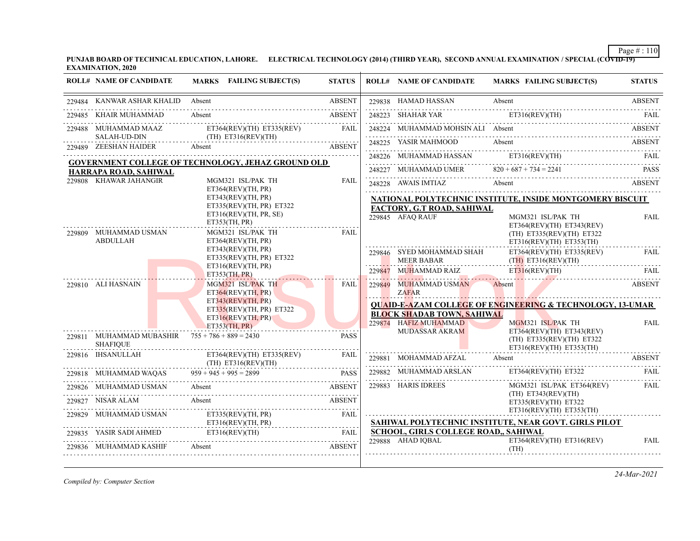**PUNJAB BOARD OF TECHNICAL EDUCATION, LAHORE. ELECTRICAL TECHNOLOGY (2014) (THIRD YEAR), SECOND ANNUAL EXAMINATION / SPECIAL (COVID-19) EXAMINATION, 2020**

|                 | <b>ROLL# NAME OF CANDIDATE</b>                                       | MARKS FAILING SUBJECT(S)                                                                                                                                  | <b>STATUS</b> | <b>ROLL# NAME OF CANDIDATE</b>                 | <b>MARKS FAILING SUBJECT(S)</b>                                                            | <b>STATUS</b> |  |  |
|-----------------|----------------------------------------------------------------------|-----------------------------------------------------------------------------------------------------------------------------------------------------------|---------------|------------------------------------------------|--------------------------------------------------------------------------------------------|---------------|--|--|
|                 | 229484 KANWAR ASHAR KHALID                                           | Absent                                                                                                                                                    | <b>ABSENT</b> | 229838 HAMAD HASSAN                            | Absent                                                                                     | <b>ABSENT</b> |  |  |
| 229485          | KHAIR MUHAMMAD                                                       | Absent                                                                                                                                                    | <b>ABSENT</b> | 248223 SHAHAR YAR                              | ET316(REV)(TH)                                                                             |               |  |  |
|                 | 229488 MUHAMMAD MAAZ                                                 | $ET364(REV)(TH)$ $ET335(REV)$                                                                                                                             | FAII.         | 248224 MUHAMMAD MOHSIN ALI Absent              |                                                                                            | <b>ABSENT</b> |  |  |
|                 | <b>SALAH-UD-DIN</b><br>229489 ZEESHAN HAIDER                         | $(TH)$ ET316(REV)(TH)<br>Absent                                                                                                                           | <b>ABSENT</b> | 248225 YASIR MAHMOOD                           | Absent                                                                                     | ABSENT        |  |  |
|                 |                                                                      |                                                                                                                                                           |               | 248226 MUHAMMAD HASSAN                         | ET316(REV)(TH)                                                                             | FAIL          |  |  |
|                 | HARRAPA ROAD, SAHIWAL                                                | GOVERNMENT COLLEGE OF TECHNOLOGY, JEHAZ GROUND OLD                                                                                                        |               | 248227 MUHAMMAD UMER                           | $820 + 687 + 734 = 2241$                                                                   | <b>PASS</b>   |  |  |
|                 | 229808 KHAWAR JAHANGIR                                               | MGM321 ISL/PAK TH                                                                                                                                         | <b>FAIL</b>   | 248228 AWAIS IMTIAZ Absent                     | <b>ABSENT</b>                                                                              |               |  |  |
|                 | ET364(REV)(TH, PR)<br>ET343(REV)(TH, PR)                             |                                                                                                                                                           |               |                                                | NATIONAL POLYTECHNIC INSTITUTE, INSIDE MONTGOMERY BISCUIT                                  |               |  |  |
|                 |                                                                      | ET335(REV)(TH, PR) ET322                                                                                                                                  |               | FACTORY, G.T ROAD, SAHIWAL                     |                                                                                            |               |  |  |
| 229809          | MUHAMMAD USMAN                                                       | ET316(REV)(TH, PR, SE)<br>ET353(TH, PR)<br>MGM321 ISL/PAK TH                                                                                              | FAII.         | 229845 AFAO RAUF                               | MGM321 ISL/PAK TH<br>ET364(REV)(TH) ET343(REV)<br>(TH) ET335(REV)(TH) ET322                | <b>FAIL</b>   |  |  |
| <b>ABDULLAH</b> |                                                                      | ET364(REV)(TH, PR)<br>ET343(REV)(TH, PR)<br>ET335(REV)(TH, PR) ET322<br>ET316(REV)(TH, PR)                                                                |               | 229846 SYED MOHAMMAD SHAH<br><b>MEER BABAR</b> | $ET316(REV)(TH)$ $ET353(TH)$<br>ET364(REV)(TH) ET335(REV)<br>$(TH)$ ET316(REV)(TH)         | <b>FAIL</b>   |  |  |
|                 |                                                                      | ET353(TH, PR)                                                                                                                                             |               | 229847 MUHAMMAD RAIZ                           | ET316(REV)(TH)                                                                             | FAII.         |  |  |
|                 | 229810 ALI HASNAIN                                                   | MGM321 ISL/PAK TH<br>ET364(REV)(TH, PR)                                                                                                                   | FAIL          | 229849 MUHAMMAD USMAN<br><b>ZAFAR</b>          | Absent                                                                                     | <b>ABSENT</b> |  |  |
|                 |                                                                      | ET343(REV)(TH, PR)                                                                                                                                        |               |                                                | <b>QUAID-E-AZAM COLLEGE OF ENGINEERING &amp; TECHNOLOGY, 13-UMAR</b>                       |               |  |  |
|                 |                                                                      | ET335(REV)(TH, PR) E T322<br>ET316(REV)(TH, PR)                                                                                                           |               | <b>BLOCK SHADAB TOWN, SAHIWAL</b>              |                                                                                            |               |  |  |
|                 |                                                                      | ET353(TH, PR)                                                                                                                                             |               | 229874 HAFIZ MUHAMMAD                          | MGM321 ISL/PAK TH                                                                          | <b>FAIL</b>   |  |  |
|                 | 229811 MUHAMMAD MUBASHIR $755 + 786 + 889 = 2430$<br><b>SHAFIOUE</b> |                                                                                                                                                           | <b>PASS</b>   | <b>MUDASSAR AKRAM</b>                          | $ET364(REV)(TH)$ $ET343(REV)$<br>(TH) ET335(REV)(TH) ET322<br>$ET316(REV)(TH)$ $ET353(TH)$ |               |  |  |
|                 | 229816 IHSANULLAH                                                    | $ET364(REV)(TH)$ $ET335(REV)$<br>$(TH)$ ET316(REV)(TH)                                                                                                    | <b>FAIL</b>   | 229881 MOHAMMAD AFZAL                          | Absent                                                                                     | <b>ABSENT</b> |  |  |
|                 | 229818 MUHAMMAD WAQAS                                                | $959 + 945 + 995 = 2899$                                                                                                                                  | <b>PASS</b>   | 229882 MUHAMMAD ARSLAN                         | $ET364(REV)(TH)$ $ET322$                                                                   | FAII.         |  |  |
|                 | 229826 MUHAMMAD USMAN                                                | Absent                                                                                                                                                    | <b>ABSENT</b> | 229883 HARIS IDREES                            | MGM321 ISL/PAK ET364(REV)                                                                  | .<br>FAIL     |  |  |
|                 | 229827 NISAR ALAM                                                    | Absent                                                                                                                                                    | <b>ABSENT</b> |                                                | $(TH)$ ET343(REV)(TH)<br>ET335(REV)(TH) ET322                                              |               |  |  |
| 229829          | MUHAMMAD USMAN                                                       | ET335(REV)(TH, PR)                                                                                                                                        | FAIL          |                                                | $ET316(REV)(TH)$ $ET353(TH)$                                                               |               |  |  |
|                 |                                                                      | ET316(REV)(TH, PR)                                                                                                                                        |               | SCHOOL, GIRLS COLLEGE ROAD,, SAHIWAL           | SAHIWAL POLYTECHNIC INSTITUTE, NEAR GOVT. GIRLS PILOT                                      |               |  |  |
|                 | 229836 MUHAMMAD KASHIF                                               | $\texttt{229835} \quad \texttt{YASIR SADI AHMED} \qquad \qquad \texttt{ET316(REV)(TH)} \qquad \qquad \texttt{FAIL} \qquad \qquad \texttt{FAIL}$<br>Absent | <b>ABSENT</b> | 229888 AHAD IOBAL                              | $ET364(REV)(TH)$ $ET316(REV)$<br>(TH)                                                      | <b>FAIL</b>   |  |  |

*Compiled by: Computer Section*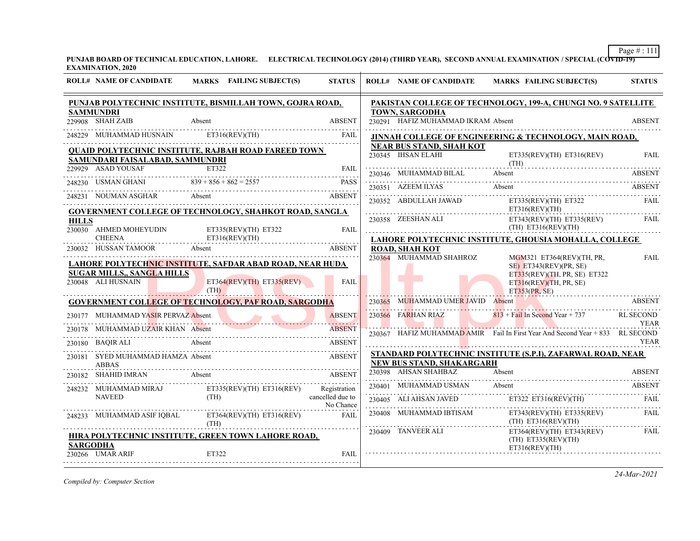Page # : 111 |

**PUNJAB BOARD OF TECHNICAL EDUCATION, LAHORE. ELECTRICAL TECHNOLOGY (2014) (THIRD YEAR), SECOND ANNUAL EXAMINATION / SPECIAL (COVID-19) EXAMINATION, 2020**

|              | <b>ROLL# NAME OF CANDIDATE</b>                                                                                                                                                                                                                                                                                                                                                                                                                                | MARKS FAILING SUBJECT(S)                                                                                  | <b>STATUS</b> | <b>ROLL# NAME OF CANDIDATE</b>                              | <b>MARKS FAILING SUBJECT(S)</b>                                                                                                                                                                                 | <b>STATUS</b>                   |
|--------------|---------------------------------------------------------------------------------------------------------------------------------------------------------------------------------------------------------------------------------------------------------------------------------------------------------------------------------------------------------------------------------------------------------------------------------------------------------------|-----------------------------------------------------------------------------------------------------------|---------------|-------------------------------------------------------------|-----------------------------------------------------------------------------------------------------------------------------------------------------------------------------------------------------------------|---------------------------------|
|              |                                                                                                                                                                                                                                                                                                                                                                                                                                                               | PUNJAB POLYTECHNIC INSTITUTE, BISMILLAH TOWN, GOJRA ROAD,                                                 |               |                                                             | PAKISTAN COLLEGE OF TECHNOLOGY, 199-A, CHUNGI NO. 9 SATELLITE                                                                                                                                                   |                                 |
|              | <b>SAMMUNDRI</b><br>229908 SHAH ZAIB                                                                                                                                                                                                                                                                                                                                                                                                                          | Absent                                                                                                    | <b>ABSENT</b> | <b>TOWN, SARGODHA</b><br>230291 HAFIZ MUHAMMAD IKRAM Absent |                                                                                                                                                                                                                 | <b>ABSENT</b>                   |
|              | 248229 MUHAMMAD HUSNAIN                                                                                                                                                                                                                                                                                                                                                                                                                                       | ET316(REV)(TH)                                                                                            | <b>FAIL</b>   |                                                             | JINNAH COLLEGE OF ENGINEERING & TECHNOLOGY, MAIN ROAD,                                                                                                                                                          |                                 |
|              | SAMUNDARI FAISALABAD, SAMMUNDRI                                                                                                                                                                                                                                                                                                                                                                                                                               | <b>QUAID POLYTECHNIC INSTITUTE, RAJBAH ROAD FAREED TOWN</b>                                               |               | <b>NEAR BUS STAND, SHAH KOT</b><br>230345 IHSAN ELAHI       | ET335(REV)(TH) ET316(REV)                                                                                                                                                                                       | FAIL                            |
|              | 229929 ASAD YOUSAF                                                                                                                                                                                                                                                                                                                                                                                                                                            | ET322                                                                                                     | FAIL          | 230346 MUHAMMAD BILAL                                       | Absent<br>230346 MUHAMMAD BILAL Absent Absent ABSENT                                                                                                                                                            | <b>ABSENT</b>                   |
|              |                                                                                                                                                                                                                                                                                                                                                                                                                                                               | 248230 USMAN GHANI $839 + 856 + 862 = 2557$ PASS                                                          | <b>PASS</b>   |                                                             |                                                                                                                                                                                                                 | <b>ABSENT</b>                   |
|              | 248231 NOUMAN ASGHAR                                                                                                                                                                                                                                                                                                                                                                                                                                          | Absent                                                                                                    | <b>ABSENT</b> | 230352 ABDULLAH JAWAD                                       | ET335(REV)(TH) ET322                                                                                                                                                                                            | <b>FAIL</b>                     |
| <b>HILLS</b> |                                                                                                                                                                                                                                                                                                                                                                                                                                                               | <b>GOVERNMENT COLLEGE OF TECHNOLOGY, SHAHKOT ROAD, SANGLA</b>                                             |               | $-220258$ $-7555516$ (REV)(TH)                              | $\begin{tabular}{ll} 230358 & ZEESHAN ALI & \multicolumn{2}{c}{E}T343(REV)(TH) & ET335(REV) \\ \multicolumn{2}{c}{.} & (TH) & ET316(REV)(TH) \\ \multicolumn{2}{c}{.} & (TH) & ET316(REV)(TH) \\ \end{tabular}$ | <b>FAIL</b>                     |
|              | $\fbox{\parbox{1.5cm} {\begin{minipage}{0.9cm} \begin{tabular}{@{}c@{}} \multicolumn{3}{c}{O}} \multicolumn{3}{c}{A} \multicolumn{3}{c}{A} \multicolumn{3}{c}{H} \multicolumn{3}{c}{M} \multicolumn{3}{c}{A} \multicolumn{3}{c}{H} \multicolumn{3}{c}{A} \multicolumn{3}{c}{H} \multicolumn{3}{c}{A} \multicolumn{3}{c}{H} \multicolumn{3}{c}{A} \multicolumn{3}{c}{B} \multicolumn{3}{c}{A} \multicolumn{3}{c}{B} \multicolumn{3}{c}{A} \multicolumn{3}{c}{$ | ET335(REV)(TH) ET322<br>ET316(REV)(TH)                                                                    | FAIL          |                                                             | LAHORE POLYTECHNIC INSTITUTE, GHOUSIA MOHALLA, COLLEGE                                                                                                                                                          |                                 |
|              | 230032 HUSSAN TAMOOR                                                                                                                                                                                                                                                                                                                                                                                                                                          | Absent                                                                                                    | <b>ABSENT</b> | <b>ROAD, SHAH KOT</b>                                       |                                                                                                                                                                                                                 |                                 |
|              | <b>SUGAR MILLS, SANGLA HILLS</b><br>230048 ALI HUSNAIN                                                                                                                                                                                                                                                                                                                                                                                                        | <u>LAHORE POLYTECHNIC INSTITUTE, SAFDAR ABAD ROAD, NEAR HUDA</u><br>$ET364(REV)(TH)$ $ET335(REV)$<br>(TH) | <b>FAIL</b>   | 230364 MUHAMMAD SHAHROZ                                     | $MGM321$ ET364(REV)(TH, PR,<br>$SE$ ) ET343(REV)(PR, SE)<br>ET335(REV)(TH, PR, SE) ET322<br>ET316(REV)(TH, PR, SE)<br>ET353(PR, SE)                                                                             | FAIL                            |
|              |                                                                                                                                                                                                                                                                                                                                                                                                                                                               | <b>GOVERNMENT COLLEGE OF TECHNOLOGY, PAF ROAD, SARGODHA</b>                                               |               | 230365 MUHAMMAD UMER JAVID Absent                           |                                                                                                                                                                                                                 | <b>ABSENT</b>                   |
|              | MUHAMMAD YASIR PERVAZ Absent                                                                                                                                                                                                                                                                                                                                                                                                                                  |                                                                                                           | <b>ABSENT</b> | 230366 FARHAN RIAZ                                          | $813 +$ Fail In Second Year + 737                                                                                                                                                                               | <b>RL SECOND</b><br><b>YEAR</b> |
|              | MUHAMMAD UZAIR KHAN Absent                                                                                                                                                                                                                                                                                                                                                                                                                                    |                                                                                                           | <b>ABSENT</b> |                                                             | 230367 HAFIZ MUHAMMAD AMIR Fail In First Year And Second Year + 833 RL SECOND                                                                                                                                   | <b>YEAR</b>                     |
|              | 230180 BAQIR ALI                                                                                                                                                                                                                                                                                                                                                                                                                                              | Absent                                                                                                    | <b>ABSENT</b> |                                                             | STANDARD POLYTECHNIC INSTITUTE (S.P.I), ZAFARWAL ROAD, NEAR                                                                                                                                                     |                                 |
|              | 230181 SYED MUHAMMAD HAMZA Absent<br>ABBAS                                                                                                                                                                                                                                                                                                                                                                                                                    |                                                                                                           | <b>ABSENT</b> | NEW BUS STAND, SHAKARGARH                                   |                                                                                                                                                                                                                 |                                 |
|              | 230182 SHAHID IMRAN                                                                                                                                                                                                                                                                                                                                                                                                                                           | Absent                                                                                                    | <b>ABSENT</b> | 230398 AHSAN SHAHBAZ                                        | 230398 AHSAN SHAHBAZ Absent ABSENT                                                                                                                                                                              |                                 |
|              | 248232 MUHAMMAD MIRAJ                                                                                                                                                                                                                                                                                                                                                                                                                                         | ET335(REV)(TH) ET316(REV) Registration                                                                    |               | 230401 MUHAMMAD USMAN Absent                                |                                                                                                                                                                                                                 | ABSENT                          |
|              | <b>NAVEED</b>                                                                                                                                                                                                                                                                                                                                                                                                                                                 | (TH) cancelled due to                                                                                     | No Chance     |                                                             | $230405$ ALI AHSAN JAVED ET322 ET316(REV)(TH) FAIL                                                                                                                                                              |                                 |
|              | 248233 MUHAMMAD ASIF IQBAL                                                                                                                                                                                                                                                                                                                                                                                                                                    | ET364(REV)(TH) ET316(REV) FAIL<br>(TH)                                                                    |               | 230408 MUHAMMAD IBTISAM                                     | $ET343(REV)(TH)$ $ET335(REV)$<br>$(TH)$ ET316(REV)(TH)                                                                                                                                                          | FAIL                            |
|              |                                                                                                                                                                                                                                                                                                                                                                                                                                                               | HIRA POLYTECHNIC INSTITUTE, GREEN TOWN LAHORE ROAD,                                                       |               | 230409 TANVEER ALI                                          | $ET364(REV)(TH)$ $ET343(REV)$<br>$(TH)$ ET335(REV)(TH)                                                                                                                                                          | <b>FAIL</b>                     |
|              | <b>SARGODHA</b><br>230266 UMAR ARIF                                                                                                                                                                                                                                                                                                                                                                                                                           | ET322                                                                                                     | <b>FAIL</b>   |                                                             | ET316(REV)(TH)                                                                                                                                                                                                  |                                 |

*Compiled by: Computer Section*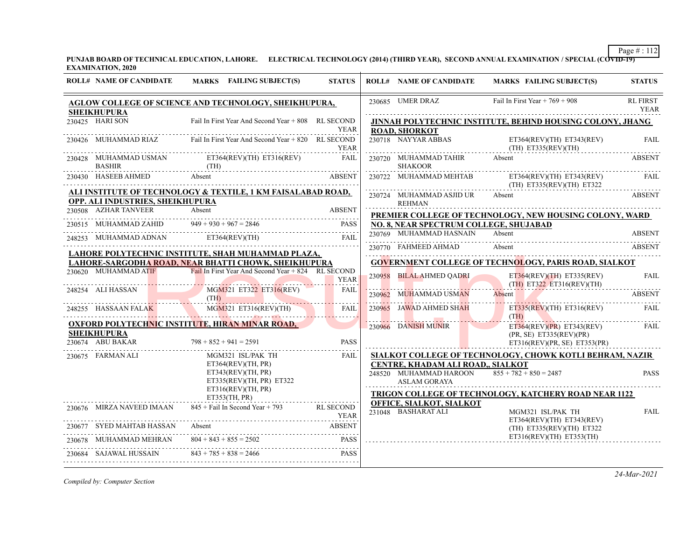**PUNJAB BOARD OF TECHNICAL EDUCATION, LAHORE. ELECTRICAL TECHNOLOGY (2014) (THIRD YEAR), SECOND ANNUAL EXAMINATION / SPECIAL (COVID-19) EXAMINATION, 2020**

| <b>ROLL# NAME OF CANDIDATE</b>         | MARKS FAILING SUBJECT(S)                                                        | <b>STATUS</b>     |        | <b>ROLL# NAME OF CANDIDATE</b>                                                                                                                  | MARKS FAILING SUBJECT(S)                                                                                                                              | <b>STATUS</b>           |
|----------------------------------------|---------------------------------------------------------------------------------|-------------------|--------|-------------------------------------------------------------------------------------------------------------------------------------------------|-------------------------------------------------------------------------------------------------------------------------------------------------------|-------------------------|
|                                        | <b>AGLOW COLLEGE OF SCIENCE AND TECHNOLOGY, SHEIKHUPURA,</b>                    |                   |        | 230685 UMER DRAZ                                                                                                                                | Fail In First Year $+769 + 908$                                                                                                                       | <b>RL FIRST</b><br>YEAR |
| <b>SHEIKHUPURA</b><br>230425 HARI SON  | Fail In First Year And Second Year + 808 RL SECOND                              | <b>YEAR</b>       |        | <b>ROAD, SHORKOT</b>                                                                                                                            | JINNAH POLYTECHNIC INSTITUTE, BEHIND HOUSING COLONY, JHANG                                                                                            |                         |
| 230426 MUHAMMAD RIAZ                   | Fail In First Year And Second Year + 820 RL SECOND                              | <b>YEAR</b>       |        |                                                                                                                                                 | 230718 NAYYAR ABBAS ET364(REV)(TH) ET343(REV)                                                                                                         | <b>FAIL</b>             |
| <b>BASHIR</b>                          | 230428 MUHAMMAD USMAN ET364(REV)(TH) ET316(REV)<br>$(TH)$ $\Delta R$ $\Delta R$ | FAIL              |        | 230720 MUHAMMAD TAHIR Absent<br><b>SHAKOOR</b>                                                                                                  |                                                                                                                                                       | <b>ABSENT</b>           |
| 230430 HASEEB AHMED Absent             |                                                                                 | <b>ABSENT</b>     |        |                                                                                                                                                 | 230722 MUHAMMAD MEHTAB $ET364(\text{REV})(\text{TH})$ $ET333(\text{REV})$<br>(TH) $ET335(\text{REV})(\text{TH})$ $ET322$<br>(TH) ET335(REV)(TH) ET322 | FAIL                    |
| OPP. ALI INDUSTRIES, SHEIKHUPURA       | ALI INSTITUTE OF TECHNOLOGY & TEXTILE, 1 KM FAISALABAD ROAD,                    |                   |        | 230724 MUHAMMAD ASJID UR<br>REHMAN                                                                                                              | Absent                                                                                                                                                | <b>ABSENT</b>           |
| 230508 AZHAR TANVEER                   | Absent                                                                          | <b>ABSENT</b>     |        |                                                                                                                                                 | PREMIER COLLEGE OF TECHNOLOGY, NEW HOUSING COLONY, WARD                                                                                               |                         |
|                                        | 230515 MUHAMMAD ZAHID $949 + 930 + 967 = 2846$                                  | <b>PASS</b>       |        | NO. 8, NEAR SPECTRUM COLLEGE, SHUJABAD                                                                                                          |                                                                                                                                                       |                         |
|                                        | 248253 MUHAMMAD ADNAN ET364(REV)(TH)                                            | FAIL              |        | 230769 MUHAMMAD HASNAIN Absent                                                                                                                  |                                                                                                                                                       | ABSENT                  |
|                                        | <u>LAHORE POLYTECHNIC INSTITUTE, SHAH MUHAMMAD PLAZA, </u>                      |                   |        | 230770 FAHMEED AHMAD                                                                                                                            | Absent                                                                                                                                                | <b>ABSENT</b>           |
|                                        | LAHORE-SARGODHA ROAD, NEAR BHATTI CHOWK, SHEIKHUPURA                            |                   |        |                                                                                                                                                 | <b>GOVERNMENT COLLEGE OF TECHNOLOGY, PARIS ROAD, SIALKOT</b>                                                                                          |                         |
|                                        | 230620 MUHAMMAD ATIF Fail In First Year And Second Year + 824 RL SECOND         | <b>YEAR</b>       |        | 230958 BILAL AHMED QADRI<br><u> Hermann Man</u>                                                                                                 | $ET364(REV)(TH)$ $ET335(REV)$<br>$(TH)$ ET322 ET316(REV)(TH)                                                                                          | <b>FAIL</b>             |
| 248254 ALI HASSAN                      | MGM321 ET322 ET316(REV)<br>(TH)                                                 | <b>FAIL</b>       | 230962 | MUHAMMAD USMAN                                                                                                                                  | Absent                                                                                                                                                | <b>ABSENT</b>           |
|                                        | MGM321 ET316(REV)(TH)<br>248255 HASSAAN FALAK MGM321 ET316(REV)(TH)             | FAIL              |        | 230965 JAWAD AHMED SHAH<br><u> El anglico de la contrada de la contrada de la contrada de la contrada de la contrada de la contrada de la c</u> | $ET335(REV)(TH)$ $ET316(REV)$<br>(TH)<br><u> 1998 - Januar Barbara, martin f</u>                                                                      | FAIL                    |
|                                        | <b>OXFORD POLYTECHNIC INSTITUTE, HIRAN MINAR ROAD,</b>                          |                   |        | 230966 DANISH MUNIR                                                                                                                             | $ET364(REV)(PR)$ $ET343(REV)$                                                                                                                         | FAIL                    |
| <b>SHEIKHUPURA</b><br>230674 ABU BAKAR | $798 + 852 + 941 = 2591$                                                        | <b>PASS</b>       |        |                                                                                                                                                 | (PR, SE) ET335(REV)(PR)<br>ET316(REV)(PR, SE) ET353(PR)                                                                                               |                         |
| 230675 FARMAN ALI                      | MGM321 ISL/PAK TH                                                               | FAIL              |        |                                                                                                                                                 | SIALKOT COLLEGE OF TECHNOLOGY, CHOWK KOTLI BEHRAM, NAZIR                                                                                              |                         |
|                                        | ET364(REV)(TH, PR)                                                              |                   |        | CENTRE, KHADAM ALI ROAD,, SIALKOT                                                                                                               |                                                                                                                                                       |                         |
|                                        | ET343(REV)(TH, PR)<br>ET335(REV)(TH, PR) E T322                                 |                   |        | 248520 MUHAMMAD HAROON<br><b>ASLAM GORAYA</b>                                                                                                   | $855 + 782 + 850 = 2487$                                                                                                                              | <b>PASS</b>             |
|                                        | ET316(REV)(TH, PR)                                                              |                   |        |                                                                                                                                                 | TRIGON COLLEGE OF TECHNOLOGY, KATCHERY ROAD NEAR 1122                                                                                                 |                         |
|                                        | ET353(TH, PR)                                                                   |                   |        | <b>OFFICE, SIALKOT, SIALKOT</b>                                                                                                                 |                                                                                                                                                       |                         |
|                                        | 230676 MIRZA NAVEED IMAAN 845 + Fail In Second Year + 793                       | RL SECOND<br>YEAR |        | 231048 BASHARAT ALI                                                                                                                             | MGM321 ISL/PAK TH<br>ET364(REV)(TH) ET343(REV)                                                                                                        | <b>FAIL</b>             |
| SYED MAHTAB HASSAN                     | SYED MAHTAB HASSAN Absent ABSENT                                                | <b>ABSENT</b>     |        |                                                                                                                                                 | (TH) ET335(REV)(TH) ET322                                                                                                                             |                         |
|                                        | MUHAMMAD MEHRAN $804 + 843 + 855 = 2502$ PASS                                   | PASS              |        |                                                                                                                                                 | ET316(REV)(TH) ET353(TH)                                                                                                                              |                         |
| 230684 SAJAWAL HUSSAIN                 | $843 + 785 + 838 = 2466$<br>684 SAJAWAL HUSSAIN 843 + 785 + 838 = 2466 PASS     |                   |        |                                                                                                                                                 |                                                                                                                                                       |                         |
|                                        |                                                                                 |                   |        |                                                                                                                                                 |                                                                                                                                                       |                         |

*Compiled by: Computer Section*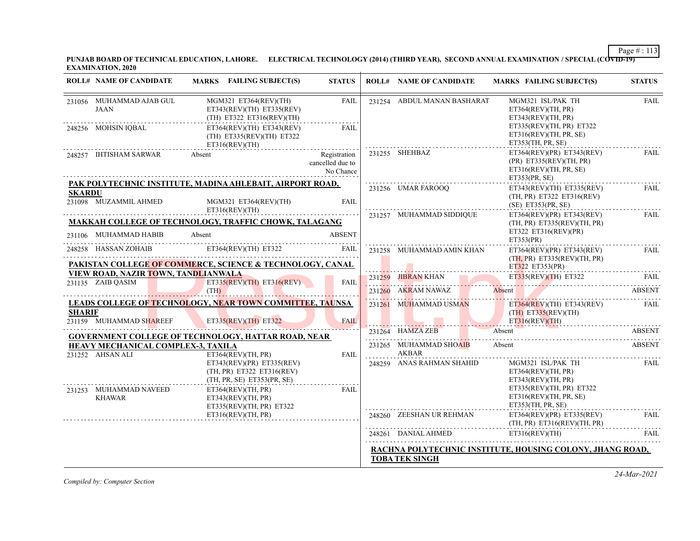**PUNJAB BOARD OF TECHNICAL EDUCATION, LAHORE. ELECTRICAL TECHNOLOGY (2014) (THIRD YEAR), SECOND ANNUAL EXAMINATION / SPECIAL (COVID-19) EXAMINATION, 2020**

|               | <b>ROLL# NAME OF CANDIDATE</b>                           | MARKS FAILING SUBJECT(S)                                                                                                                                                                                                                                     | <b>STATUS</b>                                 | <b>ROLL# NAME OF CANDIDATE</b>  | <b>MARKS FAILING SUBJECT(S)</b>                                                                 | <b>STATUS</b> |
|---------------|----------------------------------------------------------|--------------------------------------------------------------------------------------------------------------------------------------------------------------------------------------------------------------------------------------------------------------|-----------------------------------------------|---------------------------------|-------------------------------------------------------------------------------------------------|---------------|
|               | 231056 MUHAMMAD AJAB GUL<br>JAAN                         | MGM321 ET364(REV)(TH)<br>ET343(REV)(TH) ET335(REV)<br>(TH) ET322 ET316(REV)(TH)                                                                                                                                                                              | FAIL                                          | 231254 ABDUL MANAN BASHARAT     | MGM321 ISL/PAK TH<br>ET364(REV)(TH, PR)<br>ET343(REV)(TH, PR)                                   | <b>FAIL</b>   |
|               | 248256 MOHSIN IQBAL                                      | $ET364(REV)(TH)$ $ET343(REV)$<br>$(TH)$ ET335(REV)(TH) ET322<br>ET316(REV)(TH)                                                                                                                                                                               | FAIL                                          |                                 | ET335(REV)(TH, PR) E T322<br>ET316(REV)(TH, PR, SE)<br>ET353(TH, PR, SE)                        |               |
|               | 248257 IHTISHAM SARWAR                                   | Absent                                                                                                                                                                                                                                                       | Registration<br>cancelled due to<br>No Chance | 231255 SHEHBAZ                  | ET364(REV)(PR) ET343(REV)<br>(PR) ET335(REV)(TH, PR)<br>ET316(REV)(TH, PR, SE)<br>ET353(PR, SE) | <b>FAIL</b>   |
|               |                                                          | PAK POLYTECHNIC INSTITUTE, MADINA AHLEBAIT, AIRPORT ROAD,                                                                                                                                                                                                    |                                               | 231256 UMAR FAROOQ              | $ET343(REV)(TH)$ $ET335(REV)$                                                                   | FAIL          |
| <b>SKARDU</b> | 231098 MUZAMMIL AHMED                                    | MGM321 ET364(REV)(TH)<br>ET316(REV)(TH)                                                                                                                                                                                                                      | FAII.                                         |                                 | $(TH, PR)$ ET322 ET316(REV)<br>$(SE)$ ET353(PR, SE)                                             |               |
|               |                                                          | <b>MAKKAH COLLEGE OF TECHNOLOGY, TRAFFIC CHOWK, TALAGANG</b>                                                                                                                                                                                                 |                                               | 231257 MUHAMMAD SIDDIQUE        | ET364(REV)(PR) ET343(REV)<br>(TH, PR) ET335(REV)(TH, PR)<br>ET322 ET316(REV)(PR)                | <b>FAIL</b>   |
|               | 231106 MUHAMMAD HABIB                                    | Absent                                                                                                                                                                                                                                                       | <b>ABSENT</b>                                 |                                 | ET353(PR)                                                                                       |               |
|               | 248258 HASSAN ZOHAIB                                     | ET364(REV)(TH) ET322                                                                                                                                                                                                                                         | FAIL                                          | 231258 MUHAMMAD AMIN KHAN       | ET364(REV)(PR) ET343(REV)                                                                       | FAIL          |
|               |                                                          | PAKISTAN COLLEGE OF COMMERCE, SCIENCE & TECHNOLOGY, CANAL                                                                                                                                                                                                    |                                               |                                 | (TH, PR) ET335(REV)(TH, PR)<br>ET322 ET353(PR)                                                  |               |
|               | VIEW ROAD, NAZIR TOWN, TANDLIANWALA<br>231135 ZAIB OASIM | $ET335(REV)(TH)$ $ET316(REV)$                                                                                                                                                                                                                                | <b>FAIL</b>                                   | 231259 JIBRAN KHAN              | ET335(REV)(TH) ET322 FAIL                                                                       |               |
|               |                                                          | (TH)                                                                                                                                                                                                                                                         |                                               | 231260 AKRAM NAWAZ              | Absent                                                                                          | <b>ABSENT</b> |
|               |                                                          | <b>LEADS COLLEGE OF TECHNOLOGY, NEAR TOWN COMMITTEE, TAUNSA</b>                                                                                                                                                                                              |                                               | 231261 MUHAMMAD USMAN           | $ET364(REV)(TH)$ $ET343(REV)$                                                                   | <b>FAIL</b>   |
| <b>SHARIF</b> | 231159 MUHAMMAD SHAREEF                                  | <u>and the state of the state of the state of the state of the state of the state of the state of the state of the state of the state of the state of the state of the state of the state of the state of the state of the state</u><br>ET335(REV)(TH) ET322 | <b>FAIL</b>                                   |                                 | $(TH)$ ET335(REV)(TH)<br>ET316(REV)(TH)                                                         |               |
|               |                                                          | <br><b>GOVERNMENT COLLEGE OF TECHNOLOGY, HATTAR ROAD, NEAR</b>                                                                                                                                                                                               |                                               | $231264$ HAMZA ZEB              | Absent                                                                                          | <b>ABSENT</b> |
|               | HEAVY MECHANICAL COMPLEX-3, TAXILA<br>231252 AHSAN ALI   | ET364(REV)(TH, PR)                                                                                                                                                                                                                                           | FAIL                                          | 231265 MUHAMMAD SHOAIB<br>AKBAR | Absent                                                                                          | <b>ABSENT</b> |
|               |                                                          | ET343(REV)(PR) ET335(REV)<br>(TH, PR) ET322 ET316(REV)<br>(TH, PR, SE) ET353(PR, SE)                                                                                                                                                                         |                                               | 248259 ANAS RAHMAN SHAHID       | MGM321 ISL/PAK TH<br>ET364(REV)(TH, PR)<br>ET343(REV)(TH, PR)                                   | FAIL          |
|               | 231253 MUHAMMAD NAVEED<br><b>KHAWAR</b>                  | ET364(REV)(TH, PR)<br>ET343(REV)(TH, PR)<br>ET335(REV)(TH, PR) ET322                                                                                                                                                                                         | FAIL                                          |                                 | ET335(REV)(TH, PR) E T322<br>ET316(REV)(TH, PR, SE)<br>ET353(TH, PR, SE)                        |               |
|               |                                                          | ET316(REV)(TH, PR)                                                                                                                                                                                                                                           |                                               | 248260 ZEESHAN UR REHMAN        | ET364(REV)(PR) ET335(REV)<br>(TH, PR) ET316(REV)(TH, PR)                                        | <b>FAIL</b>   |
|               |                                                          |                                                                                                                                                                                                                                                              |                                               | 248261 DANIAL AHMED             | ET316(REV)(TH)                                                                                  | <b>FAIL</b>   |
|               |                                                          |                                                                                                                                                                                                                                                              |                                               |                                 | RACHNA POLYTECHNIC INSTITUTE, HOUSING COLONY, JHANG ROAD,                                       |               |
|               |                                                          |                                                                                                                                                                                                                                                              |                                               | <b>TOBA TEK SINGH</b>           |                                                                                                 |               |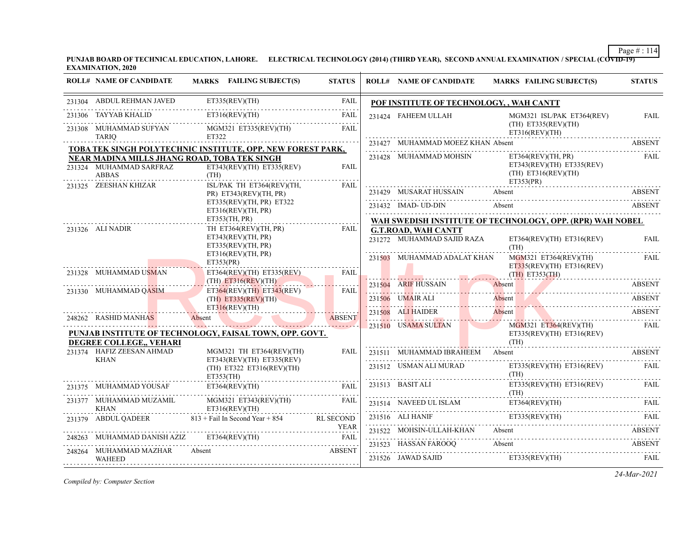**PUNJAB BOARD OF TECHNICAL EDUCATION, LAHORE. ELECTRICAL TECHNOLOGY (2014) (THIRD YEAR), SECOND ANNUAL EXAMINATION / SPECIAL (COVID-19) EXAMINATION, 2020**

|        | <b>ROLL# NAME OF CANDIDATE</b>               | MARKS FAILING SUBJECT(S)                                                  | <b>STATUS</b> | <b>ROLL# NAME OF CANDIDATE</b>                           |        | <b>MARKS FAILING SUBJECT(S)</b>                                               | <b>STATUS</b>         |  |
|--------|----------------------------------------------|---------------------------------------------------------------------------|---------------|----------------------------------------------------------|--------|-------------------------------------------------------------------------------|-----------------------|--|
|        | 231304 ABDUL REHMAN JAVED                    | ET335(REV)(TH)                                                            | <b>FAIL</b>   | POF INSTITUTE OF TECHNOLOGY, , WAH CANTT                 |        |                                                                               |                       |  |
| 231306 | TAYYAB KHALID                                | ET316(REV)(TH)                                                            | FAIL          | 231424 FAHEEM ULLAH                                      |        | MGM321 ISL/PAK ET364(REV)                                                     | FAIL                  |  |
|        | 231308 MUHAMMAD SUFYAN<br><b>TARIQ</b>       | MGM321 ET335(REV)(TH)<br>ET322                                            | <b>FAIL</b>   |                                                          |        | $(TH)$ ET335(REV)(TH)<br>ET316(REV)(TH)                                       |                       |  |
|        |                                              | TOBA TEK SINGH POLYTECHNIC INSTITUTE, OPP. NEW FOREST PARK,               |               | 231427 MUHAMMAD MOEEZ KHAN Absent                        |        |                                                                               | ABSENT                |  |
|        | NEAR MADINA MILLS JHANG ROAD, TOBA TEK SINGH |                                                                           |               | 231428 MUHAMMAD MOHSIN                                   |        | ET364(REV)(TH, PR)                                                            | FAIL                  |  |
|        | 231324 MUHAMMAD SARFRAZ<br><b>ABBAS</b>      | $ET343(REV)(TH)$ $ET335(REV)$<br>(TH)                                     | <b>FAIL</b>   |                                                          |        | $ET343(REV)(TH)$ $ET335(REV)$<br>$(TH)$ ET316(REV)(TH)<br>ET353(PR)           |                       |  |
|        | 231325 ZEESHAN KHIZAR                        | ISL/PAK TH ET364(REV)(TH,<br>$PR)$ ET343(REV)(TH, PR)                     | FAIL          | 231429 MUSARAT HUSSAIN                                   |        | Absent<br>231429 MUSARAT HUSSAIN Absent Absent ABSENT                         | <b>ABSENT</b>         |  |
|        |                                              | ET335(REV)(TH, PR) ET322<br>ET316(REV)(TH, PR)                            |               | 231432 IMAD- UD-DIN                                      | Absent |                                                                               | <b>ABSENT</b>         |  |
|        |                                              | ET353(TH, PR)                                                             |               |                                                          |        | WAH SWEDISH INSTITUTE OF TECHNOLOGY, OPP. (RPR) WAH NOBEL                     |                       |  |
|        | 231326 ALI NADIR                             | TH ET364(REV)(TH, PR)<br>ET343(REV)(TH, PR)<br>ET335(REV)(TH, PR)         | FAIL          | <b>G.T.ROAD, WAH CANTT</b><br>231272 MUHAMMAD SAJID RAZA |        | $ET364(REV)(TH)$ $ET316(REV)$<br>(TH)                                         | <b>FAIL</b>           |  |
|        | 231328 MUHAMMAD USMAN                        | ET316(REV)(TH, PR)<br>ET353(PR)<br>$ET364(REV)(TH)$ $ET335(REV)$          | FAIL          | 231503 MUHAMMAD ADALAT KHAN                              |        | MGM321 ET364(REV)(TH)<br>$ET335(REV)(TH)$ $ET316(REV)$<br>$(TH)$ ET353 $(TH)$ | <b>FAIL</b>           |  |
|        |                                              | $(TH)$ ET316(REV)(TH)                                                     |               | 231504 ARIF HUSSAIN                                      |        | Absent                                                                        | <b>ABSENT</b>         |  |
|        | 231330 MUHAMMAD QASIM                        | ET364(REV)(TH) ET343(REV)<br>$(TH)$ ET335(REV)(TH)                        | <b>FAIL</b>   |                                                          |        | 231504 ARIF HUSSAIN Absent ABSENT<br>231506 UMAIR ALI Absent ABSENT ABSENT    |                       |  |
|        | 248262 RASHID MANHAS                         | ET316(REV)(TH)<br>Absent                                                  | <b>ABSENT</b> | 231508 ALI HAIDER                                        |        | Absent<br>231508 ALI HAIDER Absent ABSENT                                     |                       |  |
|        | DEGREE COLLEGE,, VEHARI                      | PUNJAB INSTITUTE OF TECHNOLOGY, FAISAL TOWN, OPP. GOVT.                   |               | 231510 USAMA SULTAN                                      |        | MGM321 ET364(REV)(TH)<br>$ET335(REV)(TH)$ $ET316(REV)$<br>(TH)                | <b>FAIL</b>           |  |
|        | 231374 HAFIZ ZEESAN AHMAD                    | MGM321 TH ET364(REV)(TH)                                                  | FAIL          | 231511 MUHAMMAD IBRAHEEM Absent                          |        |                                                                               | <b>ABSENT</b>         |  |
|        | <b>KHAN</b>                                  | $ET343(REV)(TH)$ $ET335(REV)$<br>$(TH)$ ET322 ET316(REV)(TH)<br>ET353(TH) |               | 231512 USMAN ALI MURAD                                   |        | ET335(REV)(TH) ET316(REV) FAIL<br>(TH)                                        |                       |  |
|        | 231375 MUHAMMAD YOUSAF                       | ET364(REV)(TH)                                                            | FAIL          | 231513 BASIT ALI                                         |        | $ET335(REV)(TH)$ $ET316(REV)$<br>(TH)                                         | FAIL                  |  |
|        | 231377 MUHAMMAD MUZAMIL<br><b>KHAN</b>       | MGM321 ET343(REV)(TH)<br>ET316(REV)(TH)                                   | <b>FAIL</b>   |                                                          |        | ET364(REV)(TH)<br>231514 NAVEED UL ISLAM ET364(REV)(TH) FAIL                  |                       |  |
|        |                                              | 231379 ABDUL QADEER 813 + Fail In Second Year + 854 RL SECOND             |               |                                                          |        | 231516 ALI HANIF ET335(REV)(TH) FAIL                                          |                       |  |
|        | 248263 MUHAMMAD DANISH AZIZ                  | YEAR YEAR<br>ET364(REV)(TH)                                               | <b>FAIL</b>   | 231522 MOHSIN-ULLAH-KHAN Absent                          |        |                                                                               | <b>ABSENT</b>         |  |
|        | 248264 MUHAMMAD MAZHAR Absent<br>WAHEED      | <b>ABSENT</b>                                                             |               | 231523 HASSAN FAROOQ<br>231526 JAWAD SAJID               |        | Absent<br>ET335(REV)(TH)                                                      | <b>ABSENT</b><br>FAIL |  |

*Compiled by: Computer Section*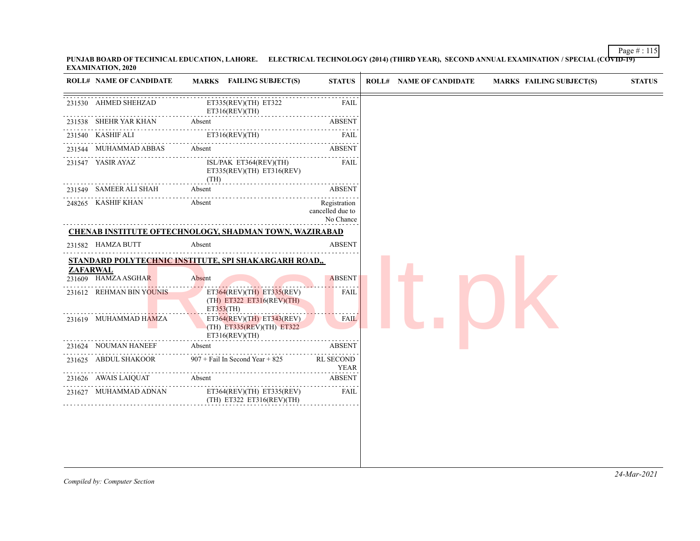Page # : 115 **PUNJAB BOARD OF TECHNICAL EDUCATION, LAHORE. ELECTRICAL TECHNOLOGY (2014) (THIRD YEAR), SECOND ANNUAL EXAMINATION / SPECIAL (COVID-19) EXAMINATION, 2020**

|                 | <b>ROLL# NAME OF CANDIDATE</b> | MARKS FAILING SUBJECT(S)                                                                                                   | <b>STATUS</b>                                      | <b>ROLL# NAME OF CANDIDATE</b> | <b>MARKS FAILING SUBJECT(S)</b> | <b>STATUS</b> |
|-----------------|--------------------------------|----------------------------------------------------------------------------------------------------------------------------|----------------------------------------------------|--------------------------------|---------------------------------|---------------|
|                 | 231530 AHMED SHEHZAD           | ET335(REV)(TH) ET322<br>ET316(REV)(TH)<br>.                                                                                | FAIL                                               |                                |                                 |               |
|                 | 231538 SHEHR YAR KHAN          | Absent                                                                                                                     | <b>ABSENT</b>                                      |                                |                                 |               |
|                 | 231540 KASHIF ALI              | ET316(REV)(TH)                                                                                                             | FAIL                                               |                                |                                 |               |
|                 | 231544 MUHAMMAD ABBAS          | Absent                                                                                                                     | ABSENT                                             |                                |                                 |               |
|                 | 231547 YASIR AYAZ              | ISL/PAK ET364(REV)(TH)<br>ET335(REV)(TH) ET316(REV)<br>(TH)                                                                | FAIL                                               |                                |                                 |               |
|                 | 231549 SAMEER ALI SHAH         | Absent                                                                                                                     | <b>ABSENT</b>                                      |                                |                                 |               |
|                 | 248265 KASHIF KHAN             | Absent                                                                                                                     | .<br>Registration<br>cancelled due to<br>No Chance |                                |                                 |               |
|                 |                                | <b>CHENAB INSTITUTE OFTECHNOLOGY, SHADMAN TOWN, WAZIRABAD</b>                                                              |                                                    |                                |                                 |               |
|                 | 231582 HAMZA BUTT              | Absent                                                                                                                     | <b>ABSENT</b>                                      |                                |                                 |               |
|                 |                                | STANDARD POLYTECHNIC INSTITUTE, SPI SHAKARGARH ROAD,,                                                                      |                                                    |                                |                                 |               |
| <b>ZAFARWAL</b> | 231609 HAMZA ASGHAR            | Absent                                                                                                                     | <b>ABSENT</b>                                      |                                |                                 |               |
|                 |                                |                                                                                                                            |                                                    |                                |                                 |               |
|                 | 231612 REHMAN BIN YOUNIS       | $ET364(REV)(TH)$ $ET335(REV)$<br>(TH) ET322 ET316(REV)(TH)<br>ET353(TH)                                                    | FAIL                                               |                                |                                 |               |
|                 | 231619 MUHAMMAD HAMZA          | the property of the property of the con-<br>$ET364(REV)(TH)$ $ET343(REV)$<br>$(TH)$ ET335(REV)(TH) ET322<br>ET316(REV)(TH) | <b>FAIL</b>                                        |                                |                                 |               |
|                 | 231624 NOUMAN HANEEF           | Absent                                                                                                                     | <b>ABSENT</b>                                      |                                |                                 |               |
|                 | 231625 ABDUL SHAKOOR           | $907 +$ Fail In Second Year + 825                                                                                          | <b>RL SECOND</b><br><b>YEAR</b>                    |                                |                                 |               |
|                 | 231626 AWAIS LAIQUAT           | Absent                                                                                                                     | <b>ABSENT</b>                                      |                                |                                 |               |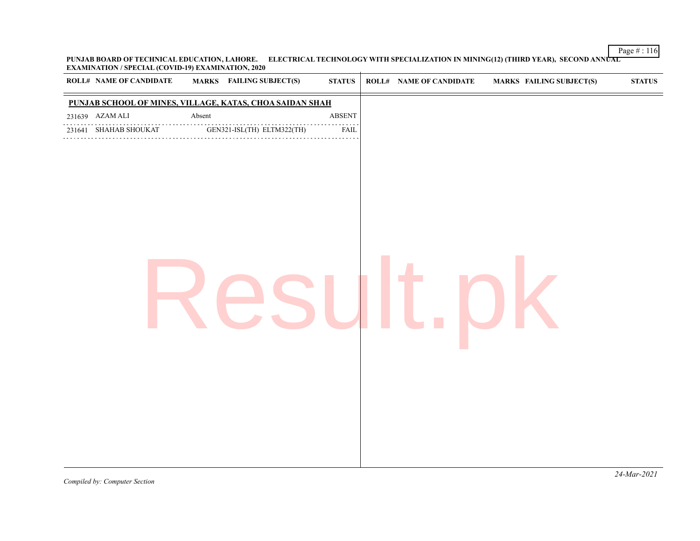Page # : 116 **PUNJAB BOARD OF TECHNICAL EDUCATION, LAHORE. ELECTRICAL TECHNOLOGY WITH SPECIALIZATION IN MINING(12) (THIRD YEAR), SECOND ANNUAL EXAMINATION / SPECIAL (COVID-19) EXAMINATION, 2020**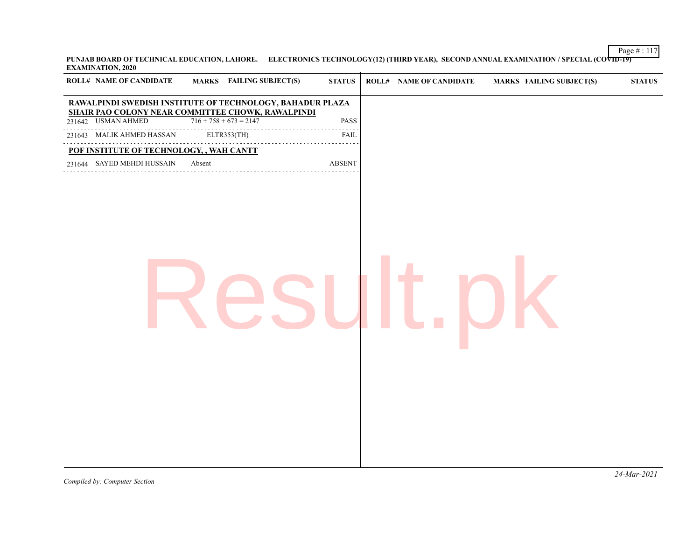Page # : 117 **PUNJAB BOARD OF TECHNICAL EDUCATION, LAHORE. ELECTRONICS TECHNOLOGY(12) (THIRD YEAR), SECOND ANNUAL EXAMINATION / SPECIAL (COVID-19) EXAMINATION, 2020**

| <b>ROLL# NAME OF CANDIDATE</b>           | <b>MARKS</b> FAILING SUBJECT(S)                                                                                | <b>STATUS</b>                                                    | <b>ROLL# NAME OF CANDIDATE</b> | <b>MARKS FAILING SUBJECT(S)</b> | $\bold{STATUS}$ |
|------------------------------------------|----------------------------------------------------------------------------------------------------------------|------------------------------------------------------------------|--------------------------------|---------------------------------|-----------------|
|                                          | RAWALPINDI SWEDISH INSTITUTE OF TECHNOLOGY, BAHADUR PLAZA<br>SHAIR PAO COLONY NEAR COMMITTEE CHOWK, RAWALPINDI |                                                                  |                                |                                 |                 |
| 231642 USMAN AHMED                       | $716 + 758 + 673 = 2147$                                                                                       | <b>PASS</b>                                                      |                                |                                 |                 |
| 231643 MALIK AHMED HASSAN                | ELTR353(TH)                                                                                                    | $\omega_{\alpha}=\omega_{\alpha}=\omega_{\alpha}$<br><b>FAIL</b> |                                |                                 |                 |
| POF INSTITUTE OF TECHNOLOGY, , WAH CANTT | .                                                                                                              |                                                                  |                                |                                 |                 |
| 231644 SAYED MEHDI HUSSAIN               | Absent                                                                                                         | <b>ABSENT</b>                                                    |                                |                                 |                 |
|                                          |                                                                                                                |                                                                  |                                |                                 |                 |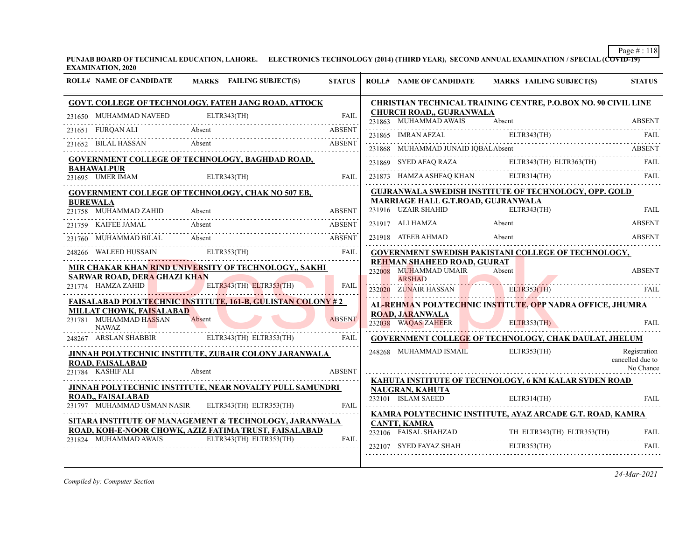**PUNJAB BOARD OF TECHNICAL EDUCATION, LAHORE. ELECTRONICS TECHNOLOGY (2014) (THIRD YEAR), SECOND ANNUAL EXAMINATION / SPECIAL (COVID-19) EXAMINATION, 2020**

| <b>ROLL# NAME OF CANDIDATE</b><br>MARKS FAILING SUBJECT(S)<br><b>STATUS</b><br><b>ROLL# NAME OF CANDIDATE</b><br>MARKS FAILING SUBJECT(S)<br><b>GOVT. COLLEGE OF TECHNOLOGY, FATEH JANG ROAD, ATTOCK</b><br>CHRISTIAN TECHNICAL TRAINING CENTRE, P.O.BOX NO. 90 CIVIL LINE<br>CHURCH ROAD,, GUJRANWALA<br>ELTR343(TH)<br><b>FAIL</b><br>231650 MUHAMMAD NAVEED<br>MUHAMMAD NAVEED ELIR343(IH) FAIL<br>231863 MUHAMMAD AWAIS<br>Absent<br>231651 FURQAN ALI Absent ABSENT<br>231865 IMRAN AFZAL ELTR343(TH) FAIL<br>231652 BILAL HASSAN Absent ABSENT<br><b>ABSENT</b><br>231868 MUHAMMAD JUNAID IQBALAbsent ABSENT<br><b>GOVERNMENT COLLEGE OF TECHNOLOGY, BAGHDAD ROAD,</b><br>$\begin{tabular}{lllllllll} \multicolumn{2}{c l}{{231869}}&{\text{SYED AFAQ RAZA}} & {\text{ELTR343(TH) ELTR363(TH)} & \multicolumn{2}{c}{\text{FAIL}}\\ & & {\text{ALL}}\\ & & & {\text{231873}} & {\text{HAMZA ASHFAQ KHAN}} & {\text{ELTR314(TH)} & \multicolumn{2}{c}{\text{FAIL}}\\ & & & & {\text{ELTR314(TH)} } & & \\ \end{tabular}$<br><b>BAHAWALPUR</b><br>231695 UMER IMAM<br>ELTR343(TH)<br><b>FAIL</b> | <b>STATUS</b><br><b>ABSENT</b>   |
|-----------------------------------------------------------------------------------------------------------------------------------------------------------------------------------------------------------------------------------------------------------------------------------------------------------------------------------------------------------------------------------------------------------------------------------------------------------------------------------------------------------------------------------------------------------------------------------------------------------------------------------------------------------------------------------------------------------------------------------------------------------------------------------------------------------------------------------------------------------------------------------------------------------------------------------------------------------------------------------------------------------------------------------------------------------------------------------------------------|----------------------------------|
|                                                                                                                                                                                                                                                                                                                                                                                                                                                                                                                                                                                                                                                                                                                                                                                                                                                                                                                                                                                                                                                                                                     |                                  |
|                                                                                                                                                                                                                                                                                                                                                                                                                                                                                                                                                                                                                                                                                                                                                                                                                                                                                                                                                                                                                                                                                                     |                                  |
|                                                                                                                                                                                                                                                                                                                                                                                                                                                                                                                                                                                                                                                                                                                                                                                                                                                                                                                                                                                                                                                                                                     |                                  |
|                                                                                                                                                                                                                                                                                                                                                                                                                                                                                                                                                                                                                                                                                                                                                                                                                                                                                                                                                                                                                                                                                                     |                                  |
|                                                                                                                                                                                                                                                                                                                                                                                                                                                                                                                                                                                                                                                                                                                                                                                                                                                                                                                                                                                                                                                                                                     |                                  |
|                                                                                                                                                                                                                                                                                                                                                                                                                                                                                                                                                                                                                                                                                                                                                                                                                                                                                                                                                                                                                                                                                                     |                                  |
|                                                                                                                                                                                                                                                                                                                                                                                                                                                                                                                                                                                                                                                                                                                                                                                                                                                                                                                                                                                                                                                                                                     |                                  |
| <b>GUJRANWALA SWEDISH INSTITUTE OF TECHNOLOGY, OPP. GOLD</b><br><b>GOVERNMENT COLLEGE OF TECHNOLOGY, CHAK NO 507 EB,</b>                                                                                                                                                                                                                                                                                                                                                                                                                                                                                                                                                                                                                                                                                                                                                                                                                                                                                                                                                                            |                                  |
| MARRIAGE HALL G.T.ROAD, GUJRANWALA<br><b>BUREWALA</b>                                                                                                                                                                                                                                                                                                                                                                                                                                                                                                                                                                                                                                                                                                                                                                                                                                                                                                                                                                                                                                               |                                  |
| 231916 UZAIR SHAHID<br>ELTR343(TH)<br>231758 MUHAMMAD ZAHID<br><b>ABSENT</b><br>Absent                                                                                                                                                                                                                                                                                                                                                                                                                                                                                                                                                                                                                                                                                                                                                                                                                                                                                                                                                                                                              | <b>FAIL</b>                      |
| 231917 ALI HAMZA<br>Absent<br>Absent<br>231759 KAIFEE JAMAL<br>ABSENT                                                                                                                                                                                                                                                                                                                                                                                                                                                                                                                                                                                                                                                                                                                                                                                                                                                                                                                                                                                                                               | ABSENT                           |
| 231918 ATEEB AHMAD Absent ABSENT<br>231760 MUHAMMAD BILAL Absent<br>ABSENT<br>MUHAMMAD BILAL Absent ABSENT                                                                                                                                                                                                                                                                                                                                                                                                                                                                                                                                                                                                                                                                                                                                                                                                                                                                                                                                                                                          |                                  |
| 248266 WALEED HUSSAIN ELTR353(TH) FAIL<br>GOVERNMENT SWEDISH PAKISTANI COLLEGE OF TECHNOLOGY,                                                                                                                                                                                                                                                                                                                                                                                                                                                                                                                                                                                                                                                                                                                                                                                                                                                                                                                                                                                                       |                                  |
| REHMAN SHAHEED ROAD, GUJRAT<br>MIR CHAKAR KHAN RIND UNIVERSITY OF TECHNOLOGY,, SAKHI<br>232008 MUHAMMAD UMAIR<br>Absent                                                                                                                                                                                                                                                                                                                                                                                                                                                                                                                                                                                                                                                                                                                                                                                                                                                                                                                                                                             | <b>ABSENT</b>                    |
| SARWAR ROAD, DERA GHAZI KHAN<br><u> Expansion de la proprietat de la proprietat de la proprietat de la proprietat de la proprietat de la proprieta</u><br>ARSHAD<br>231774 HAMZA ZAHID ELTR343(TH) ELTR353(TH)<br><b>FAIL</b>                                                                                                                                                                                                                                                                                                                                                                                                                                                                                                                                                                                                                                                                                                                                                                                                                                                                       |                                  |
| 232020 ZUNAIR HASSAN ELTR353(TH) FAIL                                                                                                                                                                                                                                                                                                                                                                                                                                                                                                                                                                                                                                                                                                                                                                                                                                                                                                                                                                                                                                                               |                                  |
| FAISALABAD POLYT <mark>ECHNIC INSTITUTE, 161-B, GU</mark> LISTAN COLONY # 2<br>AL-REHMAN POLYTECHNIC INSTITUTE, OPP NADRA OFFICE, JHUMRA<br><b>MILLAT CHOWK, FAISALABAD</b>                                                                                                                                                                                                                                                                                                                                                                                                                                                                                                                                                                                                                                                                                                                                                                                                                                                                                                                         |                                  |
| <b>ROAD, JARANWALA</b><br>231781 MUHAMMAD HASSAN<br><b>ABSENT</b><br>Absent<br>232038 WAQAS ZAHEER<br>ELTR353(TH)<br><b>NAWAZ</b>                                                                                                                                                                                                                                                                                                                                                                                                                                                                                                                                                                                                                                                                                                                                                                                                                                                                                                                                                                   | FAII.                            |
| 248267 ARSLAN SHABBIR ELTR343(TH) ELTR353(TH)<br><b>FAIL</b><br><b>GOVERNMENT COLLEGE OF TECHNOLOGY, CHAK DAULAT, JHELUM</b>                                                                                                                                                                                                                                                                                                                                                                                                                                                                                                                                                                                                                                                                                                                                                                                                                                                                                                                                                                        |                                  |
| 248268 MUHAMMAD ISMAIL<br>ELTR353(TH)<br>JINNAH POLYTECHNIC INSTITUTE, ZUBAIR COLONY JARANWALA<br><b>ROAD, FAISALABAD</b>                                                                                                                                                                                                                                                                                                                                                                                                                                                                                                                                                                                                                                                                                                                                                                                                                                                                                                                                                                           | Registration<br>cancelled due to |
| 231784 KASHIF ALI<br><b>ABSENT</b><br>Absent                                                                                                                                                                                                                                                                                                                                                                                                                                                                                                                                                                                                                                                                                                                                                                                                                                                                                                                                                                                                                                                        | No Chance                        |
| KAHUTA INSTITUTE OF TECHNOLOGY, 6 KM KALAR SYDEN ROAD<br>JINNAH POLYTECHNIC INSTITUTE, NEAR NOVALTY PULL SAMUNDRI<br><b>NAUGRAN, KAHUTA</b>                                                                                                                                                                                                                                                                                                                                                                                                                                                                                                                                                                                                                                                                                                                                                                                                                                                                                                                                                         |                                  |
| <b>ROAD., FAISALABAD</b><br>232101 ISLAM SAEED<br>ELTR314(TH)                                                                                                                                                                                                                                                                                                                                                                                                                                                                                                                                                                                                                                                                                                                                                                                                                                                                                                                                                                                                                                       | <b>FAIL</b>                      |
| 231797 MUHAMMAD USMAN NASIR ELTR343(TH) ELTR353(TH)<br><b>FAIL</b><br>KAMRA POLYTECHNIC INSTITUTE, AYAZ ARCADE G.T. ROAD, KAMRA<br>.                                                                                                                                                                                                                                                                                                                                                                                                                                                                                                                                                                                                                                                                                                                                                                                                                                                                                                                                                                |                                  |
| <b>SITARA INSTITUTE OF MANAGEMENT &amp; TECHNOLOGY, JARANWALA</b><br><b>CANTT, KAMRA</b>                                                                                                                                                                                                                                                                                                                                                                                                                                                                                                                                                                                                                                                                                                                                                                                                                                                                                                                                                                                                            |                                  |
|                                                                                                                                                                                                                                                                                                                                                                                                                                                                                                                                                                                                                                                                                                                                                                                                                                                                                                                                                                                                                                                                                                     |                                  |
| ROAD, KOH-E-NOOR CHOWK, AZIZ FATIMA TRUST, FAISALABAD<br><u>232106 FAISAL SHAHZAD</u> TH ELTR343(TH) ELTR353(TH) FAIL<br>ELTR343(TH) ELTR353(TH)<br>231824 MUHAMMAD AWAIS<br><b>FAIL</b>                                                                                                                                                                                                                                                                                                                                                                                                                                                                                                                                                                                                                                                                                                                                                                                                                                                                                                            |                                  |

*Compiled by: Computer Section*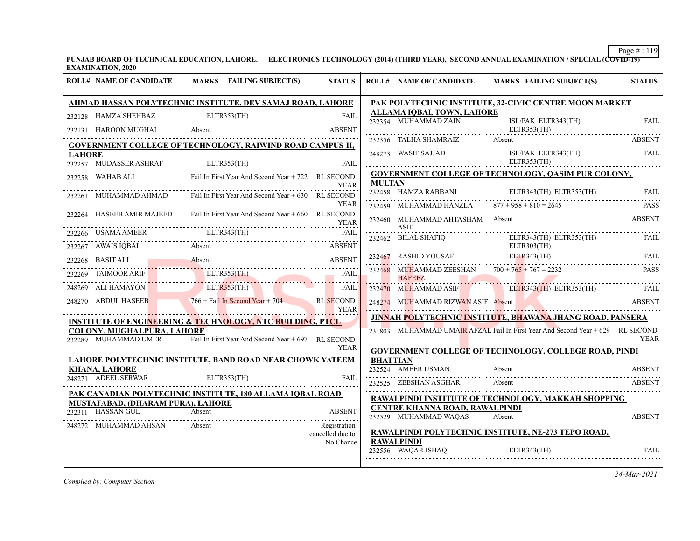**PUNJAB BOARD OF TECHNICAL EDUCATION, LAHORE. ELECTRONICS TECHNOLOGY (2014) (THIRD YEAR), SECOND ANNUAL EXAMINATION / SPECIAL (COVID-19) EXAMINATION, 2020**

|               | <b>ROLL# NAME OF CANDIDATE</b>                                | MARKS FAILING SUBJECT(S)                                              | <b>STATUS</b>                 |                 | <b>ROLL# NAME OF CANDIDATE</b>                                 | <b>MARKS FAILING SUBJECT(S)</b>                                                | <b>STATUS</b> |
|---------------|---------------------------------------------------------------|-----------------------------------------------------------------------|-------------------------------|-----------------|----------------------------------------------------------------|--------------------------------------------------------------------------------|---------------|
|               |                                                               | AHMAD HASSAN POLYTECHNIC INSTITUTE, DEV SAMAJ ROAD, LAHORE            |                               |                 |                                                                | PAK POLYTECHNIC INSTITUTE, 32-CIVIC CENTRE MOON MARKET                         |               |
|               | 232128 HAMZA SHEHBAZ                                          | ELTR353(TH)                                                           | <b>FAIL</b>                   |                 | <b>ALLAMA IQBAL TOWN, LAHORE</b><br>232354 MUHAMMAD ZAIN       | ISL/PAK ELTR343(TH)                                                            | <b>FAIL</b>   |
|               |                                                               | 232131 HAROON MUGHAL Absent                                           | <b>ABSENT</b>                 |                 | ELTR353(TH)                                                    |                                                                                |               |
|               |                                                               | <b>GOVERNMENT COLLEGE OF TECHNOLOGY, RAIWIND ROAD CAMPUS-II,</b>      |                               |                 |                                                                | 232356 TALHA SHAMRAIZ Absent ABSENT ABSENT                                     |               |
| <b>LAHORE</b> | 232257 MUDASSER ASHRAF                                        | ELTR353(TH)                                                           | FAIL                          |                 | 248273 WASIF SAJJAD                                            | ISL/PAK ELTR343(TH)<br>ELTR353(TH)                                             | <b>FAIL</b>   |
|               | 232258 WAHAB ALI                                              | Fail In First Year And Second Year + 722 RL SECOND                    |                               |                 |                                                                | <b>GOVERNMENT COLLEGE OF TECHNOLOGY, QASIM PUR COLONY,</b>                     |               |
|               | 232261 MUHAMMAD AHMAD                                         | Fail In First Year And Second Year + 630 RL SECOND                    | <b>YEAR</b>                   | <b>MULTAN</b>   |                                                                | 232458 HAMZA RABBANI ELTR343(TH) ELTR353(TH) FAIL                              |               |
|               |                                                               |                                                                       | <b>YEAR</b>                   |                 | 232459 MUHAMMAD HANZLA $877 + 958 + 810 = 2645$                |                                                                                | <b>PASS</b>   |
|               | 232264 HASEEB AMIR MAJEED                                     | Fail In First Year And Second Year + 660 RL SECOND                    | YEAR                          |                 | 232460 MUHAMMAD AHTASHAM Absent<br><b>ASIF</b>                 |                                                                                | <b>ABSENT</b> |
|               |                                                               | 232266 USAMA AMEER ELTR343(TH) FAIL FAIL                              |                               |                 | 232462 BILAL SHAFIQ                                            | ELTR343(TH) ELTR353(TH)                                                        | FAIL          |
|               |                                                               | 232267 AWAIS IQBAL Absent ABSENT ABSENT                               | <b>ABSENT</b>                 |                 | ELTR303(TH)                                                    |                                                                                |               |
|               |                                                               | 232268 BASIT ALI Absent ABSENT                                        |                               |                 | $232468$ MUHAMMAD ZEESHAN $700 + 765 + 767 = 2232$             | 232467 RASHID YOUSAF ELTR343(TH) FAIL                                          | <b>PASS</b>   |
|               |                                                               | 232269 TAIMOOR ARIF ELTR353(TH) FAIL                                  |                               |                 | <b>HAFEEZ</b>                                                  |                                                                                |               |
|               |                                                               | 248269 ALI HAMAYON ELITR353(TH) ELITR353(TH)                          |                               |                 |                                                                | 232470 MUHAMMAD ASIF ELTR343(TH) ELTR353(TH) FAIL                              |               |
|               |                                                               | 248270 ABDUL HASEEB 766 + Fail In Second Year + 704 RL SECOND         | <b>EXPRESS</b>                |                 |                                                                | 248274 MUHAMMAD RIZWAN ASIF Absent ABSENT                                      |               |
|               |                                                               | <b>INSTITUTE OF ENGINEERING &amp; TECHNOLOGY, NTC BUILDING, PTCL-</b> |                               |                 |                                                                | JINNAH POLYTECHNIC INSTITUTE, BHAWANA JHANG ROAD, PANSERA                      |               |
|               | <b>COLONY. MUGHALPURA, LAHORE</b><br>232289 MUHAMMAD UMER     | Fail In First Year And Second Year + 697 RL SECOND                    |                               |                 |                                                                | 231803 MUHAMMAD UMAIR AFZAL Fail In First Year And Second Year + 629 RL SECOND | <b>YEAR</b>   |
|               |                                                               |                                                                       | <b>YEAR</b>                   |                 |                                                                | <b>GOVERNMENT COLLEGE OF TECHNOLOGY, COLLEGE ROAD, PINDI</b>                   |               |
|               | <b>KHANA, LAHORE</b>                                          | LAHORE POLYTECHNIC INSTITUTE, BAND ROAD NEAR CHOWK YATEEM             |                               | <b>BHATTIAN</b> | 232524 AMEER USMAN                                             | Absent                                                                         | <b>ABSENT</b> |
|               | 248271 ADEEL SERWAR                                           | ELTR353(TH)                                                           | FAIL                          |                 | 232525 ZEESHAN ASGHAR                                          | Absent                                                                         | ABSENT        |
|               |                                                               | <u>PAK CANADIAN POLYTECHNIC INSTITUTE, 180 ALLAMA IQBAL ROAD</u>      |                               |                 |                                                                | RAWALPINDI INSTITUTE OF TECHNOLOGY, MAKKAH SHOPPING                            |               |
|               | <b>MUSTAFABAD, (DHARAM PURA), LAHORE</b><br>232311 HASSAN GUL | Absent                                                                | <b>ABSENT</b>                 |                 | CENTRE KHANNA ROAD, RAWALPINDI<br>232529 MUHAMMAD WAQAS Absent |                                                                                | <b>ABSENT</b> |
|               | 248272 MUHAMMAD AHSAN                                         | <b>Absent</b>                                                         | .<br>Registration             |                 |                                                                |                                                                                |               |
|               |                                                               |                                                                       | cancelled due to<br>No Chance |                 | <b>RAWALPINDI</b>                                              | RAWALPINDI POLYTECHNIC INSTITUTE, NE-273 TEPO ROAD,                            |               |
|               |                                                               |                                                                       |                               |                 | 232556 WAQAR ISHAQ                                             | ELTR343(TH)                                                                    | FAIL          |
|               |                                                               |                                                                       |                               |                 |                                                                |                                                                                |               |

*Compiled by: Computer Section*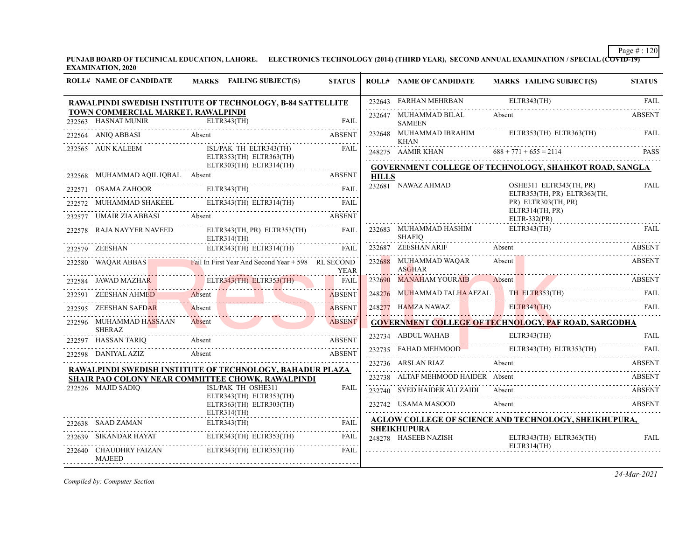**PUNJAB BOARD OF TECHNICAL EDUCATION, LAHORE. ELECTRONICS TECHNOLOGY (2014) (THIRD YEAR), SECOND ANNUAL EXAMINATION / SPECIAL (COVID-19) EXAMINATION, 2020**

|        | <b>ROLL# NAME OF CANDIDATE</b>           | <b>MARKS</b> FAILING SUBJECT(S)                             | <b>STATUS</b> |              | <b>ROLL# NAME OF CANDIDATE</b>             | <b>MARKS FAILING SUBJECT(S)</b>                              | <b>STATUS</b> |
|--------|------------------------------------------|-------------------------------------------------------------|---------------|--------------|--------------------------------------------|--------------------------------------------------------------|---------------|
|        |                                          | RAWALPINDI SWEDISH INSTITUTE OF TECHNOLOGY, B-84 SATTELLITE |               |              | 232643 FARHAN MEHRBAN                      | ELTR343(TH)                                                  | <b>FAIL</b>   |
|        | TOWN COMMERCIAL MARKET, RAWALPINDI       | 232563 HASNAT MUNIR ELTR343(TH) FAIL                        | <b>FAIL</b>   |              | 232647 MUHAMMAD BILAL<br><b>SAMEEN</b>     | Absent                                                       | <b>ABSENT</b> |
|        | 232564 ANIQ ABBASI                       | BBASI Absent ABSENT                                         | <b>ABSENT</b> |              | 232648 MUHAMMAD IBRAHIM<br><b>KHAN</b>     | ELTR353(TH) ELTR363(TH)                                      | <b>FAIL</b>   |
|        | 232565 AUN KALEEM                        | ISL/PAK TH ELTR343(TH)<br>ELTR353(TH) ELTR363(TH)           | <b>FAIL</b>   |              | 248275 AAMIR KHAN $688 + 771 + 655 = 2114$ |                                                              | <b>PASS</b>   |
|        |                                          | ELTR303(TH) ELTR314(TH)                                     | .             |              |                                            | GOVERNMENT COLLEGE OF TECHNOLOGY, SHAHKOT ROAD, SANGLA       |               |
|        | 232568 MUHAMMAD AOIL IOBAL Absent        | <b>ABSENT</b>                                               |               | <b>HILLS</b> | 232681 NAWAZ AHMAD                         | OSHE311 ELTR343(TH, PR)                                      |               |
|        | 232571 OSAMA ZAHOOR                      | ELTR343(TH)                                                 | <b>FAIL</b>   |              |                                            | ELTR353(TH, PR) ELTR363(TH,                                  | <b>FAIL</b>   |
|        |                                          | ELTR343(TH) ELTR314(TH)                                     |               |              |                                            | PR) ELTR303(TH, PR)<br>ELTR314(TH, PR)                       |               |
|        |                                          | 232577 UMAIR ZIA ABBASI Absent ABSENT                       |               |              |                                            | ELTR-332(PR)                                                 |               |
|        | 232578 RAJA NAYYER NAVEED                | ELTR343(TH, PR) ELTR353(TH)<br>ELTR314(TH)                  | FAIL.         |              | 232683 MUHAMMAD HASHIM<br><b>SHAFIO</b>    | ELTR343(TH)                                                  | <b>FAIL</b>   |
|        | 232579 ZEESHAN                           | ELTR343(TH) ELTR314(TH)                                     | FAIL          |              | 232687 ZEESHAN ARIF                        | Absent                                                       |               |
|        | 232580 WAQAR ABBAS                       | Fail In First Year And Second Year $+ 598$ RL SECOND        | <b>YEAR</b>   |              | 232688 MUHAMMAD WAQAR<br><b>ASGHAR</b>     | Absent                                                       | <b>ABSENT</b> |
|        |                                          | 232584 JAWAD MAZHAR ELTR343(TH) ELTR353(TH)                 | <b>FAIL</b>   |              | 232690 MANAHAM YOURAIB Absent              |                                                              | ABSENT        |
| 232591 | ZEESHAN AHME <mark>D</mark>              | Absent<br>Absent                                            | ABSENT        |              | 248276 MUHAMMAD TALHA AFZAL                | TH ELTR353(TH)                                               | <b>FAIL</b>   |
|        | 232595 ZEESHAN SAFDAR                    | Absent                                                      | <b>ABSENT</b> |              |                                            | 248277 HAMZA NAWAZ ELTR343(TH) FAIL                          |               |
|        | 232596 MUHAMMAD HASSAAN<br><b>SHERAZ</b> | Absent                                                      | <b>ABSENT</b> |              |                                            | <b>GOVERNMENT COLLEGE OF TECHNOLOGY, PAF ROAD, SARGODHA</b>  |               |
|        |                                          |                                                             | <b>ABSENT</b> |              | 232734 ABDUL WAHAB                         | ELTR343(TH)                                                  | <b>FAIL</b>   |
|        | 232598 DANIYAL AZIZ                      | 232597 HASSAN TARIQ Absent ABSE<br>Absent                   | <b>ABSENT</b> |              |                                            | 232735 FAHAD MEHMOOD ELTR343(TH) ELTR353(TH)                 | FAIL          |
|        |                                          | RAWALPINDI SWEDISH INSTITUTE OF TECHNOLOGY, BAHADUR PLAZA   |               |              | 232736 ARSLAN RIAZ                         | Absent                                                       | ABSENT        |
|        |                                          | SHAIR PAO COLONY NEAR COMMITTEE CHOWK, RAWALPINDI           |               |              | 232738 ALTAF MEHMOOD HAIDER Absent         |                                                              | ABSENT        |
|        | 232526 MAJID SADIO                       | ISL/PAK TH OSHE311<br>ELTR343(TH) ELTR353(TH)               | <b>FAIL</b>   |              | 232740 SYED HAIDER ALI ZAIDI Absent        |                                                              | ABSENT        |
|        |                                          | ELTR363(TH) ELTR303(TH)<br>ELTR314(TH)                      |               |              | 232742 USAMA MASOOD                        | Absent                                                       | <b>ABSENT</b> |
|        | 232638 SAAD ZAMAN                        |                                                             |               |              |                                            | <b>AGLOW COLLEGE OF SCIENCE AND TECHNOLOGY, SHEIKHUPURA,</b> |               |
|        |                                          | ELTR343(TH) ELTR353(TH)                                     | FAIL          |              | <b>SHEIKHUPURA</b><br>248278 HASEEB NAZISH | ELTR343(TH) ELTR363(TH)                                      | FAIL          |
|        | 232640 CHAUDHRY FAIZAN<br>MAJEED         | ELTR343(TH) ELTR353(TH)                                     | <b>FAIL</b>   |              |                                            | ELTR314(TH)                                                  |               |

*Compiled by: Computer Section*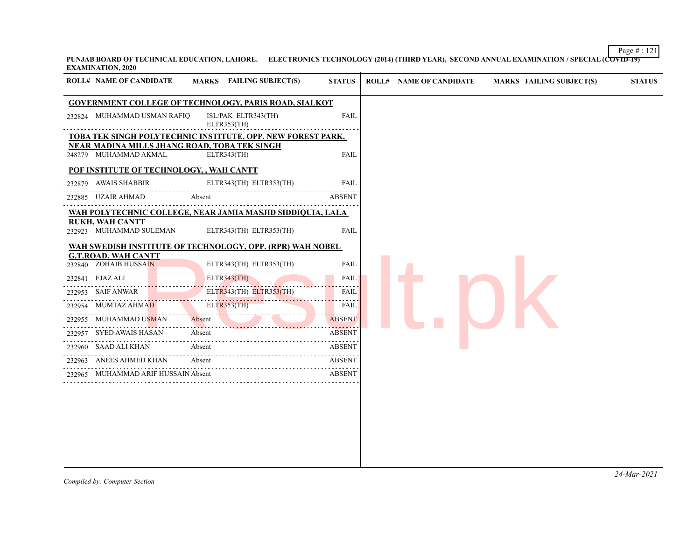Page # : 121 **PUNJAB BOARD OF TECHNICAL EDUCATION, LAHORE. ELECTRONICS TECHNOLOGY (2014) (THIRD YEAR), SECOND ANNUAL EXAMINATION / SPECIAL (COVID-19) EXAMINATION, 2020**

|                        | <b>ROLL# NAME OF CANDIDATE</b>                      | MARKS FAILING SUBJECT(S)                                           | <b>STATUS</b> |
|------------------------|-----------------------------------------------------|--------------------------------------------------------------------|---------------|
|                        |                                                     | <b>GOVERNMENT COLLEGE OF TECHNOLOGY, PARIS ROAD, SIALKOT</b>       |               |
|                        | 232824 MUHAMMAD USMAN RAFIQ<br>.                    | ISL/PAK ELTR343(TH)<br>ELTR353(TH)                                 | FAIL          |
|                        |                                                     | TOBA TEK SINGH POLYTECHNIC INSTITUTE, OPP. NEW FOREST PARK,        |               |
|                        | 248279 MUHAMMAD AKMAL                               | <b>NEAR MADINA MILLS JHANG ROAD, TOBA TEK SINGH</b><br>ELTR343(TH) | <b>FAIL</b>   |
|                        | POF INSTITUTE OF TECHNOLOGY, , WAH CANTT            |                                                                    |               |
| 232879                 | AWAIS SHABBIR                                       | ELTR343(TH) ELTR353(TH)                                            | <b>FAIL</b>   |
| 232885 UZAIR AHMAD     |                                                     | Absent                                                             | <b>ABSENT</b> |
|                        |                                                     | WAH POLYTECHNIC COLLEGE, NEAR JAMIA MASJID SIDDIQUIA, LALA         |               |
| <b>RUKH, WAH CANTT</b> |                                                     |                                                                    |               |
|                        | 232923 MUHAMMAD SULEMAN                             | ELTR343(TH) ELTR353(TH)                                            | <b>FAIL</b>   |
|                        |                                                     | WAH SWEDISH INSTITUTE OF TECHNOLOGY, OPP. (RPR) WAH NOBEL          |               |
|                        | <u>G.T.ROAD, WAH CANTT</u><br>232840 ZOHAIB HUSSAIN | ELTR343(TH) ELTR353(TH)                                            | <b>FAIL</b>   |
| 232841 EJAZ ALI        |                                                     | ELTR343(TH)                                                        | <b>FAIL</b>   |
| 232953 SAIF ANWAR      |                                                     | ELTR343(TH) ELTR353(TH)                                            | <b>FAIL</b>   |
|                        | 232954 MUMTAZ AHMAD                                 | <b>ELTR353(TH)</b>                                                 | FAIL          |
|                        | 232955 MUHAMMAD USMAN                               | Absent                                                             | <b>ABSENT</b> |
|                        | 232957 SYED AWAIS HASAN                             | Absent                                                             | <b>ABSENT</b> |
|                        | 232960 SAAD ALI KHAN                                | Absent                                                             | <b>ABSENT</b> |
|                        |                                                     |                                                                    |               |
|                        | 232963 ANEES AHMED KHAN                             | Absent                                                             | <b>ABSENT</b> |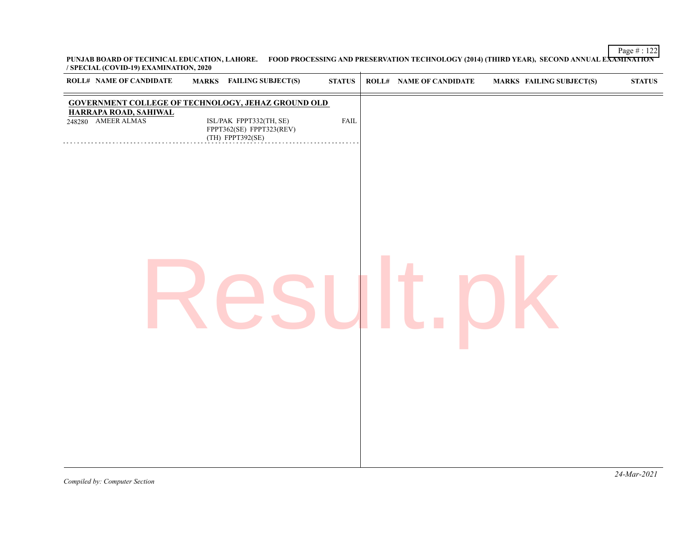Page # : 122 **PUNJAB BOARD OF TECHNICAL EDUCATION, LAHORE. FOOD PROCESSING AND PRESERVATION TECHNOLOGY (2014) (THIRD YEAR), SECOND ANNUAL EXAMINATION / SPECIAL (COVID-19) EXAMINATION, 2020**

| <b>ROLL# NAME OF CANDIDATE</b>              | <b>MARKS</b> FAILING SUBJECT(S)                                                                                                                                                                   | <b>STATUS</b> | ROLL# NAME OF CANDIDATE | <b>MARKS FAILING SUBJECT(S)</b> | $\bold{STATUS}$ |
|---------------------------------------------|---------------------------------------------------------------------------------------------------------------------------------------------------------------------------------------------------|---------------|-------------------------|---------------------------------|-----------------|
| HARRAPA ROAD, SAHIWAL<br>248280 AMEER ALMAS | <b>GOVERNMENT COLLEGE OF TECHNOLOGY, JEHAZ GROUND OLD</b><br>$\begin{array}{c} \text{ISL/PAK} \text{ FPPT332(TH, SE)} \\ \text{FPPT362(SE)} \text{ FPPT323(REV)} \end{array}$<br>(TH) FPPT392(SE) | <b>FAIL</b>   |                         |                                 |                 |
|                                             |                                                                                                                                                                                                   |               |                         |                                 |                 |
|                                             |                                                                                                                                                                                                   |               |                         |                                 |                 |
|                                             |                                                                                                                                                                                                   |               |                         |                                 |                 |
|                                             |                                                                                                                                                                                                   |               |                         |                                 |                 |
|                                             |                                                                                                                                                                                                   |               |                         |                                 |                 |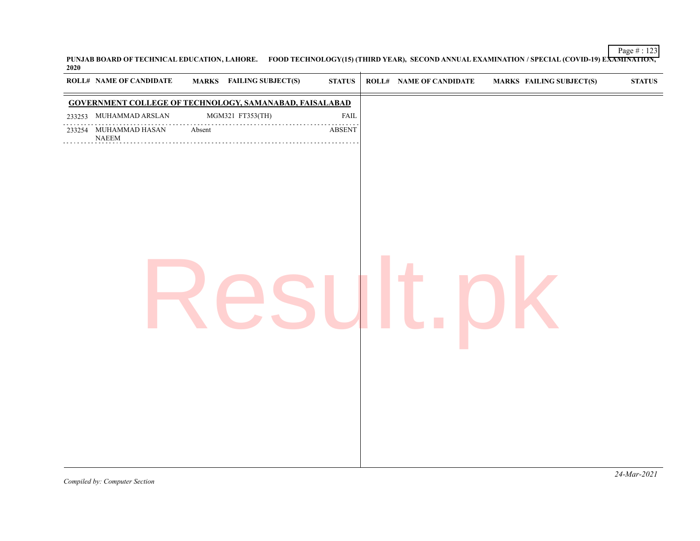PUNJAB BOARD OF TECHNICAL EDUCATION, LAHORE. FOOD TECHNOLOGY(15) (THIRD YEAR), SECOND ANNUAL EXAMINATION / SPECIAL (COVID-19) E<del>XAMINATION,</del><br>2020

| <b>ROLL# NAME OF CANDIDATE</b>                         |        | <b>MARKS</b> FAILING SUBJECT(S)                                | ${\bf STATUS}$     | <b>ROLL# NAME OF CANDIDATE</b> | <b>MARKS FAILING SUBJECT(S)</b> | $\boldsymbol{\text{STATUS}}$ |
|--------------------------------------------------------|--------|----------------------------------------------------------------|--------------------|--------------------------------|---------------------------------|------------------------------|
|                                                        |        | <b>GOVERNMENT COLLEGE OF TECHNOLOGY, SAMANABAD, FAISALABAD</b> |                    |                                |                                 |                              |
| 233253 MUHAMMAD ARSLAN                                 |        | MGM321 FT353(TH)                                               | <b>FAIL</b>        |                                |                                 |                              |
| 233254 MUHAMMAD HASAN<br>$\ensuremath{\mathsf{NAEEM}}$ | Absent | .                                                              | .<br><b>ABSENT</b> |                                |                                 |                              |
|                                                        |        |                                                                |                    |                                |                                 |                              |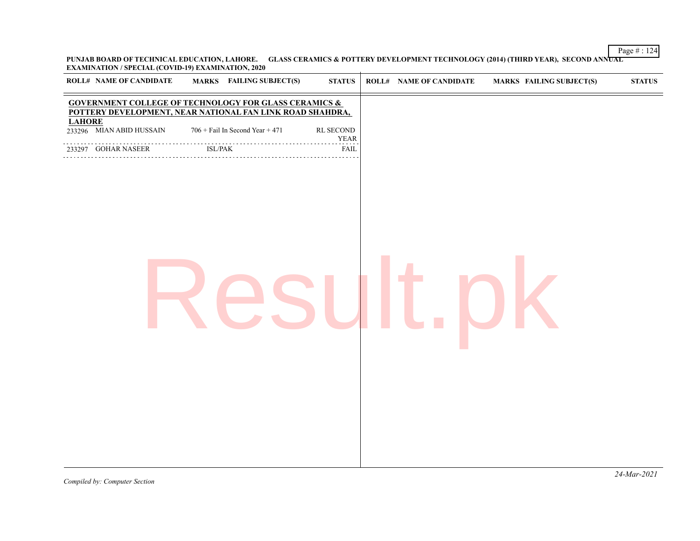Page # : 124 **PUNJAB BOARD OF TECHNICAL EDUCATION, LAHORE. GLASS CERAMICS & POTTERY DEVELOPMENT TECHNOLOGY (2014) (THIRD YEAR), SECOND ANNUAL EXAMINATION / SPECIAL (COVID-19) EXAMINATION, 2020**

|               | <b>ROLL# NAME OF CANDIDATE</b>                                                                                                |         | MARKS FAILING SUBJECT(S)        | <b>STATUS</b>            | <b>ROLL# NAME OF CANDIDATE</b> | MARKS FAILING SUBJECT(S) | ${\bf STATUS}$ |
|---------------|-------------------------------------------------------------------------------------------------------------------------------|---------|---------------------------------|--------------------------|--------------------------------|--------------------------|----------------|
|               | <b>GOVERNMENT COLLEGE OF TECHNOLOGY FOR GLASS CERAMICS &amp;</b><br>POTTERY DEVELOPMENT, NEAR NATIONAL FAN LINK ROAD SHAHDRA, |         |                                 |                          |                                |                          |                |
| <b>LAHORE</b> | 233296 MIAN ABID HUSSAIN                                                                                                      |         | 706 + Fail In Second Year + 471 | RL SECOND<br><b>YEAR</b> |                                |                          |                |
|               | 233297 GOHAR NASEER                                                                                                           | ISL/PAK |                                 | <b>FAIL</b>              |                                |                          |                |
|               |                                                                                                                               |         |                                 |                          |                                |                          |                |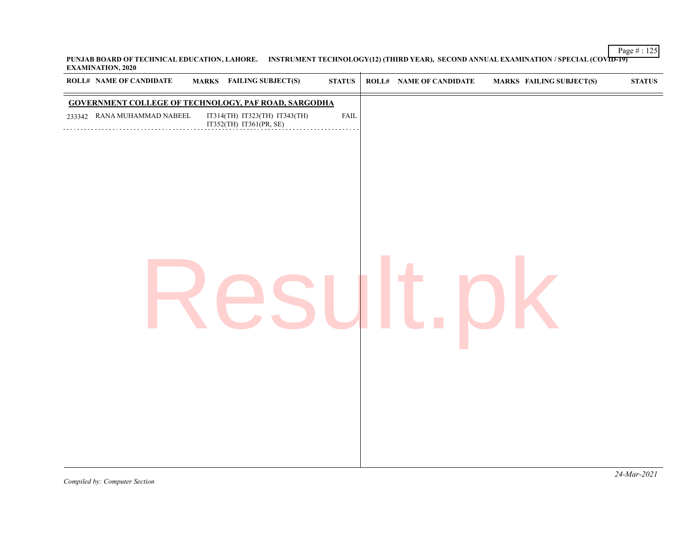Page # : 125 **PUNJAB BOARD OF TECHNICAL EDUCATION, LAHORE. INSTRUMENT TECHNOLOGY(12) (THIRD YEAR), SECOND ANNUAL EXAMINATION / SPECIAL (COVID-19) EXAMINATION, 2020**  $\overline{1}$ 

| <b>ROLL# NAME OF CANDIDATE</b> | MARKS FAILING SUBJECT(S)                                    | ${\bf STATUS}$ | ROLL# NAME OF CANDIDATE | <b>MARKS FAILING SUBJECT(S)</b> | ${\bf STATUS}$ |
|--------------------------------|-------------------------------------------------------------|----------------|-------------------------|---------------------------------|----------------|
|                                | <b>GOVERNMENT COLLEGE OF TECHNOLOGY, PAF ROAD, SARGODHA</b> |                |                         |                                 |                |
| 233342 RANA MUHAMMAD NABEEL    | IT314(TH) IT323(TH) IT343(TH)<br>IT352(TH) IT361(PR, SE)    | ${\rm FAIL}$   |                         |                                 |                |
|                                |                                                             |                |                         |                                 |                |
|                                |                                                             |                |                         |                                 |                |
|                                |                                                             |                |                         |                                 |                |
|                                |                                                             |                |                         |                                 |                |
|                                |                                                             |                |                         |                                 |                |
|                                |                                                             |                |                         |                                 |                |
|                                |                                                             |                |                         |                                 |                |
|                                |                                                             |                |                         |                                 |                |
|                                |                                                             |                |                         |                                 |                |
|                                |                                                             |                |                         |                                 |                |
|                                |                                                             |                |                         |                                 |                |
|                                |                                                             |                |                         |                                 |                |
|                                |                                                             |                |                         |                                 |                |
|                                |                                                             |                |                         |                                 |                |
|                                |                                                             |                |                         |                                 |                |
|                                |                                                             |                |                         |                                 |                |
|                                |                                                             |                |                         |                                 |                |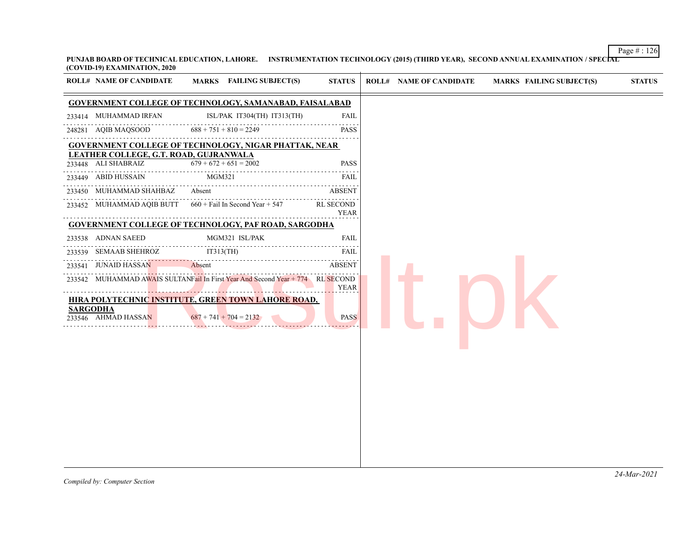Page # : 126 **PUNJAB BOARD OF TECHNICAL EDUCATION, LAHORE. INSTRUMENTATION TECHNOLOGY (2015) (THIRD YEAR), SECOND ANNUAL EXAMINATION / SPECIAL (COVID-19) EXAMINATION, 2020**

|                 | <b>GOVERNMENT COLLEGE OF TECHNOLOGY, SAMANABAD, FAISALABAD</b><br>233414 MUHAMMAD IRFAN |                                                                                        |                   | <b>STATUS</b> | <b>ROLL# NAME OF CANDIDATE</b> | <b>MARKS FAILING SUBJECT(S)</b> | <b>STATUS</b> |
|-----------------|-----------------------------------------------------------------------------------------|----------------------------------------------------------------------------------------|-------------------|---------------|--------------------------------|---------------------------------|---------------|
|                 |                                                                                         |                                                                                        |                   |               |                                |                                 |               |
|                 |                                                                                         | ISL/PAK IT304(TH) IT313(TH)                                                            | <b>FAIL</b>       |               |                                |                                 |               |
|                 | 248281 AQIB MAQSOOD                                                                     | $688 + 751 + 810 = 2249$                                                               | PASS              |               |                                |                                 |               |
|                 |                                                                                         | <b>GOVERNMENT COLLEGE OF TECHNOLOGY, NIGAR PHATTAK, NEAR</b>                           |                   |               |                                |                                 |               |
|                 | LEATHER COLLEGE, G.T. ROAD, GUJRANWALA<br>233448 ALI SHABRAIZ                           | $679 + 672 + 651 = 2002$                                                               | <b>PASS</b>       |               |                                |                                 |               |
|                 | 233449 ABID HUSSAIN                                                                     | MGM321                                                                                 | FAIL              |               |                                |                                 |               |
|                 | 233450 MUHAMMAD SHAHBAZ                                                                 | Absent                                                                                 | ABSENT            |               |                                |                                 |               |
|                 |                                                                                         | 233452 MUHAMMAD AQIB BUTT 660 + Fail In Second Year + 547                              | RL SECOND<br>YEAR |               |                                |                                 |               |
|                 |                                                                                         | <b>GOVERNMENT COLLEGE OF TECHNOLOGY, PAF ROAD, SARGODHA</b>                            |                   |               |                                |                                 |               |
|                 | 233538 ADNAN SAEED                                                                      | MGM321 ISL/PAK                                                                         | <b>FAIL</b>       |               |                                |                                 |               |
|                 | 233539 SEMAAB SHEHROZ                                                                   | IT313(TH)                                                                              | FAIL              |               |                                |                                 |               |
| 233541          | JUNAID HASSAN                                                                           | Absent                                                                                 | <b>ABSENT</b>     |               |                                |                                 |               |
|                 |                                                                                         | 233542 MUHAMMAD AWAIS SULTANFail In First Year And Second Year + 774 RL SECOND         | <b>YEAR</b>       |               |                                |                                 |               |
| <b>SARGODHA</b> | 233546 AHMAD HASSAN                                                                     | <b>HIRA POLYTECHNIC INSTITUTE, GREEN TOWN LAHORE ROAD,</b><br>$687 + 741 + 704 = 2132$ | <b>PASS</b>       |               |                                |                                 |               |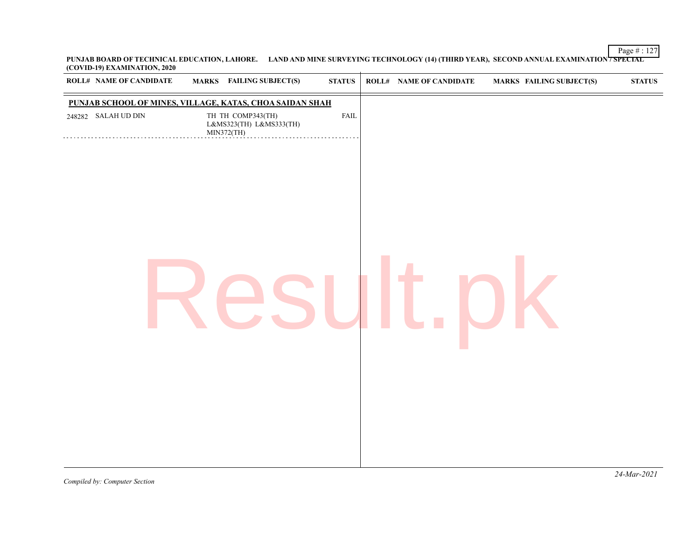Page # : 127 **PUNJAB BOARD OF TECHNICAL EDUCATION, LAHORE. LAND AND MINE SURVEYING TECHNOLOGY (14) (THIRD YEAR), SECOND ANNUAL EXAMINATION / SPECIAL (COVID-19) EXAMINATION, 2020**

| ROLL# NAME OF CANDIDATE | MARKS FAILING SUBJECT(S)                                      | ${\bf STATUS}$ | ROLL# NAME OF CANDIDATE | <b>MARKS FAILING SUBJECT(S)</b> | $\bold{STATUS}$ |
|-------------------------|---------------------------------------------------------------|----------------|-------------------------|---------------------------------|-----------------|
|                         | PUNJAB SCHOOL OF MINES, VILLAGE, KATAS, CHOA SAIDAN SHAH      |                |                         |                                 |                 |
| 248282 SALAH UD DIN     | TH TH COMP343(TH)<br>L&MS323(TH) L&MS333(TH)<br>$MIN372$ (TH) | FAIL           |                         |                                 |                 |
|                         |                                                               |                |                         |                                 |                 |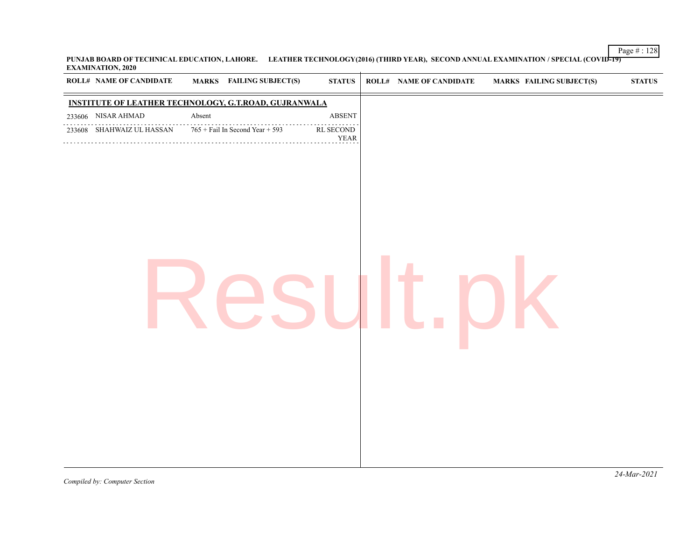**PUNJAB BOARD OF TECHNICAL EDUCATION, LAHORE. LEATHER TECHNOLOGY(2016) (THIRD YEAR), SECOND ANNUAL EXAMINATION / SPECIAL (COVID-19) EXAMINATION, 2020**  $\overline{1}$ 

| <b>ROLL# NAME OF CANDIDATE</b><br><b>MARKS</b> FAILING SUBJECT(S)<br><b>STATUS</b><br><b>ROLL# NAME OF CANDIDATE</b><br><b>MARKS FAILING SUBJECT(S)</b><br><b>STATUS</b><br><b>INSTITUTE OF LEATHER TECHNOLOGY, G.T.ROAD, GUJRANWALA</b><br>233606 NISAR AHMAD<br>Absent<br><b>ABSENT</b><br>$765 +$ Fail In Second Year + 593<br>233608 SHAHWAIZ UL HASSAN<br>$\mathop{\mathrm{RL}}$ SECOND<br><b>YEAR</b> |  |  |  |  |  |  |
|-------------------------------------------------------------------------------------------------------------------------------------------------------------------------------------------------------------------------------------------------------------------------------------------------------------------------------------------------------------------------------------------------------------|--|--|--|--|--|--|
|                                                                                                                                                                                                                                                                                                                                                                                                             |  |  |  |  |  |  |
|                                                                                                                                                                                                                                                                                                                                                                                                             |  |  |  |  |  |  |
|                                                                                                                                                                                                                                                                                                                                                                                                             |  |  |  |  |  |  |
|                                                                                                                                                                                                                                                                                                                                                                                                             |  |  |  |  |  |  |
|                                                                                                                                                                                                                                                                                                                                                                                                             |  |  |  |  |  |  |
|                                                                                                                                                                                                                                                                                                                                                                                                             |  |  |  |  |  |  |
|                                                                                                                                                                                                                                                                                                                                                                                                             |  |  |  |  |  |  |
|                                                                                                                                                                                                                                                                                                                                                                                                             |  |  |  |  |  |  |

Page # : 128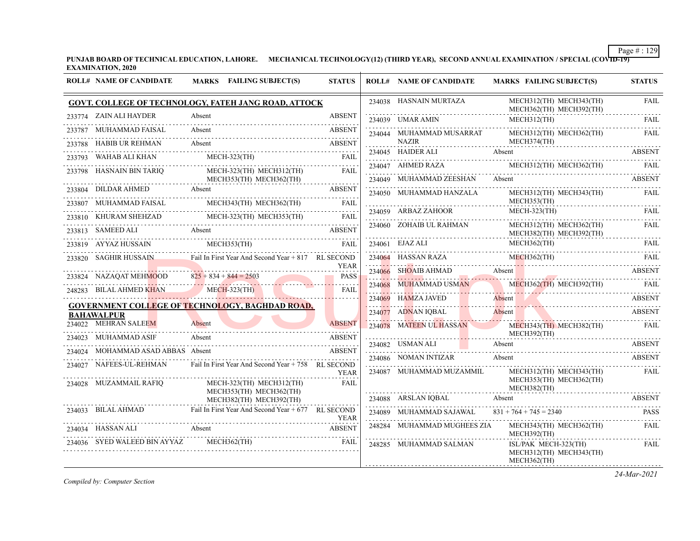**PUNJAB BOARD OF TECHNICAL EDUCATION, LAHORE. MECHANICAL TECHNOLOGY(12) (THIRD YEAR), SECOND ANNUAL EXAMINATION / SPECIAL (COVID-19) EXAMINATION, 2020**

|        | <b>ROLL# NAME OF CANDIDATE</b>                  | MARKS FAILING SUBJECT(S)                                                 | <b>STATUS</b> | <b>ROLL# NAME OF CANDIDATE</b>               | <b>MARKS FAILING SUBJECT(S)</b>                                | <b>STATUS</b> |
|--------|-------------------------------------------------|--------------------------------------------------------------------------|---------------|----------------------------------------------|----------------------------------------------------------------|---------------|
|        |                                                 | <b>GOVT. COLLEGE OF TECHNOLOGY, FATEH JANG ROAD, ATTOCK</b>              |               | 234038 HASNAIN MURTAZA                       | MECH312(TH) MECH343(TH)<br>MECH362(TH) MECH392(TH)             | FAIL          |
|        | 233774 ZAIN ALI HAYDER                          | Absent                                                                   | <b>ABSENT</b> | 234039 UMAR AMIN                             | $MECH312$ (TH)                                                 | FAIL          |
|        | 233787 MUHAMMAD FAISAL                          | Absent                                                                   | <b>ABSENT</b> | 234044    MUHAMMAD MUSARRAT                  | MECH312(TH) MECH362(TH)                                        | FAIL          |
|        | 233788 HABIB UR REHMAN                          | Absent                                                                   | <b>ABSENT</b> | <b>NAZIR</b>                                 | MECH374(TH)                                                    |               |
| 233793 | WAHAB ALI KHAN                                  | $MECH-323$ (TH)                                                          | FAIL          |                                              | 234045 HAIDER ALI Absent ABSENT                                |               |
|        | 233798 HASNAIN BIN TARIO                        | MECH-323(TH) MECH312(TH)<br>MECH353(TH) MECH362(TH)                      | FAIL          | 234047 AHMED RAZA<br>234049 MUHAMMAD ZEESHAN | MECH312(TH) MECH362(TH) FAIL<br>Absent                         | <b>ABSENT</b> |
|        | 233804 DILDAR AHMED                             | Absent                                                                   | ABSENT        | 234050 MUHAMMAD HANZALA                      | MECH312(TH) MECH343(TH)                                        | <b>FAIL</b>   |
|        | MUHAMMAD FAISAL                                 | MECH343(TH) MECH362(TH)                                                  | <b>FAIL</b>   |                                              | MECH353(TH)                                                    |               |
|        | 233810 KHURAM SHEHZAD                           | MECH-323(TH) MECH353(TH)                                                 | FAIL          | 234059 ARBAZ ZAHOOR                          | MECH-323(TH)                                                   | FAIL          |
|        | 233813 SAMEED ALI                               | Absent                                                                   | <b>ABSENT</b> | 234060 ZOHAIB UL RAHMAN                      | MECH312(TH) MECH362(TH)<br>MECH382(TH) MECH392(TH)             | <b>FAIL</b>   |
|        | 233819 AYYAZ HUSSAIN                            | MECH353(TH)                                                              | <b>FAIL</b>   | 234061 EJAZ ALI                              | MECH362(TH)                                                    | FAIL          |
|        |                                                 | 233820 SAGHIR HUSSAIN Fail In First Year And Second Year + 817 RL SECOND | <b>YEAR</b>   | 234064 HASSAN RAZA                           | $MECH362$ (TH)<br>234064 HASSAN RAZA MECH362(TH) FAIL          | FAIL          |
|        | 233824 NAZAQAT MEHMOOD $825 + 834 + 844 = 2503$ |                                                                          | <b>PASS</b>   | 234066 SHOAIB AHMAD Absent                   |                                                                | <b>ABSENT</b> |
|        | 248283 BILAL AHMED KHAN                         | 4 NAZAQAT MEHMOOD $825 + 834 + 844 = 2503$<br>$MECH-323(TH)$             | .<br>FAIL     | 234068 MUHAMMAD USMAN                        | MECH362(TH) MECH392(TH)                                        |               |
|        |                                                 |                                                                          |               | 234069 HAMZA JAVED                           | Absent                                                         | ABSENT        |
|        | <b>BAHAWALPUR</b>                               | <b>GOVERNMENT COLLEGE OF TECHNOLOGY, BAGHDAD ROAD,</b>                   |               | 234077 ADNAN IQBAL                           | Absent                                                         | ABSENT        |
|        | 234022 MEHRAN SALEEM                            | Absent                                                                   | <b>ABSENT</b> | 234078 MATEEN UL HASSAN                      | MECH343(TH) MECH382(TH)<br>MECH392(TH)                         | FAIL          |
|        | 234023 MUHAMMAD ASIF                            | Absent                                                                   | <b>ABSENT</b> | 234082 USMAN ALI                             | Absent                                                         | ABSENT        |
|        | 234024 MOHAMMAD ASAD ABBAS Absent               |                                                                          | <b>ABSENT</b> | 234086 NOMAN INTIZAR                         | Absent                                                         | <b>ABSENT</b> |
|        | 234027 NAFEES-UL-REHMAN                         | Fail In First Year And Second Year + 758 RL SECOND                       | <b>YEAR</b>   | 234087 MUHAMMAD MUZAMMIL                     | MECH312(TH) MECH343(TH)                                        | FAIL          |
|        | 234028 MUZAMMAIL RAFIO                          | MECH-323(TH) MECH312(TH)<br>MECH353(TH) MECH362(TH)                      | <b>FAIL</b>   |                                              | MECH353(TH) MECH362(TH)<br>MECH382(TH)                         |               |
|        |                                                 | MECH382(TH) MECH392(TH)                                                  |               | 234088 ARSLAN IOBAL                          | Absent                                                         | <b>ABSENT</b> |
|        | 234033 BILAL AHMAD                              | Fail In First Year And Second Year + 677 RL SECOND                       | <b>YEAR</b>   | 234089 MUHAMMAD SAJAWAL                      | $831 + 764 + 745 = 2340$                                       | <b>PASS</b>   |
|        | 234034 HASSAN ALI                               | Absent                                                                   | <b>ABSENT</b> | 248284 MUHAMMAD MUGHEES ZIA                  | MECH343(TH) MECH362(TH)<br>MECH392(TH)                         | FAIL          |
|        | 234036 SYED WALEED BIN AYYAZ                    | MECH362(TH)                                                              | FAIL          | 248285 MUHAMMAD SALMAN                       | ISL/PAK MECH-323(TH)<br>MECH312(TH) MECH343(TH)<br>MECH362(TH) | FAIL          |

*Compiled by: Computer Section*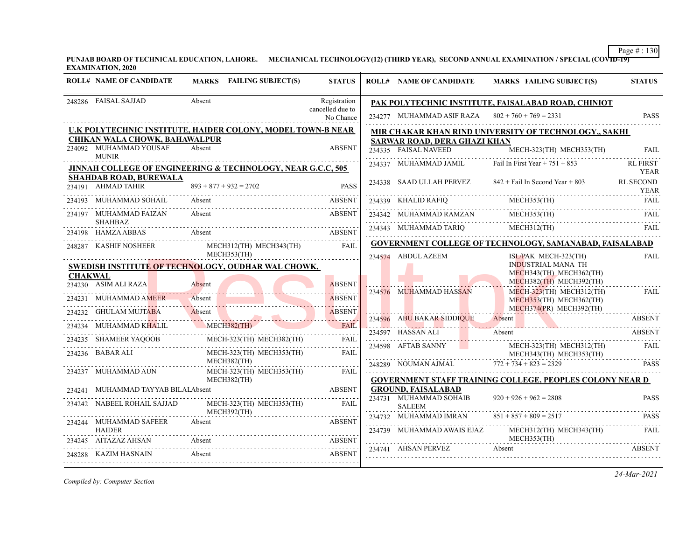**PUNJAB BOARD OF TECHNICAL EDUCATION, LAHORE. MECHANICAL TECHNOLOGY(12) (THIRD YEAR), SECOND ANNUAL EXAMINATION / SPECIAL (COVID-19) EXAMINATION, 2020**

|                | <b>ROLL# NAME OF CANDIDATE</b>                      | MARKS FAILING SUBJECT(S)                                                                        | <b>STATUS</b>                              | <b>ROLL# NAME OF CANDIDATE</b>                     | MARKS FAILING SUBJECT(S)                                                                                                                                                                                                                                                                                                                                                                                                               | <b>STATUS</b>                   |
|----------------|-----------------------------------------------------|-------------------------------------------------------------------------------------------------|--------------------------------------------|----------------------------------------------------|----------------------------------------------------------------------------------------------------------------------------------------------------------------------------------------------------------------------------------------------------------------------------------------------------------------------------------------------------------------------------------------------------------------------------------------|---------------------------------|
|                | 248286 FAISAL SAJJAD                                | Absent                                                                                          | Registration<br>cancelled due to           |                                                    | PAK POLYTECHNIC INSTITUTE, FAISALABAD ROAD, CHINIOT                                                                                                                                                                                                                                                                                                                                                                                    |                                 |
|                |                                                     |                                                                                                 | No Chance                                  | 234277 MUHAMMAD ASIF RAZA $802 + 760 + 769 = 2331$ |                                                                                                                                                                                                                                                                                                                                                                                                                                        | <b>PASS</b>                     |
|                |                                                     | U.K POLYTECHNIC INSTITUTE, HAIDER COLONY, MODEL TOWN-B NEAR                                     |                                            |                                                    | MIR CHAKAR KHAN RIND UNIVERSITY OF TECHNOLOGY,, SAKHI                                                                                                                                                                                                                                                                                                                                                                                  |                                 |
|                | <b>CHIKAN WALA CHOWK, BAHAWALPUR</b>                |                                                                                                 |                                            | SARWAR ROAD, DERA GHAZI KHAN                       |                                                                                                                                                                                                                                                                                                                                                                                                                                        |                                 |
|                | 234092 MUHAMMAD YOUSAF<br><b>MUNIR</b>              | Absent                                                                                          | <b>ABSENT</b>                              |                                                    | 234335 FAISAL NAVEED MECH-323(TH) MECH353(TH)                                                                                                                                                                                                                                                                                                                                                                                          | FAIL                            |
|                |                                                     | <b>JINNAH COLLEGE OF ENGINEERING &amp; TECHNOLOGY, NEAR G.C.C, 505</b>                          |                                            |                                                    | 234337 MUHAMMAD JAMIL First Year + $751 + 853$                                                                                                                                                                                                                                                                                                                                                                                         | <b>RL FIRST</b><br><b>YEAR</b>  |
|                | <b>SHAHDAB ROAD, BUREWALA</b><br>234191 AHMAD TAHIR | $893 + 877 + 932 = 2702$                                                                        | <b>PASS</b>                                |                                                    | 234338 SAAD ULLAH PERVEZ 842 + Fail In Second Year + 803                                                                                                                                                                                                                                                                                                                                                                               | <b>RL SECOND</b><br><b>YEAR</b> |
|                | 234193 MUHAMMAD SOHAIL                              | Absent                                                                                          | <b>ABSENT</b>                              |                                                    | TEAR 234339 KHALID RAFIQ MECH353(TH) FAIL PRESENTED A RELEVANCE MECH353(TH)                                                                                                                                                                                                                                                                                                                                                            |                                 |
|                | 234197 MUHAMMAD FAIZAN<br><b>SHAHBAZ</b>            | Absent                                                                                          | <b>ABSENT</b>                              |                                                    | $\begin{tabular}{llllll} \multicolumn{2}{l}{{\textbf{234342}}}&\multicolumn{2}{l}{{\textbf{M}}{\textbf{U}}{\textbf{H}}\textbf{AMMAD RAMZAN}}&\multicolumn{2}{l}{\textbf{MECH353(TH)}}&\multicolumn{2}{l}{{\textbf{FALL}}}\\ \multicolumn{2}{l}{\textbf{15.23}}&\multicolumn{2}{l}{{\textbf{M}}{\textbf{U}}{\textbf{H}}\textbf{AMMAD RAMZAN}}&\multicolumn{2}{l}{{\textbf{M}}{\textbf{U}}{\textbf{H}}{\textbf{M}}&\multicolumn{2}{l}{{$ |                                 |
|                | 234198 HAMZA ABBAS                                  | Absent<br><b>ABSENT</b>                                                                         |                                            |                                                    |                                                                                                                                                                                                                                                                                                                                                                                                                                        | FAIL                            |
|                | 248287 KASHIF NOSHEER                               | MECH312(TH) MECH343(TH)                                                                         | FAII.                                      |                                                    | <b>GOVERNMENT COLLEGE OF TECHNOLOGY, SAMANABAD, FAISALABAD</b>                                                                                                                                                                                                                                                                                                                                                                         |                                 |
| <b>CHAKWAL</b> |                                                     | MECH353(TH)<br>SWEDISH INSTITUTE OF TECHNOLOGY, OUDHAR WAL CHOWK,                               |                                            | 234574 ABDUL AZEEM                                 | ISL/PAK MECH-323(TH)<br><b>INDUSTRIAL MANA TH</b><br>MECH343(TH) MECH362(TH)<br>MECH382(TH) MECH392(TH)                                                                                                                                                                                                                                                                                                                                | <b>FAIL</b>                     |
|                | 234230 ASIM ALI RAZA                                | Absent                                                                                          | <b>ABSENT</b><br>22222222<br><b>ABSENT</b> | 234576 MUHAMMAD HASSAN                             | $MECH-323$ (TH) MECH312(TH)                                                                                                                                                                                                                                                                                                                                                                                                            | .<br>FAIL                       |
|                |                                                     | 234231 MUHAMMAD AMEER Absent                                                                    | .                                          |                                                    | MECH353(TH) MECH362(TH)<br>MECH374(PR) MECH392(TH)                                                                                                                                                                                                                                                                                                                                                                                     |                                 |
|                |                                                     | 234232 GHULAM MUJTABA Absent Absent<br>MUHAMMAD KHALIL MECH382(TH)                              | FAIL                                       | 234596 ABU BAKAR SIDDIQUE Absent                   | 234596 ABU BAKAR SIDDIQUE Absent ABSENT                                                                                                                                                                                                                                                                                                                                                                                                | <b>ABSENT</b>                   |
| 234234         |                                                     |                                                                                                 |                                            | 234597 HASSAN ALI                                  | Absent                                                                                                                                                                                                                                                                                                                                                                                                                                 | <b>ABSENT</b>                   |
|                |                                                     | ${\bf 234235} \quad {\bf SHAMEER\ YAQOOB} \qquad {\bf MECH-323 (TH)\ NECH382 (TH) \qquad FAIL}$ |                                            |                                                    |                                                                                                                                                                                                                                                                                                                                                                                                                                        |                                 |
|                | 234236 BABAR ALI                                    | MECH-323(TH) MECH353(TH)<br>MECH382(TH)                                                         | FAIL                                       |                                                    | $\begin{tabular}{ll} 234598 & AFTAB SANNY & \multicolumn{2}{c}{MECH-323(TH)} \quad MECH312(TH) & \multicolumn{2}{c}{FAIL} \\ \multicolumn{2}{c}{MECH-323(TH)} \quad MECH353(TH) & \multicolumn{2}{c}{FAIL} \\ \multicolumn{2}{c}{MECH-343(TH)} \quad MECH353(TH) & \multicolumn{2}{c}{MECH-353(TH)} \\ \multicolumn{2}{c}{MECH-343(TH)} \quad MECH353(TH) & \multicolumn{2}{c}{HECH-343(TH)} \\ \multicolumn{2}{c}{MECH$               |                                 |
|                | 234237 MUHAMMAD AUN                                 | MECH-323(TH) MECH353(TH) FAIL                                                                   |                                            |                                                    | 248289 NOUMAN AJMAL $772 + 734 + 823 = 2329$                                                                                                                                                                                                                                                                                                                                                                                           | <b>PASS</b>                     |
|                | 234241 MUHAMMAD TAYYAB BILALAbsent                  | MECH382(TH)<br><b>ABSENT</b>                                                                    |                                            | <b>GROUND, FAISALABAD</b>                          | GOVERNMENT STAFF TRAINING COLLEGE, PEOPLES COLONY NEAR D                                                                                                                                                                                                                                                                                                                                                                               |                                 |
|                | 234242 NABEEL ROHAIL SAJJAD                         | MECH-323(TH) MECH353(TH) FAIL                                                                   |                                            | 234731 MUHAMMAD SOHAIB<br><b>SALEEM</b>            | $920 + 926 + 962 = 2808$                                                                                                                                                                                                                                                                                                                                                                                                               | <b>PASS</b>                     |
|                |                                                     | MECH392(TH)                                                                                     |                                            | 234732 MUHAMMAD IMRAN                              | $851 + 857 + 809 = 2517$                                                                                                                                                                                                                                                                                                                                                                                                               | <b>PASS</b>                     |
|                | 234244 MUHAMMAD SAFEER<br><b>HAIDER</b>             | Absent                                                                                          | <b>ABSENT</b>                              |                                                    | 234739 MUHAMMAD AWAIS EJAZ MECH312(TH) MECH343(TH)                                                                                                                                                                                                                                                                                                                                                                                     | FAIL                            |
|                | 234245 AITAZAZ AHSAN                                | Absent                                                                                          | <b>ABSENT</b>                              | 234741 AHSAN PERVEZ                                | MECH353(TH)<br>Absent                                                                                                                                                                                                                                                                                                                                                                                                                  | <b>ABSENT</b>                   |
|                | 248288     KAZIM HASNAIN                            | Absent                                                                                          | ABSENT                                     |                                                    |                                                                                                                                                                                                                                                                                                                                                                                                                                        |                                 |
|                |                                                     |                                                                                                 |                                            |                                                    |                                                                                                                                                                                                                                                                                                                                                                                                                                        |                                 |

*Compiled by: Computer Section*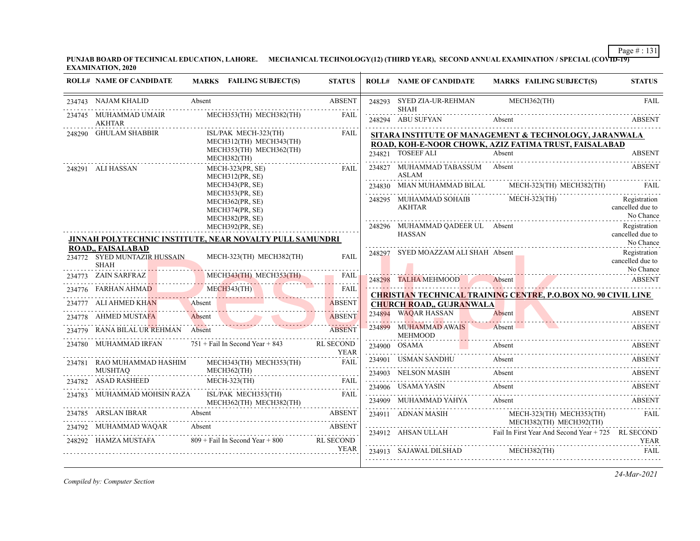**PUNJAB BOARD OF TECHNICAL EDUCATION, LAHORE. MECHANICAL TECHNOLOGY(12) (THIRD YEAR), SECOND ANNUAL EXAMINATION / SPECIAL (COVID-19) EXAMINATION, 2020**

| <b>ROLL# NAME OF CANDIDATE</b>                                   | MARKS FAILING SUBJECT(S)                                                                  | <b>STATUS</b>                   | <b>ROLL# NAME OF CANDIDATE</b>                       | <b>MARKS FAILING SUBJECT(S)</b>                                                                                           | <b>STATUS</b>                                 |
|------------------------------------------------------------------|-------------------------------------------------------------------------------------------|---------------------------------|------------------------------------------------------|---------------------------------------------------------------------------------------------------------------------------|-----------------------------------------------|
| 234743 NAJAM KHALID                                              | Absent                                                                                    | <b>ABSENT</b><br>and a series   | 248293 SYED ZIA-UR-REHMAN<br><b>SHAH</b>             | MECH362(TH)                                                                                                               | <b>FAIL</b>                                   |
| 234745 MUHAMMAD UMAIR<br><b>AKHTAR</b>                           | MECH353(TH) MECH382(TH)                                                                   | <b>FAIL</b>                     | 248294 ABU SUFYAN                                    | Absent                                                                                                                    | <b>ABSENT</b>                                 |
| 248290 GHULAM SHABBIR                                            | ISL/PAK MECH-323(TH)<br>MECH312(TH) MECH343(TH)<br>MECH353(TH) MECH362(TH)<br>MECH382(TH) | FAIL                            | 234821 TOSEEF ALI                                    | SITARA INSTITUTE OF MANAGEMENT & TECHNOLOGY, JARANWALA<br>ROAD, KOH-E-NOOR CHOWK, AZIZ FATIMA TRUST, FAISALABAD<br>Absent | <b>ABSENT</b>                                 |
| 248291 ALI HASSAN                                                | $MECH-323(PR, SE)$<br>MECH312(PR, SE)                                                     | FAII.                           | 234827 MUHAMMAD TABASSUM Absent<br><b>ASLAM</b>      |                                                                                                                           | <b>ABSENT</b>                                 |
|                                                                  | MECH343(PR, SE)                                                                           |                                 | 234830 MIAN MUHAMMAD BILAL                           | MECH-323(TH) MECH382(TH)                                                                                                  | FAIL                                          |
|                                                                  | MECH353(PR, SE)<br>MECH362(PR, SE)<br>MECH374(PR, SE)<br>MECH382(PR, SE)                  |                                 | 248295 MUHAMMAD SOHAIB MECH-323(TH)<br><b>AKHTAR</b> |                                                                                                                           | Registration<br>cancelled due to<br>No Chance |
|                                                                  | MECH392(PR, SE)<br>JINNAH POLYTECHNIC INSTITUTE, NEAR NOVALTY PULL SAMUNDRI               |                                 | 248296 MUHAMMAD OADEER UL Absent<br><b>HASSAN</b>    |                                                                                                                           | Registration<br>cancelled due to<br>No Chance |
| ROAD,, FAISALABAD<br>234772 SYED MUNTAZIR HUSSAIN<br><b>SHAH</b> | MECH-323(TH) MECH382(TH)                                                                  | <b>FAIL</b>                     | 248297 SYED MOAZZAM ALI SHAH Absent                  |                                                                                                                           | Registration<br>cancelled due to              |
|                                                                  | 234773 ZAIN SARFRAZ MECH343(TH) MECH343(TH) FAIL 234776 FARHAN AHMAD MECH343(TH) FAIL     |                                 | 248298 TALHA MEHMOOD                                 | Absent ABSENT                                                                                                             | No Chance                                     |
|                                                                  | 4776 FARHAN AHMAD MECH343(TH)                                                             |                                 |                                                      | <b>CHRISTIAN TECHNICAL TRAINING CENTRE, P.O.BOX NO. 90 CIVIL LINE</b>                                                     |                                               |
| 234777 ALI AHMED KHAN Absent                                     |                                                                                           | <b>ABSENT</b>                   | <b>CHURCH ROAD., GUJRANWALA</b>                      |                                                                                                                           |                                               |
| 234778 AHMED MUSTAFA                                             | Absent                                                                                    | <b>ABSENT</b>                   | 234894 WAQAR HASSAN                                  | Absent                                                                                                                    | <b>ABSENT</b>                                 |
| 234779 RANA BILAL UR REHMAN Absent                               |                                                                                           | <b>ABSENT</b>                   | 234899 MUHAMMAD AWAIS<br>MEHMOOD                     | Absent<br><b>The Committee of the Committee of the Committee</b>                                                          | <b>ABSENT</b>                                 |
| 234780 MUHAMMAD IRFAN                                            | $751 +$ Fail In Second Year + 843                                                         | <b>RL SECOND</b><br><b>YEAR</b> |                                                      | 234900 OSAMA Absent ABSENT                                                                                                |                                               |
| 234781 RAO MUHAMMAD HASHIM<br><b>MUSHTAQ</b>                     | MECH343(TH) MECH353(TH)                                                                   | FAIL                            | 234901 USMAN SANDHU                                  | Absent                                                                                                                    | ABSENT                                        |
| 234782 ASAD RASHEED                                              | MECH362(TH)<br>$MECH-323$ (TH)<br>1782 ASAD RASHEED MECH-323(TH) FAIL FAIL                |                                 |                                                      | 234903 NELSON MASIH Absent ABSENT ABSENT                                                                                  |                                               |
| 234783 MUHAMMAD MOHSIN RAZA                                      | ISL/PAK MECH353(TH)                                                                       | <b>FAIL</b>                     | 234906 USAMA YASIN Absent                            |                                                                                                                           | ABSENT                                        |
|                                                                  | MECH362(TH) MECH382(TH)                                                                   |                                 | 234909 MUHAMMAD YAHYA                                | Absent                                                                                                                    | <b>ABSENT</b>                                 |
| 234792 MUHAMMAD WAQAR                                            | 234785 ARSLAN IBRAR Absent ABSENT<br>Absent                                               | <b>ABSENT</b><br><b>ABSENT</b>  | 234911 ADNAN MASIH                                   | MECH-323(TH) MECH353(TH)<br>MECH382(TH) MECH392(TH)                                                                       | <b>FAIL</b>                                   |
| 248292 HAMZA MUSTAFA                                             | $809 +$ Fail In Second Year + 800                                                         | <b>RL SECOND</b>                |                                                      | 234912 AHSAN ULLAH Fail In First Year And Second Year + 725 RL SECOND                                                     | <b>YEAR</b>                                   |
|                                                                  |                                                                                           | <b>YEAR</b>                     | 234913 SAJAWAL DILSHAD MECH382(TH)                   |                                                                                                                           | <b>FAIL</b>                                   |

*Compiled by: Computer Section*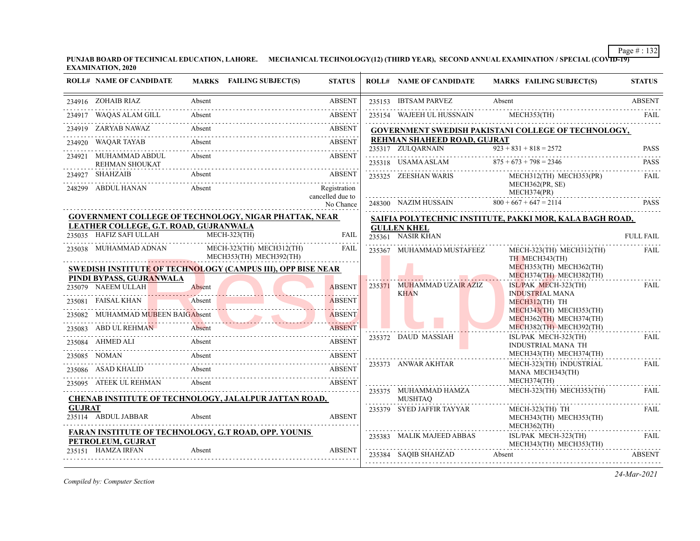**PUNJAB BOARD OF TECHNICAL EDUCATION, LAHORE. MECHANICAL TECHNOLOGY(12) (THIRD YEAR), SECOND ANNUAL EXAMINATION / SPECIAL (COVID-19) EXAMINATION, 2020**

|               | <b>ROLL# NAME OF CANDIDATE</b>                                    | MARKS FAILING SUBJECT(S)                                           | <b>STATUS</b>                 | <b>ROLL# NAME OF CANDIDATE</b>                   | MARKS FAILING SUBJECT(S)                                        | <b>STATUS</b>    |
|---------------|-------------------------------------------------------------------|--------------------------------------------------------------------|-------------------------------|--------------------------------------------------|-----------------------------------------------------------------|------------------|
|               | 234916 ZOHAIB RIAZ                                                | Absent                                                             | <b>ABSENT</b>                 | 235153 IBTSAM PARVEZ                             | Absent                                                          | <b>ABSENT</b>    |
|               | 234917 WAQAS ALAM GILL                                            | Absent                                                             | <b>ABSENT</b>                 |                                                  |                                                                 |                  |
|               |                                                                   | 234919 ZARYAB NAWAZ Absent ABSENT                                  |                               |                                                  | <b>GOVERNMENT SWEDISH PAKISTANI COLLEGE OF TECHNOLOGY,</b>      |                  |
|               | 234920 WAQAR TAYAB Absent                                         |                                                                    | <b>ABSENT</b>                 | REHMAN SHAHEED ROAD, GUJRAT<br>235317 ZULQARNAIN | $\overline{923} + 831 + 818 = 2572$                             | <b>PASS</b>      |
|               | 234921 MUHAMMAD ABDUL                                             | Absent<br>REHMAN SHOUKAT                                           | ABSENT                        |                                                  |                                                                 |                  |
|               | 234927 SHAHZAIB                                                   | Absent                                                             | ABSENT                        |                                                  | 235325 ZEESHAN WARIS MECH312(TH) MECH353(PR)<br>MECH362(PR, SE) | FAIL             |
|               | 248299 ABDUL HANAN                                                | Absent                                                             | Registration                  |                                                  | MECH362(PR, SE)<br>MECH374(PR)                                  |                  |
|               |                                                                   |                                                                    | cancelled due to<br>No Chance |                                                  | 248300 NAZIM HUSSAIN $800 + 667 + 647 = 2114$                   | <b>PASS</b>      |
|               |                                                                   | GOVERNMENT COLLEGE OF TECHNOLOGY, NIGAR PHATTAK, NEAR              |                               |                                                  | SAIFIA POLYTECHNIC INSTITUTE, PAKKI MOR, KALA BAGH ROAD,        |                  |
|               | LEATHER COLLEGE, G.T. ROAD, GUJRANWALA<br>235035 HAFIZ SAFI ULLAH | $MECH-323(TH)$                                                     | <b>FAIL</b>                   | <b>GULLEN KHEL</b><br>$235361$ NASIR KHAN        |                                                                 | <b>FULL FAIL</b> |
|               |                                                                   | 235038 MUHAMMAD ADNAN MECH-323(TH) MECH312(TH)                     | FAIL                          | 235367 MUHAMMAD MUSTAFEEZ                        | MECH-323(TH) MECH312(TH)                                        | <b>FAIL</b>      |
|               |                                                                   | MECH353(TH) MECH392(TH)                                            |                               |                                                  | TH MECH343(TH)                                                  |                  |
|               | PINDI BYPASS, GUJRANWALA                                          | <b>SWEDISH INSTITUTE OF TECHNOLOGY (CAMPUS III), OPP BISE NEAR</b> |                               |                                                  | MECH353(TH) MECH362(TH)<br>MECH374(TH) MECH382(TH)              |                  |
|               | 235079 NAEEM ULLAH                                                | Absent                                                             | <b>ABSENT</b>                 | 235371 MUHAMMAD UZAIR AZIZ                       | $ISL/PAK$ MECH-323(TH)                                          | <b>FAIL</b>      |
|               | 235081 FAISAL KHAN                                                | Absent                                                             | .<br><b>ABSENT</b>            | <b>KHAN</b>                                      | <b>INDUSTRIAL MANA</b><br>MECH312(TH) TH                        |                  |
|               |                                                                   | 235082 MUHAMMAD MUBEEN BAIGAbsent                                  | .                             |                                                  | MECH343(TH) MECH353(TH)<br>MECH362(TH) MECH374(TH)              |                  |
|               | 235083 ABD UL REHMAN                                              | Absent                                                             | <b>ABSENT</b>                 |                                                  | MECH382(TH) MECH392(TH)                                         |                  |
|               |                                                                   | 235084 AHMED ALI Absent ABSENT                                     |                               | 235372 DAUD MASSIAH                              | ISL/PAK MECH-323(TH)<br><b>INDUSTRIAL MANA TH</b>               | <b>FAIL</b>      |
|               |                                                                   | 235085 NOMAN Absent ABSENT                                         |                               |                                                  | MECH343(TH) MECH374(TH)                                         |                  |
|               |                                                                   | 235086 ASAD KHALID Absent ABSENT                                   |                               | 235373 ANWAR AKHTAR                              | MECH-323(TH) INDUSTRIAL<br>MANA MECH343(TH)                     | FAIL             |
|               |                                                                   | 235095 ATEEK UL REHMAN Absent ABSENT                               |                               |                                                  | MECH374(TH)                                                     |                  |
|               |                                                                   | <b>CHENAB INSTITUTE OF TECHNOLOGY, JALALPUR JATTAN ROAD,</b>       |                               | 235375 MUHAMMAD HAMZA<br>MUSHTAQ                 | MECH-323(TH) MECH353(TH)                                        | FAIL.            |
| <b>GUJRAT</b> | 235114 ABDUL JABBAR                                               | Absent                                                             | <b>ABSENT</b>                 | 235379 SYED JAFFIR TAYYAR                        | MECH-323(TH) TH<br>MECH343(TH) MECH353(TH)<br>MECH362(TH)       | FAIL             |
|               | PETROLEUM, GUJRAT                                                 | <b>FARAN INSTITUTE OF TECHNOLOGY, G.T ROAD, OPP. YOUNIS</b>        |                               | 235383 MALIK MAJEED ABBAS                        | ISL/PAK MECH-323(TH) FAIL<br>MECH343(TH) MECH353(TH)            |                  |
|               | 235151 HAMZA IRFAN                                                | Absent                                                             | <b>ABSENT</b>                 | 235384 SAQIB SHAHZAD Absent                      |                                                                 | <b>ABSENT</b>    |

*Compiled by: Computer Section*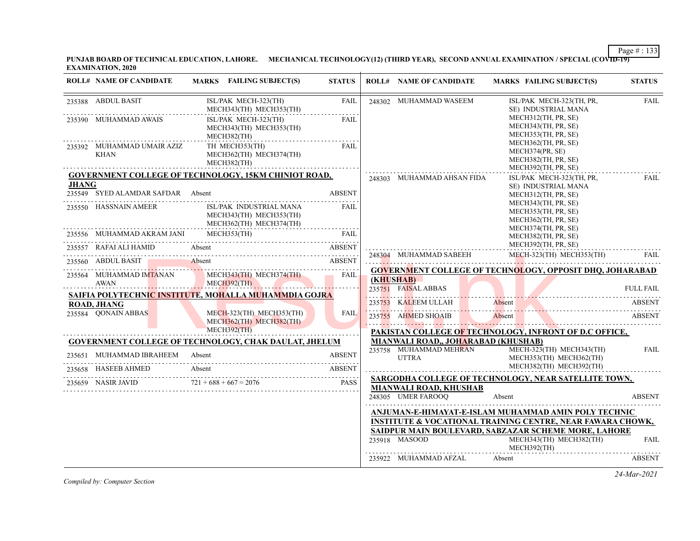**PUNJAB BOARD OF TECHNICAL EDUCATION, LAHORE. MECHANICAL TECHNOLOGY(12) (THIRD YEAR), SECOND ANNUAL EXAMINATION / SPECIAL (COVID-19) EXAMINATION, 2020**

|              | <b>ROLL# NAME OF CANDIDATE</b>     | MARKS FAILING SUBJECT(S)                                                      | <b>STATUS</b>                  | <b>ROLL# NAME OF CANDIDATE</b>      | <b>MARKS FAILING SUBJECT(S)</b>                                                                                               | <b>STATUS</b>    |
|--------------|------------------------------------|-------------------------------------------------------------------------------|--------------------------------|-------------------------------------|-------------------------------------------------------------------------------------------------------------------------------|------------------|
|              | 235388 ABDUL BASIT                 | ISL/PAK MECH-323(TH)<br>MECH343(TH) MECH353(TH)                               | FAIL                           | 248302 MUHAMMAD WASEEM              | ISL/PAK MECH-323(TH, PR,<br>SE) INDUSTRIAL MANA                                                                               | <b>FAIL</b>      |
|              | 235390 MUHAMMAD AWAIS              | ISL/PAK MECH-323(TH)<br>MECH343(TH) MECH353(TH)<br>MECH382(TH)                | FAIL                           |                                     | MECH312(TH, PR, SE)<br>MECH343(TH, PR, SE)<br>MECH353(TH, PR, SE)                                                             |                  |
|              | 235392 MUHAMMAD UMAIR AZIZ<br>KHAN | TH MECH353(TH)<br>MECH362(TH) MECH374(TH)<br>MECH382(TH)                      | FAIL                           |                                     | MECH362(TH, PR, SE)<br>MECH374(PR, SE)<br>MECH382(TH, PR, SE)<br>MECH392(TH, PR, SE)                                          |                  |
|              |                                    | <b>GOVERNMENT COLLEGE OF TECHNOLOGY, 15KM CHINIOT ROAD,</b>                   |                                | 248303 MUHAMMAD AHSAN FIDA          | ISL/PAK MECH-323(TH, PR,                                                                                                      | FAIL             |
| <b>JHANG</b> | 235549 SYED ALAMDAR SAFDAR Absent  |                                                                               | <b>ABSENT</b>                  |                                     | SE) INDUSTRIAL MANA<br>MECH312(TH, PR, SE)                                                                                    |                  |
|              | 235550 HASSNAIN AMEER              | ISL/PAK INDUSTRIAL MANA<br>MECH343(TH) MECH353(TH)<br>MECH362(TH) MECH374(TH) | FAIL                           |                                     | MECH343(TH, PR, SE)<br>MECH353(TH, PR, SE)<br>MECH362(TH, PR, SE)<br>MECH374(TH, PR, SE)                                      |                  |
|              | 235556 MUHAMMAD AKRAM JANI         |                                                                               |                                |                                     | MECH382(TH, PR, SE)                                                                                                           |                  |
|              | 235557 RAFAI ALI HAMID Absent      |                                                                               | <b>ABSENT</b>                  |                                     | MECH392(TH, PR, SE)                                                                                                           |                  |
|              | 235560 ABDUL BASIT Absent          | UL BASIT Absent ABSENT                                                        |                                | 248304 MUHAMMAD SABEEH              | MECH-323(TH) MECH353(TH)                                                                                                      | FAIL             |
|              |                                    | 235564 MUHAMMAD IMTANAN MECH343(TH) MECH374(TH)                               | $\overline{\phantom{a}}$ FAIL. |                                     | <b>GOVERNMENT COLLEGE OF TECHNOLOGY, OPPOSIT DHQ, JOHARABAD</b>                                                               |                  |
|              | AWAN                               | MECH392(TH)                                                                   |                                | (KHUSHAB)<br>235751 FAISAL ABBAS    |                                                                                                                               | <b>FULL FAIL</b> |
|              | <b>ROAD, JHANG</b>                 | SAIFIA POLYTECHNIC INSTITUTE. MOHALLA MUHAMMDIA GOJRA                         |                                | 235753 KALEEM ULLAH Absent          |                                                                                                                               | <b>ABSENT</b>    |
|              | 235584 OONAIN ABBAS                | MECH-323(TH) MECH353(TH)<br>MECH362(TH) MECH382(TH)                           | <b>FAIL</b>                    |                                     | 235753 KALEEM ULLAH Absent Absent ABSENT<br>235755 AHMED SHOAIB Absent ABSENT                                                 |                  |
|              |                                    | <b>MECH392(TH)</b>                                                            |                                |                                     | PAKISTAN COLLEGE OF TECHNOLOGY, INFRONT OF D.C OFFICE,                                                                        |                  |
|              |                                    | <b>GOVERNMENT COLLEGE OF TECHNOLOGY, CHAK DAULAT, JHELUM</b>                  |                                | MIANWALI ROAD,, JOHARABAD (KHUSHAB) |                                                                                                                               |                  |
|              | 235651 MUHAMMAD IBRAHEEM Absent    |                                                                               | <b>ABSENT</b>                  | <b>UTTRA</b>                        | 235758 MUHAMMAD MEHRAN MECH-323(TH) MECH343(TH)<br>MECH353(TH) MECH362(TH)<br>MECH382(TH) MECH392(TH)                         | <b>FAIL</b>      |
|              | 235658 HASEEB AHMED                | Absent                                                                        | ABSENT                         |                                     | SARGODHA COLLEGE OF TECHNOLOGY, NEAR SATELLITE TOWN,                                                                          |                  |
|              |                                    | 235659 NASIR JAVID $721 + 688 + 667 = 2076$ PASS                              | PASS                           | <b>MIANWALI ROAD, KHUSHAB</b>       |                                                                                                                               |                  |
|              |                                    |                                                                               |                                | 248305 UMER FAROOQ                  | Absent                                                                                                                        | <b>ABSENT</b>    |
|              |                                    |                                                                               |                                |                                     | ANJUMAN-E-HIMAYAT-E-ISLAM MUHAMMAD AMIN POLY TECHNIC                                                                          |                  |
|              |                                    |                                                                               |                                |                                     | <b>INSTITUTE &amp; VOCATIONAL TRAINING CENTRE, NEAR FAWARA CHOWK,</b><br>SAIDPUR MAIN BOULEVARD, SABZAZAR SCHEME MORE, LAHORE |                  |
|              |                                    |                                                                               |                                | 235918 MASOOD                       | MECH343(TH) MECH382(TH)<br>MECH392(TH)                                                                                        | <b>FAIL</b>      |
|              |                                    |                                                                               |                                | 235922 MUHAMMAD AFZAL               | Absent                                                                                                                        | <b>ABSENT</b>    |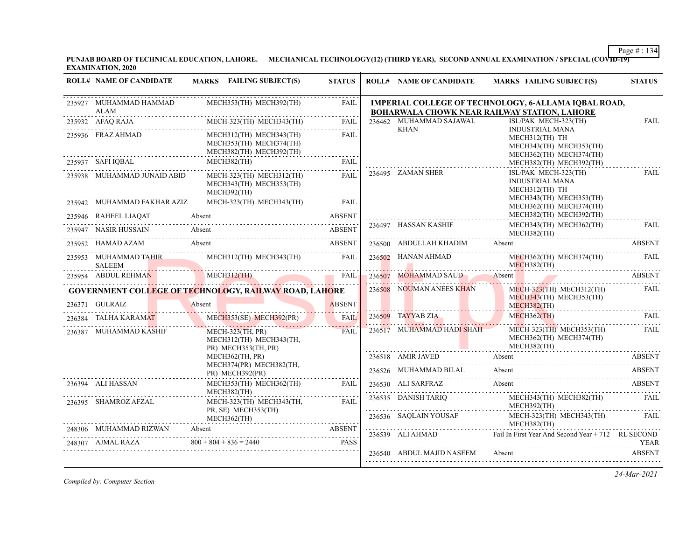**PUNJAB BOARD OF TECHNICAL EDUCATION, LAHORE. MECHANICAL TECHNOLOGY(12) (THIRD YEAR), SECOND ANNUAL EXAMINATION / SPECIAL (COVID-19) EXAMINATION, 2020**

| <b>ROLL# NAME OF CANDIDATE</b>                                 |        | <b>MARKS</b> FAILING SUBJECT(S)                                                                                      | <b>STATUS</b> | <b>ROLL# NAME OF CANDIDATE</b> | <b>MARKS FAILING SUBJECT(S)</b>                                                                      | <b>STATUS</b> |
|----------------------------------------------------------------|--------|----------------------------------------------------------------------------------------------------------------------|---------------|--------------------------------|------------------------------------------------------------------------------------------------------|---------------|
| 235927 MUHAMMAD HAMMAD<br>ALAM                                 |        | MECH353(TH) MECH392(TH)                                                                                              | FAIL          |                                | IMPERIAL COLLEGE OF TECHNOLOGY, 6-ALLAMA IQBAL ROAD,<br>BOHARWALA CHOWK NEAR RAILWAY STATION, LAHORE |               |
| 235932 AFAQ RAJA MECH-323(TH) MECH343(TH)                      |        |                                                                                                                      | <b>FAIL</b>   | 236462 MUHAMMAD SAJAWAL        | ISL/PAK MECH-323(TH)                                                                                 | FAIL          |
| 235936 FRAZ AHMAD                                              |        | MECH312(TH) MECH343(TH)<br>MECH353(TH) MECH374(TH)<br>MECH382(TH) MECH392(TH)                                        | <b>FAIL</b>   | KHAN                           | <b>INDUSTRIAL MANA</b><br>MECH312(TH) TH<br>MECH343(TH) MECH353(TH)<br>MECH362(TH) MECH374(TH)       |               |
| 235937 SAFI IQBAL MECH382(TH) FAIL                             |        |                                                                                                                      | FAIL          |                                | MECH382(TH) MECH392(TH)                                                                              |               |
| 235938 MUHAMMAD JUNAID ABID                                    |        | MECH-323(TH) MECH312(TH)<br>MECH343(TH) MECH353(TH)<br>MECH392(TH)                                                   | FAIL          | 236495 ZAMAN SHER              | ISL/PAK MECH-323(TH)<br><b>INDUSTRIAL MANA</b><br>MECH312(TH) TH                                     | <b>FAIL</b>   |
| 235942 MUHAMMAD FAKHAR AZIZ                                    |        | MECH-323(TH) MECH343(TH) FAIL                                                                                        |               |                                | MECH343(TH) MECH353(TH)<br>MECH362(TH) MECH374(TH)                                                   |               |
| 235946 RAHEEL LIAQAT Absent ABSENT ABSENT                      |        |                                                                                                                      |               |                                | MECH382(TH) MECH392(TH)                                                                              |               |
| 235947 NASIR HUSSAIN Absent                                    |        |                                                                                                                      | ABSENT        | 236497 HASSAN KASHIF           | MECH343(TH) MECH362(TH)<br>MECH382(TH)                                                               | <b>FAIL</b>   |
| 235952 HAMAD AZAM Absent ABSENT                                |        |                                                                                                                      |               |                                | 236500 ABDULLAH KHADIM Absent ABSENT                                                                 |               |
| 235953 MUHAMMAD TAHIR MECH312(TH) MECH343(TH)<br><b>SALEEM</b> |        | <u> 1998 - Januar Marian, martin amerikan di sebagai pertama di sebagai pertama di sebagai pertama di sebagai pe</u> | FAIL          | 236502 HANAN AHMAD             | MECH362(TH) MECH374(TH) FAIL<br>MECH382(TH)                                                          |               |
| 235954 ABDUL REHMAN MECH312(TH) FAIL                           |        |                                                                                                                      |               |                                | -236507 MOHAMMAD SAUD Absent ABSENT                                                                  |               |
| <b>GOVERNMENT COLLEGE OF TECHNOLOGY, RAILWAY ROAD, LAHORE</b>  |        |                                                                                                                      |               | 236508 NOUMAN ANEES KHAN       | MECH-323(TH) MECH312(TH)<br>MECH343(TH) MECH353(TH)                                                  | FAIL          |
| 236371 GULRAIZ                                                 | Absent | AIZ Absent ABSENT                                                                                                    | <b>ABSENT</b> |                                | $MECH382$ (TH)                                                                                       |               |
| 236384 TALHA KARAMAT MECH353(SE) MECH392(PR) FAIL              |        |                                                                                                                      |               |                                | $MECH362$ (TH)<br>236509 TAYYAB ZIA MECH362(TH) FAIL                                                 |               |
| 236387 MUHAMMAD KASHIF                                         |        | $MECH-323$ (TH, PR)<br>MECH312(TH) MECH343(TH,<br>PR) MECH353(TH, PR)                                                | FAIL          | 236517 MUHAMMAD HADI SHAH      | MECH-323(TH) MECH353(TH)<br>MECH362(TH) MECH374(TH)<br>MECH382(TH)                                   | FAIL          |
|                                                                |        | MECH362(TH, PR)                                                                                                      |               |                                | 236518 AMIR JAVED Absent ABSENT                                                                      |               |
|                                                                |        | MECH374(PR) MECH382(TH,<br>PR) MECH392(PR)                                                                           |               | 236526 MUHAMMAD BILAL Absent   | 236526 MUHAMMAD BILAL Absent ABSENT                                                                  |               |
| 236394 ALI HASSAN                                              |        | MECH353(TH) MECH362(TH)<br>MECH382(TH)                                                                               | FAIL          |                                | 236530 ALI SARFRAZ Absent ABSENT                                                                     |               |
| 236395 SHAMROZ AFZAL                                           |        | MECH-323(TH) MECH343(TH,<br>PR, SE) MECH353(TH)                                                                      | <b>FAIL</b>   |                                | 236535 DANISH TARIQ MECH343(TH) MECH382(TH) FAIL MECH392(TH)                                         |               |
|                                                                |        | MECH362(TH)                                                                                                          |               |                                | ${\bf \substack{236536\\ \text{MECH-323(TH)}\\ \text{MECH382(TH)}} \text{MECH-343(H)} }$             | FAII.         |
| 248306 MUHAMMAD RIZWAN<br>MUHAMMAD RIZWAN Absent ABSENT        |        |                                                                                                                      |               |                                | 236539 ALI AHMAD Fail In First Year And Second Year + 712 RL SECOND                                  |               |
| 248307 AJMAL RAZA                                              |        | $800 + 804 + 836 = 2440$                                                                                             | <b>PASS</b>   |                                |                                                                                                      | YEAR          |
|                                                                |        |                                                                                                                      |               | 236540 ABDUL MAJID NASEEM      | Absent                                                                                               | <b>ABSENT</b> |

*Compiled by: Computer Section*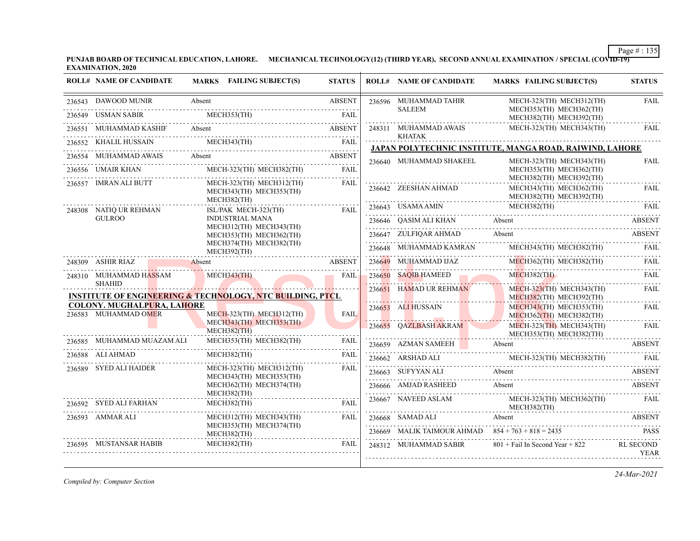**PUNJAB BOARD OF TECHNICAL EDUCATION, LAHORE. MECHANICAL TECHNOLOGY(12) (THIRD YEAR), SECOND ANNUAL EXAMINATION / SPECIAL (COVID-19) EXAMINATION, 2020**

|        | <b>ROLL# NAME OF CANDIDATE</b>    | MARKS FAILING SUBJECT(S)                                             | <b>STATUS</b> |        | <b>ROLL# NAME OF CANDIDATE</b>                      | <b>MARKS FAILING SUBJECT(S)</b>                          | <b>STATUS</b>                   |
|--------|-----------------------------------|----------------------------------------------------------------------|---------------|--------|-----------------------------------------------------|----------------------------------------------------------|---------------------------------|
|        | 236543 DAWOOD MUNIR               | Absent                                                               | <b>ABSENT</b> |        | 236596 MUHAMMAD TAHIR                               | MECH-323(TH) MECH312(TH)                                 | <b>FAIL</b>                     |
| 236549 | <b>USMAN SABIR</b>                | MECH353(TH)                                                          | FAII.         |        | <b>SALEEM</b>                                       | MECH353(TH) MECH362(TH)<br>MECH382(TH) MECH392(TH)       |                                 |
|        | MUHAMMAD KASHIF                   | Absent                                                               | <b>ABSENT</b> |        | 248311 MUHAMMAD AWAIS<br><b>KHATAK</b>              | MECH-323(TH) MECH343(TH)                                 | <b>FAIL</b>                     |
|        | 236552 KHALIL HUSSAIN             | MECH343(TH)                                                          | <b>FAIL</b>   |        |                                                     | JAPAN POLYTECHNIC INSTITUTE, MANGA ROAD, RAIWIND, LAHORE |                                 |
| 236554 | MUHAMMAD AWAIS                    | Absent                                                               | <b>ABSENT</b> |        | 236640 MUHAMMAD SHAKEEL                             | MECH-323(TH) MECH343(TH)                                 | <b>FAIL</b>                     |
|        | 236556 UMAIR KHAN<br>.            | MECH-323(TH) MECH382(TH)                                             | <b>FAIL</b>   |        |                                                     | MECH353(TH) MECH362(TH)<br>MECH382(TH) MECH392(TH)       |                                 |
|        | 236557 IMRAN ALI BUTT             | MECH-323(TH) MECH312(TH)<br>MECH343(TH) MECH353(TH)<br>MECH382(TH)   | <b>FAIL</b>   |        | 236642 ZEESHAN AHMAD                                | MECH343(TH) MECH362(TH)<br>MECH382(TH) MECH392(TH)       | <b>FAIL</b>                     |
|        | 248308 NATIQ UR REHMAN            | ISL/PAK MECH-323(TH)                                                 | FAII.         |        | 236643 USAMA AMIN                                   | MECH382(TH)                                              | FAII.                           |
|        | <b>GULROO</b>                     | <b>INDUSTRIAL MANA</b><br>MECH312(TH) MECH343(TH)                    |               |        | 236646 OASIM ALI KHAN                               | Absent                                                   | <b>ABSENT</b>                   |
|        |                                   | MECH353(TH) MECH362(TH)                                              |               |        | 236647 ZULFIQAR AHMAD                               | Absent                                                   | ABSENT                          |
|        |                                   | MECH374(TH) MECH382(TH)<br>MECH392(TH)<br>.                          |               | 236648 | MUHAMMAD KAMRAN                                     | MECH343(TH) MECH382(TH)                                  | FAIL                            |
|        | 248309 ASHIR RIAZ                 | Absent                                                               | <b>ABSENT</b> |        | 236649 MUHAMMAD IJAZ                                | MECH362(TH) MECH382(TH)                                  | FAIL                            |
|        | 248310 MUHAMMAD HASSAM            | MECH343(TH)                                                          | <b>FAIL</b>   |        | 236650 SAQIB HAMEED                                 | $MECH382$ (TH)                                           | FAIL                            |
|        | <b>SHAHID</b>                     | <b>INSTITUTE OF ENGINEERING &amp; TECHNOLOGY, NTC BUILDING, PTCL</b> |               |        | 236651 HAMAD UR REHMAN                              | $MECH-323$ (TH) MECH343(TH)<br>MECH382(TH) MECH392(TH)   | FAIL                            |
|        | <b>COLONY. MUGHALPURA, LAHORE</b> |                                                                      |               |        | 236653 ALI HUSSAIN                                  | MECH343(TH) MECH353(TH)                                  | <b>FAIL</b>                     |
|        | 236583 MUHAMMAD OMER              | MECH-323(TH) MECH312(TH)<br>MECH343(TH) MECH353(TH)                  | <b>FAIL</b>   |        |                                                     | MECH362(TH) MECH382(TH)                                  |                                 |
|        |                                   | MECH382(TH)                                                          |               |        | 236655 QAZLBASH AKRAM                               | MECH-323(TH) MECH343(TH)<br>MECH353(TH) MECH382(TH)      | FAIL                            |
|        | 236585 MUHAMMAD MUAZAM ALI        | MECH353(TH) MECH382(TH)                                              | FAIL          |        | 236659 AZMAN SAMEEH Absent                          |                                                          | <b>ABSENT</b>                   |
|        | 236588 ALI AHMAD<br>.             | MECH382(TH)                                                          | FAII.         |        | 236662 ARSHAD ALI                                   | MECH-323(TH) MECH382(TH)                                 | FAIL                            |
|        | 236589 SYED ALI HAIDER            | MECH-323(TH) MECH312(TH)<br>MECH343(TH) MECH353(TH)                  | FAIL          |        | 236663 SUFYYAN ALI                                  | Absent                                                   | <b>ABSENT</b>                   |
|        |                                   | MECH362(TH) MECH374(TH)                                              |               |        | 236666 AMJAD RASHEED                                | Absent                                                   | ABSENT                          |
|        | 236592 SYED ALI FARHAN            | $MECH382$ (TH)<br>$MECH382$ (TH)                                     | <b>FAIL</b>   |        | 236667 NAVEED ASLAM                                 | MECH-323(TH) MECH362(TH)<br>MECH382(TH)                  | <b>FAIL</b>                     |
|        | 236593 AMMAR ALI                  | MECH312(TH) MECH343(TH)                                              | FAIL          |        | 236668 SAMAD ALI                                    | Absent                                                   | ABSENT                          |
|        |                                   | MECH353(TH) MECH374(TH)<br>MECH382(TH)                               |               |        | 236669 MALIK TAIMOUR AHMAD $854 + 763 + 818 = 2435$ |                                                          | <b>PASS</b>                     |
|        | 236595 MUSTANSAR HABIB            | MECH382(TH)                                                          | <b>FAIL</b>   |        | 248312 MUHAMMAD SABIR                               | $801 +$ Fail In Second Year + 822                        | <b>RL SECOND</b><br><b>YEAR</b> |

*Compiled by: Computer Section*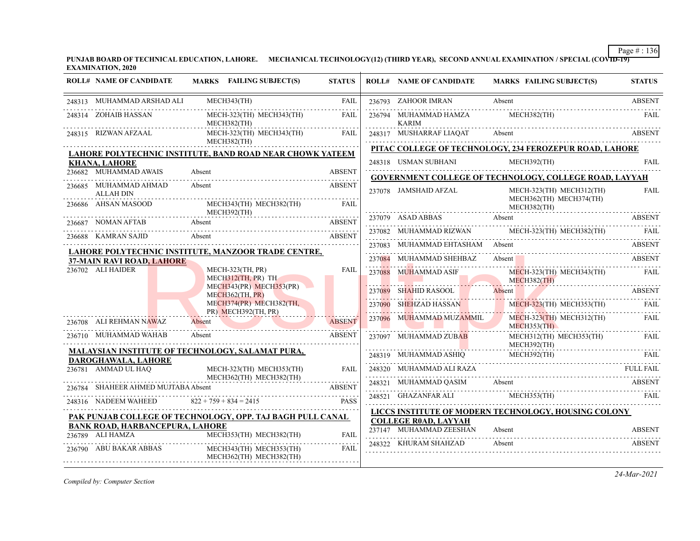**PUNJAB BOARD OF TECHNICAL EDUCATION, LAHORE. MECHANICAL TECHNOLOGY(12) (THIRD YEAR), SECOND ANNUAL EXAMINATION / SPECIAL (COVID-19) EXAMINATION, 2020**

| <b>ROLL# NAME OF CANDIDATE</b>            | MARKS FAILING SUBJECT(S)                                                                  | <b>STATUS</b> | <b>ROLL# NAME OF CANDIDATE</b>        | MARKS FAILING SUBJECT(S)                                                                                                                                                                                                                                                                                                                                                                                                     | <b>STATUS</b> |
|-------------------------------------------|-------------------------------------------------------------------------------------------|---------------|---------------------------------------|------------------------------------------------------------------------------------------------------------------------------------------------------------------------------------------------------------------------------------------------------------------------------------------------------------------------------------------------------------------------------------------------------------------------------|---------------|
| 248313 MUHAMMAD ARSHAD ALI                | MECH343(TH)                                                                               | FAIL          | 236793 ZAHOOR IMRAN                   | Absent                                                                                                                                                                                                                                                                                                                                                                                                                       | <b>ABSENT</b> |
| 248314 ZOHAIB HASSAN                      | MECH-323(TH) MECH343(TH)<br>MECH382(TH)                                                   | FAIL          | 236794 MUHAMMAD HAMZA<br><b>KARIM</b> | MECH382(TH)                                                                                                                                                                                                                                                                                                                                                                                                                  | FAII.         |
|                                           | MECH-323(TH) MECH343(TH)<br>MECH382(TH)                                                   | <b>FAIL</b>   |                                       | 248317 MUSHARRAF LIAQAT Absent ABSENT                                                                                                                                                                                                                                                                                                                                                                                        |               |
|                                           | LAHORE POLYTECHNIC INSTITUTE, BAND ROAD NEAR CHOWK YATEEM                                 |               |                                       | PITAC COLLEGE OF TECHNOLOGY, 234 FEROZEPUR ROAD, LAHORE                                                                                                                                                                                                                                                                                                                                                                      |               |
| KHANA, LAHORE                             |                                                                                           |               |                                       | 248318 USMAN SUBHANI MECH392(TH) FAIL                                                                                                                                                                                                                                                                                                                                                                                        |               |
| 236682 MUHAMMAD AWAIS                     | Absent ABSENT                                                                             |               |                                       | <b>GOVERNMENT COLLEGE OF TECHNOLOGY, COLLEGE ROAD, LAYYAH</b>                                                                                                                                                                                                                                                                                                                                                                |               |
| 236685 MUHAMMAD AHMAD<br><b>ALLAH DIN</b> | Absent                                                                                    | <b>ABSENT</b> | 237078 JAMSHAID AFZAL                 | MECH-323(TH) MECH312(TH)                                                                                                                                                                                                                                                                                                                                                                                                     | <b>FAIL</b>   |
| 236686 AHSAN MASOOD                       | MECH343(TH) MECH382(TH)                                                                   | <b>FAIL</b>   |                                       | $MECH362(TH)$ MECH362(TH) MECH374(TH) MECH374(TH) MECH374(TH) MECH374(TH) MECH374(TH) MECH382(TH) MECH374(TH) MECH374(TH) MECH374(TH) MECH374(TH) MECH374(TH) MECH374(TH) MECH374(TH) MECH374(TH) MECH374(TH) MECH374(TH) MECH37                                                                                                                                                                                             |               |
|                                           | MECH392(TH)                                                                               |               |                                       |                                                                                                                                                                                                                                                                                                                                                                                                                              |               |
|                                           | 236687 NOMAN AFTAB Absent ABSENT<br><b>ABSENT</b>                                         |               |                                       | 237082 MUHAMMAD RIZWAN MECH-323(TH) MECH382(TH) FAIL                                                                                                                                                                                                                                                                                                                                                                         |               |
|                                           | 236688 KAMRAN SAJID Absent RESENT                                                         |               |                                       | 237083 MUHAMMAD EHTASHAM Absent ABSENT                                                                                                                                                                                                                                                                                                                                                                                       |               |
| 37-MAIN RAVI ROAD, LAHORE                 | LAHORE POLYTECHNIC INSTITUTE, MANZOOR TRADE CENTRE,                                       |               | 237084 MUHAMMAD SHEHBAZ               | JHAMMAD SHEHBAZ Absent ABSENT ABSENT                                                                                                                                                                                                                                                                                                                                                                                         |               |
| 236702 ALI HAIDER                         | MECH-323(TH, PR)<br>MECH312(TH, PR) TH                                                    | <b>FAIL</b>   |                                       | $\begin{tabular}{c c c c} \multicolumn{2}{c }{\textbf{237088}} & \multicolumn{2}{c }{\textbf{MUECH-323(TH)}} & \multicolumn{2}{c }{\textbf{MECH-323(TH)}} & \multicolumn{2}{c }{\textbf{MECH-323(TH)}} & \multicolumn{2}{c }{\textbf{MECH-323(TH)}} & \multicolumn{2}{c }{\textbf{HECH-323(TH)}} & \multicolumn{2}{c }{\textbf{HECH-323(TH)}} & \multicolumn{2}{c }{\textbf{HECH-323(TH)}} & \multicolumn{2}{c }{\textbf{HE$ |               |
|                                           | MECH343(PR) MECH353(PR)<br>MECH362(TH, PR)                                                |               |                                       | 237089 SHAHID RASOOL Absent ABSENT                                                                                                                                                                                                                                                                                                                                                                                           |               |
|                                           | MECH374(PR) MECH382(TH,<br>PR) MECH392(TH, PR)                                            |               |                                       | 237090 SHEHZAD HASSAN MECH-323(TH) MECH353(TH)                                                                                                                                                                                                                                                                                                                                                                               |               |
| 236708 ALI REHMAN NAWAZ                   | Absent ABSEN                                                                              | <b>ABSENT</b> | 237096 MUHAMMAD MUZAMMIL              | MECH-323(TH) MECH312(TH)<br>MECH353(TH)                                                                                                                                                                                                                                                                                                                                                                                      | FAIL          |
| 236710 MUHAMMAD WAHAB                     | Absent<br>236710 MUHAMMAD WAHAB Absent ABSENT ABSENT                                      | <b>ABSENT</b> | 237097 MUHAMMAD ZUBAB                 | MECH312(TH) MECH353(TH)<br>MECH392(TH)                                                                                                                                                                                                                                                                                                                                                                                       | <b>FAIL</b>   |
| DAROGHAWALA, LAHORE                       | <b>MALAYSIAN INSTITUTE OF TECHNOLOGY, SALAMAT PURA,</b>                                   |               |                                       | 248319 MUHAMMAD ASHIQ MECH392(TH) FAIL                                                                                                                                                                                                                                                                                                                                                                                       |               |
| 236781 AMMAD UL HAQ                       | MECH-323(TH) MECH353(TH)                                                                  | <b>FAIL</b>   |                                       | $248320$ MUHAMMAD ALI RAZA<br>FULL FAIL<br>248321 MITHAMMAD OARDA                                                                                                                                                                                                                                                                                                                                                            |               |
| 236784 SHAHEER AHMED MUJTABA Absent       | MECH362(TH) MECH382(TH)                                                                   |               |                                       |                                                                                                                                                                                                                                                                                                                                                                                                                              |               |
|                                           | SHAHEER AHMED MUJTABA Absent ABSENT<br>248316 NADEEM WAHEED $822 + 759 + 834 = 2415$ PASS |               |                                       | $\begin{tabular}{llllll} \multicolumn{2}{c}{\textbf{248321}} & {\textbf{MUHAMMAD QASIM}} & \textbf{Absent} & \textbf{ABSENT} \\ \multicolumn{2}{c}{\textbf{248521}} & {\textbf{GHAZANFAR ALI}} & \textbf{MECH353(TH)} & \textbf{FALI} \\ \multicolumn{2}{c}{\textbf{248521}} & {\textbf{GHAZANFAR ALI}} & \textbf{MECH353(TH)} & \textbf{FALI} \\ \end{tabular}$                                                             |               |
|                                           |                                                                                           |               |                                       | LICCS INSTITUTE OF MODERN TECHNOLOGY, HOUSING COLONY                                                                                                                                                                                                                                                                                                                                                                         |               |
| <b>BANK ROAD, HARBANCEPURA, LAHORE</b>    | PAK PUNJAB COLLEGE OF TECHNOLOGY, OPP. TAJ BAGH PULL CANAL                                |               | <b>COLLEGE ROAD, LAYYAH</b>           |                                                                                                                                                                                                                                                                                                                                                                                                                              |               |
| 236789 ALI HAMZA                          | 36789 ALI HAMZA MECH353(TH) MECH382(TH) FAIL                                              | <b>FAIL</b>   | 237147 MUHAMMAD ZEESHAN               | Absent                                                                                                                                                                                                                                                                                                                                                                                                                       | <b>ABSENT</b> |
|                                           | 236790 ABU BAKAR ABBAS MECH343(TH) MECH353(TH)<br>MECH362(TH) MECH382(TH)                 | <b>FAIL</b>   | 248322 KHURAM SHAHZAD                 | Absent                                                                                                                                                                                                                                                                                                                                                                                                                       | ABSENT        |

*Compiled by: Computer Section*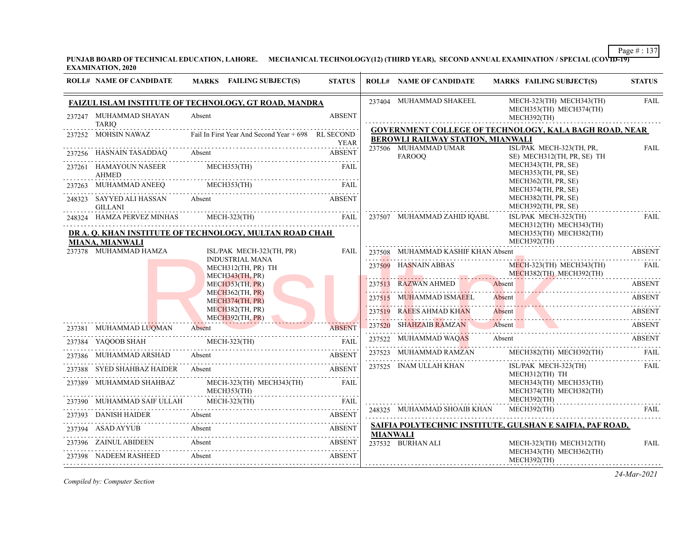**PUNJAB BOARD OF TECHNICAL EDUCATION, LAHORE. MECHANICAL TECHNOLOGY(12) (THIRD YEAR), SECOND ANNUAL EXAMINATION / SPECIAL (COVID-19) EXAMINATION, 2020**

| <b>ROLL# NAME OF CANDIDATE</b>                     | <b>MARKS</b> FAILING SUBJECT(S)                                                                        | <b>STATUS</b> |                 | <b>ROLL# NAME OF CANDIDATE</b>        | <b>MARKS FAILING SUBJECT(S)</b>                                                                                                 | <b>STATUS</b> |
|----------------------------------------------------|--------------------------------------------------------------------------------------------------------|---------------|-----------------|---------------------------------------|---------------------------------------------------------------------------------------------------------------------------------|---------------|
|                                                    | FAIZUL ISLAM INSTITUTE OF TECHNOLOGY, GT ROAD, MANDRA                                                  |               |                 | 237404 MUHAMMAD SHAKEEL               | MECH-323(TH) MECH343(TH)<br>MECH353(TH) MECH374(TH)                                                                             | <b>FAIL</b>   |
| 237247 MUHAMMAD SHAYAN<br>TARIQ                    | Absent                                                                                                 | <b>ABSENT</b> |                 |                                       | MECH392(TH)                                                                                                                     |               |
|                                                    | 237252 MOHSIN NAWAZ Fail In First Year And Second Year + 698 RL SECOND                                 | YEAR          |                 | BEROWLI RAILWAY STATION, MIANWALI     | <b>GOVERNMENT COLLEGE OF TECHNOLOGY, KALA BAGH ROAD, NEAR</b>                                                                   |               |
| 237256 HASNAIN TASADDAQ Absent                     | HASNAIN TASADDAQ Absent ABSENT                                                                         | <b>ABSENT</b> |                 | 237506 MUHAMMAD UMAR<br><b>FAROOO</b> | ISL/PAK MECH-323(TH, PR,<br>SE) MECH312(TH, PR, SE) TH                                                                          | <b>FAIL</b>   |
| 237261 HAMAYOUN NASEER MECH353(TH)<br><b>AHMED</b> |                                                                                                        | FAII.         |                 |                                       | MECH343(TH, PR, SE)<br>MECH353(TH, PR, SE)                                                                                      |               |
|                                                    | ${\bf 237263} \quad {\bf MUHAMMAD ANEEQ} \qquad {\bf MECH353(TH)} \qquad {\bf FAIL} \qquad {\bf FAIL}$ |               |                 |                                       | MECH362(TH, PR, SE)<br>MECH374(TH, PR, SE)                                                                                      |               |
| 248323 SAYYED ALI HASSAN Absent<br><b>GILLANI</b>  |                                                                                                        | <b>ABSENT</b> |                 |                                       | MECH382(TH, PR, SE)<br>MECH392(TH, PR, SE)                                                                                      |               |
|                                                    | 248324 HAMZA PERVEZ MINHAS MECH-323(TH) FAIL                                                           | FAIL          |                 | 237507 MUHAMMAD ZAHID IQABL           | ISL/PAK MECH-323(TH)<br>MECH312(TH) MECH343(TH)                                                                                 | <b>FAIL</b>   |
| <b>MIANA, MIANWALI</b>                             | DR A. Q. KHAN INSTITUTE OF TECHNOLOGY, MULTAN ROAD CHAH                                                |               |                 |                                       | MECH353(TH) MECH382(TH)<br>MECH392(TH)                                                                                          |               |
| 237378 MUHAMMAD HAMZA                              | ISL/PAK MECH-323(TH, PR)<br><b>INDUSTRIAL MANA</b>                                                     | <b>FAIL</b>   |                 | 237508 MUHAMMAD KASHIF KHAN Absent    |                                                                                                                                 |               |
|                                                    | MECH312(TH, PR) TH                                                                                     |               |                 | 237509 HASNAIN ABBAS                  | MECH-323(TH) MECH343(TH)<br>MECH382(TH)_MECH392(TH)                                                                             | FAIL          |
|                                                    | MECH343(TH, PR)<br>MECH353(TH, PR)                                                                     |               |                 | 237513 RAZWAN AHMED                   | Absent<br><u> 1999 - John Barbara, martin da basar 1999 - 1999 - 1999 - 1999 - 1999 - 1999 - 1999 - 1999 - 1999 - 1999 - 19</u> | <b>ABSENT</b> |
|                                                    | MECH362(TH, PR)<br>MECH374(TH, PR)                                                                     |               |                 | 237515 MUHAMMAD ISMAEEL               | Absent                                                                                                                          | ABSENT        |
|                                                    | MECH382(TH, PR)<br>MECH392(TH, PR)                                                                     |               |                 | 237519 RAEES AHMAD KHAN               | Absent<br>237519 RAEES AHMAD KHAN Absent ABSENT                                                                                 | <b>ABSENT</b> |
| 237381 MUHAMMAD LUOMAN                             | <b>Contract Contract</b><br>Absent<br><b>Contract Contract</b>                                         | <b>ABSENT</b> |                 | 237520 SHAHZAIB RAMZAN                | Absent<br><b>Contract Contract Contract Contract Contract</b>                                                                   | ABSENT        |
| 237384 YAQOOB SHAH MECH-323(TH)                    |                                                                                                        |               |                 | 237522 MUHAMMAD WAQAS                 | Absent                                                                                                                          | <b>ABSENT</b> |
| 237386 MUHAMMAD ARSHAD                             | Absent                                                                                                 | <b>ABSENT</b> |                 | 237523 MUHAMMAD RAMZAN                | MECH382(TH) MECH392(TH)                                                                                                         | -FAIL         |
|                                                    | 237388 SYED SHAHBAZ HAIDER Absent ABSENT                                                               |               |                 | 237525 INAM ULLAH KHAN                | ISL/PAK MECH-323(TH)<br>MECH312(TH) TH                                                                                          | <b>FAIL</b>   |
| 237389 MUHAMMAD SHAHBAZ                            | MECH-323(TH) MECH343(TH)<br>MECH353(TH)                                                                | FAIL          |                 |                                       | MECH343(TH) MECH353(TH)<br>MECH374(TH) MECH382(TH)                                                                              |               |
| 237390 MUHAMMAD SAIF ULLAH                         | <b>MECH-323(TH)</b>                                                                                    |               |                 |                                       | MECH392(TH)                                                                                                                     |               |
| 237393 DANISH HAIDER                               | Absent<br><b>ABSENT</b>                                                                                |               |                 | 248325 MUHAMMAD SHOAIB KHAN           | MECH392(TH)                                                                                                                     | <b>FAIL</b>   |
|                                                    | 237394 ASAD AYYUB Absent ABSENT                                                                        |               | <b>MIANWALI</b> |                                       | SAIFIA POLYTECHNIC INSTITUTE, GULSHAN E SAIFIA, PAF ROAD,                                                                       |               |
|                                                    | 237396 ZAINUL ABIDEEN Absent ABSENT ABSENT                                                             | ABSENT        |                 | 237532 BURHAN ALI                     | MECH-323(TH) MECH312(TH)<br>MECH343(TH) MECH362(TH)                                                                             | <b>FAIL</b>   |
| 237398 NADEEM RASHEED                              | Absent                                                                                                 | <b>ABSENT</b> |                 |                                       | MECH392(TH)                                                                                                                     |               |

*Compiled by: Computer Section*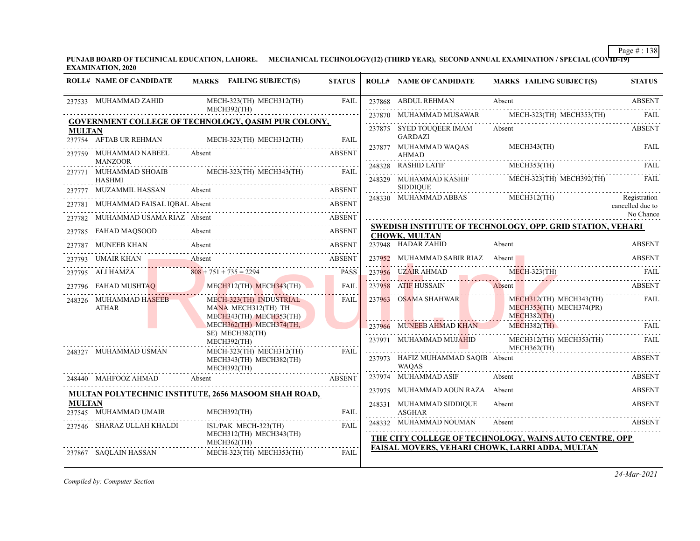**PUNJAB BOARD OF TECHNICAL EDUCATION, LAHORE. MECHANICAL TECHNOLOGY(12) (THIRD YEAR), SECOND ANNUAL EXAMINATION / SPECIAL (COVID-19) EXAMINATION, 2020**

|               | <b>ROLL# NAME OF CANDIDATE</b>                  | MARKS FAILING SUBJECT(S)                                                  | <b>STATUS</b> |             | <b>ROLL# NAME OF CANDIDATE</b>                     | <b>MARKS FAILING SUBJECT(S)</b>                                                                                                              | <b>STATUS</b>                    |
|---------------|-------------------------------------------------|---------------------------------------------------------------------------|---------------|-------------|----------------------------------------------------|----------------------------------------------------------------------------------------------------------------------------------------------|----------------------------------|
|               | 237533 MUHAMMAD ZAHID                           | MECH-323(TH) MECH312(TH)                                                  | FAIL          |             | 237868 ABDUL REHMAN                                | Absent                                                                                                                                       | <b>ABSENT</b>                    |
|               |                                                 | MECH392(TH)<br>GOVERNMENT COLLEGE OF TECHNOLOGY, QASIM PUR COLONY,        |               | .           |                                                    | 237870 MUHAMMAD MUSAWAR MECH-323(TH) MECH353(TH) FAIL                                                                                        |                                  |
| <b>MULTAN</b> |                                                 |                                                                           |               |             | 237875 SYED TOUQEER IMAM                           | Absent                                                                                                                                       | <b>ABSENT</b>                    |
|               |                                                 | 237754 AFTAB UR REHMAN MECH-323(TH) MECH312(TH) FAIL                      |               | 1.1.1.1.1.1 | <b>GARDAZI</b><br>237877 MUHAMMAD WAQAS            | MECH343(TH)                                                                                                                                  | FAIL                             |
|               | 237759 MUHAMMAD NABEEL Absent<br><b>MANZOOR</b> |                                                                           | <b>ABSENT</b> | .           | AHMAD                                              |                                                                                                                                              |                                  |
|               | <b>HASHMI</b>                                   | 237771 MUHAMMAD SHOAIB MECH-323(TH) MECH343(TH) FAIL                      |               |             |                                                    | $\begin{tabular}{ll} \bf 248328 & RASHID LATIF & MECH353(TH) & FAIL \\ \bf \end{tabular}$<br>248329 MUHAMMAD KASHIF MECH-323(TH) MECH392(TH) | FAIL                             |
|               | 237777 MUZAMMIL HASSAN Absent                   |                                                                           | ABSENT        |             | <b>SIDDIQUE</b>                                    |                                                                                                                                              |                                  |
|               | 237781 MUHAMMAD FAISAL IOBAL Absent             |                                                                           | ABSENT        |             | 248330 MUHAMMAD ABBAS                              | $MECH312$ (TH)                                                                                                                               | Registration<br>cancelled due to |
|               |                                                 | 237782 MUHAMMAD USAMA RIAZ Absent ABSENT                                  |               |             |                                                    |                                                                                                                                              | No Chance                        |
|               | 237785 FAHAD MAQSOOD                            | 785 FAHAD MAQSOOD Absent ABSENT                                           |               |             | <b>CHOWK, MULTAN</b>                               | SWEDISH INSTITUTE OF TECHNOLOGY, OPP. GRID STATION, VEHARI                                                                                   |                                  |
|               |                                                 | 237787 MUNEEB KHAN Absent ABSENT                                          |               |             | 237948 HADAR ZAHID<br>237948 HADAR ZAHID 4         | Absent                                                                                                                                       | <b>ABSENT</b>                    |
|               |                                                 | 237793 UMAIR KHAN Absent ABSENT                                           |               |             | 237952 MUHAMMAD SABIR RIAZ Absent                  |                                                                                                                                              | ABSENT                           |
|               |                                                 | 237795 ALI HAMZA 808 + 751 + 735 = 2294 PASS                              |               |             |                                                    | 237956 UZAIR AHMAD MECH-323(TH) FAIL                                                                                                         |                                  |
|               |                                                 | 237796 FAHAD MUSHTAQ MECH312(TH) MECH343(TH)                              | <b>FAIL</b>   |             |                                                    | 237958 ATIF HUSSAIN Absent ABSENT                                                                                                            |                                  |
|               | 248326 MUHAMMAD HASEEB<br>ATHAR                 | MECH-323(TH) INDUSTRIAL<br>MANA MECH312(TH) TH<br>MECH343(TH) MECH353(TH) | <b>FAIL</b>   |             | 237963 OSAMA SHAHWAR                               | MECH312(TH) MECH343(TH)<br>MECH353(TH) MECH374(PR)<br>MECH382(TH)                                                                            | FAIL                             |
|               |                                                 | MECH362(TH) MECH374(TH,                                                   |               |             | 237966 MUNEEB AHMAD KHAN                           | $MECH382$ (TH)                                                                                                                               | FAII.                            |
|               |                                                 | SE) MECH382(TH)<br>MECH392(TH)<br>MECH-323(TH) MECH312(TH)                | FAIL          |             | 237971 MUHAMMAD MUJ <mark>AH</mark> ID             | MECH312(TH) MECH353(TH)<br>MECH362(TH)                                                                                                       | FAIL                             |
|               | 248327 MUHAMMAD USMAN                           | MECH343(TH) MECH382(TH)<br>MECH392(TH)                                    |               |             | 237973 HAFIZ MUHAMMAD SAQIB Absent<br><b>WAOAS</b> |                                                                                                                                              | ABSENT                           |
|               | 248440 MAHFOOZ AHMAD                            | Absent<br><b>ABSENT</b>                                                   |               |             | 237974 MUHAMMAD ASIF                               | Absent                                                                                                                                       | ABSENT                           |
|               |                                                 | MULTAN POLYTECHNIC INSTITUTE, 2656 MASOOM SHAH ROAD,                      |               |             | 237975 MUHAMMAD AOUN RAZA Absent                   |                                                                                                                                              | <b>ABSENT</b>                    |
| <b>MULTAN</b> | 237545 MUHAMMAD UMAIR                           | MECH392(TH)                                                               | <b>FAIL</b>   | .           | 248331 MUHAMMAD SIDDIQUE<br><b>ASGHAR</b>          | Absent                                                                                                                                       | <b>ABSENT</b>                    |
|               | 237546 SHARAZ ULLAH KHALDI                      | ISL/PAK MECH-323(TH)<br>MECH312(TH) MECH343(TH)<br>MECH362(TH)            | FAIL          |             | 248332 MUHAMMAD NOUMAN                             | Absent<br>THE CITY COLLEGE OF TECHNOLOGY, WAINS AUTO CENTRE, OPP                                                                             | ABSENT                           |
|               | 237867 SAQLAIN HASSAN                           | MECH-323(TH) MECH353(TH)                                                  | FAIL          |             |                                                    | <b>FAISAL MOVERS, VEHARI CHOWK, LARRI ADDA, MULTAN</b>                                                                                       |                                  |

*Compiled by: Computer Section*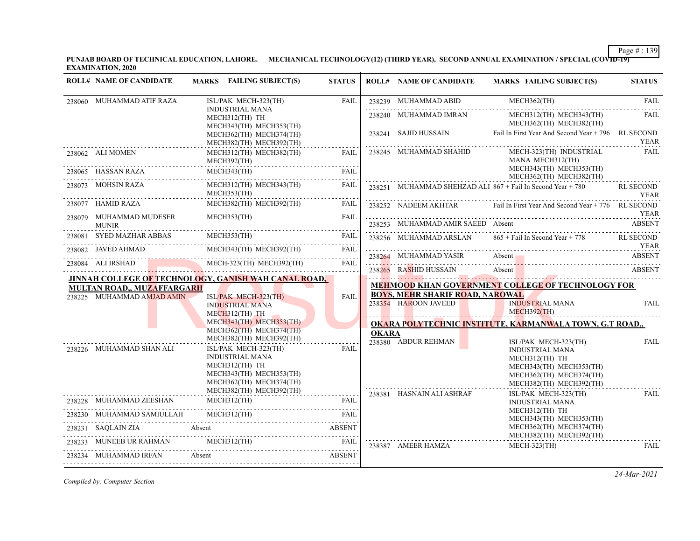**PUNJAB BOARD OF TECHNICAL EDUCATION, LAHORE. MECHANICAL TECHNOLOGY(12) (THIRD YEAR), SECOND ANNUAL EXAMINATION / SPECIAL (COVID-19) EXAMINATION, 2020**

| <b>ROLL# NAME OF CANDIDATE</b>                                  | MARKS FAILING SUBJECT(S)                                                                                                                                             | <b>STATUS</b> |              | <b>ROLL# NAME OF CANDIDATE</b>         | <b>MARKS FAILING SUBJECT(S)</b>                                                                                                                                                                                                                                                     | <b>STATUS</b>                   |
|-----------------------------------------------------------------|----------------------------------------------------------------------------------------------------------------------------------------------------------------------|---------------|--------------|----------------------------------------|-------------------------------------------------------------------------------------------------------------------------------------------------------------------------------------------------------------------------------------------------------------------------------------|---------------------------------|
| 238060 MUHAMMAD ATIF RAZA                                       | ISL/PAK MECH-323(TH)                                                                                                                                                 | <b>FAIL</b>   |              | 238239 MUHAMMAD ABID                   | MECH362(TH)                                                                                                                                                                                                                                                                         | <b>FAIL</b>                     |
|                                                                 | <b>INDUSTRIAL MANA</b><br>MECH312(TH) TH<br>MECH343(TH) MECH353(TH)                                                                                                  |               |              | 238240 MUHAMMAD IMRAN                  | MECH312(TH) MECH343(TH)<br>MECH362(TH) MECH382(TH)                                                                                                                                                                                                                                  | <b>FAIL</b>                     |
|                                                                 | MECH362(TH) MECH374(TH)<br>MECH382(TH) MECH392(TH)                                                                                                                   |               |              |                                        | 238241 SAJID HUSSAIN Fail In First Year And Second Year + 796 RL SECOND                                                                                                                                                                                                             | <b>YEAR</b>                     |
| 238062 ALI MOMEN                                                | MECH312(TH) MECH382(TH)<br>MECH392(TH)                                                                                                                               | FAIL          |              | 238245 MUHAMMAD SHAHID                 | MECH-323(TH) INDUSTRIAL<br>MANA MECH312(TH)                                                                                                                                                                                                                                         | <b>FAIL</b>                     |
|                                                                 | $\underbrace{\text{138065}}_{\text{238065}}\text{ HASSAN RAZA} \underbrace{\text{MECH343(TH)}}_{\text{238065}} \text{FAIL} \underbrace{\text{FAIL}}_{\text{238066}}$ |               |              |                                        | MECH343(TH) MECH353(TH)<br>MECH362(TH) MECH382(TH)                                                                                                                                                                                                                                  |                                 |
| 238073 MOHSIN RAZA                                              | MECH312(TH) MECH343(TH)<br>MECH353(TH)                                                                                                                               | FAIL          |              |                                        | 238251 MUHAMMAD SHEHZAD ALI 867 + Fail In Second Year + 780                                                                                                                                                                                                                         | <b>RL SECOND</b><br><b>YEAR</b> |
| 238077 HAMID RAZA                                               | MECH382(TH) MECH392(TH)                                                                                                                                              | FAIL          |              | 238252 NADEEM AKHTAR                   | Fail In First Year And Second Year + 776 RL SECOND                                                                                                                                                                                                                                  |                                 |
| 238079 MUHAMMAD MUDESER<br><b>MUNIR</b>                         | MECH353(TH)                                                                                                                                                          | FAIL          |              |                                        | 238253 MUHAMMAD AMIR SAEED Absent                                                                                                                                                                                                                                                   | <b>YEAR</b><br><b>ABSENT</b>    |
|                                                                 | MECH353(TH)                                                                                                                                                          | <b>FAIL</b>   |              | 238256 MUHAMMAD ARSLAN                 | 865 + Fail In Second Year + 778 RL SECOND                                                                                                                                                                                                                                           |                                 |
| 238082 JAVED AHMAD                                              | MECH343(TH) MECH392(TH)                                                                                                                                              | FAIL          |              |                                        |                                                                                                                                                                                                                                                                                     | YEAR                            |
| 238084 ALI IRSHAD                                               | 8084 ALI IRSHAD MECH-323(TH) MECH-392(TH) FAIL                                                                                                                       | FAIL          |              | 238265 RASHID HUSSAIN                  | 238264 MUHAMMAD YASIR Absent Absent ABSENT ABSENT<br>Absent and the state of the state of the state of the state of the state of the state of the state of the state of the state of the state of the state of the state of the state of the state of the state of the state of the | ABSENT                          |
|                                                                 | JINNAH COLLEGE OF TECHNOLOGY, GANISH WAH CANAL ROAD, .                                                                                                               |               |              |                                        |                                                                                                                                                                                                                                                                                     |                                 |
| <b>MULTAN ROAD., MUZAFFARGARH</b><br>238225 MUHAMMAD AMJAD AMIN |                                                                                                                                                                      | FAIL          |              | <b>BOYS, MEHR SHARIF ROAD, NAROWAL</b> | <b>MEHMOOD KHAN GOVERNMENT COLLEGE OF TECHNOLOGY FOR</b>                                                                                                                                                                                                                            |                                 |
|                                                                 | $ISL/PAK$ MECH-323(TH)<br><b>INDUSTRIAL MANA</b><br>MECH312(TH) TH<br>$\mathcal{L}$                                                                                  |               |              | 238354 HAROON JAVEED                   | <b>INDUSTRIAL MANA</b><br>MECH392(TH)                                                                                                                                                                                                                                               | <b>FAIL</b>                     |
|                                                                 | MECH343(TH) MECH353(TH)                                                                                                                                              |               |              |                                        | <b>OKARA POLYTECHNIC INSTITUTE, KARMANWALA TOWN, G.T ROAD,,</b>                                                                                                                                                                                                                     |                                 |
| 238226 MUHAMMAD SHAN ALI                                        | MECH362(TH) MECH374(TH)<br>MECH382(TH) MECH392(TH)<br>ISL/PAK MECH-323(TH)                                                                                           | <b>FAIL</b>   | <b>OKARA</b> | 238380 ABDUR REHMAN                    | ISL/PAK MECH-323(TH)<br><b>INDUSTRIAL MANA</b>                                                                                                                                                                                                                                      | <b>FAIL</b>                     |
|                                                                 | <b>INDUSTRIAL MANA</b><br>MECH312(TH) TH<br>MECH343(TH) MECH353(TH)<br>MECH362(TH) MECH374(TH)                                                                       |               |              |                                        | MECH312(TH) TH<br>MECH343(TH) MECH353(TH)<br>MECH362(TH) MECH374(TH)<br>MECH382(TH) MECH392(TH)                                                                                                                                                                                     |                                 |
| 238228 MUHAMMAD ZEESHAN                                         | MECH382(TH) MECH392(TH)<br>MECH312(TH)                                                                                                                               | <b>FAIL</b>   |              | 238381 HASNAIN ALI ASHRAF              | ISL/PAK MECH-323(TH)<br><b>INDUSTRIAL MANA</b>                                                                                                                                                                                                                                      | <b>FAIL</b>                     |
| 238230 MUHAMMAD SAMIULLAH                                       | $MECH312$ (TH)                                                                                                                                                       | FAIL          |              |                                        | MECH312(TH) TH                                                                                                                                                                                                                                                                      |                                 |
| 238231 SAQLAIN ZIA                                              | Absent                                                                                                                                                               | <b>ABSENT</b> |              |                                        | MECH343(TH) MECH353(TH)<br>MECH362(TH) MECH374(TH)                                                                                                                                                                                                                                  |                                 |
|                                                                 | MUNEEB UR RAHMAN MECH312(TH) FAIL                                                                                                                                    | FAIL          |              | 238387 AMEER HAMZA                     | MECH382(TH) MECH392(TH)<br>MECH-323(TH)                                                                                                                                                                                                                                             | <b>FAIL</b>                     |
| 238234 MUHAMMAD IRFAN                                           | Absent                                                                                                                                                               | ABSENT        |              |                                        |                                                                                                                                                                                                                                                                                     |                                 |
|                                                                 |                                                                                                                                                                      |               |              |                                        |                                                                                                                                                                                                                                                                                     |                                 |

*Compiled by: Computer Section*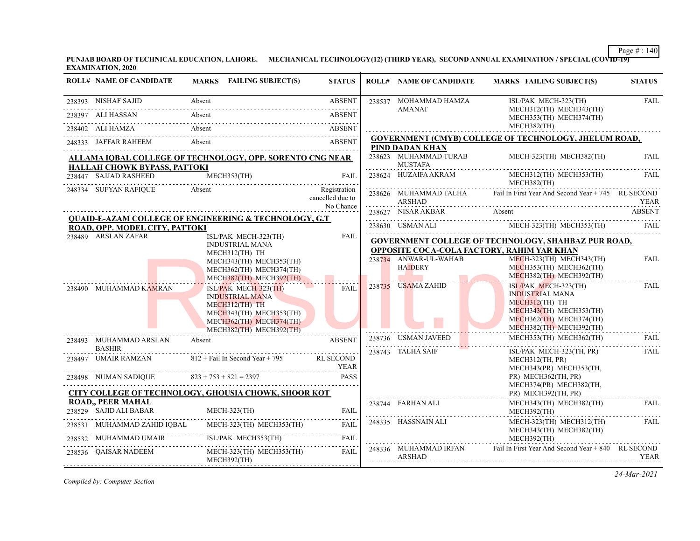**PUNJAB BOARD OF TECHNICAL EDUCATION, LAHORE. MECHANICAL TECHNOLOGY(12) (THIRD YEAR), SECOND ANNUAL EXAMINATION / SPECIAL (COVID-19) EXAMINATION, 2020**

| <b>ROLL# NAME OF CANDIDATE</b>                     | MARKS FAILING SUBJECT(S)                                                                                                                                                                                                                                                                                                                                                                       | <b>STATUS</b>                    | <b>ROLL# NAME OF CANDIDATE</b>          | <b>MARKS FAILING SUBJECT(S)</b>                                                                                                                                                                                                                                                                                                                                                                                                | <b>STATUS</b> |
|----------------------------------------------------|------------------------------------------------------------------------------------------------------------------------------------------------------------------------------------------------------------------------------------------------------------------------------------------------------------------------------------------------------------------------------------------------|----------------------------------|-----------------------------------------|--------------------------------------------------------------------------------------------------------------------------------------------------------------------------------------------------------------------------------------------------------------------------------------------------------------------------------------------------------------------------------------------------------------------------------|---------------|
| 238393 NISHAF SAJID                                | Absent<br>238393 NISHAF SAJID Absent ABSENT                                                                                                                                                                                                                                                                                                                                                    | <b>ABSENT</b>                    | 238537 MOHAMMAD HAMZA                   | ISL/PAK MECH-323(TH)                                                                                                                                                                                                                                                                                                                                                                                                           | <b>FAIL</b>   |
| 238397 ALI HASSAN                                  | Absent<br>38397 ALI HASSAN Absent ABSENT                                                                                                                                                                                                                                                                                                                                                       | <b>ABSENT</b>                    | <b>AMANAT</b>                           | MECH312(TH) MECH343(TH)<br>MECH353(TH) MECH374(TH)                                                                                                                                                                                                                                                                                                                                                                             |               |
|                                                    | 238402 ALIHAMZA Absent ABSENT                                                                                                                                                                                                                                                                                                                                                                  |                                  |                                         | MECH382(TH)                                                                                                                                                                                                                                                                                                                                                                                                                    |               |
|                                                    | 248333 JAFFAR RAHEEM Absent ABSENT ABSENT ABSENT                                                                                                                                                                                                                                                                                                                                               | <b>ABSENT</b>                    | PIND DADAN KHAN                         | <b>GOVERNMENT (CMYB) COLLEGE OF TECHNOLOGY, JHELUM ROAD,</b>                                                                                                                                                                                                                                                                                                                                                                   |               |
| HALLAH CHOWK BYPASS, PATTOKI                       | ALLAMA IQBAL COLLEGE OF TECHNOLOGY, OPP. SORENTO CNG NEAR                                                                                                                                                                                                                                                                                                                                      |                                  | 238623 MUHAMMAD TURAB<br><b>MUSTAFA</b> | MECH-323(TH) MECH382(TH)                                                                                                                                                                                                                                                                                                                                                                                                       | <b>FAIL</b>   |
|                                                    | 238447 SAJJAD RASHEED MECH353(TH) FAIL                                                                                                                                                                                                                                                                                                                                                         |                                  |                                         | 238624 HUZAIFA AKRAM MECH312(TH) MECH353(TH)<br>MECH382(TH)                                                                                                                                                                                                                                                                                                                                                                    | FAIL          |
| 248334 SUFYAN RAFIQUE                              | <b>Absent</b>                                                                                                                                                                                                                                                                                                                                                                                  | Registration<br>cancelled due to | ARSHAD                                  | 238626 MUHAMMAD TALHA Fail In First Year And Second Year + 745 RL SECOND<br>read and the set of the set of the set of the set of the set of the set of the set of the set of the set of th                                                                                                                                                                                                                                     |               |
|                                                    | <b>QUAID-E-AZAM COLLEGE OF ENGINEERING &amp; TECHNOLOGY, G.T</b>                                                                                                                                                                                                                                                                                                                               | No Chance                        | 238627 NISAR AKBAR                      | Absent<br><b>ABSENT</b>                                                                                                                                                                                                                                                                                                                                                                                                        |               |
| ROAD, OPP. MODEL CITY, PATTOKI                     |                                                                                                                                                                                                                                                                                                                                                                                                |                                  |                                         | $\begin{tabular}{c} 238630 & USMAN ALL \\ \hline \end{tabular} \begin{tabular}{c} 238630 & USMAN ALL \\ \hline \end{tabular} \begin{tabular}{c} 238630 & USMAN ALL \\ \hline \end{tabular} \begin{tabular}{c} 238630 & 238630 & 238630 \\ \hline \end{tabular} \begin{tabular}{c} 238630 & 238630 \\ \hline \end{tabular} \begin{tabular}{c} 238630 & 238630 \\ \hline \end{tabular} \begin{tabular}{c} 238630 & 238630 \\ \h$ |               |
| 238489 ARSLAN ZAFAR                                | ISL/PAK MECH-323(TH)<br><b>INDUSTRIAL MANA</b>                                                                                                                                                                                                                                                                                                                                                 | <b>FAIL</b>                      |                                         | <b>GOVERNMENT COLLEGE OF TECHNOLOGY, SHAHBAZ PUR ROAD,</b><br><b>OPPOSITE COCA-COLA FACTORY, RAHIM YAR KHAN</b>                                                                                                                                                                                                                                                                                                                |               |
|                                                    | MECH312(TH) TH<br>MECH343(TH) MECH353(TH)<br>MECH362(TH) MECH374(TH)<br>MECH382(TH) MECH392(TH)                                                                                                                                                                                                                                                                                                |                                  | 238734 ANWAR-UL-WAHAB<br>HAIDERY        | MECH-323(TH) MECH343(TH)<br>MECH353(TH) MECH362(TH)<br>MECH382(TH) MECH392(TH)                                                                                                                                                                                                                                                                                                                                                 | <b>FAIL</b>   |
| 238490 MUHAMMAD KAMRAN                             | ISL/PAK MECH-323(TH)<br><b>INDUSTRIAL MANA</b><br>MECH312(TH) TH<br>MECH343(TH) MECH353(TH)<br>MECH362(TH) MECH374(TH)<br>MECH382(TH) MECH392(TH)                                                                                                                                                                                                                                              | FAIL                             | 238735 USAMA ZAHID                      | ISL/PAK MECH-323(TH)<br><b>INDUSTRIAL MANA</b><br>MECH312(TH) TH<br>MECH343(TH) MECH353(TH)<br>MECH362(TH) MECH374(TH)<br>MECH382(TH) MECH392(TH)                                                                                                                                                                                                                                                                              | FAIL          |
| 238493 MUHAMMAD ARSLAN                             | Absent                                                                                                                                                                                                                                                                                                                                                                                         | <b>ABSENT</b>                    | 238736 USMAN JAVEED                     | MECH353(TH) MECH362(TH)                                                                                                                                                                                                                                                                                                                                                                                                        | <b>FAIL</b>   |
| <b>BASHIR</b>                                      | 238497 UMAIR RAMZAN 812 + Fail In Second Year + 795 RL SECOND<br>$238498$ NUMAN SADIQUE $823 + 753 + 821 = 2397$ PASS                                                                                                                                                                                                                                                                          | YEAR                             | 238743 TALHA SAIF                       | ISL/PAK MECH-323(TH, PR)<br>MECH312(TH, PR)<br>MECH343(PR) MECH353(TH,                                                                                                                                                                                                                                                                                                                                                         | FAIL          |
|                                                    | CITY COLLEGE OF TECHNOLOGY, GHOUSIA CHOWK, SHOOR KOT                                                                                                                                                                                                                                                                                                                                           |                                  |                                         | PR) MECH362(TH, PR)<br>MECH374(PR) MECH382(TH,<br>PR) MECH392(TH, PR)                                                                                                                                                                                                                                                                                                                                                          |               |
| <b>ROAD,, PEER MAHAL</b><br>238529 SAJID ALI BABAR | MECH-323(TH)                                                                                                                                                                                                                                                                                                                                                                                   | <b>FAIL</b>                      | 238744 FARHAN ALI                       | MECH343(TH) MECH382(TH)<br>MECH392(TH)                                                                                                                                                                                                                                                                                                                                                                                         | FAIL          |
|                                                    | ${\bf 238531} \quad {\bf MUHAMMAD ZAHID IQBAL} \qquad {\bf MECH\text{-}323(TH)} \quad {\bf MECH\text{-}353(TH)} \qquad {\bf FAIL} \qquad \qquad {\bf 1311} \qquad {\bf 2321} \qquad {\bf 2332} \qquad {\bf 2333} \qquad {\bf 2341} \qquad {\bf 2341} \qquad {\bf 2353} \qquad {\bf 2363} \qquad {\bf 2371} \qquad {\bf 23853} \qquad {\bf 23853} \qquad {\bf 23853} \qquad {\bf 23853} \qquad$ |                                  | 248335 HASSNAIN ALI                     | MECH-323(TH) MECH312(TH)<br>MECH343(TH) MECH382(TH)                                                                                                                                                                                                                                                                                                                                                                            | <b>FAIL</b>   |
|                                                    | 238532 MUHAMMAD UMAIR ISL/PAK MECH353(TH) FAIL                                                                                                                                                                                                                                                                                                                                                 | FAIL                             |                                         | MECH392(TH)                                                                                                                                                                                                                                                                                                                                                                                                                    |               |
| 238536 QAISAR NADEEM                               | MECH-323(TH) MECH353(TH)<br>MECH392(TH)                                                                                                                                                                                                                                                                                                                                                        | FAIL                             | ARSHAD                                  | 248336 MUHAMMAD IRFAN Fail In First Year And Second Year + 840 RL SECOND                                                                                                                                                                                                                                                                                                                                                       | YEAR          |

*Compiled by: Computer Section*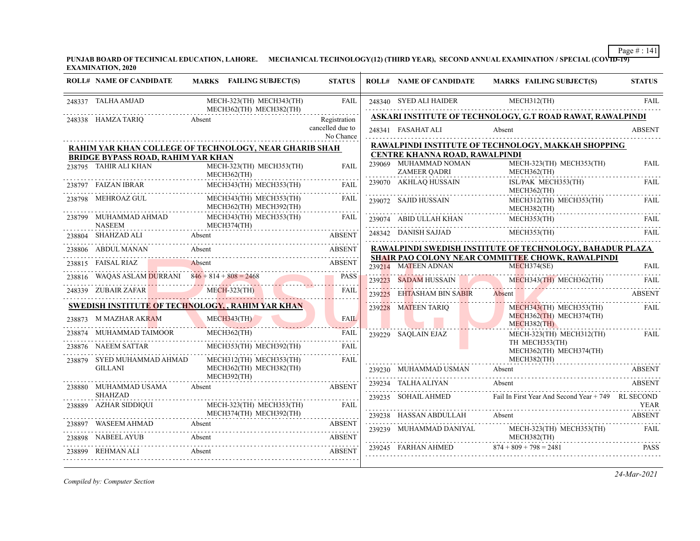**PUNJAB BOARD OF TECHNICAL EDUCATION, LAHORE. MECHANICAL TECHNOLOGY(12) (THIRD YEAR), SECOND ANNUAL EXAMINATION / SPECIAL (COVID-19) EXAMINATION, 2020**

|        | <b>ROLL# NAME OF CANDIDATE</b>                                                                                                                                                                                                                                                                                                                     | <b>MARKS</b> FAILING SUBJECT(S)                        | <b>STATUS</b>                                 |        | <b>ROLL# NAME OF CANDIDATE</b>                    | <b>MARKS FAILING SUBJECT(S)</b>                                                                                                                                                                   | <b>STATUS</b>  |
|--------|----------------------------------------------------------------------------------------------------------------------------------------------------------------------------------------------------------------------------------------------------------------------------------------------------------------------------------------------------|--------------------------------------------------------|-----------------------------------------------|--------|---------------------------------------------------|---------------------------------------------------------------------------------------------------------------------------------------------------------------------------------------------------|----------------|
|        | 248337 TALHA AMJAD                                                                                                                                                                                                                                                                                                                                 | MECH-323(TH) MECH343(TH)                               | <b>FAIL</b>                                   |        | 248340 SYED ALI HAIDER MECH312(TH)                |                                                                                                                                                                                                   | <b>FAIL</b>    |
|        |                                                                                                                                                                                                                                                                                                                                                    | MECH362(TH) MECH382(TH)                                |                                               |        |                                                   | ASKARI INSTITUTE OF TECHNOLOGY, G.T ROAD RAWAT, RAWALPINDI                                                                                                                                        |                |
|        | 248338 HAMZA TARIQ                                                                                                                                                                                                                                                                                                                                 | Absent                                                 | Registration<br>cancelled due to<br>No Chance |        | 248341 FASAHAT ALI                                | Absent                                                                                                                                                                                            | <b>ABSENT</b>  |
|        |                                                                                                                                                                                                                                                                                                                                                    | RAHIM YAR KHAN COLLEGE OF TECHNOLOGY, NEAR GHARIB SHAH |                                               |        |                                                   | RAWALPINDI INSTITUTE OF TECHNOLOGY, MAKKAH SHOPPING                                                                                                                                               |                |
|        | <b>BRIDGE BYPASS ROAD, RAHIM YAR KHAN</b>                                                                                                                                                                                                                                                                                                          |                                                        |                                               |        | CENTRE KHANNA ROAD, RAWALPINDI                    |                                                                                                                                                                                                   |                |
|        | 238795 TAHIR ALI KHAN                                                                                                                                                                                                                                                                                                                              | MECH-323(TH) MECH353(TH)<br>MECH362(TH)                | <b>FAIL</b>                                   |        | 239069 MUHAMMAD NOMAN<br><b>ZAMEER QADRI</b><br>. | MECH-323(TH) MECH353(TH)<br>MECH362(TH)                                                                                                                                                           | <b>FAIL</b>    |
|        | 238797 FAIZAN IBRAR                                                                                                                                                                                                                                                                                                                                | MECH343(TH) MECH353(TH)                                | <b>FAIL</b>                                   |        | 239070 AKHLAQ HUSSAIN                             | ISL/PAK MECH353(TH)<br>MECH362(TH)                                                                                                                                                                | <b>FAIL</b>    |
|        | 238798 MEHROAZ GUL                                                                                                                                                                                                                                                                                                                                 | MECH343(TH) MECH353(TH)<br>MECH362(TH) MECH392(TH)     | FAIL                                          |        | 239072 SAJID HUSSAIN                              | MECH312(TH) MECH353(TH)<br>MECH382(TH)                                                                                                                                                            | FAIL           |
|        | ${\small \begin{tabular}{ll} \bf 238799 & \bf MUHAMMAD AHMAD & \bf \end{tabular}} {\small \begin{tabular}{ll} \bf 138799 & \bf 138799 & \bf 238799 & \bf 338799 & \bf 13879 & \bf 338799 & \bf 13879 & \bf 13879 & \bf 13879 & \bf 13879 & \bf 13879 & \bf 13879 & \bf 13879 & \bf 13879 & \bf 13879 & \bf 13879 & \bf 13879 & \bf 13879 & \bf 13$ | MECH343(TH) MECH353(TH)<br>MECH374(TH)                 | FAIL                                          |        |                                                   | $\begin{tabular}{ll} \bf 239074 & A BID ULLAH KHAN & MECH353(TH) & FAIL \\ \hline \end{tabular} \begin{tabular}{ll} \bf 239074 & A BID ULLAH KHAN & \bf 239074 & ABD DLLAH KHAN \\ \end{tabular}$ |                |
|        |                                                                                                                                                                                                                                                                                                                                                    | 238804 SHAHZAD ALI Absent ABSENT AREA                  | <b>ABSENT</b>                                 |        | 248342 DANISH SAJJAD                              | MECH353(TH)                                                                                                                                                                                       | FAIL           |
|        | 238806 ABDUL MANAN                                                                                                                                                                                                                                                                                                                                 | Absent                                                 | <b>ABSENT</b>                                 |        |                                                   | RAWALPINDI SWEDISH INSTITUTE OF TECHNOLOGY, BAHADUR PLAZA                                                                                                                                         |                |
|        | 238815 FAISAL RIAZ                                                                                                                                                                                                                                                                                                                                 | Absent                                                 | ABSENT                                        |        |                                                   | SHAIR PAO COLONY NEAR COMMITTEE CHOWK, RAWALPINDI                                                                                                                                                 |                |
|        |                                                                                                                                                                                                                                                                                                                                                    | <u> 1999 - Jan James Maria (h. 1989).</u>              |                                               |        | 239214 MATEEN ADNAN                               | MECH374(SE)                                                                                                                                                                                       | FAIL           |
|        |                                                                                                                                                                                                                                                                                                                                                    | 238816 WAQAS ASLAM DURRANI 846 + 814 + 808 = 2468 PASS |                                               |        |                                                   | 239223 SADAM HUSSAIN MECH343(TH) MECH362(TH) FAIL                                                                                                                                                 |                |
|        |                                                                                                                                                                                                                                                                                                                                                    | 248339 ZUBAIR ZAFAR MECH-323(TH)                       | <b>FAIL</b>                                   | 239225 | EHTASHAM BIN SABIR                                | Absent                                                                                                                                                                                            | <b>ABSENT</b>  |
|        |                                                                                                                                                                                                                                                                                                                                                    | SWEDISH INSTITUTE OF TECHNOLOGY, , RAHIM YAR KHAN      |                                               |        | 239228 MATEEN TARIQ                               | MECH343(TH) MECH353(TH)                                                                                                                                                                           | FAIL           |
|        | 238873 M MAZHAR AKRAM                                                                                                                                                                                                                                                                                                                              | M MAZHAR AKRAM MECH343(TH)                             |                                               |        |                                                   | MECH362(TH) MECH374(TH)<br>$MECH382$ (TH)                                                                                                                                                         |                |
|        | 238874 MUHAMMAD TAIMOOR                                                                                                                                                                                                                                                                                                                            | MECH362(TH)                                            | <b>FAIL</b>                                   |        | 239229 SAOLAIN EJAZ                               | MECH-323(TH) MECH312(TH)                                                                                                                                                                          | FAIL           |
|        | 238876 NAEEM SATTAR                                                                                                                                                                                                                                                                                                                                | MECH353(TH) MECH392(TH)                                | FAIL                                          |        |                                                   | TH MECH353(TH)<br>MECH362(TH) MECH374(TH)                                                                                                                                                         |                |
|        | 238879 SYED MUHAMMAD AHMAD                                                                                                                                                                                                                                                                                                                         | MECH312(TH) MECH353(TH)                                | FAIL                                          |        |                                                   | MECH382(TH)                                                                                                                                                                                       |                |
|        | <b>GILLANI</b>                                                                                                                                                                                                                                                                                                                                     | MECH362(TH) MECH382(TH)<br>MECH392(TH)                 |                                               |        | 239230 MUHAMMAD USMAN                             | Absent<br>239230 MUHAMMAD USMAN Absent Absent ABSENT                                                                                                                                              |                |
|        | 238880 MUHAMMAD USAMA                                                                                                                                                                                                                                                                                                                              | Absent                                                 | <b>ABSENT</b>                                 |        | 239234 TALHA ALIYAN                               | Absent                                                                                                                                                                                            | <b>ABSENT</b>  |
|        | SHAHZAD                                                                                                                                                                                                                                                                                                                                            |                                                        |                                               |        | 239235 SOHAIL AHMED                               | Fail In First Year And Second Year + 749 RL SECOND                                                                                                                                                |                |
|        | 238889 AZHAR SIDDIQUI<br><u> </u>                                                                                                                                                                                                                                                                                                                  | MECH-323(TH) MECH353(TH)<br>MECH374(TH) MECH392(TH)    | FAIL                                          |        | 239238 HASSAN ABDULLAH                            | Absent                                                                                                                                                                                            | YEAR<br>ABSENT |
| 238897 |                                                                                                                                                                                                                                                                                                                                                    | WASEEM AHMAD Absent ABSENT ABSENT                      | <b>ABSENT</b>                                 |        |                                                   |                                                                                                                                                                                                   |                |
| 238898 | NABEEL AYUB                                                                                                                                                                                                                                                                                                                                        | Absent                                                 | ABSENT                                        |        |                                                   | 239239 MUHAMMAD DANIYAL MECH-323(TH) MECH353(TH)                                                                                                                                                  | FAIL           |
| 238899 | REHMAN ALI                                                                                                                                                                                                                                                                                                                                         |                                                        | <b>ABSENT</b>                                 |        | 239245 FARHAN AHMED 874 + 809 + 798 = 2481        |                                                                                                                                                                                                   | PASS           |

*Compiled by: Computer Section*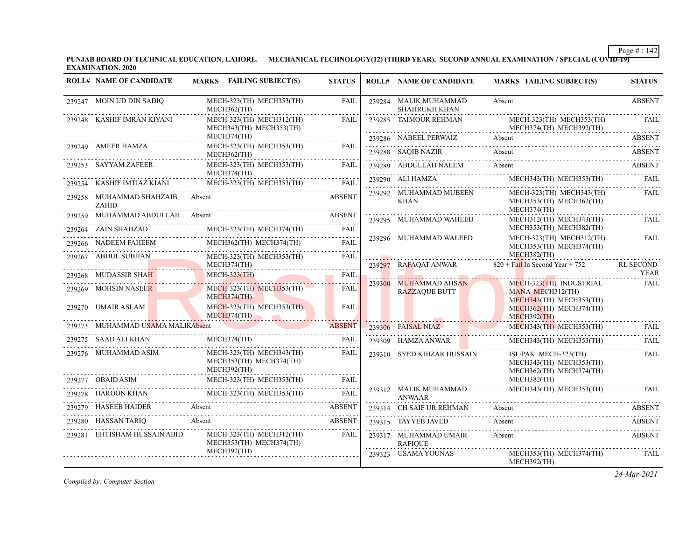**PUNJAB BOARD OF TECHNICAL EDUCATION, LAHORE. MECHANICAL TECHNOLOGY(12) (THIRD YEAR), SECOND ANNUAL EXAMINATION / SPECIAL (COVID-19) EXAMINATION, 2020**

|        | <b>ROLL# NAME OF CANDIDATE</b>                  | MARKS FAILING SUBJECT(S)                                                      | <b>STATUS</b> | <b>ROLL# NAME OF CANDIDATE</b>                                                | <b>MARKS FAILING SUBJECT(S)</b>                                            | <b>STATUS</b>            |
|--------|-------------------------------------------------|-------------------------------------------------------------------------------|---------------|-------------------------------------------------------------------------------|----------------------------------------------------------------------------|--------------------------|
|        | 239247 MOIN UD DIN SADIO                        | MECH-323(TH) MECH353(TH)<br>MECH362(TH)                                       | <b>FAIL</b>   | 239284 MALIK MUHAMMAD<br><b>SHAHRUKH KHAN</b>                                 | Absent                                                                     | <b>ABSENT</b>            |
|        | 239248 KASHIF IMRAN KIYANI                      | MECH-323(TH) MECH312(TH)<br>MECH343(TH) MECH353(TH)                           | <b>FAIL</b>   | 239285 TAIMOUR REHMAN                                                         | MECH-323(TH) MECH353(TH)<br>MECH374(TH) MECH392(TH)                        | FAIL                     |
|        |                                                 | MECH374(TH)                                                                   |               | 239286 NABEEL PERWAIZ                                                         | Absent                                                                     | <b>ABSENT</b>            |
|        | 239249 AMEER HAMZA                              | MECH-323(TH) MECH353(TH)<br>MECH362(TH)                                       | <b>FAIL</b>   | 239288 SAOIB NAZIR                                                            | Absent<br>239288 SAQIB NAZIR Absent Absent ABSENT                          | <b>ABSENT</b>            |
|        | 239253 SAYYAM ZAFEER                            | MECH-323(TH) MECH353(TH)<br>MECH374(TH)                                       | <b>FAIL</b>   | 239289 ABDULLAH NAEEM Absent                                                  |                                                                            | ABSENT                   |
|        | 239254 KASHIF IMTIAZ KIANI                      | MECH-323(TH) MECH353(TH)                                                      | <b>FAIL</b>   | 239290 ALI HAMZA                                                              | MECH343(TH) MECH353(TH)                                                    | FAIL                     |
|        | 239258 MUHAMMAD SHAHZAIB Absent<br><b>ZAHID</b> |                                                                               | <b>ABSENT</b> | 239292 MUHAMMAD MUBEEN<br><b>KHAN</b>                                         | MECH-323(TH) MECH343(TH)<br>MECH353(TH) MECH362(TH)<br>MECH374(TH)         | FAIL                     |
|        | 239259 MUHAMMAD ABDULLAH Absent                 |                                                                               | <b>ABSENT</b> | 239295 MUHAMMAD WAHEED                                                        | MECH312(TH) MECH343(TH)                                                    | <b>FAIL</b>              |
|        | 239264 ZAIN SHAHZAD                             | MECH-323(TH) MECH374(TH)                                                      | <b>FAIL</b>   |                                                                               | MECH353(TH) MECH382(TH)                                                    |                          |
|        | 239266 NADEEM FAHEEM                            | MECH362(TH) MECH374(TH)                                                       | <b>FAIL</b>   | 239296 MUHAMMAD WALEED                                                        | MECH-323(TH) MECH312(TH)<br>MECH353(TH) MECH374(TH)                        | FAIL                     |
|        | 239267 ABDUL SUBHAN                             | MECH-323(TH) MECH353(TH)                                                      | FAIL          |                                                                               | MECH382(TH)                                                                |                          |
|        |                                                 | MECH374(TH)                                                                   |               | 239297 RAFAOAT ANWAR                                                          | $820 +$ Fail In Second Year + 752                                          | <b>RL SECOND</b><br>YEAR |
|        | 239268 MUDASSIR SHAH                            | <b>MECH-323(TH)</b>                                                           | FAIL          | 239300 MUHAMMAD AHSAN                                                         | MECH-323(TH) INDUSTRIAL                                                    | FAIL                     |
|        | 239269 MOHSIN NASEER                            | $MECH-323(TH)$ $MECH353(TH)$<br>MECH374(TH)                                   | FAIL          | <b>RAZZAQUE BUTT</b>                                                          | MANA MECH312(TH)<br>MECH343(TH) MECH353(TH)                                |                          |
|        | 239270 UMAIR ASLAM                              | $MECH-323(TH)$ MECH353(TH)<br>$MECH374$ (TH)<br><u> Andrea Andrea Andrea </u> | FAIL          |                                                                               | MECH362(TH) MECH374(TH)<br>$MECH392$ (TH)                                  | .                        |
|        | 239273 MUHAMMAD USAMA MALIKAbsent               |                                                                               | <b>ABSENT</b> | 239306 FAISAL NIAZ                                                            | MECH343(TH) MECH353(TH)                                                    | FAIL                     |
|        | 239275 SAAD ALI KHAN                            | MECH374(TH)                                                                   | <b>FAIL</b>   | 239309 HAMZA ANWAR                                                            | MECH343(TH) MECH353(TH)                                                    | FAIL                     |
|        | 239276 MUHAMMAD ASIM                            | MECH-323(TH) MECH343(TH)<br>MECH353(TH) MECH374(TH)<br>MECH392(TH)            | FAIL<br>.     | the contract of the contract of the contract of<br>239310 SYED KHIZAR HUSSAIN | ISL/PAK MECH-323(TH)<br>MECH343(TH) MECH353(TH)<br>MECH362(TH) MECH374(TH) | FAIL                     |
|        | OBAID ASIM                                      | MECH-323(TH) MECH353(TH)                                                      | <b>FAIL</b>   |                                                                               | MECH382(TH)                                                                |                          |
|        |                                                 | MECH-323(TH) MECH353(TH)<br>HAROON KHAN MECH-323(TH) MECH353(TH) FAIL         |               | 239312 MALIK MUHAMMAD<br><b>ANWAAR</b>                                        | MECH343(TH) MECH353(TH)                                                    | <b>FAIL</b>              |
|        | 239279 HASEEB HAIDER                            | Absent                                                                        | ABSENT        | 239314 CH SAIF UR REHMAN                                                      | Absent                                                                     | ABSENT                   |
| 239280 | HASSAN TARIQ                                    | Absent                                                                        | ABSENT        | 239315 TAYYEB JAVED                                                           | Absent                                                                     | ABSENT                   |
|        | 239281 EHTISHAM HUSSAIN ABID                    | MECH-323(TH) MECH312(TH)<br>MECH353(TH) MECH374(TH)                           | FAIL          | 239317 MUHAMMAD UMAIR<br><b>RAFIOUE</b><br>.                                  | Absent                                                                     | ABSENT                   |
|        |                                                 | MECH392(TH)                                                                   |               | 239323 USAMA YOUNAS                                                           | MECH353(TH) MECH374(TH)<br>MECH392(TH)                                     | FAIL                     |

*Compiled by: Computer Section*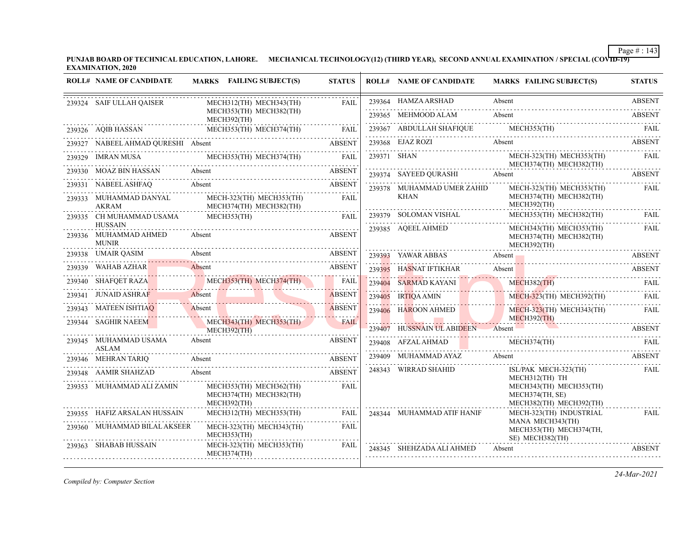**PUNJAB BOARD OF TECHNICAL EDUCATION, LAHORE. MECHANICAL TECHNOLOGY(12) (THIRD YEAR), SECOND ANNUAL EXAMINATION / SPECIAL (COVID-19) EXAMINATION, 2020**

| <b>ROLL# NAME OF CANDIDATE</b>                          | MARKS FAILING SUBJECT(S)                                                  | <b>STATUS</b> | <b>ROLL# NAME OF CANDIDATE</b> | <b>MARKS FAILING SUBJECT(S)</b>                                       | <b>STATUS</b> |
|---------------------------------------------------------|---------------------------------------------------------------------------|---------------|--------------------------------|-----------------------------------------------------------------------|---------------|
| 239324 SAIF ULLAH QAISER                                | MECH312(TH) MECH343(TH)                                                   | <b>FAIL</b>   | 239364 HAMZA ARSHAD            | Absent                                                                | <b>ABSENT</b> |
|                                                         | MECH353(TH) MECH382(TH)<br>MECH392(TH)                                    |               | 239365 MEHMOOD ALAM            | Absent                                                                | <b>ABSENT</b> |
| 239326 AQIB HASSAN                                      | MECH353(TH) MECH374(TH)<br>.9326 AQIB HASSAN MECH353(TH) MECH374(TH) FAIL |               |                                | 239367 ABDULLAH SHAFIQUE MECH353(TH) FAIL                             |               |
| 239327 NABEEL AHMAD QURESHI Absent                      | ABSEN AHMAD QURESHI Absent ABSENT ABSENT                                  | <b>ABSENT</b> | 239368 EJAZ ROZI Absent        |                                                                       | <b>ABSENT</b> |
|                                                         | 239329 IMRAN MUSA MECH353(TH) MECH374(TH) FAIL                            |               | 239371 SHAN                    | MECH-323(TH) MECH353(TH) FAIL<br>MECH374(TH) MECH382(TH)              |               |
| 239330 MOAZ BIN HASSAN                                  | 9330 MOAZ BIN HASSAN Absent ABSENT ABSENT                                 | <b>ABSENT</b> | 239374 SAYEED QURASHI Absent   |                                                                       | <b>ABSENT</b> |
| 239331 NABEEL ASHFAQ                                    | Absent                                                                    | <b>ABSENT</b> | 239378 MUHAMMAD UMER ZAHID     | MECH-323(TH) MECH353(TH)                                              | FAIL          |
| 239333 MUHAMMAD DANYAL<br><b>AKRAM</b>                  | MECH-323(TH) MECH353(TH)<br>MECH374(TH) MECH382(TH)                       | <b>FAIL</b>   | <b>KHAN</b>                    | MECH374(TH) MECH382(TH)<br>MECH392(TH)                                |               |
| 239335 CH MUHAMMAD USAMA                                | MECH353(TH)                                                               | FAIL          |                                | 239379 SOLOMAN VISHAL MECH353(TH) MECH382(TH) FAIL                    |               |
| <b>HUSSAIN</b><br>239336 MUHAMMAD AHMED<br><b>MUNIR</b> | Absent                                                                    | <b>ABSENT</b> | 239385 AQEEL AHMED             | MECH343(TH) MECH353(TH)<br>MECH374(TH) MECH382(TH)<br>MECH392(TH)     | FAIL          |
| 239338 UMAIR QASIM                                      | Absent                                                                    | <b>ABSENT</b> |                                | 239393 YAWAR ABBAS Absent Absent ABSENT                               |               |
| 239339 WAHAB AZHAR                                      | Absent                                                                    | <b>ABSENT</b> | 239395 HASNAT IFTIKHAR         | Absent                                                                | ABSENT        |
|                                                         | 239340 SHAFQET RAZA MECH353(TH) MECH374(TH)                               | FAIL          | 239404 SARMAD KAYANI           | MECH382(TH) FAIL<br><b>START</b>                                      |               |
| 239341 JUNAID ASHRAF                                    | Absent                                                                    | <b>ABSENT</b> | 239405 IRTIQA AMIN             | MECH-323(TH) MECH392(TH)                                              | FAIL          |
| 239343 MATEEN ISHTIAQ                                   | Absent                                                                    | <b>ABSENT</b> | 239406 HAROON AHMED            | MECH-323(TH) MECH343(TH)                                              | FAIL          |
| 239344 SAGHIR NAEEM                                     | MECH343(TH) MECH353(TH)<br>MECH392(TH)                                    | <b>FAIL</b>   |                                | $MECH392$ (TH)<br>239407 HUSSNAIN UL ABIDEEN Absent ABSENT            |               |
| 239345 MUHAMMAD USAMA<br><b>ASLAM</b>                   | Absent                                                                    | <b>ABSENT</b> |                                | 239408 AFZAL AHMAD MECH374(TH) FAIL                                   |               |
| 239346 MEHRAN TARIQ                                     | Absent                                                                    | <b>ABSENT</b> |                                | 239409 MUHAMMAD AYAZ Absent ABSENT                                    |               |
| 239348 AAMIR SHAHZAD                                    | Absent                                                                    | <b>ABSENT</b> | 248343 WIRRAD SHAHID           | ISL/PAK MECH-323(TH)<br>MECH312(TH) TH                                | FAIL          |
| 239353 MUHAMMAD ALI ZAMIN                               | MECH353(TH) MECH362(TH)<br>MECH374(TH) MECH382(TH)<br>MECH392(TH)         | FAIL          |                                | MECH343(TH) MECH353(TH)<br>MECH374(TH, SE)<br>MECH382(TH) MECH392(TH) |               |
| 239355     HAFIZ ARSALAN HUSSAIN                        | MECH312(TH) MECH353(TH)                                                   | FAIL          | 248344 MUHAMMAD ATIF HANIF     | MECH-323(TH) INDUSTRIAL                                               | FAIL          |
| 239360 MUHAMMAD BILAL AKSEER                            | MECH-323(TH) MECH343(TH)<br>MECH353(TH)                                   | FAIL          |                                | MANA MECH343(TH)<br>MECH353(TH) MECH374(TH,<br>SE) MECH382(TH)        |               |
| 239363 SHABAB HUSSAIN                                   | MECH-323(TH) MECH353(TH)<br>MECH374(TH)                                   | FAIL          | 248345 SHEHZADA ALI AHMED      | Absent                                                                | ABSENT        |

*Compiled by: Computer Section*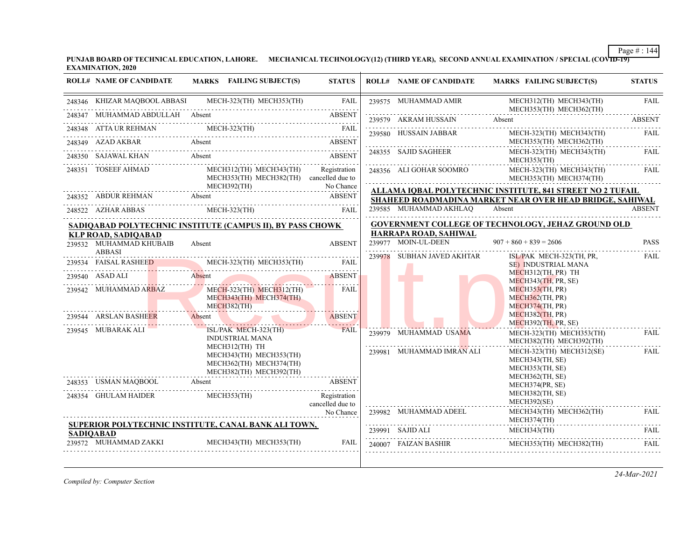**PUNJAB BOARD OF TECHNICAL EDUCATION, LAHORE. MECHANICAL TECHNOLOGY(12) (THIRD YEAR), SECOND ANNUAL EXAMINATION / SPECIAL (COVID-19) EXAMINATION, 2020**

| <b>ROLL# NAME OF CANDIDATE</b>            | <b>MARKS</b> FAILING SUBJECT(S)                                                                 | <b>STATUS</b>                    | <b>ROLL# NAME OF CANDIDATE</b>                                                                                  | <b>MARKS FAILING SUBJECT(S)</b>                                                                                                                                                                                                                                                                                                                                                                                          | <b>STATUS</b>    |
|-------------------------------------------|-------------------------------------------------------------------------------------------------|----------------------------------|-----------------------------------------------------------------------------------------------------------------|--------------------------------------------------------------------------------------------------------------------------------------------------------------------------------------------------------------------------------------------------------------------------------------------------------------------------------------------------------------------------------------------------------------------------|------------------|
|                                           | 248346 KHIZAR MAQBOOL ABBASI MECH-323(TH) MECH353(TH)                                           | FAIL                             | 239575 MUHAMMAD AMIR                                                                                            | MECH312(TH) MECH343(TH)<br>MECH353(TH) MECH362(TH)                                                                                                                                                                                                                                                                                                                                                                       | <b>FAIL</b>      |
| 248347 MUHAMMAD ABDULLAH Absent           |                                                                                                 | <b>ABSENT</b>                    |                                                                                                                 | 239579 AKRAM HUSSAIN Absent ABSENT                                                                                                                                                                                                                                                                                                                                                                                       |                  |
|                                           |                                                                                                 |                                  | 239580 HUSSAIN JABBAR                                                                                           | MECH-323(TH) MECH343(TH)                                                                                                                                                                                                                                                                                                                                                                                                 | FAIL             |
| 248349 AZAD AKBAR Absent                  |                                                                                                 | <b>ABSENT</b>                    |                                                                                                                 | MECH353(TH) MECH362(TH)                                                                                                                                                                                                                                                                                                                                                                                                  |                  |
| 248350 SAJAWAL KHAN Absent                |                                                                                                 | <b>ABSENT</b>                    | 248355 SAJID SAGHEER                                                                                            | MECH-323(TH) MECH343(TH)<br>MECH353(TH)                                                                                                                                                                                                                                                                                                                                                                                  | <b>FAIL</b>      |
| 248351 TOSEEF AHMAD                       | MECH312(TH) MECH343(TH)<br>MECH353(TH) MECH382(TH) cancelled due to<br>MECH392(TH)              | Registration<br>No Chance        | 248356 ALI GOHAR SOOMRO                                                                                         | MECH-323(TH) MECH343(TH)<br>MECH353(TH) MECH374(TH)                                                                                                                                                                                                                                                                                                                                                                      | <b>FAIL</b><br>. |
|                                           |                                                                                                 |                                  |                                                                                                                 | <b>ALLAMA IOBAL POLYTECHNIC INSTITUTE, 841 STREET NO 2 TUFAIL</b>                                                                                                                                                                                                                                                                                                                                                        |                  |
|                                           | 248352 ABDUR REHMAN Absent ABSENT<br>248522 AZHAR ABBAS MECH-323(TH)                            | FAIL                             | 239585 MUHAMMAD AKHLAO                                                                                          | SHAHEED ROADMADINA MARKET NEAR OVER HEAD BRIDGE, SAHIWAL<br>Absent                                                                                                                                                                                                                                                                                                                                                       | <b>ABSENT</b>    |
|                                           |                                                                                                 |                                  |                                                                                                                 |                                                                                                                                                                                                                                                                                                                                                                                                                          |                  |
| <b>KLP ROAD, SADIOABAD</b>                | SADIQABAD POLYTECHNIC INSTITUTE (CAMPUS II), BY PASS CHOWK                                      |                                  | HARRAPA ROAD, SAHIWAL                                                                                           | <b>GOVERNMENT COLLEGE OF TECHNOLOGY, JEHAZ GROUND OLD</b>                                                                                                                                                                                                                                                                                                                                                                |                  |
| 239532 MUHAMMAD KHUBAIB                   | Absent                                                                                          | <b>ABSENT</b>                    | 239977 MOIN-UL-DEEN                                                                                             | $907 + 860 + 839 = 2606$                                                                                                                                                                                                                                                                                                                                                                                                 | <b>PASS</b>      |
| <b>ABBASI</b>                             | 239534 FAISAL RASHEED MECH-323(TH) MECH353(TH)                                                  | FAIL                             | 239978 SUBHAN JAVED AKHTAR                                                                                      | ISL/PAK MECH-323(TH, PR,<br>SE) INDUSTRIAL MANA                                                                                                                                                                                                                                                                                                                                                                          | FAIL             |
| 239540 ASAD ALI                           | Absent                                                                                          | <b>ABSENT</b>                    |                                                                                                                 | MECH312(TH, PR) TH                                                                                                                                                                                                                                                                                                                                                                                                       |                  |
|                                           |                                                                                                 |                                  |                                                                                                                 | MECH343(TH, PR, SE)<br>MECH353(TH, PR)                                                                                                                                                                                                                                                                                                                                                                                   |                  |
| 239542 MUHAMMAD ARBAZ                     | $MECH-323(TH)$ $MECH312(TH)$<br>MECH343(TH) MECH374(TH)<br>MECH382(TH)                          | FAIL                             |                                                                                                                 | MECH362(TH, PR)<br>MECH374(TH, PR)                                                                                                                                                                                                                                                                                                                                                                                       |                  |
| 239544 ARSLAN BASHEER                     | Absent                                                                                          | <b>ABSENT</b>                    |                                                                                                                 | MECH382(TH, PR)                                                                                                                                                                                                                                                                                                                                                                                                          |                  |
| 239545 MUBARAK ALI                        | ISL/PAK MECH-323(TH)                                                                            | <b>FAIL</b>                      | 239979 MUHAMMAD USAMA                                                                                           | $MECH392$ (TH, PR, SE)<br>MECH-323(TH) MECH353(TH)                                                                                                                                                                                                                                                                                                                                                                       | .<br>FAIL        |
|                                           | <b>INDUSTRIAL MANA</b>                                                                          |                                  | the contract of the contract of the contract of the contract of the contract of the contract of the contract of | MECH382(TH) MECH392(TH)                                                                                                                                                                                                                                                                                                                                                                                                  |                  |
|                                           | MECH312(TH) TH<br>MECH343(TH) MECH353(TH)<br>MECH362(TH) MECH374(TH)<br>MECH382(TH) MECH392(TH) |                                  | 239981 MUHAMMAD IMRAN ALI                                                                                       | $MECH-323$ (TH) $MECH312$ (SE)<br>MECH343(TH, SE)<br>MECH353(TH, SE)                                                                                                                                                                                                                                                                                                                                                     | FAIL             |
|                                           | 248353 USMAN MAQBOOL Absent ABSENT                                                              |                                  |                                                                                                                 | MECH362(TH, SE)<br>MECH374(PR, SE)                                                                                                                                                                                                                                                                                                                                                                                       |                  |
| 248354 GHULAM HAIDER MECH353(TH)          |                                                                                                 | Registration<br>cancelled due to |                                                                                                                 | MECH382(TH, SE)<br>MECH392(SE)                                                                                                                                                                                                                                                                                                                                                                                           |                  |
|                                           |                                                                                                 | No Chance                        | 239982 MUHAMMAD ADEEL                                                                                           | MECH343(TH) MECH362(TH)                                                                                                                                                                                                                                                                                                                                                                                                  | FAIL.            |
|                                           |                                                                                                 |                                  |                                                                                                                 | MECH374(TH)                                                                                                                                                                                                                                                                                                                                                                                                              |                  |
|                                           | SUPERIOR POLYTECHNIC INSTITUTE, CANAL BANK ALI TOWN,                                            |                                  |                                                                                                                 |                                                                                                                                                                                                                                                                                                                                                                                                                          |                  |
| <b>SADIOABAD</b><br>239572 MUHAMMAD ZAKKI | MECH343(TH) MECH353(TH)                                                                         | <b>FAIL</b>                      | 240007 FAIZAN BASHIR                                                                                            | MECH343(TH)<br>$\begin{tabular}{ll} \bf 239991 & \bf SAJD ALI & \bf MECH343(TH) & \bf FAIL \\ \bf \end{tabular} \begin{tabular}{ll} \bf 239991 & \bf SAJD ALI & \bf 239991 & \bf FAIL \\ \bf 239991 & \bf 239991 & \bf FAIL \\ \bf 239991 & \bf FALI & \bf 239991 & \bf FALI \\ \bf 239991 & \bf FALI & \bf 239991 & \bf FALI \\ \bf 239991 & \bf FALI & \bf 239991 & \bf FALI \\ \bf 239991$<br>MECH353(TH) MECH382(TH) |                  |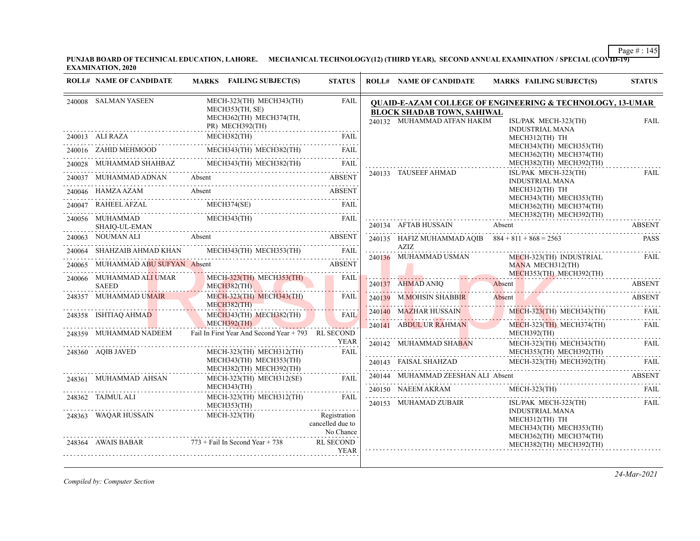**PUNJAB BOARD OF TECHNICAL EDUCATION, LAHORE. MECHANICAL TECHNOLOGY(12) (THIRD YEAR), SECOND ANNUAL EXAMINATION / SPECIAL (COVID-19) EXAMINATION, 2020**

|        | <b>ROLL# NAME OF CANDIDATE</b>           | MARKS FAILING SUBJECT(S)                                                                  | <b>STATUS</b>                                 | <b>ROLL# NAME OF CANDIDATE</b>                                   | <b>MARKS FAILING SUBJECT(S)</b>                                                                        | <b>STATUS</b> |
|--------|------------------------------------------|-------------------------------------------------------------------------------------------|-----------------------------------------------|------------------------------------------------------------------|--------------------------------------------------------------------------------------------------------|---------------|
|        | 240008 SALMAN YASEEN                     | MECH-323(TH) MECH343(TH)<br>MECH353(TH, SE)<br>MECH362(TH) MECH374(TH,<br>PR) MECH392(TH) | FAIL                                          | <b>BLOCK SHADAB TOWN, SAHIWAL</b><br>240132 MUHAMMAD ATFAN HAKIM | QUAID-E-AZAM COLLEGE OF ENGINEERING & TECHNOLOGY, 13-UMAR<br>ISL/PAK MECH-323(TH)                      | <b>FAIL</b>   |
|        | 240013 ALI RAZA                          | MECH382(TH)                                                                               | FAIL                                          |                                                                  | <b>INDUSTRIAL MANA</b><br>MECH312(TH) TH                                                               |               |
|        |                                          | 240016 ZAHID MEHMOOD MECH343(TH) MECH382(TH) FAIL                                         |                                               |                                                                  | MECH343(TH) MECH353(TH)<br>MECH362(TH) MECH374(TH)                                                     |               |
|        |                                          | $240028 \quad \text{MUHAMMAD SHAHBAZ} \quad \text{MECH343(TH)} \quad \text{MECH382(TH)}$  | FAIL                                          |                                                                  | MECH382(TH) MECH392(TH)                                                                                | .             |
|        | 240037 MUHAMMAD ADNAN                    | Absent                                                                                    | <b>ABSENT</b>                                 | 240133 TAUSEEF AHMAD                                             | ISL/PAK MECH-323(TH)<br><b>INDUSTRIAL MANA</b>                                                         | FAIL          |
|        |                                          | 240046 HAMZA AZAM Absent ABSENT                                                           |                                               |                                                                  | MECH312(TH) TH<br>MECH343(TH) MECH353(TH)                                                              |               |
|        |                                          | 240047 RAHEEL AFZAL MECH374(SE) FAIL RECH374(SE)                                          |                                               |                                                                  | MECH362(TH) MECH374(TH)                                                                                |               |
|        | 240056 MUHAMMAD                          | MECH343(TH)<br>SHAIQ-UL-EMAN                                                              | FAIL                                          | 240134 AFTAB HUSSAIN                                             | MECH382(TH) MECH392(TH)<br>Absent                                                                      | <b>ABSENT</b> |
|        | 240063 NOUMAN ALI                        |                                                                                           |                                               |                                                                  | 240135 HAFIZ MUHAMMAD AQIB $884 + 811 + 868 = 2563$                                                    | <b>PASS</b>   |
| 240064 |                                          | SHAHZAIB AHMAD KHAN MECH343(TH) MECH353(TH) FAIL                                          |                                               | AZIZ                                                             |                                                                                                        |               |
|        | 240065 MUHAMMAD ABU SUFYAN Absent        |                                                                                           | <b>ABSENT</b>                                 | 240136 MUHAMMAD USMAN                                            | MECH-323(TH) INDUSTRIAL<br>MANA MECH312(TH)                                                            | FAIL          |
|        | 240066 MUHAMMAD ALI UMAR<br><b>SAEED</b> | MECH-323(TH) MECH353(TH)<br>$MECH382$ (TH)                                                | FAIL                                          | 240137 AHMAD ANIQ                                                | MECH353(TH) MECH392(TH)<br>240137 AHMAD ANIQ Absent ABSENT                                             |               |
|        | 248357 MUHAMMAD UMAIR                    | MECH-323(TH) MECH343(TH)<br>MECH382(TH)                                                   | <b>FAIL</b>                                   | 240139 M.MOHSIN SHABBIR                                          | Absent                                                                                                 | <b>ABSENT</b> |
|        | 248358 ISHTIAQ AHMAD                     | MECH343(TH) MECH382(TH)<br>MECH392(TH)                                                    | FAIL                                          |                                                                  | 240140 MAZHAR HUSSAIN MECH-323(TH) MECH343(TH)                                                         | FAIL          |
|        | 248359 MUHAMMAD NADEEM                   | Fail In First Year And Second Year + 793 RL SECOND                                        |                                               | 240141 ABDUL UR RAHMAN                                           | MECH-323(TH) MECH374(TH)<br>MECH392(TH)                                                                | FAII.         |
|        | 248360 AQIB JAVED                        | MECH-323(TH) MECH312(TH)                                                                  | <b>YEAR</b><br><b>FAIL</b>                    |                                                                  | MECH-323(TH) MECH343(TH)<br>MECH353(TH) MECH392(TH)                                                    | FAIL          |
|        |                                          | MECH343(TH) MECH353(TH)                                                                   |                                               |                                                                  | 240143 FAISAL SHAHZAD MECH-323(TH) MECH392(TH)<br>240143 FAISAL SHAHZAD MECH-323(TH) MECH-392(TH) FAIL |               |
|        | 248361 MUHAMMAD AHSAN                    | MECH382(TH) MECH392(TH)<br>MECH-323(TH) MECH312(SE)                                       | FAIL                                          | 240144 MUHAMMAD ZEESHAN ALI Absent                               |                                                                                                        | <b>ABSENT</b> |
|        |                                          | MECH343(TH)                                                                               |                                               | 240150 NAEEM AKRAM                                               | $MECH-323$ (TH)                                                                                        | FAIL          |
|        | 248362 TAJMUL ALI                        | MECH-323(TH) MECH312(TH)<br>MECH353(TH)                                                   | FAIL.                                         | 240153 MUHAMAD ZUBAIR                                            | ISL/PAK MECH-323(TH)                                                                                   | FAIL          |
|        | 248363 WAQAR HUSSAIN                     | MECH-323(TH)                                                                              | Registration<br>cancelled due to<br>No Chance |                                                                  | <b>INDUSTRIAL MANA</b><br>MECH312(TH) TH<br>MECH343(TH) MECH353(TH)<br>MECH362(TH) MECH374(TH)         |               |
|        | 248364 AWAIS BABAR                       | $773 +$ Fail In Second Year + 738                                                         | <b>RL SECOND</b><br><b>YEAR</b>               |                                                                  | MECH382(TH) MECH392(TH)                                                                                |               |

*Compiled by: Computer Section*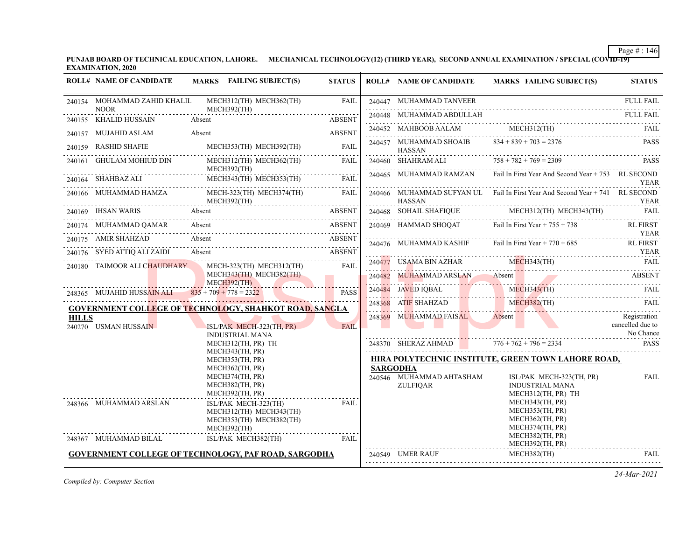**PUNJAB BOARD OF TECHNICAL EDUCATION, LAHORE. MECHANICAL TECHNOLOGY(12) (THIRD YEAR), SECOND ANNUAL EXAMINATION / SPECIAL (COVID-19) EXAMINATION, 2020**

|                                                | <b>ROLL# NAME OF CANDIDATE</b>              | MARKS FAILING SUBJECT(S)                                                                  | <b>STATUS</b> |        | <b>ROLL# NAME OF CANDIDATE</b>                                 | MARKS FAILING SUBJECT(S)                                                     | <b>STATUS</b>                                 |
|------------------------------------------------|---------------------------------------------|-------------------------------------------------------------------------------------------|---------------|--------|----------------------------------------------------------------|------------------------------------------------------------------------------|-----------------------------------------------|
|                                                | 240154 MOHAMMAD ZAHID KHALIL<br><b>NOOR</b> | MECH312(TH) MECH362(TH)<br>MECH392(TH)                                                    | <b>FAIL</b>   |        | 240447 MUHAMMAD TANVEER                                        |                                                                              | <b>FULL FAIL</b>                              |
|                                                | 240155 KHALID HUSSAIN                       | Absent                                                                                    | <b>ABSENT</b> |        | 240448 MUHAMMAD ABDULLAH                                       |                                                                              | <b>FULL FAIL</b>                              |
|                                                | 240157 MUJAHID ASLAM Absent                 |                                                                                           | ABSENT        |        | 240452 MAHBOOB AALAM MECH312(TH)                               |                                                                              | FAIL                                          |
|                                                | 240159 RASHID SHAFIE                        | MECH353(TH) MECH392(TH)                                                                   | <b>FAIL</b>   |        | 240457 MUHAMMAD SHOAIB<br><b>HASSAN</b>                        | $834 + 839 + 703 = 2376$                                                     | <b>PASS</b>                                   |
| 240161                                         | GHULAM MOHIUD DIN                           | MECH312(TH) MECH362(TH)<br>MECH392(TH)                                                    | FAIL          |        | 240460 SHAHRAM ALI $758 + 782 + 769 = 2309$                    |                                                                              | PASS                                          |
|                                                |                                             | 240164 SHAHBAZ ALI MECH343(TH) MECH353(TH) FAIL                                           |               |        |                                                                | 240465 MUHAMMAD RAMZAN Fail In First Year And Second Year + 753 RL SECOND    | <b>YEAR</b>                                   |
|                                                | 240166 MUHAMMAD HAMZA                       | MECH-323(TH) MECH374(TH)<br>MECH392(TH)                                                   | FAIL          |        | <b>HASSAN</b>                                                  | 240466 MUHAMMAD SUFYAN UL Fail In First Year And Second Year + 741 RL SECOND | <b>YEAR</b>                                   |
|                                                | 240169 IHSAN WARIS                          | Absent<br>IHSAN WARIS Absent ABSENT                                                       | <b>ABSENT</b> |        |                                                                | 240468 SOHAIL SHAFIQUE MECH312(TH) MECH343(TH)                               | FAIL                                          |
|                                                | 240174 MUHAMMAD OAMAR                       | Absent                                                                                    | <b>ABSENT</b> |        |                                                                | 240469 HAMMAD SHOQAT Fail In First Year + $755 + 738$                        | <b>RL FIRST</b><br>YEAR                       |
|                                                | 240175 AMIR SHAHZAD                         | Absent                                                                                    | <b>ABSENT</b> |        |                                                                | 240476 MUHAMMAD KASHIF Fail In First Year + $770 + 685$                      | <b>RL FIRST</b>                               |
|                                                | 240176 SYED ATTIQ ALI ZAIDI                 | Absent                                                                                    | <b>ABSENT</b> |        | USAMA BIN AZHAR MECH343(TH)                                    |                                                                              | <b>YEAR</b>                                   |
|                                                | 240180 TAIMOOR ALI CHAUDHARY                | MECH-323(TH) MECH312(TH)                                                                  | <b>FAIL</b>   | 240477 |                                                                |                                                                              | FAIL                                          |
|                                                |                                             | MECH343(TH) MECH382(TH)<br>$MECH392$ (TH)                                                 |               |        | MUHAMMAD ARSLAN Absent                                         | 240482 MUHAMMAD ARSLAN Absent ABSENT                                         |                                               |
|                                                | 248365 MUJAHID HUSSAIN ALI                  | $835 + 709 + 778 = 2322$                                                                  | <b>PASS</b>   | 240484 |                                                                | JAVED IQBAL MECH343(TH) FAIL                                                 |                                               |
|                                                |                                             | <b>GOVERNMENT COLLEGE OF TECHNOLOGY, SHAHKOT ROAD, SANGLA</b>                             |               |        | 248368 ATIF SHAHZAD                                            | MECH382(TH)                                                                  | FAIL                                          |
| <b>HILLS</b><br><b>USMAN HUSSAIN</b><br>240270 |                                             | ISL/PAK MECH-323(TH, PR)<br><b>INDUSTRIAL MANA</b>                                        | <b>FAIL</b>   |        | 248369 MUHAMMAD FAISAL                                         | Absent                                                                       | Registration<br>cancelled due to<br>No Chance |
|                                                |                                             | MECH312(TH, PR) TH<br>MECH343(TH, PR)                                                     |               |        | 248370 SHERAZ AHMAD                                            | $776 + 762 + 796 = 2334$                                                     | <b>PASS</b>                                   |
|                                                |                                             | MECH353(TH, PR)                                                                           |               |        |                                                                | HIRA POLYTECHNIC INSTITUTE, GREEN TOWN LAHORE ROAD,                          |                                               |
|                                                |                                             | MECH362(TH, PR)<br>MECH374(TH, PR)<br>MECH382(TH, PR)<br>MECH392(TH, PR)                  |               |        | <b>SARGODHA</b><br>240546 MUHAMMAD AHTASHAM<br><b>ZULFIOAR</b> | ISL/PAK MECH-323(TH, PR)<br><b>INDUSTRIAL MANA</b><br>MECH312(TH, PR) TH     | <b>FAIL</b>                                   |
|                                                | 248366 MUHAMMAD ARSLAN                      | ISL/PAK MECH-323(TH)<br>MECH312(TH) MECH343(TH)<br>MECH353(TH) MECH382(TH)<br>MECH392(TH) | FAIL          |        |                                                                | MECH343(TH, PR)<br>MECH353(TH, PR)<br>MECH362(TH, PR)<br>MECH374(TH, PR)     |                                               |
|                                                | 248367 MUHAMMAD BILAL                       | ISL/PAK MECH382(TH)                                                                       | FAII.         |        |                                                                | MECH382(TH, PR)<br>MECH392(TH, PR)                                           |                                               |
|                                                |                                             | <b>GOVERNMENT COLLEGE OF TECHNOLOGY, PAF ROAD, SARGODHA</b>                               |               |        | 240549 UMER RAUF                                               | MECH382(TH)                                                                  | <b>FAIL</b>                                   |
|                                                |                                             |                                                                                           |               |        |                                                                |                                                                              |                                               |

*Compiled by: Computer Section*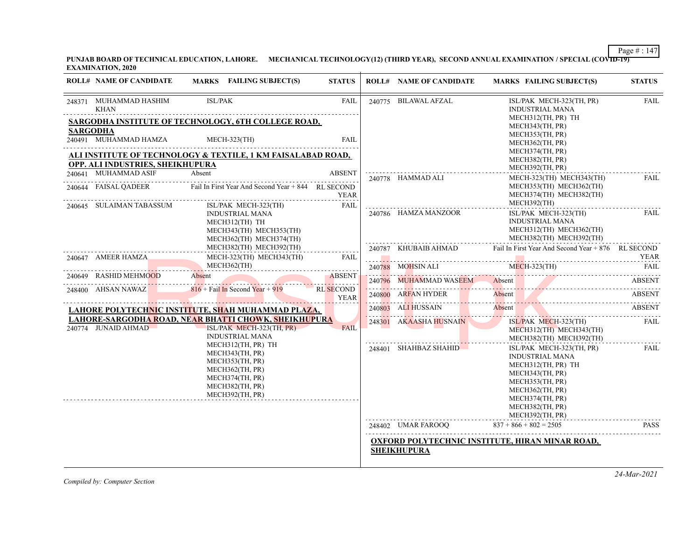**PUNJAB BOARD OF TECHNICAL EDUCATION, LAHORE. MECHANICAL TECHNOLOGY(12) (THIRD YEAR), SECOND ANNUAL EXAMINATION / SPECIAL (COVID-19) EXAMINATION, 2020**

| <b>ROLL# NAME OF CANDIDATE</b>                                              |                | MARKS FAILING SUBJECT(S)                                                                                                             | <b>STATUS</b>            | <b>ROLL# NAME OF CANDIDATE</b>                                        |                          | MARKS FAILING SUBJECT(S)                                                                                                                                                                   | <b>STATUS</b> |
|-----------------------------------------------------------------------------|----------------|--------------------------------------------------------------------------------------------------------------------------------------|--------------------------|-----------------------------------------------------------------------|--------------------------|--------------------------------------------------------------------------------------------------------------------------------------------------------------------------------------------|---------------|
| 248371 MUHAMMAD HASHIM<br>KHAN                                              | <b>ISL/PAK</b> |                                                                                                                                      | <b>FAIL</b>              | 240775 BILAWAL AFZAL                                                  |                          | ISL/PAK MECH-323(TH, PR)<br><b>INDUSTRIAL MANA</b>                                                                                                                                         | <b>FAIL</b>   |
| SARGODHA INSTITUTE OF TECHNOLOGY, 6TH COLLEGE ROAD,                         |                |                                                                                                                                      |                          |                                                                       |                          | MECH312(TH, PR) TH<br>MECH343(TH, PR)                                                                                                                                                      |               |
| <b>SARGODHA</b><br>240491 MUHAMMAD HAMZA                                    |                | $MECH-323$ (TH)                                                                                                                      | <b>FAIL</b>              |                                                                       |                          | MECH353(TH, PR)<br>MECH362(TH, PR)                                                                                                                                                         |               |
| ALI INSTITUTE OF TECHNOLOGY & TEXTILE, 1 KM FAISALABAD ROAD,                |                |                                                                                                                                      |                          |                                                                       |                          | MECH374(TH, PR)                                                                                                                                                                            |               |
| OPP. ALI INDUSTRIES, SHEIKHUPURA                                            |                |                                                                                                                                      |                          |                                                                       |                          | MECH382(TH, PR)<br>MECH392(TH, PR)                                                                                                                                                         |               |
| 240641 MUHAMMAD ASIF                                                        | Absent         |                                                                                                                                      | <b>ABSENT</b>            | 240778 HAMMAD ALI                                                     |                          | MECH-323(TH) MECH343(TH)                                                                                                                                                                   | FAIL          |
| 240644 FAISAL OADEER                                                        |                | Fail In First Year And Second Year + 844 RL SECOND                                                                                   | <b>YEAR</b>              |                                                                       |                          | MECH353(TH) MECH362(TH)<br>MECH374(TH) MECH382(TH)                                                                                                                                         |               |
| 240645 SULAIMAN TABASSUM                                                    |                | ISL/PAK MECH-323(TH)<br><b>INDUSTRIAL MANA</b><br>MECH312(TH) TH<br>MECH343(TH) MECH353(TH)<br>MECH362(TH) MECH374(TH)               | FAIL                     | 240786 HAMZA MANZOOR                                                  |                          | MECH392(TH)<br>ISL/PAK MECH-323(TH)<br><b>INDUSTRIAL MANA</b><br>MECH312(TH) MECH362(TH)<br>MECH382(TH) MECH392(TH)                                                                        | FAIL          |
|                                                                             |                | MECH382(TH) MECH392(TH)                                                                                                              |                          | 240787 KHUBAIB AHMAD                                                  |                          | Fail In First Year And Second Year + 876 RL SECOND                                                                                                                                         |               |
| 240647 AMEER HAMZA                                                          |                | MECH-323(TH) MECH343(TH)                                                                                                             | FAIL                     |                                                                       |                          |                                                                                                                                                                                            | <b>YEAR</b>   |
|                                                                             |                | MECH362(TH)                                                                                                                          |                          | 240788 MOHSIN ALI                                                     |                          | $MECH-323$ (TH)                                                                                                                                                                            | FAIL          |
| 240649 RASHID MEHMOOD<br>0649 RASHID MEHMOOD Absent ABSENT                  | Absent         |                                                                                                                                      | <b>ABSENT</b>            | 240796 MUHAMMAD WASEEM<br>240796 MUHAMMAD WASEEM Absent ABSENT ABSENT | Absent                   |                                                                                                                                                                                            | <b>ABSENT</b> |
| 248400 AHSAN NAWAZ                                                          |                | $816 +$ Fail In Second Year + 919                                                                                                    | RL SECOND<br><b>YEAR</b> | 240800 ARFAN HYDER                                                    | Absent                   |                                                                                                                                                                                            | <b>ABSENT</b> |
| LAHORE POLYTECHNIC INSTITUTE, SHAH MUHAMMAD PLAZA,                          |                |                                                                                                                                      |                          | 240803 ALI HUSSAIN                                                    | Absent                   |                                                                                                                                                                                            | ABSENT        |
| LAHORE-SARGODHA ROAD, NEAR BHATTI CHOWK, SHEIKHUPURA<br>240774 JUNAID AHMAD |                | $ISL/PAKMECH-323(TH, PR)$<br><b>INDUSTRIAL MANA</b>                                                                                  | <b>FAIL</b>              | 248301 AKAASHA HUSNAIN                                                |                          | ISL/PAK MECH-323(TH)<br>MECH312(TH) MECH343(TH)<br>MECH382(TH) MECH392(TH)                                                                                                                 | FAIL          |
|                                                                             |                | MECH312(TH, PR) TH<br>MECH343(TH, PR)<br>MECH353(TH, PR)<br>MECH362(TH, PR)<br>MECH374(TH, PR)<br>MECH382(TH, PR)<br>MECH392(TH, PR) |                          | 248401 SHAHBAZ SHAHID                                                 |                          | ISL/PAK MECH-323(TH, PR)<br><b>INDUSTRIAL MANA</b><br>MECH312(TH, PR) TH<br>MECH343(TH, PR)<br>MECH353(TH, PR)<br>MECH362(TH, PR)<br>MECH374(TH, PR)<br>MECH382(TH, PR)<br>MECH392(TH, PR) | FAIL          |
|                                                                             |                |                                                                                                                                      |                          | 248402 UMAR FAROOQ                                                    | $837 + 866 + 802 = 2505$ |                                                                                                                                                                                            | <b>PASS</b>   |
|                                                                             |                |                                                                                                                                      |                          |                                                                       |                          |                                                                                                                                                                                            |               |
|                                                                             |                |                                                                                                                                      |                          | OXFORD POLYTECHNIC INSTITUTE, HIRAN MINAR ROAD,<br><b>SHEIKHUPURA</b> |                          |                                                                                                                                                                                            |               |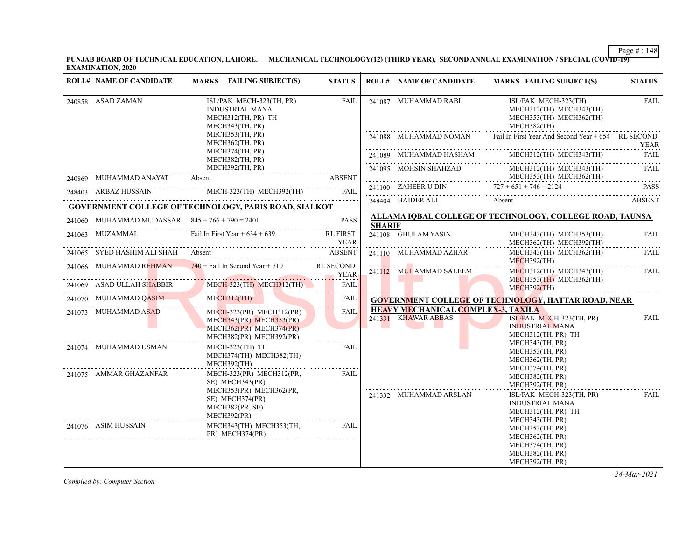**PUNJAB BOARD OF TECHNICAL EDUCATION, LAHORE. MECHANICAL TECHNOLOGY(12) (THIRD YEAR), SECOND ANNUAL EXAMINATION / SPECIAL (COVID-19) EXAMINATION, 2020**

| <b>ROLL# NAME OF CANDIDATE</b>                    | MARKS FAILING SUBJECT(S)                                                                                       | <b>STATUS</b> |               | <b>ROLL# NAME OF CANDIDATE</b>                                   | MARKS FAILING SUBJECT(S)                                                                                                                                                                        | <b>STATUS</b>    |
|---------------------------------------------------|----------------------------------------------------------------------------------------------------------------|---------------|---------------|------------------------------------------------------------------|-------------------------------------------------------------------------------------------------------------------------------------------------------------------------------------------------|------------------|
|                                                   |                                                                                                                |               |               |                                                                  |                                                                                                                                                                                                 |                  |
| 240858 ASAD ZAMAN                                 | ISL/PAK MECH-323(TH, PR)<br><b>INDUSTRIAL MANA</b><br>MECH312(TH, PR) TH<br>MECH343(TH, PR)                    | <b>FAIL</b>   |               | 241087 MUHAMMAD RABI                                             | ISL/PAK MECH-323(TH)<br>MECH312(TH) MECH343(TH)<br>MECH353(TH) MECH362(TH)<br>MECH382(TH)                                                                                                       | <b>FAIL</b>      |
|                                                   | MECH353(TH, PR)<br>MECH362(TH, PR)                                                                             |               |               | 241088 MUHAMMAD NOMAN                                            | Fail In First Year And Second Year + 654 RL SECOND                                                                                                                                              | <b>YEAR</b>      |
|                                                   | MECH374(TH, PR)<br>MECH382(TH, PR)                                                                             |               |               |                                                                  | 241089 MUHAMMAD HASHAM MECH312(TH) MECH343(TH)                                                                                                                                                  | <b>FAIL</b>      |
| 240869 MUHAMMAD ANAYAT Absent                     | MECH392(TH, PR)                                                                                                | <b>ABSENT</b> |               |                                                                  | ${\bf 241095}\quad\text{MOH SIN SHAHZAD}\qquad\qquad\text{MECH312(TH)}\quad\text{MECH343(TH)}\qquad\qquad\text{FAIL}\qquad\qquad\\ \text{MECH353(TH)}\quad\text{MECH362(TH)}\qquad\qquad\qquad$ |                  |
|                                                   |                                                                                                                | FAIL          |               |                                                                  | 241100 ZAHEER U DIN $727 + 651 + 746 = 2124$ PASS                                                                                                                                               |                  |
|                                                   | 248403 ARBAZ HUSSAIN MECH-323(TH) MECH-392(TH)<br><b>GOVERNMENT COLLEGE OF TECHNOLOGY, PARIS ROAD, SIALKOT</b> |               |               |                                                                  | 248404 HAIDER ALI Absent ABSENT                                                                                                                                                                 |                  |
| 241060 MUHAMMAD MUDASSAR $845 + 766 + 790 = 2401$ |                                                                                                                | <b>PASS</b>   |               |                                                                  | ALLAMA IOBAL COLLEGE OF TECHNOLOGY, COLLEGE ROAD, TAUNSA                                                                                                                                        |                  |
|                                                   | MUHAMMAD MUDASSAK $843 + 700 + 790 = 2401$ PASS                                                                |               | <b>SHARIF</b> |                                                                  |                                                                                                                                                                                                 |                  |
| 241063 MUZAMMAL                                   | Fail In First Year $+634 + 639$ RL FIRST                                                                       | <b>YEAR</b>   |               | 241108 GHULAM YASIN                                              | MECH343(TH) MECH353(TH)<br>MECH362(TH) MECH392(TH)                                                                                                                                              | <b>FAIL</b><br>. |
|                                                   | 241065 SYED HASHIM ALI SHAH Absent                                                                             | <b>ABSENT</b> |               | 241110 MUHAMMAD AZHAR                                            | MECH343(TH) MECH362(TH)<br>$MECH392$ (TH)                                                                                                                                                       | FAIL             |
| 241066 MUHAMMAD REHMAN                            | $740 + \text{fail}$ In Second Year + 710 RL SECOND                                                             |               |               | 241112 MUHAMMAD SALEEM                                           | MECH312(TH) MECH343(TH)                                                                                                                                                                         | FAIL             |
|                                                   | 241069 ASAD ULLAH SHABBIR MECH-323(TH) MECH312(TH)                                                             |               |               |                                                                  | MECH353(TH) MECH362(TH)<br>MECH392(TH)                                                                                                                                                          | .                |
| 241070 MUHAMMAD QASIM MECH312(TH)                 | <b>Contract Contract Contract Contract</b>                                                                     | FAIL          |               |                                                                  | <b>GOVERNMENT COLLEGE OF TECHNOLOGY, HATTAR ROAD, NEAR</b>                                                                                                                                      |                  |
| 241073 MUHAMMAD ASAD                              | $MECH-323(PR)$ $MECH312(PR)$<br>MECH343(PR) MECH353(PR)<br>MECH362(PR) MECH374(PR)<br>MECH382(PR) MECH392(PR)  | <b>FAIL</b>   |               | <b>HEAVY MECHANICAL COMPLEX-3, TAXILA</b><br>241331 KHAWAR ABBAS | ISL/PAK MECH-323(TH, PR)<br><b>INDUSTRIAL MANA</b><br>MECH312(TH, PR) TH                                                                                                                        | <b>FAIL</b>      |
| 241074 MUHAMMAD USMAN                             | MECH-323(TH) TH<br>MECH374(TH) MECH382(TH)<br>MECH392(TH)                                                      | <b>FAIL</b>   |               |                                                                  | MECH343(TH, PR)<br>MECH353(TH, PR)<br>MECH362(TH, PR)<br>MECH374(TH, PR)                                                                                                                        |                  |
| 241075 AMMAR GHAZANFAR                            | MECH-323(PR) MECH312(PR,<br>SE) MECH343(PR)                                                                    | FAII.         |               |                                                                  | MECH382(TH, PR)<br>MECH392(TH, PR)                                                                                                                                                              |                  |
|                                                   | MECH353(PR) MECH362(PR,<br>SE) MECH374(PR)<br>MECH382(PR, SE)<br>MECH392(PR)                                   |               |               | 241332 MUHAMMAD ARSLAN                                           | ISL/PAK MECH-323(TH, PR)<br><b>INDUSTRIAL MANA</b><br>MECH312(TH, PR) TH<br>MECH343(TH, PR)                                                                                                     | FAIL             |
| 241076 ASIM HUSSAIN                               | MECH343(TH) MECH353(TH,<br>PR) MECH374(PR)                                                                     | FAIL          |               |                                                                  | MECH353(TH, PR)<br>MECH362(TH, PR)<br>MECH374(TH, PR)<br>MECH382(TH, PR)<br>MECH392(TH, PR)                                                                                                     |                  |

*Compiled by: Computer Section*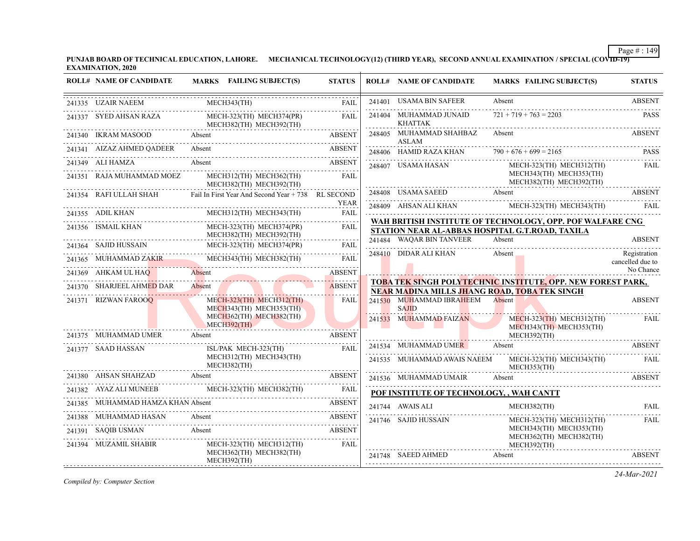**PUNJAB BOARD OF TECHNICAL EDUCATION, LAHORE. MECHANICAL TECHNOLOGY(12) (THIRD YEAR), SECOND ANNUAL EXAMINATION / SPECIAL (COVID-19) EXAMINATION, 2020**

| <b>ROLL# NAME OF CANDIDATE</b>    | MARKS FAILING SUBJECT(S)                                                                                                                                                                                                                       | <b>STATUS</b>              | <b>ROLL# NAME OF CANDIDATE</b>               | <b>MARKS FAILING SUBJECT(S)</b>                                                                              | <b>STATUS</b>                    |
|-----------------------------------|------------------------------------------------------------------------------------------------------------------------------------------------------------------------------------------------------------------------------------------------|----------------------------|----------------------------------------------|--------------------------------------------------------------------------------------------------------------|----------------------------------|
| 241335 UZAIR NAEEM                | MECH343(TH)                                                                                                                                                                                                                                    | <b>FAIL</b>                | 241401 USAMA BIN SAFEER                      | Absent                                                                                                       | <b>ABSENT</b>                    |
| 241337 SYED AHSAN RAZA            | MECH-323(TH) MECH374(PR)<br>MECH382(TH) MECH392(TH)                                                                                                                                                                                            | <b>FAIL</b>                | 241404 MUHAMMAD JUNAID<br><b>KHATTAK</b>     | $721 + 719 + 763 = 2203$                                                                                     | <b>PASS</b>                      |
| 241340 IKRAM MASOOD               | Absent                                                                                                                                                                                                                                         | <b>ABSENT</b>              | 248405 MUHAMMAD SHAHBAZ<br>ASLAM             | Absent                                                                                                       | <b>ABSENT</b>                    |
| 241341 AIZAZ AHMED OADEER         | Absent                                                                                                                                                                                                                                         | ABSENT                     |                                              | 248406 HAMID RAZA KHAN $790 + 676 + 699 = 2165$                                                              | <b>PASS</b>                      |
| 241349 ALI HAMZA                  | Absent                                                                                                                                                                                                                                         | <b>ABSENT</b>              | 248407 USAMA HASAN                           | MECH-323(TH) MECH312(TH)                                                                                     | FAIL                             |
| 241351 RAJA MUHAMMAD MOEZ         | MECH312(TH) MECH362(TH)<br>MECH382(TH) MECH392(TH)                                                                                                                                                                                             | FAII.                      |                                              | MECH343(TH) MECH353(TH)<br>MECH382(TH) MECH392(TH)                                                           |                                  |
|                                   | 241354 RAFI ULLAH SHAH Fail In First Year And Second Year + 738 RL SECOND                                                                                                                                                                      |                            | 248408 USAMA SAEED                           | Absent                                                                                                       | <b>ABSENT</b>                    |
| 241355 ADIL KHAN                  | MECH312(TH) MECH343(TH)                                                                                                                                                                                                                        | <b>YEAR</b><br><b>FAIL</b> |                                              | 248409 AHSAN ALI KHAN MECH-323(TH) MECH-343(TH) FAIL                                                         |                                  |
| 241356 ISMAIL KHAN                | MECH-323(TH) MECH374(PR)<br>MECH382(TH) MECH392(TH)                                                                                                                                                                                            | <b>FAIL</b>                |                                              | WAH BRITISH INSTITUTE OF TECHNOLOGY, OPP. POF WALFARE CNG<br>STATION NEAR AL-ABBAS HOSPITAL G.T.ROAD, TAXILA |                                  |
| 241364 SAJID HUSSAIN              | MECH-323(TH) MECH374(PR)                                                                                                                                                                                                                       | FAIL                       | 241484 WAQAR BIN TANVEER                     | Absent                                                                                                       | <b>ABSENT</b>                    |
| 241365 MUHAMMAD ZAKIR             | MECH343(TH) MECH382(TH)                                                                                                                                                                                                                        | FAIL                       | 248410 DIDAR ALI KHAN                        | Absent                                                                                                       | Registration<br>cancelled due to |
| 241369 AHKAM UL HAQ               | Absent                                                                                                                                                                                                                                         | <b>ABSENT</b>              |                                              |                                                                                                              | No Chance                        |
| 241370 SHARJEEL AHMED DAR         | Absent<br><b>State of the State of the State of the State of the State of the State of the State of the State of the State of the State of the State of the State of the State of the State of the State of the State of the State of the </b> | <b>ABSENT</b>              | NEAR MADINA MILLS JHANG ROAD, TOBA TEK SINGH | <b>TOBA TEK SINGH POLYTECHNIC INSTITUTE, OPP. NEW FOREST PARK,</b>                                           |                                  |
| 241371 RIZWAN FAROOQ              | MECH-323(TH) MECH312(TH)<br>MECH343(TH) MECH353(TH)                                                                                                                                                                                            | FAIL                       | 241530 MUHAMMAD IBRAHEEM<br><b>SAJID</b>     | Absent                                                                                                       | <b>ABSENT</b>                    |
|                                   | MECH362(TH) MECH382(TH)<br>$MECH392$ (TH)<br><u> 1988 - Johann Amerikaanse kommen en de oorlog van de gewone het gewone het gewone het gewone het gewone het g</u>                                                                             |                            | 241533 MUHAMMAD FAIZAN                       | $MECH-323(TH)$ MECH312(TH)<br>MECH343(TH) MECH353(TH)                                                        | FAIL                             |
| 241375 MUHAMMAD UMER              | Absent                                                                                                                                                                                                                                         | <b>ABSENT</b>              |                                              | MECH392(TH)                                                                                                  |                                  |
| 241377 SAAD HASSAN                | ISL/PAK MECH-323(TH)                                                                                                                                                                                                                           | FAIL                       | 241534 MUHAMMAD UMER                         | Absent                                                                                                       |                                  |
|                                   | MECH312(TH) MECH343(TH)<br>MECH382(TH)                                                                                                                                                                                                         |                            | 241535 MUHAMMAD AWAIS NAEEM                  | MECH-323(TH) MECH343(TH)<br>MECH353(TH)                                                                      | <b>FAIL</b>                      |
| 241380 AHSAN SHAHZAD Absent       | 1380 AHSAN SHAHZAD Absent ABSENT ABSENT                                                                                                                                                                                                        |                            | 241536 MUHAMMAD UMAIR                        | Absent                                                                                                       | <b>ABSENT</b>                    |
|                                   | 241382 AYAZ ALI MUNEEB MECH-323(TH) MECH382(TH) FAIL                                                                                                                                                                                           |                            | POF INSTITUTE OF TECHNOLOGY, , WAH CANTT     |                                                                                                              |                                  |
| 241385 MUHAMMAD HAMZA KHAN Absent | MUHAMMAD HAMZA KHAN Absent ABSENT                                                                                                                                                                                                              |                            | 241744 AWAIS ALI                             | MECH382(TH)                                                                                                  | FAII.                            |
| 241388 MUHAMMAD HASAN Absent      |                                                                                                                                                                                                                                                | ABSENT                     | 241746 SAJID HUSSAIN                         | MECH-323(TH) MECH312(TH)                                                                                     | FAIL                             |
| 241391 SAQIB USMAN                | <b>ABSENT</b><br>Absent                                                                                                                                                                                                                        |                            |                                              | MECH343(TH) MECH353(TH)<br>MECH362(TH) MECH382(TH)                                                           |                                  |
| 241394 MUZAMIL SHABIR             | MECH-323(TH) MECH312(TH)<br>MECH362(TH) MECH382(TH)<br>MECH392(TH)                                                                                                                                                                             | FAIL                       | 241748 SAEED AHMED                           | MECH392(TH)<br>Absent                                                                                        | <b>ABSENT</b>                    |

*Compiled by: Computer Section*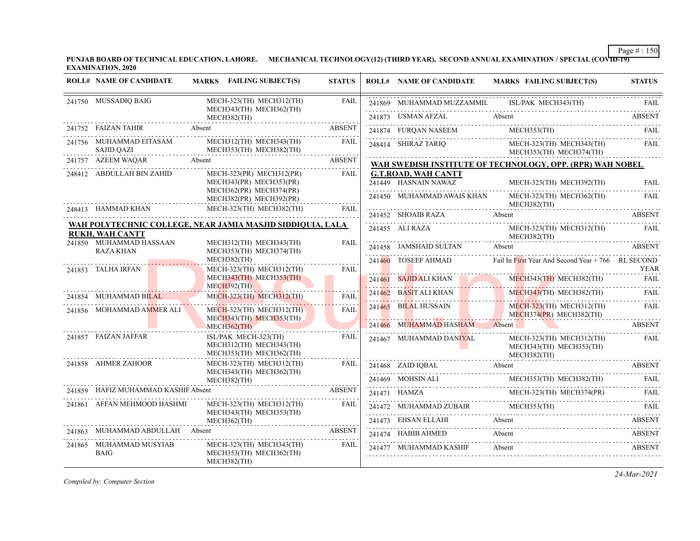**PUNJAB BOARD OF TECHNICAL EDUCATION, LAHORE. MECHANICAL TECHNOLOGY(12) (THIRD YEAR), SECOND ANNUAL EXAMINATION / SPECIAL (COVID-19) EXAMINATION, 2020**

|                                                      | <b>ROLL# NAME OF CANDIDATE</b>              | MARKS FAILING SUBJECT(S)                                                         | <b>STATUS</b> | <b>ROLL# NAME OF CANDIDATE</b>                                                                                                 | <b>MARKS FAILING SUBJECT(S)</b>                                                                                                                                                                                                                                                                                                                                                                       | <b>STATUS</b> |
|------------------------------------------------------|---------------------------------------------|----------------------------------------------------------------------------------|---------------|--------------------------------------------------------------------------------------------------------------------------------|-------------------------------------------------------------------------------------------------------------------------------------------------------------------------------------------------------------------------------------------------------------------------------------------------------------------------------------------------------------------------------------------------------|---------------|
|                                                      | 241750 MUSSADIQ BAIG                        | MECH-323(TH) MECH312(TH)<br>MECH343(TH) MECH362(TH)                              | FAIL          |                                                                                                                                | $\begin{tabular}{c} 241869 \end{tabular} \begin{tabular}{l} {\footnotesize\bf{M}UHAMMAD MUZZAMMIL} \end{tabular} \begin{tabular}{l} \hline \multicolumn{2}{c}{\textbf{ISL/PAK} MECH343(TH)} \end{tabular} \begin{tabular}{l} \hline \multicolumn{2}{c}{\textbf{FAL}} \end{tabular} \end{tabular} \begin{tabular}{l} \hline \multicolumn{2}{c}{\textbf{FAL}} \end{tabular}$                            |               |
|                                                      |                                             | MECH382(TH)                                                                      |               |                                                                                                                                | 241873 USMAN AFZAL Absent ABSENT                                                                                                                                                                                                                                                                                                                                                                      |               |
|                                                      | 241752 FAIZAN TAHIR Absent                  |                                                                                  |               |                                                                                                                                | MECH353(TH)                                                                                                                                                                                                                                                                                                                                                                                           |               |
|                                                      | 241756 MUHAMMAD EITASAM<br>SAJID QAZI       | MECH312(TH) MECH343(TH)<br>MECH353(TH) MECH382(TH)                               | <b>FAIL</b>   |                                                                                                                                | $\begin{tabular}{llllll} \multicolumn{2}{l}{{\text{241874}}}& $\text{FURQAN NASEEM}$ & $\text{MECH353(TH)}$ & \multicolumn{2}{l}{\text{FAIL}}$ \\ \multicolumn{2}{l}{\text{241874}}& $\text{SHIRAZ TARIQ}$ & $\text{MECH-323(TH)}$ & $\text{MECH-343(TH)}$ & \multicolumn{2}{l}{\text{FAIL}}$ \\ \end{tabular}$<br>MECH353(TH) MECH374(TH)                                                            |               |
|                                                      | 241757 AZEEM WAQAR Absent                   |                                                                                  | ABSENT        |                                                                                                                                | WAH SWEDISH INSTITUTE OF TECHNOLOGY, OPP. (RPR) WAH NOBEL                                                                                                                                                                                                                                                                                                                                             |               |
|                                                      | 248412 ABDULLAH BIN ZAHID                   | $MECH-323(PR)$ MECH312(PR)<br>MECH343(PR) MECH353(PR)<br>MECH362(PR) MECH374(PR) | FAIL          | <b>G.T.ROAD, WAH CANTT</b><br>241449 HASNAIN NAWAZ                                                                             | MECH-323(TH) MECH392(TH)                                                                                                                                                                                                                                                                                                                                                                              | <b>FAIL</b>   |
|                                                      |                                             | MECH382(PR) MECH392(PR)                                                          |               | 241450 MUHAMMAD AWAIS KHAN                                                                                                     | MECH-323(TH) MECH362(TH)<br>MECH382(TH)                                                                                                                                                                                                                                                                                                                                                               | FAIL          |
|                                                      |                                             | 248413 HAMMAD KHAN MECH-323(TH) MECH-382(TH) FAIL                                | FAIL          |                                                                                                                                | 241452 SHOAIB RAZA Absent ABSENT                                                                                                                                                                                                                                                                                                                                                                      |               |
|                                                      | <b>RUKH, WAH CANTT</b>                      | WAH POLYTECHNIC COLLEGE, NEAR JAMIA MASJID SIDDIQUIA, LALA                       |               | 241455 ALI RAZA M<br>M                                                                                                         | MECH-323(TH) MECH312(TH)<br>MECH382(TH)                                                                                                                                                                                                                                                                                                                                                               | FAIL          |
|                                                      | 241850 MUHAMMAD HASSAAN<br><b>RAZA KHAN</b> | MECH312(TH) MECH343(TH)<br>MECH353(TH) MECH374(TH)                               | FAIL          | 241458 JAMSHAID SULTAN Absent                                                                                                  |                                                                                                                                                                                                                                                                                                                                                                                                       | <b>ABSENT</b> |
|                                                      |                                             | MECH382(TH)                                                                      | FAIL          |                                                                                                                                | 241460 TOSEEF AHMAD Fail In First Year And Second Year + 766 RL SECOND                                                                                                                                                                                                                                                                                                                                | <b>YEAR</b>   |
|                                                      | 241853 TALHA IRFAN                          | MECH-323(TH) MECH312(TH)<br>MECH343(TH) MECH353(TH)<br>$MECH392$ (TH)            |               |                                                                                                                                | 241461 SAJID ALI KHAN MECH343(TH) MECH382(TH)                                                                                                                                                                                                                                                                                                                                                         | <b>FAIL</b>   |
|                                                      | 241854 MUHAMMAD BILAL                       | MECH-323(TH) MECH312(TH)                                                         | <b>FAIL</b>   |                                                                                                                                | 241462 BASIT ALI KHAN MECH343(TH) MECH382(TH) FAIL                                                                                                                                                                                                                                                                                                                                                    |               |
|                                                      | 241856 MOHAMMAD AMMER ALI                   | MECH-323(TH) MECH312(TH)<br>MECH343(TH) MECH353(TH)                              | <b>FAIL</b>   |                                                                                                                                | 241465 BILAL HUSSAIN MECH-323(TH) MECH312(TH)<br>MECH374(PR) MECH382(TH)                                                                                                                                                                                                                                                                                                                              | <b>FAIL</b>   |
|                                                      |                                             | <b>MECH362(TH)</b>                                                               |               | 241466 MUHAMMAD HASHAM Absent                                                                                                  | the company of the company of the company                                                                                                                                                                                                                                                                                                                                                             | <b>ABSENT</b> |
|                                                      | 241857 FAIZAN JAFFAR                        | ISL/PAK MECH-323(TH)<br>MECH312(TH) MECH343(TH)<br>MECH353(TH) MECH362(TH)       | <b>FAIL</b>   | 241467 MUHAMMAD DANIYAL<br>$\begin{tabular}{c} \bf MECH343(TH) \end{tabular} \begin{tabular}{c} \bf MECH343(TH) \end{tabular}$ | MECH-323(TH) MECH312(TH)<br>MECH343(TH) MECH353(TH)                                                                                                                                                                                                                                                                                                                                                   | FAIL          |
|                                                      | 241858 AHMER ZAHOOR                         | MECH-323(TH) MECH312(TH)<br>MECH343(TH) MECH362(TH)                              | FAIL          | 241468 ZAID IQBAL Absent                                                                                                       | 241468 ZAID IQBAL Absent ABSENT                                                                                                                                                                                                                                                                                                                                                                       |               |
|                                                      |                                             | MECH382(TH)                                                                      |               |                                                                                                                                |                                                                                                                                                                                                                                                                                                                                                                                                       |               |
| 241859 HAFIZ MUHAMMAD KASHIF Absent<br><b>ABSENT</b> |                                             |                                                                                  |               |                                                                                                                                |                                                                                                                                                                                                                                                                                                                                                                                                       |               |
|                                                      | 241861 AFFAN MEHMOOD HASHMI                 | MECH-323(TH) MECH312(TH)<br>MECH343(TH) MECH353(TH)                              | FAIL          |                                                                                                                                | $\begin{tabular}{lllllllll} \multicolumn{2}{c l}{{\small 241469}} & MOHSIN ALL & MECH353(TH) MECH382(TH) & FAIL \\ \multicolumn{2}{c l}{{\small 241471}} & HAMZA & MECH373(TH) MECH374(PR) & FAIL \\ \multicolumn{2}{c l}{{\small 241472}} & MUHAMMAD ZUBAIR & MECH353(TH) & FAIL \\ \multicolumn{2}{c l}{{\small 241472}} & MUHAMMAD ZUBAIR & MECH353(TH) & FAIL \\ \multicolumn{2}{c l}{{\small 24$ |               |
|                                                      |                                             | MECH362(TH)                                                                      |               |                                                                                                                                | 241473 EHSAN ELLAHI Absent ABSENT                                                                                                                                                                                                                                                                                                                                                                     |               |
|                                                      | 241863 MUHAMMAD ABDULLAH Absent             | <b>ABSENT</b>                                                                    |               | 241474 HABIB AHMED                                                                                                             | Absent                                                                                                                                                                                                                                                                                                                                                                                                | ABSENT        |
|                                                      | 241865 MUHAMMAD MUSYIAB<br><b>BAIG</b>      | MECH-323(TH) MECH343(TH)<br>MECH353(TH) MECH362(TH)<br>MECH382(TH)               | FAIL          | 241477 MUHAMMAD KASHIF                                                                                                         | Absent                                                                                                                                                                                                                                                                                                                                                                                                | <b>ABSENT</b> |

*Compiled by: Computer Section*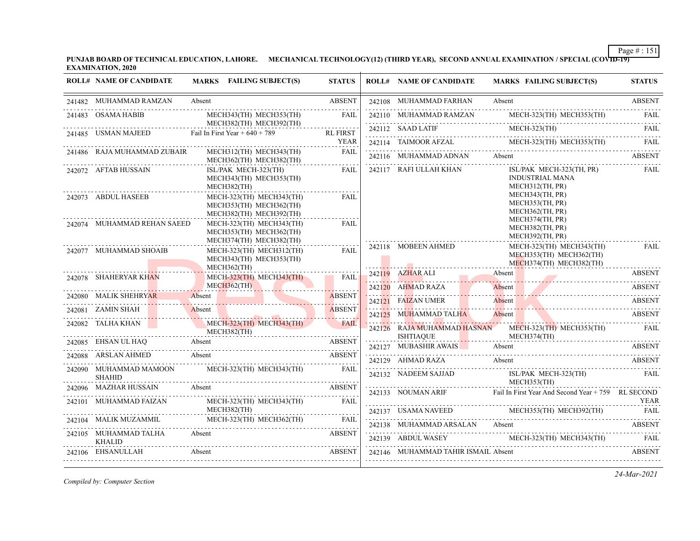**PUNJAB BOARD OF TECHNICAL EDUCATION, LAHORE. MECHANICAL TECHNOLOGY(12) (THIRD YEAR), SECOND ANNUAL EXAMINATION / SPECIAL (COVID-19) EXAMINATION, 2020**

|        | <b>ROLL# NAME OF CANDIDATE</b>                     | MARKS FAILING SUBJECT(S)                                                                                                                                                                                                                                                                                                                                       | <b>STATUS</b> | <b>ROLL# NAME OF CANDIDATE</b>      | MARKS FAILING SUBJECT(S)                                                                                                                                                                                                                                                                                                                                                                                                                | <b>STATUS</b> |
|--------|----------------------------------------------------|----------------------------------------------------------------------------------------------------------------------------------------------------------------------------------------------------------------------------------------------------------------------------------------------------------------------------------------------------------------|---------------|-------------------------------------|-----------------------------------------------------------------------------------------------------------------------------------------------------------------------------------------------------------------------------------------------------------------------------------------------------------------------------------------------------------------------------------------------------------------------------------------|---------------|
|        | 241482 MUHAMMAD RAMZAN                             | Absent                                                                                                                                                                                                                                                                                                                                                         | <b>ABSENT</b> | 242108 MUHAMMAD FARHAN              | Absent                                                                                                                                                                                                                                                                                                                                                                                                                                  | <b>ABSENT</b> |
|        |                                                    | ${\bf \substack{241483\\ \hspace*{2.2cm} \text{OSAMA HABIB}}}\ {\begin{subarray}{c} \text{MECH343(TH)} \text{MECH353(TH)}\\ \text{MECH382(TH)} \text{MECH392(TH)} \end{subarray}}$                                                                                                                                                                             | FAIL          |                                     | 242110 MUHAMMAD RAMZAN MECH-323(TH) MECH353(TH) FAIL                                                                                                                                                                                                                                                                                                                                                                                    |               |
|        | 241485 USMAN MAJEED Fail In First Year + 640 + 789 |                                                                                                                                                                                                                                                                                                                                                                | .<br>RL FIRST |                                     |                                                                                                                                                                                                                                                                                                                                                                                                                                         |               |
|        |                                                    |                                                                                                                                                                                                                                                                                                                                                                | YEAR          |                                     |                                                                                                                                                                                                                                                                                                                                                                                                                                         |               |
|        | 241486 RAJA MUHAMMAD ZUBAIR                        | MECH312(TH) MECH343(TH)<br>MECH362(TH) MECH382(TH)                                                                                                                                                                                                                                                                                                             | FAIL<br>.     |                                     | $\begin{tabular}{lllllllll} \multicolumn{2}{l}{{\small 242112}}&{\text{SAAD LATIF}} &\text{MECH-323(TH)} & \text{FAL} \\ \multicolumn{2}{l}{\small 242114}&{\text{TAIMOOR AFZAL}} &\text{MECH-323(TH)} & \text{BECH-323(TH)} & \text{FAL} \\ \multicolumn{2}{l}{\small 242116}&{\text{MUHAMMAD ADNAN}} & \text{Absent} & \text{ABSENT} \\ \multicolumn{2}{l}{\small 122116}&{\text{MUHAMMAD ADNAN}} & \text{Absent} & \text{ABSENT} \\$ |               |
|        | 242072 AFTAB HUSSAIN                               | ISL/PAK MECH-323(TH)<br>MECH343(TH) MECH353(TH)<br>MECH382(TH)                                                                                                                                                                                                                                                                                                 | FAIL          | 242117 RAFI ULLAH KHAN              | ISL/PAK MECH-323(TH, PR)<br><b>INDUSTRIAL MANA</b><br>MECH312(TH, PR)                                                                                                                                                                                                                                                                                                                                                                   | FAIL          |
|        | 242073 ABDUL HASEEB                                | MECH-323(TH) MECH343(TH)<br>MECH353(TH) MECH362(TH)<br>MECH382(TH) MECH392(TH)                                                                                                                                                                                                                                                                                 | FAIL          |                                     | MECH343(TH, PR)<br>MECH353(TH, PR)<br>MECH362(TH, PR)<br>MECH374(TH, PR)                                                                                                                                                                                                                                                                                                                                                                |               |
|        | 242074 MUHAMMAD REHAN SAEED                        | MECH-323(TH) MECH343(TH)<br>MECH353(TH) MECH362(TH)<br>MECH374(TH) MECH382(TH)                                                                                                                                                                                                                                                                                 | FAIL          |                                     | MECH382(TH, PR)<br>MECH392(TH, PR)                                                                                                                                                                                                                                                                                                                                                                                                      | .             |
|        | 242077 MUHAMMAD SHOAIB                             | MECH-323(TH) MECH312(TH)<br>MECH343(TH) MECH353(TH)<br>MECH362(TH)                                                                                                                                                                                                                                                                                             | FAIL          | 242118 MOBEEN AHMED                 | MECH-323(TH) MECH343(TH)<br>MECH353(TH) MECH362(TH)<br>MECH353(TH) MECH362(TH)<br>MECH374(TH) MECH382(TH)                                                                                                                                                                                                                                                                                                                               | FAIL          |
|        | 242078 SHAHERYAR KHAN M                            | MECH-323(TH) MECH343(TH) FAIL                                                                                                                                                                                                                                                                                                                                  |               |                                     | 242119 AZHAR ALI Absent ABSENT                                                                                                                                                                                                                                                                                                                                                                                                          |               |
|        |                                                    | MECH362(TH)                                                                                                                                                                                                                                                                                                                                                    |               |                                     | 242120 AHMAD RAZA Absent ABSENT                                                                                                                                                                                                                                                                                                                                                                                                         |               |
|        |                                                    | 242080 MALIK SHEHRYAR Absent Absent BEERT                                                                                                                                                                                                                                                                                                                      |               |                                     | 242121 FAIZAN UMER Absent ABSENT ABSENT                                                                                                                                                                                                                                                                                                                                                                                                 |               |
|        |                                                    |                                                                                                                                                                                                                                                                                                                                                                |               |                                     | 242125 MUHAMMAD TALHA Absent ABSENT                                                                                                                                                                                                                                                                                                                                                                                                     |               |
|        |                                                    |                                                                                                                                                                                                                                                                                                                                                                |               | <b>ISHTIAQUE</b>                    | 242126 RAJA MUHAMMAD HASNAN MECH-323(TH) MECH353(TH) FAIL<br>MECH374(TH)                                                                                                                                                                                                                                                                                                                                                                |               |
|        |                                                    | 242085 EHSAN UL HAQ Absent ABSENT                                                                                                                                                                                                                                                                                                                              |               | 242127 MUBASHIR AWAIS Absent        | 242127 MUBASHIR AWAIS Absent Absent ABSENT                                                                                                                                                                                                                                                                                                                                                                                              |               |
| 242088 |                                                    | ARSLAN AHMED Absent ABSENT                                                                                                                                                                                                                                                                                                                                     |               |                                     | 242129 AHMAD RAZA Absent ABSENT                                                                                                                                                                                                                                                                                                                                                                                                         |               |
|        | <b>SHAHID</b>                                      | 242090 MUHAMMAD MAMOON MECH-323(TH) MECH343(TH)                                                                                                                                                                                                                                                                                                                | FAIL          |                                     | 242132 NADEEM SAJJAD ISL/PAK MECH-323(TH) FAIL MECH353(TH)                                                                                                                                                                                                                                                                                                                                                                              |               |
|        | 242096 MAZHAR HUSSAIN Absent                       | ABSENT                                                                                                                                                                                                                                                                                                                                                         |               |                                     | 242133 NOUMAN ARIF Fail In First Year And Second Year + 759 RL SECOND                                                                                                                                                                                                                                                                                                                                                                   |               |
|        |                                                    | ${\bf 242101\quad MUHAMMAD FAIZAN\qquad\qquad MECH-323(TH)\quad MECH343(TH)\qquad\qquad FAIL\qquad\qquad\qquad\qquad MECH382(TH)\qquad\qquad\qquad\qquad\qquad$                                                                                                                                                                                                |               |                                     |                                                                                                                                                                                                                                                                                                                                                                                                                                         | YEAR          |
|        |                                                    |                                                                                                                                                                                                                                                                                                                                                                |               |                                     | $242137 \quad \text{USAMA NAVEED} \qquad \text{MECH353(TH)} \quad \text{MECH392(TH)} \qquad \text{FAIL}$                                                                                                                                                                                                                                                                                                                                |               |
|        | 242105 MUHAMMAD TALHA Absent                       | ${\bf 242104} \quad {\bf 142104} \quad {\bf 242104} \quad {\bf 242105} \quad {\bf 242106} \quad {\bf 242109} \quad {\bf 242109} \quad {\bf 242109} \quad {\bf 242100} \quad {\bf 242100} \quad {\bf 242100} \quad {\bf 242100} \quad {\bf 242100} \quad {\bf 242100} \quad {\bf 242100} \quad {\bf 242100} \quad {\bf 242100} \quad {\bf 242100} \quad {\bf 2$ | ABSENT        |                                     | 242138 MUHAMMAD ARSALAN Absent ABSENT                                                                                                                                                                                                                                                                                                                                                                                                   |               |
|        | <b>KHALID</b>                                      |                                                                                                                                                                                                                                                                                                                                                                |               |                                     | $\begin{tabular}{ll} 242139 & ABDUL WASEY & MECH-323(TH) MECH343(TH) & FAIL \\ \hline \end{tabular} \begin{tabular}{ll} \multicolumn{3}{l}{{\small\textrm{FAIL}}}\end{tabular}$                                                                                                                                                                                                                                                         |               |
|        | 242106 EHSANULLAH                                  | EHSANULLAH Absent ABSENT                                                                                                                                                                                                                                                                                                                                       |               | 242146 MUHAMMAD TAHIR ISMAIL Absent |                                                                                                                                                                                                                                                                                                                                                                                                                                         | ABSENT        |

*Compiled by: Computer Section*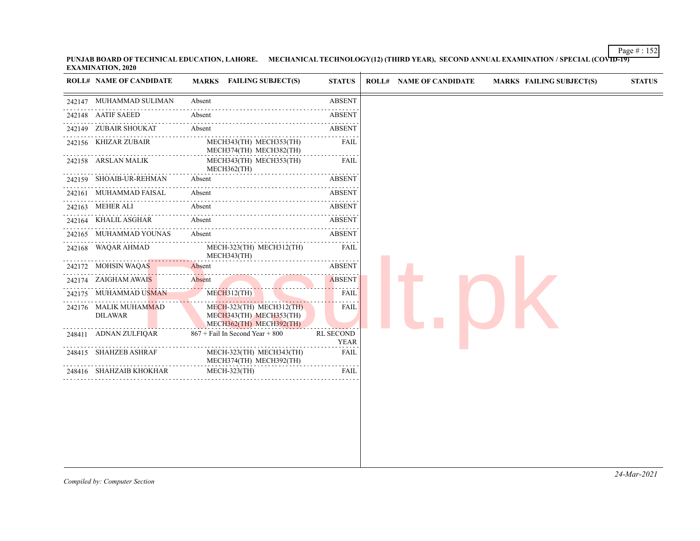Page # : 152 **PUNJAB BOARD OF TECHNICAL EDUCATION, LAHORE. MECHANICAL TECHNOLOGY(12) (THIRD YEAR), SECOND ANNUAL EXAMINATION / SPECIAL (COVID-19) EXAMINATION, 2020**

| <b>ROLL# NAME OF CANDIDATE</b>          | <b>MARKS</b> FAILING SUBJECT(S)                                                | <b>STATUS</b>                   |
|-----------------------------------------|--------------------------------------------------------------------------------|---------------------------------|
| 242147 MUHAMMAD SULIMAN                 | Absent                                                                         | <b>ABSENT</b>                   |
| 242148 AATIF SAEED                      | Absent                                                                         | <b>ABSENT</b>                   |
| 242149 ZUBAIR SHOUKAT                   | Absent                                                                         | .<br>ABSENT                     |
| 242156 KHIZAR ZUBAIR                    | MECH343(TH) MECH353(TH)<br>MECH374(TH) MECH382(TH)                             | $- - - -$<br><b>FAIL</b>        |
| 242158 ARSLAN MALIK                     | MECH343(TH) MECH353(TH)<br>$MECH362$ (TH)                                      | FAIL                            |
| 242159 SHOAIB-UR-REHMAN                 | Absent                                                                         | <b>ABSENT</b>                   |
| 242161 MUHAMMAD FAISAL                  | Absent                                                                         | <b>ABSENT</b>                   |
| 242163 MEHER ALI                        | Absent                                                                         | .<br><b>ABSENT</b>              |
| 242164 KHALIL ASGHAR                    | Absent                                                                         | <b>ABSENT</b>                   |
| 242165 MUHAMMAD YOUNAS                  | .<br>Absent                                                                    | <u>.</u><br>ABSENT              |
| 242168 WAQAR AHMAD                      | MECH-323(TH) MECH312(TH)<br>MECH343(TH)                                        | FAIL                            |
| 242172 MOHSIN WAQAS                     | Absent                                                                         | <b>ABSENT</b>                   |
| 242174 ZAIGHAM AWAIS                    | Absent                                                                         | .<br><b>ABSENT</b>              |
| 242175 MUHAMMAD USMAN                   | $MECH312$ (TH)                                                                 | $\sim 100$ km s $^{-1}$<br>FAIL |
| 242176 MALIK MUHAMMAD<br><b>DILAWAR</b> | MECH-323(TH) MECH312(TH)<br>MECH343(TH) MECH353(TH)<br>MECH362(TH) MECH392(TH) | FAIL                            |
| 248411 ADNAN ZULFIQAR                   | 867 + Fail In Second Year + 800                                                | <b>RL SECOND</b><br><b>YEAR</b> |
| 248415 SHAHZEB ASHRAF                   | MECH-323(TH) MECH343(TH)<br>MECH374(TH) MECH392(TH)                            | FAIL                            |
| 248416 SHAHZAIB KHOKHAR                 | <b>MECH-323(TH)</b>                                                            | FAIL                            |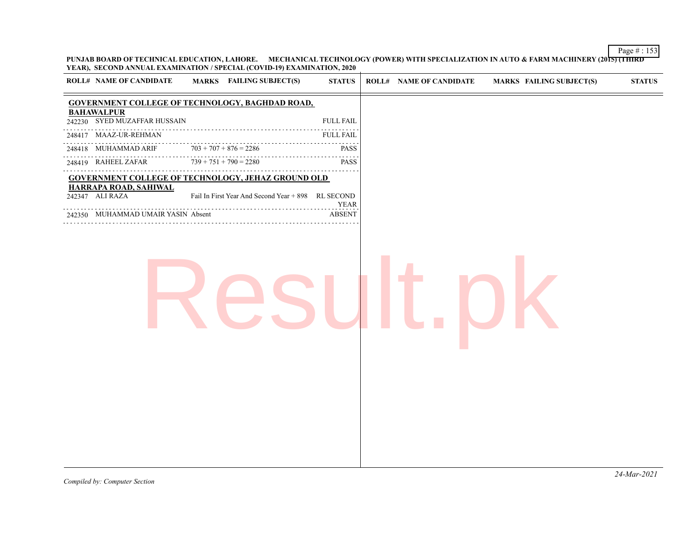**PUNJAB BOARD OF TECHNICAL EDUCATION, LAHORE. MECHANICAL TECHNOLOGY (POWER) WITH SPECIALIZATION IN AUTO & FARM MACHINERY (2015) (THIRD YEAR), SECOND ANNUAL EXAMINATION / SPECIAL (COVID-19) EXAMINATION, 2020**

| <b>GOVERNMENT COLLEGE OF TECHNOLOGY, BAGHDAD ROAD,</b><br><b>BAHAWALPUR</b><br>242230 SYED MUZAFFAR HUSSAIN<br><b>FULL FAIL</b><br>248417 MAAZ-UR-REHMAN<br><b>FULL FAIL</b><br>$703 + 707 + 876 = 2286$<br>248418 MUHAMMAD ARIF<br><b>PASS</b><br>$-1 - 1 - 1$<br>$739 + 751 + 790 = 2280$<br>248419 RAHEEL ZAFAR<br><b>PASS</b><br><b>GOVERNMENT COLLEGE OF TECHNOLOGY, JEHAZ GROUND OLD</b><br>HARRAPA ROAD, SAHIWAL<br>Fail In First Year And Second Year + 898 RL SECOND<br>242347 ALI RAZA<br><b>YEAR</b><br><b>ABSENT</b><br>242350 MUHAMMAD UMAIR YASIN Absent | <b>ROLL# NAME OF CANDIDATE</b> | MARKS FAILING SUBJECT(S) | <b>STATUS</b> | <b>ROLL# NAME OF CANDIDATE</b> | <b>MARKS FAILING SUBJECT(S)</b> | <b>STATUS</b> |
|------------------------------------------------------------------------------------------------------------------------------------------------------------------------------------------------------------------------------------------------------------------------------------------------------------------------------------------------------------------------------------------------------------------------------------------------------------------------------------------------------------------------------------------------------------------------|--------------------------------|--------------------------|---------------|--------------------------------|---------------------------------|---------------|
|                                                                                                                                                                                                                                                                                                                                                                                                                                                                                                                                                                        |                                |                          |               |                                |                                 |               |
|                                                                                                                                                                                                                                                                                                                                                                                                                                                                                                                                                                        |                                |                          |               |                                |                                 |               |
|                                                                                                                                                                                                                                                                                                                                                                                                                                                                                                                                                                        |                                |                          |               |                                |                                 |               |
|                                                                                                                                                                                                                                                                                                                                                                                                                                                                                                                                                                        |                                |                          |               |                                |                                 |               |
|                                                                                                                                                                                                                                                                                                                                                                                                                                                                                                                                                                        |                                |                          |               |                                |                                 |               |
|                                                                                                                                                                                                                                                                                                                                                                                                                                                                                                                                                                        |                                |                          |               |                                |                                 |               |
|                                                                                                                                                                                                                                                                                                                                                                                                                                                                                                                                                                        |                                |                          |               |                                |                                 |               |
|                                                                                                                                                                                                                                                                                                                                                                                                                                                                                                                                                                        |                                |                          |               |                                |                                 |               |
|                                                                                                                                                                                                                                                                                                                                                                                                                                                                                                                                                                        |                                |                          |               |                                |                                 |               |
|                                                                                                                                                                                                                                                                                                                                                                                                                                                                                                                                                                        |                                |                          |               |                                |                                 |               |
|                                                                                                                                                                                                                                                                                                                                                                                                                                                                                                                                                                        |                                |                          |               |                                |                                 |               |
|                                                                                                                                                                                                                                                                                                                                                                                                                                                                                                                                                                        |                                |                          |               |                                |                                 |               |
|                                                                                                                                                                                                                                                                                                                                                                                                                                                                                                                                                                        |                                |                          |               |                                |                                 |               |
|                                                                                                                                                                                                                                                                                                                                                                                                                                                                                                                                                                        |                                |                          |               |                                |                                 |               |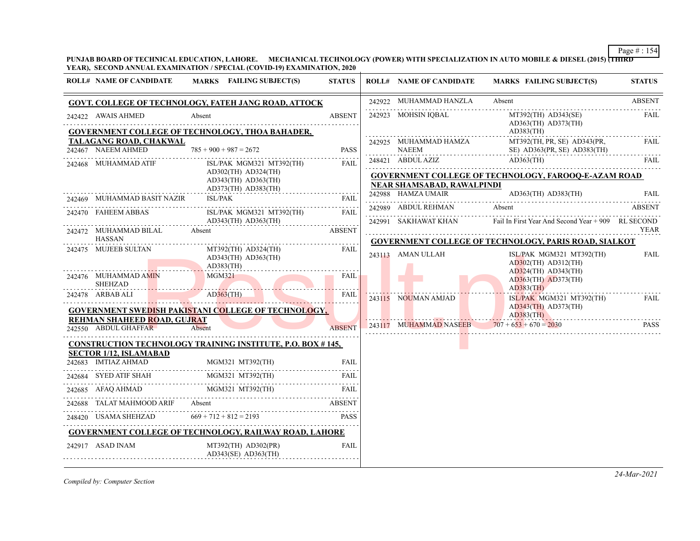**PUNJAB BOARD OF TECHNICAL EDUCATION, LAHORE. MECHANICAL TECHNOLOGY (POWER) WITH SPECIALIZATION IN AUTO MOBILE & DIESEL (2015) (THIRD YEAR), SECOND ANNUAL EXAMINATION / SPECIAL (COVID-19) EXAMINATION, 2020**

| <b>ROLL# NAME OF CANDIDATE</b>                      | <b>MARKS</b> FAILING SUBJECT(S)                                    | <b>STATUS</b>                      | <b>ROLL# NAME OF CANDIDATE</b>        | <b>MARKS FAILING SUBJECT(S)</b>                                      | <b>STATUS</b> |
|-----------------------------------------------------|--------------------------------------------------------------------|------------------------------------|---------------------------------------|----------------------------------------------------------------------|---------------|
|                                                     | <b>GOVT. COLLEGE OF TECHNOLOGY, FATEH JANG ROAD, ATTOCK</b>        |                                    | 242922 MUHAMMAD HANZLA                | Absent                                                               | <b>ABSENT</b> |
| 242422 AWAIS AHMED                                  | Absent                                                             | <b>ABSENT</b><br>a a a a a a a a a | 242923 MOHSIN IQBAL                   | $MT392(TH)$ $AD343(SE)$<br>$AD363$ (TH) $AD373$ (TH)                 | FAIL          |
| TALAGANG ROAD, CHAKWAL                              | GOVERNMENT COLLEGE OF TECHNOLOGY, THOA BAHADER,                    |                                    |                                       | $AD383$ (TH)<br>MT392(TH, PR, SE) AD343(PR,                          | <b>FAIL</b>   |
| 242467 NAEEM AHMED                                  | $785 + 900 + 987 = 2672$                                           | <b>PASS</b>                        | 242925 MUHAMMAD HAMZA<br><b>NAEEM</b> | SE) AD363(PR, SE) AD383(TH)                                          |               |
| 242468 MUHAMMAD ATIF                                | ISL/PAK MGM321 MT392(TH)                                           | FAIL                               | 248421 ABDUL AZIZ                     | $AD363$ (TH)                                                         | FAIL          |
|                                                     | $AD302$ (TH) $AD324$ (TH)<br>$AD343$ (TH) $AD363$ (TH)             |                                    |                                       | <b>GOVERNMENT COLLEGE OF TECHNOLOGY, FAROOQ-E-AZAM ROAD</b>          |               |
|                                                     | $AD373$ (TH) $AD383$ (TH)                                          |                                    | <b>NEAR SHAMSABAD, RAWALPINDI</b>     |                                                                      |               |
| 242469 MUHAMMAD BASIT NAZIR                         | <b>ISL/PAK</b>                                                     | <b>FAIL</b>                        | 242988 HAMZA UMAIR                    | $AD363$ (TH) $AD383$ (TH)                                            | <b>FAIL</b>   |
| 242470 FAHEEM ABBAS                                 | ISL/PAK MGM321 MT392(TH)                                           | FAIL                               | 242989 ABDUL REHMAN                   | Absent                                                               | <b>ABSENT</b> |
|                                                     | $AD343$ (TH) $AD363$ (TH)                                          |                                    | 242991 SAKHAWAT KHAN                  | Fail In First Year And Second Year + 909 RL SECOND                   | YEAR          |
| 242472 MUHAMMAD BILAL<br>HASSAN                     | Absent                                                             | <b>ABSENT</b>                      |                                       | <b>GOVERNMENT COLLEGE OF TECHNOLOGY, PARIS ROAD, SIALKOT</b>         |               |
| 242475 MUJEEB SULTAN                                | $MT392(TH)$ $AD324(TH)$<br>$AD343(TH)$ $AD363(TH)$<br>$AD383$ (TH) | FAIL                               | 243113 AMAN ULLAH                     | ISL/PAK MGM321 MT392(TH)<br>$AD302$ (TH) $AD312$ (TH)                | FAIL          |
| 242476 MUHAMMAD AMIN<br><b>SHEHZAD</b>              | MGM321                                                             | FAIL                               |                                       | $AD324(TH)$ $AD343(TH)$<br>$AD363$ (TH) $AD373$ (TH)<br>$AD383$ (TH) |               |
| 242478 ARBAB ALI                                    | $AD363$ (TH)                                                       | <b>FAIL</b>                        | 243115 NOUMAN AMJAD                   | ISL/PAK MGM321 MT392(TH)                                             | FAIL          |
|                                                     | <b>GOVERNMENT SWEDISH PAKISTANI COLLEGE OF TECHNOLOGY,</b>         |                                    |                                       | $AD343$ (TH) $AD373$ (TH)<br>$AD383$ (TH)                            |               |
| REHMAN SHAHEED ROAD, GUJRAT<br>242550 ABDUL GHAFFAR | Absent                                                             | <b>ABSENT</b>                      |                                       | 243117 MUHAMMAD NASEEB $707 + 653 + 670 = 2030$                      | <b>PASS</b>   |
|                                                     |                                                                    |                                    |                                       |                                                                      |               |
| <b>SECTOR 1/12, ISLAMABAD</b>                       | <b>CONSTRUCTION TECHNOLOGY TRAINING INSTITUTE, P.O. BOX #145,</b>  |                                    |                                       |                                                                      |               |
| 242683 IMTIAZ AHMAD                                 | 242683 IMTIAZ AHMAD MGM321 MT392(TH) FAIL                          |                                    |                                       |                                                                      |               |
| 242684 SYED ATIF SHAH MGM321 MT392(TH)              |                                                                    | <b>FAIL</b>                        |                                       |                                                                      |               |
| 242685 AFAQ AHMAD MGM321 MT392(TH)                  |                                                                    | <b>FAIL</b>                        |                                       |                                                                      |               |
| 242688 TALAT MAHMOOD ARIF                           | Absent                                                             | ABSENT                             |                                       |                                                                      |               |
| 248420 USAMA SHEHZAD                                | $669 + 712 + 812 = 2193$                                           |                                    |                                       |                                                                      |               |
|                                                     | <b>GOVERNMENT COLLEGE OF TECHNOLOGY, RAILWAY ROAD, LAHORE</b>      |                                    |                                       |                                                                      |               |
| 242917 ASAD INAM                                    | $MT392(TH)$ $AD302(PR)$<br>$AD343(SE)$ $AD363(TH)$                 | FAIL                               |                                       |                                                                      |               |
|                                                     |                                                                    |                                    |                                       |                                                                      |               |

*Compiled by: Computer Section*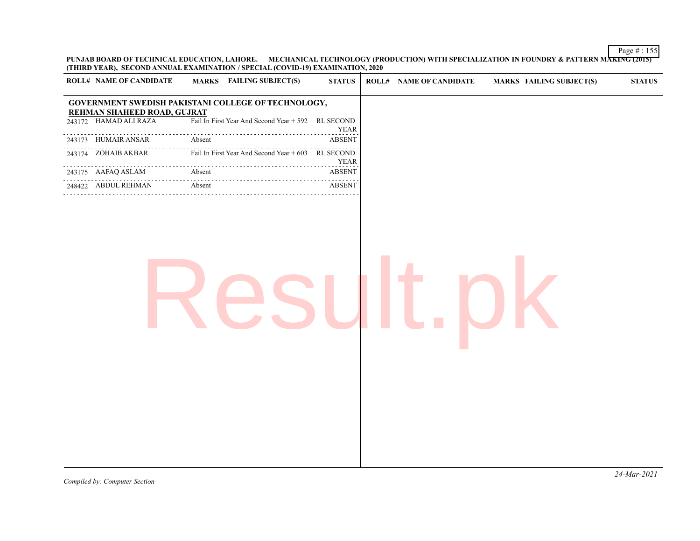**PUNJAB BOARD OF TECHNICAL EDUCATION, LAHORE. MECHANICAL TECHNOLOGY (PRODUCTION) WITH SPECIALIZATION IN FOUNDRY & PATTERN MAKING (2015) (THIRD YEAR), SECOND ANNUAL EXAMINATION / SPECIAL (COVID-19) EXAMINATION, 2020**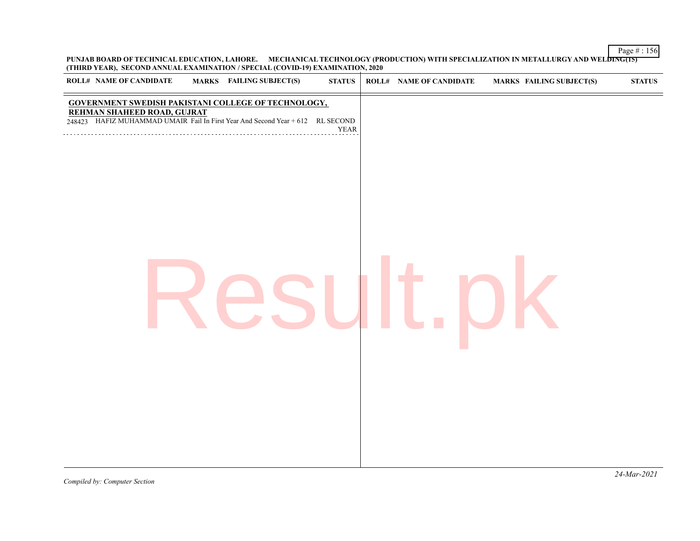**PUNJAB BOARD OF TECHNICAL EDUCATION, LAHORE. MECHANICAL TECHNOLOGY (PRODUCTION) WITH SPECIALIZATION IN METALLURGY AND WELDING(15) (THIRD YEAR), SECOND ANNUAL EXAMINATION / SPECIAL (COVID-19) EXAMINATION, 2020**

| <b>ROLL# NAME OF CANDIDATE</b> | <b>MARKS</b> FAILING SUBJECT(S)                                                                                                                                             | $\bold{STATUS}$ | <b>ROLL# NAME OF CANDIDATE</b> | <b>MARKS FAILING SUBJECT(S)</b> | ${\bf STATUS}$ |
|--------------------------------|-----------------------------------------------------------------------------------------------------------------------------------------------------------------------------|-----------------|--------------------------------|---------------------------------|----------------|
|                                | GOVERNMENT SWEDISH PAKISTANI COLLEGE OF TECHNOLOGY,<br><b>REHMAN SHAHEED ROAD, GUJRAT</b><br>248423 HAFIZ MUHAMMAD UMAIR Fail In First Year And Second Year + 612 RL SECOND | ${\tt YEAR}$    |                                |                                 |                |
|                                |                                                                                                                                                                             |                 |                                |                                 |                |
|                                |                                                                                                                                                                             |                 |                                |                                 |                |
|                                |                                                                                                                                                                             |                 |                                |                                 |                |
|                                |                                                                                                                                                                             |                 |                                |                                 |                |
|                                |                                                                                                                                                                             |                 |                                |                                 |                |
|                                |                                                                                                                                                                             |                 |                                |                                 |                |
|                                |                                                                                                                                                                             |                 |                                |                                 |                |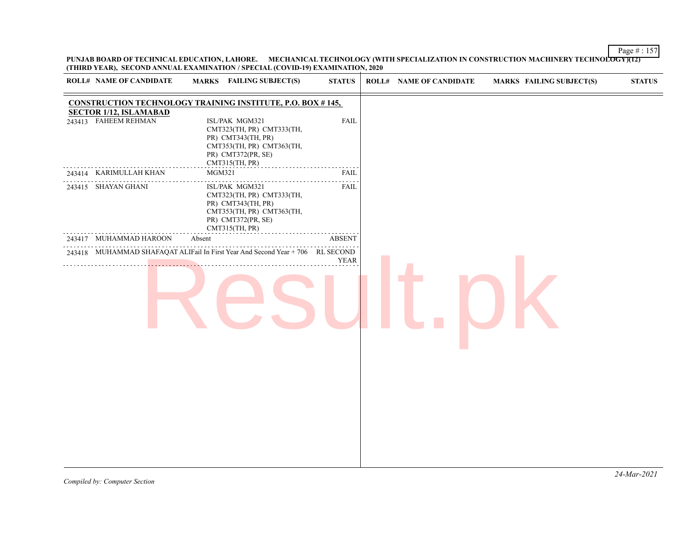**PUNJAB BOARD OF TECHNICAL EDUCATION, LAHORE. MECHANICAL TECHNOLOGY (WITH SPECIALIZATION IN CONSTRUCTION MACHINERY TECHNOLOGY)(12) (THIRD YEAR), SECOND ANNUAL EXAMINATION / SPECIAL (COVID-19) EXAMINATION, 2020**

| <b>CONSTRUCTION TECHNOLOGY TRAINING INSTITUTE, P.O. BOX #145,</b><br><b>SECTOR 1/12, ISLAMABAD</b><br>243413 FAHEEM REHMAN<br><b>FAIL</b><br>ISL/PAK MGM321<br>CMT323(TH, PR) CMT333(TH,<br>PR) CMT343(TH, PR)<br>CMT353(TH, PR) CMT363(TH,<br>PR) CMT372(PR, SE)<br>CMT315(TH, PR)<br>MGM321<br><b>FAIL</b><br>243414 KARIMULLAH KHAN<br>.<br>ISL/PAK MGM321<br><b>FAIL</b><br>243415 SHAYAN GHANI<br>CMT323(TH, PR) CMT333(TH,<br>PR) CMT343(TH, PR)<br>CMT353(TH, PR) CMT363(TH,<br>PR) CMT372(PR, SE)<br>CMT315(TH, PR)<br>.<br>243417 MUHAMMAD HAROON<br>Absent<br><b>ABSENT</b><br>243418 MUHAMMAD SHAFAQAT ALIFail In First Year And Second Year + 706 RL SECOND<br><b>YEAR</b> | <b>ROLL# NAME OF CANDIDATE</b> | MARKS FAILING SUBJECT(S) | <b>STATUS</b> | <b>ROLL# NAME OF CANDIDATE</b> | <b>MARKS FAILING SUBJECT(S)</b> | <b>STATUS</b> |
|----------------------------------------------------------------------------------------------------------------------------------------------------------------------------------------------------------------------------------------------------------------------------------------------------------------------------------------------------------------------------------------------------------------------------------------------------------------------------------------------------------------------------------------------------------------------------------------------------------------------------------------------------------------------------------------|--------------------------------|--------------------------|---------------|--------------------------------|---------------------------------|---------------|
|                                                                                                                                                                                                                                                                                                                                                                                                                                                                                                                                                                                                                                                                                        |                                |                          |               |                                |                                 |               |
|                                                                                                                                                                                                                                                                                                                                                                                                                                                                                                                                                                                                                                                                                        |                                |                          |               |                                |                                 |               |
|                                                                                                                                                                                                                                                                                                                                                                                                                                                                                                                                                                                                                                                                                        |                                |                          |               |                                |                                 |               |
|                                                                                                                                                                                                                                                                                                                                                                                                                                                                                                                                                                                                                                                                                        |                                |                          |               |                                |                                 |               |
|                                                                                                                                                                                                                                                                                                                                                                                                                                                                                                                                                                                                                                                                                        |                                |                          |               |                                |                                 |               |
|                                                                                                                                                                                                                                                                                                                                                                                                                                                                                                                                                                                                                                                                                        |                                |                          |               |                                |                                 |               |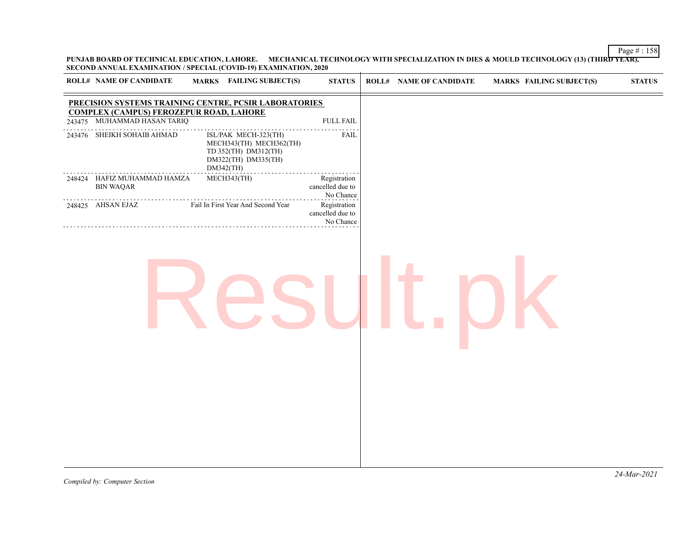**PUNJAB BOARD OF TECHNICAL EDUCATION, LAHORE. MECHANICAL TECHNOLOGY WITH SPECIALIZATION IN DIES & MOULD TECHNOLOGY (13) (THIRD YEAR), SECOND ANNUAL EXAMINATION / SPECIAL (COVID-19) EXAMINATION, 2020**

| <b>ROLL# NAME OF CANDIDATE</b>                                                | <b>MARKS</b> FAILING SUBJECT(S)                                                                             | <b>STATUS</b>                                 | <b>ROLL# NAME OF CANDIDATE</b> | MARKS FAILING SUBJECT(S) | <b>STATUS</b> |
|-------------------------------------------------------------------------------|-------------------------------------------------------------------------------------------------------------|-----------------------------------------------|--------------------------------|--------------------------|---------------|
|                                                                               | PRECISION SYSTEMS TRAINING CENTRE, PCSIR LABORATORIES                                                       |                                               |                                |                          |               |
| <b>COMPLEX (CAMPUS) FEROZEPUR ROAD, LAHORE</b><br>243475 MUHAMMAD HASAN TARIQ |                                                                                                             | <b>FULL FAIL</b>                              |                                |                          |               |
| 243476 SHEIKH SOHAIB AHMAD                                                    | ISL/PAK MECH-323(TH)<br>MECH343(TH) MECH362(TH)<br>TD 352(TH) DM312(TH)<br>DM322(TH) DM335(TH)<br>DM342(TH) | ${\rm FAIL}$                                  |                                |                          |               |
| 248424 HAFIZ MUHAMMAD HAMZA<br><b>BIN WAQAR</b>                               | MECH343(TH)                                                                                                 | Registration<br>cancelled due to<br>No Chance |                                |                          |               |
| 248425 AHSAN EJAZ                                                             | Fail In First Year And Second Year                                                                          | Registration<br>cancelled due to<br>No Chance |                                |                          |               |
|                                                                               |                                                                                                             |                                               |                                |                          |               |
|                                                                               |                                                                                                             |                                               |                                |                          |               |
|                                                                               |                                                                                                             |                                               |                                |                          |               |
|                                                                               |                                                                                                             |                                               |                                |                          |               |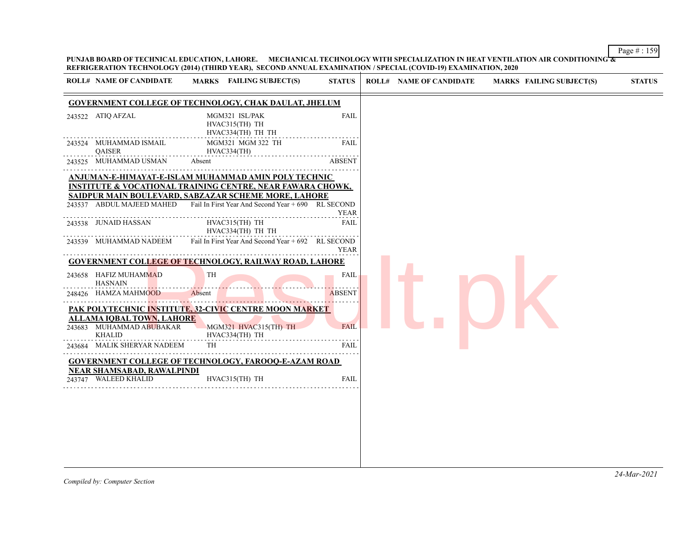**PUNJAB BOARD OF TECHNICAL EDUCATION, LAHORE. MECHANICAL TECHNOLOGY WITH SPECIALIZATION IN HEAT VENTILATION AIR CONDITIONING & REFRIGERATION TECHNOLOGY (2014) (THIRD YEAR), SECOND ANNUAL EXAMINATION / SPECIAL (COVID-19) EXAMINATION, 2020**

| 243522 ATIQ AFZAL<br>243524 MUHAMMAD ISMAIL<br>QAISER<br>243525 MUHAMMAD USMAN | <b>GOVERNMENT COLLEGE OF TECHNOLOGY, CHAK DAULAT, JHELUM</b><br>MGM321 ISL/PAK<br>HVAC315(TH) TH<br>HVAC334(TH) TH TH<br>MGM321 MGM 322 TH                                                                                                                            | FAIL          |
|--------------------------------------------------------------------------------|-----------------------------------------------------------------------------------------------------------------------------------------------------------------------------------------------------------------------------------------------------------------------|---------------|
|                                                                                |                                                                                                                                                                                                                                                                       |               |
|                                                                                |                                                                                                                                                                                                                                                                       |               |
|                                                                                | HVAC334(TH)                                                                                                                                                                                                                                                           | FAIL          |
|                                                                                | Absent                                                                                                                                                                                                                                                                | <b>ABSENT</b> |
|                                                                                | ANJUMAN-E-HIMAYAT-E-ISLAM MUHAMMAD AMIN POLY TECHNIC<br><b>INSTITUTE &amp; VOCATIONAL TRAINING CENTRE, NEAR FAWARA CHOWK,</b><br>SAIDPUR MAIN BOULEVARD, SABZAZAR SCHEME MORE, LAHORE<br>243537 ABDUL MAJEED MAHED Fail In First Year And Second Year + 690 RL SECOND |               |
|                                                                                |                                                                                                                                                                                                                                                                       | <b>YEAR</b>   |
| 243538 JUNAID HASSAN                                                           | HVAC315(TH) TH<br>HVAC334(TH) TH TH                                                                                                                                                                                                                                   | <b>FAIL</b>   |
| 243539 MUHAMMAD NADEEM                                                         | Fail In First Year And Second Year + 692 RL SECOND                                                                                                                                                                                                                    | <b>YEAR</b>   |
|                                                                                | <b>GOVERNMENT COLLEGE OF TECHNOLOGY, RAILWAY ROAD, LAHORE</b>                                                                                                                                                                                                         |               |
| 243658 HAFIZ MUHAMMAD<br><b>HASNAIN</b>                                        | TH                                                                                                                                                                                                                                                                    | FAIL          |
| 248426 HAMZA MAHMOOD                                                           | Absent                                                                                                                                                                                                                                                                | ABSENT        |
| ALLAMA IOBAL TOWN, LAHORE                                                      | <b>PAK POLYTECHNIC INSTITUTE, 32-CIVIC CENTRE MOON MARKET</b>                                                                                                                                                                                                         |               |
| 243683 MUHAMMAD ABUBAKAR<br><b>KHALID</b>                                      | MGM321 HVAC315(TH) TH<br>HVAC334(TH) TH                                                                                                                                                                                                                               | <b>FAIL</b>   |
| 243684 MALIK SHERYAR NADEEM                                                    | TH                                                                                                                                                                                                                                                                    | <b>FAIL</b>   |
|                                                                                | <b>GOVERNMENT COLLEGE OF TECHNOLOGY, FAROOQ-E-AZAM ROAD</b>                                                                                                                                                                                                           |               |
| <b>NEAR SHAMSABAD, RAWALPINDI</b><br>243747 WALEED KHALID                      | HVAC315(TH) TH                                                                                                                                                                                                                                                        | <b>FAIL</b>   |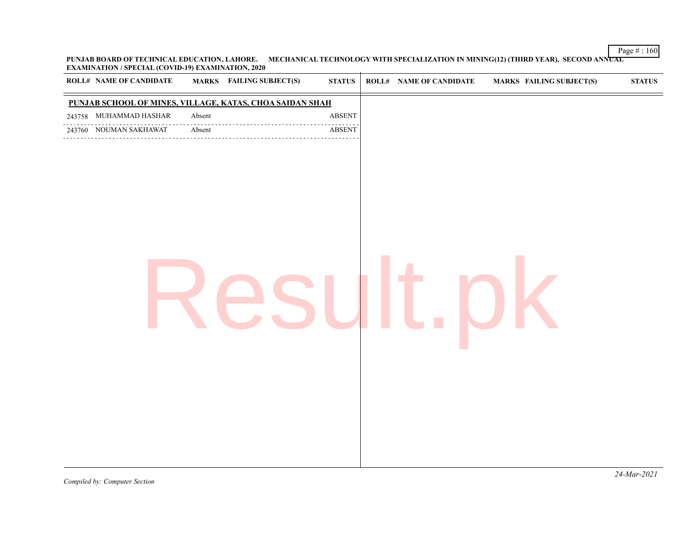**PUNJAB BOARD OF TECHNICAL EDUCATION, LAHORE. MECHANICAL TECHNOLOGY WITH SPECIALIZATION IN MINING(12) (THIRD YEAR), SECOND ANNUAL EXAMINATION / SPECIAL (COVID-19) EXAMINATION, 2020**

*Compiled by: Computer Section*

Page # : 160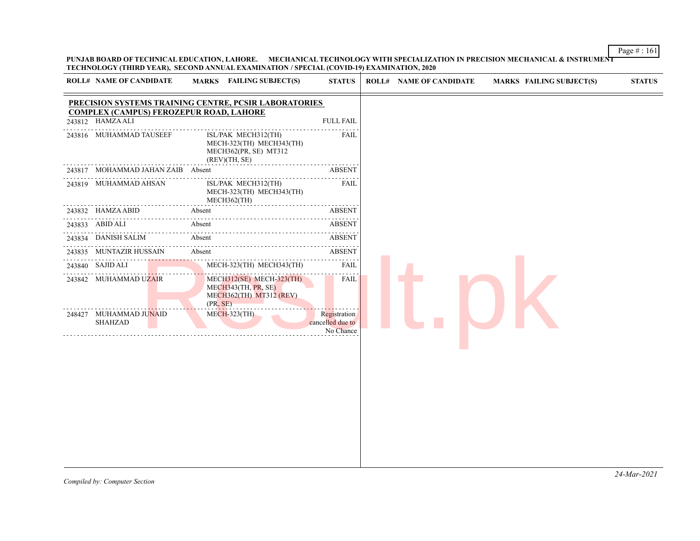**PUNJAB BOARD OF TECHNICAL EDUCATION, LAHORE. MECHANICAL TECHNOLOGY WITH SPECIALIZATION IN PRECISION MECHANICAL & INSTRUMENT TECHNOLOGY (THIRD YEAR), SECOND ANNUAL EXAMINATION / SPECIAL (COVID-19) EXAMINATION, 2020**

| 243812 HAMZAALI<br>243816 MUHAMMAD TAUSEEF<br>243819 MUHAMMAD AHSAN | 243817 MOHAMMAD JAHAN ZAIB Absent | PRECISION SYSTEMS TRAINING CENTRE, PCSIR LABORATORIES<br><b>COMPLEX (CAMPUS) FEROZEPUR ROAD, LAHORE</b><br>ISL/PAK MECH312(TH)<br>MECH-323(TH) MECH343(TH)<br>MECH362(PR, SE) MT312<br>(REV)(TH, SE) | <b>FULL FAIL</b><br>$\sim 100$ km $^{-1}$<br><b>FAIL</b> |  |  |
|---------------------------------------------------------------------|-----------------------------------|------------------------------------------------------------------------------------------------------------------------------------------------------------------------------------------------------|----------------------------------------------------------|--|--|
|                                                                     |                                   |                                                                                                                                                                                                      |                                                          |  |  |
|                                                                     |                                   |                                                                                                                                                                                                      |                                                          |  |  |
|                                                                     |                                   |                                                                                                                                                                                                      |                                                          |  |  |
|                                                                     |                                   |                                                                                                                                                                                                      | <b>ABSENT</b>                                            |  |  |
|                                                                     |                                   | ISL/PAK MECH312(TH)<br>MECH-323(TH) MECH343(TH)<br>MECH362(TH)                                                                                                                                       | FAIL                                                     |  |  |
| 243832 HAMZA ABID                                                   |                                   | Absent                                                                                                                                                                                               | <b>ABSENT</b>                                            |  |  |
| 243833 ABID ALI                                                     |                                   | Absent                                                                                                                                                                                               | <b>ABSENT</b>                                            |  |  |
| 243834 DANISH SALIM                                                 |                                   | Absent                                                                                                                                                                                               | <b>ABSENT</b>                                            |  |  |
| 243835 MUNTAZIR HUSSAIN                                             |                                   | Absent                                                                                                                                                                                               | <b>ABSENT</b>                                            |  |  |
| 243840 SAJID ALI                                                    |                                   | MECH-323(TH) MECH343(TH)                                                                                                                                                                             | 1.1.1.1.1.1<br><b>FAIL</b>                               |  |  |
| 243842 MUHAMMAD UZAIR                                               |                                   | MECH312(SE) MECH-323(TH)<br>MECH343(TH, PR, SE)<br>MECH362(TH) MT312 (REV)<br>(PR, SE)                                                                                                               | FAIL                                                     |  |  |
| 248427 MUHAMMAD JUNAID<br>SHAHZAD                                   |                                   | <b>MECH-323(TH)</b>                                                                                                                                                                                  | Registration<br>cancelled due to<br>No Chance            |  |  |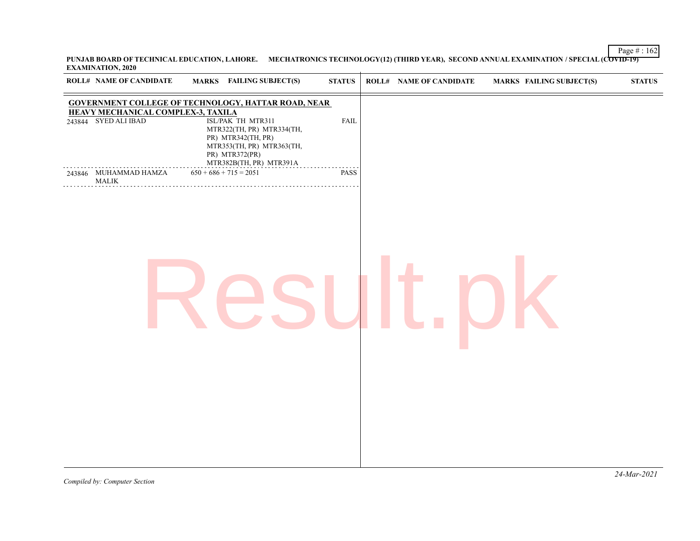Page # : 162 **PUNJAB BOARD OF TECHNICAL EDUCATION, LAHORE. MECHATRONICS TECHNOLOGY(12) (THIRD YEAR), SECOND ANNUAL EXAMINATION / SPECIAL (COVID-19) EXAMINATION, 2020**

| <b>ROLL# NAME OF CANDIDATE</b>                                    | <b>MARKS</b> FAILING SUBJECT(S)                                                                                                                                 | $\bold{STATUS}$ | <b>ROLL# NAME OF CANDIDATE</b> | <b>MARKS FAILING SUBJECT(S)</b> | ${\bf STATUS}$ |
|-------------------------------------------------------------------|-----------------------------------------------------------------------------------------------------------------------------------------------------------------|-----------------|--------------------------------|---------------------------------|----------------|
| <b>HEAVY MECHANICAL COMPLEX-3, TAXILA</b><br>243844 SYED ALI IBAD | <b>GOVERNMENT COLLEGE OF TECHNOLOGY, HATTAR ROAD, NEAR</b><br>ISL/PAK TH MTR311<br>MTR322(TH, PR) MTR334(TH,<br>PR) MTR342(TH, PR)<br>MTR353(TH, PR) MTR363(TH, | <b>FAIL</b>     |                                |                                 |                |
| 243846 MUHAMMAD HAMZA<br><b>MALIK</b>                             | PR) MTR372(PR)<br>MTR382B(TH, PR) MTR391A<br>$650 + 686 + 715 = 2051$                                                                                           | PASS            |                                |                                 |                |
|                                                                   |                                                                                                                                                                 |                 |                                |                                 |                |
|                                                                   |                                                                                                                                                                 |                 |                                |                                 |                |
|                                                                   |                                                                                                                                                                 |                 |                                |                                 |                |
|                                                                   |                                                                                                                                                                 |                 |                                |                                 |                |
|                                                                   |                                                                                                                                                                 |                 |                                |                                 |                |
|                                                                   |                                                                                                                                                                 |                 |                                |                                 |                |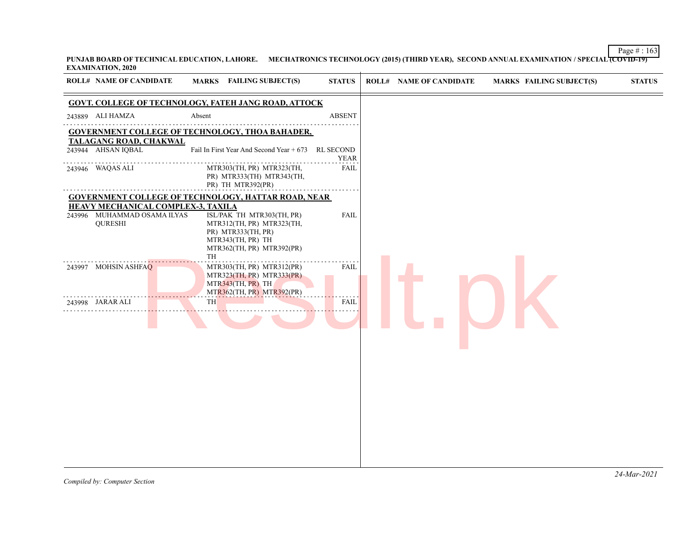**PUNJAB BOARD OF TECHNICAL EDUCATION, LAHORE. MECHATRONICS TECHNOLOGY (2015) (THIRD YEAR), SECOND ANNUAL EXAMINATION / SPECIAL (COVID-19) EXAMINATION, 2020**

| <b>GOVT. COLLEGE OF TECHNOLOGY, FATEH JANG ROAD, ATTOCK</b><br>243889 ALI HAMZA<br>Absent<br><b>ABSENT</b><br><b>GOVERNMENT COLLEGE OF TECHNOLOGY, THOA BAHADER,</b><br><b>TALAGANG ROAD, CHAKWAL</b><br>243944 AHSAN IQBAL<br>Fail In First Year And Second Year + 673 RL SECOND<br><b>YEAR</b><br>FAIL<br>243946 WAQAS ALI<br>MTR303(TH, PR) MTR323(TH,<br>PR) MTR333(TH) MTR343(TH,<br>PR) TH MTR392(PR)<br><b>GOVERNMENT COLLEGE OF TECHNOLOGY, HATTAR ROAD, NEAR</b><br>HEAVY MECHANICAL COMPLEX-3, TAXILA<br>243996 MUHAMMAD OSAMA ILYAS<br>ISL/PAK TH MTR303(TH, PR)<br><b>FAIL</b><br><b>QURESHI</b><br>MTR312(TH, PR) MTR323(TH,<br>PR) MTR333(TH, PR)<br>MTR343(TH, PR) TH<br>MTR362(TH, PR) MTR392(PR)<br>TH<br>243997 MOHSIN ASHFAQ<br>MTR303(TH, PR) MTR312(PR)<br><b>FAIL</b><br>MTR323(TH, PR) MTR333(PR)<br>MTR343(TH, PR) TH<br>MTR362(TH, PR) MTR392(PR)<br>TH<br><b>FAIL</b><br>243998 JARAR ALI | <b>ROLL# NAME OF CANDIDATE</b> | MARKS FAILING SUBJECT(S) | <b>STATUS</b> | <b>ROLL# NAME OF CANDIDATE</b> | <b>MARKS FAILING SUBJECT(S)</b> | <b>STATUS</b> |
|---------------------------------------------------------------------------------------------------------------------------------------------------------------------------------------------------------------------------------------------------------------------------------------------------------------------------------------------------------------------------------------------------------------------------------------------------------------------------------------------------------------------------------------------------------------------------------------------------------------------------------------------------------------------------------------------------------------------------------------------------------------------------------------------------------------------------------------------------------------------------------------------------------------------|--------------------------------|--------------------------|---------------|--------------------------------|---------------------------------|---------------|
|                                                                                                                                                                                                                                                                                                                                                                                                                                                                                                                                                                                                                                                                                                                                                                                                                                                                                                                     |                                |                          |               |                                |                                 |               |
|                                                                                                                                                                                                                                                                                                                                                                                                                                                                                                                                                                                                                                                                                                                                                                                                                                                                                                                     |                                |                          |               |                                |                                 |               |
|                                                                                                                                                                                                                                                                                                                                                                                                                                                                                                                                                                                                                                                                                                                                                                                                                                                                                                                     |                                |                          |               |                                |                                 |               |
|                                                                                                                                                                                                                                                                                                                                                                                                                                                                                                                                                                                                                                                                                                                                                                                                                                                                                                                     |                                |                          |               |                                |                                 |               |
|                                                                                                                                                                                                                                                                                                                                                                                                                                                                                                                                                                                                                                                                                                                                                                                                                                                                                                                     |                                |                          |               |                                |                                 |               |
|                                                                                                                                                                                                                                                                                                                                                                                                                                                                                                                                                                                                                                                                                                                                                                                                                                                                                                                     |                                |                          |               |                                |                                 |               |
|                                                                                                                                                                                                                                                                                                                                                                                                                                                                                                                                                                                                                                                                                                                                                                                                                                                                                                                     |                                |                          |               |                                |                                 |               |
|                                                                                                                                                                                                                                                                                                                                                                                                                                                                                                                                                                                                                                                                                                                                                                                                                                                                                                                     |                                |                          |               |                                |                                 |               |
|                                                                                                                                                                                                                                                                                                                                                                                                                                                                                                                                                                                                                                                                                                                                                                                                                                                                                                                     |                                |                          |               |                                |                                 |               |
|                                                                                                                                                                                                                                                                                                                                                                                                                                                                                                                                                                                                                                                                                                                                                                                                                                                                                                                     |                                |                          |               |                                |                                 |               |
|                                                                                                                                                                                                                                                                                                                                                                                                                                                                                                                                                                                                                                                                                                                                                                                                                                                                                                                     |                                |                          |               |                                |                                 |               |
|                                                                                                                                                                                                                                                                                                                                                                                                                                                                                                                                                                                                                                                                                                                                                                                                                                                                                                                     |                                |                          |               |                                |                                 |               |
|                                                                                                                                                                                                                                                                                                                                                                                                                                                                                                                                                                                                                                                                                                                                                                                                                                                                                                                     |                                |                          |               |                                |                                 |               |
|                                                                                                                                                                                                                                                                                                                                                                                                                                                                                                                                                                                                                                                                                                                                                                                                                                                                                                                     |                                |                          |               |                                |                                 |               |
|                                                                                                                                                                                                                                                                                                                                                                                                                                                                                                                                                                                                                                                                                                                                                                                                                                                                                                                     |                                |                          |               |                                |                                 |               |
|                                                                                                                                                                                                                                                                                                                                                                                                                                                                                                                                                                                                                                                                                                                                                                                                                                                                                                                     |                                |                          |               |                                |                                 |               |
|                                                                                                                                                                                                                                                                                                                                                                                                                                                                                                                                                                                                                                                                                                                                                                                                                                                                                                                     |                                |                          |               |                                |                                 |               |
|                                                                                                                                                                                                                                                                                                                                                                                                                                                                                                                                                                                                                                                                                                                                                                                                                                                                                                                     |                                |                          |               |                                |                                 |               |
|                                                                                                                                                                                                                                                                                                                                                                                                                                                                                                                                                                                                                                                                                                                                                                                                                                                                                                                     |                                |                          |               |                                |                                 |               |
|                                                                                                                                                                                                                                                                                                                                                                                                                                                                                                                                                                                                                                                                                                                                                                                                                                                                                                                     |                                |                          |               |                                |                                 |               |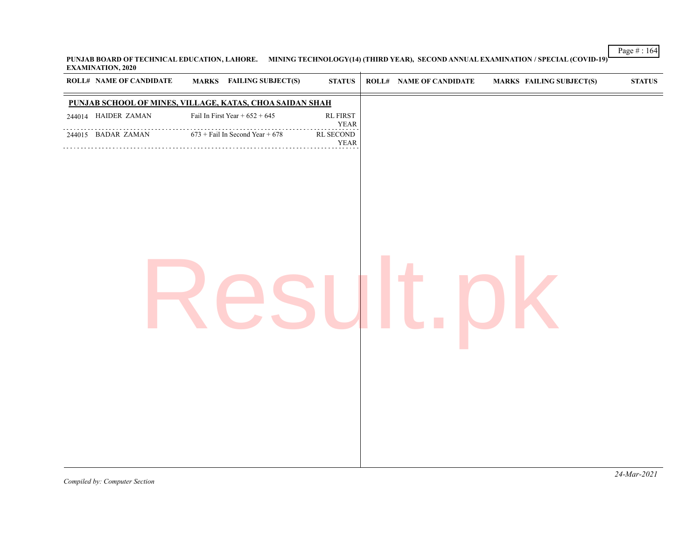**PUNJAB BOARD OF TECHNICAL EDUCATION, LAHORE. MINING TECHNOLOGY(14) (THIRD YEAR), SECOND ANNUAL EXAMINATION / SPECIAL (COVID-19) EXAMINATION, 2020**  $\overline{1}$ 

| ROLL# NAME OF CANDIDATE                                  | <b>MARKS</b> FAILING SUBJECT(S)   | <b>STATUS</b>                                                          | <b>ROLL# NAME OF CANDIDATE</b> | <b>MARKS FAILING SUBJECT(S)</b> | $\bold{STATUS}$ |
|----------------------------------------------------------|-----------------------------------|------------------------------------------------------------------------|--------------------------------|---------------------------------|-----------------|
| PUNJAB SCHOOL OF MINES, VILLAGE, KATAS, CHOA SAIDAN SHAH |                                   |                                                                        |                                |                                 |                 |
| 244014 HAIDER ZAMAN                                      | Fail In First Year + $652 + 645$  | $\mathop{\mathrm{RL}}\nolimits\mathop{\mathrm{FIRST}}$<br>${\bf YEAR}$ |                                |                                 |                 |
| .<br>244015 BADAR ZAMAN                                  | $673 +$ Fail In Second Year + 678 | RL SECOND<br><b>YEAR</b>                                               |                                |                                 |                 |
|                                                          |                                   |                                                                        |                                |                                 |                 |
|                                                          |                                   |                                                                        |                                |                                 |                 |
|                                                          |                                   |                                                                        |                                |                                 |                 |
|                                                          |                                   |                                                                        |                                |                                 |                 |
|                                                          |                                   |                                                                        |                                |                                 |                 |
|                                                          |                                   |                                                                        |                                |                                 |                 |
|                                                          |                                   |                                                                        |                                |                                 |                 |
|                                                          |                                   |                                                                        |                                |                                 |                 |
|                                                          |                                   |                                                                        |                                |                                 |                 |
|                                                          |                                   |                                                                        |                                |                                 |                 |
|                                                          |                                   |                                                                        |                                |                                 |                 |
|                                                          |                                   |                                                                        |                                |                                 |                 |
|                                                          |                                   |                                                                        |                                |                                 |                 |
|                                                          |                                   |                                                                        |                                |                                 |                 |

Page # : 164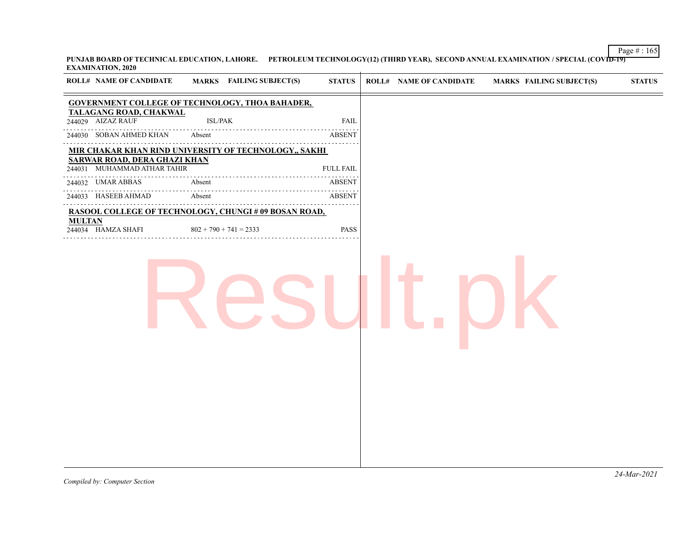Page # : 165 **PUNJAB BOARD OF TECHNICAL EDUCATION, LAHORE. PETROLEUM TECHNOLOGY(12) (THIRD YEAR), SECOND ANNUAL EXAMINATION / SPECIAL (COVID-19) EXAMINATION, 2020**

| <b>GOVERNMENT COLLEGE OF TECHNOLOGY, THOA BAHADER,</b><br>TALAGANG ROAD, CHAKWAL<br>244029 AIZAZ RAUF<br>ISL/PAK<br>FAIL                                                                                                                                                                                                                                                                                                                                                                     |
|----------------------------------------------------------------------------------------------------------------------------------------------------------------------------------------------------------------------------------------------------------------------------------------------------------------------------------------------------------------------------------------------------------------------------------------------------------------------------------------------|
| Absent<br>244030 SOBAN AHMED KHAN<br><b>ABSENT</b><br>MIR CHAKAR KHAN RIND UNIVERSITY OF TECHNOLOGY,, SAKHI<br><b>SARWAR ROAD, DERA GHAZI KHAN</b><br>244031 MUHAMMAD ATHAR TAHIR<br>${\rm FULL \; FAIL}$<br>244032 UMAR ABBAS<br>Absent<br><b>ABSENT</b><br>.<br>Absent<br>244033 HASEEB AHMAD<br>ABSENT<br>and the state of the state of<br><b>RASOOL COLLEGE OF TECHNOLOGY, CHUNGI # 09 BOSAN ROAD,</b><br><b>MULTAN</b><br>244034 HAMZA SHAFI<br>$802 + 790 + 741 = 2333$<br><b>PASS</b> |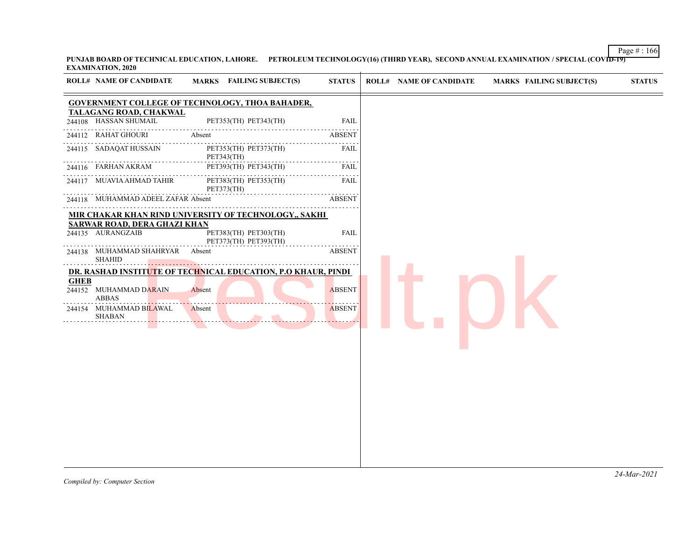Page # : 166 **PUNJAB BOARD OF TECHNICAL EDUCATION, LAHORE. PETROLEUM TECHNOLOGY(16) (THIRD YEAR), SECOND ANNUAL EXAMINATION / SPECIAL (COVID-19) EXAMINATION, 2020**

| <b>ROLL# NAME OF CANDIDATE</b>                           | MARKS FAILING SUBJECT(S)                                                                                | <b>STATUS</b>                                | <b>ROLL# NAME OF CANDIDATE</b> | <b>MARKS FAILING SUBJECT(S)</b> | <b>STATUS</b> |
|----------------------------------------------------------|---------------------------------------------------------------------------------------------------------|----------------------------------------------|--------------------------------|---------------------------------|---------------|
|                                                          | <b>GOVERNMENT COLLEGE OF TECHNOLOGY, THOA BAHADER,</b>                                                  |                                              |                                |                                 |               |
| <b>TALAGANG ROAD, CHAKWAL</b><br>244108 HASSAN SHUMAIL   | PET353(TH) PET343(TH)                                                                                   | <b>FAIL</b>                                  |                                |                                 |               |
| 244112 RAHAT GHOURI                                      | Absent                                                                                                  | الداعات الداري<br><b>ABSENT</b>              |                                |                                 |               |
| 244115 SADAQAT HUSSAIN                                   | PET353(TH) PET373(TH)<br>PET343(TH)                                                                     | .<br><b>FAIL</b><br><u>.</u><br>الداعات عاما |                                |                                 |               |
| 244116 FARHAN AKRAM                                      | PET393(TH) PET343(TH)                                                                                   | <b>FAIL</b>                                  |                                |                                 |               |
| 244117 MUAVIA AHMAD TAHIR                                | PET383(TH) PET353(TH)<br>PET373(TH)                                                                     | <b>FAIL</b>                                  |                                |                                 |               |
| 244118 MUHAMMAD ADEEL ZAFAR Absent                       |                                                                                                         | <b>ABSENT</b>                                |                                |                                 |               |
| <b>SARWAR ROAD, DERA GHAZI KHAN</b><br>244135 AURANGZAIB | MIR CHAKAR KHAN RIND UNIVERSITY OF TECHNOLOGY,, SAKHI<br>PET383(TH) PET303(TH)<br>PET373(TH) PET393(TH) | <b>FAIL</b>                                  |                                |                                 |               |
| 244138 MUHAMMAD SHAHRYAR<br><b>SHAHID</b>                | Absent                                                                                                  | <b>ABSENT</b>                                |                                |                                 |               |
| <b>GHEB</b><br>244152 MUHAMMAD DARAIN<br><b>ABBAS</b>    | DR. RASHAD INSTITUTE OF TECHNICAL EDUCATION, P.O KHAUR, PINDI<br>Absent                                 | <b>ABSENT</b>                                |                                |                                 |               |
| 244154 MUHAMMAD BILAWAL<br><b>SHABAN</b>                 | Absent                                                                                                  | <b>ABSENT</b>                                |                                |                                 |               |
|                                                          |                                                                                                         |                                              |                                |                                 |               |
|                                                          |                                                                                                         |                                              |                                |                                 |               |
|                                                          |                                                                                                         |                                              |                                |                                 |               |
|                                                          |                                                                                                         |                                              |                                |                                 |               |
|                                                          |                                                                                                         |                                              |                                |                                 |               |
|                                                          |                                                                                                         |                                              |                                |                                 |               |
|                                                          |                                                                                                         |                                              |                                |                                 |               |
|                                                          |                                                                                                         |                                              |                                |                                 |               |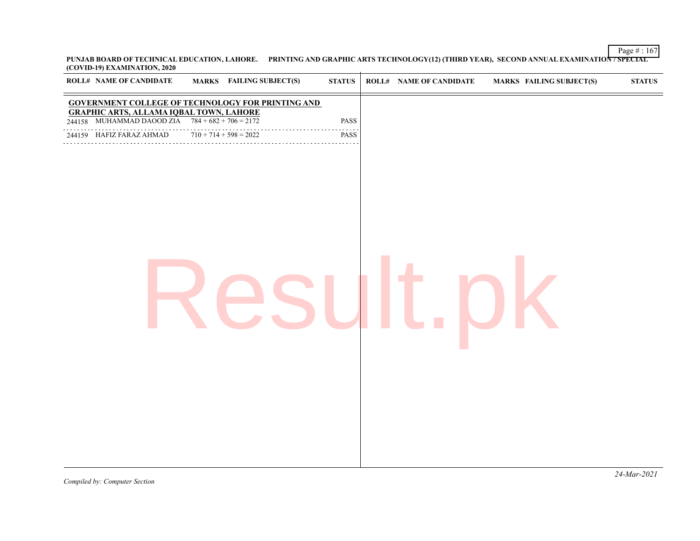Page # : 167 **PUNJAB BOARD OF TECHNICAL EDUCATION, LAHORE. PRINTING AND GRAPHIC ARTS TECHNOLOGY(12) (THIRD YEAR), SECOND ANNUAL EXAMINATION / SPECIAL (COVID-19) EXAMINATION, 2020**

| $\sim$<br><b>ROLL# NAME OF CANDIDATE</b><br><b>MARKS</b> FAILING SUBJECT(S)                                                                                                                                              | $\bold{STATUS}$   | <b>ROLL# NAME OF CANDIDATE</b> | <b>MARKS FAILING SUBJECT(S)</b> | $\bold{STATUS}$ |
|--------------------------------------------------------------------------------------------------------------------------------------------------------------------------------------------------------------------------|-------------------|--------------------------------|---------------------------------|-----------------|
| <b>GOVERNMENT COLLEGE OF TECHNOLOGY FOR PRINTING AND</b><br><b>GRAPHIC ARTS, ALLAMA IQBAL TOWN, LAHORE</b><br>244158 MUHAMMAD DAOOD ZIA $784 + 682 + 706 = 2172$<br>$710 + 714 + 598 = 2022$<br>244159 HAFIZ FARAZ AHMAD | PASS<br>.<br>PASS |                                |                                 |                 |
|                                                                                                                                                                                                                          |                   |                                |                                 |                 |
|                                                                                                                                                                                                                          |                   |                                |                                 |                 |
|                                                                                                                                                                                                                          |                   |                                |                                 |                 |
|                                                                                                                                                                                                                          |                   |                                |                                 |                 |
|                                                                                                                                                                                                                          |                   |                                |                                 |                 |
|                                                                                                                                                                                                                          |                   |                                |                                 |                 |
|                                                                                                                                                                                                                          |                   |                                |                                 |                 |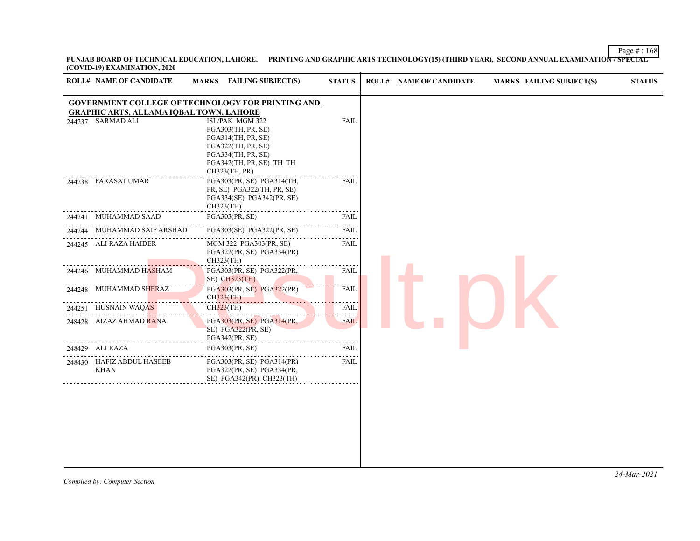**PUNJAB BOARD OF TECHNICAL EDUCATION, LAHORE. PRINTING AND GRAPHIC ARTS TECHNOLOGY(15) (THIRD YEAR), SECOND ANNUAL EXAMINATION / SPECIAL (COVID-19) EXAMINATION, 2020**

| <b>ROLL# NAME OF CANDIDATE</b>                                      | <b>FAILING SUBJECT(S)</b><br><b>MARKS</b>                                                                                                            | <b>STATUS</b> | <b>ROLL# NAME OF CANDIDATE</b> | <b>MARKS FAILING SUBJECT(S)</b> | <b>STATUS</b> |
|---------------------------------------------------------------------|------------------------------------------------------------------------------------------------------------------------------------------------------|---------------|--------------------------------|---------------------------------|---------------|
|                                                                     | <b>GOVERNMENT COLLEGE OF TECHNOLOGY FOR PRINTING AND</b>                                                                                             |               |                                |                                 |               |
| <b>GRAPHIC ARTS, ALLAMA IQBAL TOWN, LAHORE</b><br>244237 SARMAD ALI | ISL/PAK MGM 322<br>PGA303(TH, PR, SE)<br>PGA314(TH, PR, SE)<br>PGA322(TH, PR, SE)<br>PGA334(TH, PR, SE)<br>PGA342(TH, PR, SE) TH TH<br>CH323(TH, PR) | FAIL          |                                |                                 |               |
| 244238 FARASAT UMAR                                                 | PGA303(PR, SE) PGA314(TH,<br>PR, SE) PGA322(TH, PR, SE)<br>PGA334(SE) PGA342(PR, SE)<br>CH323(TH)                                                    | <b>FAIL</b>   |                                |                                 |               |
| 244241 MUHAMMAD SAAD                                                | PGA303(PR, SE)                                                                                                                                       | FAIL          |                                |                                 |               |
| 244244 MUHAMMAD SAIF ARSHAD                                         | PGA303(SE) PGA322(PR, SE)                                                                                                                            | FAIL          |                                |                                 |               |
| 244245 ALI RAZA HAIDER                                              | MGM 322 PGA303(PR, SE)<br>PGA322(PR, SE) PGA334(PR)<br>CH323(TH)                                                                                     | FAIL          |                                |                                 |               |
| 244246 MUHAMMAD HASHAM                                              | PGA303(PR, SE) PGA322(PR,<br>SE) CH323(TH)                                                                                                           | <b>FAIL</b>   |                                |                                 |               |
| 244248 MUHAMMAD SHERAZ                                              | PGA303(PR, SE) PGA322(PR)<br>$CH323$ (TH)                                                                                                            | FAIL          |                                |                                 |               |
| 244251 HUSNAIN WAQAS                                                | CH323(TH)                                                                                                                                            | FAIL          |                                |                                 |               |
| 248428 AIZAZ AHMAD RANA                                             | PGA303(PR, SE) PGA314(PR,<br>SE) PGA322(PR, SE)<br>PGA342(PR, SE)                                                                                    | <b>FAIL</b>   |                                |                                 |               |
| 248429 ALI RAZA                                                     | PGA303(PR, SE)                                                                                                                                       | FAIL          |                                |                                 |               |
| 248430 HAFIZ ABDUL HASEEB<br>KHAN                                   | PGA303(PR, SE) PGA314(PR)<br>PGA322(PR, SE) PGA334(PR,<br>SE) PGA342(PR) CH323(TH)                                                                   | <b>FAIL</b>   |                                |                                 |               |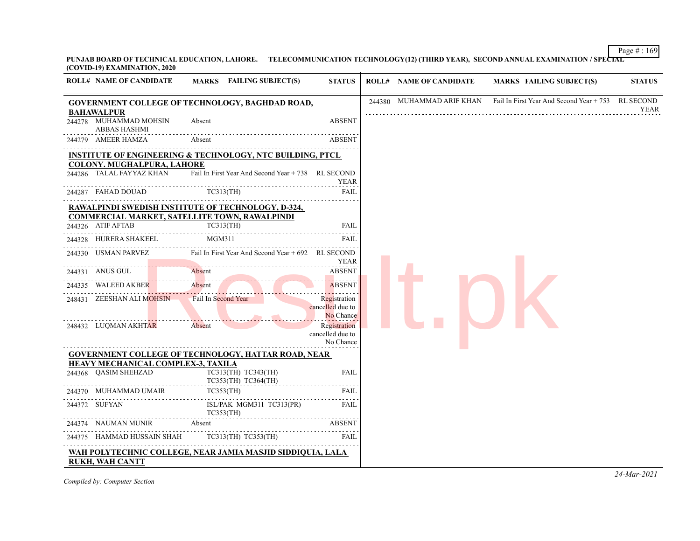Page # : 169 **PUNJAB BOARD OF TECHNICAL EDUCATION, LAHORE. TELECOMMUNICATION TECHNOLOGY(12) (THIRD YEAR), SECOND ANNUAL EXAMINATION / SPECIAL (COVID-19) EXAMINATION, 2020**

| <b>ROLL# NAME OF CANDIDATE</b>                                            | MARKS FAILING SUBJECT(S)                                               | <b>STATUS</b>                                 | <b>ROLL# NAME OF CANDIDATE</b> | <b>MARKS FAILING SUBJECT(S)</b>                                              | <b>STATUS</b> |
|---------------------------------------------------------------------------|------------------------------------------------------------------------|-----------------------------------------------|--------------------------------|------------------------------------------------------------------------------|---------------|
|                                                                           | <b>GOVERNMENT COLLEGE OF TECHNOLOGY, BAGHDAD ROAD,</b>                 |                                               |                                | 244380 MUHAMMAD ARIF KHAN Fail In First Year And Second Year + 753 RL SECOND | YEAR          |
| BAHAWALPUR<br>244278 MUHAMMAD MOHSIN<br>ABBAS HASHMI                      | Absent                                                                 | <b>ABSENT</b>                                 |                                |                                                                              |               |
| 244279 AMEER HAMZA                                                        | Absent                                                                 | <b>ABSENT</b>                                 |                                |                                                                              |               |
|                                                                           | <b>INSTITUTE OF ENGINEERING &amp; TECHNOLOGY, NTC BUILDING, PTCL</b>   |                                               |                                |                                                                              |               |
| <b>COLONY. MUGHALPURA, LAHORE</b><br>244286 TALAL FAYYAZ KHAN             | Fail In First Year And Second Year + 738 RL SECOND                     | <b>YEAR</b>                                   |                                |                                                                              |               |
| 244287 FAHAD DOUAD                                                        | TC313(TH)                                                              | FAIL                                          |                                |                                                                              |               |
|                                                                           | <b>RAWALPINDI SWEDISH INSTITUTE OF TECHNOLOGY, D-324,</b>              |                                               |                                |                                                                              |               |
| <b>COMMERCIAL MARKET, SATELLITE TOWN, RAWALPINDI</b><br>244326 ATIF AFTAB | TC313(TH)                                                              | FAIL                                          |                                |                                                                              |               |
| 244328 HURERA SHAKEEL                                                     | MGM311                                                                 | <b>FAIL</b>                                   |                                |                                                                              |               |
|                                                                           | 244330 USMAN PARVEZ Fail In First Year And Second Year + 692 RL SECOND | <b>YEAR</b>                                   |                                |                                                                              |               |
| 244331 ANUS GUL                                                           | Absent                                                                 | <b>ABSENT</b>                                 |                                |                                                                              |               |
| 244335 WALEED AKBER                                                       | Absent                                                                 | <b>ABSENT</b><br>.                            |                                |                                                                              |               |
| 248431 ZEESHAN ALI MOHSIN                                                 | Fail In Second Year                                                    | Registration<br>cancelled due to<br>No Chance |                                |                                                                              |               |
| 248432 LUQMAN AKHTAR                                                      | Absent                                                                 | Registration<br>cancelled due to<br>No Chance |                                |                                                                              |               |
|                                                                           | <b>GOVERNMENT COLLEGE OF TECHNOLOGY, HATTAR ROAD, NEAR</b>             |                                               |                                |                                                                              |               |
| HEAVY MECHANICAL COMPLEX-3, TAXILA<br>244368 QASIM SHEHZAD                | TC313(TH) TC343(TH)<br>TC353(TH) TC364(TH)                             | <b>FAIL</b>                                   |                                |                                                                              |               |
| 244370 MUHAMMAD UMAIR                                                     | TC353(TH)                                                              | <b>FAIL</b>                                   |                                |                                                                              |               |
| 244372 SUFYAN                                                             | ISL/PAK MGM311 TC313(PR)<br>TC353(TH)                                  | FAIL                                          |                                |                                                                              |               |
| 244374 NAUMAN MUNIR                                                       | Absent                                                                 | <b>ABSENT</b>                                 |                                |                                                                              |               |
| 244375 HAMMAD HUSSAIN SHAH TC313(TH) TC353(TH)                            |                                                                        | FAIL                                          |                                |                                                                              |               |
| <b>RUKH, WAH CANTT</b>                                                    | WAH POLYTECHNIC COLLEGE, NEAR JAMIA MASJID SIDDIQUIA, LALA             |                                               |                                |                                                                              |               |

*Compiled by: Computer Section*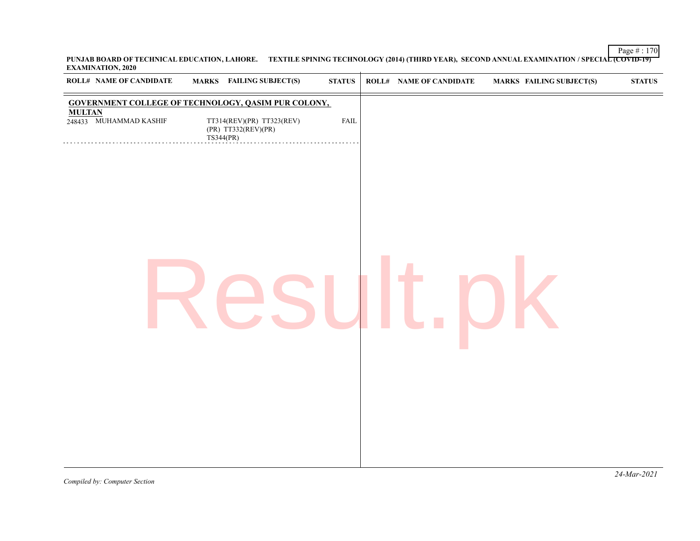Page # : 170 **PUNJAB BOARD OF TECHNICAL EDUCATION, LAHORE. TEXTILE SPINING TECHNOLOGY (2014) (THIRD YEAR), SECOND ANNUAL EXAMINATION / SPECIAL (COVID-19) EXAMINATION, 2020**  $\overline{1}$ 

|               | ROLL# NAME OF CANDIDATE |           | <b>MARKS</b> FAILING SUBJECT(S)                            | $\boldsymbol{\text{STATUS}}$ | <b>ROLL# NAME OF CANDIDATE</b> | <b>MARKS FAILING SUBJECT(S)</b> | ${\bf STATUS}$ |
|---------------|-------------------------|-----------|------------------------------------------------------------|------------------------------|--------------------------------|---------------------------------|----------------|
|               |                         |           | <b>GOVERNMENT COLLEGE OF TECHNOLOGY, QASIM PUR COLONY,</b> |                              |                                |                                 |                |
| <b>MULTAN</b> | 248433 MUHAMMAD KASHIF  | TS344(PR) | TT314(REV)(PR) TT323(REV)<br>$(PR)$ TT332 $(REV)(PR)$      | FAIL                         |                                |                                 |                |
|               |                         |           |                                                            |                              |                                |                                 |                |
|               |                         |           |                                                            |                              |                                |                                 |                |
|               |                         |           |                                                            |                              |                                |                                 |                |
|               |                         |           |                                                            |                              |                                |                                 |                |
|               |                         |           |                                                            |                              |                                |                                 |                |
|               |                         |           |                                                            |                              |                                |                                 |                |
|               |                         |           |                                                            |                              |                                |                                 |                |
|               |                         |           |                                                            |                              |                                |                                 |                |
|               |                         |           |                                                            |                              |                                |                                 |                |
|               |                         |           |                                                            |                              |                                |                                 |                |
|               |                         |           |                                                            |                              |                                |                                 |                |
|               |                         |           |                                                            |                              |                                |                                 |                |
|               |                         |           |                                                            |                              |                                |                                 |                |
|               |                         |           |                                                            |                              |                                |                                 |                |